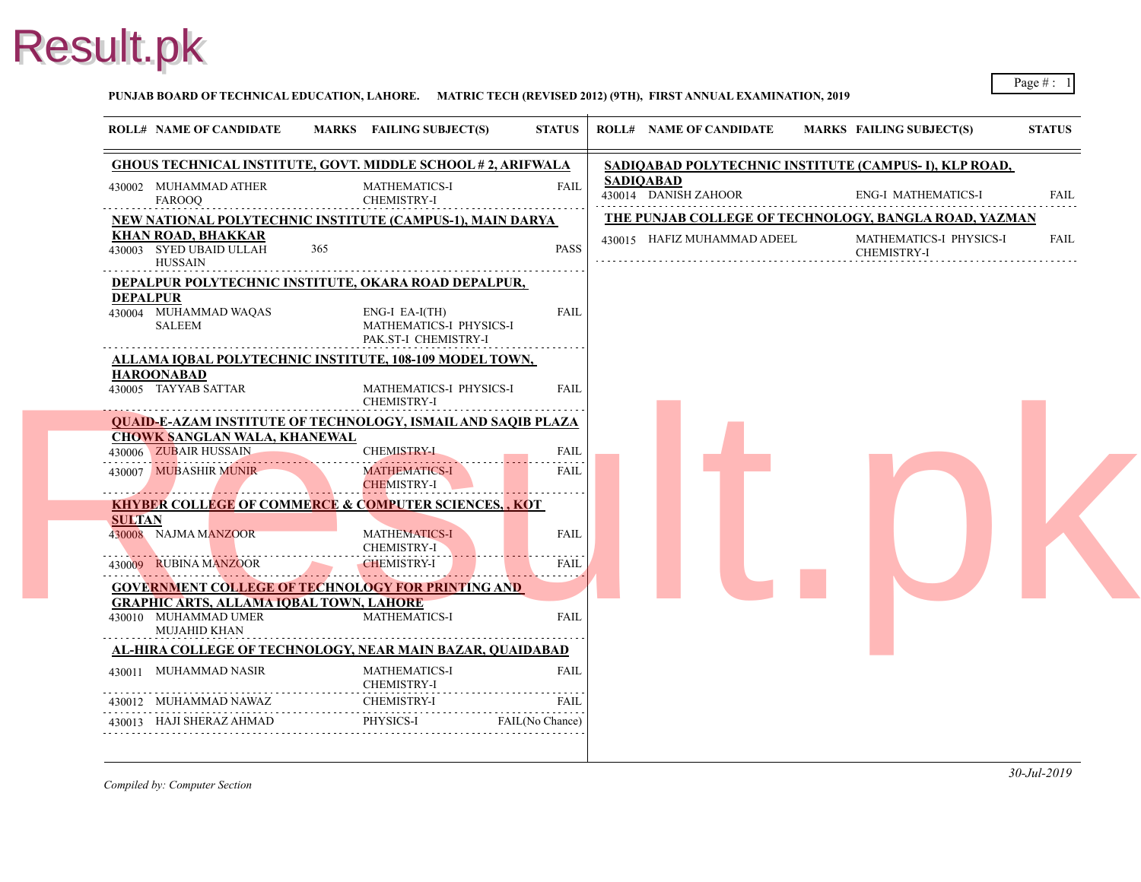#### **PUNJAB BOARD OF TECHNICAL EDUCATION, LAHORE. MATRIC TECH (REVISED 2012) (9TH), FIRST ANNUAL EXAMINATION, 2019**

|                                                                        | <b>GHOUS TECHNICAL INSTITUTE, GOVT. MIDDLE SCHOOL #2, ARIFWALA</b>  |             | SADIQABAD POLYTECHNIC INSTITUTE (CA      |                          |
|------------------------------------------------------------------------|---------------------------------------------------------------------|-------------|------------------------------------------|--------------------------|
| 430002 MUHAMMAD ATHER<br><b>FAROOQ</b>                                 | MATHEMATICS-I<br>CHEMISTRY-I                                        | <b>FAIL</b> | <b>SADIQABAD</b><br>430014 DANISH ZAHOOR | ENG-                     |
| <b>NEW NATIONAL POLYTECHNIC INSTITUTE (CAMPUS-1), MAIN DARYA</b>       |                                                                     |             | THE PUNJAB COLLEGE OF TECHNOLOGY, I      |                          |
| <b>KHAN ROAD, BHAKKAR</b><br>430003 SYED UBAID ULLAH<br><b>HUSSAIN</b> | 365                                                                 | <b>PASS</b> | 430015 HAFIZ MUHAMMAD ADEEL              | <b>MAT</b><br><b>CHE</b> |
| DEPALPUR POLYTECHNIC INSTITUTE, OKARA ROAD DEPALPUR,                   |                                                                     |             |                                          |                          |
| <b>DEPALPUR</b><br>430004 MUHAMMAD WAQAS<br>SALEEM                     | $ENG-I$ EA-I(TH)<br>MATHEMATICS-I PHYSICS-I<br>PAK.ST-I CHEMISTRY-I | <b>FAIL</b> |                                          |                          |
| ALLAMA IQBAL POLYTECHNIC INSTITUTE, 108-109 MODEL TOWN,                |                                                                     |             |                                          |                          |
| <b>HAROONABAD</b><br>430005 TAYYAB SATTAR                              | MATHEMATICS-I PHYSICS-I<br><b>CHEMISTRY-I</b>                       | FAIL        |                                          |                          |
| <b>QUAID-E-AZAM INSTITUTE OF TECHNOLOGY, ISMAIL AND SAQIB PLAZA</b>    |                                                                     |             |                                          |                          |
| <b>CHOWK SANGLAN WALA, KHANEWAL</b><br>430006 ZUBAIR HUSSAIN           | <b>CHEMISTRY-I</b>                                                  | <b>FAIL</b> |                                          |                          |
| 430007 MUBASHIR MUNIR                                                  | <b>MATHEMATICS-I</b><br><b>CHEMISTRY-I</b>                          | FAIL        |                                          |                          |
| <b>KHYBER COLLEGE OF COMMERCE &amp; COMPUTER SCIENCES, , KOT</b>       |                                                                     |             |                                          |                          |
| <b>SULTAN</b><br>430008 NAJMA MANZOOR                                  | <b>MATHEMATICS-I</b><br><b>CHEMISTRY-I</b>                          | <b>FAIL</b> |                                          |                          |
| 430009 RUBINA MANZOOR                                                  | <b>CHEMISTRY-I</b>                                                  | <b>FAIL</b> |                                          |                          |
|                                                                        | <b>GOVERNMENT COLLEGE OF TECHNOLOGY FOR PRINTING AND</b>            |             |                                          |                          |
| <b>GRAPHIC ARTS, ALLAMA IQBAL TOWN, LAHORE</b>                         |                                                                     |             |                                          |                          |
| 430010 MUHAMMAD UMER<br><b>MUJAHID KHAN</b>                            | MATHEMATICS-I                                                       | <b>FAIL</b> |                                          |                          |
| AL-HIRA COLLEGE OF TECHNOLOGY, NEAR MAIN BAZAR, QUAIDABAD              |                                                                     |             |                                          |                          |
| 430011 MUHAMMAD NASIR                                                  | <b>MATHEMATICS-I</b><br><b>CHEMISTRY-I</b>                          | <b>FAIL</b> |                                          |                          |
|                                                                        |                                                                     |             |                                          |                          |
| 430012 MUHAMMAD NAWAZ CHEMISTRY-I                                      |                                                                     | FAIL        |                                          |                          |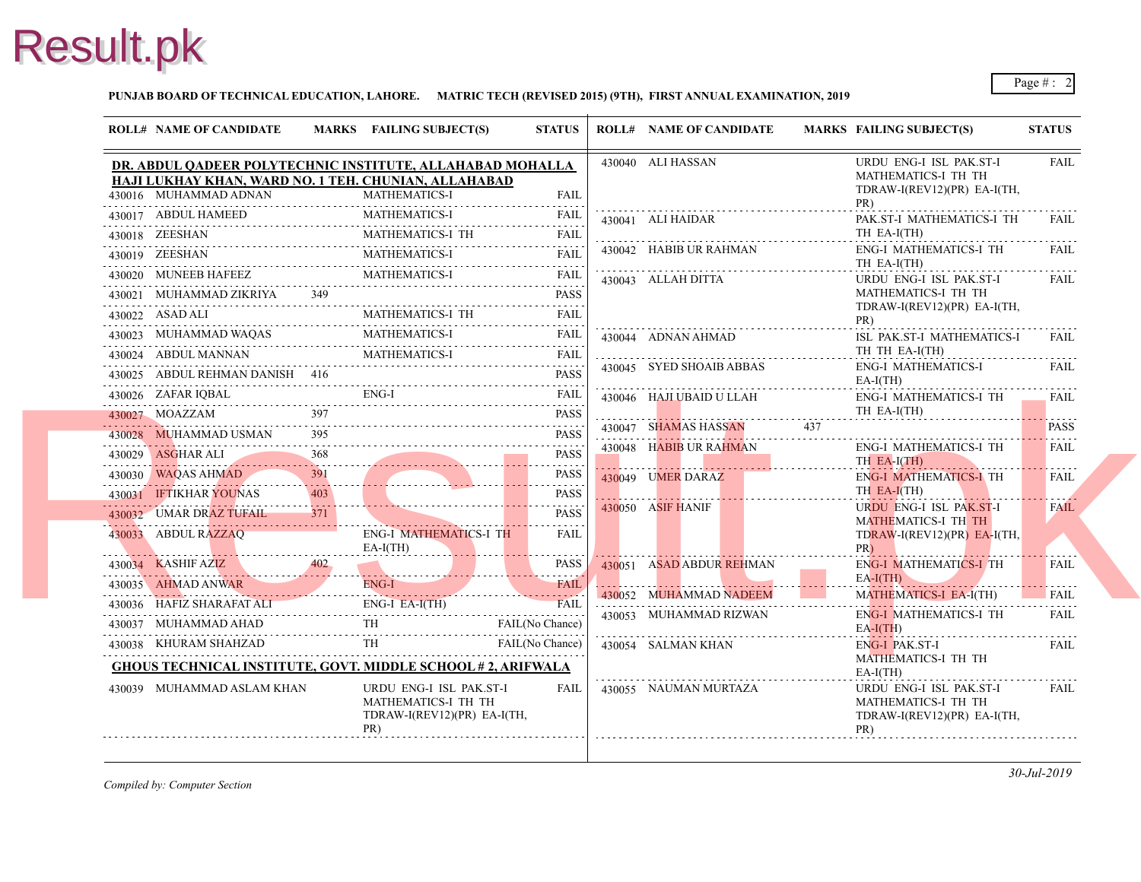

#### **PUNJAB BOARD OF TECHNICAL EDUCATION, LAHORE. MATRIC TECH (REVISED 2015) (9TH), FIRST ANNUAL EXAMINATION, 2019**

|  | <b>ROLL# NAME OF CANDIDATE</b>                                                                                                                                                                                        |     | MARKS FAILING SUBJECT(S)                       | <b>STATUS</b>               | <b>ROLL# NAME OF CANDIDATE</b> | <b>MARKS FAIL</b>        |
|--|-----------------------------------------------------------------------------------------------------------------------------------------------------------------------------------------------------------------------|-----|------------------------------------------------|-----------------------------|--------------------------------|--------------------------|
|  | DR. ABDUL QADEER POLYTECHNIC INSTITUTE, ALLAHABAD MOHALLA                                                                                                                                                             |     |                                                |                             | 430040 ALI HASSAN              | <b>URD</b>               |
|  | HAJI LUKHAY KHAN, WARD NO. 1 TEH. CHUNIAN, ALLAHABAD                                                                                                                                                                  |     |                                                |                             |                                | <b>MAT</b><br><b>TDR</b> |
|  | 430016 MUHAMMAD ADNAN<br>430016 MUHAMMAD ADNAN MATHEMATICS-I FAIL                                                                                                                                                     |     | <b>MATHEMATICS-I</b>                           | <b>FAIL</b>                 |                                | PR)                      |
|  | 430017 ABDUL HAMEED MATHEMATICS-I FAIL                                                                                                                                                                                |     |                                                |                             | 430041 ALI HAIDAR              | PAK.                     |
|  | $\begin{tabular}{ll} \bf 430018 & \tt ZEESHAN & \tt MATHEMATICS-I TH & \tt FAIL \\ \hline \end{tabular}$                                                                                                              |     |                                                |                             |                                | TH E                     |
|  | 430019 ZEESHAN MATHEMATICS-I FAIL                                                                                                                                                                                     |     |                                                |                             | 430042 HABIB UR RAHMAN         | ENG-<br>TH E             |
|  | $\begin{tabular}{cc} 430020 & MUNEEB HAFEEZ & MATHEMATICS-I & FAIL \\ \hline \end{tabular}$                                                                                                                           |     |                                                |                             | 430043 ALLAH DITTA             | <b>URD</b>               |
|  | 430021 MUHAMMAD ZIKRIYA 349                                                                                                                                                                                           |     |                                                | <b>PASS</b>                 |                                | <b>MAT</b>               |
|  | $\underbrace{430022}\quad \text{ASAD}\ \text{ALI} \qquad \qquad \text{MATHEMATICS-I}\ \text{TH} \qquad \qquad \text{FAIL}$                                                                                            |     |                                                |                             |                                | <b>TDR</b><br>PR)        |
|  | 430023 MUHAMMAD WAQAS MATHEMATICS-I FAIL                                                                                                                                                                              |     |                                                |                             | 430044 ADNAN AHMAD             | ISL :                    |
|  | $\begin{tabular}{cc} 430024 & ABDUL MANNAN & MATHEMATICS-I & FAIL \\ \hline \end{tabular} \begin{tabular}{c} \multicolumn{2}{c} \textbf{FAIL} & \multicolumn{2}{c} \textbf{FAIL} \\ \multicolumn{2}{c} \end{tabular}$ |     |                                                |                             |                                | TH <sub>1</sub>          |
|  | 430025 ABDUL REHMAN DANISH 416 PASS                                                                                                                                                                                   |     |                                                |                             | 430045 SYED SHOAIB ABBAS       | ENG-                     |
|  | 430026 ZAFAR IQBAL ENG-I FAIL FAIL                                                                                                                                                                                    |     |                                                |                             | 430046 HAJI UBAID U LLAH       | $EA-I$<br>ENG-           |
|  | 430027 MOAZZAM 397 PASS                                                                                                                                                                                               |     |                                                |                             |                                | TH E                     |
|  | 430028 MUHAMMAD USMAN                                                                                                                                                                                                 |     |                                                | <b>PASS</b>                 | 430047 SHAMAS HASSAN 437       |                          |
|  |                                                                                                                                                                                                                       |     |                                                | <b>PASS</b>                 | 430048 HABIB UR RAHMAN         | ENG-                     |
|  | 430029 ASGHAR ALI 368<br>430030 WAQAS AHMAD                                                                                                                                                                           | 391 |                                                | a dia dia dia dia 1<br>PASS | 430049 UMER DARAZ              | TH <sub>F</sub>          |
|  | 430030 WAQAS AHMAD 391<br>430031 <b>IFTIKHAR YOUNAS</b>                                                                                                                                                               | 403 |                                                | <b>PASS</b>                 |                                | ENG-<br>TH E             |
|  | 430031 IFTIKHAR YOUNAS 403<br>430032 UMAR DRAZ TUFAIL 371                                                                                                                                                             |     |                                                | <b>PASS</b>                 | 430050 ASIF HANIF              | <b>URD</b>               |
|  | 430032 UMAR DRAZ TUFAIL 371                                                                                                                                                                                           |     |                                                | FAII                        |                                | <b>MAT</b>               |
|  | 430033 ABDUL RAZZAO<br>EA-I                                                                                                                                                                                           |     | ENG-I MATHEMATICS-I TH<br>$EA-I(TH)$           |                             |                                | <b>TDR</b><br>PR)        |
|  | 430034 KASHIF AZIZ 402                                                                                                                                                                                                |     |                                                | PASS                        | 430051 ASAD ABDUR REHMAN       | ENG-                     |
|  | 430035 AHMAD ANWAR ENG-I FAIL                                                                                                                                                                                         |     |                                                |                             |                                | $EA-I($                  |
|  | 430036 HAFIZ SHARAFAT ALI ENG-I EA-I(TH) FAIL FAIL                                                                                                                                                                    |     |                                                |                             | 430052 MUHAMMAD NADEEM         | <b>MAT</b>               |
|  | 430037 MUHAMMAD AHAD TH FAIL (No Chance)                                                                                                                                                                              |     |                                                |                             | 430053 MUHAMMAD RIZWAN         | ENG-<br>$EA-I($          |
|  | 430038 KHURAM SHAHZAD TH FAIL (No Chance)                                                                                                                                                                             |     |                                                |                             | 430054 SALMAN KHAN             | ENG-                     |
|  | <b>GHOUS TECHNICAL INSTITUTE, GOVT. MIDDLE SCHOOL #2, ARIFWALA</b>                                                                                                                                                    |     |                                                |                             |                                | <b>MAT</b>               |
|  |                                                                                                                                                                                                                       |     |                                                |                             |                                | $EA-I$                   |
|  | 430039 MUHAMMAD ASLAM KHAN                                                                                                                                                                                            |     | URDU ENG-I ISL PAK.ST-I<br>MATHEMATICS-I TH TH | FAIL                        | 430055 NAUMAN MURTAZA          | <b>URD</b><br><b>MAT</b> |
|  |                                                                                                                                                                                                                       |     | TDRAW-I(REV12)(PR) EA-I(TH,                    |                             |                                | <b>TDR</b>               |
|  |                                                                                                                                                                                                                       |     | PR)                                            |                             |                                | PR)                      |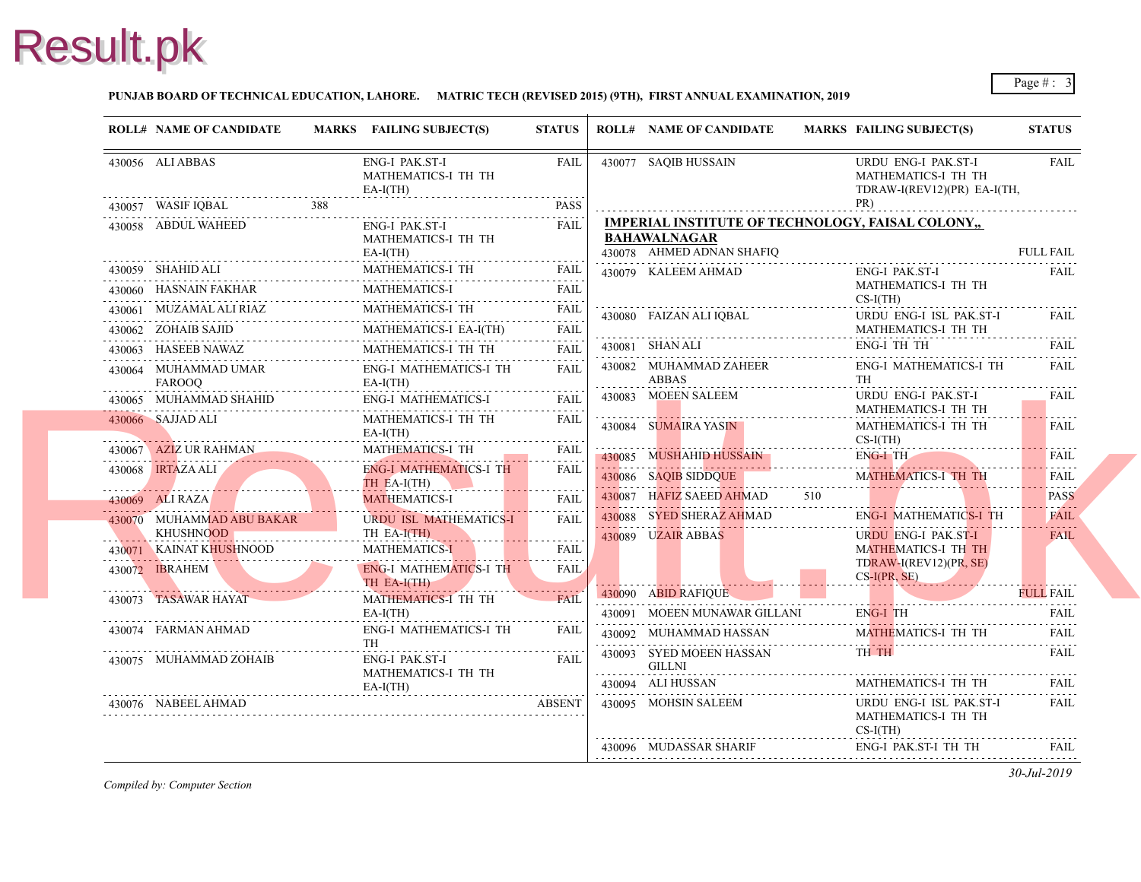#### **PUNJAB BOARD OF TECHNICAL EDUCATION, LAHORE. MATRIC TECH (REVISED 2015) (9TH), FIRST ANNUAL EXAMINATION, 2019**

|   | <b>ROLL# NAME OF CANDIDATE</b>                                                                                                                | MARKS FAILING SUBJECT(S)                                                  | <b>STATUS</b>    | <b>ROLL# NAME OF CANDIDATE</b>                                                                  | <b>MARKS FAIL</b>                      |
|---|-----------------------------------------------------------------------------------------------------------------------------------------------|---------------------------------------------------------------------------|------------------|-------------------------------------------------------------------------------------------------|----------------------------------------|
|   | 430056 ALI ABBAS                                                                                                                              | <b>ENG-I PAK.ST-I</b><br>MATHEMATICS-I TH TH<br>$EA-I(TH)$                | FAIL             | 430077 SAQIB HUSSAIN                                                                            | <b>URD</b><br><b>MAT</b><br><b>TDR</b> |
|   | 430057 WASIF IQBAL<br>388                                                                                                                     |                                                                           | PASS             |                                                                                                 | PR)                                    |
|   | 430058 ABDUL WAHEED                                                                                                                           | <b>ENG-I PAK.ST-I</b><br>MATHEMATICS-I TH TH<br>$EA-I(TH)$                | <b>FAIL</b>      | <b>IMPERIAL INSTITUTE OF TECHNOLOGY, FA</b><br><b>BAHAWALNAGAR</b><br>430078 AHMED ADNAN SHAFIQ |                                        |
|   |                                                                                                                                               | MATHEMATICS-I TH                                                          | <b>FAIL</b>      | 430079 KALEEM AHMAD                                                                             | ENG-                                   |
|   | 430060 HASNAIN FAKHAR                                                                                                                         | <b>MATHEMATICS-I</b>                                                      | <b>FAIL</b>      |                                                                                                 | <b>MAT</b><br>$CS-I($                  |
|   | 430061 MUZAMAL ALI RIAZ N                                                                                                                     | MATHEMATICS-I TH                                                          | <b>FAIL</b>      | 430080 FAIZAN ALI IOBAL                                                                         | <b>URD</b>                             |
|   | 430062 ZOHAIB SAJID                                                                                                                           | MATHEMATICS-I EA-I(TH)<br>430062 ZOHAIB SAJID MATHEMATICS-I EA-I(TH) FAIL |                  |                                                                                                 | <b>MATI</b>                            |
|   | 430063 HASEEB NAWAZ                                                                                                                           | MATHEMATICS-I TH TH                                                       | FAIL             | 430081 SHAN ALI                                                                                 | ENG-                                   |
|   | 430064 MUHAMMAD UMAR<br><b>FAROOO</b>                                                                                                         | ENG-I MATHEMATICS-I TH<br>$EA-I(TH)$                                      | FAIL             | 430082 MUHAMMAD ZAHEER<br>ABBAS                                                                 | ENG-<br>TH                             |
| . | 430065 MUHAMMAD SHAHID                                                                                                                        | ENG-I MATHEMATICS-I                                                       | <b>FAIL</b>      | 430083 MOEEN SALEEM                                                                             | <b>URD</b>                             |
|   | 430066 SAJJAD ALI                                                                                                                             | MATHEMATICS-I TH TH<br>$EA-I(TH)$                                         | <b>FAIL</b>      | 430084 SUMAIRA YASIN                                                                            | <b>MAT</b><br><b>MAT</b><br>$CS-I($    |
|   | 430067 AZIZ UR RAHMAN                                                                                                                         | <b>MATHEMATICS-I TH</b>                                                   | <b>FAIL</b>      | <u> 1111 - 1111 - 1111 - 1111 - 1111 - 1111 - 1</u>                                             | ENG-                                   |
|   | 430068 IRTAZA ALI                                                                                                                             | ENG-I MATHEMATICS-I TH<br>TH EA-I(TH)                                     | <b>FAIL</b>      | 430085 MUSHAHID HUSSAIN<br>430086 SAQIB SIDDQUE                                                 | <b>MAT</b>                             |
|   | 430069 ALI RAZA                                                                                                                               | MATHEMATICS-I                                                             | <b>FAIL</b>      | 430087 HAFIZ SAEED AHMAD                                                                        | 510                                    |
|   | 430070 MUHAMMAD ABU BAKAR<br><u>D</u><br><br>KHUSHNOOD                                                                                        | URDU ISL MATHEMATICS-I<br>TH EA-I(TH)                                     | <b>FAIL</b><br>. | 430088 SYED SHERAZ AHMAD<br>430089 UZAIR ABBAS                                                  | ENG-<br><b>URD</b>                     |
|   | 430071 KAINAT KHUSHNOOD                                                                                                                       | <b>MATHEMATICS-I</b>                                                      | <b>FAIL</b>      |                                                                                                 | <b>MAT</b>                             |
|   | 430072 <b>IBRAHEM</b><br><u> Estados de Arabica de Arabica de Arabica de Arabica de Arabica de Arabica de Arabica de Arabica de Arabica d</u> | <b>ENG-I MATHEMATICS-I TH</b><br>TH EA-I(TH)                              | FAIL.            |                                                                                                 | TDR/<br>$CS-I($                        |
|   | 430073 TASAWAR HAYAT                                                                                                                          | MATHEMATICS-I TH TH<br>$EA-I(TH)$                                         | <b>FAIL</b>      | 430090 ABID RAFIQUE<br>430091 MOEEN MUNAWAR GILLANI                                             | ENG-                                   |
|   | 430074 FARMAN AHMAD                                                                                                                           | <b>ENG-I MATHEMATICS-I TH</b><br><b>TH</b>                                | FAIL             | 430092 MUHAMMAD HASSAN                                                                          | <b>MAT</b>                             |
|   | 430075 MUHAMMAD ZOHAIB                                                                                                                        | ENG-I PAK.ST-I<br>MATHEMATICS-I TH TH<br>$EA-I(TH)$                       | <b>FAIL</b>      | 430093 SYED MOEEN HASSAN<br>GILLNI<br>430094 ALI HUSSAN                                         | TH <sub>1</sub><br>MAT.                |
|   | 430076 NABEEL AHMAD                                                                                                                           |                                                                           | <b>ABSENT</b>    | 430095 MOHSIN SALEEM                                                                            | <b>URD</b><br><b>MAT</b><br>$CS-I($    |
|   |                                                                                                                                               |                                                                           |                  | 430096 MUDASSAR SHARIF                                                                          | ENG-                                   |
|   |                                                                                                                                               |                                                                           |                  |                                                                                                 |                                        |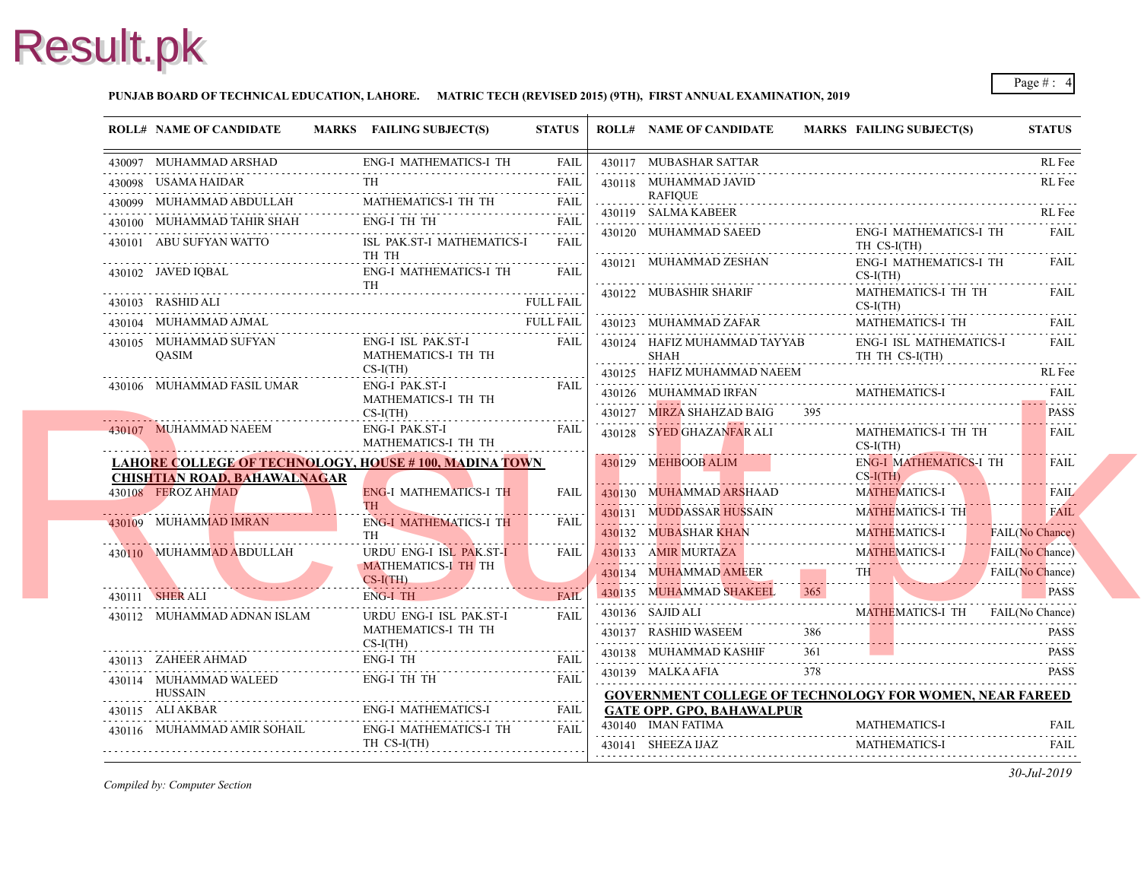#### **PUNJAB BOARD OF TECHNICAL EDUCATION, LAHORE. MATRIC TECH (REVISED 2015) (9TH), FIRST ANNUAL EXAMINATION, 2019**

|   | <b>ROLL# NAME OF CANDIDATE</b>                                                                                                                                                                                                                                                                                             | MARKS FAILING SUBJECT(S)                   | <b>STATUS</b>    |   | <b>ROLL# NAME OF CANDIDATE</b>                         | <b>MARKS FAIL</b> |                               |
|---|----------------------------------------------------------------------------------------------------------------------------------------------------------------------------------------------------------------------------------------------------------------------------------------------------------------------------|--------------------------------------------|------------------|---|--------------------------------------------------------|-------------------|-------------------------------|
|   | 430097 MUHAMMAD ARSHAD                                                                                                                                                                                                                                                                                                     | <b>ENG-I MATHEMATICS-I TH</b>              | <b>FAIL</b>      |   | 430117 MUBASHAR SATTAR                                 |                   |                               |
|   | 430098 USAMA HAIDAR                                                                                                                                                                                                                                                                                                        |                                            | <b>FAIL</b>      |   | 430118 MUHAMMAD JAVID                                  |                   |                               |
|   | $\begin{tabular}{ll} \multicolumn{2}{c}{\textbf{430099}} & \multicolumn{2}{c}{\textbf{MULTI-11.00}} & \multicolumn{2}{c}{\textbf{430099}} & \multicolumn{2}{c}{\textbf{MUHAMMAD ABDULLAH}} & \multicolumn{2}{c}{\textbf{MATHEMATICS-I TH}} & \multicolumn{2}{c}{\textbf{TH}} \\ \end{tabular}$<br>430099 MUHAMMAD ABDULLAH |                                            | FAIL             | . | RAFIOUE                                                |                   |                               |
|   | 430100 MUHAMMAD TAHIR SHAH                                                                                                                                                                                                                                                                                                 | ENG-I TH TH                                | <b>FAIL</b>      |   | 430119 SALMA KABEER                                    |                   |                               |
|   | 430101 ABU SUFYAN WATTO                                                                                                                                                                                                                                                                                                    | ISL PAK.ST-I MATHEMATICS-I<br>TH TH        | <b>FAIL</b>      |   | 430120 MUHAMMAD SAEED                                  |                   | ENG-<br>TH <sub>C</sub>       |
|   | 430102 JAVED IQBAL                                                                                                                                                                                                                                                                                                         | ENG-I MATHEMATICS-I TH<br><b>TH</b>        | <b>FAIL</b>      |   | 430121 MUHAMMAD ZESHAN<br>430122 MUBASHIR SHARIF       |                   | ENG-<br>$CS-I($<br><b>MAT</b> |
|   | 430103 RASHID ALI                                                                                                                                                                                                                                                                                                          |                                            | <b>FULL FAIL</b> |   |                                                        |                   | $CS-I($                       |
|   | 430104 MUHAMMAD AJMAL                                                                                                                                                                                                                                                                                                      |                                            | <b>FULL FAIL</b> |   | 430123 MUHAMMAD ZAFAR                                  |                   | <b>MAT</b>                    |
|   | 430105 MUHAMMAD SUFYAN<br><b>OASIM</b>                                                                                                                                                                                                                                                                                     | ENG-I ISL PAK.ST-I<br>MATHEMATICS-I TH TH  | FAIL             |   | 430124 HAFIZ MUHAMMAD TAYYAB<br>SHAH                   |                   | ENG-<br>TH <sub>1</sub>       |
|   |                                                                                                                                                                                                                                                                                                                            | $CS-I(TH)$<br>ENG-I PAK.ST-I               | <b>FAIL</b>      |   | 430125 HAFIZ MUHAMMAD NAEEM                            |                   |                               |
|   | 430106 MUHAMMAD FASIL UMAR                                                                                                                                                                                                                                                                                                 | MATHEMATICS-I TH TH<br>$CS-I(TH)$          |                  |   | 430126 MUHAMMAD IRFAN<br>430127 MIRZA SHAHZAD BAIG     | 395               | MAT.                          |
|   | 430107 MUHAMMAD NAEEM                                                                                                                                                                                                                                                                                                      | ENG-I PAK.ST-I<br>MATHEMATICS-I TH TH      | <b>FAIL</b>      |   | 430128 SYED GHAZANFAR ALI                              |                   | MATI<br>$CS-I($               |
|   | LAHORE COLLEGE OF TECHNOLOGY, HOUSE #100, MADINA TOWN                                                                                                                                                                                                                                                                      |                                            |                  |   | 430129 MEHBOOB ALIM                                    |                   | ENG-                          |
|   | <b>CHISHTIAN ROAD, BAHAWALNAGAR</b>                                                                                                                                                                                                                                                                                        |                                            |                  |   |                                                        |                   | $CS-I($                       |
|   | 430108 FEROZ AHMAD                                                                                                                                                                                                                                                                                                         | <b>ENG-I MATHEMATICS-I TH</b><br>TH .      | <b>FAIL</b>      |   | 430130 MUHAMMAD ARSHAAD                                |                   | <b>MAT</b>                    |
|   | 430109 MUHAMMAD IMRAN                                                                                                                                                                                                                                                                                                      | <b>ENG-I MATHEMATICS-I TH</b><br><b>TH</b> | FAIL             |   | 430131 MUDDASSAR HUSSAIN<br>430132 MUBASHAR KHAN       |                   | <b>MAT</b><br><b>MAT</b>      |
|   | 430110 MUHAMMAD ABDULLAH                                                                                                                                                                                                                                                                                                   | <b>URDU ENG-I ISL PAK.ST-I</b>             | <b>FAIL</b>      |   | 430133 AMIR MURTAZA                                    |                   | <b>MAT</b>                    |
|   |                                                                                                                                                                                                                                                                                                                            | MATHEMATICS-I TH TH<br>$CS-I(TH)$          |                  |   | 430134 MUHAMMAD AMEER                                  |                   | TH <sub>1</sub>               |
|   | 430111 <b>SHER ALI</b>                                                                                                                                                                                                                                                                                                     | ENG-I TH                                   | <b>FAIL</b>      |   | 430135 MUHAMMAD SHAKEEL                                |                   |                               |
|   | 430112 MUHAMMAD ADNAN ISLAM                                                                                                                                                                                                                                                                                                | URDU ENG-I ISL PAK.ST-I                    | FAIL             |   | 430136 SAJID ALI                                       |                   | <b>MAT</b>                    |
|   |                                                                                                                                                                                                                                                                                                                            | MATHEMATICS-I TH TH<br>$CS-I(TH)$          |                  |   | 430137 RASHID WASEEM                                   | 386               |                               |
|   | 430113 ZAHEER AHMAD                                                                                                                                                                                                                                                                                                        | ENG-I TH                                   | <b>FAIL</b>      |   | 430138 MUHAMMAD KASHIF                                 | 361               |                               |
|   | 430113 ZAHEER AHMAD ENG-I TH FAIL<br>430114 MUHAMMAD WALEED                                                                                                                                                                                                                                                                | <b>ENG-I TH TH</b>                         | <b>FAIL</b>      |   | 430139 MALKA AFIA                                      | 378               |                               |
| . | <b>HUSSAIN</b>                                                                                                                                                                                                                                                                                                             |                                            |                  |   | <b>GOVERNMENT COLLEGE OF TECHNOLOGY</b>                |                   |                               |
|   | 430115 ALI AKBAR                                                                                                                                                                                                                                                                                                           | ENG-I MATHEMATICS-I                        | FAIL             |   | <b>GATE OPP. GPO, BAHAWALPUR</b><br>430140 IMAN FATIMA |                   |                               |
|   | 430116 MUHAMMAD AMIR SOHAIL                                                                                                                                                                                                                                                                                                | ENG-I MATHEMATICS-I TH<br>TH CS-I(TH)      | <b>FAIL</b>      |   | 430141 SHEEZA IJAZ                                     |                   | <b>MAT</b><br>MAT.            |
|   |                                                                                                                                                                                                                                                                                                                            |                                            |                  |   |                                                        |                   |                               |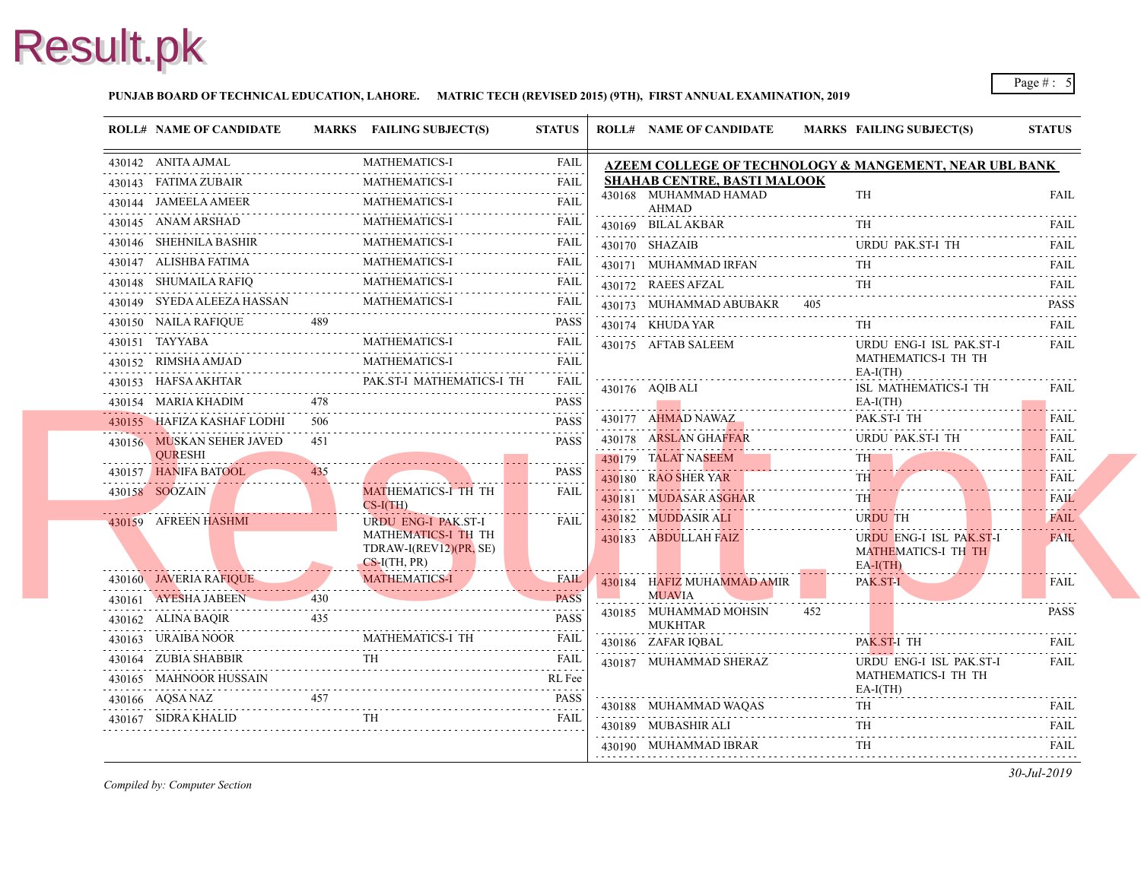#### **PUNJAB BOARD OF TECHNICAL EDUCATION, LAHORE. MATRIC TECH (REVISED 2015) (9TH), FIRST ANNUAL EXAMINATION, 2019**

| <b>ROLL# NAME OF CANDIDATE</b>         |        | MARKS FAILING SUBJECT(S)                                                        | <b>STATUS</b>                   | <b>ROLL# NAME OF CANDIDATE</b>          | <b>MARKS FAIL</b>         |
|----------------------------------------|--------|---------------------------------------------------------------------------------|---------------------------------|-----------------------------------------|---------------------------|
| 430142 ANITA AJMAL                     |        | <b>MATHEMATICS-I</b>                                                            | <b>FAIL</b>                     | AZEEM COLLEGE OF TECHNOLOGY & MAN       |                           |
| 430143 FATIMA ZUBAIR                   |        | <b>MATHEMATICS-I</b>                                                            | <b>FAIL</b>                     | <b>SHAHAB CENTRE, BASTI MALOOK</b>      |                           |
| 430144 JAMEELA AMEER                   |        | <b>MATHEMATICS-I</b>                                                            | <b>FAIL</b>                     | 430168 MUHAMMAD HAMAD<br>AHMAD          | TH                        |
| 430145 ANAM ARSHAD                     |        | <b>MATHEMATICS-I</b>                                                            | $\omega$ is a set of<br>FAIL    | 430169 BILAL AKBAR                      | TH.                       |
| 430146 SHEHNILA BASHIR                 |        | <b>MATHEMATICS-I</b><br>.                                                       | <b>FAIL</b><br>.                | 430170 SHAZAIB                          | <b>URD</b>                |
| 430147 ALISHBA FATIMA                  |        | MATHEMATICS-I                                                                   | <b>FAIL</b>                     | 430171 MUHAMMAD IRFAN                   | TH                        |
| 430148 SHUMAILA RAFIQ                  |        | <b>MATHEMATICS-I</b>                                                            | <b>FAIL</b>                     | 430172 RAEES AFZAL                      | TH                        |
| 430149 SYEDA ALEEZA HASSAN             |        | <b>MATHEMATICS-I</b>                                                            | <b>FAIL</b>                     | 430173 MUHAMMAD ABUBAKR 405             |                           |
| 430150 NAILA RAFIQUE                   | 489    | 430150 NAILA RAFIQUE 489 PASS                                                   | PASS                            | 430174 KHUDA YAR                        | TH.                       |
| 430151 TAYYABA                         |        | <b>MATHEMATICS-I</b>                                                            | <b>FAIL</b>                     | 430175 AFTAB SALEEM                     | <b>URD</b>                |
| 430152 RIMSHA AMJAD                    |        | <b>MATHEMATICS-I</b>                                                            | <b>FAIL</b>                     |                                         | <b>MAT</b><br>$EA-I$      |
| 430153 HAFSA AKHTAR                    |        | PAK.ST-I MATHEMATICS-I TH<br>430153 HAFSA AKHTAR PAK.ST-I MATHEMATICS-I TH FAIL |                                 | 430176 AQIB ALI                         | ISL :                     |
| 430154 MARIA KHADIM                    | 478    |                                                                                 | <b>PASS</b>                     |                                         | $EA-I$                    |
| 430155 HAFIZA KASHAF LODHI             | 506    |                                                                                 | <b>PASS</b>                     | 430177 AHMAD NAWAZ                      | PAK.                      |
| 430156 MUSKAN SEHER JAVED              | 451    |                                                                                 | <b>PASS</b>                     | 430178 ARSLAN GHAFFAR                   | <b>URD</b>                |
| <b>OURESHI</b><br>430157 HANIFA BATOOL | 435    |                                                                                 | <b>PASS</b>                     | 430179 TALAT NASEEM                     | <b>TH</b>                 |
| 430158 SOOZAIN                         |        | MATHEMATICS-I TH TH                                                             | <b>FAIL</b>                     | 430180 RAO SHER YAR                     | <b>TH</b><br>. <b>.</b> . |
|                                        |        | $CS-I(TH)$                                                                      |                                 | 430181 MUDASAR ASGHAR                   | TH.                       |
| 430159 AFREEN HASHMI                   |        | <b>URDU ENG-I PAK.ST-I</b>                                                      | <b>FAIL</b>                     | 430182 MUDDASIR ALI                     | <b>URD</b>                |
|                                        |        | MATHEMATICS-I TH TH<br>TDRAW-I(REV12)(PR, SE)                                   |                                 | 430183 ABDULLAH FAIZ                    | <b>URD</b><br><b>MAT</b>  |
|                                        |        | $CS-I(TH, PR)$                                                                  |                                 |                                         | $EA-I($                   |
| 430160 JAVERIA RAFIQUE                 |        | MATHEMATICS-I                                                                   | <b>FAIL</b><br><b>September</b> | 430184 HAFIZ MUHAMMAD AMIR              | PAK.                      |
| 430161 AYESHA JABEEN                   | $-430$ |                                                                                 | <b>PASS</b>                     | <b>MUAVIA</b><br>430185 MUHAMMAD MOHSIN | 452                       |
| 430162 ALINA BAQIR                     | 435    |                                                                                 | <b>PASS</b>                     | <b>MUKHTAR</b>                          |                           |
| 430163 URAIBA NOOR                     |        | <b>MATHEMATICS-I TH</b>                                                         | FAIL<br>.                       | 430186 ZAFAR IQBAL                      | PAK.                      |
|                                        |        | <b>TH</b><br>430164 ZUBIA SHABBIR TH FAIL                                       |                                 | 430187 MUHAMMAD SHERAZ                  | <b>URD</b>                |
| 430165 MAHNOOR HUSSAIN                 |        |                                                                                 | RL Fee                          |                                         | <b>MAT</b><br>$EA-I$      |
| 430166 AQSA NAZ                        |        | 430166 AQSA NAZ 457 PASS                                                        | <b>PASS</b>                     | 430188 MUHAMMAD WAQAS                   | TH                        |
| 430167 SIDRA KHALID                    |        | <b>TH</b>                                                                       | <b>FAIL</b>                     | 430189 MUBASHIR ALI                     | TH                        |
|                                        |        |                                                                                 |                                 | 430190 MUHAMMAD IBRAR                   | 1.1.1.1.1.1<br>TH         |
|                                        |        |                                                                                 |                                 |                                         |                           |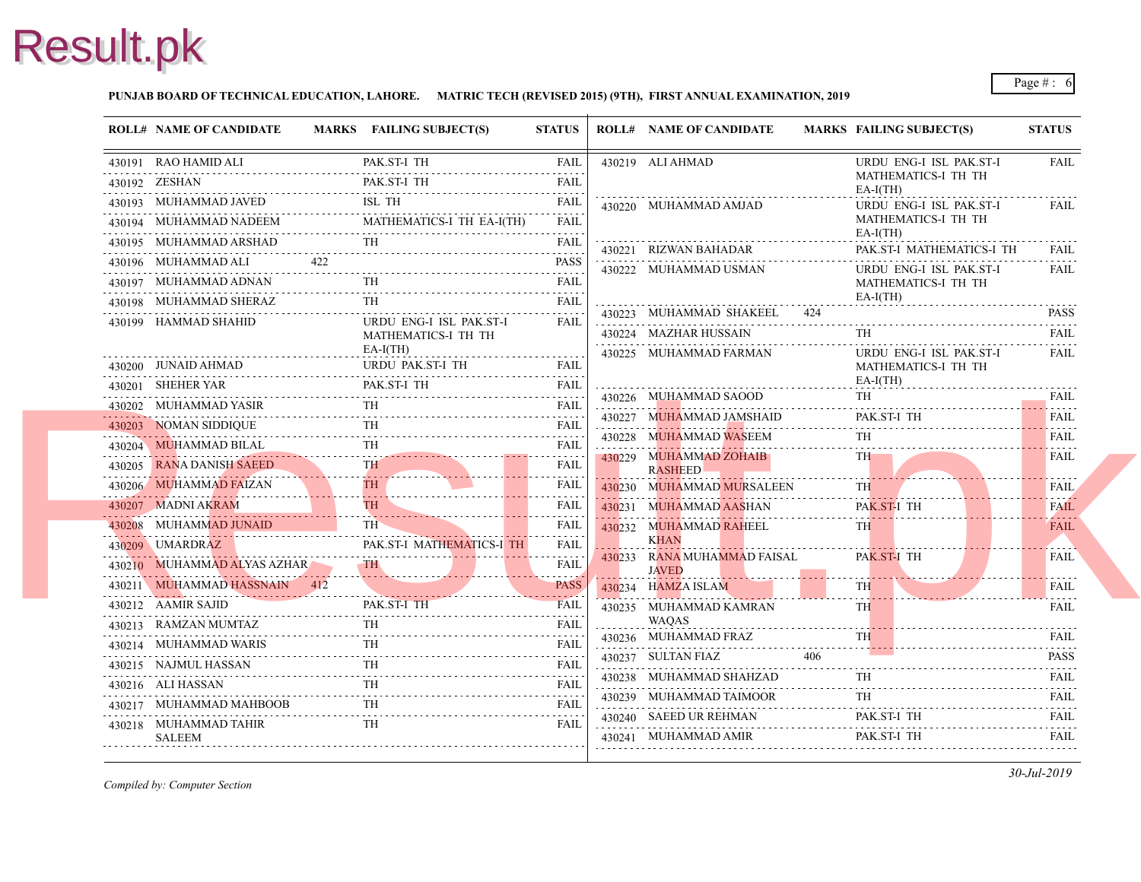#### **PUNJAB BOARD OF TECHNICAL EDUCATION, LAHORE. MATRIC TECH (REVISED 2015) (9TH), FIRST ANNUAL EXAMINATION, 2019**

| <b>ROLL# NAME OF CANDIDATE</b>                                                                                                     | MARKS FAILING SUBJECT(S)          | <b>STATUS</b>           | <b>ROLL# NAME OF CANDIDATE</b>                     | <b>MARKS FAIL</b> |                          |
|------------------------------------------------------------------------------------------------------------------------------------|-----------------------------------|-------------------------|----------------------------------------------------|-------------------|--------------------------|
| 430191 RAO HAMID ALI                                                                                                               | PAK.ST-I TH                       | <b>FAIL</b>             | 430219 ALI AHMAD                                   |                   | <b>URD</b>               |
| 430192 ZESHAN<br>430192 ZESHAN PAK.ST-I TH FAIL                                                                                    | PAK.ST-I TH                       | <b>FAIL</b>             |                                                    |                   | <b>MAT</b><br>$EA-I$     |
| 430193 MUHAMMAD JAVED ISL TH                                                                                                       |                                   | FAIL                    | 430220 MUHAMMAD AMJAD                              |                   | <b>URD</b>               |
| 430194 MUHAMMAD NADEEM MATHEMATICS-I TH EA-I(TH) FAIL                                                                              | MATHEMATICS-I TH EA-I(TH)         |                         |                                                    |                   | <b>MAT</b>               |
| 430195 MUHAMMAD ARSHAD TH FAIL                                                                                                     |                                   |                         | 430221 RIZWAN BAHADAR                              |                   | $EA-I$<br>PAK.           |
| 422<br>430196 MUHAMMAD ALI                                                                                                         |                                   | <b>PASS</b>             | 430222 MUHAMMAD USMAN                              |                   | <b>URD</b>               |
| 430197 MUHAMMAD ADNAN TH FAIL                                                                                                      |                                   |                         |                                                    |                   | <b>MAT</b>               |
| 430198 MUHAMMAD SHERAZ TH FAIL                                                                                                     |                                   |                         |                                                    |                   | $EA-I$                   |
| 430199 HAMMAD SHAHID                                                                                                               | URDU ENG-I ISL PAK.ST-I           | <b>FAIL</b>             | 430223 MUHAMMAD SHAKEEL                            | 424               |                          |
|                                                                                                                                    | MATHEMATICS-I TH TH<br>$EA-I(TH)$ |                         | 430224 MAZHAR HUSSAIN                              |                   | TH                       |
| 430200 JUNAID AHMAD URDU PAK.ST-I TH FAIL                                                                                          | URDU PAK.ST-I TH                  |                         | 430225 MUHAMMAD FARMAN                             |                   | <b>URD</b><br><b>MAT</b> |
| $\begin{tabular}{llllll} \bf 430201 & SHEHER \textbf{YAR} & \textbf{PAK}.\textbf{ST-I TH} & \textbf{FAIL} \\ \hline \end{tabular}$ |                                   |                         |                                                    |                   | $EA-I$                   |
| 430202 MUHAMMAD YASIR<br>430202 MUHAMMAD YASIR TH FAIL                                                                             |                                   | FAIL                    | 430226 MUHAMMAD SAOOD                              |                   | TH                       |
| 430203 NOMAN SIDDIQUE                                                                                                              |                                   | <b>FAIL</b>             | 430227 MUHAMMAD JAMSHAID                           |                   | PAK.                     |
| 430204 MUHAMMAD BILAL TH FAIL FAIL                                                                                                 |                                   |                         | 430228 MUHAMMAD WASEEM                             |                   | TH                       |
| 430205 RANA DANISH SAEED<br>430205 RANA DANISH SAEED TH FAIL                                                                       |                                   |                         | 430229 MUHAMMAD ZOHAIB<br><b>RASHEED</b>           |                   | TH T                     |
| 430206 MUHAMMAD FAIZAN TH                                                                                                          |                                   | FAIL                    | 430230 MUHAMMAD MURSALEEN                          |                   | TH.                      |
| 430207 MADNI AKRAM TH                                                                                                              |                                   | .<br><b>FAIL</b>        | 430231 MUHAMMAD AASHAN                             |                   | PAK.                     |
| 430208 MUHAMMAD JUNAID                                                                                                             | TH                                | dia a dia a dia<br>FAIL | 430232 MUHAMMAD RAHEEL                             |                   | TH 1                     |
| 430209 UMARDRAZ                                                                                                                    | PAK.ST-I MATHEMATICS-I TH         | <b>FAIL</b>             | <b>KHAN</b>                                        |                   |                          |
| 430210 MUHAMMAD ALYAS AZHAR TH                                                                                                     |                                   | <b>FAIL</b>             | 430233 RANA MUHAMMAD FAISAL<br><b>JAVED</b>        |                   | PAK.                     |
| 430211 MUHAMMAD HASSNAIN 412 PASS                                                                                                  |                                   |                         | 430234 HAMZA ISLAM                                 |                   | TH.                      |
| 430212 AAMIR SAJID PAK ST-1 TH FAIL                                                                                                |                                   |                         | 430235 MUHAMMAD KAMRAN                             |                   | <b>TH</b>                |
| 430213 RAMZAN MUMTAZ TH FAIL                                                                                                       |                                   |                         | <b>WAQAS</b>                                       |                   |                          |
| 430214 MUHAMMAD WARIS THE FAIL                                                                                                     | <b>TH</b>                         |                         | 430236 MUHAMMAD FRAZ                               |                   | TH.                      |
| 430215 NAJMUL HASSAN TH FAIL                                                                                                       |                                   |                         | 430237 SULTAN FIAZ                                 | 406               |                          |
| 430216 ALI HASSAN                                                                                                                  | <b>TH</b><br>N FAIL FAIL          |                         | 430238 MUHAMMAD SHAHZAD                            |                   | TH.                      |
| $\begin{tabular}{cc} 430217 & {\small \textbf{MUHAMMAD MAHBOOB}} & \textbf{TH} & \textbf{FAIL} \\ \hline \end{tabular}$            |                                   |                         | 430239 MUHAMMAD TAIMOOR                            |                   | TH.                      |
| 430218 MUHAMMAD TAHIR                                                                                                              | TH.                               | <b>FAIL</b>             | 430240 SAEED UR REHMAN<br>430241 MUHAMMAD AMIR PAK |                   | PAK.                     |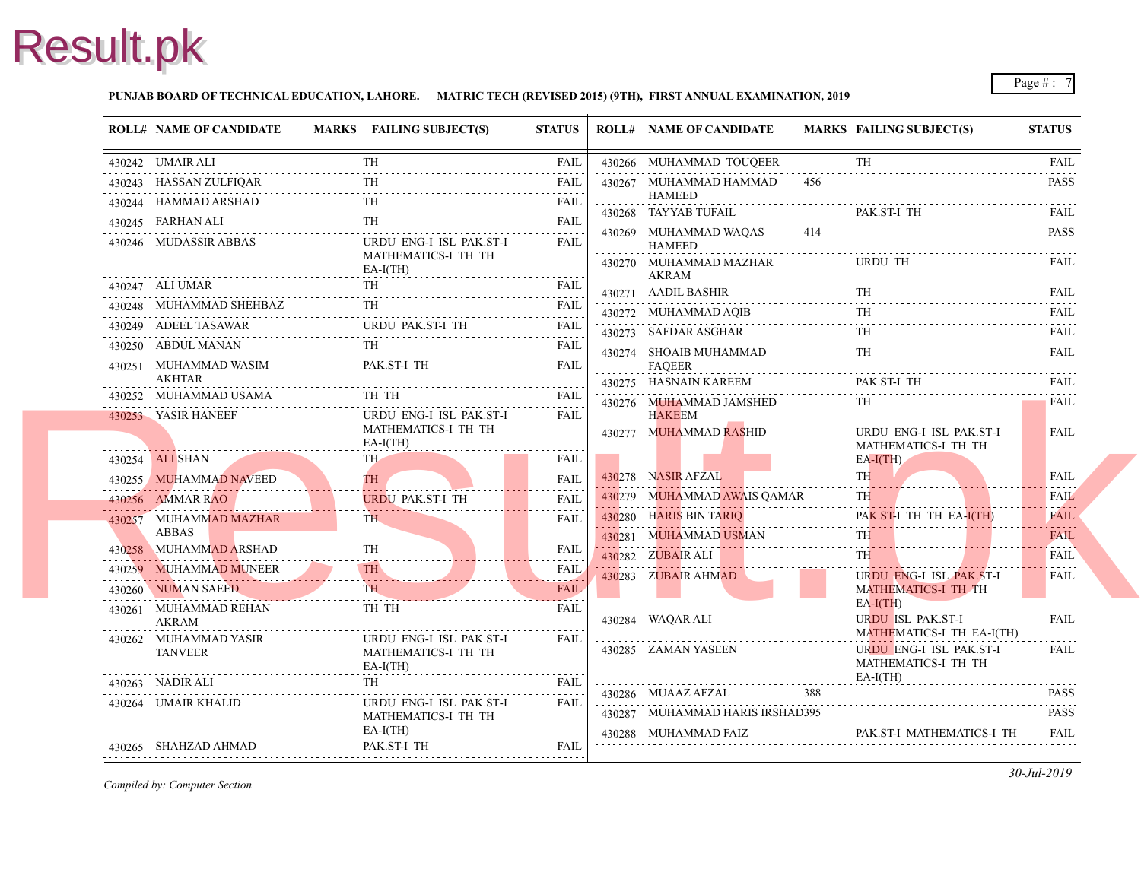#### **PUNJAB BOARD OF TECHNICAL EDUCATION, LAHORE. MATRIC TECH (REVISED 2015) (9TH), FIRST ANNUAL EXAMINATION, 2019**

|   | <b>ROLL# NAME OF CANDIDATE</b>                                     | MARKS FAILING SUBJECT(S)                                                                                                                                                                                                             | <b>STATUS</b>    |   | <b>ROLL# NAME OF CANDIDATE</b>         | <b>MARKS FAIL</b> |                          |
|---|--------------------------------------------------------------------|--------------------------------------------------------------------------------------------------------------------------------------------------------------------------------------------------------------------------------------|------------------|---|----------------------------------------|-------------------|--------------------------|
|   | 430242 UMAIR ALI<br>430242 UMAIR ALI TH FAIL                       | <b>TH</b>                                                                                                                                                                                                                            | <b>FAIL</b>      |   | 430266 MUHAMMAD TOUQEER                |                   | TH                       |
|   | 430243 HASSAN ZULFIOAR                                             | TH.                                                                                                                                                                                                                                  | FAIL             |   | 430267 MUHAMMAD HAMMAD                 | 456               |                          |
|   |                                                                    |                                                                                                                                                                                                                                      |                  |   | <b>HAMEED</b>                          |                   |                          |
|   | 430245 FARHAN ALI                                                  |                                                                                                                                                                                                                                      | <b>FAIL</b>      |   | 430268 TAYYAB TUFAIL                   |                   | PAK.                     |
|   | 430246 MUDASSIR ABBAS                                              | URDU ENG-I ISL PAK.ST-I                                                                                                                                                                                                              | .<br><b>FAIL</b> |   | 430269 MUHAMMAD WAQAS<br><b>HAMEED</b> | 414               |                          |
|   |                                                                    | MATHEMATICS-I TH TH<br>$EA-I(TH)$                                                                                                                                                                                                    |                  |   | 430270 MUHAMMAD MAZHAR<br>AKRAM        |                   | <b>URD</b>               |
|   | 430247 ALI UMAR<br>.                                               | R FAIL FAIL                                                                                                                                                                                                                          |                  |   | 430271 AADIL BASHIR                    |                   | TH                       |
|   | 430248 MUHAMMAD SHEHBAZ TH FAIL                                    |                                                                                                                                                                                                                                      |                  |   | 430272 MUHAMMAD AOIB                   |                   | TH                       |
|   | 430249 ADEEL TASAWAR URDU PAK.ST-I TH FAIL<br>430249 ADEEL TASAWAR |                                                                                                                                                                                                                                      |                  |   | 430273 SAFDAR ASGHAR                   |                   | TH                       |
|   | 430250 ABDUL MANAN TH FAIL                                         |                                                                                                                                                                                                                                      |                  |   | 430274 SHOAIB MUHAMMAD                 |                   | TH                       |
|   | 430251 MUHAMMAD WASIM                                              | PAK.ST-I TH                                                                                                                                                                                                                          | <b>FAIL</b>      | . | <b>FAQEER</b>                          |                   |                          |
| . | AKHTAR<br>430252 MUHAMMAD USAMA                                    | TH TH                                                                                                                                                                                                                                | FAII.            |   | 430275 HASNAIN KAREEM                  |                   | PAK.                     |
|   | 430253 YASIR HANEEF                                                | URDU ENG-I ISL PAK.ST-I                                                                                                                                                                                                              | .<br>FAIL        |   | 430276 MUHAMMAD JAMSHED<br>HAKEEM      |                   | TH                       |
|   |                                                                    | MATHEMATICS-I TH TH                                                                                                                                                                                                                  |                  |   | .<br>430277 MUHAMMAD RASHID            |                   | <b>URD</b>               |
|   |                                                                    | $EA-I(TH)$                                                                                                                                                                                                                           |                  |   |                                        |                   | <b>MAT</b>               |
|   | 430254 ALI SHAN<br>430254 ALI SHAN TH                              | TH <sub>-</sub>                                                                                                                                                                                                                      | FAIL             |   |                                        |                   | $EA-I$                   |
|   | 430255 MUHAMMAD NAVEED<br>430255 MUHAMMAD NAVEED TH                | <b>The Contract of the Contract of the Contract of the Contract of the Contract of the Contract of the Contract of the Contract of the Contract of the Contract of the Contract of the Contract of the Contract of the Contract </b> | <b>FAIL</b>      |   | 430278 NASIR AFZAL                     |                   | <b>TH</b>                |
|   | 430256 AMMAR RAO<br><u>.</u>                                       | <b>URDU PAK.ST-I TH</b><br><b>UKDU PAK.SI-1 TH</b>                                                                                                                                                                                   | FAIL             |   | 430279 MUHAMMAD AWAIS QAMAR            |                   | TH.                      |
|   | 430257 MUHAMMAD MAZHAR<br>ABBAS                                    | TH -                                                                                                                                                                                                                                 | <b>FAIL</b>      |   | 430280 HARIS BIN TARIQ                 |                   | PAK.                     |
|   | 430258 MUHAMMAD ARSHAD                                             | <b>TH</b>                                                                                                                                                                                                                            | <b>FAIL</b>      |   | 430281 MUHAMMAD USMAN                  |                   | TH.                      |
|   | 430259 MUHAMMAD MUNEER                                             | TH \                                                                                                                                                                                                                                 | .<br>FAIL        |   | 430282 ZUBAIR ALI                      |                   | TH 1                     |
|   | 430259 MUHAMMAD MUNEER TH<br>430260 NUMAN SAEED                    |                                                                                                                                                                                                                                      | <b>FAIL</b>      |   | 430283 ZUBAIR AHMAD                    |                   | <b>URD</b><br><b>MAT</b> |
|   | 430261 MUHAMMAD REHAN                                              | MAN SAEED TH<br>TH TH                                                                                                                                                                                                                | .<br><b>FAIL</b> |   |                                        |                   | $EA-I($                  |
|   | AKRAM<br>.                                                         |                                                                                                                                                                                                                                      |                  |   | 430284 WAQAR ALI                       |                   | <b>URD</b>               |
|   | 430262 MUHAMMAD YASIR                                              | URDU ENG-I ISL PAK.ST-I                                                                                                                                                                                                              | FAIL             |   |                                        |                   | <b>MAT</b><br><b>URD</b> |
|   | <b>TANVEER</b>                                                     | MATHEMATICS-I TH TH<br>$EA-I(TH)$                                                                                                                                                                                                    |                  |   | 430285 ZAMAN YASEEN                    |                   | <b>MAT</b>               |
|   | 430263 NADIR ALI                                                   | TH -                                                                                                                                                                                                                                 | <b>FAIL</b>      |   |                                        |                   | $EA-I($                  |
|   | 430264 UMAIR KHALID                                                | URDU ENG-I ISL PAK.ST-I                                                                                                                                                                                                              | FAIL             |   | 430286 MUAAZ AFZAL                     | 388               |                          |
|   |                                                                    | MATHEMATICS-I TH TH                                                                                                                                                                                                                  |                  |   | 430287 MUHAMMAD HARIS IRSHAD395        |                   |                          |
|   | 430265 SHAHZAD AHMAD                                               | $EA-I(TH)$<br>PAK.ST-I TH                                                                                                                                                                                                            | <b>FAIL</b>      |   | 430288 MUHAMMAD FAIZ                   |                   | PAK.                     |
|   |                                                                    |                                                                                                                                                                                                                                      |                  |   |                                        |                   |                          |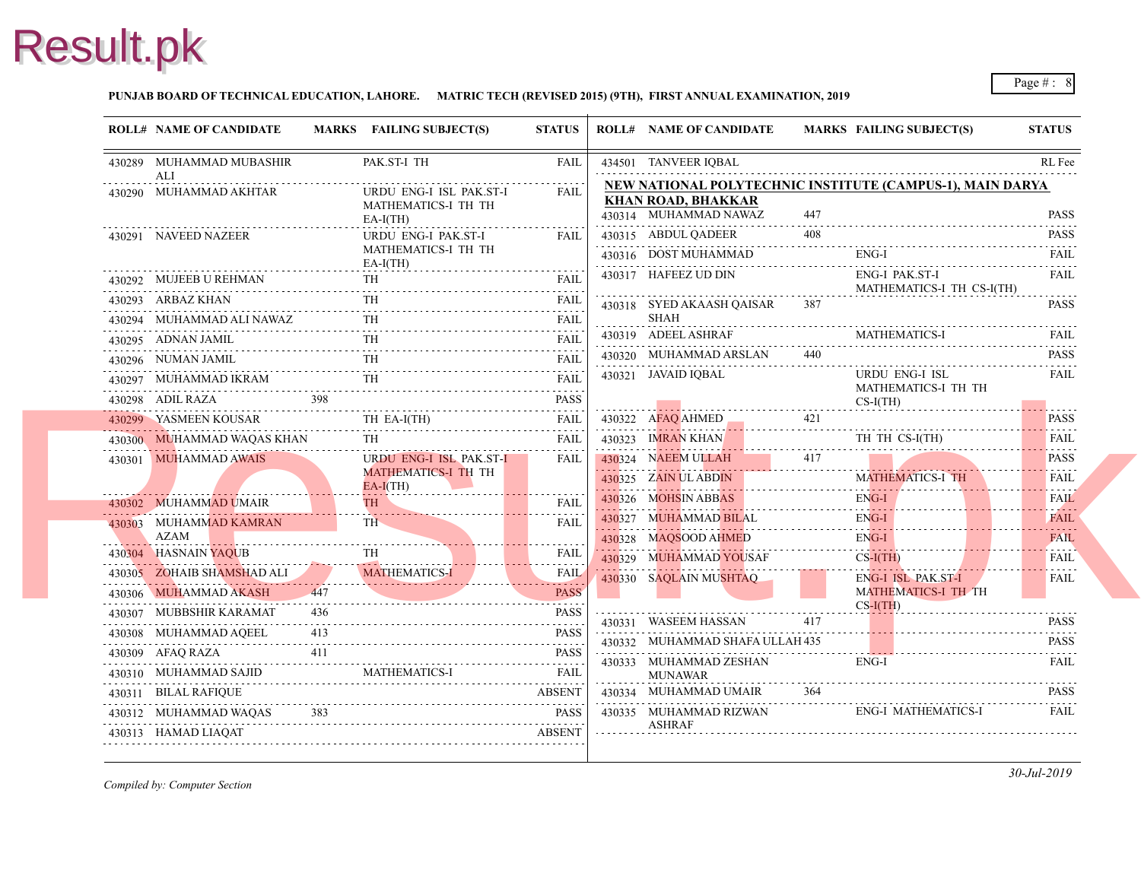#### **PUNJAB BOARD OF TECHNICAL EDUCATION, LAHORE. MATRIC TECH (REVISED 2015) (9TH), FIRST ANNUAL EXAMINATION, 2019**

| <b>ROLL# NAME OF CANDIDATE</b>                                              |     | MARKS FAILING SUBJECT(S)                                              | <b>STATUS</b>                 | <b>ROLL# NAME OF CANDIDATE</b>                                                           | <b>MARKS FAIL</b> |                          |
|-----------------------------------------------------------------------------|-----|-----------------------------------------------------------------------|-------------------------------|------------------------------------------------------------------------------------------|-------------------|--------------------------|
| 430289 MUHAMMAD MUBASHIR<br>ALI                                             |     | PAK.ST-I TH                                                           | FAIL                          | 434501 TANVEER IQBAL                                                                     |                   |                          |
| 430290 MUHAMMAD AKHTAR                                                      |     | URDU ENG-I ISL PAK.ST-I<br>MATHEMATICS-I TH TH<br>$EA-I(TH)$          | <b>FAIL</b>                   | NEW NATIONAL POLYTECHNIC INSTITUTE<br><b>KHAN ROAD, BHAKKAR</b><br>430314 MUHAMMAD NAWAZ | 447               |                          |
| 430291 NAVEED NAZEER                                                        |     | URDU ENG-I PAK.ST-I<br>MATHEMATICS-I TH TH<br>$EA-I(TH)$              | <b>FAIL</b>                   | 430315 ABDUL QADEER<br>430316 DOST MUHAMMAD                                              | 408               | ENG-                     |
| 430292 MUJEEB U REHMAN                                                      |     | TH.                                                                   | <b>FAIL</b>                   | 430317 HAFEEZ UD DIN                                                                     |                   | ENG-<br><b>MAT</b>       |
| 430293 ARBAZ KHAN                                                           |     | TH                                                                    | <b>FAIL</b>                   | 430318 SYED AKAASH QAISAR                                                                | 387               |                          |
| 430294 MUHAMMAD ALI NAWAZ TH FAIL                                           |     |                                                                       |                               | SHAH                                                                                     |                   |                          |
| 430295 ADNAN JAMIL                                                          |     |                                                                       | <b>FAIL</b>                   | 430319 ADEEL ASHRAF                                                                      |                   | <b>MAT</b>               |
| 430296 NUMAN JAMIL                                                          |     |                                                                       | <b>FAIL</b>                   | 430320 MUHAMMAD ARSLAN                                                                   | 440               |                          |
| 430297 MUHAMMAD IKRAM                                                       |     | <b>TH</b>                                                             | <b>FAIL</b>                   | 430321 JAVAID IQBAL                                                                      |                   | <b>URD</b><br><b>MAT</b> |
|                                                                             | 398 |                                                                       | <b>PASS</b>                   |                                                                                          |                   | $CS-I($                  |
| 430299 YASMEEN KOUSAR<br>430299 YASMEEN KOUSAR THEA-I(TH) FAIL              |     |                                                                       |                               | 430322 AFAQ AHMED 421                                                                    |                   |                          |
| 430300 MUHAMMAD WAQAS KHAN                                                  |     |                                                                       | FAIL                          | 430323 IMRAN KHAN                                                                        |                   | TH 7                     |
| 430301 MUHAMMAD AWAIS                                                       |     | URDU ENG-I ISL PAK.ST-I                                               | FAIL                          | 430324 NAEEM ULLAH                                                                       | 417               |                          |
|                                                                             |     | <b>MATHEMATICS-I TH TH</b><br>$EA-I(TH)$                              |                               | 430325 ZAIN UL ABDIN                                                                     |                   | <b>MAT</b>               |
| 430302 MUHAMMAD UMAIR                                                       |     | TH I                                                                  | <b>FAIL</b>                   | 430326 MOHSIN ABBAS                                                                      |                   | ENG-                     |
| 430303 MUHAMMAD KAMRAN                                                      |     | TH.                                                                   | <b>FAIL</b>                   | 430327 MUHAMMAD BILAL                                                                    |                   | ENG-                     |
| AZAM                                                                        |     |                                                                       |                               | 430328 MAQSOOD AHMED                                                                     |                   | ENG-                     |
| 430304 HASNAIN YAQUB<br>30305 ZOHAID CHAMOTARY COMPANY                      |     |                                                                       | <b>FAIL</b><br>a a a a a a al | 430329 MUHAMMAD YOUSAF                                                                   |                   | $CS-I($                  |
| 430305 ZOHAIB SHAMSHAD ALI<br>430305 ZOHAIB SHAMSHAD ALI MATHEMATICS-I FAIL |     | MATHEMATICS-1                                                         | <b>FAIL</b>                   | 430330 SAQLAIN MUSHTAQ                                                                   |                   | ENG-                     |
| 430306 MUHAMMAD AKASH                                                       |     | <u> 1980 - Januar Alemania, matematika eta politikaria (h. 1980).</u> | <b>PASS</b>                   |                                                                                          |                   | <b>MAT</b><br>$CS-I($    |
| 430307 MUBBSHIR KARAMAT                                                     | 436 |                                                                       | <b>PASS</b>                   | 430331 WASEEM HASSAN                                                                     | 417               |                          |
| 430308 MUHAMMAD AQEEL                                                       | 413 |                                                                       | <b>PASS</b>                   | 430332 MUHAMMAD SHAFA ULLAH 435                                                          |                   |                          |
| 430309 AFAQ RAZA                                                            | 411 |                                                                       | <b>PASS</b>                   | 430333 MUHAMMAD ZESHAN                                                                   |                   | ENG-                     |
| 430310 MUHAMMAD SAJID                                                       |     | <b>MATHEMATICS-I</b>                                                  | <b>FAIL</b>                   | <b>MUNAWAR</b>                                                                           |                   |                          |
| 430311 BILAL RAFIQUE<br>ABSENT<br>430312 MUHAMMAD WAQAS 383                 |     |                                                                       | <b>ABSENT</b>                 | 430334 MUHAMMAD UMAIR                                                                    | 364               |                          |
|                                                                             |     |                                                                       | PASS                          | 430335 MUHAMMAD RIZWAN<br>ASHRAF                                                         |                   | ENG-                     |
| 430313 HAMAD LIAQAT                                                         |     |                                                                       | <b>ABSENT</b>                 |                                                                                          |                   |                          |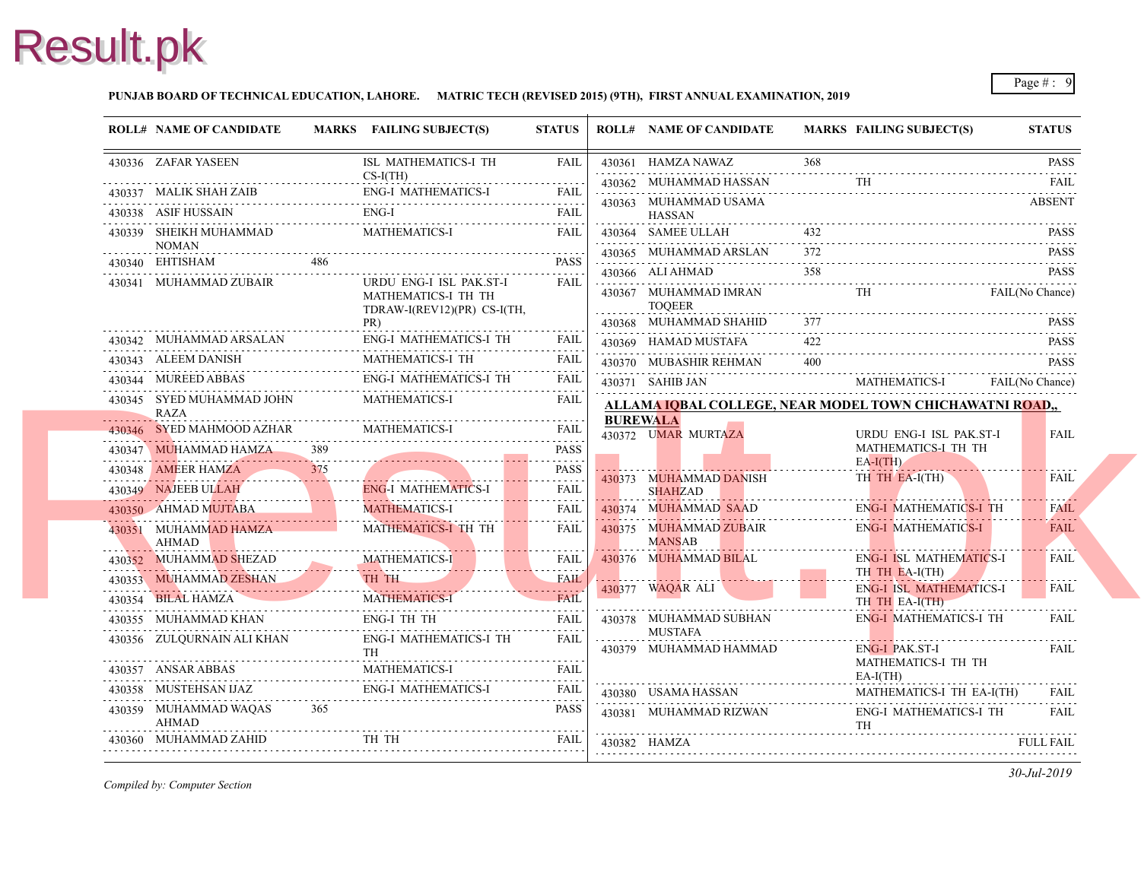#### **PUNJAB BOARD OF TECHNICAL EDUCATION, LAHORE. MATRIC TECH (REVISED 2015) (9TH), FIRST ANNUAL EXAMINATION, 2019**

|   | <b>ROLL# NAME OF CANDIDATE</b>           |     | MARKS FAILING SUBJECT(S)                                                      | <b>STATUS</b>    | <b>ROLL# NAME OF CANDIDATE</b>                         | <b>MARKS FAIL</b> |                            |
|---|------------------------------------------|-----|-------------------------------------------------------------------------------|------------------|--------------------------------------------------------|-------------------|----------------------------|
|   | 430336 ZAFAR YASEEN                      |     | ISL MATHEMATICS-I TH                                                          | <b>FAIL</b>      | 430361 HAMZA NAWAZ                                     | 368               |                            |
|   | 430337 MALIK SHAH ZAIB                   |     | $CS-I(TH)$<br><b>ENG-I MATHEMATICS-I</b>                                      | FAIL             | 430362 MUHAMMAD HASSAN                                 |                   |                            |
|   | 430338 ASIF HUSSAIN                      |     | ENG-I                                                                         | FAIL             | 430363 MUHAMMAD USAMA                                  |                   |                            |
|   | 430339 SHEIKH MUHAMMAD                   |     | MATHEMATICS-I                                                                 | <b>FAIL</b>      | HASSAN<br>430364 SAMEE ULLAH                           |                   |                            |
|   | <b>NOMAN</b>                             |     |                                                                               |                  | 430365 MUHAMMAD ARSLAN                                 | 372               |                            |
|   | 430340 EHTISHAM                          | 486 |                                                                               | <b>PASS</b>      | 430366 ALI AHMAD                                       | 358               |                            |
|   | 430341 MUHAMMAD ZUBAIR                   |     | URDU ENG-I ISL PAK.ST-I<br>MATHEMATICS-I TH TH<br>TDRAW-I(REV12)(PR) CS-I(TH, | <b>FAIL</b>      | 430367 MUHAMMAD IMRAN<br><b>TOOEER</b>                 |                   | TH                         |
|   |                                          |     | PR)                                                                           |                  | 430368 MUHAMMAD SHAHID                                 |                   |                            |
|   | 430342 MUHAMMAD ARSALAN<br>ALAN<br>.     |     | <b>ENG-I MATHEMATICS-I TH</b>                                                 | <b>FAIL</b>      | 430369 HAMAD MUSTAFA                                   | 422               |                            |
|   | 430343 ALEEM DANISH                      |     | MATHEMATICS-I TH                                                              | <b>FAIL</b><br>. | 430370 MUBASHIR REHMAN                                 | 400               |                            |
|   | 430344 MUREED ABBAS                      |     | ENG-I MATHEMATICS-I TH                                                        | <b>FAIL</b>      | 430371 SAHIB JAN                                       |                   | MAT.                       |
|   | 430345 SYED MUHAMMAD JOHN<br><b>RAZA</b> |     | <b>MATHEMATICS-I</b>                                                          | FAIL             | ALLAMA IOBAL COLLEGE, NEAR MODEL TO<br><b>BUREWALA</b> |                   |                            |
|   | 430346 SYED MAHMOOD AZHAR                |     | <b>MATHEMATICS-I</b>                                                          | FAIL             | 430372 UMAR MURTAZA                                    |                   | <b>URD</b>                 |
|   | 430347 MUHAMMAD HAMZA                    | 389 |                                                                               | <b>PASS</b>      |                                                        |                   | <b>MAT</b>                 |
|   | 430348 AMEER HAMZA                       | 375 |                                                                               | <b>PASS</b>      | 430373 MUHAMMAD DANISH                                 |                   | $EA-I($<br>TH <sub>1</sub> |
|   | 430349 NAJEEB ULLAH                      |     | <b>ENG-I MATHEMATICS-I</b>                                                    | <b>FAIL</b>      | <b>SHAHZAD</b>                                         |                   |                            |
|   | 430350 AHMAD MUJTABA                     |     | <b>MATHEMATICS-I</b>                                                          | .<br><b>FAIL</b> | 430374 MUHAMMAD SAAD                                   |                   | ENG-                       |
|   | 430351 MUHAMMAD HAMZA<br>AHMAD           |     | MATHEMATICS-I TH TH                                                           | FAIL             | 430375 MUHAMMAD ZUBAIR<br><b>MANSAB</b>                |                   | ENG-                       |
|   | 430352 MUHAMMAD SHEZAD                   |     | <b>MATHEMATICS-I</b><br>. <b>.</b> <i>.</i> .                                 | <b>FAIL</b>      | 430376 MUHAMMAD BILAL                                  |                   | ENG-                       |
|   | 430353 MUHAMMAD ZESHAN TH TH             |     |                                                                               | <b>FAIL</b>      | 430377 WAQAR ALI                                       |                   | TH <sub>1</sub><br>ENG-    |
|   | 430354 BILAL HAMZA                       |     | <b>MATHEMATICS-I</b>                                                          | <b>FAIL</b>      |                                                        |                   | TH <sub>1</sub>            |
|   | 430355 MUHAMMAD KHAN                     |     | <b>ENG-I TH TH</b>                                                            | <b>FAIL</b>      | 430378 MUHAMMAD SUBHAN                                 |                   | ENG-                       |
|   | 430356 ZULQURNAIN ALI KHAN               |     | <b>ENG-I MATHEMATICS-I TH</b><br><b>TH</b>                                    | <b>FAIL</b>      | <b>MUSTAFA</b><br>430379 MUHAMMAD HAMMAD               |                   | ENG-                       |
|   |                                          |     | <b>MATHEMATICS-I</b><br>430357 ANSAR ABBAS MATHEMATICS-I FAIL                 | <b>FAIL</b>      |                                                        |                   | <b>MATI</b><br>$EA-I($     |
|   | 430358 MUSTEHSAN IJAZ                    |     | ENG-I MATHEMATICS-I                                                           | FAIL             | 430380 USAMA HASSAN                                    |                   | <b>MAT</b>                 |
| . | 430359 MUHAMMAD WAQAS<br>AHMAD           | 365 |                                                                               | .<br><b>PASS</b> | 430381 MUHAMMAD RIZWAN                                 |                   | ENG-<br>TH                 |
|   | 430360 MUHAMMAD ZAHID                    |     | 430360 MUHAMMAD ZAHID TH TH TH FAIL                                           | FAIL             | 430382 HAMZA                                           |                   |                            |
|   |                                          |     |                                                                               |                  |                                                        |                   |                            |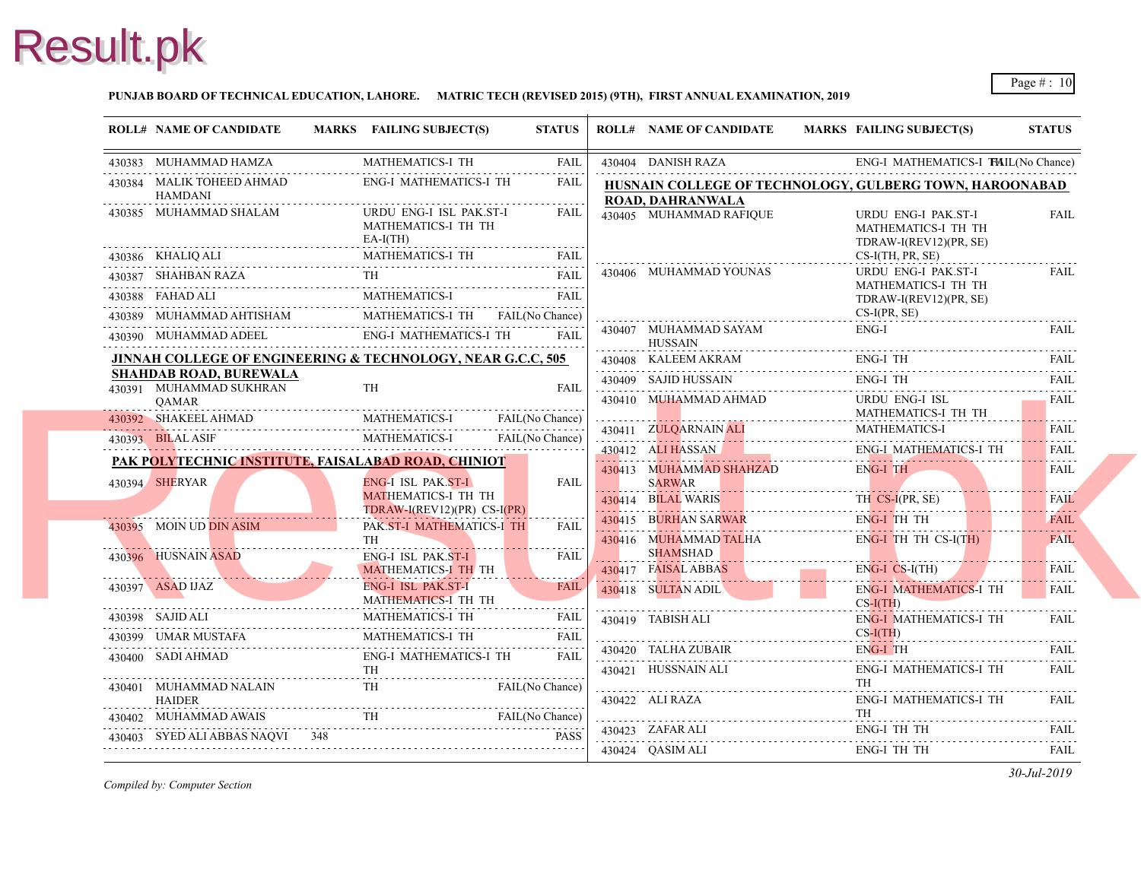

#### **PUNJAB BOARD OF TECHNICAL EDUCATION, LAHORE. MATRIC TECH (REVISED 2015) (9TH), FIRST ANNUAL EXAMINATION, 2019**

|            | <b>ROLL# NAME OF CANDIDATE</b>                           | MARKS FAILING SUBJECT(S)                                                                                                                                                                                                                                                                                                                                      | <b>STATUS</b> | <b>ROLL# NAME OF CANDIDATE</b>                                | <b>MARKS FAIL</b>                      |
|------------|----------------------------------------------------------|---------------------------------------------------------------------------------------------------------------------------------------------------------------------------------------------------------------------------------------------------------------------------------------------------------------------------------------------------------------|---------------|---------------------------------------------------------------|----------------------------------------|
|            | 430383 MUHAMMAD HAMZA                                    | <b>MATHEMATICS-I TH</b>                                                                                                                                                                                                                                                                                                                                       | FAIL          | 430404 DANISH RAZA                                            | ENG-                                   |
|            | 430384 MALIK TOHEED AHMAD<br><b>HAMDANI</b>              | <b>ENG-I MATHEMATICS-I TH</b>                                                                                                                                                                                                                                                                                                                                 | <b>FAIL</b>   | HUSNAIN COLLEGE OF TECHNOLOGY, GUI<br><b>ROAD, DAHRANWALA</b> |                                        |
|            | 430385 MUHAMMAD SHALAM                                   | URDU ENG-I ISL PAK.ST-I<br>MATHEMATICS-I TH TH<br>$EA-I(TH)$                                                                                                                                                                                                                                                                                                  | <b>FAIL</b>   | 430405 MUHAMMAD RAFIQUE                                       | <b>URD</b><br><b>MAT</b><br><b>TDR</b> |
|            | 430386 KHALIQ ALI                                        | LI MATHEMATICS-I TH FAIL                                                                                                                                                                                                                                                                                                                                      |               |                                                               | $CS-I($                                |
|            |                                                          | 430387 SHAHBAN RAZA TH<br>1933 - TH FAIL PAIL PRIME PRIME PRIME PRIME PRIME PRIME PRIME PRIME PRIME PRIME PRIME PRIME PRIME PRIME PRIME PRIME PRIME PRIME PRIME PRIME PRIME PRIME PRIME PRIME PRIME PRIME PRIME PRIME PRIME PRIME                                                                                                                             | <b>FAIL</b>   | 430406 MUHAMMAD YOUNAS                                        | <b>URD</b>                             |
|            |                                                          | <b>MATHEMATICS-I</b>                                                                                                                                                                                                                                                                                                                                          | FAIL          |                                                               | <b>MAT</b><br><b>TDR</b>               |
|            |                                                          |                                                                                                                                                                                                                                                                                                                                                               |               |                                                               | $CS-I($                                |
|            |                                                          | $\begin{tabular}{llllll} \bf 430389 & \textbf{MUHAMMAD AHTISHAM} & \textbf{MATHEMATICS-I TH} & \textbf{FAIL} \rm (No Chance) \\ \bf 430390 & \textbf{MUHAMMAD ADEEL} & \textbf{ENG-I MATHEMATICS-I TH} & \textbf{FAIL} \\ \bf \end{tabular}$                                                                                                                  |               | 430407 MUHAMMAD SAYAM<br>HUSSAIN                              | ENG-                                   |
|            |                                                          | JINNAH COLLEGE OF ENGINEERING & TECHNOLOGY, NEAR G.C.C, 505                                                                                                                                                                                                                                                                                                   |               | 430408 KALEEM AKRAM                                           | ENG-                                   |
|            | <b>SHAHDAB ROAD, BUREWALA</b><br>430391 MUHAMMAD SUKHRAN | TH                                                                                                                                                                                                                                                                                                                                                            | <b>FAIL</b>   | 430409 SAJID HUSSAIN                                          | ENG-                                   |
|            | OAMAR                                                    |                                                                                                                                                                                                                                                                                                                                                               |               | 430410 MUHAMMAD AHMAD                                         | <b>URD</b>                             |
| . <b>.</b> |                                                          | 430392 SHAKEEL AHMAD MATHEMATICS-I FAIL (No Chance)                                                                                                                                                                                                                                                                                                           |               |                                                               | <b>MAT</b>                             |
|            |                                                          | 430393 BILAL ASIF MATHEMATICS-I FAIL(No Chance)                                                                                                                                                                                                                                                                                                               |               | 430411 ZULQARNAIN ALI                                         | <b>MAT</b>                             |
|            | PAK POLYTECHNIC INSTITUTE, FAISALABAD ROAD, CHINIOT      |                                                                                                                                                                                                                                                                                                                                                               |               | 430412 ALIHASSAN                                              | ENG-                                   |
|            | 430394 SHERYAR                                           | ENG-I ISL PAK.ST-I                                                                                                                                                                                                                                                                                                                                            | <b>FAIL</b>   | 430413 MUHAMMAD SHAHZAD<br><b>SARWAR</b>                      | ENG-                                   |
|            |                                                          | MATHEMATICS-I TH TH<br>TDRAW-I(REV12)(PR) CS-I(PR)                                                                                                                                                                                                                                                                                                            |               | 430414 BILAL WARIS                                            | TH C                                   |
|            | 430395 MOIN UD DIN ASIM                                  | PAK.ST-I MATHEMATICS-I TH                                                                                                                                                                                                                                                                                                                                     | <b>FAIL</b>   | 430415 BURHAN SARWAR                                          | ENG-                                   |
|            |                                                          | TH                                                                                                                                                                                                                                                                                                                                                            |               | 430416 MUHAMMAD TALHA                                         | ENG-                                   |
|            | 430396 HUSNAIN ASAD                                      | <b>ENG-I ISL PAK.ST-I</b>                                                                                                                                                                                                                                                                                                                                     | <b>FAIL</b>   | <b>SHAMSHAD</b>                                               |                                        |
|            |                                                          | MATHEMATICS-I TH TH<br>ENG-I ISL PAK.ST-I                                                                                                                                                                                                                                                                                                                     | <b>FAIL</b>   | 430417 FAISAL ABBAS                                           | ENG-                                   |
|            | 430397 ASAD IJAZ                                         | MATHEMATICS-I TH TH                                                                                                                                                                                                                                                                                                                                           |               | 430418 SULTAN ADIL                                            | ENG-<br>$CS-I($                        |
|            | 430398 SAJID ALI                                         | MATHEMATICS-I TH                                                                                                                                                                                                                                                                                                                                              | FAIL          | 430419 TABISH ALI                                             | ENG-                                   |
|            |                                                          | MATHEMATICS-I TH                                                                                                                                                                                                                                                                                                                                              |               |                                                               | $CS-I($                                |
|            | 430400 SADI AHMAD                                        | ENG-I MATHEMATICS-I TH                                                                                                                                                                                                                                                                                                                                        | <b>FAIL</b>   | 430420 TALHA ZUBAIR                                           | ENG-                                   |
|            |                                                          | $\begin{tabular}{ll} \bf 1H & \bf 130401 & \bf MUHAMMAD NALAIN & \bf TH & \bf 1H & \bf 130401 & \bf MUHAMMAD NALAIN & \bf 1H & \bf 1H & \bf 1H & \bf 1H & \bf 1H & \bf 1H & \bf 1H & \bf 1H & \bf 1H & \bf 1H & \bf 1H & \bf 1H & \bf 1H & \bf 1H & \bf 1H & \bf 1H & \bf 1H & \bf 1H & \bf 1H & \bf 1H & \bf 1H & \bf 1H & \bf 1H & \bf 1H & \bf 1H & \bf 1$ |               | 430421 HUSSNAIN ALI                                           | ENG-                                   |
|            | <b>HAIDER</b>                                            | FAIL(No Chance)                                                                                                                                                                                                                                                                                                                                               |               | 430422 ALI RAZA                                               | TH<br>ENG-                             |
| .          |                                                          |                                                                                                                                                                                                                                                                                                                                                               |               |                                                               | TH                                     |
|            | 430403 SYED ALI ABBAS NAQVI 348                          | 430402 MUHAMMAD AWAIS TH FAIL(No Chance)                                                                                                                                                                                                                                                                                                                      |               | 430423 ZAFAR ALI                                              | ENG-                                   |
|            |                                                          | 430403 SYED ALI ABBAS NAQVI 348 PASS                                                                                                                                                                                                                                                                                                                          |               | 430424 QASIM ALI                                              | ENG-                                   |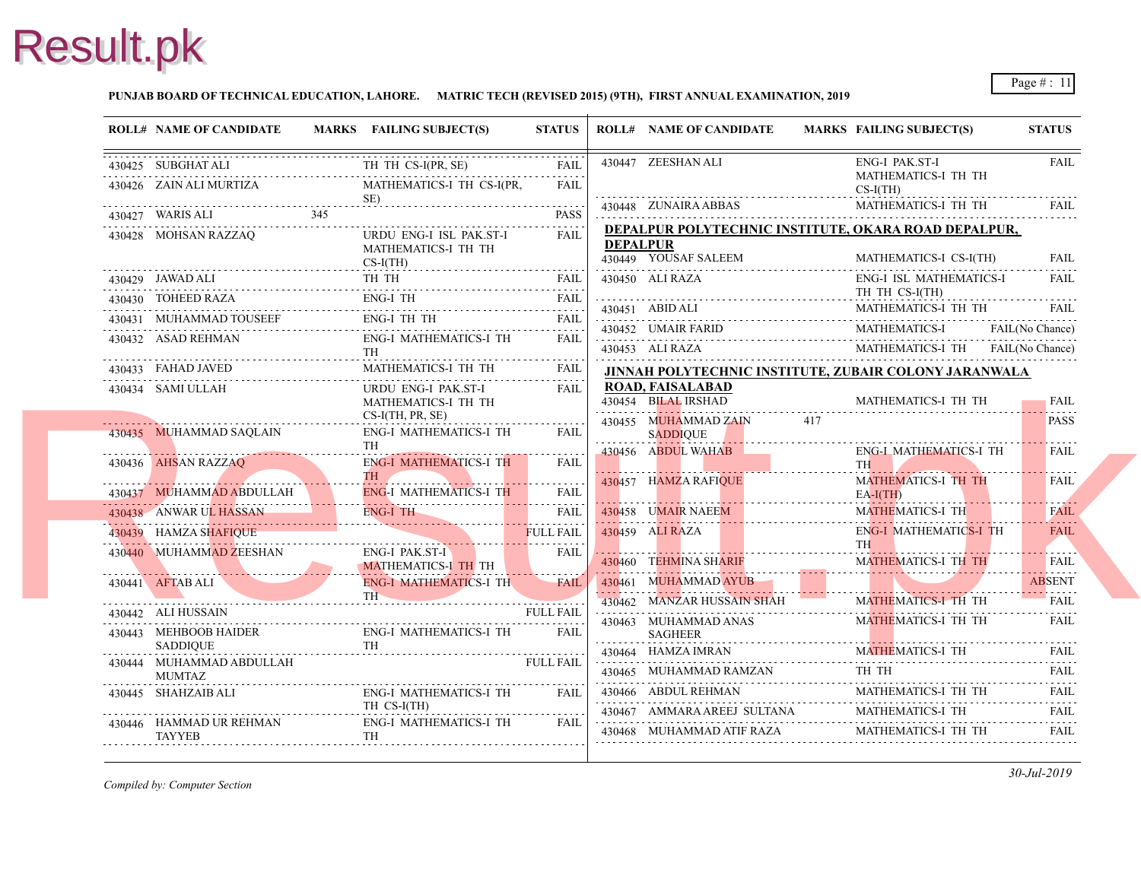#### **PUNJAB BOARD OF TECHNICAL EDUCATION, LAHORE. MATRIC TECH (REVISED 2015) (9TH), FIRST ANNUAL EXAMINATION, 2019**

| <b>ROLL# NAME OF CANDIDATE</b>                                       | MARKS FAILING SUBJECT(S)                                                                                                                                                                                                                                                                                                                                                | <b>STATUS</b>    |                 | <b>ROLL# NAME OF CANDIDATE</b>                                                                                                                  | <b>MARKS FAIL</b>     |
|----------------------------------------------------------------------|-------------------------------------------------------------------------------------------------------------------------------------------------------------------------------------------------------------------------------------------------------------------------------------------------------------------------------------------------------------------------|------------------|-----------------|-------------------------------------------------------------------------------------------------------------------------------------------------|-----------------------|
| 430425 SUBGHAT ALI<br>430425 SUBGHAT ALI TH TH CS-I(PR, 9            | TH TH CS-I(PR, SE)                                                                                                                                                                                                                                                                                                                                                      | <b>FAIL</b>      |                 | 430447 ZEESHAN ALI                                                                                                                              | ENG-                  |
| 430426 ZAIN ALI MURTIZA                                              | MATHEMATICS-I TH CS-I(PR,                                                                                                                                                                                                                                                                                                                                               | .<br>FAII.       |                 |                                                                                                                                                 | <b>MAT</b><br>$CS-I($ |
|                                                                      | $SE$ ) $PASS$<br>ED SE)<br>430427 WARIS ALI PASS PASS PASS PRES                                                                                                                                                                                                                                                                                                         |                  |                 | 430448 ZUNAIRA ABBAS                                                                                                                            | <b>MAT</b>            |
| 430428 MOHSAN RAZZAQ                                                 | URDU ENG-I ISL PAK.ST-I<br>MATHEMATICS-I TH TH<br>$CS-I(TH)$                                                                                                                                                                                                                                                                                                            | <b>FAIL</b>      | <b>DEPALPUR</b> | <b>DEPALPUR POLYTECHNIC INSTITUTE, OKA</b><br>430449 YOUSAF SALEEM                                                                              | <b>MAT</b>            |
| 430429 JAWAD ALI                                                     | TH TH                                                                                                                                                                                                                                                                                                                                                                   | FAIL             |                 | 430450 ALI RAZA                                                                                                                                 | ENG-                  |
|                                                                      | $\begin{tabular}{ll} \bf 430430 & TOHEED RAZA & \hspace*{2.5mm}ENG-I TH & \hspace*{2.5mm} FAIL \\ \hline \end{tabular}$                                                                                                                                                                                                                                                 |                  |                 |                                                                                                                                                 | TH <sub>1</sub>       |
|                                                                      | $\begin{tabular}{llllllll} \bf 430431 & \textbf{MUHAMMAD TOUSEEF} & \textbf{ENG-I TH TH} & \textbf{FAIL} \\ \hline \end{tabular}$                                                                                                                                                                                                                                       |                  |                 | HT.<br>11.<br>130451 ABID ALI<br>130452 UMAIR FARID                                                                                             |                       |
|                                                                      | $\begin{tabular}{llllllll} \textbf{430432} & \textbf{ASAD REHMAN} & \textbf{ENG-I MATHEMATICS-I TH} & \textbf{FAIL} \\ \hline \textbf{TH} & \textbf{310433} & \textbf{FAHAD JAVED} & \textbf{MATHEMATICS-I TH} & \textbf{FAIL} \\ \hline \textbf{430434} & \textbf{SAM1 III LAH} & \textbf{H1} & \textbf{H201} & \textbf{H211} & \textbf{H312} \\ \hline \end{tabular}$ |                  |                 | 430452 UMAIR FARID MAT<br>430453 ALI RAZA                                                                                                       | <b>MAT</b>            |
|                                                                      |                                                                                                                                                                                                                                                                                                                                                                         |                  |                 | <b>JINNAH POLYTECHNIC INSTITUTE, ZUBAIR</b>                                                                                                     |                       |
| 430434 SAMI ULLAH                                                    | URDU ENG-I PAK.ST-I<br>MATHEMATICS-I TH TH                                                                                                                                                                                                                                                                                                                              | FAIL             | .               | <b>ROAD, FAISALABAD</b><br>430454 BILAL IRSHAD                                                                                                  | <b>MAT</b>            |
| 430435 MUHAMMAD SAQLAIN                                              | $CS-I(TH, PR, SE)$<br>ENG-I MATHEMATICS-I TH<br>TH T                                                                                                                                                                                                                                                                                                                    | FAIL             | .               | 430455 MUHAMMAD ZAIN<br><b>SADDIQUE</b>                                                                                                         | 417                   |
|                                                                      | 430436 AHSAN RAZZAQ ENG-I MATHEMATICS-I TH                                                                                                                                                                                                                                                                                                                              | <b>FAIL</b>      |                 | 430456 ABDUL WAHAB<br>. <del>.</del>                                                                                                            | ENG-<br>TH -          |
|                                                                      | TH THE MATHEMATICS-I THE FAIL ENG-I MATHEMATICS-I THE FAIL FAIL                                                                                                                                                                                                                                                                                                         |                  |                 | 430457 HAMZA RAFIQUE                                                                                                                            | <b>MAT</b><br>$EA-I$  |
|                                                                      | 430438 ANWAR UL HASSAN ENG-I TH                                                                                                                                                                                                                                                                                                                                         |                  |                 | 430458 UMAIR NAEEM                                                                                                                              | <b>MAT</b>            |
| 430439 HAMZA SHAFIQUE                                                | <b>EXECUTE PROPERTY AND REAL PROPERTY AND REAL PROPERTY</b>                                                                                                                                                                                                                                                                                                             |                  |                 | 430459 ALI RAZA                                                                                                                                 | ENG-                  |
| 430440 MUHAMMAD ZEESHAN                                              | 490497 LIANGER SHENTQUE PRESENTATION CONTRACTOR (PRESENT A PRESENT A PRESENT A PRESENT A PRESENT A PRESENT A P<br>ENG-I PAK.ST-I BEALL<br>MATHEMATICS-I TH TH                                                                                                                                                                                                           |                  |                 | 430460 TEHMINA SHARIF                                                                                                                           | TH \<br><b>MAT</b>    |
| 430441 AFTAB ALI                                                     | <b>ENG-I MATHEMATICS-I TH</b> FAIL<br>TH                                                                                                                                                                                                                                                                                                                                |                  |                 | <u>. Kabupatèn Samud Kabupatèn Indonesia Kabupatèn Indonesia Kabupatèn Indonesia Kabupatèn Indonesia Kabupatèn Indo</u><br>430461 MUHAMMAD AYUB |                       |
| 430442 ALI HUSSAIN                                                   |                                                                                                                                                                                                                                                                                                                                                                         |                  |                 | 430462 MANZAR HUSSAIN SHAH                                                                                                                      | <b>MAT</b>            |
| SADDIQUE                                                             | 430443 MEHBOOB HAIDER ENG-I MATHEMATICS-I TH                                                                                                                                                                                                                                                                                                                            | <b>FAIL</b>      |                 | 430463 MUHAMMAD ANAS<br><b>SAGHEER</b>                                                                                                          | <b>MAT</b>            |
| 430444 MUHAMMAD ABDULLAH<br><b>MUMTAZ</b>                            |                                                                                                                                                                                                                                                                                                                                                                         | <b>FULL FAIL</b> |                 | 430464 HAMZA IMRAN<br>430465 MUHAMMAD RAMZAN TH                                                                                                 | <b>MAT</b><br>TH 1    |
| 430445 SHAHZAIB ALI                                                  | ENG-I MATHEMATICS-I TH<br>TH CS-I(TH)                                                                                                                                                                                                                                                                                                                                   | FAIL             |                 | 430466 ABDUL REHMAN MAT                                                                                                                         | <b>MAT</b>            |
| 430446 HAMMAD UR REHMAN<br>$\overline{\text{EB}}$ T<br><b>TAYYEB</b> | ENG-I MATHEMATICS-I TH<br><b>TH</b>                                                                                                                                                                                                                                                                                                                                     | FAIL             |                 | 430467 AMMARA AREEJ SULTANA<br>430468 MUHAMMAD ATIF RAZA                                                                                        | MATI<br><b>MAT</b>    |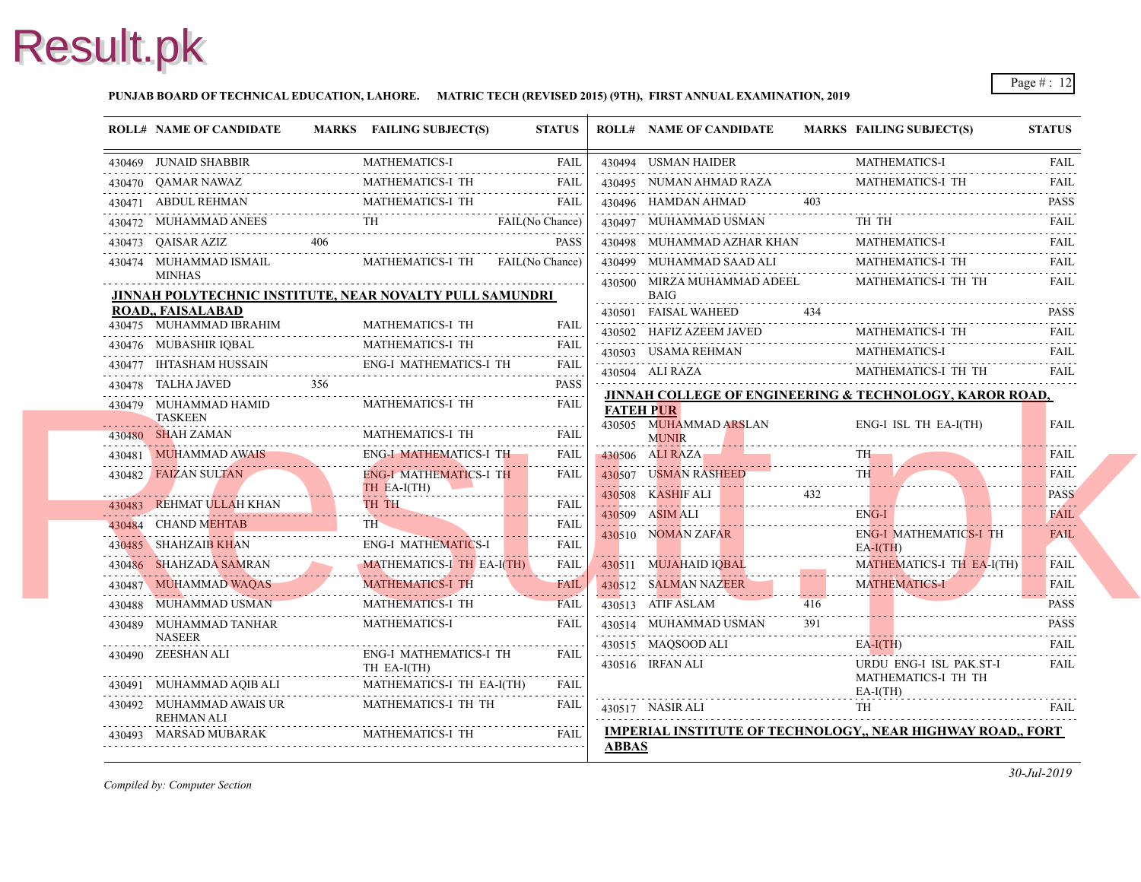#### **PUNJAB BOARD OF TECHNICAL EDUCATION, LAHORE. MATRIC TECH (REVISED 2015) (9TH), FIRST ANNUAL EXAMINATION, 2019**

| <b>ROLL# NAME OF CANDIDATE</b>                           |                | MARKS FAILING SUBJECT(S)                     | <b>STATUS</b>    |                  | <b>ROLL# NAME OF CANDIDATE</b>                          | <b>MARKS FAIL</b> |                          |
|----------------------------------------------------------|----------------|----------------------------------------------|------------------|------------------|---------------------------------------------------------|-------------------|--------------------------|
| 430469 JUNAID SHABBIR                                    |                | <b>MATHEMATICS-I</b>                         | <b>FAIL</b>      |                  | 430494 USMAN HAIDER                                     |                   | <b>MAT</b>               |
| 430470 OAMAR NAWAZ                                       |                | MATHEMATICS-I TH                             | <b>FAIL</b>      |                  | 430495 NUMAN AHMAD RAZA                                 |                   | <b>MAT</b>               |
| 430471 ABDUL REHMAN                                      |                | MATHEMATICS-I TH                             | FAIL             |                  | 430496 HAMDAN AHMAD                                     |                   |                          |
| 430472 MUHAMMAD ANEES                                    |                | FAIL(No Chance)<br>ALL (No Chance)           |                  |                  | 430497 MUHAMMAD USMAN                                   |                   | TH -                     |
| 430473 QAISAR AZIZ                                       | 406            |                                              | <b>PASS</b>      |                  | 430498 MUHAMMAD AZHAR KHAN                              |                   | <b>MAT</b>               |
| 430474 MUHAMMAD ISMAIL<br><b>MINHAS</b>                  |                |                                              |                  |                  | 430499 MUHAMMAD SAAD ALI<br>430500 MIRZA MUHAMMAD ADEEL |                   | <b>MAT</b><br><b>MAT</b> |
| JINNAH POLYTECHNIC INSTITUTE, NEAR NOVALTY PULL SAMUNDRI |                |                                              |                  |                  | <b>BAIG</b>                                             |                   |                          |
| <b>ROAD., FAISALABAD</b><br>430475 MUHAMMAD IBRAHIM      |                | MATHEMATICS-I TH                             | <b>FAII</b>      |                  | 430501 FAISAL WAHEED                                    | 434               |                          |
|                                                          |                | MATHEMATICS-I TH                             |                  |                  | 430502 HAFIZ AZEEM JAVED                                |                   | <b>MAT</b>               |
| 430476 MUBASHIR IQBAL                                    |                |                                              | <b>FAIL</b>      |                  | 430503 USAMA REHMAN<br>430503 USAMA REHMAN MAT          |                   | <b>MAT</b>               |
| 430477 IHTASHAM HUSSAIN                                  |                | <b>ENG-I MATHEMATICS-I TH</b>                | <b>PASS</b>      |                  | 430504 ALI RAZA                                         |                   | <b>MAT</b>               |
| 430478 TALHA JAVED                                       |                |                                              |                  |                  | JINNAH COLLEGE OF ENGINEERING & TEC                     |                   |                          |
| 430479 MUHAMMAD HAMID<br><b>TASKEEN</b>                  |                | MATHEMATICS-I TH                             | <b>FAIL</b>      | <b>FATEH PUR</b> |                                                         |                   |                          |
| 430480 SHAH ZAMAN                                        |                | MATHEMATICS-I TH                             | <b>FAIL</b>      |                  | 430505 MUHAMMAD ARSLAN<br><b>MUNIR</b>                  |                   | ENG-                     |
| 430481 MUHAMMAD AWAIS                                    |                | <b>ENG-I MATHEMATICS-I TH</b>                | <b>FAIL</b>      |                  | 430506 ALI RAZA                                         |                   | TH-                      |
| 430482 FAIZAN SULTAN                                     |                | <b>ENG-I MATHEMATICS-I TH</b><br>TH EA-I(TH) | <b>FAIL</b>      |                  | 430507 USMAN RASHEED                                    |                   | <b>TH</b>                |
| 430483 REHMAT ULLAH KHAN TH TH FAIL FAIL                 |                | TH TH                                        |                  |                  | 430508 KASHIF ALI                                       | 432               |                          |
| 430484 CHAND MEHTAB                                      |                | TH <sub>-</sub>                              | FAIL             |                  | 430509 ASIM ALI                                         |                   | ENG-                     |
| 430485 SHAHZAIB KHAN                                     |                | <b>ENG-I MATHEMATICS-I</b>                   | .<br><b>FAIL</b> |                  | 430510 NOMAN ZAFAR                                      |                   | ENG-<br>$EA-I($          |
| 430486 SHAHZADA SAMRAN                                   |                | MATHEMATICS-I TH EA-I(TH)                    | <b>FAIL</b>      |                  | 430511 MUJAHAID IOBAL                                   |                   | <b>MAT</b>               |
| 430487 MUHAMMAD WAQAS                                    | $\frac{1}{15}$ | <b>MATHEMATICS-I TH</b>                      | <b>FAIL</b>      |                  | 430512 SALMAN NAZEER                                    |                   | <b>MAT</b>               |
| 430488 MUHAMMAD USMAN                                    |                | . <i>.</i><br>MATHEMATICS-I TH               | <b>FAIL</b>      |                  | 430513 ATIF ASLAM                                       | 416               |                          |
| 430489 MUHAMMAD TANHAR<br><b>NASEER</b>                  |                | <b>MATHEMATICS-I</b>                         | FAIL             |                  | 430514 MUHAMMAD USMAN                                   | 391               |                          |
| 430490 ZEESHAN ALI                                       |                | <b>ENG-I MATHEMATICS-I TH</b><br>TH EA-I(TH) | FAIL             |                  | 430515 MAQSOOD ALI<br>430516 IRFAN ALI                  |                   | $EA-I($<br><b>URD</b>    |
| 430491 MUHAMMAD AQIB ALI                                 |                | MATHEMATICS-I TH EA-I(TH)                    | .<br><b>FAIL</b> |                  |                                                         |                   | <b>MAT</b>               |
| 430492 MUHAMMAD AWAIS UR<br><b>REHMAN ALI</b>            |                | MATHEMATICS-I TH TH                          | <b>FAIL</b>      |                  | 430517 NASIR ALI                                        |                   | EA-I<br>TH               |
| 430493 MARSAD MUBARAK                                    |                |                                              |                  |                  | <b>IMPERIAL INSTITUTE OF TECHNOLOGY,, N</b>             |                   |                          |
|                                                          |                |                                              |                  | <b>ABBAS</b>     |                                                         |                   |                          |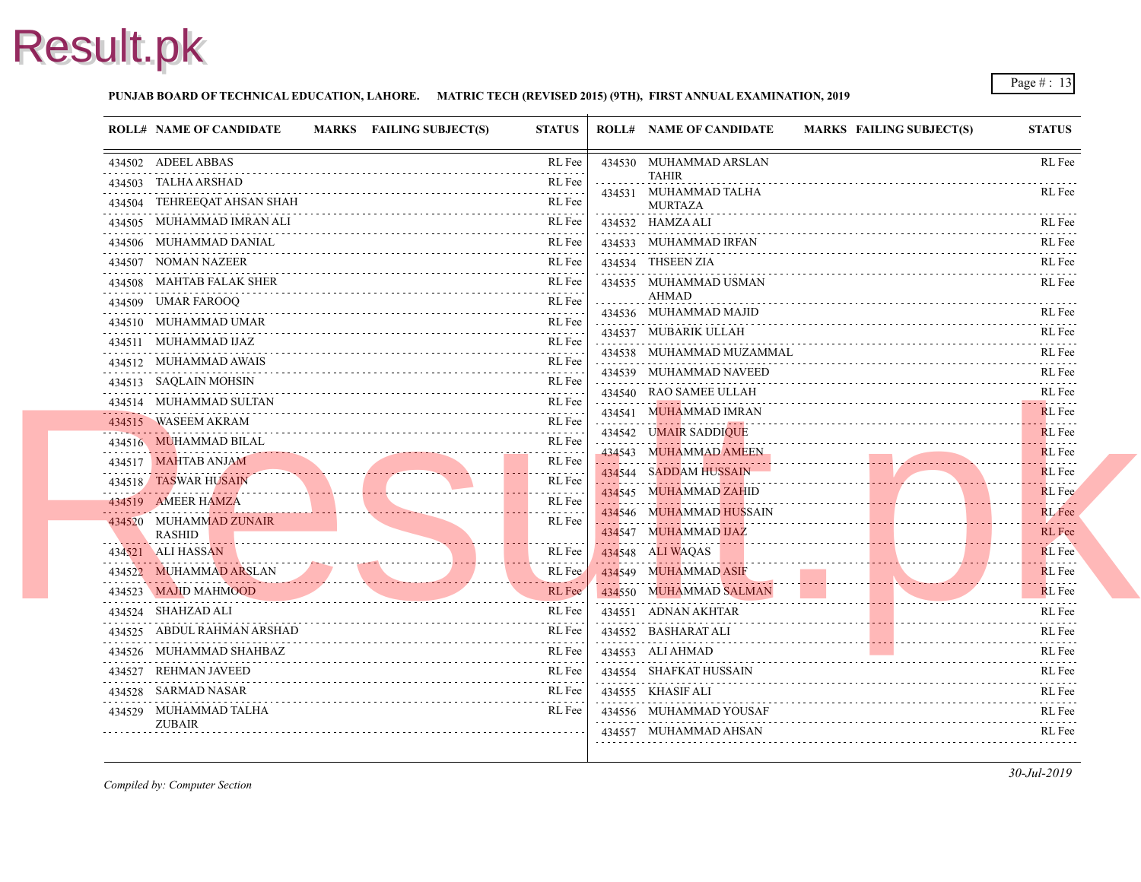#### **PUNJAB BOARD OF TECHNICAL EDUCATION, LAHORE. MATRIC TECH (REVISED 2015) (9TH), FIRST ANNUAL EXAMINATION, 2019**

| <b>ROLL# NAME OF CANDIDATE</b>     | MARKS FAILING SUBJECT(S) | <b>STATUS</b>                                                                                                                                                                                        | <b>ROLL# NAME OF CANDIDATE</b>        | <b>MARKS FAIL</b> |
|------------------------------------|--------------------------|------------------------------------------------------------------------------------------------------------------------------------------------------------------------------------------------------|---------------------------------------|-------------------|
| 434502 ADEEL ABBAS                 |                          | RL Fee<br>.                                                                                                                                                                                          | 434530 MUHAMMAD ARSLAN                |                   |
| 434503 TALHA ARSHAD                |                          | RL Fee                                                                                                                                                                                               | <b>TAHIR</b><br>434531 MUHAMMAD TALHA |                   |
| 434504 TEHREEQAT AHSAN SHAH        |                          | RL Fee                                                                                                                                                                                               | <b>MURTAZA</b>                        |                   |
| 434505 MUHAMMAD IMRAN ALI          |                          | RL Fee                                                                                                                                                                                               | 434532 HAMZA ALI                      |                   |
| 434506 MUHAMMAD DANIAL             |                          | RL Fee                                                                                                                                                                                               | 434533 MUHAMMAD IRFAN                 |                   |
| 434507 NOMAN NAZEER                |                          | RL Fee                                                                                                                                                                                               | 434534 THSEEN ZIA                     |                   |
| 434508 MAHTAB FALAK SHER           |                          | RL Fee<br>$\mathcal{L}^{\mathcal{A}}\left( \mathcal{L}^{\mathcal{A}}\right) \mathcal{L}^{\mathcal{A}}\left( \mathcal{L}^{\mathcal{A}}\right) \mathcal{L}^{\mathcal{A}}$                              | 434535 MUHAMMAD USMAN                 |                   |
| 434509 UMAR FAROOQ                 |                          | RL Fee                                                                                                                                                                                               | <b>AHMAD</b><br>434536 MUHAMMAD MAJID |                   |
| 434510 MUHAMMAD UMAR               |                          | RL Fee<br>.                                                                                                                                                                                          | 434537 MUBARIK ULLAH                  |                   |
| 434511 MUHAMMAD IJAZ               |                          | RL Fee                                                                                                                                                                                               | 434538 MUHAMMAD MUZAMMAL              |                   |
| 434512 MUHAMMAD AWAIS              |                          | RL Fee                                                                                                                                                                                               | 434539 MUHAMMAD NAVEED                |                   |
| 434513 SAQLAIN MOHSIN              |                          | RL Fee<br>.                                                                                                                                                                                          | 434540 RAO SAMEE ULLAH                |                   |
| 434514 MUHAMMAD SULTAN             |                          | RL Fee                                                                                                                                                                                               | 434541 MUHAMMAD IMRAN                 |                   |
| 434515 WASEEM AKRAM                |                          | RL Fee<br>.                                                                                                                                                                                          | 434542 UMAIR SADDIQUE                 |                   |
| 434516 MUHAMMAD BILAL              |                          | RL Fee                                                                                                                                                                                               | 434543 MUHAMMAD AMEEN                 |                   |
| 434517 MAHTAB ANJAM                |                          | RL Fee<br>$\label{eq:2.1} \begin{array}{cccccccccccccc} \mathbb{L} & \mathbb{L} & \mathbb{L} & \mathbb{L} & \mathbb{L} & \mathbb{L} & \mathbb{L} & \mathbb{L} & \mathbb{L} & \mathbb{L} \end{array}$ | 434544 SADDAM HUSSAIN                 |                   |
| 434518 TASWAR HUSAIN               |                          | RL Fee                                                                                                                                                                                               | 434545 MUHAMMAD ZAHID                 |                   |
| 434519 AMEER HAMZA                 |                          | RL Fee                                                                                                                                                                                               | 434546 MUHAMMAD HUSSAIN               |                   |
| 434520 MUHAMMAD ZUNAIR             |                          | RL Fee                                                                                                                                                                                               | 434547 MUHAMMAD IJAZ                  |                   |
| <b>RASHID</b><br>434521 ALI HASSAN |                          | RL Fee                                                                                                                                                                                               | 434548 ALI WAQAS                      |                   |
| 434522 MUHAMMAD ARSLAN             |                          | RL Fee                                                                                                                                                                                               | 434549 MUHAMMAD ASIF                  |                   |
| 434523 MAJID MAHMOOD               |                          | RL Fee                                                                                                                                                                                               | 434550 MUHAMMAD SALMAN                |                   |
| 434524 SHAHZAD ALI                 |                          | RL Fee                                                                                                                                                                                               | 434551 ADNAN AKHTAR                   |                   |
| 434525 ABDUL RAHMAN ARSHAD         |                          | RL Fee                                                                                                                                                                                               | 434552 BASHARAT ALI                   |                   |
| 434526 MUHAMMAD SHAHBAZ            |                          | RL Fee                                                                                                                                                                                               | 434553 ALI AHMAD                      |                   |
| 434527 REHMAN JAVEED               |                          | RL Fee                                                                                                                                                                                               | 434554 SHAFKAT HUSSAIN                |                   |
| 434528 SARMAD NASAR                |                          | RL Fee                                                                                                                                                                                               | 434555 KHASIF ALI                     |                   |
| 434529 MUHAMMAD TALHA              |                          | RL Fee                                                                                                                                                                                               | 434556 MUHAMMAD YOUSAF                |                   |
| <b>ZUBAIR</b>                      |                          |                                                                                                                                                                                                      | 434557 MUHAMMAD AHSAN                 |                   |
|                                    |                          |                                                                                                                                                                                                      |                                       |                   |
|                                    |                          |                                                                                                                                                                                                      |                                       |                   |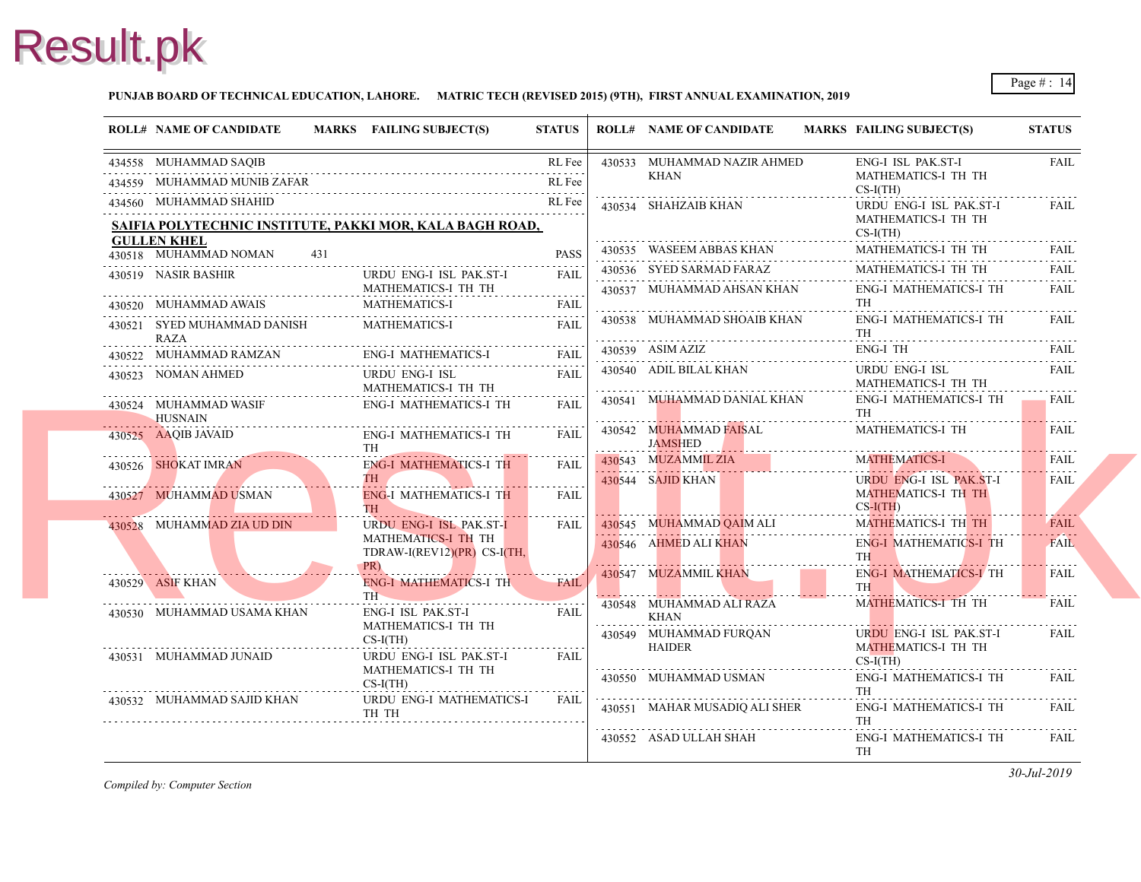#### **PUNJAB BOARD OF TECHNICAL EDUCATION, LAHORE. MATRIC TECH (REVISED 2015) (9TH), FIRST ANNUAL EXAMINATION, 2019**

|   | <b>ROLL# NAME OF CANDIDATE</b>             |     | MARKS FAILING SUBJECT(S)                                 | <b>STATUS</b> | <b>ROLL# NAME OF CANDIDATE</b>          | <b>MARKS FAIL</b> |                                     |
|---|--------------------------------------------|-----|----------------------------------------------------------|---------------|-----------------------------------------|-------------------|-------------------------------------|
|   | 434558 MUHAMMAD SAQIB                      |     |                                                          | RL Fee        | 430533 MUHAMMAD NAZIR AHMED             |                   | ENG-                                |
|   | 434559 MUHAMMAD MUNIB ZAFAR                |     |                                                          | RL Fee        | KHAN                                    |                   | <b>MAT</b><br>$CS-I$                |
|   | 434560 MUHAMMAD SHAHID                     |     |                                                          | RL Fee        | 430534 SHAHZAIB KHAN                    |                   | <b>URD</b>                          |
|   |                                            |     | SAIFIA POLYTECHNIC INSTITUTE, PAKKI MOR, KALA BAGH ROAD, |               |                                         |                   | <b>MAT</b>                          |
|   | <b>GULLEN KHEL</b>                         |     |                                                          |               | 430535 WASEEM ABBAS KHAN                |                   | $CS-I($<br><b>MAT</b>               |
|   | 430518 MUHAMMAD NOMAN                      | 431 |                                                          | <b>PASS</b>   | 430536 SYED SARMAD FARAZ                |                   | <b>MAT</b>                          |
|   | 430519 NASIR BASHIR                        |     | URDU ENG-I ISL PAK.ST-I<br>MATHEMATICS-I TH TH           | <b>FAIL</b>   | 430537 MUHAMMAD AHSAN KHAN              |                   | ENG-                                |
|   | 430520 MUHAMMAD AWAIS                      |     | <b>MATHEMATICS-I</b>                                     | FAIL          |                                         |                   | TH                                  |
|   | 430521 SYED MUHAMMAD DANISH<br><b>RAZA</b> |     | MATHEMATICS-I                                            | FAIL          | 430538 MUHAMMAD SHOAIB KHAN             |                   | ENG-<br>TH                          |
| . |                                            |     | 430522 MUHAMMAD RAMZAN ENG-I MATHEMATICS-I FAIL          |               | 430539 ASIM AZIZ                        |                   | ENG-                                |
|   | 430523 NOMAN AHMED                         |     | URDU ENG-I ISL<br>MATHEMATICS-I TH TH                    | <b>FAIL</b>   | 430540 ADIL BILAL KHAN                  |                   | <b>URD</b><br><b>MAT</b>            |
|   | 430524 MUHAMMAD WASIF<br><b>HUSNAIN</b>    |     | ENG-I MATHEMATICS-I TH                                   | FAIL          | 430541 MUHAMMAD DANIAL KHAN             |                   | ENG-<br>TH                          |
|   | 430525 AAQIB JAVAID                        |     | ENG-I MATHEMATICS-I TH<br><b>TH</b>                      | FAIL          | 430542 MUHAMMAD FAISAL<br>JAMSHED       |                   | <b>MAT</b>                          |
|   | 430526 SHOKAT IMRAN                        |     | ENG-I MATHEMATICS-I TH                                   | <b>FAIL</b>   | 430543 MUZAMMIL ZIA                     |                   | <b>MAT</b>                          |
|   | 430527 MUHAMMAD USMAN                      |     | THE STREET<br><b>ENG-I MATHEMATICS-I TH</b><br>TH -      | .<br>FAIL     | 430544 SAJID KHAN                       |                   | <b>URD</b><br><b>MAT</b><br>$CS-I($ |
|   | 430528 MUHAMMAD ZIA UD DIN                 |     | <b>URDU ENG-I ISL PAK.ST-I</b>                           | <b>FAIL</b>   | 430545 MUHAMMAD QAIM ALI                |                   | <b>MAT</b>                          |
|   |                                            |     | MATHEMATICS-I TH TH<br>TDRAW-I(REV12)(PR) CS-I(TH,       |               | 430546 AHMED ALI KHAN                   |                   | ENG-<br><b>TH</b>                   |
|   | 430529 ASIF KHAN                           |     | PR)<br>ENG-I MATHEMATICS-I TH<br>TH _                    | <b>FAIL</b>   | 430547 MUZAMMIL KHAN                    |                   | ENG-<br>TH \                        |
|   | 430530 MUHAMMAD USAMA KHAN                 |     | <b>ENG-I ISL PAK.ST-I</b><br>MATHEMATICS-I TH TH         | FAIL          | 430548 MUHAMMAD ALI RAZA<br>KHAN        |                   | <b>MAT</b>                          |
|   | 430531 MUHAMMAD JUNAID                     |     | $CS-I(TH)$<br>URDU ENG-I ISL PAK.ST-I                    | <b>FAIL</b>   | 430549 MUHAMMAD FURQAN<br><b>HAIDER</b> |                   | <b>URD</b><br><b>MAT</b><br>$CS-I$  |
|   |                                            |     | MATHEMATICS-I TH TH<br>$CS-I(TH)$                        |               | 430550 MUHAMMAD USMAN                   |                   | ENG-<br>TH                          |
|   | 430532 MUHAMMAD SAJID KHAN                 |     | URDU ENG-I MATHEMATICS-I<br>TH TH                        | FAIL          | 430551 MAHAR MUSADIQ ALI SHER           |                   | ENG-<br>TH                          |
|   |                                            |     |                                                          |               | 430552 ASAD ULLAH SHAH                  |                   | ENG-<br>TH                          |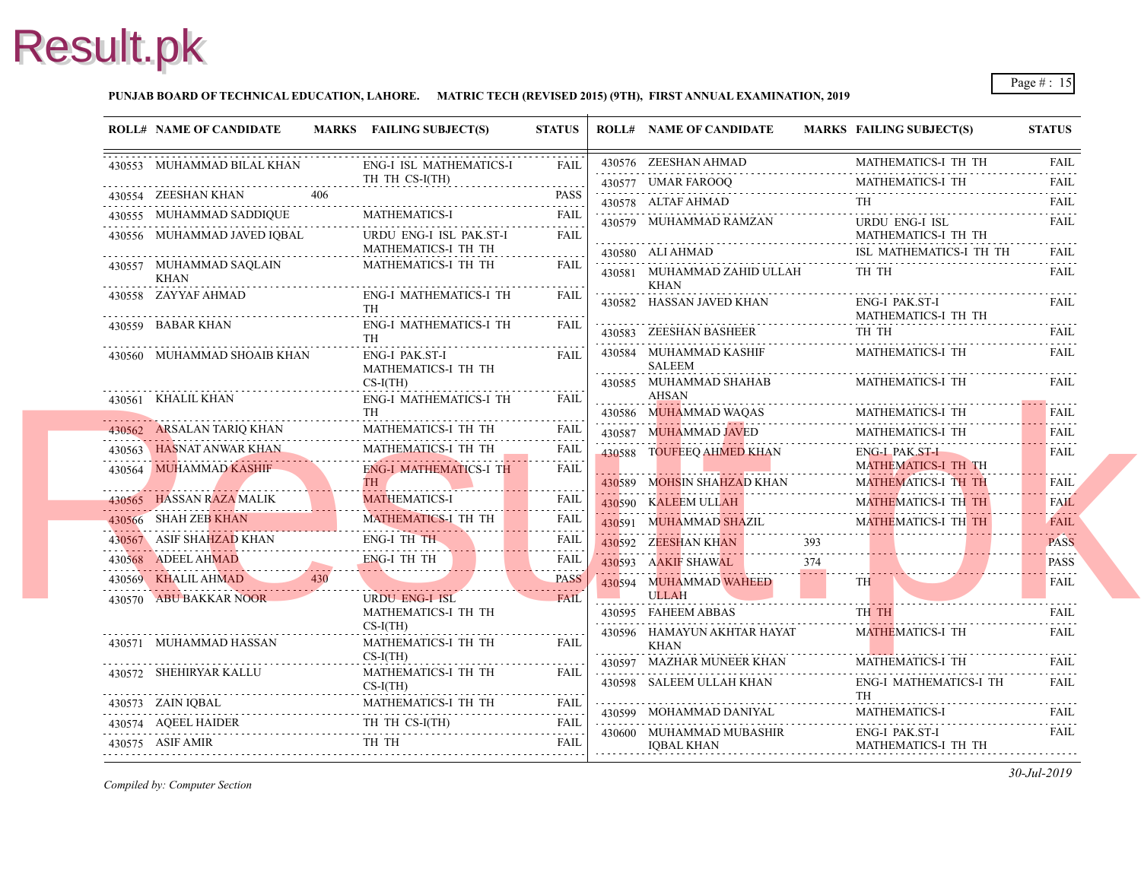#### **PUNJAB BOARD OF TECHNICAL EDUCATION, LAHORE. MATRIC TECH (REVISED 2015) (9TH), FIRST ANNUAL EXAMINATION, 2019**

| <b>ROLL# NAME OF CANDIDATE</b> | MARKS FAILING SUBJECT(S)                                                                                                                                         | <b>STATUS</b> | <b>ROLL# NAME OF CANDIDATE</b>                    | <b>MARKS FAIL</b>  |
|--------------------------------|------------------------------------------------------------------------------------------------------------------------------------------------------------------|---------------|---------------------------------------------------|--------------------|
| 430553 MUHAMMAD BILAL KHAN     | ENG-I ISL MATHEMATICS-I                                                                                                                                          | FAIL          | 430576 ZEESHAN AHMAD                              | <b>MAT</b>         |
|                                | TH TH CS-I(TH)                                                                                                                                                   | .             | 430577 UMAR FAROOQ<br>www.community.community.com | <b>MAT</b>         |
| 430554 ZEESHAN KHAN<br>406     |                                                                                                                                                                  | <b>PASS</b>   | 430578 ALTAF AHMAD                                | TH                 |
| 430555 MUHAMMAD SADDIQUE       | <b>MATHEMATICS-I</b>                                                                                                                                             | <b>FAIL</b>   | 430579 MUHAMMAD RAMZAN                            | <b>URD</b>         |
| 430556 MUHAMMAD JAVED IQBAL    | URDU ENG-I ISL PAK.ST-I                                                                                                                                          | <b>FAIL</b>   |                                                   | <b>MAT</b>         |
| 430557 MUHAMMAD SAQLAIN        | MATHEMATICS-I TH TH<br>MATHEMATICS-I TH TH                                                                                                                       | <b>FAIL</b>   | 430580 ALI AHMAD                                  | ISL 1              |
| KHAN                           |                                                                                                                                                                  |               | 430581 MUHAMMAD ZAHID ULLAH<br>KHAN               | TH <sub>1</sub>    |
| 430558 ZAYYAF AHMAD            | ENG-I MATHEMATICS-I TH                                                                                                                                           | <b>FAIL</b>   | 430582 HASSAN JAVED KHAN                          | ENG-               |
|                                | <b>TH</b>                                                                                                                                                        |               |                                                   | <b>MAT</b>         |
| 430559 BABAR KHAN              | ENG-I MATHEMATICS-I TH<br><b>TH</b>                                                                                                                              | <b>FAIL</b>   | 430583 ZEESHAN BASHEER                            | TH <sub>1</sub>    |
| 430560 MUHAMMAD SHOAIB KHAN    | <b>ENG-I PAK.ST-I</b>                                                                                                                                            | <b>FAIL</b>   | 430584 MUHAMMAD KASHIF                            | <b>MAT</b>         |
|                                | MATHEMATICS-I TH TH                                                                                                                                              |               | <b>SALEEM</b>                                     |                    |
| 430561 KHALIL KHAN             | $CS-I(TH)$<br>ENG-I MATHEMATICS-I TH                                                                                                                             | <b>FAIL</b>   | 430585 MUHAMMAD SHAHAB<br><b>AHSAN</b>            | <b>MAT</b>         |
|                                | <b>TH</b>                                                                                                                                                        |               | 430586 MUHAMMAD WAQAS                             | <b>MAT</b>         |
| 430562 ARSALAN TARIQ KHAN      | MATHEMATICS-I TH TH                                                                                                                                              | <b>FAIL</b>   | 430587 MUHAMMAD JAVED                             | <b>MAT</b>         |
| 430563 HASNAT ANWAR KHAN       | MATHEMATICS-I TH TH                                                                                                                                              | <b>FAIL</b>   | 430588 TOUFEEQ AHMED KHAN                         | ENG-               |
| 430564 MUHAMMAD KASHIF         | ENG-I MATHEMATICS-I TH                                                                                                                                           | <b>FAIL</b>   |                                                   | <b>MAT</b>         |
|                                | TH                                                                                                                                                               |               | 430589 MOHSIN SHAHZAD KHAN                        | <b>MAT</b>         |
| MATHEMATICS-I TH TH            |                                                                                                                                                                  | FAIL          | 430590 KALEEM ULLAH                               | <b>MAT</b>         |
|                                |                                                                                                                                                                  | FAIL          | 430591 MUHAMMAD SHAZIL                            | <b>MAT</b>         |
| ENG-I TH TH                    |                                                                                                                                                                  | FAIL          | 430592 ZEESHAN KHAN                               |                    |
|                                | 430568 ADEEL AHMAD ENG-I TH TH                                                                                                                                   | FAIL          | 430593 AAKIF SHAWAL                               | 374                |
| 430569 KHALIL AHMAD 430        | PASS                                                                                                                                                             | <b>PASS</b>   | 430594 MUHAMMAD WAHEED                            | <b>TH</b>          |
| 430570 ABU BAKKAR NOOR         | URDU ENG-I ISL<br>MATHEMATICS-I TH TH                                                                                                                            | <b>FAIL</b>   | <b>ULLAH</b>                                      | TH.                |
|                                | $CS-I(TH)$                                                                                                                                                       |               | 430595 FAHEEM ABBAS                               |                    |
| 430571 MUHAMMAD HASSAN         | MATHEMATICS-I TH TH                                                                                                                                              | <b>FAIL</b>   | 430596 HAMAYUN AKHTAR HAYAT<br><b>KHAN</b>        | <b>MAT</b>         |
|                                | $CS-I(TH)$                                                                                                                                                       |               | 430597 MAZHAR MUNEER KHAN                         | MATI               |
| 430572 SHEHIRYAR KALLU         | MATHEMATICS-I TH TH<br>$CS-I(TH)$                                                                                                                                | FAIL          | 430598 SALEEM ULLAH KHAN                          | ENG-               |
|                                | $\begin{tabular}{ll} \bf 430573 & ZAIN IQBAL & \tt MATHEMATICS-I TH TH & \tt{FAIL} \\ \hline \end{tabular}$                                                      |               |                                                   | TH                 |
|                                |                                                                                                                                                                  |               | 430599 MOHAMMAD DANIYAL                           | <b>MAT</b>         |
| 430575 ASIF AMIR               | $\begin{tabular}{ccccc} 430574 & AQEEL HALDER & & & \text{TH TH CS-I(TH)} & \text{FAIL} \\ 430575 & ASIF AMIR & & \text{TH TH} & & \text{FAIL} \\ \end{tabular}$ |               | 430600 MUHAMMAD MUBASHIR<br><b>IQBAL KHAN</b>     | ENG-<br><b>MAT</b> |
|                                |                                                                                                                                                                  |               |                                                   |                    |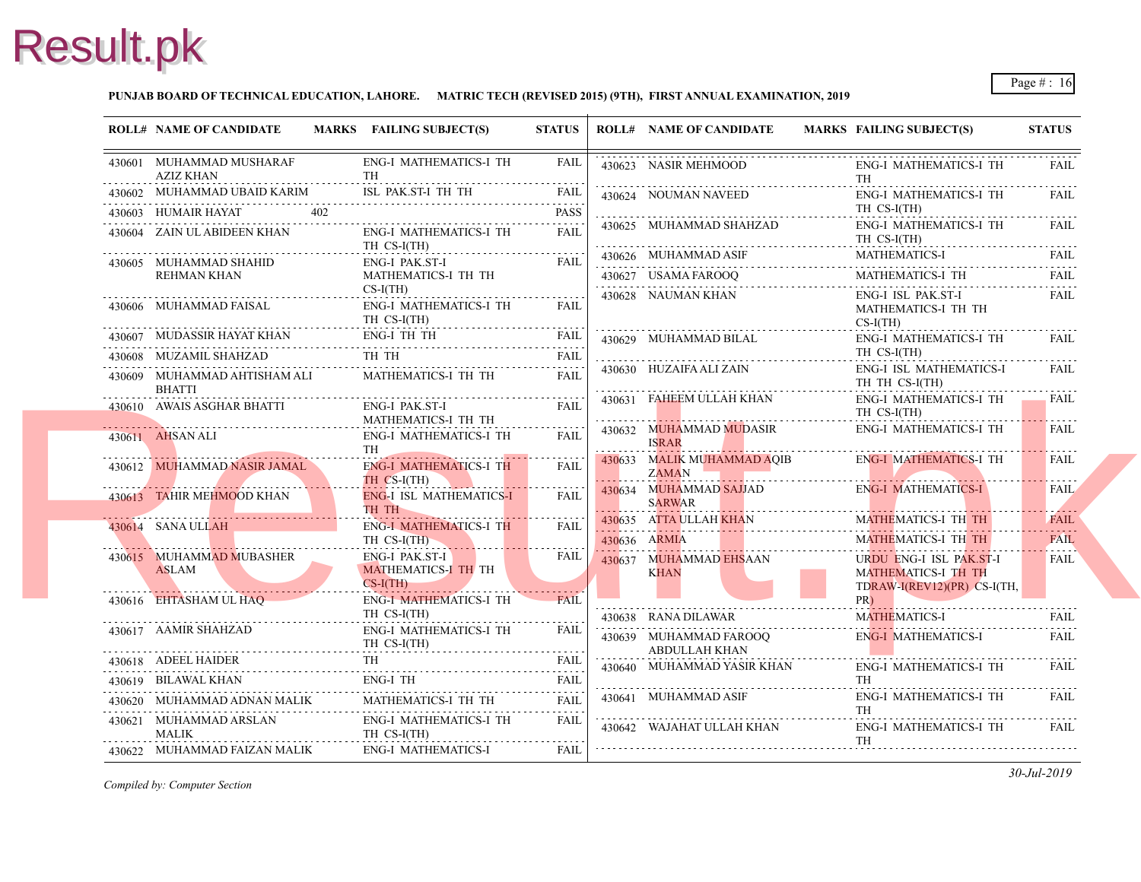#### **PUNJAB BOARD OF TECHNICAL EDUCATION, LAHORE. MATRIC TECH (REVISED 2015) (9TH), FIRST ANNUAL EXAMINATION, 2019**

| <b>ROLL# NAME OF CANDIDATE</b>                                                                                                                                                                                                                                            | MARKS FAILING SUBJECT(S)                                                                                                                                                                  | <b>STATUS</b> |   | <b>ROLL# NAME OF CANDIDATE</b>                   | <b>MARKS FAIL</b>                      |
|---------------------------------------------------------------------------------------------------------------------------------------------------------------------------------------------------------------------------------------------------------------------------|-------------------------------------------------------------------------------------------------------------------------------------------------------------------------------------------|---------------|---|--------------------------------------------------|----------------------------------------|
| 430601 MUHAMMAD MUSHARAF<br>AZIZ KHAN                                                                                                                                                                                                                                     | <b>ENG-I MATHEMATICS-I TH</b>                                                                                                                                                             | FAIL          |   | 430623 NASIR MEHMOOD                             | ENG-<br>TH                             |
| 430602 MUHAMMAD UBAID KARIM                                                                                                                                                                                                                                               | 430602 MUHAMMAD UBAID KARIM ISL PAK.ST-I TH TH FAIL FAIL                                                                                                                                  |               |   | 430624 NOUMAN NAVEED                             | ENG-                                   |
| 430603 HUMAIR HAYAT<br>402                                                                                                                                                                                                                                                |                                                                                                                                                                                           | <b>PASS</b>   |   |                                                  | TH <sub>C</sub>                        |
| 430604 ZAIN UL ABIDEEN KHAN                                                                                                                                                                                                                                               | ENG-I MATHEMATICS-I TH<br>TH CS-I(TH)                                                                                                                                                     | <b>FAIL</b>   |   | 430625 MUHAMMAD SHAHZAD                          | ENG-<br>TH O                           |
| 430605 MUHAMMAD SHAHID                                                                                                                                                                                                                                                    | ENG-I PAK.ST-I                                                                                                                                                                            | <b>FAIL</b>   |   | 430626 MUHAMMAD ASIF<br>430626 MUHAMMAD ASIF MAT | <b>MAT</b>                             |
| REHMAN KHAN                                                                                                                                                                                                                                                               | MATHEMATICS-I TH TH<br>$CS-I(TH)$                                                                                                                                                         |               |   | 430627 USAMA FAROOQ<br>430628 NAUMAN KHAN        | <b>MAT</b><br>ENG-                     |
|                                                                                                                                                                                                                                                                           | ENG-I MATHEMATICS-I TH<br>TH CS-I(TH)                                                                                                                                                     | FAIL          |   |                                                  | <b>MAT</b><br>$CS-I($                  |
|                                                                                                                                                                                                                                                                           | 430607 MUDASSIR HAYAT KHAN ENG-I TH TH FAIL                                                                                                                                               | FAIL          |   | 430629 MUHAMMAD BILAL                            | ENG-                                   |
| 430608 MUZAMIL SHAHZAD                                                                                                                                                                                                                                                    | THTH                                                                                                                                                                                      | FAIL          |   |                                                  | TH <sub>C</sub>                        |
| 430609 MUHAMMAD AHTISHAM ALI<br><b>BHATTI</b>                                                                                                                                                                                                                             | MATHEMATICS-I TH TH                                                                                                                                                                       | <b>FAIL</b>   |   | 430630 HUZAIFA ALI ZAIN                          | ENG-<br>TH <sub>1</sub>                |
| 430610 AWAIS ASGHAR BHATTI                                                                                                                                                                                                                                                | ENG-I PAK.ST-I<br>MATHEMATICS-I TH TH                                                                                                                                                     | FAIL          |   | 430631 FAHEEM ULLAH KHAN                         | ENG-<br>TH <sub>0</sub>                |
| 430611 AHSAN ALI                                                                                                                                                                                                                                                          | ENG-I MATHEMATICS-I TH<br><b>TH</b>                                                                                                                                                       | <b>FAIL</b>   | . | 430632 MUHAMMAD MUDASIR<br><b>ISRAR</b>          | ENG-                                   |
| 430612 MUHAMMAD NASIR JAMAL                                                                                                                                                                                                                                               | <b>ENG-I MATHEMATICS-I TH</b><br>TH CS-I(TH)                                                                                                                                              | FAIL          | . | 430633 MALIK MUHAMMAD AQIB<br>ZAMAN              | ENG-<br>!                              |
| 430613 TAHIR MEHMOOD KHAN                                                                                                                                                                                                                                                 | <b>ENG-I ISL MATHEMATICS-I</b><br>TH TH                                                                                                                                                   | .<br>FAIL     |   | 430634 MUHAMMAD SAJJAD<br>SARWAR                 | ENG-                                   |
| 430614 SANA ULLAH<br>the control of the control of                                                                                                                                                                                                                        | ENG-I MATHEMATICS-I TH                                                                                                                                                                    | <b>FAIL</b>   |   | 430635 ATTA ULLAH KHAN                           | <b>MAT</b>                             |
|                                                                                                                                                                                                                                                                           | TH CS-I(TH)                                                                                                                                                                               |               |   | 430636 ARMIA                                     | <b>MAT</b>                             |
| 430615 MUHAMMAD MUBASHER<br>ASLAM<br><u>ASLAM DE CARDINAL DE CARDINAL DE CARDINAL DE CARDINAL DE CARDINAL DE CARDINAL DE CARDINAL DE CARDINAL DE CARDINAL DE CARDINAL DE CARDINAL DE CARDINAL DE CARDINAL DE CARDINAL DE CARDINAL DE CARDINAL DE CARDINAL DE CARDINAL</u> | <b>ENG-I PAK.ST-I</b><br><b>MATHEMATICS-I TH TH</b><br>$CS-I(TH)$<br><u> 1988 - Januar Steinberg von Steinberg von Den Bergen von Den Bergen von Den Bergen von Den Bergen von Den Be</u> | FAIL          |   | 430637 MUHAMMAD EHSAAN<br>KHAN                   | <b>URD</b><br><b>MAT</b><br><b>TDR</b> |
| 430616 EHTASHAM UL HAQ                                                                                                                                                                                                                                                    | <b>ENG-I MATHEMATICS-I TH</b><br>TH CS-I(TH)                                                                                                                                              | <b>FAIL</b>   |   |                                                  | PR)                                    |
| 430617 AAMIR SHAHZAD                                                                                                                                                                                                                                                      | ENG-I MATHEMATICS-I TH                                                                                                                                                                    | FAIL          |   | 430638 RANA DILAWAR                              | <b>MAT</b>                             |
|                                                                                                                                                                                                                                                                           | TH CS-I(TH)                                                                                                                                                                               |               |   | 430639 MUHAMMAD FAROOQ<br>ABDULLAH KHAN          | ENG-                                   |
| 430618 ADEEL HAIDER                                                                                                                                                                                                                                                       | 430618 ADEEL HAIDER TH FAIL                                                                                                                                                               |               |   | 430640 MUHAMMAD YASIR KHAN                       | ENG-                                   |
| 430619 BILAWAL KHAN                                                                                                                                                                                                                                                       | ENG-I TH FAIL FAIL                                                                                                                                                                        |               |   |                                                  | TH -                                   |
| 430620 MUHAMMAD ADNAN MALIK                                                                                                                                                                                                                                               | MATHEMATICS-I TH TH                                                                                                                                                                       | <b>FAIL</b>   |   | 430641 MUHAMMAD ASIF                             | ENG-                                   |
| 430621 MUHAMMAD ARSLAN<br>MALIK                                                                                                                                                                                                                                           | <b>ENG-I MATHEMATICS-I TH</b><br>TH CS-I(TH)                                                                                                                                              | FAIL          |   | 430642 WAJAHAT ULLAH KHAN                        | TH<br>ENG-<br>TH                       |
| 430622 MUHAMMAD FAIZAN MALIK                                                                                                                                                                                                                                              | ENG-I MATHEMATICS-I                                                                                                                                                                       | <b>FAIL</b>   |   |                                                  |                                        |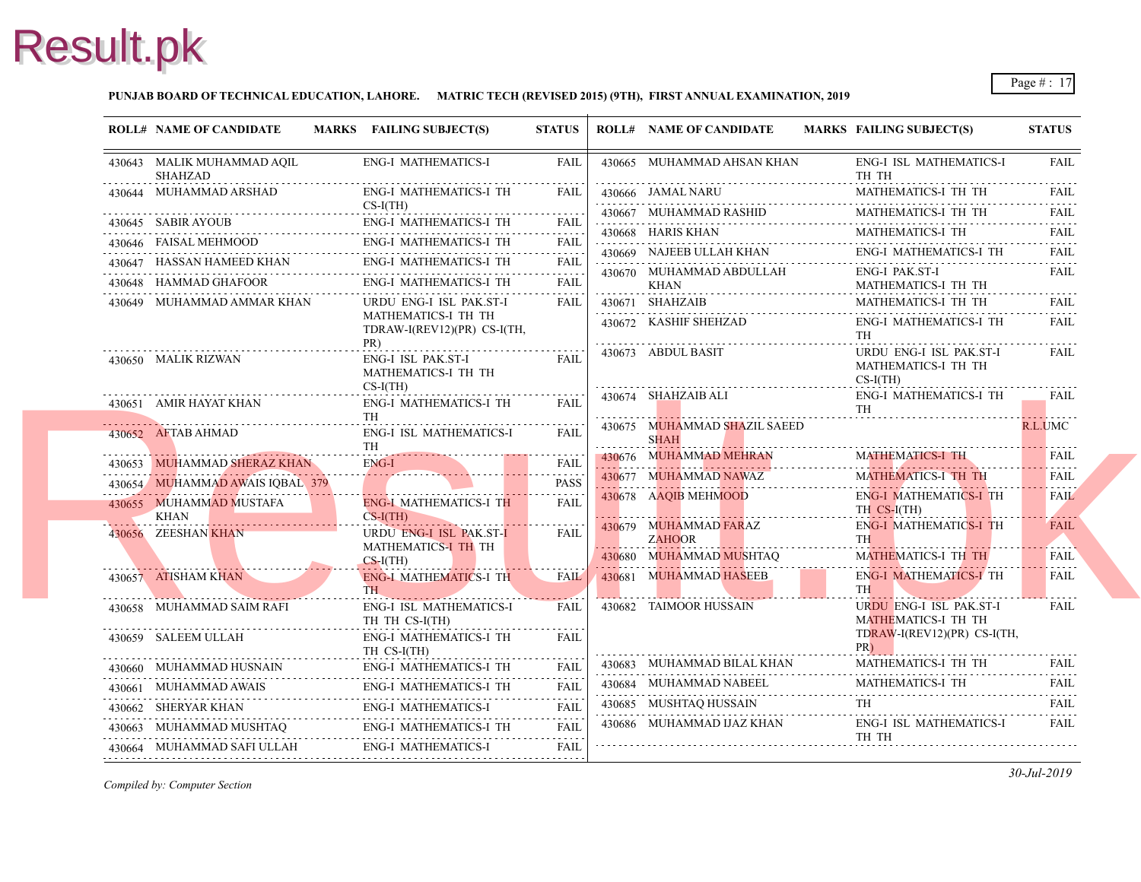#### **PUNJAB BOARD OF TECHNICAL EDUCATION, LAHORE. MATRIC TECH (REVISED 2015) (9TH), FIRST ANNUAL EXAMINATION, 2019**

| <b>ENG-I MATHEMATICS-I</b><br>FAIL<br>430665 MUHAMMAD AHSAN KHAN<br>ENG-<br>430643 MALIK MUHAMMAD AQIL<br>SHAHZAD<br>TH <sub>1</sub><br>430644 MUHAMMAD ARSHAD<br><b>ENG-I MATHEMATICS-I TH</b><br><b>MAT</b><br><b>FAIL</b><br>430666 JAMAL NARU<br>$CS-I(TH)$<br>430667 MUHAMMAD RASHID<br><b>MAT</b><br><b>ENG-I MATHEMATICS-I TH</b><br>430645 SABIR AYOUB<br><b>FAIL</b> |
|-------------------------------------------------------------------------------------------------------------------------------------------------------------------------------------------------------------------------------------------------------------------------------------------------------------------------------------------------------------------------------|
|                                                                                                                                                                                                                                                                                                                                                                               |
|                                                                                                                                                                                                                                                                                                                                                                               |
|                                                                                                                                                                                                                                                                                                                                                                               |
| 430668 HARIS KHAN<br><b>MAT</b><br>.<br><b>ENG-I MATHEMATICS-I TH</b><br>430646 FAISAL MEHMOOD<br>FAIL<br>430669 NAJEEB ULLAH KHAN                                                                                                                                                                                                                                            |
| ENG-<br><b>ENG-I MATHEMATICS-I TH</b><br>430647 HASSAN HAMEED KHAN<br>FAII.                                                                                                                                                                                                                                                                                                   |
| 430670 MUHAMMAD ABDULLAH<br>ENG-<br>.<br><b>ENG-I MATHEMATICS-I TH</b><br><b>FAIL</b><br>430648 HAMMAD GHAFOOR<br>KHAN<br><b>MAT</b>                                                                                                                                                                                                                                          |
| 430671 SHAHZAIB<br>430649 MUHAMMAD AMMAR KHAN<br>URDU ENG-I ISL PAK.ST-I<br>FAIL<br><b>MAT</b>                                                                                                                                                                                                                                                                                |
| MATHEMATICS-I TH TH<br>430672 KASHIF SHEHZAD<br>ENG-<br>TDRAW-I(REV12)(PR) CS-I(TH,<br>TH<br>PR)                                                                                                                                                                                                                                                                              |
| <b>URD</b><br>430673 ABDUL BASIT<br>430650 MALIK RIZWAN<br>ENG-I ISL PAK.ST-I<br>FAIL<br><b>MAT</b><br>MATHEMATICS-I TH TH<br>$CS-I($<br>$CS-I(TH)$                                                                                                                                                                                                                           |
| 430674 SHAHZAIB ALI<br>ENG-<br><b>ENG-I MATHEMATICS-I TH</b><br><b>FAIL</b><br>430651 AMIR HAYAT KHAN<br>TH<br>TH                                                                                                                                                                                                                                                             |
| 430675 MUHAMMAD SHAZIL SAEED<br><b>ENG-I ISL MATHEMATICS-I</b><br>430652 AFTAB AHMAD<br>FAIL<br><b>SHAH</b><br><b>TH</b><br>.                                                                                                                                                                                                                                                 |
| 430676 MUHAMMAD MEHRAN<br><b>MAT</b><br><b>ENG-I</b><br>430653 MUHAMMAD SHERAZ KHAN<br><b>FAIL</b><br>dia dia dia dia                                                                                                                                                                                                                                                         |
| 430677 MUHAMMAD NAWAZ<br><b>MAT</b><br>430654 MUHAMMAD AWAIS IQBAL 379<br><b>PASS</b>                                                                                                                                                                                                                                                                                         |
| 430678 AAQIB MEHMOOD<br>ENG-<br><b>ENG-I MATHEMATICS-I TH</b><br><b>FAIL</b><br>430655 MUHAMMAD MUSTAFA<br>TH <sub>C</sub><br>$CS-I(TH)$<br>KHAN                                                                                                                                                                                                                              |
| ENG-<br>430679 MUHAMMAD FARAZ<br>URDU ENG-I ISL PAK.ST-I<br>430656 ZEESHAN KHAN<br><b>FAIL</b><br><b>TH</b><br><b>ZAHOOR</b><br>MATHEMATICS-I TH TH                                                                                                                                                                                                                           |
| 430680 MUHAMMAD MUSHTAQ<br><b>MAT</b><br>$CS-I(TH)$                                                                                                                                                                                                                                                                                                                           |
| 430681 MUHAMMAD HASEEB<br>ENG-<br><b>ENG-I MATHEMATICS-I TH</b><br><b>FAIL</b><br>430657 ATISHAM KHAN<br>TH <sub>1</sub><br><b>TH</b>                                                                                                                                                                                                                                         |
| 430682 TAIMOOR HUSSAIN<br><b>URD</b><br>430658 MUHAMMAD SAIM RAFI<br>ENG-I ISL MATHEMATICS-I<br><b>FAIL</b><br><b>MAT</b><br>TH TH CS-I(TH)                                                                                                                                                                                                                                   |
| <b>TDR</b><br>430659 SALEEM ULLAH<br>ENG-I MATHEMATICS-I TH<br>FAIL<br>PR)<br>TH CS-I(TH)                                                                                                                                                                                                                                                                                     |
| 430683 MUHAMMAD BILAL KHAN<br><b>MAT</b><br>430660 MUHAMMAD HUSNAIN ENG-I MATHEMATICS-I TH FAIL                                                                                                                                                                                                                                                                               |
| 430684 MUHAMMAD NABEEL<br>MAT.<br>430661 MUHAMMAD AWAIS<br>ENG-I MATHEMATICS-I TH<br><b>FAIL</b>                                                                                                                                                                                                                                                                              |
| 430685 MUSHTAQ HUSSAIN<br>TH<br>ENG-I MATHEMATICS-I<br>430662 SHERYAR KHAN<br>430662 SHERYAR KHAN ENG-I MATHEMATICS-I FAIL                                                                                                                                                                                                                                                    |
| 430686 MUHAMMAD IJAZ KHAN<br>ENG-<br>ENG-I MATHEMATICS-I TH<br>$\begin{tabular}{llllll} \bf 430663 & \text{MUHAMMAD MUSHTAQ} & \text{ENG-I MATHEMATICS-I TH} & \text{FAIL} \end{tabular}$<br>TH                                                                                                                                                                               |
| <b>ENG-I MATHEMATICS-I</b><br>430664 MUHAMMAD SAFI ULLAH<br>FAIL                                                                                                                                                                                                                                                                                                              |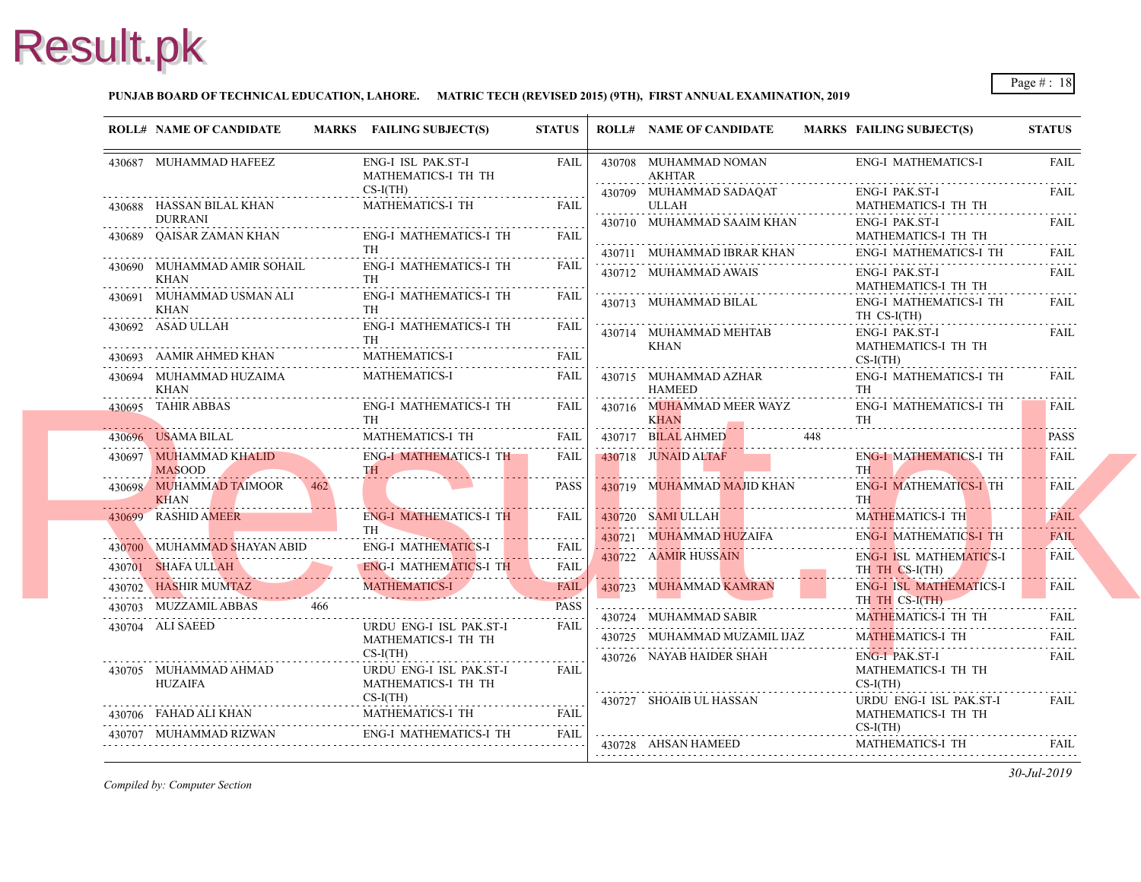#### **PUNJAB BOARD OF TECHNICAL EDUCATION, LAHORE. MATRIC TECH (REVISED 2015) (9TH), FIRST ANNUAL EXAMINATION, 2019**

|            | <b>ROLL# NAME OF CANDIDATE</b>             | MARKS FAILING SUBJECT(S)                                                                                                                                                                                                                                                                                                                                                                                                    | <b>STATUS</b>       | <b>ROLL# NAME OF CANDIDATE</b>                                     | <b>MARKS FAIL</b>       |
|------------|--------------------------------------------|-----------------------------------------------------------------------------------------------------------------------------------------------------------------------------------------------------------------------------------------------------------------------------------------------------------------------------------------------------------------------------------------------------------------------------|---------------------|--------------------------------------------------------------------|-------------------------|
|            | 430687 MUHAMMAD HAFEEZ                     | ENG-I ISL PAK.ST-I<br>MATHEMATICS-I TH TH                                                                                                                                                                                                                                                                                                                                                                                   | FAIL                | 430708 MUHAMMAD NOMAN<br>AKHTAR                                    | ENG-                    |
|            | 430688 HASSAN BILAL KHAN                   | $CS-I(TH)$<br><b>MATHEMATICS-I TH</b>                                                                                                                                                                                                                                                                                                                                                                                       | FAII.               | 430709 MUHAMMAD SADAQAT<br>ULLAH                                   | ENG-<br><b>MAT</b>      |
|            | <b>DURRANI</b>                             |                                                                                                                                                                                                                                                                                                                                                                                                                             |                     | 430710 MUHAMMAD SAAIM KHAN                                         | ENG-                    |
| . <b>.</b> |                                            |                                                                                                                                                                                                                                                                                                                                                                                                                             | FAIL                |                                                                    | <b>MAT</b>              |
|            |                                            | $\begin{tabular}{ll} \bf 430689 & QAISAR ZAMAN KHAN & \tt ENG-I MATHEMATICS-I TH \\ \hline \end{tabular}$                                                                                                                                                                                                                                                                                                                   |                     | 430711 MUHAMMAD IBRAR KHAN                                         | ENG-                    |
| .          |                                            | $\begin{tabular}{llllll} \multicolumn{2}{l}{{\bf 11}} & & & & & & & & & & \\ \hline 430690 & \multicolumn{2}{l}{{\bf 12}} & \multicolumn{2}{l}{{\bf 13}} & & & & & & & \\ \multicolumn{2}{l}{{\bf 13}} & \multicolumn{2}{l}{{\bf 14}} & \multicolumn{2}{l}{{\bf 15}} & \multicolumn{2}{l}{{\bf 16}} & \multicolumn{2}{l}{{\bf 17}} & \multicolumn{2}{l}{{\bf 18}} & \multicolumn{2}{l}{{\bf 19}} & \multicolumn{2}{l}{{\bf$ |                     | 430712 MUHAMMAD AWAIS                                              | ENG-<br><b>MAT</b>      |
|            | 430691 MUHAMMAD USMAN ALI                  | ENG-I MATHEMATICS-I TH                                                                                                                                                                                                                                                                                                                                                                                                      | FAIL                | 430713 MUHAMMAD BILAL                                              | ENG-                    |
|            | KHAN                                       | <b>TH</b>                                                                                                                                                                                                                                                                                                                                                                                                                   |                     |                                                                    | TH <sub>C</sub>         |
|            | 430692 ASAD ULLAH                          | ENG-I MATHEMATICS-I TH<br><b>TH</b>                                                                                                                                                                                                                                                                                                                                                                                         | FAIL                | 430714 MUHAMMAD MEHTAB                                             | ENG-                    |
|            |                                            | 430693 AAMIR AHMED KHAN MATHEMATICS-I FAIL                                                                                                                                                                                                                                                                                                                                                                                  |                     | KHAN                                                               | <b>MAT</b><br>$CS-I$    |
|            | 430694 MUHAMMAD HUZAIMA                    | MATHEMATICS-I FAIL                                                                                                                                                                                                                                                                                                                                                                                                          |                     | 430715 MUHAMMAD AZHAR                                              | ENG-                    |
| .          | KHAN                                       |                                                                                                                                                                                                                                                                                                                                                                                                                             |                     | HAMEED                                                             | TH                      |
|            | 430695 TAHIR ABBAS                         | ENG-I MATHEMATICS-I TH FAIL                                                                                                                                                                                                                                                                                                                                                                                                 |                     | 430716 MUHAMMAD MEER WAYZ                                          | ENG-<br>TH              |
|            |                                            | TH MATHEMATICS 1 TH FAIL                                                                                                                                                                                                                                                                                                                                                                                                    |                     | <b>EXAMPLE 18 AND RESERVE ASSESS</b><br>430717 BILAL AHMED 448     |                         |
|            |                                            | 430697 MUHAMMAD KHALID ENG-I MATHEMATICS-I TH FAIL                                                                                                                                                                                                                                                                                                                                                                          |                     | $-430718$ JUNAID ALTAF                                             | ENG-                    |
|            | <b>MASOOD</b>                              |                                                                                                                                                                                                                                                                                                                                                                                                                             |                     |                                                                    | <b>TH</b>               |
| . <i>.</i> | 430698 MUHAMMAD TAIMOOR 462<br><b>KHAN</b> |                                                                                                                                                                                                                                                                                                                                                                                                                             | <b>PASS</b>         | 430719 MUHAMMAD MAJID KHAN                                         | ENG-<br>TH \            |
|            | 430699 RASHID AMEER                        | ENG-I MATHEMATICS-I TH                                                                                                                                                                                                                                                                                                                                                                                                      | FAIL                | 430720 SAMI ULLAH                                                  | <b>MAT</b>              |
|            | <b>The community of the community</b>      | TH \                                                                                                                                                                                                                                                                                                                                                                                                                        | <u>.</u> <u>.</u> . | 430721 MUHAMMAD HUZAIFA                                            | ENG-                    |
|            |                                            | ENG-I MATHEMATICS-1                                                                                                                                                                                                                                                                                                                                                                                                         | <b>FAIL</b><br>.    | 430722 AAMIR HUSSAIN                                               | ENG-                    |
|            |                                            | 430701 SHAFA ULLAH ENG-I MATHEMATICS-I TH FAIL                                                                                                                                                                                                                                                                                                                                                                              |                     |                                                                    | TH <sub>1</sub>         |
|            |                                            | 430702 HASHIR MUMTAZ MATHEMATICS-I FAIL                                                                                                                                                                                                                                                                                                                                                                                     |                     | 430723 MUHAMMAD KAMRAN<br>the contract of the contract of the con- | ENG-<br>TH <sub>1</sub> |
|            |                                            | 430703 MUZZAMILABBAS 466 PASS                                                                                                                                                                                                                                                                                                                                                                                               |                     | 430724 MUHAMMAD SABIR                                              | <b>MAT</b>              |
|            | 430704 ALI SAEED                           | URDU ENG-I ISL PAK.ST-I                                                                                                                                                                                                                                                                                                                                                                                                     | FAIL                | 430725 MUHAMMAD MUZAMIL IJAZ                                       | <b>MAT</b>              |
|            |                                            | MATHEMATICS-I TH TH<br>$CS-I(TH)$                                                                                                                                                                                                                                                                                                                                                                                           |                     |                                                                    |                         |
|            | 430705 MUHAMMAD AHMAD                      | URDU ENG-I ISL PAK.ST-I                                                                                                                                                                                                                                                                                                                                                                                                     | FAIL                | 430726 NAYAB HAIDER SHAH                                           | ENG-<br><b>MAT</b>      |
|            | <b>HUZAIFA</b>                             | MATHEMATICS-I TH TH                                                                                                                                                                                                                                                                                                                                                                                                         |                     |                                                                    | $CS-I$                  |
|            |                                            | $CS-I(TH)$                                                                                                                                                                                                                                                                                                                                                                                                                  |                     | 430727 SHOAIB UL HASSAN                                            | <b>URD</b>              |
|            |                                            | ${\bf 430706\quad FAHAD ALI KHAMN} \qquad {\bf  MATHEMATICS\text{-}I\ \, TH} \qquad {\bf  FAIL} \qquad {\bf 111} \qquad {\bf 121} \qquad {\bf 132} \qquad {\bf 143} \qquad {\bf 154} \qquad {\bf 165} \qquad {\bf 176} \qquad {\bf 188} \qquad {\bf 199} \qquad {\bf 199} \qquad {\bf 199} \qquad {\bf 199} \qquad {\bf 199} \qquad {\bf 199} \qquad {\bf 199} \qquad {\bf 199} \qquad {\bf 199} \$                         |                     |                                                                    | <b>MAT</b><br>$CS-I($   |
|            |                                            | ENG-I MATHEMATICS-I TH<br>430707 MUHAMMAD RIZWAN ENG-I MATHEMATICS-I TH FAIL                                                                                                                                                                                                                                                                                                                                                |                     | 430728 AHSAN HAMEED                                                | <b>MAT</b>              |
|            |                                            |                                                                                                                                                                                                                                                                                                                                                                                                                             |                     |                                                                    |                         |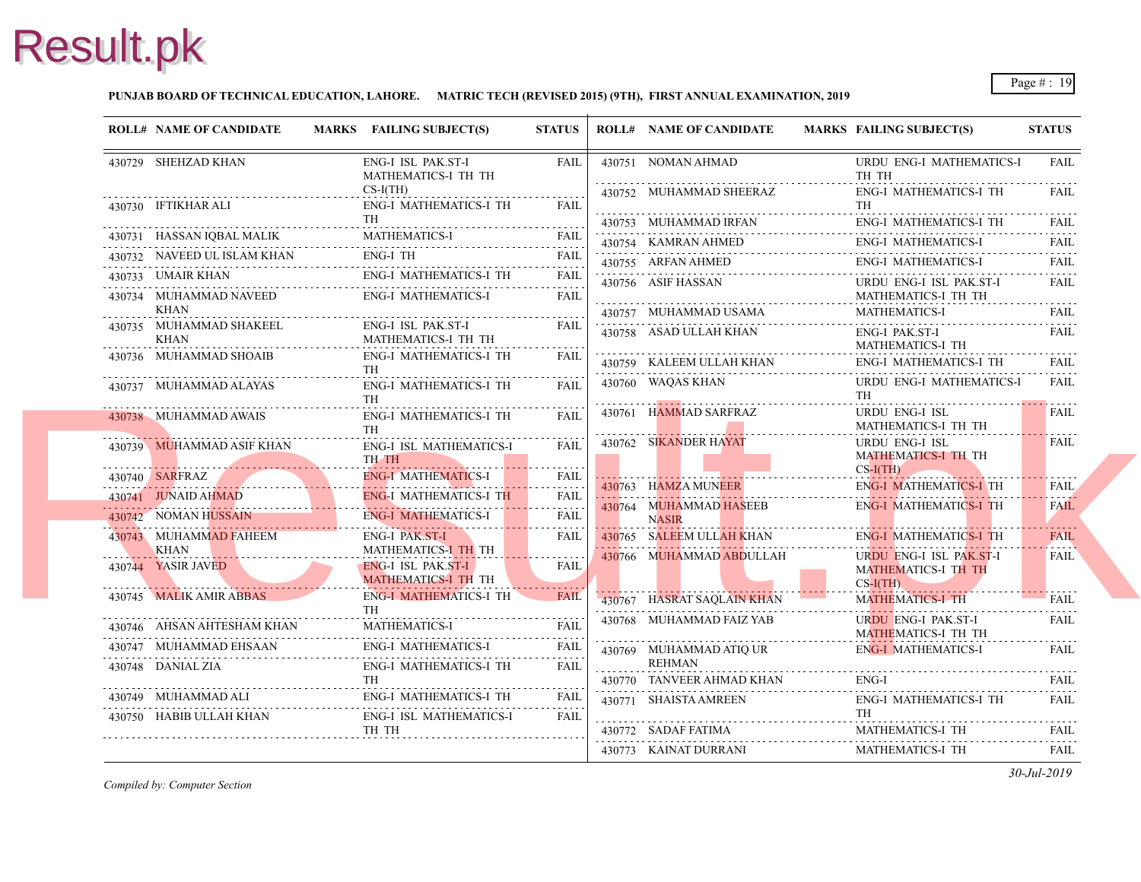#### **PUNJAB BOARD OF TECHNICAL EDUCATION, LAHORE. MATRIC TECH (REVISED 2015) (9TH), FIRST ANNUAL EXAMINATION, 2019**

| <b>ROLL# NAME OF CANDIDATE</b>        |                           | MARKS FAILING SUBJECT(S)                         | <b>STATUS</b>                 | <b>ROLL# NAME OF CANDIDATE</b>             | <b>MARKS FAIL</b>                   |
|---------------------------------------|---------------------------|--------------------------------------------------|-------------------------------|--------------------------------------------|-------------------------------------|
| 430729 SHEHZAD KHAN                   |                           | ENG-I ISL PAK.ST-I<br>MATHEMATICS-I TH TH        | <b>FAIL</b>                   | 430751 NOMAN AHMAD                         | <b>URD</b><br>TH 1                  |
| 430730 IFTIKHAR ALI                   |                           | $CS-I(TH)$<br>ENG-I MATHEMATICS-I TH             | <b>FAIL</b>                   | 430752 MUHAMMAD SHEERAZ                    | ENG-<br>TH                          |
|                                       |                           | <b>TH</b>                                        |                               | 430753 MUHAMMAD IRFAN                      | ENG-                                |
| 430731 HASSAN IQBAL MALIK             | .<br>1999 - Persona Paris | <b>MATHEMATICS-I</b>                             | <b>FAIL</b>                   | 430754 KAMRAN AHMED                        | ENG-                                |
| 430732 NAVEED UL ISLAM KHAN           |                           | ENG-I TH                                         | <b>FAIL</b>                   | 430755 ARFAN AHMED                         | ENG-                                |
| 430733 UMAIR KHAN                     |                           | <b>ENG-I MATHEMATICS-I TH</b>                    | <b>FAIL</b><br>.              | 430756 ASIF HASSAN                         | <b>URD</b>                          |
| 430734 MUHAMMAD NAVEED<br>KHAN        |                           | <b>ENG-I MATHEMATICS-I</b>                       | <b>FAIL</b>                   | 430757 MUHAMMAD USAMA                      | <b>MAT</b><br><b>MAT</b>            |
| 430735 MUHAMMAD SHAKEEL<br>KHAN       |                           | ENG-I ISL PAK.ST-I<br>MATHEMATICS-I TH TH        | FAIL                          | 430758 ASAD ULLAH KHAN                     | ENG-                                |
| 430736 MUHAMMAD SHOAIB                |                           | <b>ENG-I MATHEMATICS-I TH</b><br><b>TH</b>       | <b>FAIL</b>                   | 430759 KALEEM ULLAH KHAN                   | <b>MAT</b><br>ENG-                  |
| 430737 MUHAMMAD ALAYAS                |                           | <b>ENG-I MATHEMATICS-I TH</b><br>TH              | FAIL                          | 430760 WAQAS KHAN                          | <b>URD</b><br>TH                    |
| 430738 MUHAMMAD AWAIS                 |                           | ENG-I MATHEMATICS-I TH<br><b>TH</b>              | FAII.                         | 430761 HAMMAD SARFRAZ                      | <b>URD</b><br><b>MAT</b>            |
| 430739 MUHAMMAD ASIF KHAN             |                           | <b>ENG-I ISL MATHEMATICS-I</b><br>TH TH          | FAIL                          | 430762 SIKANDER HAYAT                      | <b>URD</b><br><b>MAT</b>            |
| 430740 SARFRAZ                        |                           | <b>ENG-I MATHEMATICS-I</b>                       | <b>FAIL</b>                   |                                            | $CS-I($                             |
| 430741 JUNAID AHMAD                   |                           | <b>ENG-I MATHEMATICS-I TH</b>                    | $-1 - 1 - 1$<br><b>FAIL</b>   | 430763 HAMZA MUNEER                        | ENG-                                |
| 430742 NOMAN HUSSAIN                  |                           | <b>ENG-I MATHEMATICS-I</b>                       | $\omega$ and $\omega$<br>FAIL | 430764 MUHAMMAD HASEEB<br><b>NASIR</b>     | ENG-                                |
| 430743 MUHAMMAD FAHEEM<br><b>KHAN</b> |                           | ENG-I PAK ST-I<br>MATHEMATICS-I TH TH            | <b>FAIL</b>                   | 430765 SALEEM ULLAH KHAN                   | ENG-                                |
| 430744 YASIR JAVED                    |                           | ENG-I ISL PAK.ST-I<br><b>MATHEMATICS-I TH TH</b> | <b>FAIL</b>                   | 430766 MUHAMMAD ABDULLAH                   | <b>URD</b><br><b>MAT</b><br>$CS-I($ |
| 430745 MALIK AMIR ABBAS               |                           | <b>ENG-I MATHEMATICS-I TH</b><br><b>TH</b>       | FAIL                          | 430767 HASRAT SAQLAIN KHAN                 | <b>MAT</b>                          |
| 430746 AHSAN AHTESHAM KHAN            |                           | <b>MATHEMATICS-I</b>                             | <b>FAIL</b>                   | 430768 MUHAMMAD FAIZ YAB                   | <b>URD</b><br><b>MAT</b>            |
| 430747 MUHAMMAD EHSAAN                |                           | <b>ENG-I MATHEMATICS-I</b>                       | <b>FAIL</b>                   | 430769 MUHAMMAD ATIQ UR                    | ENG-                                |
| 430748 DANIAL ZIA                     |                           | <b>ENG-I MATHEMATICS-I TH</b><br><b>TH</b>       | <b>FAIL</b>                   | <b>REHMAN</b><br>430770 TANVEER AHMAD KHAN | ENG-                                |
| 430749 MUHAMMAD ALI                   |                           | <b>ENG-I MATHEMATICS-I TH</b>                    | FAIL                          | 430771 SHAISTA AMREEN                      | ENG-                                |
| 430750 HABIB ULLAH KHAN               |                           | ENG-I ISL MATHEMATICS-I                          | FAIL                          |                                            | TH -                                |
|                                       |                           | TH TH                                            |                               | 430772 SADAF FATIMA                        | <b>MAT</b>                          |
|                                       |                           |                                                  |                               | 430773 KAINAT DURRANI                      | MAT.                                |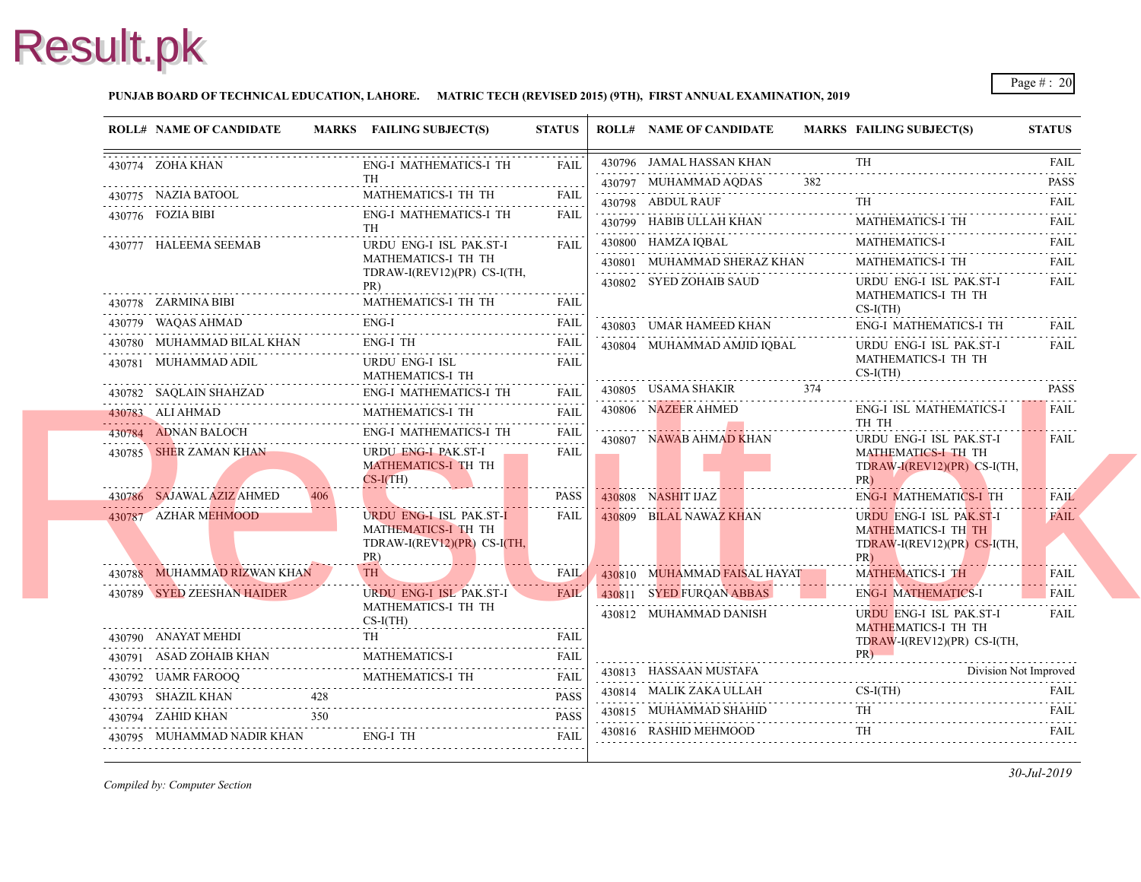#### **PUNJAB BOARD OF TECHNICAL EDUCATION, LAHORE. MATRIC TECH (REVISED 2015) (9TH), FIRST ANNUAL EXAMINATION, 2019**

| <b>ROLL# NAME OF CANDIDATE</b>                                                     |     | MARKS FAILING SUBJECT(S)                                      | <b>STATUS</b>                                                         |  | <b>ROLL# NAME OF CANDIDATE</b> | <b>MARKS FAIL</b> |                          |
|------------------------------------------------------------------------------------|-----|---------------------------------------------------------------|-----------------------------------------------------------------------|--|--------------------------------|-------------------|--------------------------|
| 430774 ZOHA KHAN                                                                   |     | <b>ENG-I MATHEMATICS-I TH</b><br>TH                           | <b>FAIL</b>                                                           |  | 430796 JAMAL HASSAN KHAN       |                   | <b>TH</b>                |
| 430775 NAZIA BATOOL                                                                |     | MATHEMATICS-I TH TH                                           | <b>FAIL</b>                                                           |  | 430797 MUHAMMAD AQDAS          |                   |                          |
| ZIA BATOOL<br>----------------------------------<br>430776 FOZIA BIBI              |     | ENG-I MATHEMATICS-I TH                                        | <b>FAIL</b>                                                           |  | 430798 ABDUL RAUF              |                   | TH                       |
|                                                                                    |     | <b>TH</b>                                                     |                                                                       |  | 430799 HABIB ULLAH KHAN        |                   | MAT.                     |
| 430777 HALEEMA SEEMAB                                                              |     | URDU ENG-I ISL PAK.ST-I                                       | <b>FAIL</b>                                                           |  | 430800 HAMZA IQBAL             |                   | <b>MAT</b>               |
|                                                                                    |     | MATHEMATICS-I TH TH<br>TDRAW-I(REV12)(PR) CS-I(TH,            |                                                                       |  | 430801 MUHAMMAD SHERAZ KHAN    |                   | <b>MAT</b>               |
|                                                                                    |     | PR)                                                           |                                                                       |  | 430802 SYED ZOHAIB SAUD        |                   | <b>URD</b>               |
| 430778 ZARMINA BIBI                                                                |     | MATHEMATICS-I TH TH<br>MATHEMATICS-I TH TH                    |                                                                       |  |                                |                   | <b>MAT</b><br>$CS-I$     |
| 430779 WAQAS AHMAD                                                                 |     | $ENG-I$                                                       | FAIL                                                                  |  | 430803 UMAR HAMEED KHAN        |                   | ENG-                     |
| 430780 MUHAMMAD BILAL KHAN                                                         |     | ENG-I TH                                                      | <b>FAIL</b>                                                           |  | 430804 MUHAMMAD AMJID IQBAL    |                   | <b>URD</b>               |
| 430781 MUHAMMAD ADIL                                                               |     | URDU ENG-I ISL<br>MATHEMATICS-I TH                            | <b>FAIL</b>                                                           |  |                                |                   | <b>MAT</b><br>$CS-I$     |
| 430782 SAQLAIN SHAHZAD                                                             |     |                                                               |                                                                       |  | 430805 USAMA SHAKIR            | 374               |                          |
| 430783 ALI AHMAD<br>430783 ALI AHMAD M                                             |     | MATHEMATICS-I TH                                              | <b>FAIL</b>                                                           |  | 430806 NAZEER AHMED            |                   | ENG-<br>TH <sub>1</sub>  |
| 430784 ADNAN BALOCH                                                                |     | <b>ENG-I MATHEMATICS-I TH</b>                                 | <b>FAIL</b><br>.                                                      |  | 430807 NAWAB AHMAD KHAN        |                   | <b>URD</b>               |
| 430785 SHER ZAMAN KHAN                                                             |     | URDU ENG-I PAK.ST-I<br><b>MATHEMATICS-I TH TH</b>             | <b>FAIL</b>                                                           |  |                                |                   | <b>MAT</b><br>TDR/       |
|                                                                                    |     | $CS-I(TH)$                                                    |                                                                       |  |                                |                   | PR)                      |
| 430786 SAJAWAL AZIZ AHMED                                                          |     |                                                               | PASS                                                                  |  | 430808 NASHIT IJAZ             |                   | ENG-                     |
| 430787 AZHAR MEHMOOD                                                               |     | URDU ENG-I ISL PAK.ST-I<br>MATHEMATICS-I TH TH                | FAIL                                                                  |  | 430809 BILAL NAWAZ KHAN        |                   | <b>URD</b><br><b>MAT</b> |
|                                                                                    |     | TDRAW-I(REV12)(PR) CS-I(TH,                                   |                                                                       |  |                                |                   | <b>TDR</b>               |
|                                                                                    |     | PR)<br>TH -                                                   |                                                                       |  |                                |                   | PR)                      |
| 430788 MUHAMMAD RIZWAN KHAN                                                        |     | . <i>.</i> .                                                  | <b>FAIL</b><br><b><i><u><u><b>A</b></u></u> A A A A A A A A A</i></b> |  | 430810 MUHAMMAD FAISAL HAYAT   |                   | <b>MAT</b>               |
| 430789 SYED ZEESHAN HAIDER                                                         |     | URDU ENG-I ISL PAK.ST-I<br>MATHEMATICS-I TH TH                | FAIL                                                                  |  | 430811 SYED FURQAN ABBAS       |                   | ENG-                     |
|                                                                                    |     | $CS-I(TH)$                                                    |                                                                       |  | 430812 MUHAMMAD DANISH         |                   | <b>URD</b><br><b>MAT</b> |
| 430790 ANAYAT MEHDI                                                                |     | <b>TH</b>                                                     | <b>FAIL</b>                                                           |  |                                |                   | <b>TDR</b>               |
|                                                                                    |     | <b>MATHEMATICS-I</b><br>430791 ASAD ZOHAIB KHAN MATHEMATICS-I | <b>FAIL</b>                                                           |  |                                |                   | PR)                      |
| 430792 UAMR FAROOQ                                                                 |     | MATHEMATICS-I TH<br>430792 UAMR FAROOQ MATHEMATICS-I TH FAIL  | <b>FAIL</b>                                                           |  | 430813 HASSAAN MUSTAFA         |                   |                          |
| 430793 SHAZIL KHAN                                                                 | 428 |                                                               | <b>PASS</b>                                                           |  | 430814 MALIK ZAKA ULLAH        |                   | $CS-I$                   |
| 430794 ZAHID KHAN                                                                  | 350 |                                                               | <b>PASS</b>                                                           |  | 430815 MUHAMMAD SHAHID         |                   | TH                       |
| 0795 MUHAMMAD NADIR KHAN ENG-I TH<br>430795 MUHAMMAD NADIR KHAN ENG-I TH FAIL FAIL |     |                                                               |                                                                       |  | 430816 RASHID MEHMOOD          |                   | TH                       |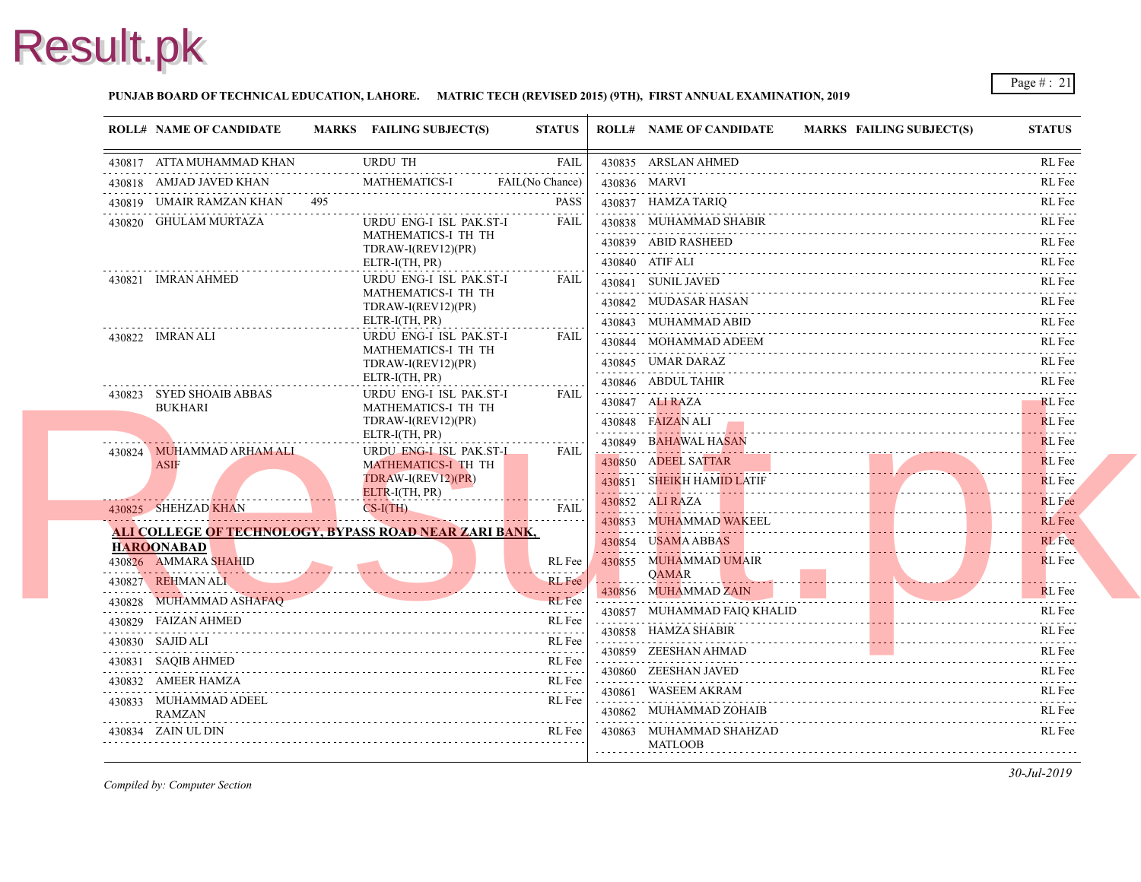

#### **PUNJAB BOARD OF TECHNICAL EDUCATION, LAHORE. MATRIC TECH (REVISED 2015) (9TH), FIRST ANNUAL EXAMINATION, 2019**

| <b>ROLL# NAME OF CANDIDATE</b>                                                                                                                   | MARKS FAILING SUBJECT(S)                                                                                       | <b>STATUS</b>   |            | <b>ROLL# NAME OF CANDIDATE</b>        | <b>MARKS FAIL</b> |
|--------------------------------------------------------------------------------------------------------------------------------------------------|----------------------------------------------------------------------------------------------------------------|-----------------|------------|---------------------------------------|-------------------|
| 430817 ATTA MUHAMMAD KHAN                                                                                                                        | <b>URDU TH</b>                                                                                                 | <b>FAIL</b>     |            | 430835 ARSLAN AHMED                   |                   |
| 430818 AMJAD JAVED KHAN                                                                                                                          | <b>MATHEMATICS-I</b>                                                                                           | FAIL(No Chance) |            | 430836 MARVI                          |                   |
| 430819 UMAIR RAMZAN KHAN 495                                                                                                                     |                                                                                                                | <b>PASS</b>     |            | 430837 HAMZA TARIQ                    |                   |
| 430820 GHULAM MURTAZA                                                                                                                            | URDU ENG-I ISL PAK.ST-I                                                                                        | <b>FAIL</b>     |            | 430838 MUHAMMAD SHABIR                |                   |
|                                                                                                                                                  | MATHEMATICS-I TH TH<br>TDRAW-I(REV12)(PR)                                                                      |                 |            | 430839 ABID RASHEED                   |                   |
|                                                                                                                                                  | ELTR-I(TH, PR)                                                                                                 |                 |            | 430840 ATIF ALI                       |                   |
| 430821 IMRAN AHMED                                                                                                                               | URDU ENG-I ISL PAK.ST-I<br>MATHEMATICS-I TH TH                                                                 | FAIL            |            | 430841 SUNIL JAVED                    |                   |
|                                                                                                                                                  | TDRAW-I(REV12)(PR)<br>ELTR-I(TH, PR)                                                                           |                 |            |                                       |                   |
|                                                                                                                                                  |                                                                                                                |                 |            | 430843 MUHAMMAD ABID                  |                   |
| 430822 IMRAN ALI                                                                                                                                 | URDU ENG-I ISL PAK.ST-I<br>MATHEMATICS-I TH TH                                                                 | FAIL            |            | 430844 MOHAMMAD ADEEM                 |                   |
|                                                                                                                                                  | TDRAW-I(REV12)(PR)                                                                                             |                 |            | 430845 UMAR DARAZ                     |                   |
| 430823 SYED SHOAIB ABBAS                                                                                                                         | ELTR-I(TH, PR)<br>URDU ENG-I ISL PAK.ST-I                                                                      | FAIL            |            | 430846 ABDUL TAHIR                    |                   |
| <b>BUKHARI</b>                                                                                                                                   | MATHEMATICS-I TH TH                                                                                            |                 |            | 430847 ALI RAZA                       |                   |
|                                                                                                                                                  | TDRAW-I(REV12)(PR)<br>ELTR-I(TH, PR)                                                                           |                 |            | 430848 FAIZAN ALI                     |                   |
| and the contract of the contract of the contract of the contract of the contract of the contract of the contract of<br>430824 MUHAMMAD ARHAM ALI | URDU ENG-I ISL PAK.ST-I                                                                                        | <b>FAIL</b>     |            | 430849 BAHAWAL HASAN                  |                   |
| <b>ASIF</b>                                                                                                                                      | <b>MATHEMATICS-I TH TH</b>                                                                                     |                 |            | 430850 ADEEL SATTAR                   |                   |
|                                                                                                                                                  | TDRAW-I(REV12)(PR)<br>ELTR-I(TH, PR)                                                                           |                 | . <b>.</b> | 430851 SHEIKH HAMID LATIF             |                   |
| 430825 SHEHZAD KHAN                                                                                                                              | $CS-I(TH)$                                                                                                     | <b>FAIL</b>     |            | 430852 ALI RAZA                       |                   |
| <b>ALI COLLEGE OF TECHNOLOGY, BYPASS ROAD NEAR ZARI BANK,</b>                                                                                    |                                                                                                                |                 |            | 430853 MUHAMMAD WAKEEL                |                   |
| <b>HAROONABAD</b>                                                                                                                                |                                                                                                                |                 |            | 430854 USAMA ABBAS                    |                   |
| 430826 AMMARA SHAHID                                                                                                                             |                                                                                                                | RL Fee          |            | 430855 MUHAMMAD UMAIR<br><b>OAMAR</b> |                   |
| 430827 REHMAN ALI                                                                                                                                | de la companya de la companya de la companya de la companya de la companya de la companya de la companya de la | <b>RL</b> Fee   |            | 430856 MUHAMMAD ZAIN                  |                   |
| 430828 MUHAMMAD ASHAFAO                                                                                                                          |                                                                                                                | <b>RL</b> Fee   |            | 430857 MUHAMMAD FAIQ KHALID           |                   |
| 430829 FAIZAN AHMED                                                                                                                              |                                                                                                                | RL Fee          |            | 430858 HAMZA SHABIR                   |                   |
| 430830 SAJID ALI                                                                                                                                 |                                                                                                                | RL Fee          |            | 430859 ZEESHAN AHMAD                  |                   |
| 430831 SAQIB AHMED                                                                                                                               |                                                                                                                | RL Fee          |            | 430860 ZEESHAN JAVED                  |                   |
| 430832 AMEER HAMZA                                                                                                                               |                                                                                                                | RL Fee          |            | 430861 WASEEM AKRAM                   |                   |
| 430833 MUHAMMAD ADEEL<br><b>RAMZAN</b>                                                                                                           |                                                                                                                | RL Fee          |            | 430862 MUHAMMAD ZOHAIB                |                   |
| 430834 ZAIN UL DIN                                                                                                                               |                                                                                                                | RL Fee          |            | 430863 MUHAMMAD SHAHZAD               |                   |
|                                                                                                                                                  |                                                                                                                |                 |            | <b>MATLOOB</b>                        |                   |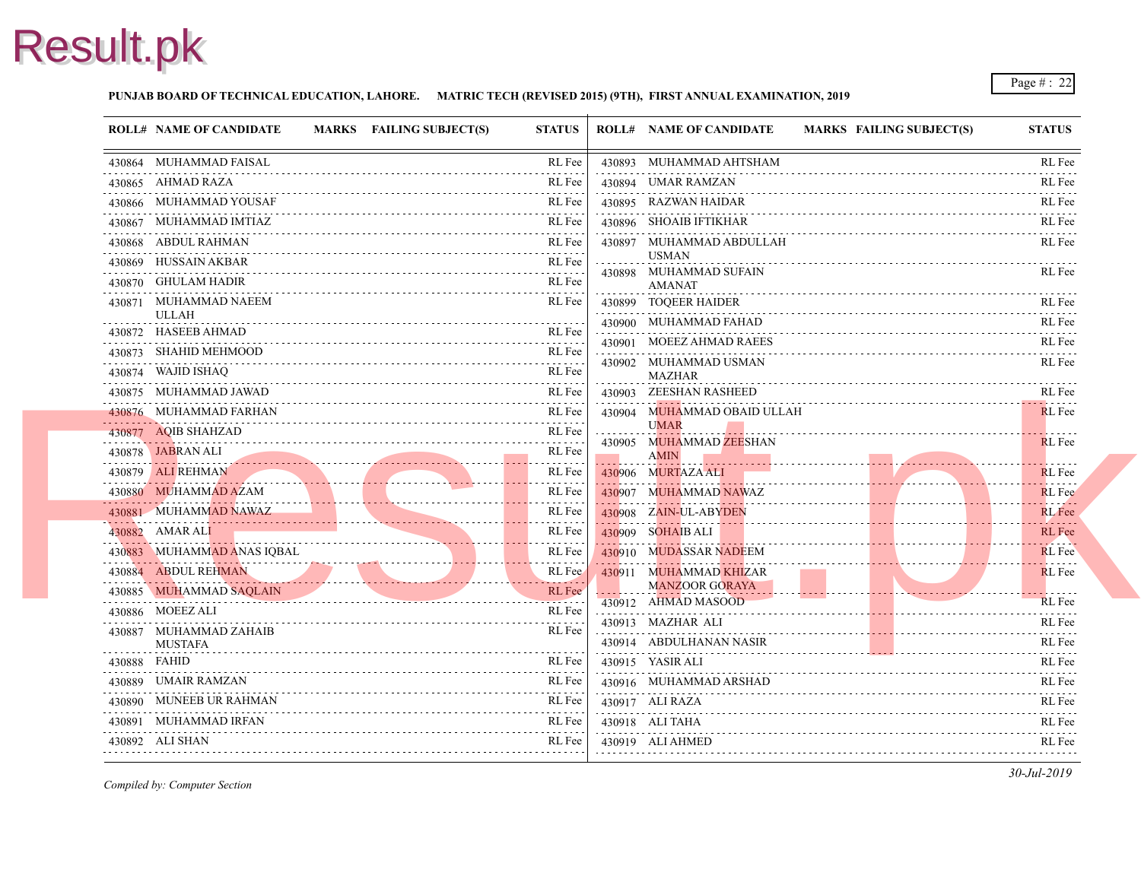#### **PUNJAB BOARD OF TECHNICAL EDUCATION, LAHORE. MATRIC TECH (REVISED 2015) (9TH), FIRST ANNUAL EXAMINATION, 2019**

|   | <b>ROLL# NAME OF CANDIDATE</b>                                                                                                                     | MARKS FAILING SUBJECT(S) | <b>STATUS</b>                                       | <b>ROLL# NAME OF CANDIDATE</b>          | <b>MARKS FAIL</b> |
|---|----------------------------------------------------------------------------------------------------------------------------------------------------|--------------------------|-----------------------------------------------------|-----------------------------------------|-------------------|
|   | 430864 MUHAMMAD FAISAL                                                                                                                             |                          | RL Fee                                              | 430893 MUHAMMAD AHTSHAM                 |                   |
|   | 430865 AHMAD RAZA                                                                                                                                  |                          | RL Fee                                              | 430894 UMAR RAMZAN                      |                   |
|   | 430866 MUHAMMAD YOUSAF                                                                                                                             |                          | RL Fee                                              | 430895 RAZWAN HAIDAR                    |                   |
|   | 430867 MUHAMMAD IMTIAZ                                                                                                                             |                          | RL Fee                                              | 430896 SHOAIB IFTIKHAR                  |                   |
|   | 430868 ABDUL RAHMAN                                                                                                                                |                          | RL Fee                                              | 430897 MUHAMMAD ABDULLAH                |                   |
|   | 430869 HUSSAIN AKBAR                                                                                                                               |                          | RL Fee<br>المتمام المتمار                           | <b>USMAN</b><br>430898 MUHAMMAD SUFAIN  |                   |
|   | 430870 GHULAM HADIR                                                                                                                                |                          | RL Fee                                              | <b>AMANAT</b>                           |                   |
|   | 430871 MUHAMMAD NAEEM                                                                                                                              |                          | RL Fee                                              | 430899 TOOEER HAIDER                    |                   |
| . | ULLAH<br>430872 HASEEB AHMAD                                                                                                                       |                          | .<br>RL Fee                                         | 430900 MUHAMMAD FAHAD                   |                   |
|   | 430873 SHAHID MEHMOOD                                                                                                                              |                          | RL Fee                                              | 430901 MOEEZ AHMAD RAEES                |                   |
|   | 430874 WAJID ISHAQ                                                                                                                                 |                          | $\sim$ $\sim$ $\sim$ $\sim$ $\sim$ $\sim$<br>RL Fee | 430902 MUHAMMAD USMAN                   |                   |
|   | 430875 MUHAMMAD JAWAD                                                                                                                              |                          | RL Fee                                              | <b>MAZHAR</b><br>430903 ZEESHAN RASHEED |                   |
|   | 430876 MUHAMMAD FARHAN                                                                                                                             |                          | RL Fee                                              | 430904 MUHAMMAD OBAID ULLAH             |                   |
|   | 430877 AQIB SHAHZAD                                                                                                                                |                          | RL Fee                                              | <b>UMAR</b>                             |                   |
|   | 430878 JABRAN ALI                                                                                                                                  |                          | RL Fee                                              | 430905 MUHAMMAD ZEESHAN<br><b>AMIN</b>  |                   |
|   | 430879 ALI REHMAN                                                                                                                                  |                          | RL Fee                                              | 430906 MURTAZA ALI                      |                   |
|   | 430880 MUHAMMAD AZAM                                                                                                                               |                          | RL Fee                                              | 430907 MUHAMMAD NAWAZ                   |                   |
|   | 430881 MUHAMMAD NAWAZ                                                                                                                              |                          | RL Fee                                              | 430908 ZAIN-UL-ABYDEN                   |                   |
|   | $\mathcal{L}^{\text{max}}_{\text{max}}$ and $\mathcal{L}^{\text{max}}_{\text{max}}$ and $\mathcal{L}^{\text{max}}_{\text{max}}$<br>430882 AMAR ALI |                          | RL Fee                                              | 430909 SOHAIB ALI                       |                   |
|   | . . <del>.</del><br>430883 MUHAMMAD ANAS IQBAL                                                                                                     |                          | RL Fee                                              | 430910 MUDASSAR NADEEM                  |                   |
|   | 430884 ABDUL REHMAN                                                                                                                                |                          | RL Fee                                              | 430911 MUHAMMAD KHIZAR                  |                   |
|   | 430885 MUHAMMAD SAQLAIN                                                                                                                            |                          | <b><i><u>PARKAR</u></i></b><br>RL Fee               | <b>MANZOOR GORAYA</b>                   |                   |
|   | . <del>.</del><br>430886 MOEEZ ALI                                                                                                                 |                          | <b>Service Control</b><br>RL Fee                    | 430912 AHMAD MASOOD                     |                   |
|   | 430887 MUHAMMAD ZAHAIB                                                                                                                             |                          | RL Fee                                              | 430913 MAZHAR ALI                       |                   |
|   | <b>MUSTAFA</b>                                                                                                                                     |                          |                                                     | 430914 ABDULHANAN NASIR                 |                   |
|   | 430888 FAHID                                                                                                                                       |                          | RL Fee                                              | 430915 YASIR ALI                        |                   |
|   | 430889 UMAIR RAMZAN                                                                                                                                |                          | RL Fee                                              | 430916 MUHAMMAD ARSHAD                  |                   |
|   | 430890 MUNEEB UR RAHMAN                                                                                                                            |                          | RL Fee                                              | 430917 ALI RAZA<br>.                    |                   |
|   | 430891 MUHAMMAD IRFAN                                                                                                                              |                          | RL Fee                                              | 430918 ALI TAHA                         |                   |
|   | 430892 ALI SHAN                                                                                                                                    |                          | RL Fee                                              | 430919 ALI AHMED                        |                   |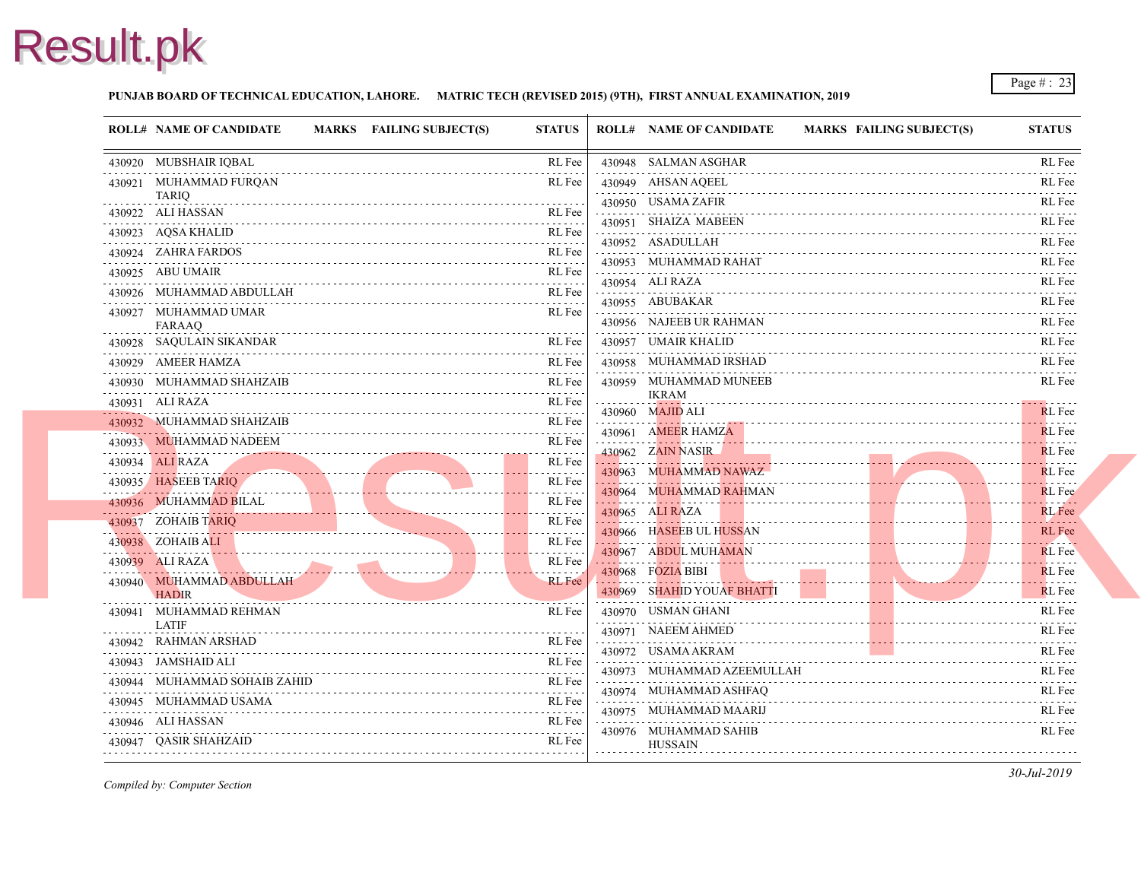#### **PUNJAB BOARD OF TECHNICAL EDUCATION, LAHORE. MATRIC TECH (REVISED 2015) (9TH), FIRST ANNUAL EXAMINATION, 2019**

|            | <b>ROLL# NAME OF CANDIDATE</b>                                                                                                                                                                                                                                | <b>MARKS</b> FAILING SUBJECT(S)                                                                                                                                                                                                      | <b>STATUS</b>                                                                                                                                                                                                                                                                                                                                                                                                                               | <b>ROLL# NAME OF CANDIDATE</b>                   | <b>MARKS FAIL</b> |
|------------|---------------------------------------------------------------------------------------------------------------------------------------------------------------------------------------------------------------------------------------------------------------|--------------------------------------------------------------------------------------------------------------------------------------------------------------------------------------------------------------------------------------|---------------------------------------------------------------------------------------------------------------------------------------------------------------------------------------------------------------------------------------------------------------------------------------------------------------------------------------------------------------------------------------------------------------------------------------------|--------------------------------------------------|-------------------|
|            | 430920 MUBSHAIR IQBAL                                                                                                                                                                                                                                         |                                                                                                                                                                                                                                      | RL Fee                                                                                                                                                                                                                                                                                                                                                                                                                                      | 430948 SALMAN ASGHAR                             |                   |
|            | 430921 MUHAMMAD FURQAN                                                                                                                                                                                                                                        |                                                                                                                                                                                                                                      | RL Fee                                                                                                                                                                                                                                                                                                                                                                                                                                      | 430949 AHSAN AQEEL                               |                   |
| .          | TARIQ<br>430922 ALI HASSAN                                                                                                                                                                                                                                    |                                                                                                                                                                                                                                      | RL Fee                                                                                                                                                                                                                                                                                                                                                                                                                                      | 430950 USAMA ZAFIR                               |                   |
|            | 430923 AQSA KHALID                                                                                                                                                                                                                                            |                                                                                                                                                                                                                                      | RL Fee                                                                                                                                                                                                                                                                                                                                                                                                                                      | 430951 SHAIZA MABEEN                             |                   |
|            | 430924 ZAHRA FARDOS                                                                                                                                                                                                                                           |                                                                                                                                                                                                                                      | RL Fee                                                                                                                                                                                                                                                                                                                                                                                                                                      | 430952 ASADULLAH<br>.                            |                   |
|            | 430925 ABU UMAIR                                                                                                                                                                                                                                              |                                                                                                                                                                                                                                      | RL Fee                                                                                                                                                                                                                                                                                                                                                                                                                                      | 430953 MUHAMMAD RAHAT                            |                   |
|            | 430926 MUHAMMAD ABDULLAH                                                                                                                                                                                                                                      |                                                                                                                                                                                                                                      | RL Fee                                                                                                                                                                                                                                                                                                                                                                                                                                      | 430954 ALI RAZA                                  |                   |
|            | 430927 MUHAMMAD UMAR                                                                                                                                                                                                                                          |                                                                                                                                                                                                                                      |                                                                                                                                                                                                                                                                                                                                                                                                                                             | 430955 ABUBAKAR                                  |                   |
|            | <b>FARAAQ</b>                                                                                                                                                                                                                                                 |                                                                                                                                                                                                                                      | RL Fee                                                                                                                                                                                                                                                                                                                                                                                                                                      | 430956 NAJEEB UR RAHMAN                          |                   |
|            | 430928 SAQULAIN SIKANDAR                                                                                                                                                                                                                                      |                                                                                                                                                                                                                                      | RL Fee                                                                                                                                                                                                                                                                                                                                                                                                                                      | 430957 UMAIR KHALID                              |                   |
|            | 430929 AMEER HAMZA                                                                                                                                                                                                                                            |                                                                                                                                                                                                                                      | RL Fee                                                                                                                                                                                                                                                                                                                                                                                                                                      | 430958 MUHAMMAD IRSHAD                           |                   |
|            | 430930 MUHAMMAD SHAHZAIB                                                                                                                                                                                                                                      |                                                                                                                                                                                                                                      | RL Fee                                                                                                                                                                                                                                                                                                                                                                                                                                      | 430959 MUHAMMAD MUNEEB                           |                   |
|            | 430931 ALI RAZA                                                                                                                                                                                                                                               |                                                                                                                                                                                                                                      | $\label{eq:2.1} \begin{array}{cccccccccc} \mathbf{1} & \mathbf{1} & \mathbf{1} & \mathbf{1} & \mathbf{1} & \mathbf{1} & \mathbf{1} & \mathbf{1} & \mathbf{1} & \mathbf{1} & \mathbf{1} & \mathbf{1} & \mathbf{1} & \mathbf{1} & \mathbf{1} & \mathbf{1} & \mathbf{1} & \mathbf{1} & \mathbf{1} & \mathbf{1} & \mathbf{1} & \mathbf{1} & \mathbf{1} & \mathbf{1} & \mathbf{1} & \mathbf{1} & \mathbf{1} & \mathbf{1} & \mathbf{1}$<br>RL Fee | <b>IKRAM</b>                                     |                   |
| . <u>.</u> | 430932 MUHAMMAD SHAHZAIB                                                                                                                                                                                                                                      |                                                                                                                                                                                                                                      | RL Fee                                                                                                                                                                                                                                                                                                                                                                                                                                      | 430960 MAJID ALI                                 |                   |
|            | 430933 MUHAMMAD NADEEM                                                                                                                                                                                                                                        |                                                                                                                                                                                                                                      | RL Fee                                                                                                                                                                                                                                                                                                                                                                                                                                      | 430961 AMEER HAMZA                               |                   |
|            | 430934 ALI RAZA                                                                                                                                                                                                                                               |                                                                                                                                                                                                                                      | RL Fee                                                                                                                                                                                                                                                                                                                                                                                                                                      | 430962 ZAIN NASIR                                |                   |
|            | 430935 HASEEB TARIO                                                                                                                                                                                                                                           | <u> 1988 - Johann Johann Johann Johann Johann Johann Johann Johann Johann Johann Johann Johann Johann Johann Johann Johann Johann Johann Johann Johann Johann Johann Johann Johann Johann Johann Johann Johann Johann Johann Joh</u> | .<br>RL Fee                                                                                                                                                                                                                                                                                                                                                                                                                                 | 430963 MUHAMMAD NAWAZ<br>. <b>.</b> <del>.</del> |                   |
|            | 430936 MUHAMMAD BILAL<br>430936 MUHAMMAD BILAL <b>Andrew Muhammad Bilan Muhammad Bilan Andrew Muhammad Bilan Andrew Muhammad Andrew Muhammad Bilan Andrew Muhammad Andrew Muhammad Andrew Muhammad Andrew Muhammad Andrew Muhammad Andrew Muhammad Andrew</b> |                                                                                                                                                                                                                                      | RL Fee                                                                                                                                                                                                                                                                                                                                                                                                                                      | 430964 MUHAMMAD RAHMAN                           |                   |
|            | 430937 ZOHAIB TARIQ                                                                                                                                                                                                                                           | <u>ANIQ</u>                                                                                                                                                                                                                          | الداعات عامات<br>RL Fee                                                                                                                                                                                                                                                                                                                                                                                                                     | 430965 ALI RAZA                                  |                   |
|            | 430938 ZOHAIB ALI                                                                                                                                                                                                                                             |                                                                                                                                                                                                                                      | .<br>RL Fee                                                                                                                                                                                                                                                                                                                                                                                                                                 | 430966 HASEEB UL HUSSAN                          |                   |
|            | 430939 ALI RAZA                                                                                                                                                                                                                                               |                                                                                                                                                                                                                                      | RL Fee                                                                                                                                                                                                                                                                                                                                                                                                                                      | 430967 ABDUL MUHAMAN                             |                   |
|            | 430940 MUHAMMAD ABDULLAH                                                                                                                                                                                                                                      |                                                                                                                                                                                                                                      | .<br><b>RL</b> Fee                                                                                                                                                                                                                                                                                                                                                                                                                          | 430968 FOZIA BIBI                                |                   |
|            | <b>HADIR</b>                                                                                                                                                                                                                                                  |                                                                                                                                                                                                                                      |                                                                                                                                                                                                                                                                                                                                                                                                                                             | 430969 SHAHID YOUAF BHATTI                       |                   |
|            | 430941 MUHAMMAD REHMAN<br><b>LATIF</b>                                                                                                                                                                                                                        |                                                                                                                                                                                                                                      | RL Fee                                                                                                                                                                                                                                                                                                                                                                                                                                      | 430970 USMAN GHANI                               |                   |
| .          | 430942 RAHMAN ARSHAD                                                                                                                                                                                                                                          |                                                                                                                                                                                                                                      | RL Fee                                                                                                                                                                                                                                                                                                                                                                                                                                      | 430971 NAEEM AHMED                               |                   |
|            | 430943 JAMSHAID ALI                                                                                                                                                                                                                                           |                                                                                                                                                                                                                                      | RL Fee                                                                                                                                                                                                                                                                                                                                                                                                                                      | 430972 USAMA AKRAM                               |                   |
|            | 430944 MUHAMMAD SOHAIB ZAHID                                                                                                                                                                                                                                  |                                                                                                                                                                                                                                      | RL Fee                                                                                                                                                                                                                                                                                                                                                                                                                                      | 430973 MUHAMMAD AZEEMULLAH                       |                   |
|            | 430945 MUHAMMAD USAMA                                                                                                                                                                                                                                         |                                                                                                                                                                                                                                      | RL Fee                                                                                                                                                                                                                                                                                                                                                                                                                                      | 430974 MUHAMMAD ASHFAQ                           |                   |
|            | 430946 ALI HASSAN                                                                                                                                                                                                                                             |                                                                                                                                                                                                                                      | RL Fee                                                                                                                                                                                                                                                                                                                                                                                                                                      | 430975 MUHAMMAD MAARIJ                           |                   |
|            | 430947 QASIR SHAHZAID                                                                                                                                                                                                                                         |                                                                                                                                                                                                                                      | RL Fee                                                                                                                                                                                                                                                                                                                                                                                                                                      | 430976 MUHAMMAD SAHIB<br><b>HUSSAIN</b>          |                   |
|            |                                                                                                                                                                                                                                                               |                                                                                                                                                                                                                                      |                                                                                                                                                                                                                                                                                                                                                                                                                                             |                                                  |                   |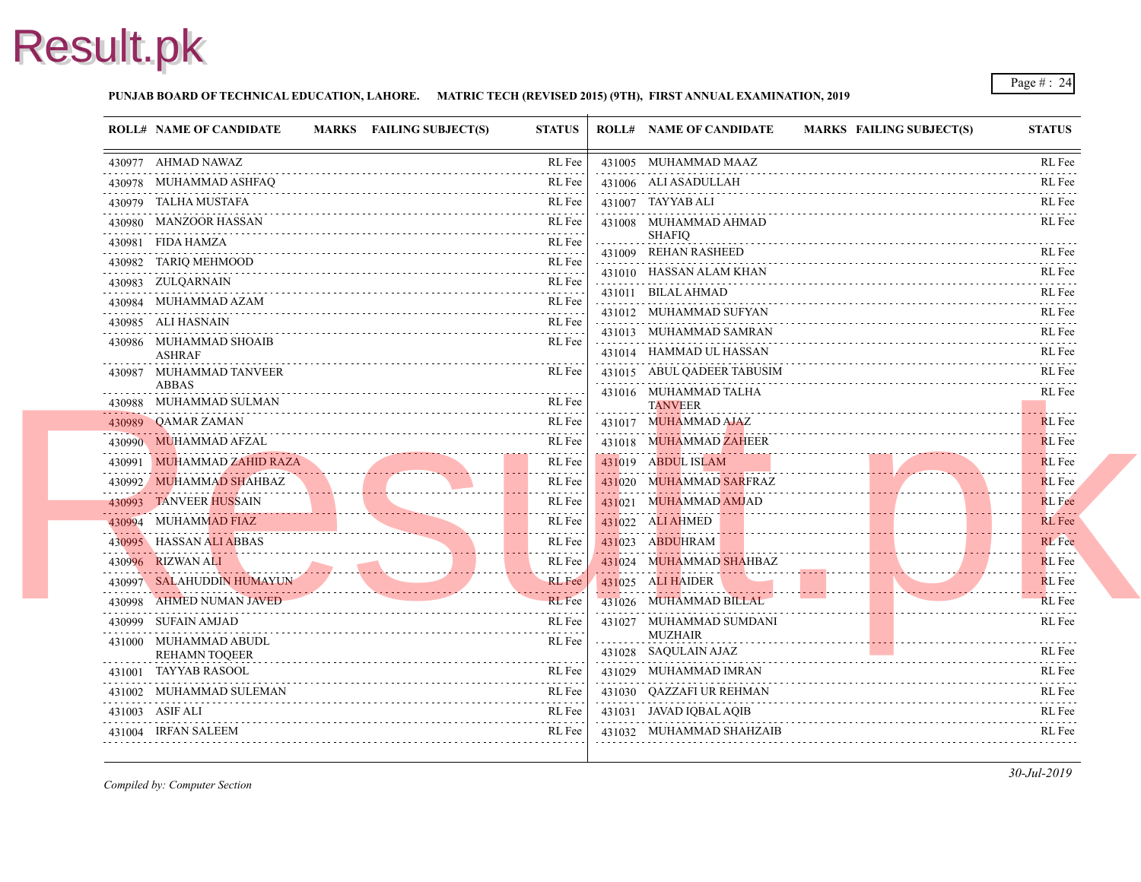#### **PUNJAB BOARD OF TECHNICAL EDUCATION, LAHORE. MATRIC TECH (REVISED 2015) (9TH), FIRST ANNUAL EXAMINATION, 2019**

| <b>ROLL# NAME OF CANDIDATE</b>                | MARKS FAILING SUBJECT(S) | <b>STATUS</b>                       | <b>ROLL# NAME OF CANDIDATE</b>          | <b>MARKS FAIL</b> |
|-----------------------------------------------|--------------------------|-------------------------------------|-----------------------------------------|-------------------|
| 430977 AHMAD NAWAZ                            |                          | RL Fee                              | 431005 MUHAMMAD MAAZ                    |                   |
| 430978 MUHAMMAD ASHFAQ                        |                          | RL Fee                              | 431006 ALI ASADULLAH                    |                   |
| 430979 TALHA MUSTAFA                          |                          | RL Fee                              | 431007 TAYYAB ALI                       |                   |
| 430980 MANZOOR HASSAN                         |                          | RL Fee                              | 431008 MUHAMMAD AHMAD                   |                   |
| 430981 FIDA HAMZA<br>.                        |                          | RL Fee<br>.                         | <b>SHAFIO</b><br>431009 REHAN RASHEED   |                   |
| 430982 TARIQ MEHMOOD                          |                          | RL Fee                              | 431010 HASSAN ALAM KHAN                 |                   |
| 430983 ZULQARNAIN                             |                          | RL Fee                              | 431011 BILAL AHMAD                      |                   |
| 430984 MUHAMMAD AZAM                          |                          | RL Fee                              | 431012 MUHAMMAD SUFYAN                  |                   |
| 430985 ALI HASNAIN                            |                          | RL Fee                              | 431013 MUHAMMAD SAMRAN                  |                   |
| 430986 MUHAMMAD SHOAIB<br><b>ASHRAF</b>       |                          | RL Fee                              | 431014 HAMMAD UL HASSAN                 |                   |
| 430987 MUHAMMAD TANVEER<br><b>ABBAS</b>       |                          | RL Fee                              | 431015 ABUL QADEER TABUSIM              |                   |
| 430988 MUHAMMAD SULMAN                        |                          | RL Fee                              | 431016 MUHAMMAD TALHA<br><b>TANVEER</b> |                   |
| 430989 QAMAR ZAMAN                            |                          | RL Fee                              | 431017 MUHAMMAD AJAZ                    |                   |
| 430990 MUHAMMAD AFZAL                         |                          | RL Fee                              | 431018 MUHAMMAD ZAHEER                  |                   |
| 430991 MUHAMMAD ZAHID RAZA                    |                          | RL Fee                              | 431019 ABDUL ISLAM                      |                   |
| 430992 MUHAMMAD SHAHBAZ                       |                          | RL Fee                              | 431020 MUHAMMAD SARFRAZ                 |                   |
| 430993 TANVEER HUSSAIN                        |                          | RL Fee                              | 431021 MUHAMMAD AMJAD                   |                   |
| 430994 MUHAMMAD FIAZ                          |                          | $\omega$ is a probability<br>RL Fee | 431022 ALI AHMED                        |                   |
| 430995 HASSAN ALI ABBAS                       |                          | RL Fee                              | 431023 ABDUHRAM                         |                   |
| 430996 RIZWAN ALI                             |                          | RL Fee                              | 431024 MUHAMMAD SHAHBAZ                 |                   |
| 430997 SALAHUDDIN HUMAYUN                     | TUN REFUE                | .<br><b>RL</b> Fee                  | 431025 ALI HAIDER                       |                   |
| 430998 AHMED NUMAN JAVED                      |                          | <b>RL</b> Fee                       | 431026 MUHAMMAD BILLAL                  |                   |
| 430999 SUFAIN AMJAD                           |                          | RL Fee                              | 431027 MUHAMMAD SUMDANI                 |                   |
| 431000 MUHAMMAD ABUDL<br><b>REHAMN TOQEER</b> |                          | RL Fee                              | <b>MUZHAIR</b><br>431028 SAQULAIN AJAZ  |                   |
| 431001 TAYYAB RASOOL                          |                          | RL Fee                              | 431029 MUHAMMAD IMRAN                   |                   |
| 431002 MUHAMMAD SULEMAN                       |                          | RL Fee                              | 431030 QAZZAFI UR REHMAN                |                   |
| 431003 ASIF ALI                               |                          | RL Fee                              | 431031 JAVAD IQBAL AQIB                 |                   |
| 431004 IRFAN SALEEM                           |                          | RL Fee                              | 431032 MUHAMMAD SHAHZAIB                |                   |
|                                               |                          |                                     |                                         |                   |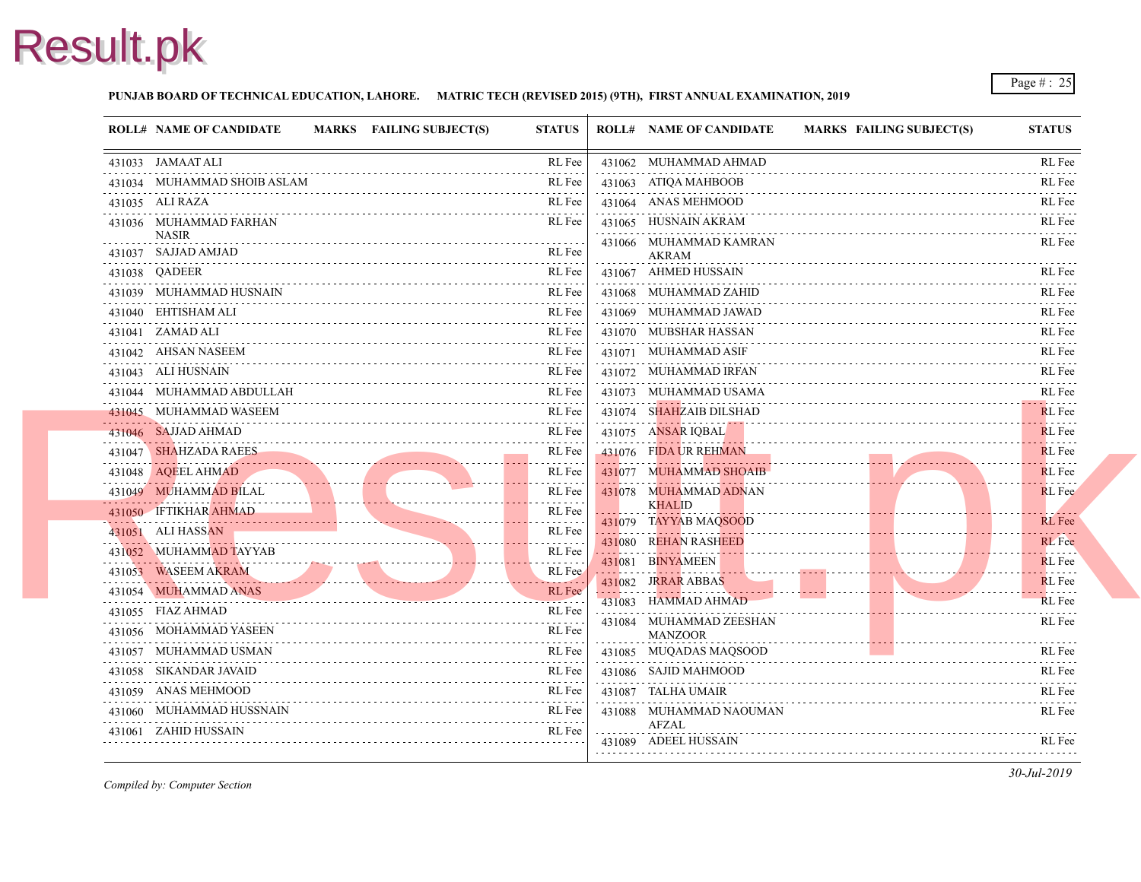

#### **PUNJAB BOARD OF TECHNICAL EDUCATION, LAHORE. MATRIC TECH (REVISED 2015) (9TH), FIRST ANNUAL EXAMINATION, 2019**

| <b>ROLL# NAME OF CANDIDATE</b>          | <b>MARKS</b> FAILING SUBJECT(S) | <b>STATUS</b> | <b>ROLL# NAME OF CANDIDATE</b>         | <b>MARKS FAIL</b> |
|-----------------------------------------|---------------------------------|---------------|----------------------------------------|-------------------|
| 431033 JAMAAT ALI                       |                                 | RL Fee        | 431062 MUHAMMAD AHMAD                  |                   |
| 431034 MUHAMMAD SHOIB ASLAM             |                                 | RL Fee        | 431063 ATIOA MAHBOOB                   |                   |
| 431035 ALI RAZA                         |                                 | RL Fee        | 431064 ANAS MEHMOOD                    |                   |
| 431036 MUHAMMAD FARHAN<br><b>NASIR</b>  |                                 | RL Fee        | 431065 HUSNAIN AKRAM                   |                   |
| 431037 SAJJAD AMJAD                     |                                 | RL Fee        | 431066 MUHAMMAD KAMRAN<br>AKRAM        |                   |
| 431038 QADEER                           |                                 | RL Fee        | 431067 AHMED HUSSAIN                   |                   |
| 431039 MUHAMMAD HUSNAIN                 |                                 | RL Fee        | 431068 MUHAMMAD ZAHID                  |                   |
| 431040 EHTISHAM ALI                     |                                 | RL Fee        | 431069 MUHAMMAD JAWAD                  |                   |
| 431041 ZAMAD ALI                        |                                 | RL Fee        | 431070 MUBSHAR HASSAN                  |                   |
| 431042 AHSAN NASEEM<br>.                |                                 | RL Fee        | 431071 MUHAMMAD ASIF                   |                   |
| 431043 ALI HUSNAIN                      |                                 | RL Fee        | 431072 MUHAMMAD IRFAN                  |                   |
| 431044 MUHAMMAD ABDULLAH                |                                 | RL Fee        | 431073 MUHAMMAD USAMA                  |                   |
| 431045 MUHAMMAD WASEEM                  |                                 | RL Fee        | 431074 SHAHZAIB DILSHAD                |                   |
| 431046 SAJJAD AHMAD                     |                                 | RL Fee        | 431075 ANSAR IOBAL                     |                   |
| 431047 SHAHZADA RAEES                   |                                 | RL Fee        | 431076 FIDA UR REHMAN                  |                   |
| 431048 AQEEL AHMAD                      |                                 | RL Fee        | 431077 MUHAMMAD SHOAIB                 |                   |
| 431049 MUHAMMAD BILAL                   |                                 | RL Fee<br>.   | 431078 MUHAMMAD ADNAN                  |                   |
| 431050 IFTIKHAR AHMAD                   |                                 | RL Fee        | <b>KHALID</b><br>431079 TAYYAB MAQSOOD |                   |
| 431051 ALI HASSAN                       |                                 | RL Fee<br>.   | 431080 REHAN RASHEED                   |                   |
| 431052 MUHAMMAD TAYYAB<br>$\frac{1}{2}$ |                                 | RL Fee<br>.   | 431081 BINYAMEEN                       |                   |
| 431053 WASEEM AKRAM                     |                                 | RL Fee        | 431082 JRRAR ABBAS                     |                   |
| 431054 MUHAMMAD ANAS                    |                                 | RL Fee        | 431083 HAMMAD AHMAD                    |                   |
| 431055 FIAZ AHMAD                       |                                 | RL Fee        | 431084 MUHAMMAD ZEESHAN                |                   |
| 431056 MOHAMMAD YASEEN                  |                                 | RL Fee        | <b>MANZOOR</b>                         |                   |
| 431057 MUHAMMAD USMAN                   |                                 | RL Fee        | 431085 MUQADAS MAQSOOD                 |                   |
| 431058 SIKANDAR JAVAID                  |                                 | RL Fee        | 431086 SAJID MAHMOOD                   |                   |
| 431059 ANAS MEHMOOD                     |                                 | RL Fee        | 431087 TALHA UMAIR                     |                   |
| 431060 MUHAMMAD HUSSNAIN                |                                 | RL Fee        | 431088 MUHAMMAD NAOUMAN                |                   |
| 431061 ZAHID HUSSAIN                    |                                 | RL Fee        | <b>AFZAL</b>                           |                   |
|                                         |                                 |               | 431089 ADEEL HUSSAIN                   |                   |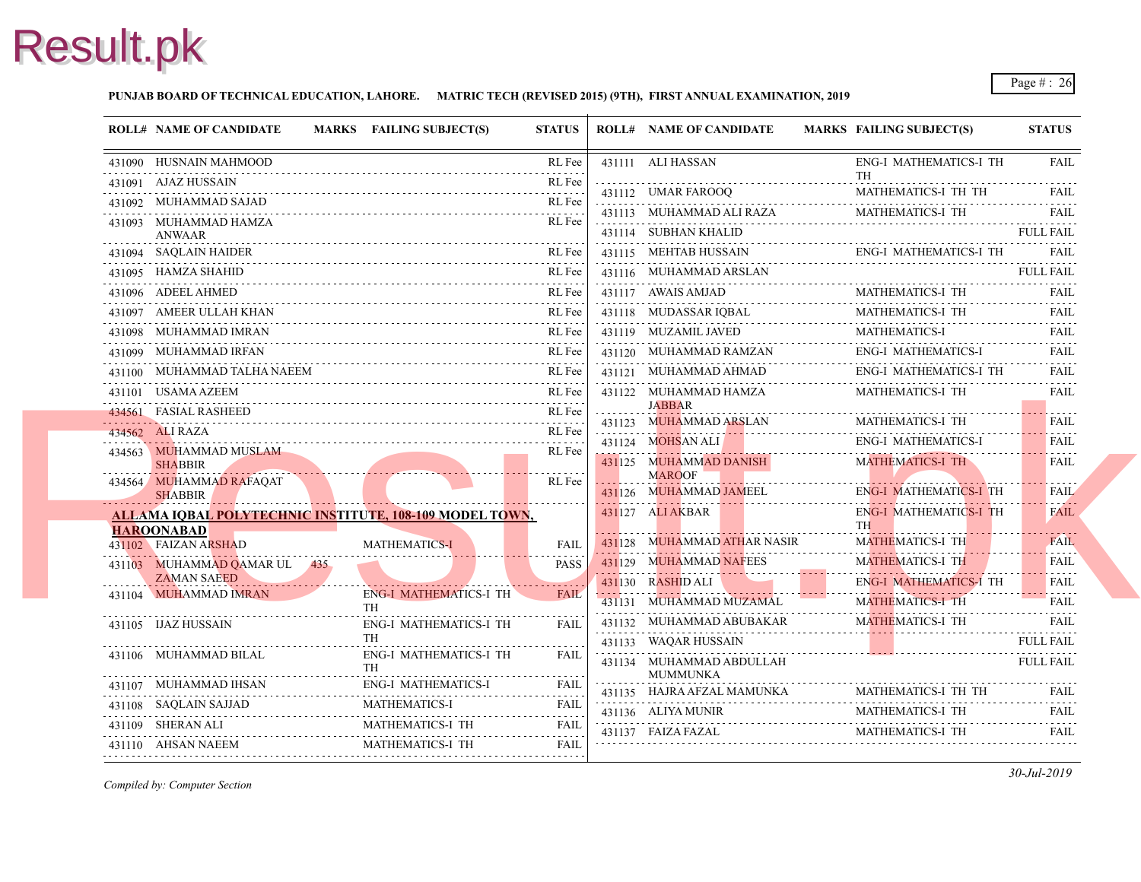#### **PUNJAB BOARD OF TECHNICAL EDUCATION, LAHORE. MATRIC TECH (REVISED 2015) (9TH), FIRST ANNUAL EXAMINATION, 2019**

|   | <b>ROLL# NAME OF CANDIDATE</b>                                 | MARKS FAILING SUBJECT(S)                   | <b>STATUS</b>    | <b>ROLL# NAME OF CANDIDATE</b>                   | <b>MARKS FAIL</b>       |
|---|----------------------------------------------------------------|--------------------------------------------|------------------|--------------------------------------------------|-------------------------|
|   | 431090 HUSNAIN MAHMOOD                                         |                                            | RL Fee           | 431111 ALI HASSAN                                | ENG-                    |
| . | 431091 AJAZ HUSSAIN                                            |                                            | RL Fee           | 431112 UMAR FAROOO                               | TH<br><b>MAT</b>        |
|   | 431092 MUHAMMAD SAJAD                                          |                                            | RL Fee           |                                                  | <b>MAT</b>              |
|   | 431093 MUHAMMAD HAMZA                                          |                                            | RL Fee           | 431113 MUHAMMAD ALI RAZA<br>431114 SUBHAN KHALID |                         |
|   | ANWAAR<br>431094 SAOLAIN HAIDER                                |                                            | RL Fee           | 431115 MEHTAB HUSSAIN                            | ENG-                    |
|   | 431095 HAMZA SHAHID                                            |                                            | RL Fee           | 431116 MUHAMMAD ARSLAN                           |                         |
|   | 431096 ADEEL AHMED                                             |                                            | RL Fee           | 431117 AWAIS AMJAD                               | <b>MAT</b>              |
|   | 431097 AMEER ULLAH KHAN                                        |                                            | RL Fee           | 431118 MUDASSAR IOBAL                            | <b>MAT</b>              |
|   |                                                                |                                            |                  |                                                  |                         |
|   | 431098 MUHAMMAD IMRAN<br>431099 MUHAMMAD IRFAN                 |                                            | RL Fee<br>RL Fee | 431119 MUZAMIL JAVED<br>431120 MUHAMMAD RAMZAN   | <b>MAT</b><br>ENG-      |
|   |                                                                |                                            |                  |                                                  |                         |
|   | 431100 MUHAMMAD TALHA NAEEM                                    |                                            | RL Fee           | 431121 MUHAMMAD AHMAD                            | ENG-                    |
|   | 431101 USAMA AZEEM                                             |                                            | RL Fee           | 431122 MUHAMMAD HAMZA<br><b>JABBAR</b>           | <b>MAT</b>              |
|   | 434561 FASIAL RASHEED                                          |                                            | RL Fee           | 431123 MUHAMMAD ARSLAN                           | <b>MAT</b>              |
|   | 434562 ALI RAZA                                                |                                            | RL Fee           | 431124 MOHSAN ALI                                | ENG-                    |
|   | 434563 MUHAMMAD MUSLAM<br><b>SHABBIR</b>                       |                                            | RL Fee           | 431125 MUHAMMAD DANISH                           | <b>MAT</b>              |
|   | 434564 MUHAMMAD RAFAQAT                                        |                                            | RL Fee           | <b>MAROOF</b>                                    |                         |
|   | <b>SHABBIR</b>                                                 |                                            |                  | 431126 MUHAMMAD JAMEEL                           | ENG-                    |
|   | <b>ALLAMA IOBAL POLYTECHNIC INSTITUTE, 108-109 MODEL TOWN,</b> |                                            |                  | 431127 ALI AKBAR                                 | ENG-<br>TH <sub>1</sub> |
|   | <b>HAROONABAD</b><br>431102 FAIZAN ARSHAD                      | <b>MATHEMATICS-I</b>                       | <b>FAIL</b>      | 431128 MUHAMMAD ATHAR NASIR                      | <b>MAT</b>              |
|   | 431103 MUHAMMAD QAMAR UL 435                                   |                                            | <b>PASS</b>      | 431129 MUHAMMAD NAFEES                           | <b>MAT</b>              |
|   | <b>ZAMAN SAEED</b>                                             |                                            |                  | 431130 RASHID ALI                                | ENG-                    |
|   | 431104 MUHAMMAD IMRAN                                          | <b>ENG-I MATHEMATICS-I TH</b><br><b>TH</b> | <b>FAIL</b>      | 431131 MUHAMMAD MUZAMAL                          | <b>MAT</b>              |
|   | 431105 IJAZ HUSSAIN                                            | <b>ENG-I MATHEMATICS-I TH</b>              | FAIL             | 431132 MUHAMMAD ABUBAKAR                         | <b>MAT</b>              |
|   |                                                                | <b>TH</b>                                  |                  | 431133 WAQAR HUSSAIN                             |                         |
|   | 431106 MUHAMMAD BILAL                                          | <b>ENG-I MATHEMATICS-I TH</b><br>TH.       | <b>FAIL</b>      | 431134 MUHAMMAD ABDULLAH                         |                         |
|   | 431107 MUHAMMAD IHSAN                                          | <b>ENG-I MATHEMATICS-I</b>                 | <b>FAIL</b>      | MUMMUNKA                                         |                         |
|   | 431108 SAQLAIN SAJJAD                                          | MATHEMATICS-I                              | .<br><b>FAIL</b> | 431135 HAJRA AFZAL MAMUNKA                       | MAT.                    |
|   | 431109 SHERAN ALI                                              | MATHEMATICS-I TH                           | <b>FAIL</b>      | 431136 ALIYA MUNIR                               | <b>MAT</b>              |
|   | 431110 AHSAN NAEEM                                             | MATHEMATICS-I TH                           | FAIL             | 431137 FAIZA FAZAL                               | <b>MAT</b>              |
|   |                                                                |                                            |                  |                                                  |                         |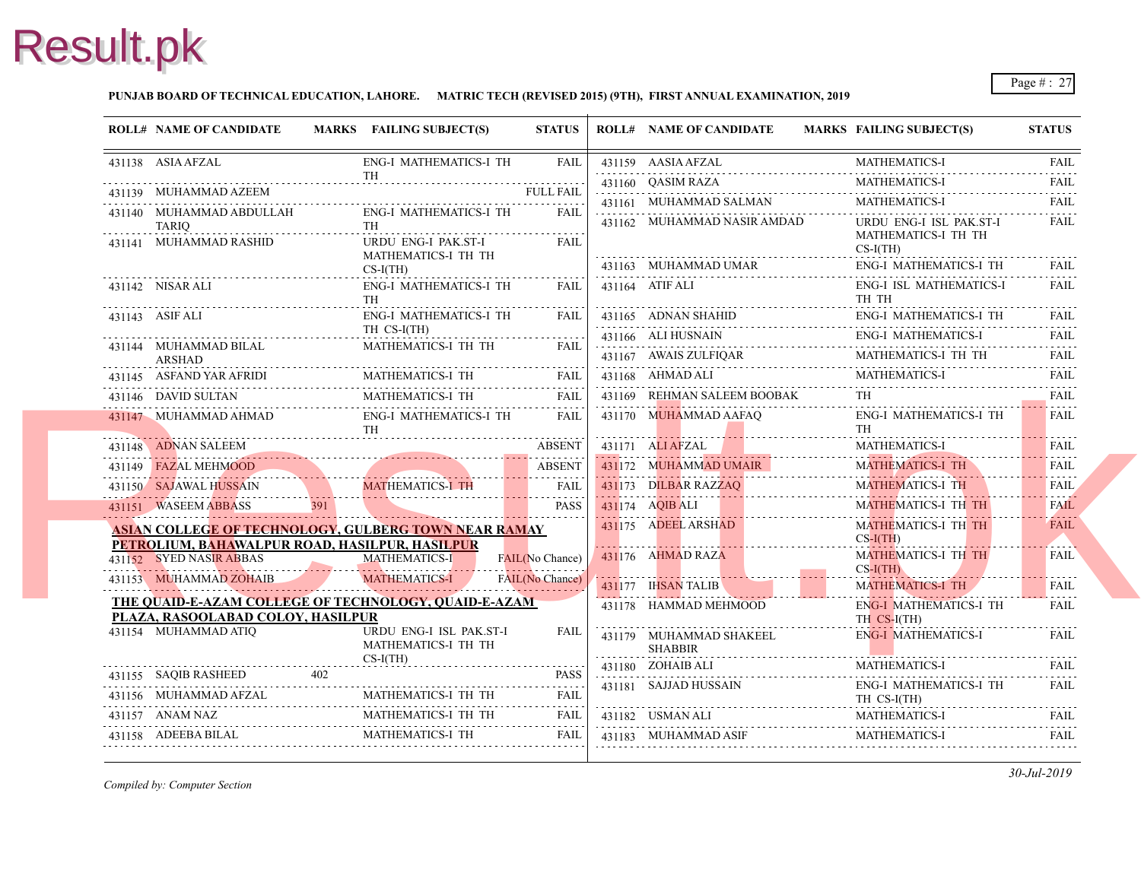#### **PUNJAB BOARD OF TECHNICAL EDUCATION, LAHORE. MATRIC TECH (REVISED 2015) (9TH), FIRST ANNUAL EXAMINATION, 2019**

|   | <b>ROLL# NAME OF CANDIDATE</b>                                                                                                                                                                                                                                                 |                                            | MARKS FAILING SUBJECT(S)            | <b>STATUS</b>          | <b>ROLL# NAME OF CANDIDATE</b>                    | <b>MARKS FAIL</b> |                       |
|---|--------------------------------------------------------------------------------------------------------------------------------------------------------------------------------------------------------------------------------------------------------------------------------|--------------------------------------------|-------------------------------------|------------------------|---------------------------------------------------|-------------------|-----------------------|
|   | 431138 ASIA AFZAL                                                                                                                                                                                                                                                              |                                            | ENG-I MATHEMATICS-I TH              | FAIL I                 | 431159 AASIA AFZAL                                |                   | <b>MAT</b>            |
|   | 431139 MUHAMMAD AZEEM                                                                                                                                                                                                                                                          |                                            | <b>TH</b>                           | <b>FULL FAIL</b>       | 431160 QASIM RAZA                                 |                   | <b>MAT</b>            |
|   | 431139 MUHAMMAD AZEEM FULL FAIL                                                                                                                                                                                                                                                |                                            |                                     |                        | 431161 MUHAMMAD SALMAN                            |                   | <b>MAT</b>            |
|   | 431140 MUHAMMAD ABDULLAH<br>TARIO                                                                                                                                                                                                                                              |                                            | ENG-I MATHEMATICS-I TH<br>TH T      | FAIL                   | 431162 MUHAMMAD NASIR AMDAD                       |                   | <b>URD</b>            |
|   | 431141 MUHAMMAD RASHID                                                                                                                                                                                                                                                         |                                            | URDU ENG-I PAK.ST-I                 | FAIL                   |                                                   |                   | <b>MAT</b><br>$CS-I($ |
|   |                                                                                                                                                                                                                                                                                |                                            | MATHEMATICS-I TH TH<br>$CS-I(TH)$   |                        | 431163 MUHAMMAD UMAR                              |                   | ENG-                  |
|   | 431142 NISAR ALI                                                                                                                                                                                                                                                               |                                            | ENG-I MATHEMATICS-I TH<br><b>TH</b> | <b>FAIL</b>            | 431164 ATIF ALI                                   |                   | ENG-<br>TH T          |
|   | 431143 ASIF ALI                                                                                                                                                                                                                                                                |                                            | <b>ENG-I MATHEMATICS-I TH</b>       | FAIL                   | $431165$ ADNAN SHAHID ENG-                        |                   | ENG-                  |
|   |                                                                                                                                                                                                                                                                                |                                            | TH CS-I(TH)                         |                        | 431166 ALI HUSNAIN<br>431166 ALI HUSNAIN          |                   | ENG-                  |
|   | 431144 MUHAMMAD BILAL<br>ARSHAD                                                                                                                                                                                                                                                |                                            | MATHEMATICS-I TH TH                 | FAIL.                  | $431167$ AWAIS ZULFIQAR                           |                   | <b>MAT</b>            |
| . | $\begin{tabular}{ll} \bf 431145 & ASFAND YAR AFRIDI & MATHEMATICS-I TH & FAIL \\ \hline \end{tabular}$                                                                                                                                                                         |                                            |                                     |                        | 431168 AHMAD ALI                                  |                   | <b>MAT</b>            |
|   | 431146 DAVID SULTAN<br>431146 DAVID SULTAN MATHEMATICS-I TH                                                                                                                                                                                                                    |                                            | MATHEMATICS-I TH<br>FAIL            |                        | 431169 REHMAN SALEEM BOOBAK                       |                   | .<br>TH.              |
|   | 431147 MUHAMMAD AHMAD ENG-I MATHEMATICS-I TH<br>TH THE CONSTRUCTION OF THE CONSTRUCTION OF THE CONSTRUCTION OF THE CONSTRUCTION OF THE CONSTRUCTION OF THE CONSTRUCTION OF THE CONSTRUCTION OF THE CONSTRUCTION OF THE CONSTRUCTION OF THE CONSTRUCTION OF THE CONSTRUCTION OF |                                            | <b>TH</b>                           |                        | 431170 MUHAMMAD AAFAQ                             |                   | ENG-<br>TH            |
|   | 431148 ADNAN SALEEM<br>431148 ADNAN SALEEM ABSENT                                                                                                                                                                                                                              |                                            |                                     | <b>ABSENT</b>          | 431171 ALI AFZAL                                  |                   | <b>MAT</b>            |
|   | 431149 FAZAL MEHMOOD                                                                                                                                                                                                                                                           |                                            |                                     | ABSENT                 | 431172 MUHAMMAD UMAIR<br>431172 MUHAMMAD UMAIR MA |                   | <b>MAT</b>            |
|   | 431150 SAJAWAL HUSSAIN                                                                                                                                                                                                                                                         |                                            | MATHEMATICS-I TH                    |                        | 431173 DILBAR RAZZAQ                              |                   | <b>MAT</b>            |
|   | 431151 WASEEM ABBASS<br>431151 WASEEM ABBASS 391                                                                                                                                                                                                                               | 391                                        |                                     | <b>PASS</b>            | 431174 AQIB ALI                                   |                   | <b>MAT</b>            |
|   | <b>ASIAN COLLEGE OF TECHNOLOGY, GULBERG TOWN NEAR RAMAY</b><br>PETROLIUM, BAHAWALPUR ROAD, HASILPUR, HASILPUR                                                                                                                                                                  |                                            |                                     |                        | 431175 ADEEL ARSHAD                               |                   | <b>MAT</b><br>$CS-I($ |
|   | 431152 SYED NASIR ABBAS                                                                                                                                                                                                                                                        | <b>Contract Contract Contract Contract</b> | <b>MATHEMATICS-I</b>                | FAIL(No Chance)        | $431176$ AHMAD RAZA                               |                   | <b>MAT</b>            |
|   | 431153 MUHAMMAD ZOHAIB                                                                                                                                                                                                                                                         |                                            | MATHEMATICS-I                       | <b>FAIL(No Chance)</b> | 431177 IHSAN TALIB                                |                   | $CS-I($<br><b>MAT</b> |
|   | THE QUAID-E-AZAM COLLEGE OF TECHNOLOGY, QUAID-E-AZAM                                                                                                                                                                                                                           |                                            |                                     |                        | 431178 HAMMAD MEHMOOD                             |                   | ENG-                  |
|   | PLAZA, RASOOLABAD COLOY, HASILPUR<br>431154 MUHAMMAD ATIO                                                                                                                                                                                                                      |                                            | URDU ENG-I ISL PAK.ST-I             | <b>FAIL</b>            | 431179 MUHAMMAD SHAKEEL                           |                   | TH C<br>ENG-          |
|   |                                                                                                                                                                                                                                                                                |                                            | MATHEMATICS-I TH TH                 |                        | <b>SHABBIR</b>                                    |                   |                       |
|   |                                                                                                                                                                                                                                                                                |                                            | $CS-I(TH)$                          |                        | 431180 ZOHAIB ALI                                 |                   | <b>MATI</b>           |
|   | 431155 SAQIB RASHEED 402 PASS                                                                                                                                                                                                                                                  |                                            |                                     |                        | 431181 SAJJAD HUSSAIN                             |                   | ENG-                  |
|   | $\begin{tabular}{ll} \bf 431156 & \bf MUHAMMAD AFZAL & \bf MATHEMATICS-I TH TH & \bf FAIL \\ \bf \end{tabular} \label{tab:2}$                                                                                                                                                  |                                            |                                     |                        |                                                   |                   | TH <sub>C</sub>       |
|   | 431157 ANAM NAZ MATHEMATICS-I TH TH FAIL                                                                                                                                                                                                                                       |                                            |                                     | FAIL                   | 431182 USMAN ALI                                  |                   | <b>MAT</b>            |
|   | 431158 ADEEBA BILAL                                                                                                                                                                                                                                                            |                                            | MATHEMATICS-I TH                    | FAIL                   | 431183 MUHAMMAD ASIF                              |                   | <b>MAT</b>            |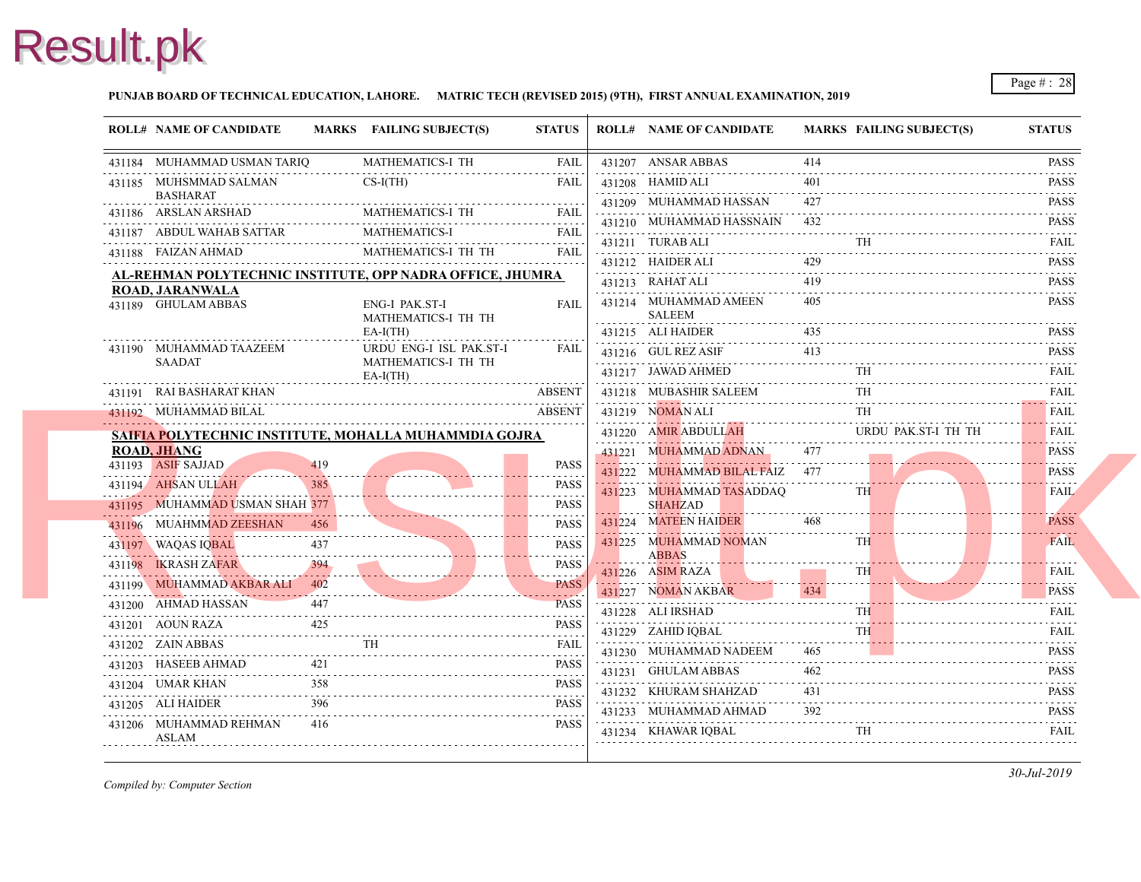

#### **PUNJAB BOARD OF TECHNICAL EDUCATION, LAHORE. MATRIC TECH (REVISED 2015) (9TH), FIRST ANNUAL EXAMINATION, 2019**

| <b>ROLL# NAME OF CANDIDATE</b>           |     | MARKS FAILING SUBJECT(S)                                  | <b>STATUS</b>              | <b>ROLL# NAME OF CANDIDATE</b>               | <b>MARKS FAIL</b> |            |
|------------------------------------------|-----|-----------------------------------------------------------|----------------------------|----------------------------------------------|-------------------|------------|
| 431184 MUHAMMAD USMAN TARIQ              |     | MATHEMATICS-I TH                                          | FAIL                       | 431207 ANSAR ABBAS                           | 414               |            |
| 431185 MUHSMMAD SALMAN                   |     | $CS-I(TH)$                                                | <b>FAIL</b>                | 431208 HAMID ALI                             | 401               |            |
| <b>BASHARAT</b><br>431186 ARSLAN ARSHAD  |     | MATHEMATICS-I TH                                          | <b>FAIL</b>                | 431209 MUHAMMAD HASSAN                       | 427<br>.          |            |
| 431187 ABDUL WAHAB SATTAR                |     | MATHEMATICS-I                                             | 2.2.2.2.2<br><b>FAIL</b>   | 431210 MUHAMMAD HASSNAIN                     | 432               |            |
| 431188 FAIZAN AHMAD                      |     | MATHEMATICS-I TH TH                                       | <b>FAIL</b>                | 431211 TURAB ALI                             |                   | TH         |
|                                          |     | AL-REHMAN POLYTECHNIC INSTITUTE, OPP NADRA OFFICE, JHUMRA |                            | 431212 HAIDER ALI                            | 429               |            |
| ROAD, JARANWALA                          |     |                                                           |                            | 431213 RAHAT ALI                             | 419               |            |
| 431189 GHULAM ABBAS                      |     | <b>ENG-I PAK.ST-I</b><br>MATHEMATICS-I TH TH              | <b>FAIL</b>                | 431214 MUHAMMAD AMEEN<br><b>SALEEM</b>       | 405               |            |
|                                          |     | $EA-I(TH)$                                                |                            | 431215 ALI HAIDER                            | 435               |            |
| 431190 MUHAMMAD TAAZEEM                  |     | URDU ENG-I ISL PAK.ST-I                                   | FAIL                       | 431216 GUL REZ ASIF                          | 413               |            |
| <b>SAADAT</b>                            |     | MATHEMATICS-I TH TH<br>$EA-I(TH)$                         |                            | 431217 JAWAD AHMED                           |                   | TH         |
| 431191 RAI BASHARAT KHAN                 |     |                                                           | <b>ABSENT</b>              | 431218 MUBASHIR SALEEM                       |                   | TH         |
| 431192 MUHAMMAD BILAL                    |     |                                                           | <b>ABSENT</b>              | 431219 NOMAN ALI                             |                   | TH         |
|                                          |     | SAIFIA POLYTECHNIC INSTITUTE, MOHALLA MUHAMMDIA GOJRA     |                            | 431220 AMIR ABDULLAH                         |                   | <b>URD</b> |
| <b>ROAD, JHANG</b><br>431193 ASIF SAJJAD | 419 |                                                           |                            | 431221 MUHAMMAD ADNAN                        | 477               |            |
| 431194 AHSAN ULLAH                       | 385 |                                                           | <b>PASS</b><br><b>PASS</b> | 431222 MUHAMMAD BILAL FAIZ                   | 477               |            |
| 431195 MUHAMMAD USMAN SHAH 377           |     |                                                           | .<br><b>PASS</b>           | 431223 MUHAMMAD TASADDAQ<br><b>SHAHZAD</b>   |                   | <b>TH</b>  |
| 431196 MUAHMMAD ZEESHAN                  |     |                                                           | .<br><b>PASS</b>           | 431224 MATEEN HAIDER                         | 468               |            |
| . . <u>.</u><br>431197 WAQAS IQBAL       | 437 |                                                           | <b>PASS</b>                | 431225 MUHAMMAD NOMAN                        |                   | TH         |
| 431198 <b>IKRASH ZAFAR</b>               |     |                                                           | <b>PASS</b>                | ABBAS                                        |                   |            |
| 431199 MUHAMMAD AKBAR ALI                | 402 |                                                           | .<br><b>PASS</b>           | 431226 ASIM RAZA                             |                   | <b>TH</b>  |
| 431200 AHMAD HASSAN                      |     |                                                           | <b>PASS</b>                | 431227 NOMAN AKBAR                           | 434               |            |
| 431201 AOUN RAZA                         |     |                                                           | .<br><b>PASS</b>           | 431228 ALI IRSHAD                            |                   | TH.        |
| 431202 ZAIN ABBAS                        |     | <b>TH</b>                                                 | FAIL                       | 431229 ZAHID IQBAL<br>431230 MUHAMMAD NADEEM | 465               | <b>TH</b>  |
| .<br>431203 HASEEB AHMAD                 | 421 |                                                           | <b>PASS</b>                | 431231 GHULAM ABBAS                          | 462               |            |
| 431204 UMAR KHAN                         | 358 |                                                           | .<br><b>PASS</b>           | 431232 KHURAM SHAHZAD                        | 431               |            |
| 431205 ALI HAIDER                        | 396 |                                                           | <b>PASS</b>                | 431233 MUHAMMAD AHMAD                        | 392               |            |
| 431206 MUHAMMAD REHMAN<br>ASLAM          | 416 |                                                           | <b>PASS</b>                | 431234 KHAWAR IQBAL                          |                   | TH         |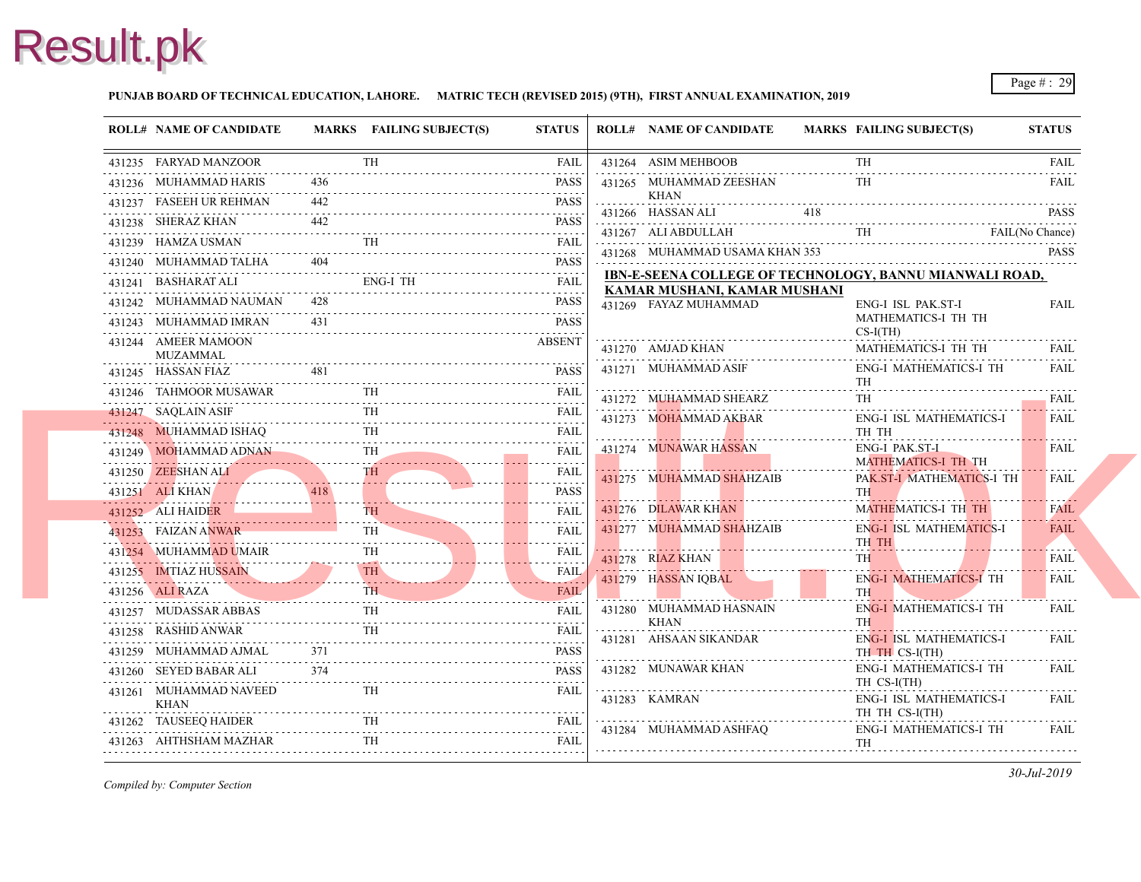#### **PUNJAB BOARD OF TECHNICAL EDUCATION, LAHORE. MATRIC TECH (REVISED 2015) (9TH), FIRST ANNUAL EXAMINATION, 2019**

| <b>ROLL# NAME OF CANDIDATE</b>                                                                                                                                                                                                                                                                                                                | MARKS FAILING SUBJECT(S) | <b>STATUS</b> |          | <b>ROLL# NAME OF CANDIDATE</b>                        | <b>MARKS FAIL</b> |                         |
|-----------------------------------------------------------------------------------------------------------------------------------------------------------------------------------------------------------------------------------------------------------------------------------------------------------------------------------------------|--------------------------|---------------|----------|-------------------------------------------------------|-------------------|-------------------------|
| 431235 FARYAD MANZOOR<br>431235 FARYAD MANZOOR TH FAIL                                                                                                                                                                                                                                                                                        | <b>TH</b>                | <b>FAIL</b>   |          | 431264 ASIM MEHBOOB                                   |                   | TH                      |
| 431236 MUHAMMAD HARIS                                                                                                                                                                                                                                                                                                                         |                          | PASS          |          | 431265 MUHAMMAD ZEESHAN                               |                   |                         |
|                                                                                                                                                                                                                                                                                                                                               |                          |               | <u>.</u> | KHAN                                                  |                   |                         |
| 431238 SHERAZ KHAN 442 PASS                                                                                                                                                                                                                                                                                                                   |                          |               |          | $431266$ HASSAN ALI $418$                             |                   |                         |
| 431239 HAMZA USMAN TH FAIL                                                                                                                                                                                                                                                                                                                    |                          |               |          | 431267 ALI ABDULLAH TH                                |                   |                         |
| 431240 MUHAMMAD TALHA 404<br>431240 MUHAMMAD TALHA 404 PASS                                                                                                                                                                                                                                                                                   |                          |               |          | 431268 MUHAMMAD USAMA KHAN 353                        |                   |                         |
|                                                                                                                                                                                                                                                                                                                                               |                          |               |          | <b>IBN-E-SEENA COLLEGE OF TECHNOLOGY,</b>             |                   |                         |
| 431242 MUHAMMAD NAUMAN 428                                                                                                                                                                                                                                                                                                                    | AMMAD NAUMAN 428 PASS    | PASS          |          | KAMAR MUSHANI, KAMAR MUSHANI<br>431269 FAYAZ MUHAMMAD |                   | ENG-                    |
| 431243 MUHAMMAD IMRAN 431                                                                                                                                                                                                                                                                                                                     | IMRAN 431 PASS           | PASS          |          |                                                       |                   | <b>MAT</b>              |
| 431244 AMEER MAMOON<br>MUZAMMAL                                                                                                                                                                                                                                                                                                               |                          | <b>ABSENT</b> |          | 431270 AMJAD KHAN<br>\N<br>-------------------------  |                   | $CS-I($<br><b>MAT</b>   |
| $\begin{tabular}{ccccc} \textbf{431245} & \textbf{HASSAN FIAZ} & & \textbf{481} & & \textbf{PASS} \end{tabular}$                                                                                                                                                                                                                              |                          | <b>PASS</b>   |          | 431271 MUHAMMAD ASIF                                  |                   | ENG-                    |
| 431246 TAHMOOR MUSAWAR TH FAIL                                                                                                                                                                                                                                                                                                                |                          |               |          |                                                       |                   | TH                      |
| 31247 SAQLAIN ASIF TH FAIL<br>431247 SAQLAIN ASIF                                                                                                                                                                                                                                                                                             |                          |               |          | 431272 MUHAMMAD SHEARZ                                |                   | TH.                     |
| 431248 MUHAMMAD ISHAQ TH FAIL                                                                                                                                                                                                                                                                                                                 |                          |               |          | 431273 MOHAMMAD AKBAR                                 |                   | ENG-<br>TH <sub>1</sub> |
| 431249 MOHAMMAD ADNAN TH                                                                                                                                                                                                                                                                                                                      |                          |               |          | 431274 MUNAWAR HASSAN                                 |                   | ENG-                    |
| 431250 ZEESHAN ALI TH FAIL                                                                                                                                                                                                                                                                                                                    |                          |               |          |                                                       |                   | <b>MAT</b>              |
| 431251 ALIKHAN 418 PASS                                                                                                                                                                                                                                                                                                                       |                          | <b>PASS</b>   |          | 431275 MUHAMMAD SHAHZAIB                              |                   | PAK.<br>TH \            |
|                                                                                                                                                                                                                                                                                                                                               |                          |               |          | 431276 DILAWAR KHAN                                   |                   | <b>MAT</b>              |
| 431252 ALI HAIDER TH FAIL                                                                                                                                                                                                                                                                                                                     |                          |               |          | 431277 MUHAMMAD SHAHZAIB                              |                   | ENG-                    |
| 431253 FAIZAN ANWAR TH FAIL                                                                                                                                                                                                                                                                                                                   |                          | FAIL          |          |                                                       |                   | TH <sub>1</sub>         |
| 431254 MUHAMMAD UMAIR FAIL                                                                                                                                                                                                                                                                                                                    |                          |               |          | 431278 RIAZ KHAN                                      |                   | TH 1                    |
| 431255 IMTIAZ HUSSAIN TH                                                                                                                                                                                                                                                                                                                      |                          |               |          | 431279 HASSAN IQBAL                                   |                   | ENG-<br><b>TH</b>       |
| 431256 ALI RAZA THE FAIL                                                                                                                                                                                                                                                                                                                      |                          |               |          | 431280 MUHAMMAD HASNAIN                               |                   | ENG-                    |
| 431257 MUDASSAR ABBAS TH FAIL                                                                                                                                                                                                                                                                                                                 |                          |               |          | KHAN                                                  |                   | TH <sub>1</sub>         |
| $\begin{tabular}{ll} \bf 431258 & RASHID ANWAR & TH & FAIL \\ \hline \end{tabular} \begin{tabular}{ll} \bf 1431258 & RASHID ANWAR & \bf 1431258 & \bf 2431258 & \bf 3431258 & \bf 4531258 & \bf 5531258 & \bf 5531258 & \bf 5531258 & \bf 5531258 & \bf 5531258 & \bf 5531258 & \bf 5531258 & \bf 5531258 & \bf 5531258 & \bf 5531258 & \bf $ |                          |               |          | 431281 AHSAAN SIKANDAR                                |                   | ENG-                    |
| 431259 MUHAMMAD AJMAL 371<br>431259 MUHAMMAD AJMAL 371 PASS                                                                                                                                                                                                                                                                                   |                          | PASS          |          | 431282 MUNAWAR KHAN                                   |                   | TH <sub>1</sub><br>ENG- |
| 431260 SEYED BABAR ALI 374 PASS                                                                                                                                                                                                                                                                                                               |                          | <b>FAIL</b>   |          |                                                       |                   | TH <sub>C</sub>         |
| 431261 MUHAMMAD NAVEED TH<br>KHAN                                                                                                                                                                                                                                                                                                             |                          |               |          | 431283 KAMRAN                                         |                   | ENG-<br>TH <sub>1</sub> |
| $\begin{tabular}{cc} \bf 431262 & \textbf{TAUSEEQ HAIDER} & \textbf{TH} & \textbf{FAIL} \\ \hline \end{tabular}$                                                                                                                                                                                                                              |                          |               |          | 431284 MUHAMMAD ASHFAQ                                |                   | ENG-                    |
| $\begin{tabular}{ll} \bf 431263 & AHTHSHAM MAZHAR & TH & FAIL \\ \hline \end{tabular}$                                                                                                                                                                                                                                                        |                          |               |          |                                                       |                   | TH                      |
|                                                                                                                                                                                                                                                                                                                                               |                          |               |          |                                                       |                   |                         |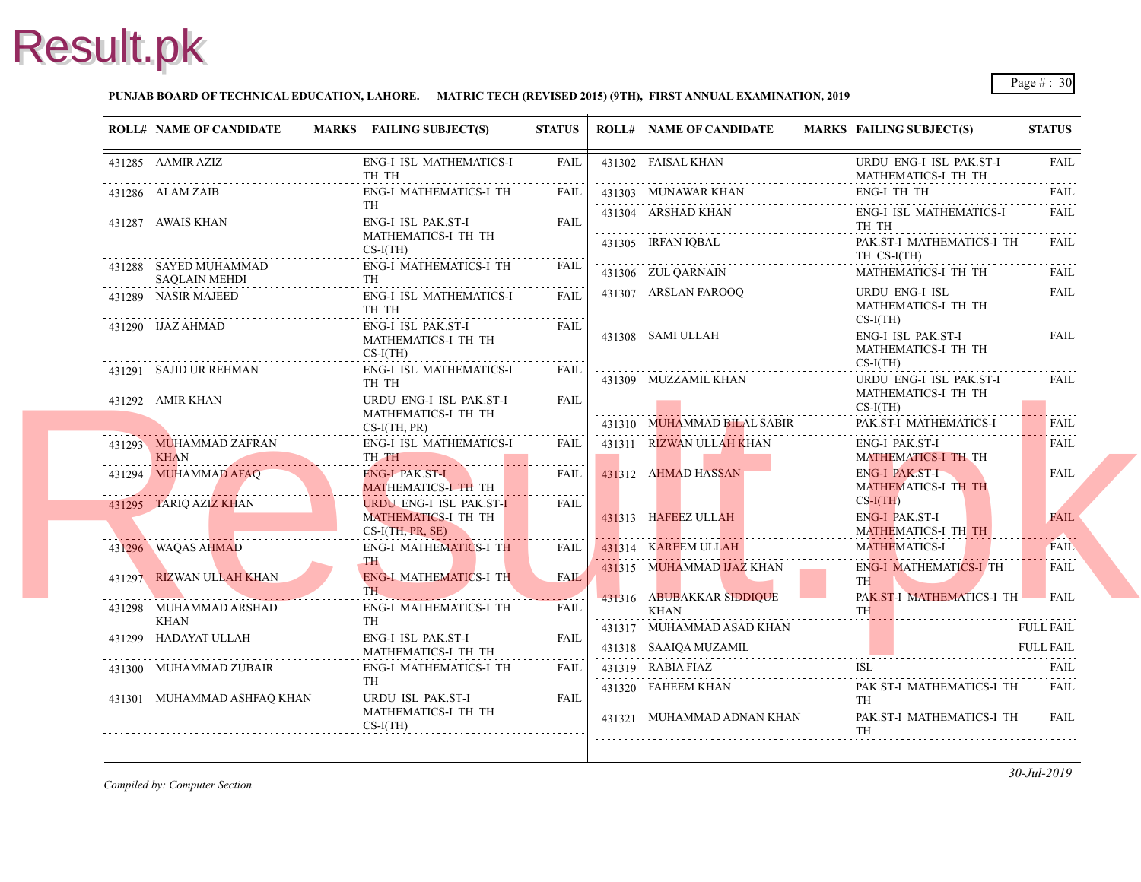#### **PUNJAB BOARD OF TECHNICAL EDUCATION, LAHORE. MATRIC TECH (REVISED 2015) (9TH), FIRST ANNUAL EXAMINATION, 2019**

|   | <b>ROLL# NAME OF CANDIDATE</b>                                                                                                                                                                                                                               | MARKS FAILING SUBJECT(S)                                                                                                                                                                                                                                         | <b>STATUS</b>    |   | <b>ROLL# NAME OF CANDIDATE</b>                               | <b>MARKS FAIL</b>               |
|---|--------------------------------------------------------------------------------------------------------------------------------------------------------------------------------------------------------------------------------------------------------------|------------------------------------------------------------------------------------------------------------------------------------------------------------------------------------------------------------------------------------------------------------------|------------------|---|--------------------------------------------------------------|---------------------------------|
|   | 431285 AAMIR AZIZ                                                                                                                                                                                                                                            | ENG-I ISL MATHEMATICS-I<br>TH TH                                                                                                                                                                                                                                 | FAIL             |   | 431302 FAISAL KHAN                                           | <b>URD</b><br><b>MAT</b>        |
|   | 431286 ALAM ZAIB                                                                                                                                                                                                                                             | ENG-I MATHEMATICS-I TH<br>TH                                                                                                                                                                                                                                     | FAIL             |   | 431303 MUNAWAR KHAN<br>431304 ARSHAD KHAN                    | ENG-<br>ENG-                    |
|   | 431287 AWAIS KHAN                                                                                                                                                                                                                                            | ENG-I ISL PAK.ST-I<br>MATHEMATICS-I TH TH                                                                                                                                                                                                                        | FAII.            |   | 431305 IRFAN IQBAL                                           | TH <sub>1</sub><br>PAK.         |
|   | 431288 SAYED MUHAMMAD<br><b>SAQLAIN MEHDI</b>                                                                                                                                                                                                                | $CS-I(TH)$<br>ENG-I MATHEMATICS-I TH<br>.<br>TH                                                                                                                                                                                                                  | <b>FAIL</b>      |   | 1<br>431306 ZUL QARNAIN<br>1                                 | TH <sub>0</sub><br><b>MAT</b>   |
| . | 431289 NASIR MAJEED                                                                                                                                                                                                                                          | ENG-I ISL MATHEMATICS-I<br>TH TH                                                                                                                                                                                                                                 | FAII.            |   | 431307 ARSLAN FAROOQ                                         | <b>URD</b><br><b>MAT</b>        |
|   | 431290 IJAZ AHMAD                                                                                                                                                                                                                                            | ENG-I ISL PAK.ST-I<br>MATHEMATICS-I TH TH<br>$CS-I(TH)$                                                                                                                                                                                                          | FAIL             |   | 431308 SAMI ULLAH                                            | $CS-I($<br>ENG-<br><b>MAT</b>   |
|   | 431291 SAJID UR REHMAN                                                                                                                                                                                                                                       | ENG-I ISL MATHEMATICS-I<br>TH TH                                                                                                                                                                                                                                 | <b>FAIL</b>      |   | 431309 MUZZAMIL KHAN                                         | $CS-I($<br><b>URD</b>           |
|   | 431292 AMIR KHAN                                                                                                                                                                                                                                             | URDU ENG-I ISL PAK.ST-I<br>MATHEMATICS-I TH TH<br>$CS-I(TH, PR)$                                                                                                                                                                                                 | <b>FAIL</b>      |   | 431310 MUHAMMAD BILAL SABIR                                  | <b>MAT</b><br>$CS-I($<br>PAK.   |
|   | 431293 MUHAMMAD ZAFRAN<br><b>KHAN</b>                                                                                                                                                                                                                        | ENG-I ISL MATHEMATICS-I<br>TH TH                                                                                                                                                                                                                                 | FAIL             |   | 431311 RIZWAN ULLAH KHAN                                     | ENG-<br><b>MAT</b>              |
|   | 431294 MUHAMMAD AFAQ<br><u> Estados de San Antonio de San Antonio de San Antonio de San Antonio de San Antonio de San Antonio de San Antonio de San Antonio de San Antonio de San Antonio de San Antonio de San Antonio de San Antonio de San Antonio de</u> | ENG-I PAK.ST-I<br>MATHEMATICS-I TH TH                                                                                                                                                                                                                            | FAIL<br><u>.</u> |   | 431312 AHMAD HASSAN                                          | ENG-<br><b>MAT</b>              |
|   | 431295 TARIQ AZIZ KHAN                                                                                                                                                                                                                                       | URDU ENG-I ISL PAK.ST-I<br><b>MATHEMATICS-I TH TH</b><br>$CS-I(TH, PR, SE)$                                                                                                                                                                                      | <b>FAIL</b>      |   | 431313 HAFEEZ ULLAH<br>.                                     | $CS-I($<br>ENG-<br><b>MAT</b>   |
|   | 431296 WAQAS AHMAD                                                                                                                                                                                                                                           | ENG-I MATHEMATICS-I TH<br><b>TH</b>                                                                                                                                                                                                                              | FAIL             |   | 431314 KAREEM ULLAH                                          | <b>MAT</b>                      |
|   | 431297 RIZWAN ULLAH KHAN                                                                                                                                                                                                                                     | <b>ENG-I MATHEMATICS-I TH</b><br>THE THE RESIDENCE OF THE RESIDENCE OF THE RESIDENCE OF THE RESIDENCE OF THE RESIDENCE OF THE RESIDENCE OF THE RESIDENCE OF THE RESIDENCE OF THE RESIDENCE OF THE RESIDENCE OF THE RESIDENCE OF THE RESIDENCE OF THE RESIDENCE O | .<br><b>FAIL</b> |   | 431315 MUHAMMAD IJAZ KHAN                                    | ENG-<br><b>TH</b>               |
|   | 431298 MUHAMMAD ARSHAD<br>KHAN                                                                                                                                                                                                                               | <b>ENG-I MATHEMATICS-I TH</b><br>TH                                                                                                                                                                                                                              | <b>FAIL</b>      | . | 431316 ABUBAKKAR SIDDIQUE<br><b>KHAN</b>                     | PAK.<br><b>TH</b>               |
|   | 431299 HADAYAT ULLAH                                                                                                                                                                                                                                         | ENG-I ISL PAK.ST-I<br>MATHEMATICS-I TH TH                                                                                                                                                                                                                        | <b>FAIL</b>      |   | 431317 MUHAMMAD ASAD KHAN<br>431318 SAAIQA MUZAMIL           |                                 |
|   | 431300 MUHAMMAD ZUBAIR                                                                                                                                                                                                                                       | ENG-I MATHEMATICS-I TH<br><b>TH</b>                                                                                                                                                                                                                              | FAIL             |   | 431319 RABIA FIAZ<br>431319 RABIA FIAZ ISL                   | ISL-                            |
|   | 431301 MUHAMMAD ASHFAQ KHAN                                                                                                                                                                                                                                  | URDU ISL PAK.ST-I<br>MATHEMATICS-I TH TH<br>$CS-I(TH)$                                                                                                                                                                                                           | FAIL             |   | 431320 FAHEEM KHAN<br>$\cdots$<br>431321 MUHAMMAD ADNAN KHAN | PAK.<br>TH<br>PAK.<br><b>TH</b> |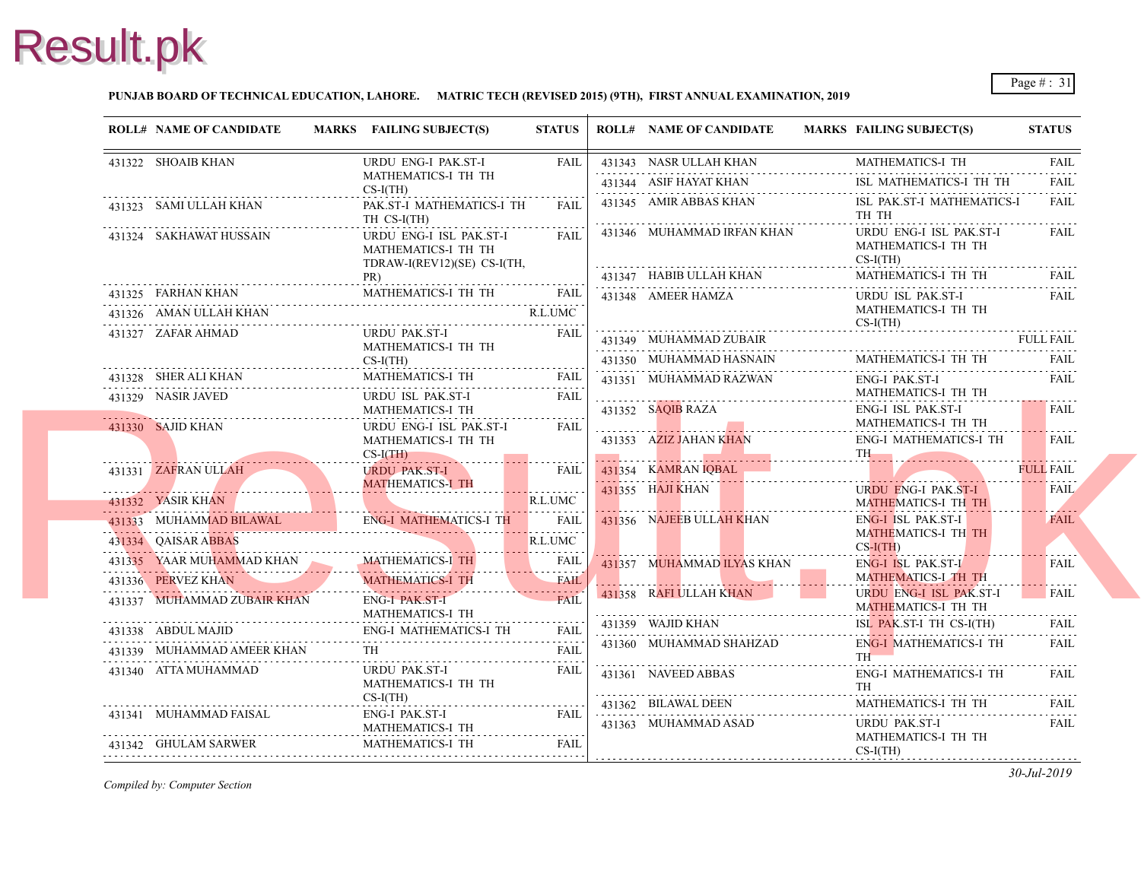#### **PUNJAB BOARD OF TECHNICAL EDUCATION, LAHORE. MATRIC TECH (REVISED 2015) (9TH), FIRST ANNUAL EXAMINATION, 2019**

| <b>ROLL# NAME OF CANDIDATE</b>                                                                                          | MARKS FAILING SUBJECT(S)                                                      | <b>STATUS</b>                                                                         | <b>ROLL# NAME OF CANDIDATE</b> | <b>MARKS FAIL</b>                     |
|-------------------------------------------------------------------------------------------------------------------------|-------------------------------------------------------------------------------|---------------------------------------------------------------------------------------|--------------------------------|---------------------------------------|
| 431322 SHOAIB KHAN                                                                                                      | URDU ENG-I PAK.ST-I                                                           | FAIL                                                                                  | 431343 NASR ULLAH KHAN         | MAT.                                  |
|                                                                                                                         | MATHEMATICS-I TH TH<br>$CS-I(TH)$                                             |                                                                                       | 431344 ASIF HAYAT KHAN         | ISL                                   |
| 431323 SAMI ULLAH KHAN                                                                                                  | PAK.ST-I MATHEMATICS-I TH<br>TH CS-I(TH)                                      | FAII.                                                                                 | 431345 AMIR ABBAS KHAN         | ISL I<br>TH <sub>1</sub>              |
| 431324 SAKHAWAT HUSSAIN                                                                                                 | URDU ENG-I ISL PAK.ST-I<br>MATHEMATICS-I TH TH<br>TDRAW-I(REV12)(SE) CS-I(TH, | FAIL                                                                                  | 431346 MUHAMMAD IRFAN KHAN     | <b>URD</b><br><b>MAT</b><br>$CS-I($   |
|                                                                                                                         | PR)<br>MATHEMATICS-I TH TH                                                    | <b>FAIL</b>                                                                           | 431347 HABIB ULLAH KHAN        | <b>MAT</b>                            |
| 431326 AMAN ULLAH KHAN                                                                                                  | 431325 FARHAN KHAN MATHEMATICS-I TH TH FAIL                                   | R.L.UMC                                                                               | 431348 AMEER HAMZA             | <b>URD</b><br><b>MAT</b>              |
|                                                                                                                         | URDU PAK.ST-I                                                                 | <b>FAIL</b>                                                                           |                                | $CS-I($                               |
| 431327 ZAFAR AHMAD                                                                                                      | MATHEMATICS-I TH TH                                                           |                                                                                       | 431349 MUHAMMAD ZUBAIR         |                                       |
|                                                                                                                         | $CS-I(TH)$                                                                    |                                                                                       | 431350 MUHAMMAD HASNAIN        | <b>MAT</b>                            |
| 431328 SHER ALI KHAN                                                                                                    | <b>MATHEMATICS-I TH</b>                                                       | FAIL                                                                                  | 431351 MUHAMMAD RAZWAN         | ENG-                                  |
| 431329 NASIR JAVED                                                                                                      | URDU ISL PAK.ST-I<br>MATHEMATICS-I TH                                         | FAIL                                                                                  | 431352 SAQIB RAZA              | <b>MAT</b><br>ENG-                    |
| 431330 SAJID KHAN                                                                                                       | URDU ENG-I ISL PAK.ST-I<br>MATHEMATICS-I TH TH<br>$CS-I(TH)$                  | FAIL                                                                                  | 431353 AZIZ JAHAN KHAN         | <b>MAT</b><br>ENG-<br>TH <sub>1</sub> |
| 431331 ZAFRAN ULLAH                                                                                                     | $-5 - 1(1 \text{ m})$<br><b>URDU PAK.ST-I</b>                                 | <b>FAIL</b>                                                                           | 431354 KAMRAN IQBAL            |                                       |
| <u> Estados de Santo de Santo de Santo de Santo de Santo de Santo de Santo de Santo de Santo de Santo de Santo de S</u> | MATHEMATICS-I TH                                                              | .                                                                                     | 431355 HAJI KHAN               | <b>URD</b>                            |
| 431332 YASIR KHAN                                                                                                       |                                                                               | R.L.UMC<br>.                                                                          |                                | <b>MAT</b>                            |
|                                                                                                                         | 431333 MUHAMMAD BILAWAL ENG-I MATHEMATICS-I TH                                | FAIL                                                                                  | 431356 NAJEEB ULLAH KHAN       | ENG-<br><b>MAT</b>                    |
| 431334 QAISAR ABBAS                                                                                                     |                                                                               | R.L.UMC                                                                               |                                | $CS-I($                               |
|                                                                                                                         | 431335 YAAR MUHAMMAD KHAN MATHEMATICS-1 TH                                    | FAIL<br>$\omega = \omega \left( \omega \right) \omega + \omega \left( \omega \right)$ | 431357 MUHAMMAD ILYAS KHAN     | ENG-                                  |
| 431336 PERVEZ KHAN                                                                                                      | <b>MATHEMATICS-I TH</b>                                                       | <b>FAIL</b>                                                                           | 431358 RAFI ULLAH KHAN         | <b>MAT</b><br><b>URD</b>              |
| 431337 MUHAMMAD ZUBAIR KHAN                                                                                             | <b>ENG-I PAK ST-I</b><br>MATHEMATICS-I TH                                     | FAH                                                                                   |                                | <b>MAT</b>                            |
| 431338 ABDUL MAJID                                                                                                      | 431338 ABDUL MAJID ENG-I MATHEMATICS-I TH FAIL                                |                                                                                       | 431359 WAJID KHAN              | ISL I                                 |
| 431339 MUHAMMAD AMEER KHAN                                                                                              |                                                                               | <b>FAIL</b>                                                                           | 431360 MUHAMMAD SHAHZAD        | ENG-<br>TH -                          |
| 431340 ATTA MUHAMMAD                                                                                                    | URDU PAK.ST-I<br>MATHEMATICS-I TH TH                                          | FAIL                                                                                  | 431361 NAVEED ABBAS            | ENG-<br>TH                            |
|                                                                                                                         | $CS-I(TH)$                                                                    |                                                                                       | 431362 BILAWAL DEEN            | <b>MAT</b>                            |
| 431341 MUHAMMAD FAISAL                                                                                                  | ENG-I PAK.ST-I<br>MATHEMATICS-I TH                                            | FAIL                                                                                  | 431363 MUHAMMAD ASAD           | <b>URD</b>                            |
| 431342 GHULAM SARWER                                                                                                    | <b>MATHEMATICS-I TH</b>                                                       | FAIL                                                                                  |                                | <b>MAT</b><br>$CS-I($                 |
|                                                                                                                         |                                                                               |                                                                                       |                                |                                       |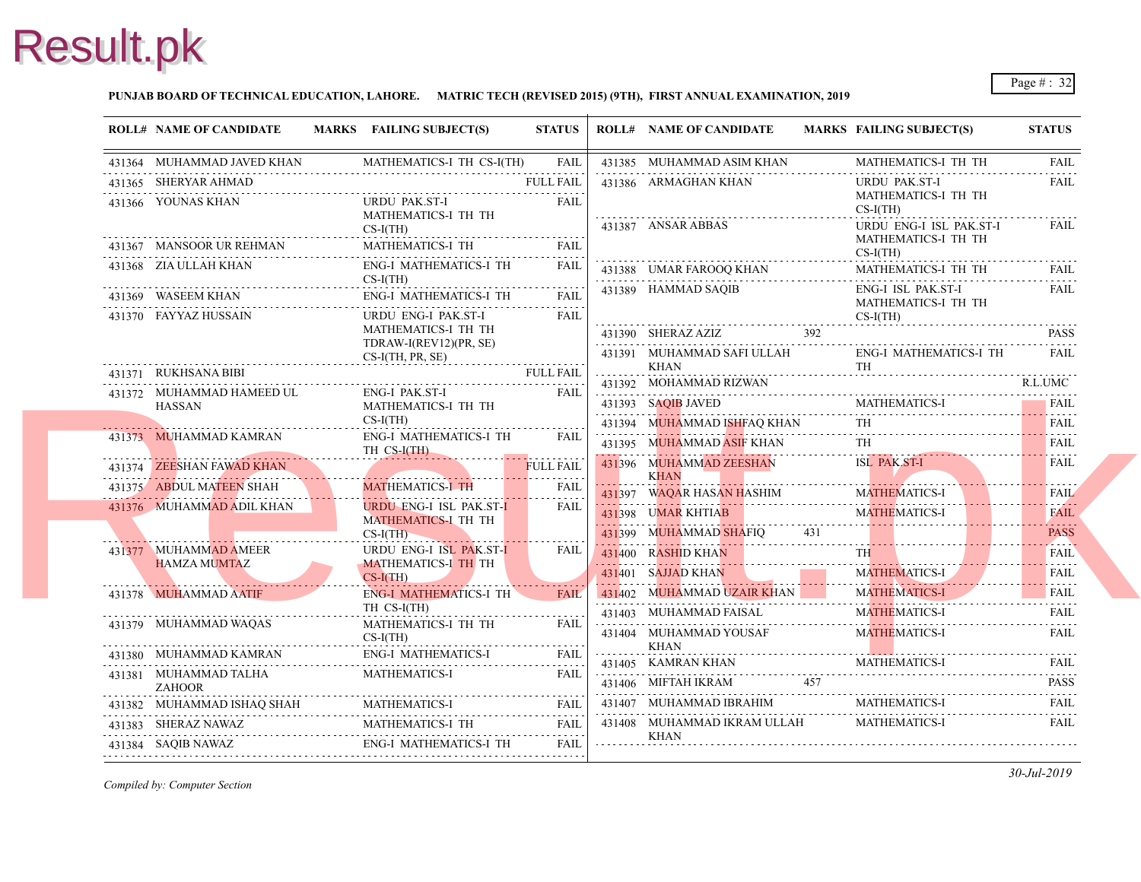

#### **PUNJAB BOARD OF TECHNICAL EDUCATION, LAHORE. MATRIC TECH (REVISED 2015) (9TH), FIRST ANNUAL EXAMINATION, 2019**

| <b>ROLL# NAME OF CANDIDATE</b>                     | MARKS FAILING SUBJECT(S)                                                                      | <b>STATUS</b>    |   | <b>ROLL# NAME OF CANDIDATE</b>                       | <b>MARKS FAIL</b> |                                     |
|----------------------------------------------------|-----------------------------------------------------------------------------------------------|------------------|---|------------------------------------------------------|-------------------|-------------------------------------|
| 431364 MUHAMMAD JAVED KHAN                         | MATHEMATICS-I TH CS-I(TH)                                                                     | <b>FAIL</b>      |   | 431385 MUHAMMAD ASIM KHAN                            |                   | <b>MAT</b>                          |
| 431365 SHERYAR AHMAD                               |                                                                                               | <b>FULL FAIL</b> |   | 431386 ARMAGHAN KHAN                                 |                   | <b>URD</b>                          |
| 431366 YOUNAS KHAN                                 | URDU PAK.ST-I<br>MATHEMATICS-I TH TH<br>$CS-I(TH)$                                            | FAIL             |   | 431387 ANSAR ABBAS                                   |                   | <b>MAT</b><br>$CS-I($<br><b>URD</b> |
| 431367 MANSOOR UR REHMAN                           | MATHEMATICS-I TH                                                                              | <b>FAIL</b>      |   |                                                      |                   | <b>MATI</b>                         |
| 431368 ZIA ULLAH KHAN                              | MATHEMATICS-1 111 [TAIL PAIL PRIME PRIMATICS ]<br><b>ENG-I MATHEMATICS-I TH</b><br>$CS-I(TH)$ | <b>FAIL</b>      |   | 431388 UMAR FAROOQ KHAN                              |                   | $CS-I($<br><b>MAT</b>               |
| 431369 WASEEM KHAN                                 | <b>ENG-I MATHEMATICS-I TH</b>                                                                 | <b>FAIL</b>      |   | 431389 HAMMAD SAQIB                                  |                   | ENG-<br><b>MAT</b>                  |
| 431370 FAYYAZ HUSSAIN                              | URDU ENG-I PAK.ST-I<br>MATHEMATICS-I TH TH<br>TDRAW-I(REV12)(PR, SE)                          | <b>FAIL</b>      |   | 431390 SHERAZ AZIZ                                   |                   | $CS-I($                             |
|                                                    | $CS-I(TH, PR, SE)$                                                                            |                  | . | 431391 MUHAMMAD SAFI ULLAH                           |                   | ENG-                                |
| 431371 RUKHSANA BIBI                               |                                                                                               | <b>FULL FAIL</b> | . | KHAN<br>431392 MOHAMMAD RIZWAN                       |                   | TH                                  |
| 431372 MUHAMMAD HAMEED UL<br><b>HASSAN</b>         | ENG-I PAK.ST-I<br>MATHEMATICS-I TH TH                                                         | <b>FAIL</b>      |   | 431393 SAQIB JAVED                                   |                   | <b>MAT</b>                          |
|                                                    | $CS-I(TH)$                                                                                    |                  |   | 431394 MUHAMMAD ISHFAQ KHAN                          |                   | TH                                  |
| 431373 MUHAMMAD KAMRAN                             | <b>ENG-I MATHEMATICS-I TH</b><br>TH CS-I(TH)                                                  | FAII             |   | 431395 MUHAMMAD ASIF KHAN                            |                   | TH                                  |
| 431374 ZEESHAN FAWAD KHAN                          |                                                                                               | <b>FULL FAIL</b> |   | 431396 MUHAMMAD ZEESHAN                              |                   | ISL                                 |
| 431375 ABDUL MATEEN SHAH                           | <b>MATHEMATICS-I TH</b>                                                                       | <b>FAIL</b>      |   | <b>KHAN</b><br>431397 WAQAR HASAN HASHIM             |                   | <b>MAT</b>                          |
| 431376 MUHAMMAD ADIL KHAN                          | <b>URDU ENG-I ISL PAK.ST-I</b><br>MATHEMATICS-I TH TH                                         | FAIL             |   | 431398 UMAR KHTIAB                                   | 431               | <b>MAT</b>                          |
| 431377 MUHAMMAD AMEER                              | $CS-I(TH)$<br>URDU ENG-I ISL PAK.ST-I                                                         | FAIL             |   | 431399 MUHAMMAD SHAFIQ<br>431400 RASHID KHAN         |                   | TH \                                |
| <b>HAMZA MUMTAZ</b>                                | MATHEMATICS-I TH TH<br>CS-I(TH)                                                               |                  |   | 431401 SAJJAD KHAN                                   |                   | <b>MAT</b>                          |
| 431378 MUHAMMAD AATIF                              | ENG-I MATHEMATICS-I TH<br>TH CS-I(TH)                                                         | <b>FAIL</b>      |   | 431402 MUHAMMAD UZAIR KHAN<br>431403 MUHAMMAD FAISAL |                   | <b>MAT</b><br><b>MAT</b>            |
| 431379 MUHAMMAD WAQAS                              | MATHEMATICS-I TH TH<br>$CS-I(TH)$                                                             | <b>FAIL</b>      |   | 431404 MUHAMMAD YOUSAF                               |                   | <b>MAT</b>                          |
| 431380 MUHAMMAD KAMRAN                             | <b>ENG-I MATHEMATICS-I</b>                                                                    | <b>FAIL</b>      |   | <b>KHAN</b><br>431405 KAMRAN KHAN                    |                   | <b>MAT</b>                          |
| 431381 MUHAMMAD TALHA<br><b>ZAHOOR</b>             | <b>MATHEMATICS-I</b>                                                                          | <b>FAIL</b>      |   | 457<br>431406 MIFTAH IKRAM                           |                   |                                     |
| 431382 MUHAMMAD ISHAQ SHAH MATHEMATICS-I FAIL FAIL | MATHEMATICS-I                                                                                 |                  |   | 431407 MUHAMMAD IBRAHIM                              |                   | <b>MAT</b>                          |
| 431383 SHERAZ NAWAZ                                | MATHEMATICS-I TH                                                                              | FAIL             |   | 431408 MUHAMMAD IKRAM ULLAH                          |                   | <b>MAT</b>                          |
| 431384 SAQIB NAWAZ                                 | <b>ENG-I MATHEMATICS-I TH</b>                                                                 | FAIL             |   | KHAN                                                 |                   |                                     |
|                                                    |                                                                                               |                  |   |                                                      |                   |                                     |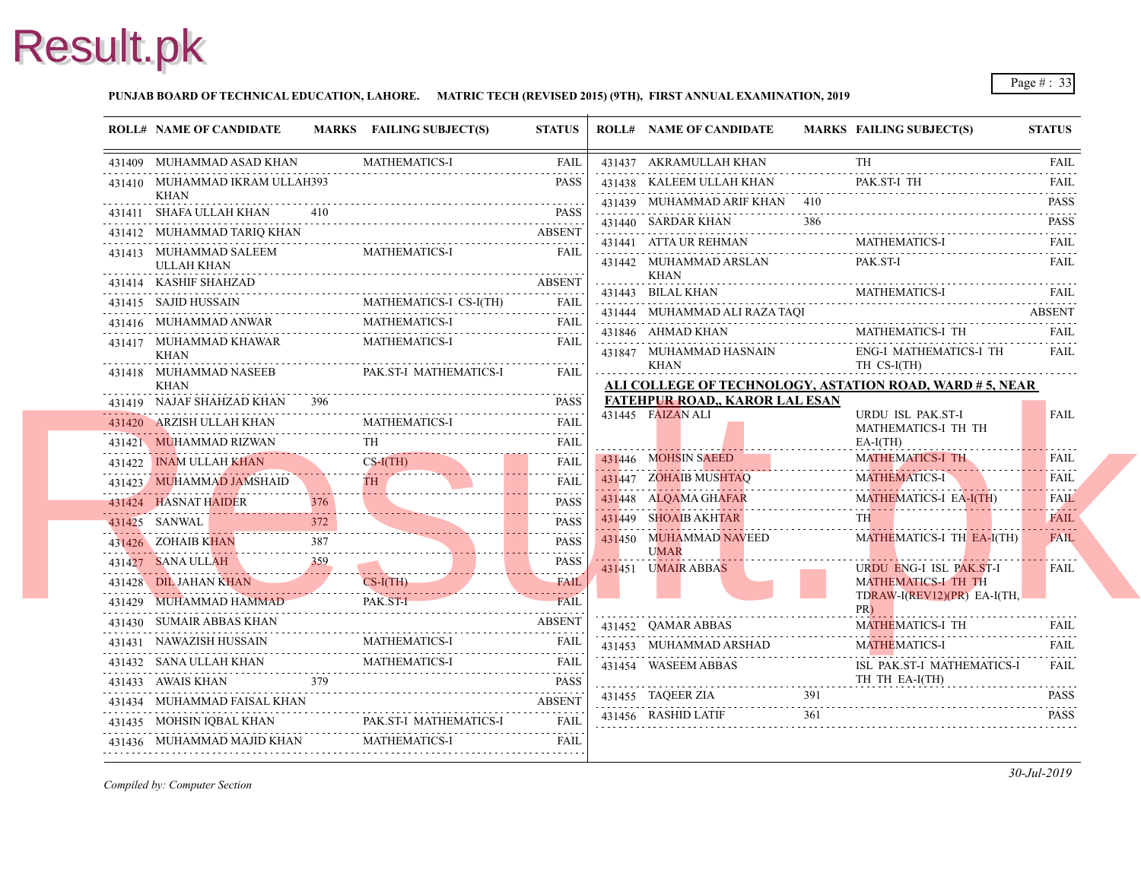#### **PUNJAB BOARD OF TECHNICAL EDUCATION, LAHORE. MATRIC TECH (REVISED 2015) (9TH), FIRST ANNUAL EXAMINATION, 2019**

|   | <b>ROLL# NAME OF CANDIDATE</b>                                                                                                                    |     | MARKS FAILING SUBJECT(S) | <b>STATUS</b>                   | <b>ROLL# NAME OF CANDIDATE</b>                                                     | <b>MARKS FAIL</b> |                          |
|---|---------------------------------------------------------------------------------------------------------------------------------------------------|-----|--------------------------|---------------------------------|------------------------------------------------------------------------------------|-------------------|--------------------------|
|   | 431409 MUHAMMAD ASAD KHAN                                                                                                                         |     | <b>MATHEMATICS-I</b>     | FAIL                            | 431437 AKRAMULLAH KHAN                                                             |                   | TH                       |
|   | 431410 MUHAMMAD IKRAM ULLAH393                                                                                                                    |     |                          | <b>PASS</b>                     | 431438 KALEEM ULLAH KHAN                                                           |                   | PAK.                     |
|   | KHAN<br>431411 SHAFA ULLAH KHAN                                                                                                                   |     | H KHAN 410 PASS          |                                 | 431439 MUHAMMAD ARIF KHAN 410                                                      |                   |                          |
|   | 431412 MUHAMMAD TARIQ KHAN ABSENT                                                                                                                 |     |                          |                                 | 431440 SARDAR KHAN                                                                 | 386               |                          |
|   | 431413 MUHAMMAD SALEEM                                                                                                                            |     | <b>MATHEMATICS-I</b>     | <b>FAIL</b>                     | 431441 ATTA UR REHMAN                                                              |                   | <b>MAT</b>               |
| . | <b>ULLAH KHAN</b>                                                                                                                                 |     |                          |                                 | 431442 MUHAMMAD ARSLAN<br>KHAN                                                     |                   | PAK.                     |
|   | 431414 KASHIF SHAHZAD                                                                                                                             |     |                          |                                 | 431443 BILAL KHAN                                                                  |                   | <b>MAT</b>               |
|   | $\begin{tabular}{ccccc} 431415 & SAJID HUSSAN & MATHEMATICS-I CS-I(TH) & FAIL \\ 431416 & MUHAMMAD ANWAR & MATHEMATICS-I & TAIL \\ \end{tabular}$ |     |                          |                                 | 431444 MUHAMMAD ALI RAZA TAQI                                                      |                   |                          |
|   |                                                                                                                                                   |     |                          |                                 | 431846 AHMAD KHAN                                                                  |                   | MATI                     |
|   | 431417 MUHAMMAD KHAWAR MATHEMATICS-I<br><b>KHAN</b>                                                                                               |     |                          | <b>FAIL</b>                     | 431847 MUHAMMAD HASNAIN                                                            |                   | ENG-                     |
|   | 431418 MUHAMMAD NASEEB PAK.ST-I MATHEMATICS-I                                                                                                     |     |                          | <b>FAIL</b>                     | KHAN                                                                               |                   | TH <sub>0</sub>          |
|   | KHAN                                                                                                                                              |     |                          |                                 | ALI COLLEGE OF TECHNOLOGY, ASTATION<br><b>FATEHPUR ROAD,, KAROR LAL ESAN</b>       |                   |                          |
|   | 431419 NAJAF SHAHZAD KHAN 396                                                                                                                     |     |                          | <b>PASS</b>                     | 431445 FAIZAN ALI                                                                  |                   | <b>URD</b>               |
|   | 431420 ARZISH ULLAH KHAN MATHEMATICS-I FAIL FAIL                                                                                                  |     |                          |                                 |                                                                                    |                   | <b>MAT</b>               |
|   | 431421 MUHAMMAD RIZWAN TH FAIL                                                                                                                    |     |                          |                                 | 431446 MOHSIN SAEED                                                                |                   | $EA-I$<br><b>MAT</b>     |
|   | 431422 INAM ULLAH KHAN CS-I(TH)<br>431422 INAM ULLAH KHAN                                                                                         |     | $CS-I(TH)$               | <b>FAIL</b><br>.                | 431447 ZOHAIB MUSHTAQ                                                              |                   | <b>MAT</b>               |
|   |                                                                                                                                                   |     |                          | <b>FAIL</b><br>.<br><b>PASS</b> | 431448 ALQAMA GHAFAR                                                               |                   | <b>MAT</b>               |
|   | 431424 HASNAT HAIDER<br>431424 HASNAT HAIDER 376 PASS                                                                                             | 372 |                          | <b>PASS</b>                     | 451448 ALQAMA GHAFAR<br>2002 - Alban Alban Alban (f. 1914)<br>431449 SHOAIB AKHTAR |                   | TH -                     |
|   | 431425 SANWAL<br>431425 SANWAL 372 PASS                                                                                                           |     |                          |                                 | 431450 MUHAMMAD NAVEED                                                             |                   | <b>MAT</b>               |
|   | 431426 ZOHAIB KHAN 387 PASS                                                                                                                       |     |                          | <b>PASS</b>                     | <b>UMAR</b>                                                                        |                   |                          |
|   | 431427 SANA ULLAH 259 PASS                                                                                                                        |     |                          |                                 | 431451 UMAIR ABBAS                                                                 |                   | <b>URD</b><br><b>MAT</b> |
|   | 431428 DIL JAHAN KHAN CS-I(TH) FAIL<br>431429 MUHAMMAD HAMMAD                                                                                     |     | PAK.ST-I                 |                                 |                                                                                    |                   | <b>TDR</b>               |
|   | 431430 SUMAIR ABBAS KHAN                                                                                                                          |     | D PAK ST-I FAIL          | <b>ABSENT</b>                   |                                                                                    |                   | PR)                      |
|   |                                                                                                                                                   |     |                          |                                 | 431452 QAMAR ABBAS                                                                 |                   | <b>MAT</b>               |
|   | 431431 NAWAZISH HUSSAIN MATHEMATICS-I FAIL FAIL                                                                                                   |     |                          |                                 | 431453 MUHAMMAD ARSHAD                                                             |                   | <b>MAT</b>               |
|   | 431432 SANA ULLAH KHAN MATHEMATICS-I FAIL PAIL                                                                                                    |     |                          | <b>PASS</b>                     | 431454 WASEEM ABBAS                                                                |                   | ISL F<br>TH <sub>1</sub> |
|   | 431433 AWAIS KHAN 379 PASS<br>431434 MUHAMMAD FAISAL KHAN ABSENT                                                                                  |     |                          |                                 | 431455 TAQEER ZIA                                                                  | 391               |                          |
|   |                                                                                                                                                   |     |                          | <b>FAIL</b>                     | $431456$ RASHID LATIF                                                              | 361               |                          |
|   | 431435 MOHSIN IQBAL KHAN PAK.ST-I MATHEMATICS-I FAIL                                                                                              |     |                          |                                 |                                                                                    |                   |                          |
|   | 431436 MUHAMMAD MAJID KHAN MATHEMATICS-I FAIL FAIL                                                                                                |     |                          |                                 |                                                                                    |                   |                          |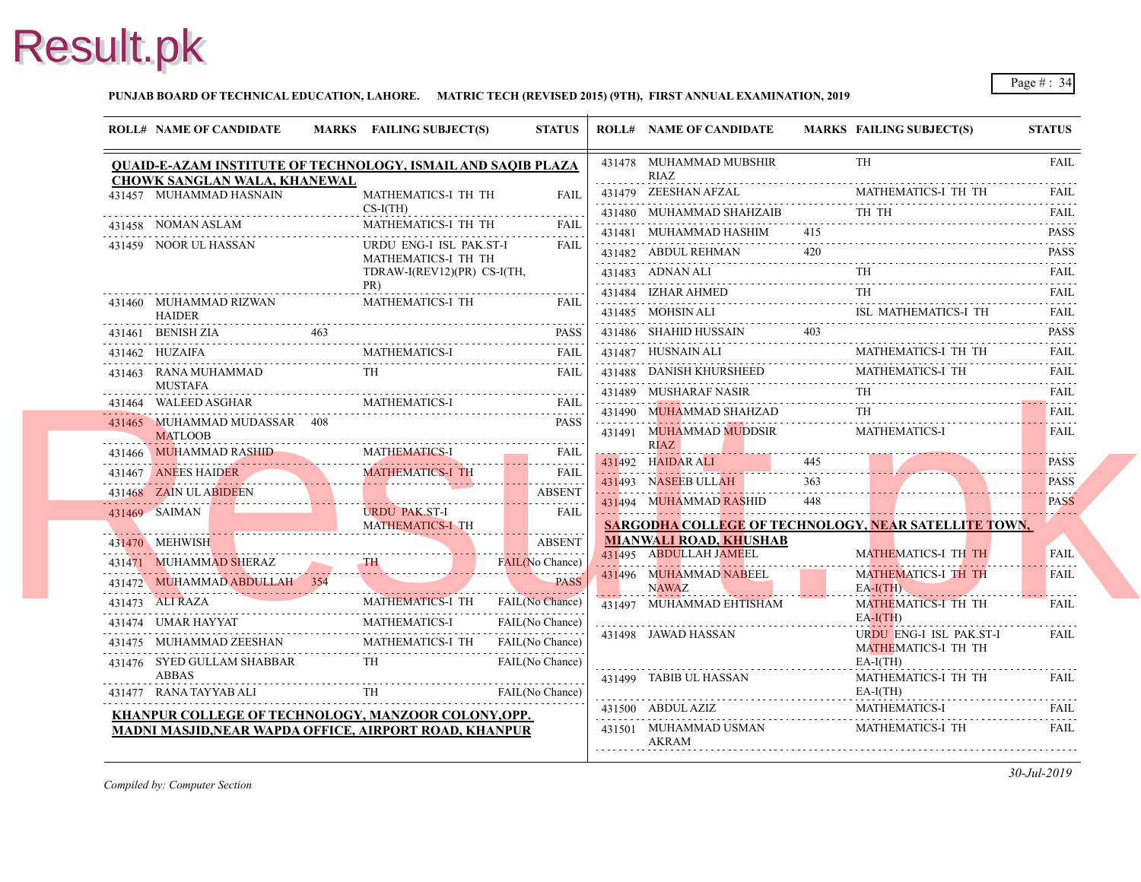

#### **PUNJAB BOARD OF TECHNICAL EDUCATION, LAHORE. MATRIC TECH (REVISED 2015) (9TH), FIRST ANNUAL EXAMINATION, 2019**

|   | <b>ROLL# NAME OF CANDIDATE</b>                                                                                                                                                                                                                                                                                                                                                                                                | MARKS FAILING SUBJECT(S)                       | <b>STATUS</b>                   | <b>ROLL# NAME OF CANDIDATE</b>                                     | <b>MARKS FAIL</b> |                          |
|---|-------------------------------------------------------------------------------------------------------------------------------------------------------------------------------------------------------------------------------------------------------------------------------------------------------------------------------------------------------------------------------------------------------------------------------|------------------------------------------------|---------------------------------|--------------------------------------------------------------------|-------------------|--------------------------|
|   | <b>QUAID-E-AZAM INSTITUTE OF TECHNOLOGY, ISMAIL AND SAQIB PLAZA</b>                                                                                                                                                                                                                                                                                                                                                           |                                                |                                 | 431478 MUHAMMAD MUBSHIR<br>RIAZ                                    |                   | TH                       |
|   | <b>CHOWK SANGLAN WALA, KHANEWAL</b><br>431457 MUHAMMAD HASNAIN                                                                                                                                                                                                                                                                                                                                                                | MATHEMATICS-I TH TH                            | <b>FAIL</b>                     | 431479 ZEESHAN AFZAL                                               |                   | <b>MAT</b>               |
|   |                                                                                                                                                                                                                                                                                                                                                                                                                               | $CS-I(TH)$                                     | .                               | 431480 MUHAMMAD SHAHZAIB                                           |                   | TH 1                     |
|   | 431458 NOMAN ASLAM                                                                                                                                                                                                                                                                                                                                                                                                            | MATHEMATICS-I TH TH                            | FAII.                           | 431481 MUHAMMAD HASHIM 415                                         |                   |                          |
|   | 431459 NOOR UL HASSAN                                                                                                                                                                                                                                                                                                                                                                                                         | URDU ENG-I ISL PAK.ST-I<br>MATHEMATICS-I TH TH | FAIL                            | 431482 ABDUL REHMAN 420                                            |                   |                          |
|   |                                                                                                                                                                                                                                                                                                                                                                                                                               | TDRAW-I(REV12)(PR) CS-I(TH,                    |                                 | 431483 ADNAN ALI                                                   |                   | TH.                      |
|   |                                                                                                                                                                                                                                                                                                                                                                                                                               | PR)                                            |                                 | 431484 IZHAR AHMED<br>431484 IZHAR AHMED TH                        |                   |                          |
|   | 431460 MUHAMMAD RIZWAN<br><b>HAIDER</b>                                                                                                                                                                                                                                                                                                                                                                                       | <b>MATHEMATICS-I TH</b>                        | FAII.                           | 431485 MOHSIN ALI<br>$431485$ MOHSIN ALI ISL                       |                   |                          |
|   |                                                                                                                                                                                                                                                                                                                                                                                                                               |                                                |                                 | 431486 SHAHID HUSSAIN 403                                          |                   |                          |
|   | $\begin{tabular}{cc} 431461 & BernSH ZIA & 463 \\ 431462 & HUZAIFA & 463 \\ \hline \end{tabular} \hspace{1.5cm} \begin{tabular}{c} 431462 & HUZAFA \\ \hline \end{tabular} \hspace{1.5cm} \begin{tabular}{c} 431462 \\ \end{tabular} \hspace{1.5cm} \begin{tabular}{c} 431462 \\ \end{tabular} \end{tabular} \hspace{1.5cm} \begin{tabular}{c} 431462 \\ \end{tabular} \end{tabular} \hspace{1.5cm} \begin{tabular}{c} 43146$ |                                                |                                 | 431487 HUSNAIN ALI                                                 |                   | <b>MAT</b>               |
|   | 431463 RANA MUHAMMAD                                                                                                                                                                                                                                                                                                                                                                                                          | <b>TH</b>                                      | <b>FAIL</b>                     | 431488 DANISH KHURSHEED                                            |                   | <b>MAT</b>               |
| . | MUSTAFA<br>431464 WALEED ASGHAR                                                                                                                                                                                                                                                                                                                                                                                               |                                                |                                 | 431489 MUSHARAF NASIR                                              |                   | TH.                      |
|   |                                                                                                                                                                                                                                                                                                                                                                                                                               |                                                |                                 | 431490 MUHAMMAD SHAHZAD                                            |                   |                          |
|   | 431465 MUHAMMAD MUDASSAR 408<br><b>MATLOOB</b>                                                                                                                                                                                                                                                                                                                                                                                |                                                | <b>PASS</b>                     | 431491 MUHAMMAD MUDDSIR                                            |                   | <b>MAT</b>               |
|   | 431466 MUHAMMAD RASHID MATHEMATICS-I FAIL                                                                                                                                                                                                                                                                                                                                                                                     |                                                |                                 | <b>RIAZ</b>                                                        |                   |                          |
|   | 431467 ANEES HAIDER MATHEMATICS-I TH                                                                                                                                                                                                                                                                                                                                                                                          |                                                | FAIL                            | 431492 HAIDAR ALI 445<br>431493 NASEEB ULLAH                       | 363               |                          |
|   | 431468 ZAIN ULABIDEEN                                                                                                                                                                                                                                                                                                                                                                                                         |                                                | .<br><b>ABSENT</b>              |                                                                    | 448               |                          |
|   | 431469 SAIMAN<br>MATHEMATICS-I TH                                                                                                                                                                                                                                                                                                                                                                                             | <b>URDU PAK.ST-I</b>                           | <u>.</u><br><b>FAIL</b>         | 431494 MUHAMMAD RASHID<br><b>SARGODHA COLLEGE OF TECHNOLOGY, N</b> |                   |                          |
|   | 431470 MEHWISH                                                                                                                                                                                                                                                                                                                                                                                                                |                                                | . <del>.</del><br><b>ABSENT</b> | <b>MIANWALI ROAD, KHUSHAB</b>                                      |                   |                          |
|   | 431471 MUHAMMAD SHERAZ TH                                                                                                                                                                                                                                                                                                                                                                                                     |                                                | FAIL(No Chance)                 | 431495 ABDULLAH JAMEEL                                             |                   | <b>MAT</b>               |
|   | 431472 MUHAMMAD ABDULLAH 354                                                                                                                                                                                                                                                                                                                                                                                                  |                                                |                                 | 431496 MUHAMMAD NABEEL<br><b>NAWAZ</b>                             |                   | <b>MAT</b><br>$EA-I($    |
|   | 431473 ALI RAZA<br>431473 ALI RAZA MATHEMATICS-I TH FAIL(N                                                                                                                                                                                                                                                                                                                                                                    |                                                |                                 | 431497 MUHAMMAD EHTISHAM                                           |                   | <b>MAT</b>               |
|   |                                                                                                                                                                                                                                                                                                                                                                                                                               |                                                |                                 |                                                                    |                   | $EA-I($                  |
|   | 431474 UMAR HAYYAT MATHEMATICS-I FAIL(No Chance)<br>431475 MUHAMMAD ZEESHAN MATHEMATICS-I TH FAIL(No Chance)                                                                                                                                                                                                                                                                                                                  |                                                |                                 | 431498 JAWAD HASSAN                                                |                   | <b>URD</b><br><b>MAT</b> |
|   | 431476 SYED GULLAM SHABBAR                                                                                                                                                                                                                                                                                                                                                                                                    | <b>TH</b>                                      | FAIL(No Chance)                 |                                                                    |                   | $EA-I$                   |
|   | <b>ABBAS</b>                                                                                                                                                                                                                                                                                                                                                                                                                  |                                                |                                 | 431499 TABIB UL HASSAN                                             |                   | <b>MAT</b>               |
|   | 431477 RANA TAYYAB ALI                                                                                                                                                                                                                                                                                                                                                                                                        | ALI TH TH                                      | FAIL(No Chance)                 | 431500 ABDUL AZIZ                                                  |                   | $EA-I$<br><b>MAT</b>     |
|   | KHANPUR COLLEGE OF TECHNOLOGY, MANZOOR COLONY, OPP.                                                                                                                                                                                                                                                                                                                                                                           |                                                |                                 | 431501 MUHAMMAD USMAN                                              |                   | <b>MAT</b>               |
|   | MADNI MASJID, NEAR WAPDA OFFICE, AIRPORT ROAD, KHANPUR                                                                                                                                                                                                                                                                                                                                                                        |                                                |                                 | AKRAM                                                              |                   |                          |
|   |                                                                                                                                                                                                                                                                                                                                                                                                                               |                                                |                                 |                                                                    |                   |                          |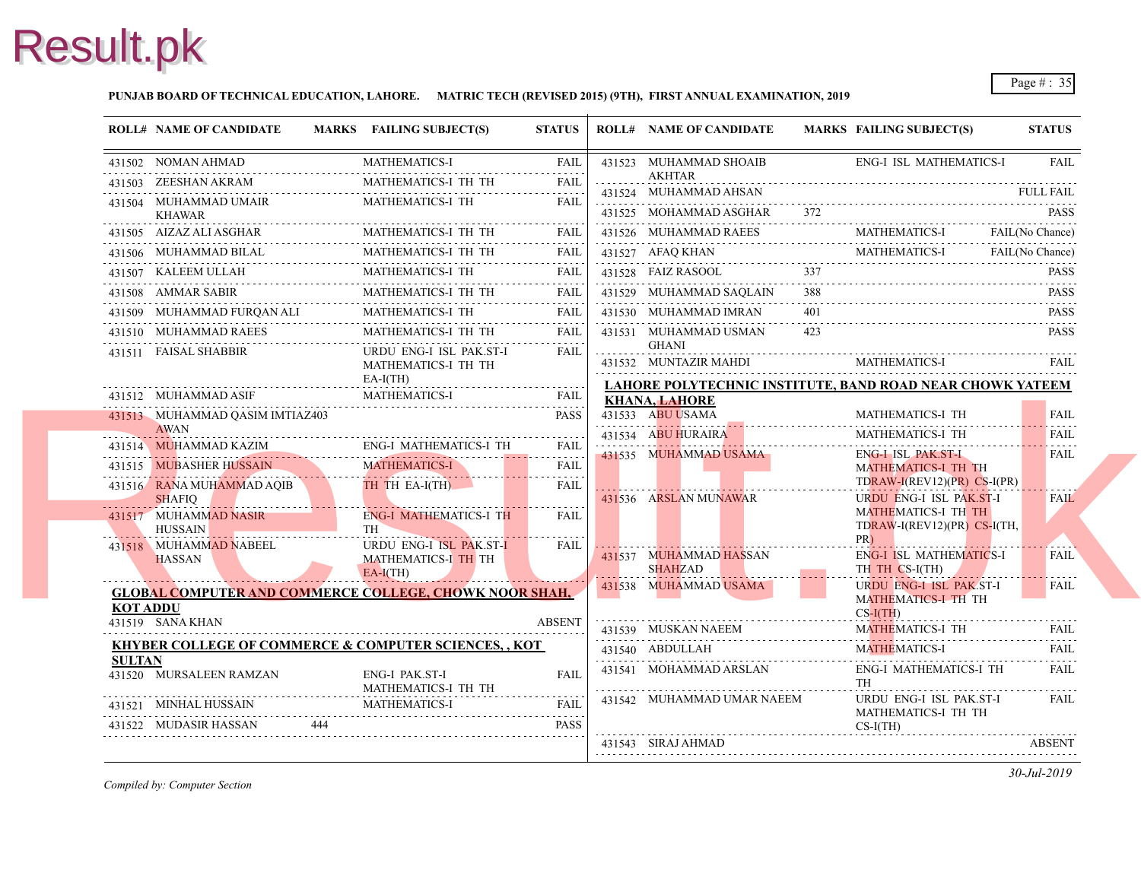#### **PUNJAB BOARD OF TECHNICAL EDUCATION, LAHORE. MATRIC TECH (REVISED 2015) (9TH), FIRST ANNUAL EXAMINATION, 2019**

|               | <b>ROLL# NAME OF CANDIDATE</b>                                  | MARKS FAILING SUBJECT(S)                                            | <b>STATUS</b>                     | <b>ROLL# NAME OF CANDIDATE</b>              | <b>MARKS FAIL</b> |                                |
|---------------|-----------------------------------------------------------------|---------------------------------------------------------------------|-----------------------------------|---------------------------------------------|-------------------|--------------------------------|
|               | 431502 NOMAN AHMAD                                              | <b>MATHEMATICS-I</b>                                                | <b>FAIL</b>                       | 431523 MUHAMMAD SHOAIB                      |                   | ENG-                           |
|               | 431503 ZEESHAN AKRAM                                            | MATHEMATICS-I TH TH                                                 | <b>FAIL</b>                       | <b>AKHTAR</b><br>431524 MUHAMMAD AHSAN      |                   |                                |
|               | 431504 MUHAMMAD UMAIR<br><b>KHAWAR</b>                          | MATHEMATICS-I TH                                                    | <b>FAIL</b>                       | 431525 MOHAMMAD ASGHAR                      |                   |                                |
|               | 431505 AIZAZ ALI ASGHAR                                         | MATHEMATICS-I TH TH                                                 | <b>FAIL</b>                       | 431526 MUHAMMAD RAEES                       |                   | <b>MAT</b>                     |
|               | 431506 MUHAMMAD BILAL                                           | MATHEMATICS-I TH TH                                                 | FAIL                              | 431527 AFAQ KHAN                            |                   | <b>MAT</b>                     |
|               | 431507 KALEEM ULLAH                                             | MATHEMATICS-I TH                                                    | <b>FAIL</b>                       | 431528 FAIZ RASOOL                          | 337               |                                |
|               | 431508 AMMAR SABIR                                              | MATHEMATICS-I TH TH                                                 | <b>FAIL</b>                       | 431529 MUHAMMAD SAOLAIN                     | 388               |                                |
|               | 431509 MUHAMMAD FURQAN ALI                                      | MATHEMATICS-I TH                                                    | FAIL                              | 431530 MUHAMMAD IMRAN                       | 401               |                                |
|               | 431510 MUHAMMAD RAEES                                           | MATHEMATICS-I TH TH                                                 | <b>FAIL</b>                       | 431531 MUHAMMAD USMAN                       | 423               |                                |
|               | 431511 FAISAL SHABBIR                                           | URDU ENG-I ISL PAK.ST-I<br>MATHEMATICS-I TH TH                      | .<br><b>FAIL</b>                  | <b>GHANI</b><br>431532 MUNTAZIR MAHDI       |                   | <b>MAT</b>                     |
|               |                                                                 | $EA-I(TH)$                                                          |                                   | <b>LAHORE POLYTECHNIC INSTITUTE, BAND I</b> |                   |                                |
|               | 431512 MUHAMMAD ASIF                                            | MATHEMATICS-I                                                       | FAIL                              | <b>KHANA, LAHORE</b>                        |                   |                                |
|               | 431513 MUHAMMAD QASIM IMTIAZ403<br><b>AWAN</b>                  |                                                                     | <b>PASS</b>                       | 431533 ABU USAMA                            |                   | <b>MAT</b>                     |
|               | 431514 MUHAMMAD KAZIM                                           | <b>ENG-I MATHEMATICS-I TH</b>                                       | FAIL                              | 431534 ABU HURAIRA                          |                   | <b>MAT</b>                     |
|               | 431515 MUBASHER HUSSAIN                                         | <b>MATHEMATICS-I</b>                                                | $\omega$ is $\omega$ in .<br>FAIL | 431535 MUHAMMAD USAMA                       |                   | ENG-<br><b>MAT</b>             |
|               | 431516 RANA MUHAMMAD AQIB<br><b>SHAFIQ</b>                      | TH TH EA-I(TH)                                                      | <b>FAIL</b>                       | 431536 ARSLAN MUNAWAR                       |                   | <b>TDR</b><br><b>URD</b>       |
|               | 431517 MUHAMMAD NASIR<br>HUSSAIN                                | <b>ENG-I MATHEMATICS-I TH</b><br>TH <sup>-</sup>                    | <b>FAIL</b>                       |                                             |                   | <b>MAT</b><br><b>TDR</b>       |
|               | 431518 MUHAMMAD NABEEL<br><b>HASSAN</b>                         | URDU ENG-I ISL PAK.ST-I<br><b>MATHEMATICS-I TH TH</b><br>$EA-I(TH)$ | FAIL                              | 431537 MUHAMMAD HASSAN<br><b>SHAHZAD</b>    |                   | PR)<br>ENG-<br>TH <sub>1</sub> |
|               | <b>GLOBAL COMPUTER AND COMMERCE COLLEGE, CHOWK NOOR SHAH,</b>   |                                                                     |                                   | 431538 MUHAMMAD USAMA                       |                   | <b>URD</b>                     |
| KOT ADDU      |                                                                 |                                                                     |                                   |                                             |                   | <b>MAT</b><br>$CS-I$           |
|               | 431519 SANA KHAN                                                |                                                                     | <b>ABSENT</b>                     | 431539 MUSKAN NAEEM                         |                   | <b>MAT</b>                     |
|               | <b>KHYBER COLLEGE OF COMMERCE &amp; COMPUTER SCIENCES,, KOT</b> |                                                                     |                                   | 431540 ABDULLAH                             |                   | <b>MAT</b>                     |
| <b>SULTAN</b> | 431520 MURSALEEN RAMZAN                                         | ENG-I PAK.ST-I<br>MATHEMATICS-I TH TH                               | <b>FAIL</b>                       | 431541 MOHAMMAD ARSLAN                      |                   | ENG-<br><b>TH</b>              |
|               | 431521 MINHAL HUSSAIN                                           | <b>MATHEMATICS-I</b>                                                | <b>FAIL</b>                       | 431542 MUHAMMAD UMAR NAEEM                  |                   | <b>URD</b>                     |
|               | 431522 MUDASIR HASSAN                                           |                                                                     | <b>PASS</b>                       |                                             |                   | <b>MAT</b><br>$CS-I$           |
|               |                                                                 |                                                                     |                                   | 431543 SIRAJ AHMAD                          |                   |                                |
|               |                                                                 |                                                                     |                                   |                                             |                   |                                |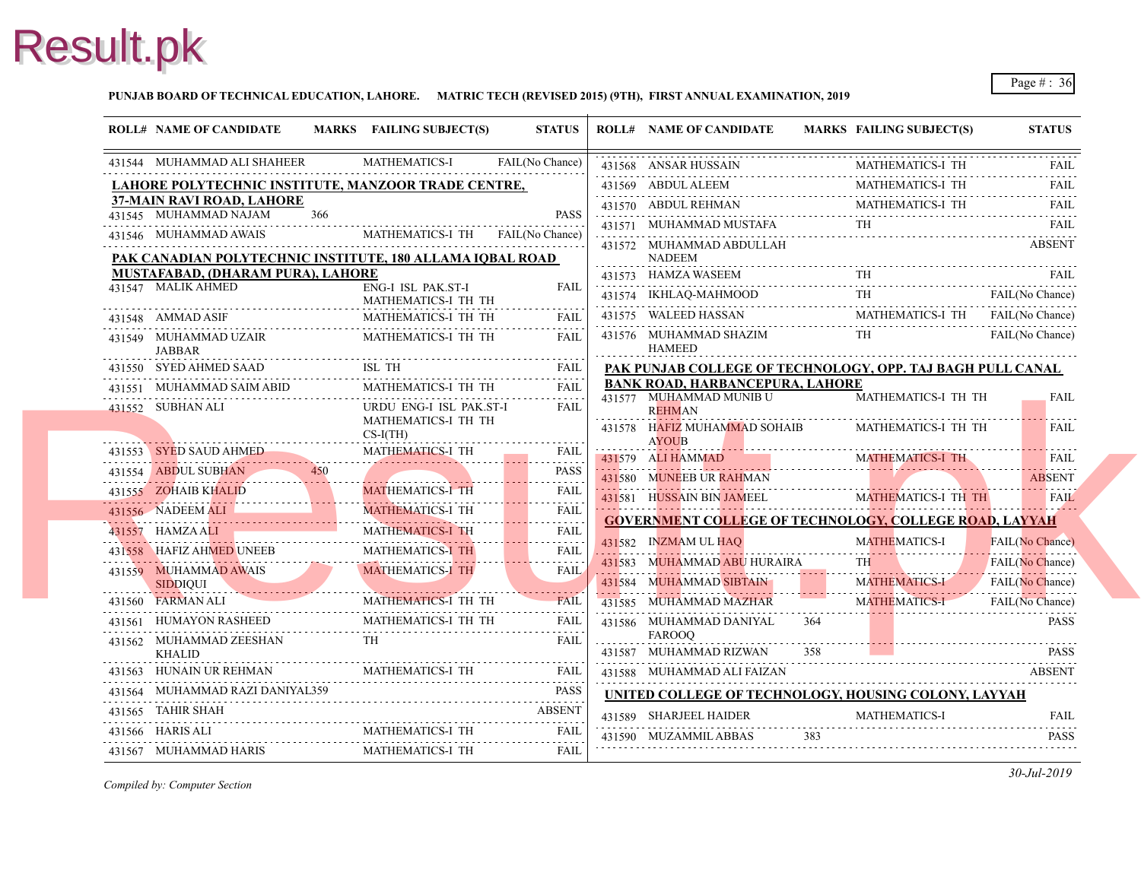#### **PUNJAB BOARD OF TECHNICAL EDUCATION, LAHORE. MATRIC TECH (REVISED 2015) (9TH), FIRST ANNUAL EXAMINATION, 2019**

| <b>ROLL# NAME OF CANDIDATE</b>                                 |     | MARKS FAILING SUBJECT(S)          | <b>STATUS</b>    | <b>ROLL# NAME OF CANDIDATE</b>                                    | <b>MARKS FAIL</b> |
|----------------------------------------------------------------|-----|-----------------------------------|------------------|-------------------------------------------------------------------|-------------------|
| 431544 MUHAMMAD ALI SHAHEER                                    |     | <b>MATHEMATICS-I</b>              | FAIL(No Chance)  | 431568 ANSAR HUSSAIN                                              | <b>MAT</b>        |
| <u>LAHORE POLYTECHNIC INSTITUTE, MANZOOR TRADE CENTRE,</u>     |     |                                   |                  | 431569 ABDUL ALEEM                                                | <b>MATI</b>       |
| 37-MAIN RAVI ROAD, LAHORE                                      |     |                                   |                  | 431570 ABDUL REHMAN                                               | <b>MAT</b>        |
| 431545 MUHAMMAD NAJAM                                          | 366 |                                   | <b>PASS</b>      | 431571 MUHAMMAD MUSTAFA                                           | TH                |
| 431546 MUHAMMAD AWAIS                                          |     | MATHEMATICS-I TH                  | FAIL(No Chance)  | 431572 MUHAMMAD ABDULLAH                                          |                   |
| PAK CANADIAN POLYTECHNIC INSTITUTE, 180 ALLAMA IOBAL ROAD      |     |                                   |                  | NADEEM                                                            |                   |
| <b>MUSTAFABAD, (DHARAM PURA), LAHORE</b><br>431547 MALIK AHMED |     | ENG-I ISL PAK.ST-I                | <b>FAIL</b>      | 431573 HAMZA WASEEM                                               | TH                |
|                                                                |     | MATHEMATICS-I TH TH               |                  | 431574 IKHLAQ-MAHMOOD                                             | TH                |
| 431548 AMMAD ASIF                                              |     | MATHEMATICS-I TH TH               | <b>FAII</b>      | 431575 WALEED HASSAN                                              | MAT.              |
| 431549 MUHAMMAD UZAIR<br>JABBAR                                |     | MATHEMATICS-I TH TH               | <b>FAIL</b>      | 431576 MUHAMMAD SHAZIM<br><b>HAMEED</b>                           | TH                |
| 431550 SYED AHMED SAAD                                         |     | ISL TH                            | <b>FAIL</b>      | PAK PUNJAB COLLEGE OF TECHNOLOGY, 0                               |                   |
| 431551 MUHAMMAD SAIM ABID                                      |     | MATHEMATICS-I TH TH               | <b>FAIL</b><br>. | <b>BANK ROAD, HARBANCEPURA, LAHORE</b><br>431577 MUHAMMAD MUNIB U | <b>MAT</b>        |
| 431552 SUBHAN ALI                                              |     | URDU ENG-I ISL PAK.ST-I           | FAIL             | <b>REHMAN</b>                                                     |                   |
|                                                                |     | MATHEMATICS-I TH TH<br>$CS-I(TH)$ |                  | 431578 HAFIZ MUHAMMAD SOHAIB                                      | <b>MATI</b>       |
| 431553 SYED SAUD AHMED                                         |     | <b>MATHEMATICS-I TH</b>           | <b>FAIL</b>      | <b>AYOUB</b>                                                      |                   |
| 431554 ABDUL SUBHAN                                            |     |                                   | <b>PASS</b>      | 431579 ALI HAMMAD                                                 | <b>MAT</b>        |
| 431555 ZOHAIB KHALID                                           |     | <b>MATHEMATICS-I TH</b>           | <b>FAIL</b>      | 431580 MUNEEB UR RAHMAN                                           |                   |
| 431556 NADEEM ALI                                              |     | <b>MATHEMATICS-I TH</b>           | FAIL             | 431581 HUSSAIN BIN JAMEEL                                         | <b>MAT</b>        |
| 431557 HAMZAALI                                                |     | MATHEMATICS-I TH                  | .<br><b>FAIL</b> | <b>GOVERNMENT COLLEGE OF TECHNOLOGY</b>                           |                   |
| 431558 HAFIZ AHMED UNEEB                                       |     | <b>MATHEMATICS-I TH</b>           | .<br>FAIL        | 431582 INZMAM UL HAO                                              | <b>MAT</b>        |
| 431559 MUHAMMAD AWAIS                                          |     | <b>MATHEMATICS-I TH</b>           | .<br><b>FAIL</b> | 431583 MUHAMMAD ABU HURAIRA                                       | TH.               |
| <b>SIDDIOUI</b>                                                |     |                                   |                  | 431584 MUHAMMAD SIBTAIN                                           | <b>MAT</b>        |
| 431560 FARMAN ALI                                              |     | MATHEMATICS-I TH TH               | <b>FAIL</b>      | 431585 MUHAMMAD MAZHAR                                            | <b>MAT</b>        |
| 431561 HUMAYON RASHEED                                         |     | MATHEMATICS-I TH TH               | FAIL             | 431586 MUHAMMAD DANIYAL                                           | 364               |
| 431562 MUHAMMAD ZEESHAN<br><b>KHALID</b>                       |     | TH.                               | FAIL             | <b>FAROOO</b><br>431587 MUHAMMAD RIZWAN                           | 358               |
| 431563 HUNAIN UR REHMAN                                        |     | MATHEMATICS-I TH                  | FAIL             | 431588 MUHAMMAD ALI FAIZAN                                        |                   |
| 431564 MUHAMMAD RAZI DANIYAL359                                |     |                                   | <b>PASS</b>      | <b>UNITED COLLEGE OF TECHNOLOGY, HOUS</b>                         |                   |
| 431565 TAHIR SHAH                                              |     |                                   | <b>ABSENT</b>    | 431589 SHARJEEL HAIDER                                            | <b>MAT</b>        |
| 431566 HARIS ALI                                               |     | MATHEMATICS-I TH                  | FAIL             | 431590 MUZAMMIL ABBAS                                             | 383               |
| 431567 MUHAMMAD HARIS                                          |     | MATHEMATICS-I TH                  | .<br>FAIL        |                                                                   |                   |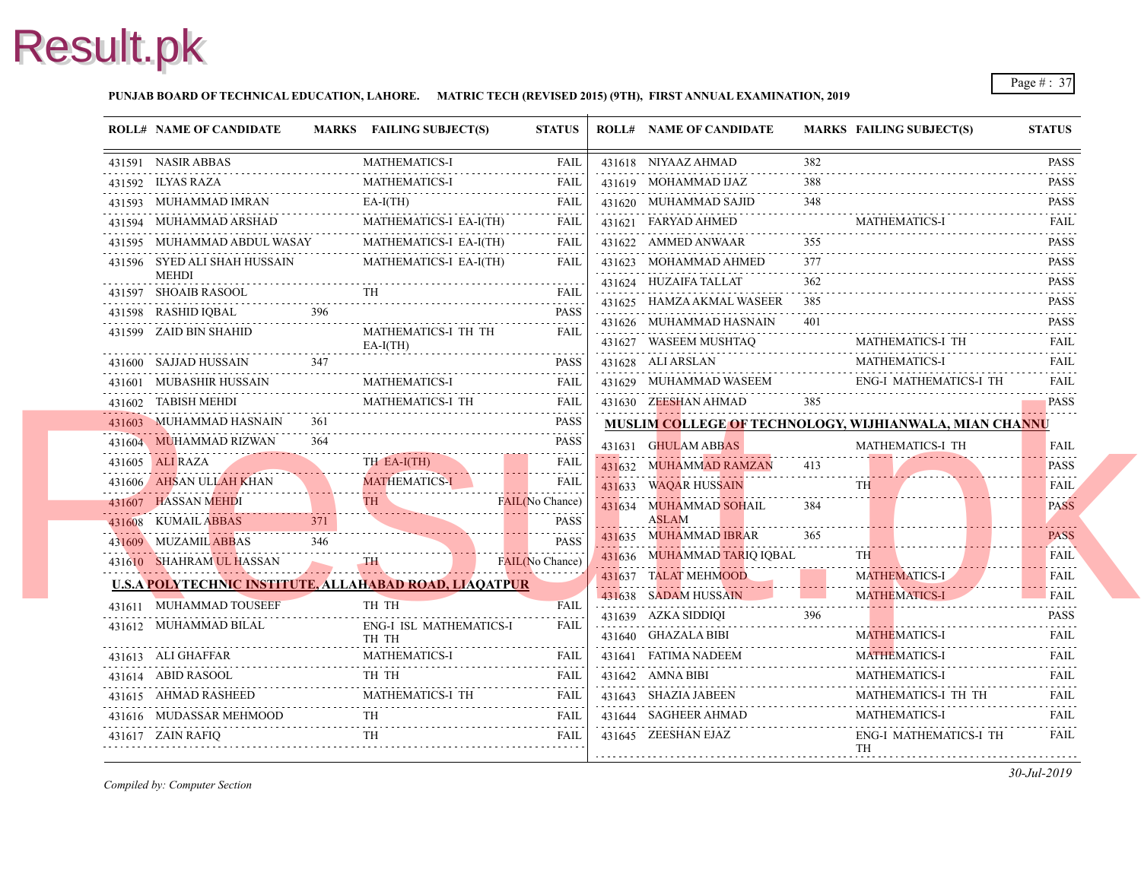### **PUNJAB BOARD OF TECHNICAL EDUCATION, LAHORE. MATRIC TECH (REVISED 2015) (9TH), FIRST ANNUAL EXAMINATION, 2019**

| <b>ROLL# NAME OF CANDIDATE</b>                                |     | MARKS FAILING SUBJECT(S)          | <b>STATUS</b>                                                           | <b>ROLL# NAME OF CANDIDATE</b>                   | <b>MARKS FAIL</b> |                   |
|---------------------------------------------------------------|-----|-----------------------------------|-------------------------------------------------------------------------|--------------------------------------------------|-------------------|-------------------|
| 431591 NASIR ABBAS                                            |     | <b>MATHEMATICS-I</b>              | FAIL                                                                    | 431618 NIYAAZ AHMAD                              | 382               |                   |
| 431592 ILYAS RAZA                                             |     | <b>MATHEMATICS-I</b><br>.         | FAIL                                                                    | 431619 MOHAMMAD IJAZ                             | 388               |                   |
| 431593 MUHAMMAD IMRAN                                         |     | $EA-I(TH)$                        | FAIL                                                                    | 431620 MUHAMMAD SAJID                            | 348               |                   |
| 431594 MUHAMMAD ARSHAD                                        |     | MATHEMATICS-I EA-I(TH)            | FAIL                                                                    | 431621 FARYAD AHMED                              |                   | MATI              |
| 431595 MUHAMMAD ABDUL WASAY                                   |     | MATHEMATICS-I EA-I(TH)            | FAIL                                                                    | 431622 AMMED ANWAAR                              | 355               |                   |
| 431596 SYED ALI SHAH HUSSAIN<br>MEHDI                         |     | MATHEMATICS-I EA-I(TH)            | FAIL                                                                    | 431623 MOHAMMAD AHMED                            | 377               |                   |
| 431597 SHOAIB RASOOL                                          |     | TH                                | FAIL                                                                    | 431624 HUZAIFA TALLAT                            | 362               |                   |
| 431598 RASHID IQBAL                                           | 396 |                                   | .<br><b>PASS</b>                                                        | 431625 HAMZA AKMAL WASEER                        | 385               |                   |
| 431599 ZAID BIN SHAHID                                        |     | MATHEMATICS-I TH TH<br>$EA-I(TH)$ | FAIL                                                                    | 431626 MUHAMMAD HASNAIN<br>431627 WASEEM MUSHTAQ | 401               | <b>MAT</b>        |
| 431600 SAJJAD HUSSAIN                                         | 347 |                                   | PASS                                                                    | 431628 ALI ARSLAN                                |                   | <b>MAT</b>        |
| 431601 MUBASHIR HUSSAIN                                       |     | <b>MATHEMATICS-I</b>              | FAIL                                                                    | 431629 MUHAMMAD WASEEM                           |                   | ENG-              |
| 431602 TABISH MEHDI                                           |     | MATHEMATICS-I TH                  | FAIL                                                                    | 431630 ZEESHAN AHMAD                             | 385               |                   |
| 431603 MUHAMMAD HASNAIN                                       | 361 |                                   | .<br>PASS                                                               | MUSLIM COLLEGE OF TECHNOLOGY, WIJH               |                   |                   |
| 431604 MUHAMMAD RIZWAN                                        | 364 |                                   | <b>PASS</b>                                                             | 431631 GHULAM ABBAS                              |                   | <b>MAT</b>        |
| 431605 ALI RAZA                                               |     | TH EA-I(TH)                       | FAIL                                                                    | 431632 MUHAMMAD RAMZAN                           | 413               |                   |
| 431606 AHSAN ULLAH KHAN                                       |     | <b>MATHEMATICS-I</b><br>.         | .<br>FAIL                                                               | 431633 WAQAR HUSSAIN                             |                   | <b>TH</b>         |
| 431607 HASSAN MEHDI                                           |     | TH.                               | FAIL(No Chance)                                                         | 431634 MUHAMMAD SOHAIL                           | 384               |                   |
| 431608 KUMAIL ABBAS                                           | 371 |                                   | <b>PASS</b>                                                             | <b>ASLAM</b>                                     |                   |                   |
| 431609 MUZAMIL ABBAS                                          | 346 |                                   | <b>PASS</b>                                                             | 431635 MUHAMMAD IBRAR                            | 365               |                   |
| 431610 SHAHRAM UL HASSAN                                      |     | TH \                              | FAIL(No Chance)                                                         | 431636 MUHAMMAD TARIQ IQBAL                      |                   |                   |
| <b>U.S.A POLYTECHNIC INSTITUTE, ALLAHABAD ROAD, LIAOATPUR</b> |     |                                   |                                                                         | 431637 TALAT MEHMOOD                             |                   | <b>MAT</b>        |
| 431611 MUHAMMAD TOUSEEF                                       |     | TH TH                             | <b>FAIL</b>                                                             | 431638 SADAM HUSSAIN                             |                   | <b>MAT</b>        |
| 431612 MUHAMMAD BILAL                                         |     | ENG-I ISL MATHEMATICS-I           | <b>FAIL</b>                                                             | 431639 AZKA SIDDIQI                              | 396               |                   |
|                                                               |     | TH TH                             |                                                                         | 431640 GHAZALA BIBI                              |                   | <b>MAT</b>        |
| 431613 ALI GHAFFAR                                            |     | <b>MATHEMATICS-I</b>              | FAIL                                                                    | 431641 FATIMA NADEEM                             |                   | <b>MAT</b>        |
| 431614 ABID RASOOL                                            |     | TH TH                             | FAIL                                                                    | 431642 AMNA BIBI                                 |                   | <b>MAT</b>        |
| 431615 AHMAD RASHEED                                          |     | MATHEMATICS-I TH                  | FAIL<br>$\alpha$ , $\alpha$ , $\alpha$ , $\alpha$ , $\alpha$ , $\alpha$ | 431643 SHAZIA JABEEN                             |                   | <b>MAT</b>        |
| 431616 MUDASSAR MEHMOOD                                       |     | TH.                               | FAIL                                                                    | 431644 SAGHEER AHMAD                             |                   | <b>MAT</b>        |
| 431617 ZAIN RAFIQ                                             |     | TH                                | FAIL                                                                    | 431645 ZEESHAN EJAZ                              |                   | ENG-<br><b>TH</b> |
|                                                               |     |                                   |                                                                         |                                                  |                   |                   |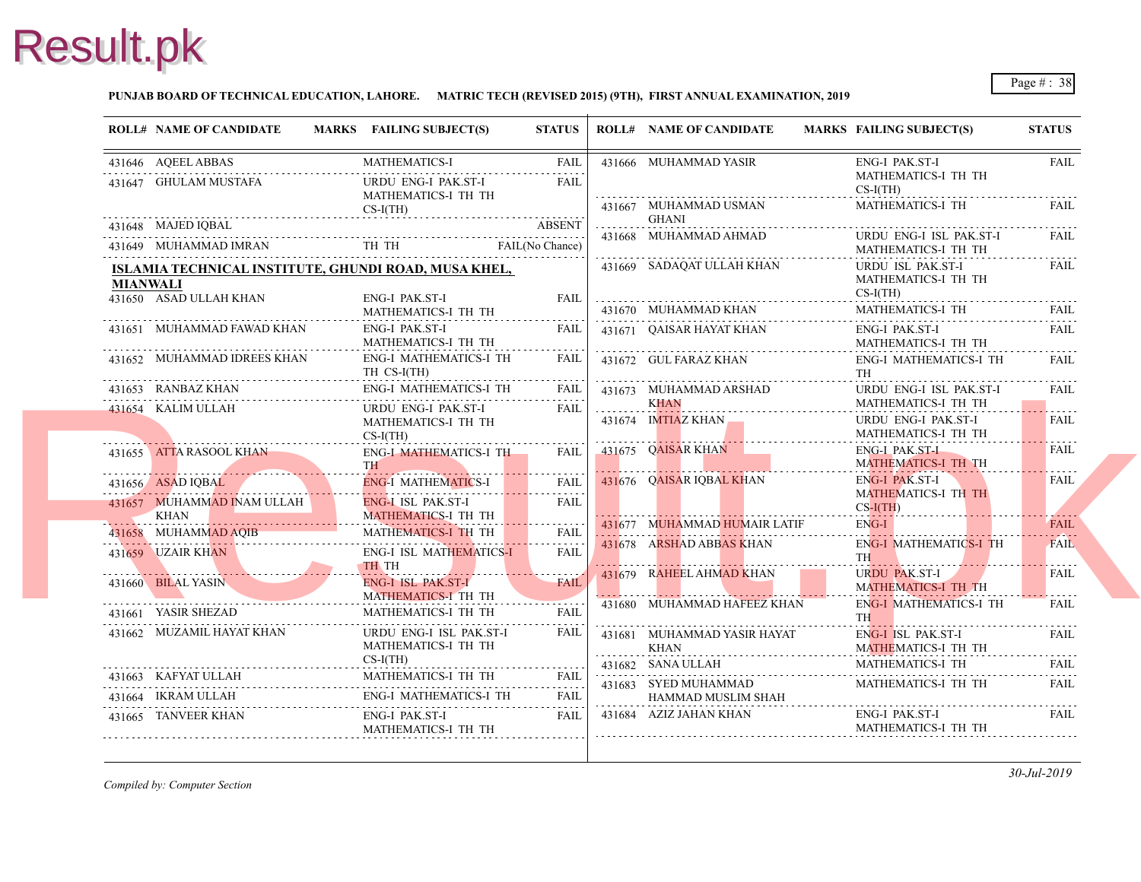### **PUNJAB BOARD OF TECHNICAL EDUCATION, LAHORE. MATRIC TECH (REVISED 2015) (9TH), FIRST ANNUAL EXAMINATION, 2019**

| <b>ROLL# NAME OF CANDIDATE</b> |                             | MARKS FAILING SUBJECT(S)                                                                                                                    | <b>STATUS</b>    |          | <b>ROLL# NAME OF CANDIDATE</b>             | <b>MARKS FAIL</b>                      |
|--------------------------------|-----------------------------|---------------------------------------------------------------------------------------------------------------------------------------------|------------------|----------|--------------------------------------------|----------------------------------------|
| 431646 AQEEL ABBAS             |                             | MATHEMATICS-I FAIL                                                                                                                          | FAIL             |          | 431666 MUHAMMAD YASIR                      | ENG-                                   |
| 431647 GHULAM MUSTAFA          |                             | URDU ENG-I PAK.ST-I<br>MATHEMATICS-I TH TH                                                                                                  | <b>FAIL</b>      |          | 431667 MUHAMMAD USMAN                      | <b>MAT</b><br>$CS-I($<br><b>MAT</b>    |
| 431648 MAJED IQBAL             |                             | $CS-I(TH)$                                                                                                                                  | <b>ABSENT</b>    |          | <b>GHANI</b>                               |                                        |
|                                |                             | 431648 MAJED IQBAL ABSENT<br>431649 MUHAMMAD IMRAN TH TH TH FAIL(No Chance)                                                                 |                  |          | 431668 MUHAMMAD AHMAD                      | <b>URD</b><br><b>MAT</b>               |
|                                |                             | ISLAMIA TECHNICAL INSTITUTE, GHUNDI ROAD, MUSA KHEL,                                                                                        |                  |          | 431669 SADAQAT ULLAH KHAN                  | <b>URD</b>                             |
| <b>MIANWALI</b>                |                             |                                                                                                                                             |                  |          |                                            | <b>MAT</b>                             |
| 431650 ASAD ULLAH KHAN         |                             | ENG-I PAK.ST-I<br>MATHEMATICS-I TH TH                                                                                                       | <b>FAIL</b>      |          | 431670 MUHAMMAD KHAN                       | $CS-I($<br><b>MAT</b>                  |
|                                | 431651 MUHAMMAD FAWAD KHAN  | ENG-I PAK.ST-I<br>MATHEMATICS-I TH TH                                                                                                       | FAIL             |          | 431671 QAISAR HAYAT KHAN                   | ENG-<br><b>MAT</b>                     |
|                                | 431652 MUHAMMAD IDREES KHAN | ENG-I MATHEMATICS-I TH<br>TH CS-I(TH)                                                                                                       | <b>FAIL</b>      |          | 431672 GUL FARAZ KHAN                      | ENG-<br>TH                             |
| 431653 RANBAZ KHAN             |                             | ENG-I MATHEMATICS-I TH                                                                                                                      | FAIL             |          | 431673 MUHAMMAD ARSHAD                     | <b>URD</b>                             |
| 431654 KALIM ULLAH             |                             | URDU ENG-I PAK.ST-I<br>MATHEMATICS-I TH TH<br>$CS-I(TH)$                                                                                    | FAIL             | <u>.</u> | KHAN<br>431674 IMTIAZ KHAN                 | <b>MAT</b><br><b>URD</b><br><b>MAT</b> |
|                                | 431655 ATTA RASOOL KHAN     | ENG-I MATHEMATICS-I TH<br>TH -                                                                                                              | FAII.            |          | 431675 QAISAR KHAN                         | ENG-<br><b>MAT</b>                     |
| 431656 ASAD IQBAL              |                             | ENG-I MATHEMATICS-I                                                                                                                         | <b>FAIL</b>      |          | 431676 QAISAR IQBAL KHAN                   | ENG-                                   |
| KHAN                           | 431657 MUHAMMAD INAM ULLAH  | <b>ENG-I ISL PAK.ST-I</b><br><b>MATHEMATICS-I TH TH</b>                                                                                     | .<br><b>FAIL</b> |          |                                            | <b>MAT</b><br>$CS-I($                  |
| 431658 MUHAMMAD AQIB           |                             | MATHEMATICS-I TH TH                                                                                                                         | <b>FAIL</b>      |          | 431677 MUHAMMAD HUMAIR LATIF               | ENG-                                   |
| 431659 UZAIR KHAN              |                             | <b>ENG-I ISL MATHEMATICS-I</b><br>TH TH                                                                                                     | <b>FAIL</b>      |          | 431678 ARSHAD ABBAS KHAN                   | ENG-<br>TH <sub>1</sub>                |
| 431660 BILAL YASIN             |                             | <b>ENG-I ISL PAK.ST-I</b><br>MATHEMATICS-I TH TH                                                                                            | <b>FAIL</b>      |          | 431679 RAHEEL AHMAD KHAN                   | <b>URD</b><br><b>MAT</b>               |
| 431661 YASIR SHEZAD            |                             | MATHEMATICS-I TH TH                                                                                                                         | <b>FAIL</b>      |          | 431680 MUHAMMAD HAFEEZ KHAN                | ENG-<br>TH <sub>1</sub>                |
|                                | 431662 MUZAMIL HAYAT KHAN   | URDU ENG-I ISL PAK.ST-I<br>MATHEMATICS-I TH TH<br>$CS-I(TH)$                                                                                | FAIL             | .        | 431681 MUHAMMAD YASIR HAYAT<br>KHAN        | ENG-<br><b>MAT</b>                     |
|                                |                             | MATHEMATICS-I TH TH                                                                                                                         |                  |          | 431682 SANA ULLAH                          | <b>MAT</b>                             |
| 431664 IKRAM ULLAH             |                             | ${\bf 431663} \quad {\bf KAFYAT \, ULLAH} \qquad {\bf MATHEMATICS\text{-}I \, TH \, TH} \qquad {\bf FAIL}$<br><b>ENG-I MATHEMATICS-I TH</b> | FAIL             |          | 431683 SYED MUHAMMAD<br>HAMMAD MUSLIM SHAH | <b>MAT</b>                             |
| 431665 TANVEER KHAN            |                             | ENG-I PAK.ST-I<br>MATHEMATICS-I TH TH                                                                                                       | <b>FAIL</b>      |          | 431684 AZIZ JAHAN KHAN                     | ENG-<br><b>MAT</b>                     |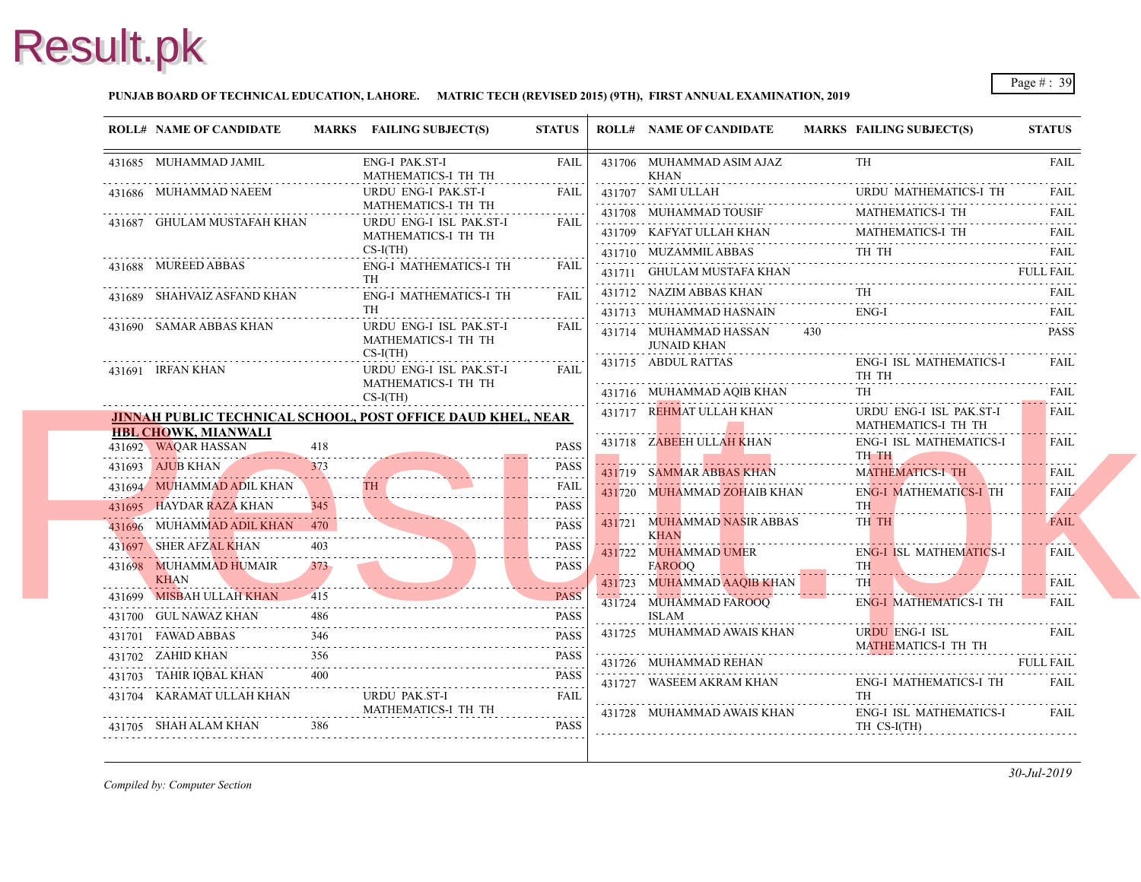### **PUNJAB BOARD OF TECHNICAL EDUCATION, LAHORE. MATRIC TECH (REVISED 2015) (9TH), FIRST ANNUAL EXAMINATION, 2019**

| <b>ROLL# NAME OF CANDIDATE</b>               |      | MARKS FAILING SUBJECT(S)                                           | <b>STATUS</b>         |   | <b>ROLL# NAME OF CANDIDATE</b>             | <b>MARKS FAIL</b>       |
|----------------------------------------------|------|--------------------------------------------------------------------|-----------------------|---|--------------------------------------------|-------------------------|
| 431685 MUHAMMAD JAMIL                        |      | ENG-I PAK.ST-I<br>MATHEMATICS-I TH TH                              | FAIL                  |   | 431706 MUHAMMAD ASIM AJAZ<br><b>KHAN</b>   | TH                      |
| 431686 MUHAMMAD NAEEM                        |      | URDU ENG-I PAK.ST-I<br>MATHEMATICS-I TH TH                         | <b>FAIL</b>           |   | 431707 SAMI ULLAH                          | <b>URD</b>              |
| 431687 GHULAM MUSTAFAH KHAN                  |      | URDU ENG-I ISL PAK.ST-I                                            | .<br>FAII.            |   | 431708 MUHAMMAD TOUSIF                     | MAT.                    |
|                                              |      | MATHEMATICS-I TH TH                                                |                       | . | 431709 KAFYAT ULLAH KHAN                   | <b>MAT</b>              |
| 431688 MUREED ABBAS                          |      | $CS-I(TH)$<br><b>ENG-I MATHEMATICS-I TH</b>                        | <b>FAIL</b>           |   | 431710 MUZAMMIL ABBAS                      | TH.                     |
|                                              |      | TH                                                                 |                       |   | 431711 GHULAM MUSTAFA KHAN                 |                         |
| 431689 SHAHVAIZ ASFAND KHAN                  |      | <b>ENG-I MATHEMATICS-I TH</b>                                      | <b>FAIL</b>           |   | 431712 NAZIM ABBAS KHAN                    | TH                      |
|                                              |      | <b>TH</b>                                                          | $- - - - - - - -$     |   | 431713 MUHAMMAD HASNAIN                    | ENG-                    |
| 431690 SAMAR ABBAS KHAN                      |      | URDU ENG-I ISL PAK.ST-I<br>MATHEMATICS-I TH TH<br>$CS-I(TH)$       | FAIL                  |   | 431714 MUHAMMAD HASSAN<br>JUNAID KHAN      | 430                     |
| 431691 IRFAN KHAN                            |      | URDU ENG-I ISL PAK.ST-I                                            | <b>FAIL</b>           |   | 431715 ABDUL RATTAS                        | ENG-                    |
|                                              |      | MATHEMATICS-I TH TH                                                |                       |   | 431716 MUHAMMAD AQIB KHAN                  | TH 1<br>TH              |
|                                              |      | $CS-I(TH)$                                                         |                       |   | 431717 REHMAT ULLAH KHAN                   | <b>URD</b>              |
| <b>HBL CHOWK, MIANWALI</b>                   |      | <b>JINNAH PUBLIC TECHNICAL SCHOOL, POST OFFICE DAUD KHEL, NEAR</b> |                       |   |                                            | <b>MAT</b>              |
| 431692 WAQAR HASSAN                          | 418  |                                                                    | <b>PASS</b>           |   | 431718 ZABEEH ULLAH KHAN                   | ENG-<br>TH <sub>1</sub> |
| 431693 AJUB KHAN                             | 373  |                                                                    | <b>PASS</b>           |   | 431719 SAMMAR ABBAS KHAN                   | <b>MAT</b>              |
| 431694 MUHAMMAD ADIL KHAN                    |      |                                                                    | .<br><b>FAIL</b><br>. |   | 431720 MUHAMMAD ZOHAIB KHAN                | ENG-                    |
| 431695 HAYDAR RAZA KHAN                      | 345. |                                                                    | PASS<br>.             |   |                                            | TH <sub>1</sub>         |
| 431696 MUHAMMAD ADIL KHAN 470                |      |                                                                    | <b>PASS</b><br>.      |   | 431721 MUHAMMAD NASIR ABBAS<br><b>KHAN</b> | TH <sub>1</sub>         |
| 431697 SHER AFZAL KHAN                       |      |                                                                    | <b>PASS</b>           |   | 431722 MUHAMMAD UMER                       | ENG-                    |
| 431698 MUHAMMAD HUMAIR                       | 373  |                                                                    | <b>PASS</b>           |   | <b>FAROOQ</b>                              | <b>TH</b>               |
| <b>KHAN</b><br>431699 MISBAH ULLAH KHAN      | 415  |                                                                    | <b>PASS</b>           |   | 431723 MUHAMMAD AAQIB KHAN                 | TH.                     |
| 431700 GUL NAWAZ KHAN                        |      |                                                                    | <b>PASS</b>           |   | 431724 MUHAMMAD FAROOQ<br><b>ISLAM</b>     | ENG-                    |
|                                              | 346  |                                                                    | <b>PASS</b>           |   | 431725 MUHAMMAD AWAIS KHAN                 | <b>URD</b>              |
| 431701 FAWAD ABBAS<br>.<br>431702 ZAHID KHAN | 356  |                                                                    | <b>PASS</b>           |   |                                            | <b>MAT</b>              |
| 431703 TAHIR IQBAL KHAN                      | 400  |                                                                    | <b>PASS</b>           |   | 431726 MUHAMMAD REHAN                      |                         |
| 431704 KARAMAT ULLAH KHAN                    |      | URDU PAK.ST-I                                                      | <b>FAIL</b>           |   | 431727 WASEEM AKRAM KHAN                   | ENG-<br>TH              |
|                                              |      | MATHEMATICS-I TH TH                                                |                       |   |                                            |                         |
|                                              |      |                                                                    |                       |   | 431728 MUHAMMAD AWAIS KHAN                 | ENG-                    |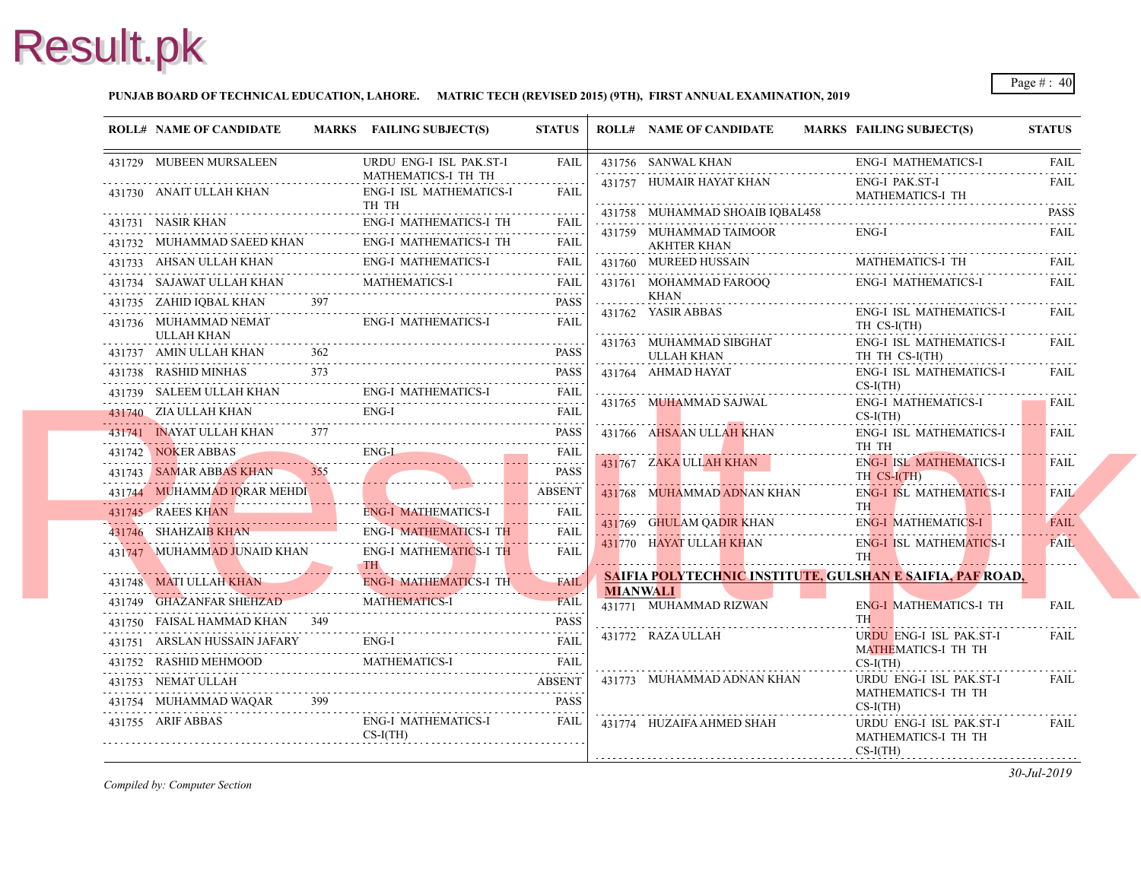### **PUNJAB BOARD OF TECHNICAL EDUCATION, LAHORE. MATRIC TECH (REVISED 2015) (9TH), FIRST ANNUAL EXAMINATION, 2019**

| <b>ROLL# NAME OF CANDIDATE</b>                                       |     | MARKS FAILING SUBJECT(S)                                                                                                                         | <b>STATUS</b>      |                 | <b>ROLL# NAME OF CANDIDATE</b>                | <b>MARKS FAIL</b> |                                     |
|----------------------------------------------------------------------|-----|--------------------------------------------------------------------------------------------------------------------------------------------------|--------------------|-----------------|-----------------------------------------------|-------------------|-------------------------------------|
| 431729 MUBEEN MURSALEEN                                              |     | URDU ENG-I ISL PAK.ST-I                                                                                                                          | FAIL               |                 | 431756 SANWAL KHAN                            |                   | ENG-                                |
| 431730 ANAIT ULLAH KHAN                                              |     | MATHEMATICS-I TH TH<br><b>ENG-I ISL MATHEMATICS-I</b><br>TH TH                                                                                   | FAIL               |                 | 431757 HUMAIR HAYAT KHAN                      |                   | ENG-<br><b>MAT</b>                  |
| 431731 NASIR KHAN                                                    |     |                                                                                                                                                  |                    |                 | 431758 MUHAMMAD SHOAIB IOBAL458               |                   |                                     |
|                                                                      |     | <b>ENG-I MATHEMATICS-I TH</b>                                                                                                                    |                    |                 | 431759 MUHAMMAD TAIMOOR<br><b>AKHTER KHAN</b> |                   | ENG-                                |
|                                                                      |     | $\begin{tabular}{llllll} \bf 431732 & \text{MUHAMMAD SAEED KHAN & \text{ENG-I MATHEMATICS-I TH} & \text{FAIL} \\ \hline \end{tabular}$           |                    |                 | 431760 MUREED HUSSAIN                         |                   | MAT.                                |
| 431734 SAJAWAT ULLAH KHAN                                            |     | $\begin{tabular}{ll} \bf 431733 & AHSAN ULLAH KHAN & \tt ENG-I MATHEMATICS-I & \tt Fall \\ \hline \end{tabular}$<br><b>MATHEMATICS-I</b>         | <b>FAIL</b>        |                 | 431761 MOHAMMAD FAROOO                        |                   | ENG-                                |
| 431735 ZAHID IQBAL KHAN 397                                          |     |                                                                                                                                                  | <b>PASS</b>        |                 | <b>KHAN</b>                                   |                   |                                     |
| 431736 MUHAMMAD NEMAT<br>ULLAH KHAN                                  |     | ENG-I MATHEMATICS-I                                                                                                                              | FAIL               |                 | 431762 YASIR ABBAS                            |                   | ENG-<br>TH <sub>0</sub>             |
| 431737 AMIN ULLAH KHAN                                               |     |                                                                                                                                                  | PASS               |                 | 431763 MUHAMMAD SIBGHAT<br>ULLAH KHAN         |                   | ENG-<br>TH <sub>1</sub>             |
| 431738 RASHID MINHAS                                                 | 373 |                                                                                                                                                  | PASS               |                 | 431764 AHMAD HAYAT                            |                   | ENG-                                |
| 431739 SALEEM ULLAH KHAN                                             |     | <b>ENG-I MATHEMATICS-I</b>                                                                                                                       | FAIL               |                 |                                               |                   | $CS-I$                              |
|                                                                      |     | 431740 ZIA ULLAH KHAN ENG-I FAIL FAIL                                                                                                            |                    |                 | 431765 MUHAMMAD SAJWAL                        |                   | ENG-<br>$CS-I($                     |
|                                                                      |     | 431741 INAYAT ULLAH KHAN 377                                                                                                                     | <b>PASS</b>        |                 | 431766 AHSAAN ULLAH KHAN                      |                   | ENG-                                |
| 431742 NOKER ABBAS                                                   |     | $ENG-L$<br>431742 NOKER ABBAS ENG-I FAIL                                                                                                         | <b>FAIL</b>        |                 |                                               |                   | TH <sub>1</sub>                     |
| 431743 SAMAR ABBAS KHAN 355                                          |     |                                                                                                                                                  | <b>PASS</b>        |                 | 431767 ZAKA ULLAH KHAN                        |                   | ENG-<br>TH <sub>0</sub>             |
| $\frac{431}{45}$ SAMAK ABBAS KHAN 355<br>431744 MUHAMMAD IQRAR MEHDI |     |                                                                                                                                                  | .<br><b>ABSENT</b> |                 | 431768 MUHAMMAD ADNAN KHAN                    |                   | ENG-                                |
| 431745 RAEES KHAN                                                    |     | <b>ENG-I MATHEMATICS-I</b><br>431745 RAEES KHAN ENG-I MATHEMATICS-I                                                                              | 1.<br><b>FAIL</b>  |                 |                                               |                   | TH \                                |
| 431746 SHAHZAIB KHAN                                                 |     | ENG-I MATHEMATICS-I TH                                                                                                                           | .<br>FAIL          |                 | 431769 GHULAM QADIR KHAN                      |                   | ENG-                                |
| 431747 MUHAMMAD JUNAID KHAN                                          |     | <b>ENG-I MATHEMATICS-I TH</b><br>TH <sup>\</sup>                                                                                                 | .<br>FAIL          |                 | 431770 HAYAT ULLAH KHAN                       |                   | ENG-<br><b>TH</b>                   |
| 431748 MATI ULLAH KHAN                                               |     | ENG-I MATHEMATICS-I TH                                                                                                                           | <b>FAIL</b>        |                 | SAIFIA POLYTECHNIC INSTITUTE, GULSHA          |                   |                                     |
| 431749 GHAZANFAR SHEHZAD                                             |     | <b>MATHEMATICS-I</b><br>431749 GHAZANFAR SHEHZAD MATHEMATICS-I FAIL                                                                              | <b>FAIL</b>        | <b>MIANWALI</b> | 431771 MUHAMMAD RIZWAN                        |                   | ENG-                                |
| 431750 FAISAL HAMMAD KHAN 349                                        |     |                                                                                                                                                  | <b>PASS</b>        |                 |                                               |                   | <b>TH</b>                           |
|                                                                      |     | 431751 ARSLAN HUSSAIN JAFARY ENG-I FAIL FAIL                                                                                                     |                    |                 | 431772 RAZA ULLAH                             |                   | <b>URD</b>                          |
| 431752 RASHID MEHMOOD                                                |     | <b>MATHEMATICS-I</b><br>431752 RASHID MEHMOOD MATHEMATICS-I FAIL                                                                                 |                    |                 |                                               |                   | <b>MAT</b><br>$CS-I($               |
| 431753 NEMAT ULLAH                                                   |     |                                                                                                                                                  | <b>ABSENT</b>      |                 | 431773 MUHAMMAD ADNAN KHAN                    |                   | <b>URD</b>                          |
|                                                                      |     | 431/33 INDOENT MODEL AND ARRAIGNMENT AND ALLALITY AND ALLALITY AND ALLALITY AND ARRAIGNMENT AND ALLALITY AND A<br>431754 MUHAMMAD WAQAR 399 PASS | <b>PASS</b>        |                 |                                               |                   | <b>MAT</b><br>$CS-I$                |
| 431755 ARIF ABBAS                                                    |     | ENG-I MATHEMATICS-I<br>$CS-I(TH)$                                                                                                                | <b>FAIL</b>        |                 | 431774 HUZAIFA AHMED SHAH                     |                   | <b>URD</b><br><b>MAT</b><br>$CS-I($ |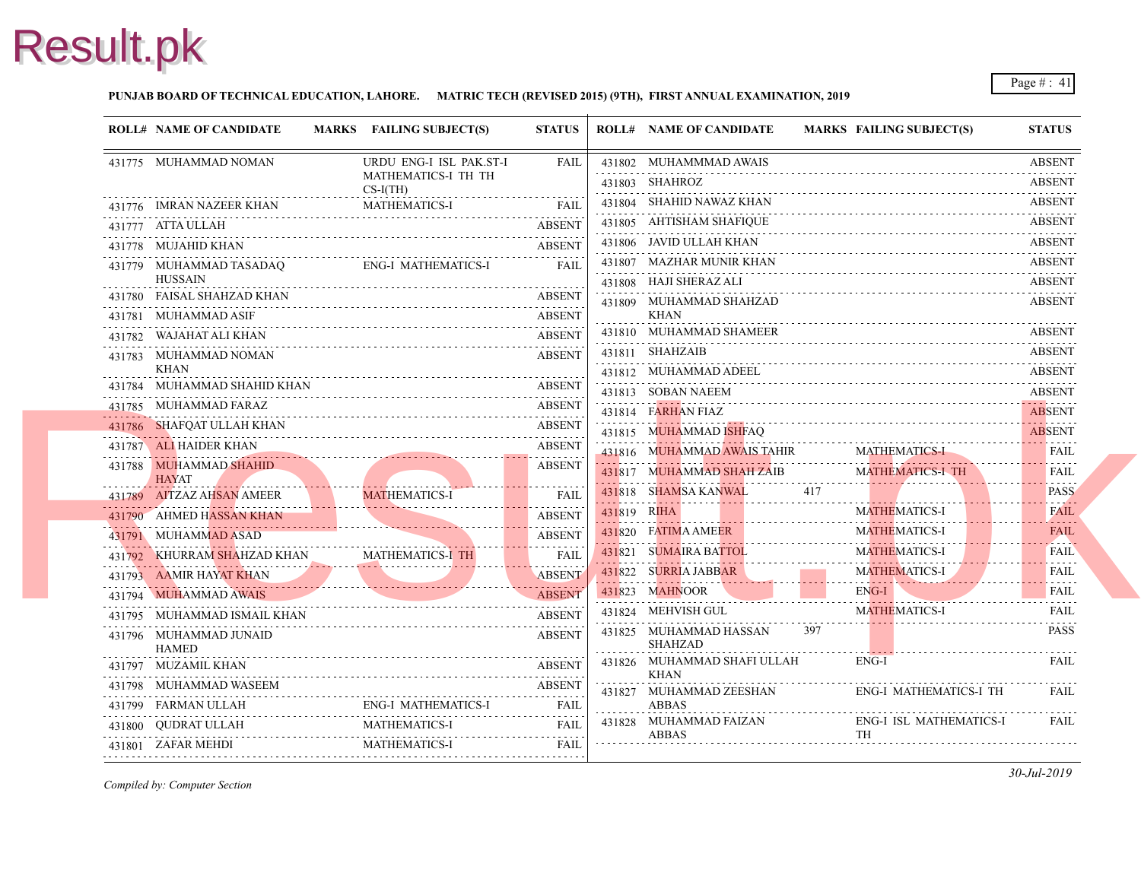### **PUNJAB BOARD OF TECHNICAL EDUCATION, LAHORE. MATRIC TECH (REVISED 2015) (9TH), FIRST ANNUAL EXAMINATION, 2019**

| 431775 MUHAMMAD NOMAN<br>URDU ENG-I ISL PAK.ST-I<br><b>FAIL</b><br>431802 MUHAMMMAD AWAIS<br>MATHEMATICS-I TH TH<br>431803 SHAHROZ<br>$CS-I(TH)$ |
|--------------------------------------------------------------------------------------------------------------------------------------------------|
|                                                                                                                                                  |
|                                                                                                                                                  |
| 431804 SHAHID NAWAZ KHAN<br><b>MATHEMATICS-I</b><br><b>FAIL</b><br>431776 IMRAN NAZEER KHAN                                                      |
| 431805 AHTISHAM SHAFIQUE<br>431777 ATTA ULLAH<br><b>ABSENT</b>                                                                                   |
| .<br>431806 JAVID ULLAH KHAN<br>431778 MUJAHID KHAN<br><b>ABSENT</b>                                                                             |
| 431807 MAZHAR MUNIR KHAN<br>ENG-I MATHEMATICS-I<br>431779 MUHAMMAD TASADAQ<br><b>FAIL</b><br><b>HUSSAIN</b>                                      |
| 431808 HAJI SHERAZ ALI<br>431780 FAISAL SHAHZAD KHAN<br><b>ABSENT</b>                                                                            |
| 431809 MUHAMMAD SHAHZAD<br>KHAN<br><b>ABSENT</b><br>431781 MUHAMMAD ASIF                                                                         |
| <u>или поддета представительно при поддети.</u><br>431810 MUHAMMAD SHAMEER<br><b>ABSENT</b><br>431782 WAJAHAT ALI KHAN                           |
| 431811 SHAHZAIB<br><b>ABSENT</b><br>431783 MUHAMMAD NOMAN                                                                                        |
| KHAN<br>431812 MUHAMMAD ADEEL                                                                                                                    |
| 431784 MUHAMMAD SHAHID KHAN<br>ABSENT<br>431813 SOBAN NAEEM                                                                                      |
| 431785 MUHAMMAD FARAZ<br><b>ABSENT</b><br>431814 FARHAN FIAZ                                                                                     |
| <b>ABSENT</b><br>431786 SHAFQAT ULLAH KHAN<br>431815 MUHAMMAD ISHFAQ                                                                             |
| 431787 ALI HAIDER KHAN<br><b>ABSENT</b><br>431816 MUHAMMAD AWAIS TAHIR<br>MAT.<br>.                                                              |
| <b>ABSENT</b><br>431788 MUHAMMAD SHAHID<br>431817 MUHAMMAD SHAH ZAIB<br><b>MAT</b><br><b>HAYAT</b>                                               |
| 431818 SHAMSA KANWAL<br>417<br><b>MATHEMATICS-I</b><br><b>FAIL</b><br>431789 AITZAZ AHSAN AMEER                                                  |
| .<br>431819 RIHA<br><b>MAT</b><br><b>ABSENT</b><br>431790 AHMED HASSAN KHAN<br>. <b>.</b>                                                        |
| 431820 FATIMA AMEER<br><b>MAT</b><br><b>ABSENT</b><br>431791 MUHAMMAD ASAD                                                                       |
| 431821 SUMAIRA BATTOL<br><b>MAT</b><br>431792 KHURRAM SHAHZAD KHAN MATHEMATICS-I TH<br><b>FAIL</b>                                               |
| .<br>431822 SURRIA JABBAR<br><b>MAT</b><br><b>ABSENT</b><br>431793 AAMIR HAYAT KHAN                                                              |
| 431823 MAHNOOR<br>ENG-<br><b>ABSENT</b><br>431794 MUHAMMAD AWAIS                                                                                 |
| 431824 MEHVISH GUL<br><b>MAT</b><br>431795 MUHAMMAD ISMAIL KHAN<br><b>ABSENT</b>                                                                 |
| 397<br>431825 MUHAMMAD HASSAN<br><b>ABSENT</b><br>431796 MUHAMMAD JUNAID<br><b>SHAHZAD</b><br><b>HAMED</b>                                       |
| 431826 MUHAMMAD SHAFI ULLAH<br>ENG-<br>431797 MUZAMIL KHAN<br><b>ABSENT</b><br><b>KHAN</b>                                                       |
| 431798 MUHAMMAD WASEEM<br><b>ABSENT</b><br>431827 MUHAMMAD ZEESHAN<br>ENG-<br>.                                                                  |
| <b>ENG-I MATHEMATICS-I</b><br><b>ABBAS</b><br>431799 FARMAN ULLAH<br><b>FAIL</b>                                                                 |
| 431828 MUHAMMAD FAIZAN<br>ENG-<br><b>MATHEMATICS-I</b><br><b>FAIL</b><br>431800 QUDRAT ULLAH<br><b>TH</b><br>ABBAS                               |
| MATHEMATICS-I<br>431801 ZAFAR MEHDI<br><b>FAIL</b>                                                                                               |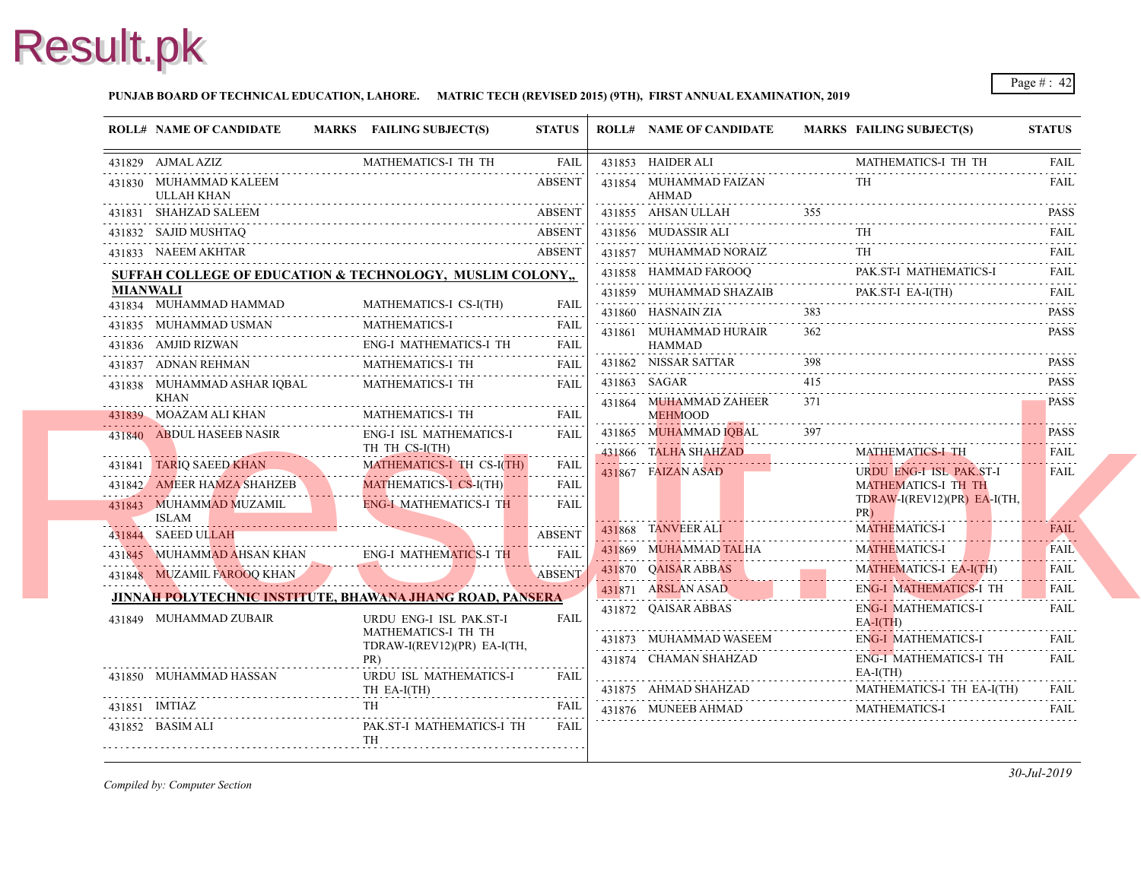

### **PUNJAB BOARD OF TECHNICAL EDUCATION, LAHORE. MATRIC TECH (REVISED 2015) (9TH), FIRST ANNUAL EXAMINATION, 2019**

|          | <b>ROLL# NAME OF CANDIDATE</b>       | MARKS FAILING SUBJECT(S)                                             | <b>STATUS</b>                                                                                                                                |   | <b>ROLL# NAME OF CANDIDATE</b>                | <b>MARKS FAIL</b> |                   |
|----------|--------------------------------------|----------------------------------------------------------------------|----------------------------------------------------------------------------------------------------------------------------------------------|---|-----------------------------------------------|-------------------|-------------------|
|          | 431829 AJMAL AZIZ                    | MATHEMATICS-I TH TH                                                  | FAIL                                                                                                                                         |   | 431853 HAIDER ALI                             |                   | <b>MAT</b>        |
|          | 431830 MUHAMMAD KALEEM<br>ULLAH KHAN |                                                                      | <b>ABSENT</b><br>in a dia a dia a di                                                                                                         |   | 431854 MUHAMMAD FAIZAN<br>AHMAD               |                   | TH                |
|          | 431831 SHAHZAD SALEEM                |                                                                      | <b>ABSENT</b>                                                                                                                                |   | 431855 AHSAN ULLAH                            |                   |                   |
|          | 431832 SAJID MUSHTAO                 |                                                                      | <b>ABSENT</b>                                                                                                                                |   | 431856 MUDASSIR ALI                           |                   | TH                |
|          | 431833 NAEEM AKHTAR                  |                                                                      | <b>ABSENT</b>                                                                                                                                |   | 431857 MUHAMMAD NORAIZ                        |                   | TH                |
|          |                                      | SUFFAH COLLEGE OF EDUCATION & TECHNOLOGY, MUSLIM COLONY,             |                                                                                                                                              |   | 431858 HAMMAD FAROOQ                          |                   | PAK.              |
| MIANWALI | 431834 MUHAMMAD HAMMAD               | MATHEMATICS-I CS-I(TH)                                               | FAIL                                                                                                                                         | . | 431859 MUHAMMAD SHAZAIB<br>431860 HASNAIN ZIA | 383               | PAK.              |
|          | 431835 MUHAMMAD USMAN                | <b>MATHEMATICS-I</b>                                                 | <b>FAIL</b>                                                                                                                                  |   |                                               | 362               |                   |
|          | 431836 AMJID RIZWAN                  | ENG-I MATHEMATICS-I TH<br>431836 AMJID RIZWAN ENG-I MATHEMATICS-I TH | 11111<br><b>FAIL</b>                                                                                                                         |   | 431861 MUHAMMAD HURAIR<br><b>HAMMAD</b>       |                   |                   |
|          | 431837 ADNAN REHMAN                  | MATHEMATICS-I TH                                                     | <b>FAIL</b>                                                                                                                                  |   | 431862 NISSAR SATTAR                          | 398               |                   |
|          | 431838 MUHAMMAD ASHAR IQBAL<br>KHAN  | MATHEMATICS-I TH                                                     | <b>FAIL</b>                                                                                                                                  | . | 431863 SAGAR<br>431864 MUHAMMAD ZAHEER        | 415<br>371        |                   |
|          | 431839 MOAZAM ALI KHAN               | MATHEMATICS-I TH                                                     | <b>FAIL</b>                                                                                                                                  |   | <b>MEHMOOD</b>                                |                   |                   |
|          | 431840 ABDUL HASEEB NASIR            | ENG-I ISL MATHEMATICS-I<br>TH TH CS-I(TH)                            | <b>FAIL</b>                                                                                                                                  |   | 431865 MUHAMMAD IOBAL<br>431866 TALHA SHAHZAD |                   | <b>MAT</b>        |
|          | 431841 TARIQ SAEED KHAN              | MATHEMATICS-I TH CS-I(TH)                                            | FAIL                                                                                                                                         |   | 431867 FAIZAN ASAD                            |                   | <b>URD</b>        |
|          | 431842 AMEER HAMZA SHAHZEB           | MATHEMATICS-I CS-I(TH)                                               | and a state.<br><b>FAIL</b>                                                                                                                  |   |                                               |                   | <b>MAT</b>        |
|          | 431843 MUHAMMAD MUZAMIL              | <b>ENG-I MATHEMATICS-I TH</b>                                        | $\alpha$ , $\alpha$ , $\alpha$ , $\alpha$ , $\alpha$<br><b>FAIL</b>                                                                          |   |                                               |                   | <b>TDR</b><br>PR) |
|          | ISLAM<br>431844 SAEED ULLAH          |                                                                      | <b>ABSENT</b>                                                                                                                                |   | 431868 TANVEER ALI                            |                   | <b>MAT</b>        |
|          |                                      |                                                                      | <b>FAIL</b>                                                                                                                                  |   | 431869 MUHAMMAD TALHA                         |                   | <b>MAT</b>        |
|          | 431848 MUZAMIL FAROOQ KHAN           | 431845 MUHAMMAD AHSAN KHAN ENG-I MATHEMATICS-I TH                    | .<br><b>ABSENT</b>                                                                                                                           |   | 431870 QAISAR ABBAS                           |                   | <b>MAT</b>        |
|          |                                      |                                                                      |                                                                                                                                              |   | 431871 ARSLAN ASAD                            |                   | ENG-              |
|          |                                      | JINNAH POLYTECHNIC INSTITUTE, BHAWANA JHANG ROAD, PANSERA            |                                                                                                                                              |   | 431872 QAISAR ABBAS                           |                   | ENG-              |
|          | 431849 MUHAMMAD ZUBAIR               | URDU ENG-I ISL PAK.ST-I<br>MATHEMATICS-I TH TH                       | <b>FAIL</b>                                                                                                                                  |   |                                               |                   | $EA-I($           |
|          |                                      | TDRAW-I(REV12)(PR) EA-I(TH,                                          |                                                                                                                                              |   | 431873 MUHAMMAD WASEEM                        |                   | ENG-              |
|          | 431850 MUHAMMAD HASSAN               | PR)<br>URDU ISL MATHEMATICS-I                                        | FAIL                                                                                                                                         |   | 431874 CHAMAN SHAHZAD                         |                   | ENG-<br>EA-I      |
|          |                                      | TH EA-I(TH)                                                          |                                                                                                                                              |   | 431875 AHMAD SHAHZAD                          |                   | <b>MAT</b>        |
|          | 431851 IMTIAZ                        | TH                                                                   | <b>FAIL</b>                                                                                                                                  |   | 431876 MUNEEB AHMAD                           |                   | <b>MAT</b>        |
|          | 431852 BASIM ALI                     | PAK.ST-I MATHEMATICS-I TH<br>TH                                      | $\mathcal{L}^{\mathcal{A}}\left( \mathcal{A}^{\mathcal{A}}\right) =\mathcal{L}^{\mathcal{A}}\left( \mathcal{A}^{\mathcal{A}}\right)$<br>FAIL |   |                                               |                   |                   |
|          |                                      |                                                                      |                                                                                                                                              |   |                                               |                   |                   |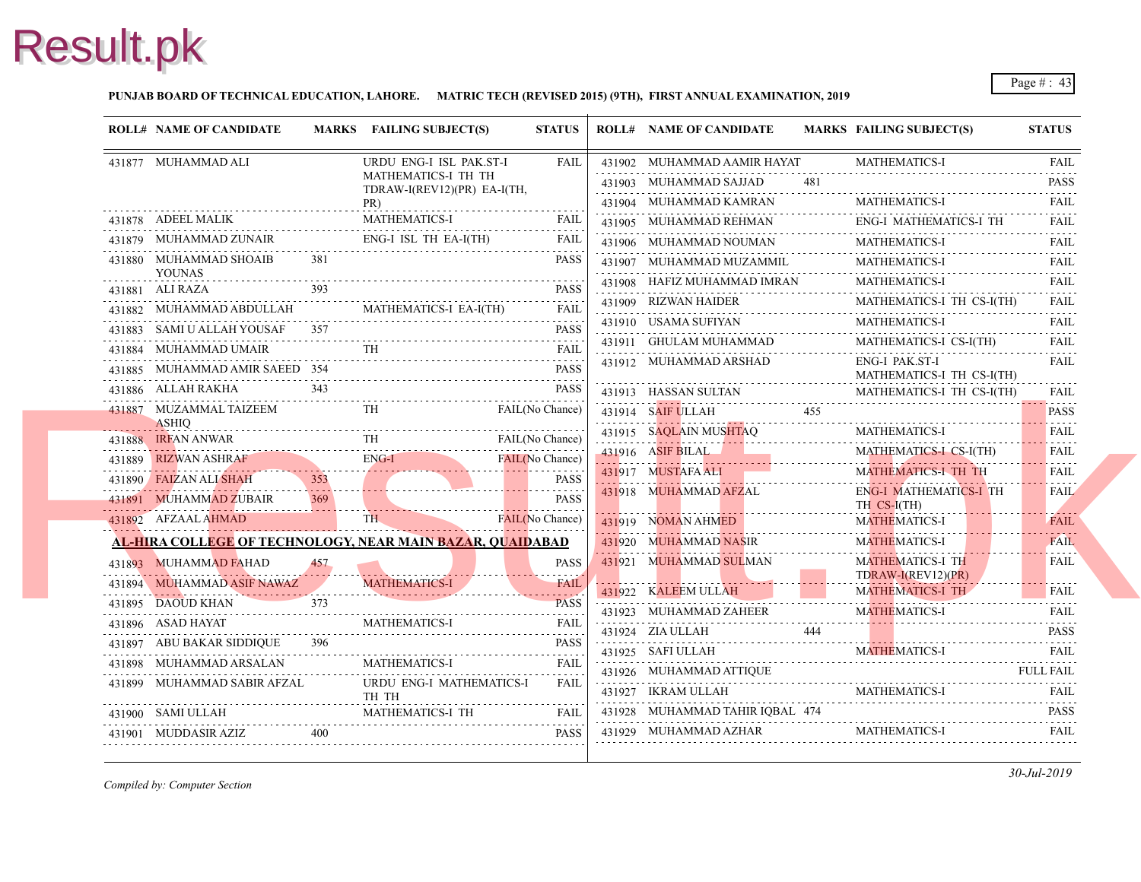### **PUNJAB BOARD OF TECHNICAL EDUCATION, LAHORE. MATRIC TECH (REVISED 2015) (9TH), FIRST ANNUAL EXAMINATION, 2019**

| <b>ROLL# NAME OF CANDIDATE</b>          |          | MARKS FAILING SUBJECT(S)                                                                                                                                | <b>STATUS</b>   | <b>ROLL# NAME OF CANDIDATE</b>                | <b>MARKS FAIL</b> |                          |
|-----------------------------------------|----------|---------------------------------------------------------------------------------------------------------------------------------------------------------|-----------------|-----------------------------------------------|-------------------|--------------------------|
| 431877 MUHAMMAD ALI                     |          | URDU ENG-I ISL PAK.ST-I                                                                                                                                 | <b>FAIL</b>     | 431902 MUHAMMAD AAMIR HAYAT                   |                   | <b>MAT</b>               |
|                                         |          | MATHEMATICS-I TH TH<br>TDRAW-I(REV12)(PR) EA-I(TH,                                                                                                      |                 | 431903 MUHAMMAD SAJJAD                        |                   |                          |
|                                         |          | PR)                                                                                                                                                     |                 | 431904 MUHAMMAD KAMRAN                        |                   | <b>MAT</b>               |
| 431878 ADEEL MALIK                      |          | <b>MATHEMATICS-I</b>                                                                                                                                    | FAIL            | 431905 MUHAMMAD REHMAN                        |                   | ENG-                     |
| 431879 MUHAMMAD ZUNAIR                  |          | ENG-I ISL TH EA-I(TH)                                                                                                                                   | FAIL            | 431906 MUHAMMAD NOUMAN                        |                   | <b>MAT</b>               |
| 431880 MUHAMMAD SHOAIB<br><b>YOUNAS</b> | 381      |                                                                                                                                                         | <b>PASS</b>     | 431907 MUHAMMAD MUZAMMIL                      |                   | <b>MAT</b>               |
| 431881 ALI RAZA                         |          |                                                                                                                                                         | <b>PASS</b>     | 431908 HAFIZ MUHAMMAD IMRAN                   |                   | <b>MATI</b>              |
|                                         |          | 431882 MUHAMMAD ABDULLAH MATHEMATICS-I EA-I(TH) FAIL                                                                                                    |                 | 431909 RIZWAN HAIDER                          |                   | <b>MAT</b>               |
| 431883 SAMI U ALLAH YOUSAF 357          |          |                                                                                                                                                         | <b>PASS</b>     | 431910 USAMA SUFIYAN                          |                   | MATI                     |
| 431884 MUHAMMAD UMAIR                   |          |                                                                                                                                                         | <b>FAIL</b>     | 431911 GHULAM MUHAMMAD                        |                   | <b>MAT</b>               |
| 431885 MUHAMMAD AMIR SAEED 354          |          | 431885 MUHAMMAD AMIR SAEED 354 PASS                                                                                                                     | <b>PASS</b>     | 431912 MUHAMMAD ARSHAD                        |                   | ENG-<br><b>MAT</b>       |
| 431886 ALLAH RAKHA                      | 343      | 431886 ALLAH RAKHA 343 PASS                                                                                                                             | <b>PASS</b>     | 431913 HASSAN SULTAN                          |                   | <b>MAT</b>               |
| <b>ASHIO</b>                            |          | 431887 MUZAMMAL TAIZEEM TH FAIL(No Chance)                                                                                                              |                 | 431914 SAIF ULLAH 455                         |                   |                          |
|                                         |          |                                                                                                                                                         |                 | 431915 SAQLAIN MUSHTAQ                        |                   | <b>MAT</b>               |
|                                         |          | 431888 IRFAN ANWAR TH FAIL(No Chance)<br>431889 RIZWAN ASHRAF ENG-I FAIL(No Chance)                                                                     |                 | 431916 ASIF BILAL 2001                        |                   | <b>MAT</b>               |
| 431890 FAIZAN ALI SHAH                  |          | <u> 1990 - 1990 - 1990 - 1990 - 1990 - 1990 - 1990 - 1990 - 1990 - 1990 - 1990 - 1990 - 1990 - 1990 - 1990 - 199</u><br>431890 FAIZAN ALI SHAH 353 PASS |                 | 431917 MUSTAFA ALI                            |                   | <b>MAT</b>               |
| 431891 MUHAMMAD ZUBAIR                  | 369      |                                                                                                                                                         | <b>PASS</b>     | 431918 MUHAMMAD AFZAL                         |                   | ENG-<br>TH O             |
|                                         |          |                                                                                                                                                         | FAIL(No Chance) | 431919 NOMAN AHMED                            |                   | <b>MAT</b>               |
|                                         |          | AL-HIRA COLLEGE OF TECHNOLOGY, NEAR MAIN BAZAR, OUAIDABAD                                                                                               |                 | 431920 MUHAMMAD NASIR                         |                   | <b>MAT</b>               |
| 431893 MUHAMMAD FAHAD                   | 457      |                                                                                                                                                         | <b>PASS</b>     | 431921 MUHAMMAD SULMAN                        |                   | <b>MAT</b>               |
| 431894 MUHAMMAD ASIF NAWAZ              | <u>.</u> | <b>MATHEMATICS-I</b>                                                                                                                                    | <b>FAIL</b>     | 431922 KALEEM ULLAH                           |                   | <b>TDR</b><br><b>MAT</b> |
|                                         |          | 431895 DAOUD KHAN 373 PASS                                                                                                                              |                 | 431923 MUHAMMAD ZAHEER                        |                   | <b>MAT</b>               |
| 431896 ASAD HAYAT                       |          | <b>MATHEMATICS-I</b>                                                                                                                                    | <b>FAIL</b>     | 431924 ZIA ULLAH                              | 444               |                          |
| 431897 ABU BAKAR SIDDIQUE 396           |          |                                                                                                                                                         | <b>PASS</b>     | 431925 SAFI ULLAH                             |                   | <b>MAT</b>               |
| 431898 MUHAMMAD ARSALAN                 |          | MATHEMATICS-I                                                                                                                                           | <b>FAIL</b>     |                                               |                   |                          |
| 431899 MUHAMMAD SABIR AFZAL             |          | URDU ENG-I MATHEMATICS-I<br>TH TH                                                                                                                       | FAIL            | 431926 MUHAMMAD ATTIQUE<br>431927 IKRAM ULLAH |                   |                          |
|                                         |          | 431900 SAMI ULLAH MATHEMATICS-I TH FAIL                                                                                                                 |                 | 431928 MUHAMMAD TAHIR IQBAL 474               |                   |                          |
|                                         | 400      | 431901 MUDDASIR AZIZ 400 PASS                                                                                                                           | <b>PASS</b>     | 431929 MUHAMMAD AZHAR                         |                   | <b>MAT</b>               |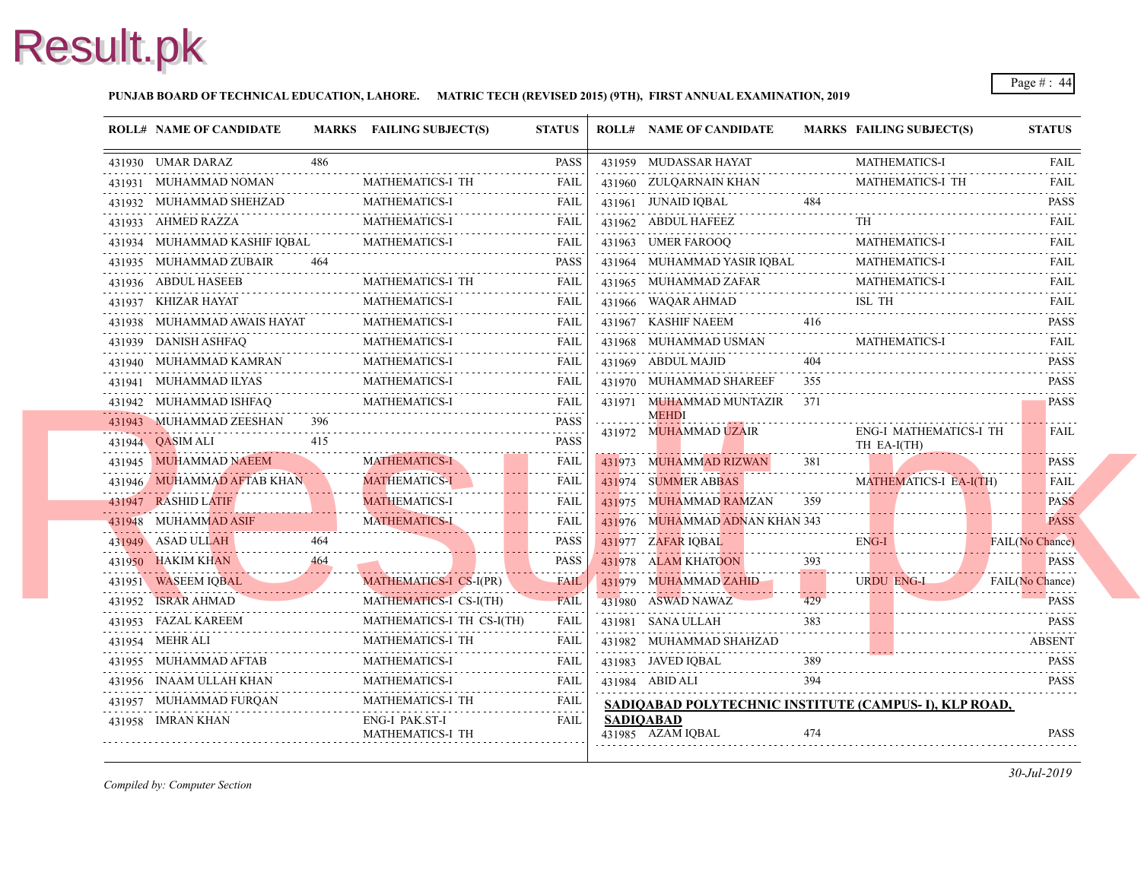### **PUNJAB BOARD OF TECHNICAL EDUCATION, LAHORE. MATRIC TECH (REVISED 2015) (9TH), FIRST ANNUAL EXAMINATION, 2019**

| <b>ROLL# NAME OF CANDIDATE</b> |     | MARKS FAILING SUBJECT(S)             | <b>STATUS</b>        |                  | <b>ROLL# NAME OF CANDIDATE</b>              | <b>MARKS FAIL</b>           |              |
|--------------------------------|-----|--------------------------------------|----------------------|------------------|---------------------------------------------|-----------------------------|--------------|
| 431930 UMAR DARAZ              | 486 |                                      | <b>PASS</b>          |                  | 431959 MUDASSAR HAYAT                       |                             | <b>MAT</b>   |
| 431931 MUHAMMAD NOMAN          |     | <b>MATHEMATICS-I TH</b>              | FAIL                 |                  | 431960 ZULOARNAIN KHAN                      |                             | <b>MAT</b>   |
| 431932 MUHAMMAD SHEHZAD        |     | <b>MATHEMATICS-I</b>                 | FAIL                 |                  | 431961 JUNAID IQBAL                         | 484                         |              |
| 431933 AHMED RAZZA             |     | MATHEMATICS-I                        | <b>FAIL</b>          |                  | 431962 ABDUL HAFEEZ                         |                             | TH           |
| 431934 MUHAMMAD KASHIF IQBAL   |     | <b>MATHEMATICS-I</b>                 | <b>FAIL</b>          |                  | 431963 UMER FAROOO                          |                             | <b>MAT</b>   |
| 431935 MUHAMMAD ZUBAIR         |     |                                      | <b>PASS</b>          |                  | 431964 MUHAMMAD YASIR IQBAL                 |                             | MAT.         |
| 431936 ABDUL HASEEB            |     | <b>MATHEMATICS-I TH</b><br>.         | <b>FAIL</b>          |                  | 431965 MUHAMMAD ZAFAR                       |                             | <b>MAT</b>   |
| 431937 KHIZAR HAYAT            |     | MATHEMATICS-I<br>.                   | FAIL                 |                  | 431966 WAQAR AHMAD                          |                             | ISL          |
| 431938 MUHAMMAD AWAIS HAYAT    |     | <b>MATHEMATICS-I</b>                 | <b>FAIL</b>          |                  | 431967 KASHIF NAEEM                         | 416                         |              |
| 431939 DANISH ASHFAQ           |     | <b>MATHEMATICS-I</b>                 | <b>FAIL</b>          |                  | 431968 MUHAMMAD USMAN                       |                             | <b>MAT</b>   |
| 431940 MUHAMMAD KAMRAN         |     | <b>MATHEMATICS-I</b><br>.            | FAIL                 |                  | 431969 ABDUL MAJID                          | 404                         |              |
| 431941 MUHAMMAD ILYAS          |     | <b>MATHEMATICS-I</b>                 | <b>FAIL</b>          |                  | 431970 MUHAMMAD SHAREEF                     | 355                         |              |
| 431942 MUHAMMAD ISHFAQ         |     | MATHEMATICS-I                        | .<br>FAIL            |                  | 431971 MUHAMMAD MUNTAZIR                    | 371                         |              |
| 431943 MUHAMMAD ZEESHAN        | 396 |                                      | <b>PASS</b>          |                  | <b>MEHDI</b>                                |                             |              |
| 431944 <b>QASIM ALI</b>        | 415 |                                      | <b>PASS</b>          |                  | 431972 MUHAMMAD UZAIR                       |                             | ENG-<br>TH E |
| 431945 MUHAMMAD NAEEM          |     | <b>MATHEMATICS-I</b>                 | <b>FAIL</b>          |                  | <u>.</u><br>431973 MUHAMMAD RIZWAN          | 381                         |              |
| 431946 MUHAMMAD AFTAB KHAN     |     | <b>MATHEMATICS-I</b><br>. <b>. .</b> | <b>FAIL</b>          |                  | 431974 SUMMER ABBAS                         |                             | <b>MAT</b>   |
| 431947 RASHID LATIF            |     | <b>MATHEMATICS-I</b>                 | <b>FAIL</b>          |                  | 431975 MUHAMMAD RAMZAN                      | 359                         |              |
| 431948 MUHAMMAD ASIF           |     | <b>MATHEMATICS-I</b>                 | FAIL                 |                  | 431976 MUHAMMAD ADNAN KHAN 343              |                             |              |
| 431949 ASAD ULLAH              | 464 |                                      | <b>PASS</b>          |                  | 431977 ZAFAR IQBAL                          |                             | ENG-         |
| 431950 HAKIM KHAN              | 464 |                                      | <b>PASS</b>          |                  | 431978 ALAM KHATOON                         | 393<br>$\sim$ $\sim$ $\sim$ |              |
| 431951 WASEEM IOBAL            |     | MATHEMATICS-I CS-I(PR)               | <b>FAIL</b>          |                  | 431979 MUHAMMAD ZAHID                       |                             | <b>URD</b>   |
| 431952 ISRAR AHMAD<br>.        |     | MATHEMATICS-I CS-I(TH)               | <b>FAIL</b>          |                  | 431980 ASWAD NAWAZ                          | 429                         |              |
| 431953 FAZAL KAREEM            |     | MATHEMATICS-I TH CS-I(TH)            | <b>FAIL</b>          |                  | 431981 SANA ULLAH                           | 383                         |              |
| 431954 MEHR ALI                |     | MATHEMATICS-I TH                     | <b>FAIL</b>          |                  | 431982 MUHAMMAD SHAHZAD                     |                             |              |
| .<br>431955 MUHAMMAD AFTAB     |     | <b>MATHEMATICS-I</b>                 | FAIL                 |                  | 431983 JAVED IOBAL                          | 389                         |              |
| 431956 INAAM ULLAH KHAN        |     | MATHEMATICS-I                        | <b>FAIL</b>          |                  | 431984 ABID ALI                             | 394                         |              |
| 431957 MUHAMMAD FUROAN         |     | <b>MATHEMATICS-I TH</b>              | and a series<br>FAIL |                  | <b>SADIQABAD POLYTECHNIC INSTITUTE (CA)</b> |                             |              |
| 431958 IMRAN KHAN              |     | ENG-I PAK.ST-I<br>MATHEMATICS-I TH   | FAIL                 | <b>SADIOABAD</b> | 431985 AZAM IOBAL                           | 474                         |              |
|                                |     |                                      |                      |                  |                                             |                             |              |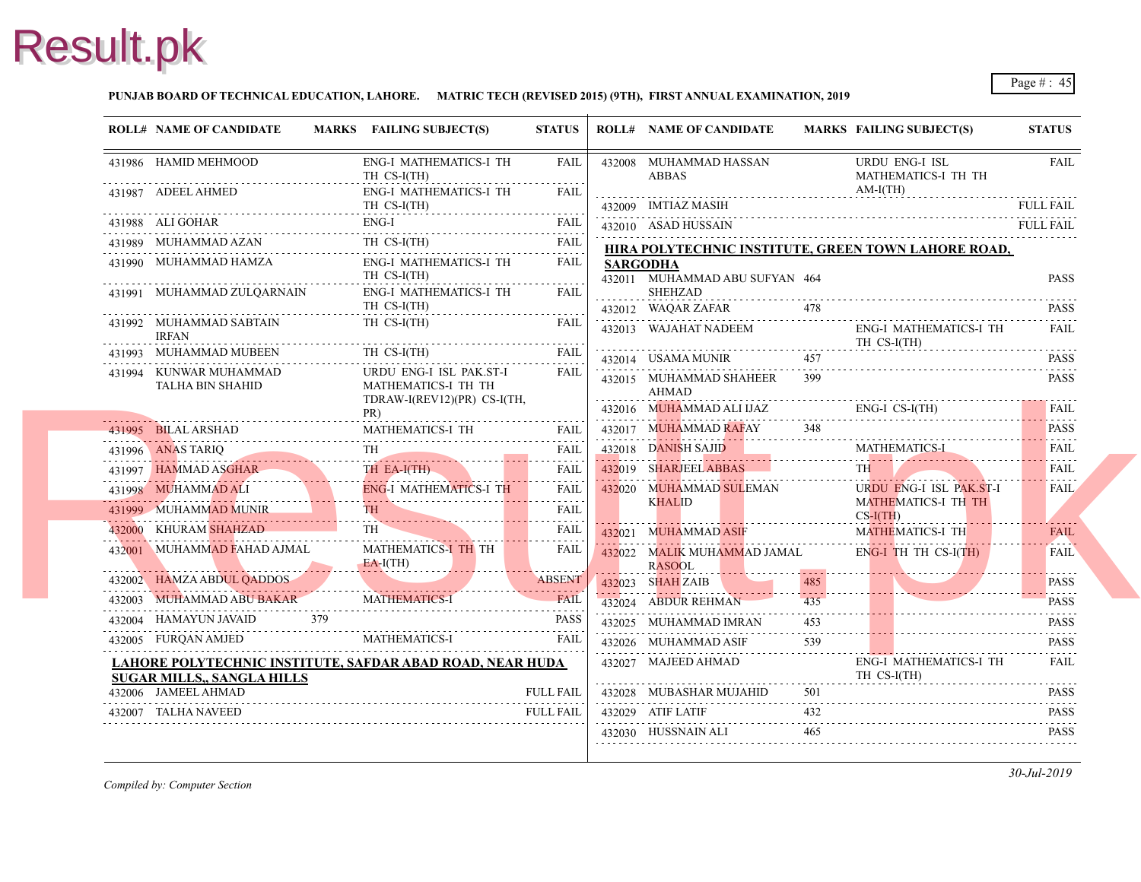### **PUNJAB BOARD OF TECHNICAL EDUCATION, LAHORE. MATRIC TECH (REVISED 2015) (9TH), FIRST ANNUAL EXAMINATION, 2019**

|   | <b>ROLL# NAME OF CANDIDATE</b>             |     | MARKS FAILING SUBJECT(S)                                                      | <b>STATUS</b>                                                                                                                                            |                 | <b>ROLL# NAME OF CANDIDATE</b>               | <b>MARKS FAIL</b> |                          |
|---|--------------------------------------------|-----|-------------------------------------------------------------------------------|----------------------------------------------------------------------------------------------------------------------------------------------------------|-----------------|----------------------------------------------|-------------------|--------------------------|
|   | 431986 HAMID MEHMOOD                       |     | <b>ENG-I MATHEMATICS-I TH</b><br>TH CS-I(TH)                                  | FAIL                                                                                                                                                     |                 | 432008 MUHAMMAD HASSAN<br><b>ABBAS</b>       |                   | <b>URD</b><br><b>MAT</b> |
|   | 431987 ADEEL AHMED                         |     | <b>ENG-I MATHEMATICS-I TH</b><br>TH CS-I(TH)<br>.                             | FAIL                                                                                                                                                     |                 | 432009 IMTIAZ MASIH                          |                   | AM-I                     |
|   | 431988 ALI GOHAR                           |     | $ENG-I$<br>.                                                                  | <b>FAIL</b>                                                                                                                                              |                 | 432010 ASAD HUSSAIN                          |                   |                          |
|   | 431989 MUHAMMAD AZAN                       |     | TH CS-I(TH)                                                                   | <b>FAIL</b><br>.                                                                                                                                         |                 | HIRA POLYTECHNIC INSTITUTE, GREEN TO         |                   |                          |
|   | 431990 MUHAMMAD HAMZA                      |     | <b>ENG-I MATHEMATICS-I TH</b><br>TH CS-I(TH)                                  | FAIL<br>.                                                                                                                                                | <b>SARGODHA</b> | 432011 MUHAMMAD ABU SUFYAN 464               |                   |                          |
|   | 431991 MUHAMMAD ZULQARNAIN                 |     | <b>ENG-I MATHEMATICS-I TH</b><br>TH CS-I(TH)                                  | <b>FAIL</b>                                                                                                                                              |                 | <b>SHEHZAD</b><br>432012 WAQAR ZAFAR         | 478               |                          |
| . | 431992 MUHAMMAD SABTAIN<br><b>IRFAN</b>    |     | TH CS-I(TH)                                                                   | <b>FAIL</b>                                                                                                                                              |                 | 432013 WAJAHAT NADEEM                        |                   | ENG-<br>TH <sub>C</sub>  |
|   | 431993 MUHAMMAD MUBEEN                     |     | TH CS-I(TH)                                                                   | <b>FAIL</b>                                                                                                                                              |                 | 432014 USAMA MUNIR                           | 457               |                          |
|   | 431994 KUNWAR MUHAMMAD<br>TALHA BIN SHAHID |     | URDU ENG-I ISL PAK.ST-I<br>MATHEMATICS-I TH TH<br>TDRAW-I(REV12)(PR) CS-I(TH, | FAIL                                                                                                                                                     |                 | 432015 MUHAMMAD SHAHEER<br>AHMAD             | 399               |                          |
|   |                                            |     | PR)                                                                           |                                                                                                                                                          |                 | 432016 MUHAMMAD ALI IJAZ                     |                   | ENG-                     |
|   | 431995 BILAL ARSHAD                        |     | MATHEMATICS-I TH                                                              | FAIL                                                                                                                                                     |                 | 432017 MUHAMMAD RAFAY                        | 348               |                          |
|   | 431996 ANAS TARIQ                          |     | <b>TH</b>                                                                     | <b>FAIL</b>                                                                                                                                              |                 | 432018 DANISH SAJID                          |                   | <b>MAT</b>               |
|   | 431997 HAMMAD ASGHAR                       |     | TH EA-I(TH)                                                                   | <b>FAIL</b>                                                                                                                                              |                 | 432019 SHARJEEL ABBAS                        |                   | <b>TH</b>                |
|   | 431998 MUHAMMAD ALI                        |     | <b>ENG-I MATHEMATICS-I TH</b>                                                 | $\mathcal{L}^{\mathcal{A}}\left( \mathcal{A}^{\mathcal{A}}\right) =\mathcal{L}^{\mathcal{A}}\left( \mathcal{A}^{\mathcal{A}}\right)$<br><b>FAIL</b><br>. |                 | 432020 MUHAMMAD SULEMAN                      |                   | <b>URD</b>               |
|   | 431999 MUHAMMAD MUNIR                      |     | <b>TH</b>                                                                     | <b>FAIL</b>                                                                                                                                              |                 | <b>KHALID</b>                                |                   | <b>MAT</b><br>$CS-I($    |
|   | 432000 KHURAM SHAHZAD                      |     |                                                                               | <b>FAIL</b>                                                                                                                                              |                 | 432021 MUHAMMAD ASIF                         |                   | <b>MAT</b>               |
|   | 432001 MUHAMMAD FAHAD AJMAL                |     | MATHEMATICS-I TH TH<br>$EA-I(TH)$                                             | <b>FAIL</b>                                                                                                                                              |                 | 432022 MALIK MUHAMMAD JAMAL<br><b>RASOOL</b> |                   | ENG-                     |
|   | 432002 HAMZA ABDUL QADDOS                  |     |                                                                               | <b>ABSENT</b>                                                                                                                                            |                 | 432023 SHAH ZAIB                             | 485               |                          |
|   | 432003 MUHAMMAD ABU BAKAR                  |     | <b>MATHEMATICS-I</b>                                                          | <b>FAIL</b>                                                                                                                                              |                 | 432024 ABDUR REHMAN                          | 435               |                          |
|   | 432004 HAMAYUN JAVAID                      | 379 |                                                                               | <b>PASS</b>                                                                                                                                              |                 | 432025 MUHAMMAD IMRAN                        | 453               |                          |
|   | 432005 FURQAN AMJED                        |     | MATHEMATICS-I                                                                 | <b>FAIL</b>                                                                                                                                              |                 | 432026 MUHAMMAD ASIF                         | 539               |                          |
|   | <b>SUGAR MILLS,, SANGLA HILLS</b>          |     | LAHORE POLYTECHNIC INSTITUTE, SAFDAR ABAD ROAD, NEAR HUDA                     |                                                                                                                                                          |                 | 432027 MAJEED AHMAD                          |                   | ENG-<br>TH <sub>C</sub>  |
|   | 432006 JAMEEL AHMAD                        |     |                                                                               | <b>FULL FAIL</b>                                                                                                                                         |                 | 432028 MUBASHAR MUJAHID                      | 501               |                          |
|   | 432007 TALHA NAVEED                        |     |                                                                               | <b>FULL FAIL</b>                                                                                                                                         |                 | 432029 ATIF LATIF                            | 432               |                          |
|   |                                            |     |                                                                               |                                                                                                                                                          |                 | 432030 HUSSNAIN ALI                          | 465               |                          |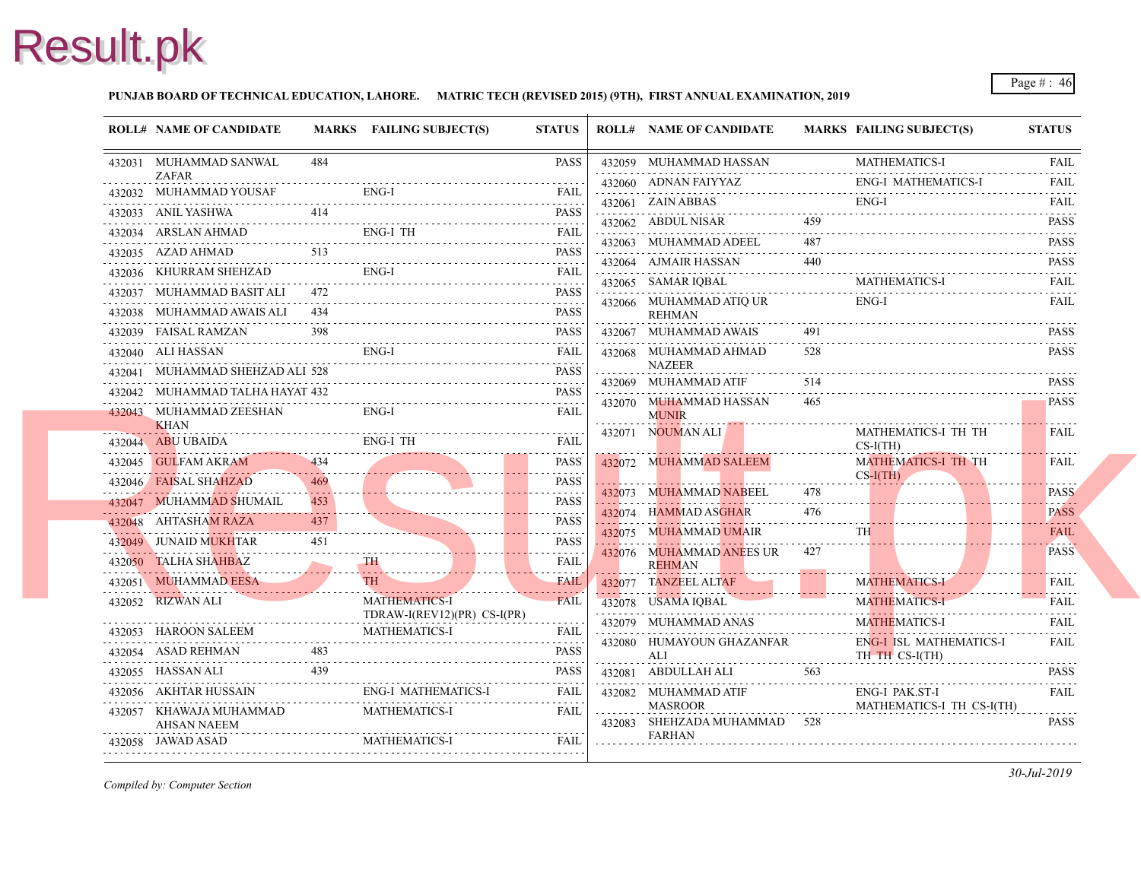### **PUNJAB BOARD OF TECHNICAL EDUCATION, LAHORE. MATRIC TECH (REVISED 2015) (9TH), FIRST ANNUAL EXAMINATION, 2019**

|                  | <b>ROLL# NAME OF CANDIDATE</b>          |     | MARKS FAILING SUBJECT(S)    | <b>STATUS</b>                | <b>ROLL# NAME OF CANDIDATE</b>                | <b>MARKS FAIL</b> |                 |
|------------------|-----------------------------------------|-----|-----------------------------|------------------------------|-----------------------------------------------|-------------------|-----------------|
|                  | 432031 MUHAMMAD SANWAL                  | 484 |                             | <b>PASS</b>                  | 432059 MUHAMMAD HASSAN                        |                   | MAT.            |
|                  | <b>ZAFAR</b><br>432032 MUHAMMAD YOUSAF  |     | ENG-I                       | <b>FAIL</b>                  | 432060 ADNAN FAIYYAZ                          |                   | ENG-            |
|                  |                                         |     |                             |                              | 432061 ZAIN ABBAS                             |                   | ENG-            |
|                  | 432033 ANIL YASHWA                      |     |                             | <b>PASS</b>                  | 432062 ABDUL NISAR                            | 459               |                 |
|                  | 432034 ARSLAN AHMAD                     |     | ENG-I TH                    | FAIL                         | 432063 MUHAMMAD ADEEL                         | .<br>487          |                 |
|                  | 432035 AZAD AHMAD                       | 513 |                             | <b>PASS</b>                  | 432064 AJMAIR HASSAN                          | 440               |                 |
|                  | 432036 KHURRAM SHEHZAD                  |     | ENG-I                       | FAIL                         | 432065 SAMAR IQBAL                            |                   | MAT.            |
|                  | 432037 MUHAMMAD BASIT ALI 472           |     |                             | <b>PASS</b>                  | 432066 MUHAMMAD ATIQ UR                       |                   | ENG-            |
|                  | 432038 MUHAMMAD AWAIS ALI 434           |     |                             | <b>PASS</b>                  | <b>REHMAN</b>                                 |                   |                 |
|                  | 432039 FAISAL RAMZAN                    |     |                             | <b>PASS</b>                  | 432067 MUHAMMAD AWAIS                         | 491               |                 |
|                  | 432040 ALI HASSAN                       |     | ENG-I                       | FAIL                         | 432068 MUHAMMAD AHMAD<br><b>NAZEER</b>        | 528               |                 |
|                  | 432041 MUHAMMAD SHEHZAD ALI 528         |     |                             | <b>PASS</b>                  | 432069 MUHAMMAD ATIF                          | 514               |                 |
|                  | 432042 MUHAMMAD TALHA HAYAT 432         |     |                             | <b>PASS</b>                  | 432070 MUHAMMAD HASSAN                        | 465               |                 |
|                  | 432043 MUHAMMAD ZEESHAN<br><b>KHAN</b>  |     | ENG-I                       | FAIL                         | <b>MUNIR</b>                                  |                   |                 |
| . <del>. .</del> | 432044 ABU UBAIDA                       |     | ENG-I TH                    | <b>FAIL</b>                  | 432071 NOUMAN ALI                             |                   | MAT.<br>$CS-I$  |
|                  | 432045 GULFAM AKRAM                     | 434 |                             | <b>PASS</b>                  | 432072 MUHAMMAD SALEEM                        |                   | <b>MAT</b>      |
|                  | 432046 FAISAL SHAHZAD                   | 469 |                             | <b>PASS</b>                  |                                               |                   | $CS-I($         |
|                  | 432047 MUHAMMAD SHUMAIL                 | 453 |                             | .<br><b>PASS</b>             | 432073 MUHAMMAD NABEEL                        | 478               |                 |
|                  | 432048 AHTASHAM RAZA                    | 437 |                             | <b>PASS</b>                  | 432074 HAMMAD ASGHAR                          | 476               |                 |
|                  | 432049 JUNAID MUKHTAR                   | 451 |                             | 1.1.1.1.1.1.1<br><b>PASS</b> | 432075 MUHAMMAD UMAIR                         |                   | <b>TH</b>       |
|                  | 432050 TALHA SHAHBAZ                    |     | TH \                        | <b>FAIL</b>                  | 432076 MUHAMMAD ANEES UR 427<br><b>REHMAN</b> |                   |                 |
|                  | 432051 MUHAMMAD EESA                    |     | TH                          | <b>FAIL</b>                  | 432077 TANZEEL ALTAF                          |                   | <b>MAT</b>      |
|                  | 432052 RIZWAN ALI                       |     | <b>MATHEMATICS-I</b>        | .<br><b>FAIL</b>             | 432078 USAMA IQBAL                            |                   | <b>MAT</b>      |
|                  |                                         |     | TDRAW-I(REV12)(PR) CS-I(PR) |                              | 432079 MUHAMMAD ANAS                          |                   | <b>MAT</b>      |
|                  | 432053 HAROON SALEEM                    |     | <b>MATHEMATICS-I</b>        | FAIL                         | 432080 HUMAYOUN GHAZANFAR                     |                   | ENG-            |
|                  | 432054 ASAD REHMAN                      | 483 |                             | <b>PASS</b>                  | ALI                                           |                   | TH <sub>1</sub> |
|                  | 432055 HASSAN ALI                       | 439 |                             | PASS                         | 432081 ABDULLAH ALI                           | 563               |                 |
|                  | 432056 AKHTAR HUSSAIN                   |     | ENG-I MATHEMATICS-I         | FAIL                         | 432082 MUHAMMAD ATIF                          |                   | ENG-            |
|                  | 432057 KHAWAJA MUHAMMAD                 |     | <b>MATHEMATICS-I</b>        | FAIL                         | <b>MASROOR</b><br>432083 SHEHZADA MUHAMMAD    | 528               | <b>MAT</b>      |
| .                | <b>AHSAN NAEEM</b><br>432058 JAWAD ASAD |     | MATHEMATICS-I               | FAIL                         | FARHAN                                        |                   |                 |
|                  |                                         |     |                             |                              |                                               |                   |                 |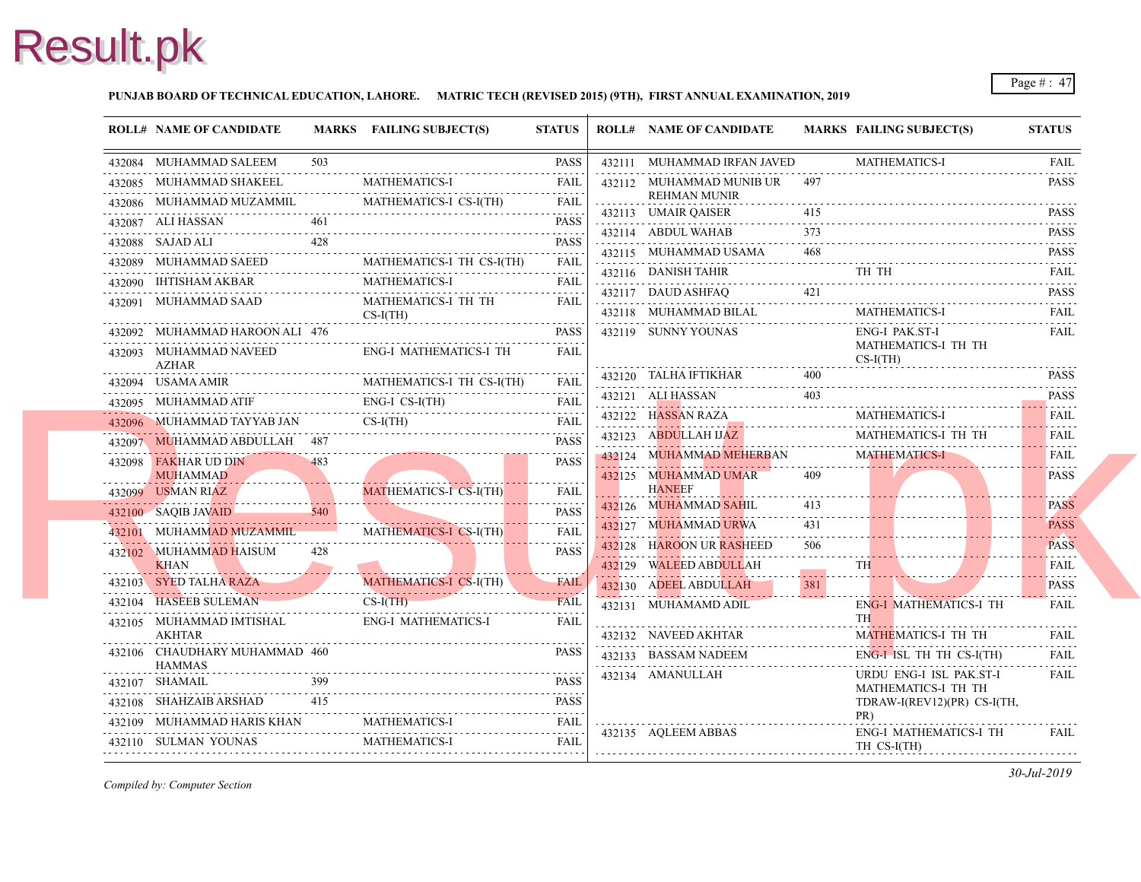### **PUNJAB BOARD OF TECHNICAL EDUCATION, LAHORE. MATRIC TECH (REVISED 2015) (9TH), FIRST ANNUAL EXAMINATION, 2019**

| <b>ROLL# NAME OF CANDIDATE</b>                 |     | MARKS FAILING SUBJECT(S)                                                                                                                                                                | <b>STATUS</b>    | <b>ROLL# NAME OF CANDIDATE</b>                     | <b>MARKS FAIL</b> |                          |
|------------------------------------------------|-----|-----------------------------------------------------------------------------------------------------------------------------------------------------------------------------------------|------------------|----------------------------------------------------|-------------------|--------------------------|
| 432084 MUHAMMAD SALEEM                         | 503 |                                                                                                                                                                                         | <b>PASS</b>      | 432111 MUHAMMAD IRFAN JAVED                        |                   | <b>MAT</b>               |
| 432085 MUHAMMAD SHAKEEL                        |     | <b>MATHEMATICS-I</b>                                                                                                                                                                    | <b>FAIL</b>      | 432112 MUHAMMAD MUNIB UR 497                       |                   |                          |
| 432086 MUHAMMAD MUZAMMIL                       |     | MATHEMATICS-I CS-I(TH)                                                                                                                                                                  | FAIL             | <b>REHMAN MUNIR</b><br>432113 UMAIR QAISER         | 415               |                          |
| 432087 ALI HASSAN                              | 461 |                                                                                                                                                                                         | <b>PASS</b>      | 432114 ABDUL WAHAB                                 | 373               |                          |
| 432088 SAJAD ALI                               | 428 |                                                                                                                                                                                         | <b>PASS</b>      | 432115 MUHAMMAD USAMA                              | 468               |                          |
| 432089 MUHAMMAD SAEED                          |     |                                                                                                                                                                                         | <b>FAIL</b>      | 432116 DANISH TAHIR                                |                   | TH.                      |
| 432090 IHTISHAM AKBAR                          |     | MATHEMATICS-I                                                                                                                                                                           | <b>FAIL</b>      | 432117 DAUD ASHFAQ                                 | 421               |                          |
| 432091 MUHAMMAD SAAD                           |     | MATHEMATICS-I TH TH<br>$CS-I(TH)$                                                                                                                                                       | FAIL             | 432118 MUHAMMAD BILAL                              |                   | <b>MAT</b>               |
| 432092 MUHAMMAD HAROON ALI 476                 | .   |                                                                                                                                                                                         | <b>PASS</b>      | 432119 SUNNY YOUNAS                                |                   | ENG-                     |
| 432093 MUHAMMAD NAVEED<br>AZHAR                |     | ENG-I MATHEMATICS-I TH                                                                                                                                                                  | FAII.            |                                                    |                   | <b>MAT</b><br>$CS-I$     |
| 432094 USAMA AMIR                              |     | MATHEMATICS-I TH CS-I(TH)                                                                                                                                                               | FAIL             | 432120 TALHA IFTIKHAR                              | 400               |                          |
| 432095 MUHAMMAD ATIF                           |     | ENG-I CS-I(TH)<br>432095 MUHAMMAD ATIF ENG-I CS-I(TH) FAIL                                                                                                                              | <b>FAIL</b>      | 432121 ALI HASSAN<br>432121 ALI HASSAN 403         | 403               |                          |
|                                                |     | $CS-I(TH)$<br>432096 MUHAMMAD TAYYAB JAN CS-I(TH) FAIL                                                                                                                                  |                  | $432122$ HASSAN RAZA                               |                   | <b>MAT</b>               |
| 432097 MUHAMMAD ABDULLAH 487                   |     |                                                                                                                                                                                         | <b>PASS</b><br>. | 432123 ABDULLAH IJAZ                               |                   | MAT.                     |
| 432098 FAKHAR UD DIN<br><b>MUHAMMAD</b>        | 483 |                                                                                                                                                                                         | <b>PASS</b>      | 432124 MUHAMMAD MEHERBAN<br>432125 MUHAMMAD UMAR   | 409               | <b>MAT</b>               |
| 432099 USMAN RIAZ                              |     | MATHEMATICS-I CS-I(TH)                                                                                                                                                                  | <b>FAIL</b>      | <b>HANEEF</b>                                      |                   |                          |
| 432100 SAQIB JAVAID                            | 540 |                                                                                                                                                                                         | <b>PASS</b>      | 432126 MUHAMMAD SAHIL                              | 413               |                          |
| 432101 MUHAMMAD MUZAMMIL                       |     | MATHEMATICS-I CS-I(TH)                                                                                                                                                                  | .<br><b>FAIL</b> | 432127 MUHAMMAD URWA                               | 431               |                          |
| 432102 MUHAMMAD HAISUM<br><b>KHAN</b>          | 428 |                                                                                                                                                                                         | <b>PASS</b>      | 432128 HAROON UR RASHEED<br>432129 WALEED ABDULLAH | 506               | <b>TH</b>                |
|                                                |     | New York and the contract of the contract of the contract of the contract of the contract of the contract of<br>MATHEMATICS-I CS-I(TH)<br>432103 SYED TALHA RAZA MATHEMATICS-I CS-I(TH) | <b>FAIL</b>      | 432130 ADEEL ABDULLAH                              | 381               |                          |
| 432104 HASEEB SULEMAN                          |     | $CS-I(TH)$                                                                                                                                                                              | .<br><b>FAIL</b> | 432131 MUHAMAMD ADIL                               |                   | ENG-                     |
| 432105 MUHAMMAD IMTISHAL<br><b>AKHTAR</b>      |     | ENG-I MATHEMATICS-I                                                                                                                                                                     | <b>FAIL</b>      | 432132 NAVEED AKHTAR                               |                   | <b>TH</b><br><b>MAT</b>  |
| 432106 CHAUDHARY MUHAMMAD 460<br><b>HAMMAS</b> |     |                                                                                                                                                                                         | PASS             | 432133 BASSAM NADEEM                               |                   | ENG-                     |
| 432107 SHAMAIL                                 | 399 |                                                                                                                                                                                         | <b>PASS</b>      | 432134 AMANULLAH                                   |                   | <b>URD</b>               |
| 432108 SHAHZAIB ARSHAD                         | 415 |                                                                                                                                                                                         | <b>PASS</b>      |                                                    |                   | <b>MAT</b><br><b>TDR</b> |
| 432109 MUHAMMAD HARIS KHAN                     |     | <b>MATHEMATICS-I</b><br>432109 MUHAMMAD HARIS KHAN MATHEMATICS-I FAIL                                                                                                                   | FAIL             |                                                    |                   | PR)                      |
| 432110 SULMAN YOUNAS MATHEMATICS-I             |     |                                                                                                                                                                                         | FAIL             | 432135 AQLEEM ABBAS                                |                   | ENG-<br>TH <sub>C</sub>  |
|                                                |     |                                                                                                                                                                                         |                  |                                                    |                   |                          |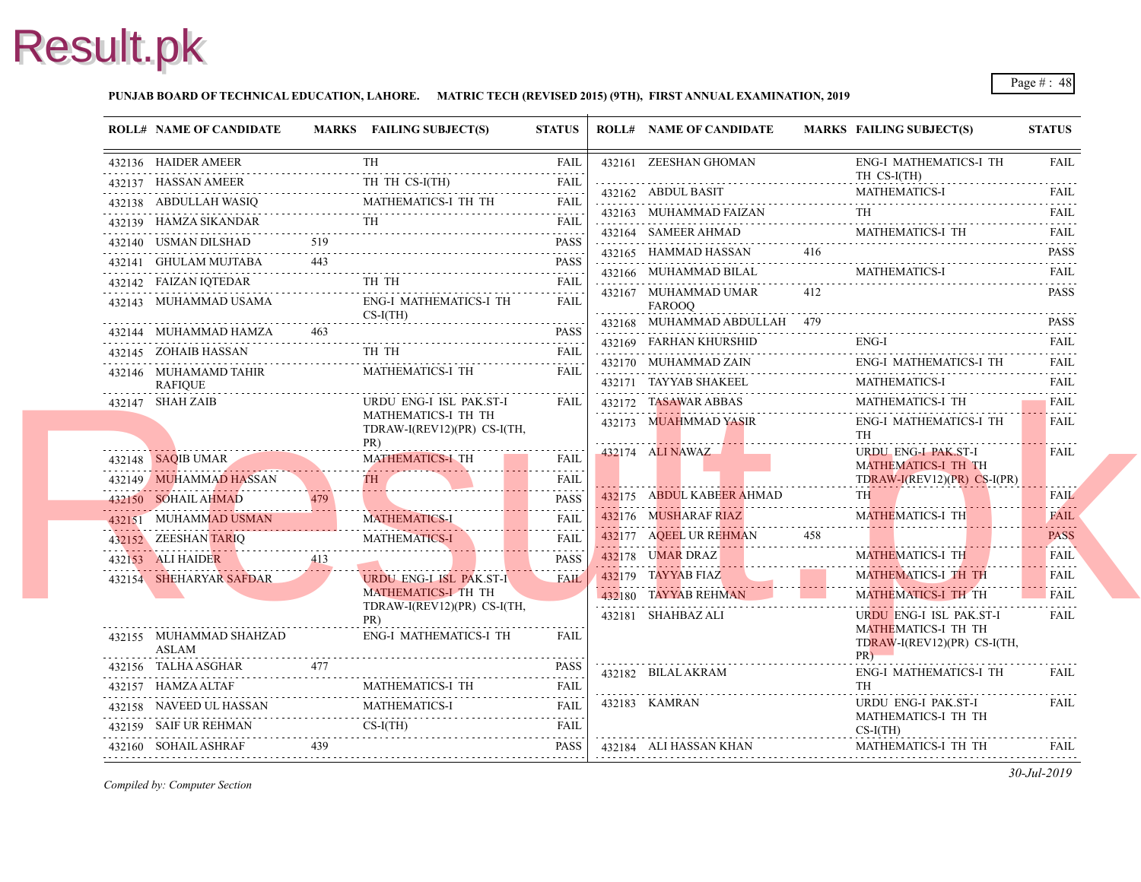### **PUNJAB BOARD OF TECHNICAL EDUCATION, LAHORE. MATRIC TECH (REVISED 2015) (9TH), FIRST ANNUAL EXAMINATION, 2019**

| <b>ROLL# NAME OF CANDIDATE</b>                                          |     | MARKS FAILING SUBJECT(S)                                                | <b>STATUS</b>    |   | <b>ROLL# NAME OF CANDIDATE</b>                                 | <b>MARKS FAIL</b> |                                 |
|-------------------------------------------------------------------------|-----|-------------------------------------------------------------------------|------------------|---|----------------------------------------------------------------|-------------------|---------------------------------|
| 432136 HAIDER AMEER                                                     |     | TH                                                                      | FAIL             |   | 432161 ZEESHAN GHOMAN                                          |                   | ENG-                            |
| 432137 HASSAN AMEER<br>SSAN AMEER<br>---------------------------------- |     | TH TH CS-I(TH)                                                          | <b>FAIL</b>      |   | 432162 ABDUL BASIT                                             |                   | TH <sub>C</sub><br><b>MAT</b>   |
|                                                                         |     | 432138 ABDULLAH WASIQ MATHEMATICS-I TH TH FAIL                          |                  |   |                                                                |                   |                                 |
| 432139 HAMZA SIKANDAR                                                   |     | <b>TH</b><br>432139 HAMZA SIKANDAR TH FAIL FAIL                         | <b>FAIL</b>      |   | 432163 MUHAMMAD FAIZAN                                         |                   | TH                              |
| 432140 USMAN DILSHAD                                                    | 519 |                                                                         | <b>PASS</b>      |   | 432164 SAMEER AHMAD<br>432165 HAMMAD HASSAN                    | 416               | <b>MAT</b>                      |
| 432141 GHULAM MUJTABA                                                   |     |                                                                         | <b>PASS</b>      |   |                                                                |                   |                                 |
| 432142 FAIZAN IQTEDAR                                                   |     | TH TH                                                                   | <b>FAIL</b>      |   | 432166 MUHAMMAD BILAL                                          |                   | <b>MATI</b>                     |
| 432143 MUHAMMAD USAMA                                                   |     | <b>ENG-I MATHEMATICS-I TH</b><br>$CS-I(TH)$                             | FAIL             |   | 432167 MUHAMMAD UMAR<br>FAROOQ<br>432168 MUHAMMAD ABDULLAH 479 | 412               |                                 |
| 432144 MUHAMMAD HAMZA                                                   | 463 |                                                                         | <b>PASS</b>      |   |                                                                |                   |                                 |
| 432145 ZOHAIB HASSAN<br>432145 ZOHAIB HASSAN TH TH                      |     | TH TH                                                                   | <b>FAIL</b>      |   | 432169 FARHAN KHURSHID                                         |                   | ENG-                            |
| 432146 MUHAMAMD TAHIR<br><b>RAFIQUE</b>                                 |     | .<br>MATHEMATICS-I TH                                                   | FAIL             |   | 432170 MUHAMMAD ZAIN<br>432171 TAYYAB SHAKEEL                  |                   | ENG-<br><b>MAT</b>              |
| 432147 SHAH ZAIB                                                        |     | URDU ENG-I ISL PAK.ST-I                                                 | <b>FAIL</b>      |   | 432172 TASAWAR ABBAS                                           |                   | <b>MAT</b>                      |
|                                                                         |     | MATHEMATICS-I TH TH<br>TDRAW-I(REV12)(PR) CS-I(TH,<br>PR)               |                  | . | 432173 MUAHMMAD YASIR                                          |                   | ENG-<br>TH                      |
| 432148 SAQIB UMAR                                                       |     | <b>MATHEMATICS-I TH</b>                                                 | FAIL             |   | 432174 ALI NAWAZ                                               |                   | <b>URD</b>                      |
| 432149 MUHAMMAD HASSAN                                                  |     |                                                                         | .<br>FAIL        |   |                                                                |                   | <b>MAT</b><br><b>TDR</b>        |
| 432150 SOHAIL AHMAD                                                     | 479 | 432149 MUHAMIMAD HASSAN 1H                                              | .<br><b>PASS</b> |   | 432175 ABDUL KABEER AHMAD                                      |                   | TH 1                            |
| 432151 MUHAMMAD USMAN                                                   |     | 432151 MUHAMMAD USMAN MATHEMATICS-I                                     | <b>FAIL</b>      |   | 432176 MUSHARAF RIAZ                                           |                   | <b>MAT</b>                      |
|                                                                         |     | <b>MATHEMATICS-I</b><br>432152 ZEESHAN TARIQ MATHEMATICS-I              | .<br><b>FAIL</b> |   | 432177 AQEEL UR REHMAN                                         | 458               |                                 |
| 432153 ALI HAIDER<br>413                                                |     |                                                                         | .<br><b>PASS</b> |   | 432178 <b>UMAR DRAZ</b>                                        |                   | <b>MAT</b>                      |
| 432154 SHEHARYAR SAFDAR                                                 |     | <b>URDU ENG-LISL PAK.ST-I</b>                                           | <b>FAIL</b>      |   | $432179$ TAYYAB FIAZ                                           |                   | <b>MAT</b>                      |
|                                                                         |     | MATHEMATICS-I TH TH                                                     |                  |   | 432180 TAYYAB REHMAN                                           |                   | <b>MAT</b>                      |
|                                                                         |     | TDRAW-I(REV12)(PR) CS-I(TH,<br>PR)                                      |                  |   | 432181 SHAHBAZ ALI                                             |                   | <b>URD</b>                      |
| 432155 MUHAMMAD SHAHZAD<br>ASLAM                                        |     | <b>ENG-I MATHEMATICS-I TH</b>                                           | FAIL             |   |                                                                |                   | <b>MAT</b><br><b>TDR</b><br>PR) |
| 432156 TALHA ASGHAR                                                     | 477 |                                                                         | <b>PASS</b>      |   | 432182 BILAL AKRAM                                             |                   | ENG-                            |
| 432157 HAMZA ALTAF                                                      |     | <b>MATHEMATICS-I TH</b>                                                 | <b>FAIL</b>      |   |                                                                |                   | TH                              |
| 432158 NAVEED UL HASSAN                                                 |     | <b>MATHEMATICS-I</b><br>432158 NAVEED UL HASSAN MATHEMATICS-I FAIL FAIL | <b>FAIL</b>      |   | 432183 KAMRAN                                                  |                   | <b>URD</b>                      |
|                                                                         |     | 432159 SAIF UR REHMAN CS-I(TH) FAIL                                     |                  |   |                                                                |                   | <b>MAT</b><br>$CS-I($           |
| 432160 SOHAIL ASHRAF<br>439                                             |     |                                                                         | PASS             |   | 432184 ALI HASSAN KHAN                                         |                   | <b>MAT</b>                      |
|                                                                         |     |                                                                         |                  |   |                                                                |                   |                                 |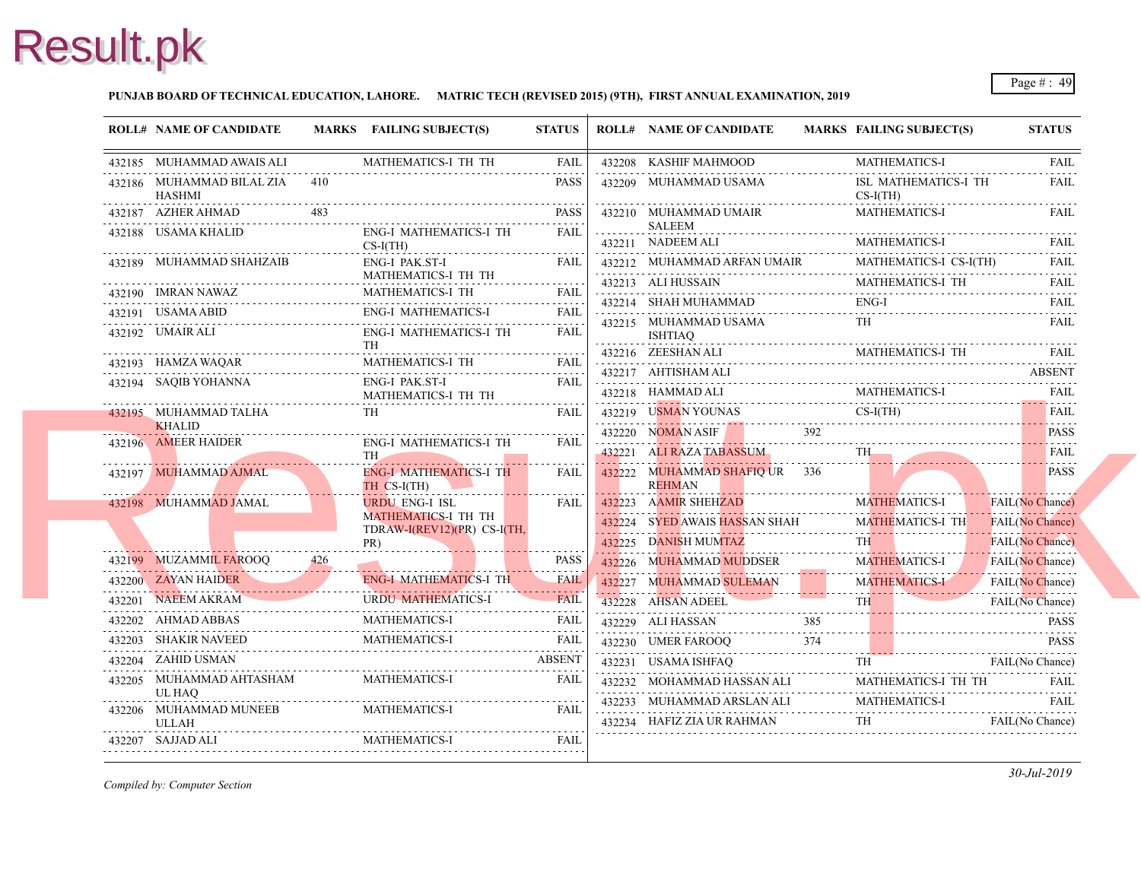

### **PUNJAB BOARD OF TECHNICAL EDUCATION, LAHORE. MATRIC TECH (REVISED 2015) (9TH), FIRST ANNUAL EXAMINATION, 2019**

|                 | <b>ROLL# NAME OF CANDIDATE</b>          | MARKS FAILING SUBJECT(S)                                                | <b>STATUS</b> | <b>ROLL# NAME OF CANDIDATE</b>                           | <b>MARKS FAIL</b> |                |
|-----------------|-----------------------------------------|-------------------------------------------------------------------------|---------------|----------------------------------------------------------|-------------------|----------------|
|                 | 432185 MUHAMMAD AWAIS ALI               | MATHEMATICS-I TH TH                                                     |               | 432208 KASHIF MAHMOOD                                    |                   | <b>MAT</b>     |
| دادا دادا داداد | 432186 MUHAMMAD BILAL ZIA 410<br>HASHMI |                                                                         | <b>PASS</b>   | 432209 MUHAMMAD USAMA                                    |                   | ISL<br>$CS-I($ |
|                 | 432187 AZHER AHMAD                      |                                                                         | PASS          | 432210 MUHAMMAD UMAIR                                    |                   | <b>MAT</b>     |
|                 | 432188 USAMA KHALID                     | ENG-I MATHEMATICS-I TH<br>$CS-I(TH)$                                    | <b>FAIL</b>   | SALEEM<br>432211 NADEEM ALI                              |                   | <b>MAT</b>     |
|                 | 432189 MUHAMMAD SHAHZAIB                | ENG-I PAK.ST-I                                                          | FAIL          | 432212 MUHAMMAD ARFAN UMAIR                              |                   | <b>MAT</b>     |
|                 | 432190 IMRAN NAWAZ                      | MATHEMATICS-I TH TH<br>MATHEMATICS-I TH                                 | .<br>FAII.    | 432213 ALI HUSSAIN<br>$432213$ ALI HUSSAIN MAT           |                   | <b>MAT</b>     |
|                 | 432191 USAMA ABID                       | 432190 IMRAN NAWAZ MATHEMATICS-I TH FAIL<br><b>ENG-I MATHEMATICS-I</b>  |               | 432214 SHAH MUHAMMAD                                     |                   | ENG-           |
|                 | 432192 UMAIR ALI                        | 432191 USAMA ABID ENG-I MATHEMATICS-I FAIL<br>ENG-I MATHEMATICS-I TH    | FAIL          | 432215 MUHAMMAD USAMA<br>ISHTIAQ                         |                   | TH             |
|                 | 432193 HAMZA WAQAR                      | <b>TH</b><br><b>MATHEMATICS-I TH</b>                                    |               | 432216 ZEESHAN ALI                                       |                   | <b>MAT</b>     |
|                 | 432194 SAQIB YOHANNA                    | MATHEMATICS-I TH<br>ENG-I PAK.ST-I                                      | <b>FAIL</b>   | 432217 AHTISHAM ALI                                      |                   |                |
|                 |                                         | MATHEMATICS-I TH TH                                                     |               | 432218 HAMMAD ALI                                        |                   | MAT.           |
|                 | 432195 MUHAMMAD TALHA<br><b>KHALID</b>  | <b>TH</b>                                                               | FAIL          | 432219 USMAN YOUNAS                                      |                   | $CS-I$         |
|                 | 432196 AMEER HAIDER                     | <b>ENG-I MATHEMATICS-I TH</b>                                           | FAIL          | 432220 NOMAN ASIF                                        | 392               |                |
|                 |                                         | TH <sub>-</sub><br><u>n</u>                                             |               | 432221 ALI RAZA TABASSUM                                 |                   | TH             |
|                 | 432197 MUHAMMAD AJMAL                   | <b>ENG-I MATHEMATICS-I TH</b><br>TH CS-I(TH)                            | FAIL          | 432222 MUHAMMAD SHAFIQ UR 336<br>REHMAN                  |                   |                |
|                 | 432198 MUHAMMAD JAMAL                   | <b>URDU ENG-I ISL</b>                                                   | FAIL          | 432223 AAMIR SHEHZAD                                     |                   | <b>MAT</b>     |
|                 |                                         | <b>MATHEMATICS-I TH TH</b><br>TDRAW-I(REV12)(PR) CS-I(TH,               |               | 432224 SYED AWAIS HASSAN SHAH                            |                   | <b>MAT</b>     |
|                 |                                         | PR)                                                                     |               | 432225 DANISH MUMTAZ                                     |                   | TH.            |
|                 | 432199 MUZAMMIL FAROOQ                  |                                                                         | PASS          | 432226 MUHAMMAD MUDDSER                                  |                   | <b>MAT</b>     |
|                 | 432200 ZAYAN HAIDER                     | ENG-I MATHEMATICS-I TH                                                  | <b>FAIL</b>   | 432227 MUHAMMAD SULEMAN                                  |                   | <b>MAT</b>     |
|                 | 432201 NAEEM AKRAM                      | <b>URDU MATHEMATICS-I</b><br>432201 NAEEM AKRAM URDU MATHEMATICS-I FAIL | <b>FAIL</b>   | 432228 AHSAN ADEEL                                       |                   | TH.            |
|                 | 432202 AHMAD ABBAS                      | MATHEMATICS-I<br>432202 AHMAD ABBAS MATHEMATICS-I FAIL                  | <b>FAIL</b>   | 432229 ALI HASSAN<br>432229 ALI HASSAN 385               | 385               |                |
|                 | 432203 SHAKIR NAVEED                    | ED MATHEMATICS-I FAIL                                                   |               | 432230 UMER FAROOQ 374                                   |                   |                |
|                 | 432204 ZAHID USMAN                      |                                                                         | <b>ABSENT</b> | 432231 USAMA ISHFAQ                                      |                   | TH             |
|                 | 432205 MUHAMMAD AHTASHAM<br>UL HAQ      | <b>MATHEMATICS-I</b>                                                    | FAIL          | 432232 MOHAMMAD HASSAN ALI                               |                   | <b>MAT</b>     |
| .               | 432206 MUHAMMAD MUNEEB<br>ULLAH         | MATHEMATICS-I                                                           | <b>FAIL</b>   | 432233 MUHAMMAD ARSLAN ALI<br>432234 HAFIZ ZIA UR RAHMAN |                   | MAT.           |
|                 | 432207 SAJJAD ALI                       | <b>MATHEMATICS-I</b>                                                    | FAIL          |                                                          |                   |                |
|                 |                                         |                                                                         |               |                                                          |                   |                |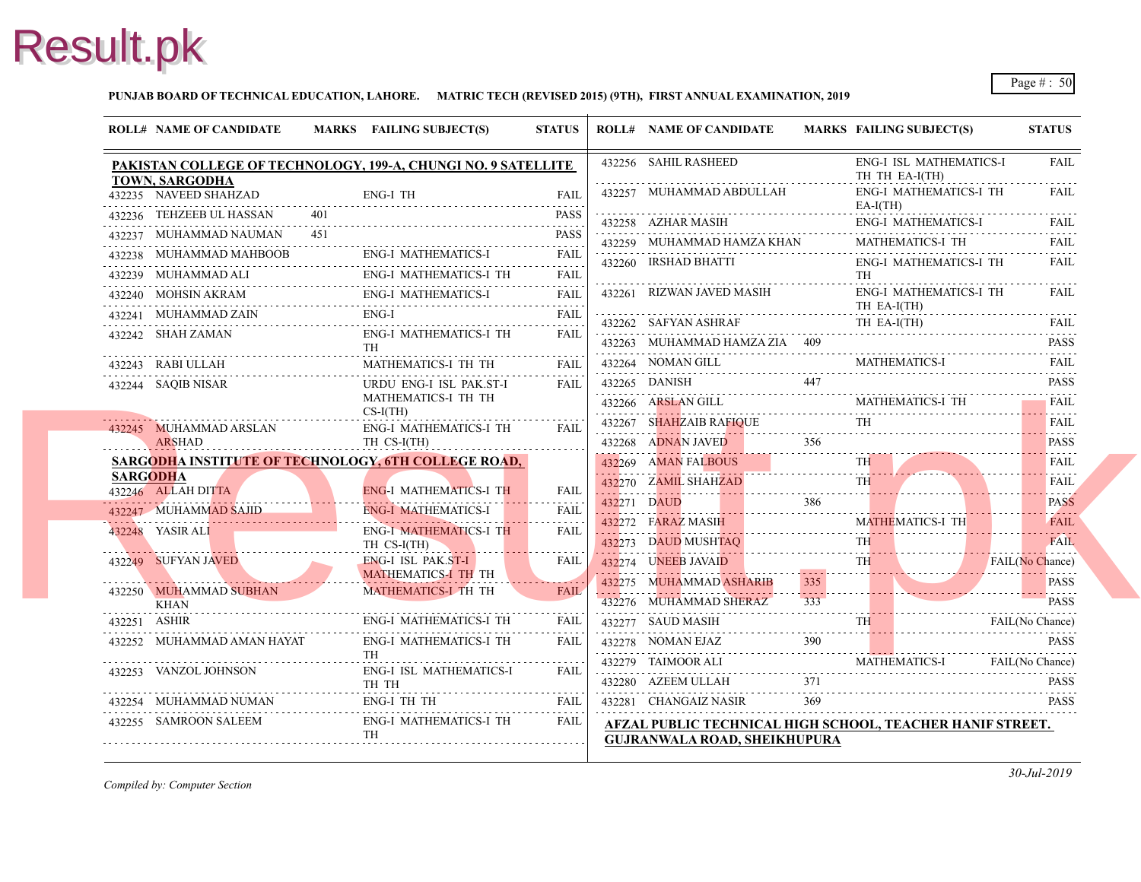### **PUNJAB BOARD OF TECHNICAL EDUCATION, LAHORE. MATRIC TECH (REVISED 2015) (9TH), FIRST ANNUAL EXAMINATION, 2019**

|                 | <b>ROLL# NAME OF CANDIDATE</b>                 |     | MARKS FAILING SUBJECT(S)                                                  | <b>STATUS</b>                                                                                                                                       | <b>ROLL# NAME OF CANDIDATE</b>                                                    | <b>MARKS FAIL</b>                    |
|-----------------|------------------------------------------------|-----|---------------------------------------------------------------------------|-----------------------------------------------------------------------------------------------------------------------------------------------------|-----------------------------------------------------------------------------------|--------------------------------------|
|                 |                                                |     | PAKISTAN COLLEGE OF TECHNOLOGY, 199-A, CHUNGI NO. 9 SATELLITE             |                                                                                                                                                     | 432256 SAHIL RASHEED                                                              | ENG-<br>TH <sub>1</sub>              |
|                 | <b>TOWN, SARGODHA</b><br>432235 NAVEED SHAHZAD |     | ENG-I TH                                                                  | FAIL                                                                                                                                                | 432257 MUHAMMAD ABDULLAH                                                          | ENG-                                 |
|                 | 432236 TEHZEEB UL HASSAN                       |     |                                                                           | <b>PASS</b>                                                                                                                                         | 432258 AZHAR MASIH                                                                | EA-I<br>ENG-                         |
|                 | 432237 MUHAMMAD NAUMAN                         | 451 |                                                                           | <b>PASS</b>                                                                                                                                         | 432259 MUHAMMAD HAMZA KHAN                                                        | <b>MAT</b>                           |
|                 | 432238 MUHAMMAD MAHBOOB                        |     | AHBOOB ENG-I MATHEMATICS-I FAIL                                           |                                                                                                                                                     | 432260 IRSHAD BHATTI                                                              | ENG-                                 |
|                 |                                                |     | ENG-I MATHEMATICS-I TH<br>432239 MUHAMMAD ALI ENG-I MATHEMATICS-I TH FAIL |                                                                                                                                                     |                                                                                   | TH                                   |
|                 |                                                |     |                                                                           |                                                                                                                                                     | 432261 RIZWAN JAVED MASIH                                                         | ENG-                                 |
|                 | 432241 MUHAMMAD ZAIN                           |     | 432241 MUHAMMAD ZAIN ENG-I FAIL FAIL                                      |                                                                                                                                                     | 432262 SAFYAN ASHRAF                                                              | TH E<br>TH H                         |
|                 | 432242 SHAH ZAMAN                              |     | <b>ENG-I MATHEMATICS-I TH</b><br><b>TH</b>                                | <b>FAIL</b>                                                                                                                                         | 432263 MUHAMMAD HAMZA ZIA 409                                                     |                                      |
|                 | 432243 RABI ULLAH                              |     | MATHEMATICS-I TH TH                                                       | <b>FAIL</b>                                                                                                                                         | 432264 NOMAN GILL                                                                 | <b>MAT</b>                           |
|                 | 432244 SAQIB NISAR                             |     | URDU ENG-I ISL PAK.ST-I                                                   | <b>FAIL</b>                                                                                                                                         | $432265$ DANISH $447$                                                             |                                      |
|                 |                                                |     | MATHEMATICS-I TH TH<br>$CS-I(TH)$                                         |                                                                                                                                                     | 432266 ARSLAN GILL                                                                | MAT.                                 |
|                 | 432245 MUHAMMAD ARSLAN                         |     | ENG-I MATHEMATICS-I TH                                                    | <b>FAIL</b>                                                                                                                                         | 432267 SHAHZAIB RAFIQUE                                                           |                                      |
|                 | ARSHAD                                         |     | TH CS-I(TH)                                                               |                                                                                                                                                     | 432268 ADNAN JAVED                                                                |                                      |
|                 |                                                |     | SARGODHA INSTITUTE OF TECHNOLOGY, 6TH COLLEGE ROAD,                       |                                                                                                                                                     | 432269 AMAN FALBOUS                                                               | TH.                                  |
| <b>SARGODHA</b> | 432246 ALLAH DITTA                             |     | <b>ENG-I MATHEMATICS-I TH</b>                                             | FAIL                                                                                                                                                | 432270 ZAMIL SHAHZAD<br>432270 ZAMIL SHAHZAD TH                                   |                                      |
|                 | 432247 MUHAMMAD SAJID                          |     | <b>ENG-I MATHEMATICS-I</b>                                                | <b>FAIL</b>                                                                                                                                         | 432271 DAUD 386                                                                   |                                      |
|                 | 432248 YASIR ALI                               |     | <b>ENG-I MATHEMATICS-I TH</b>                                             | $\mathcal{L}^{\mathcal{A}}\left( \mathcal{A}^{\mathcal{A}}\right) =\mathcal{L}^{\mathcal{A}}\left( \mathcal{A}^{\mathcal{A}}\right)$<br><b>FAIL</b> | 432272 FARAZ MASIH MA                                                             | <b>MAT</b>                           |
|                 |                                                |     | TH CS-I(TH)                                                               |                                                                                                                                                     | 432273 DAUD MUSHTAQ                                                               | TH.                                  |
|                 | 432249 SUFYAN JAVED                            |     | <b>ENG-I ISL PAK.ST-I</b><br><b>MATHEMATICS-I TH TH</b>                   | <b>FAIL</b>                                                                                                                                         | 432274 UNEEB JAVAID                                                               | TH.                                  |
|                 | 432250 MUHAMMAD SUBHAN                         |     | MATHEMATICS-I TH TH                                                       | <b>FAIL</b>                                                                                                                                         | 432275 MUHAMMAD ASHARIB<br>432276 MUHAMMAD SHERAZ                                 | 335<br>$\omega$ is a $\omega$<br>333 |
| 432251 ASHIR    | KHAN                                           |     | <b>ENG-I MATHEMATICS-I TH</b>                                             | <b>FAIL</b>                                                                                                                                         | 432277 SAUD MASIH                                                                 | TH.                                  |
|                 | 432252 MUHAMMAD AMAN HAYAT                     |     | <b>ENG-I MATHEMATICS-I TH</b>                                             | FAIL.                                                                                                                                               | 432278 NOMAN EJAZ                                                                 |                                      |
|                 |                                                |     | TH                                                                        |                                                                                                                                                     |                                                                                   | <b>MAT</b>                           |
|                 | 432253 VANZOL JOHNSON                          |     | <b>ENG-I ISL MATHEMATICS-I</b>                                            | FAII.                                                                                                                                               | 432280 AZEEM ULLAH                                                                | 371                                  |
|                 | 432254 MUHAMMAD NUMAN                          |     | $\frac{1}{2}$ rall<br>ENG-I TH TH                                         | FAIL                                                                                                                                                | 432281 CHANGAIZ NASIR                                                             | 369                                  |
|                 | 432255 SAMROON SALEEM                          |     | ENG-I MATHEMATICS-I TH<br><b>TH</b>                                       | FAIL                                                                                                                                                | <b>AFZAL PUBLIC TECHNICAL HIGH SCHOOL,</b><br><b>GUJRANWALA ROAD, SHEIKHUPURA</b> |                                      |
|                 |                                                |     |                                                                           |                                                                                                                                                     |                                                                                   |                                      |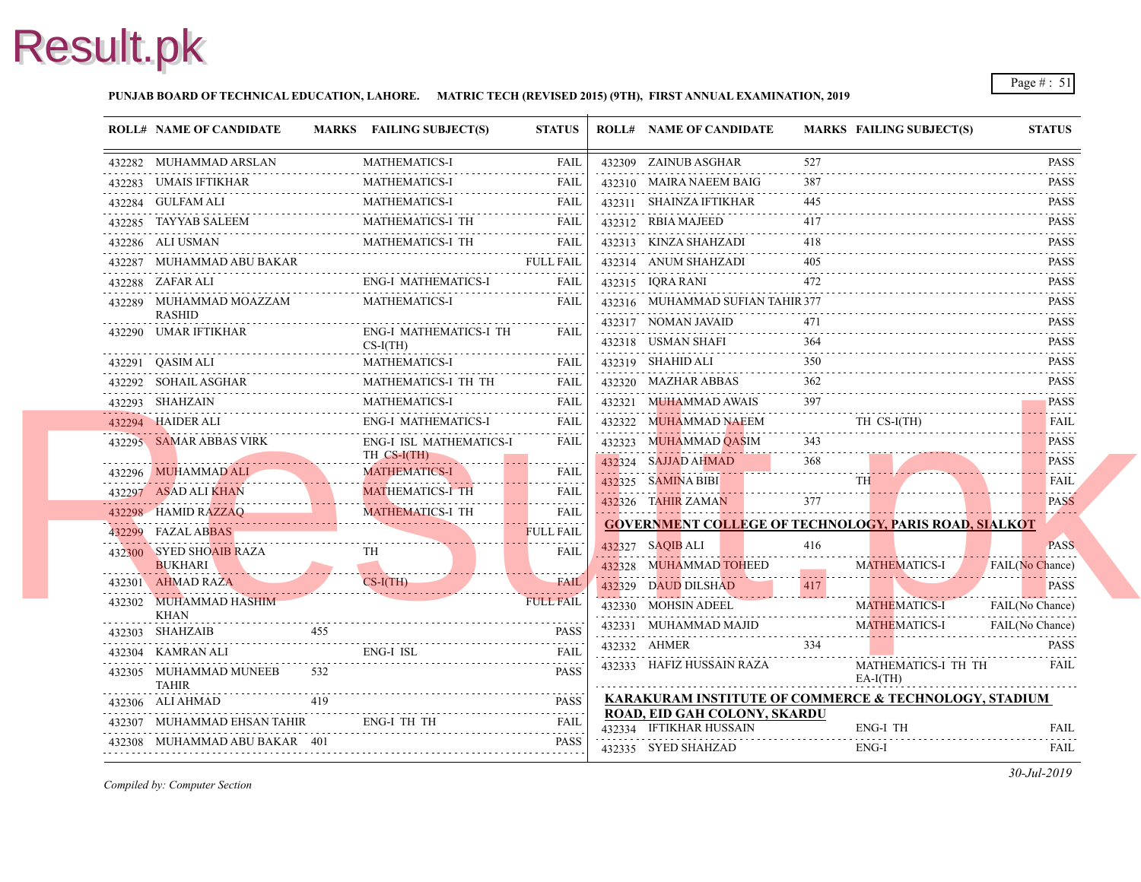### **PUNJAB BOARD OF TECHNICAL EDUCATION, LAHORE. MATRIC TECH (REVISED 2015) (9TH), FIRST ANNUAL EXAMINATION, 2019**

| 432282 MUHAMMAD ARSLAN<br>432282 MUHAMMAD ARSLAN MATHEMATICS-I FAIL<br>432283 UMAIS IFTIKHAR<br>432284 GULFAM ALI |     | <b>MATHEMATICS-I</b>                         |                       |                                                         |                      |
|-------------------------------------------------------------------------------------------------------------------|-----|----------------------------------------------|-----------------------|---------------------------------------------------------|----------------------|
|                                                                                                                   |     |                                              | FAIL                  | 432309 ZAINUB ASGHAR                                    | 527                  |
|                                                                                                                   |     | MATHEMATICS-I                                | <b>FAIL</b>           | 432310 MAIRA NAEEM BAIG                                 | 387                  |
|                                                                                                                   |     | MATHEMATICS-I                                | FAIL                  | 432311 SHAINZA IFTIKHAR                                 | 445                  |
| 432285 TAYYAB SALEEM                                                                                              |     | MATHEMATICS-I TH                             | <b>FAIL</b>           | 432312 RBIA MAJEED                                      | 417                  |
| 432286 ALI USMAN                                                                                                  |     | MATHEMATICS-I TH<br>WATHEMATICS-1 111 12.000 | <b>FAIL</b>           | 432313 KINZA SHAHZADI                                   | 418                  |
| 432287 MUHAMMAD ABU BAKAR                                                                                         |     |                                              | <b>FULL FAIL</b>      | 432314 ANUM SHAHZADI                                    | 405                  |
| 432288 ZAFAR ALI                                                                                                  |     | ENG-I MATHEMATICS-I                          | FAIL                  | 432315 IQRA RANI                                        | 472                  |
| 432289 MUHAMMAD MOAZZAM<br>RASHID                                                                                 |     | <b>MATHEMATICS-I</b>                         | <b>FAIL</b>           | 432316 MUHAMMAD SUFIAN TAHIR 377<br>432317 NOMAN JAVAID | 471                  |
| 432290 UMAR IFTIKHAR                                                                                              |     | <b>ENG-I MATHEMATICS-I TH</b><br>$CS-I(TH)$  | <b>FAIL</b>           | 432318 USMAN SHAFI                                      | 364                  |
| 432291 QASIM ALI                                                                                                  |     | MATHEMATICS-I                                | <b>FAIL</b>           | 432319 SHAHID ALI                                       | 350                  |
| 432292 SOHAIL ASGHAR                                                                                              |     | MATHEMATICS-I TH TH                          | FAIL                  | 432320 MAZHAR ABBAS                                     | 362                  |
| 432293 SHAHZAIN                                                                                                   |     | <b>MATHEMATICS-I</b>                         | FAIL                  | 432321 MUHAMMAD AWAIS                                   |                      |
| 432294 HAIDER ALI                                                                                                 |     | ENG-I MATHEMATICS-I                          | <b>FAIL</b>           | 432322 MUHAMMAD NAEEM                                   | TH O                 |
| 432295 SAMAR ABBAS VIRK                                                                                           |     | ENG-I ISL MATHEMATICS-I<br>$THCS-I(TH)$      | <b>FAIL</b>           | 432323 MUHAMMAD QASIM                                   | 343                  |
| 432296 MUHAMMAD ALI<br>432296 MUHAMMAD ALI                                                                        |     | <b>MATHEMATICS-I</b>                         | <b>FAIL</b>           | 432324 SAJJAD AHMAD                                     | 368<br><b>TH</b>     |
| 432297 ASAD ALI KHAN                                                                                              |     | <b>MATHEMATICS-I TH</b>                      | <b>FAIL</b>           | 432325 SAMINA BIBI                                      | 377                  |
| 432298 HAMID RAZZAQ                                                                                               |     | <b>MATHEMATICS-I TH</b>                      | .<br><b>FAIL</b>      | 432326 TAHIR ZAMAN                                      |                      |
| 432299 FAZAL ABBAS                                                                                                |     |                                              | .<br><b>FULL FAIL</b> | <b>GOVERNMENT COLLEGE OF TECHNOLOGY</b>                 |                      |
| 432300 SYED SHOAIB RAZA                                                                                           |     |                                              | .<br><b>FAIL</b>      | 432327 SAQIB ALI                                        | 416                  |
| <b>BUKHARI</b><br>432301 AHMAD RAZA                                                                               |     | $CS-I(TH)$                                   | FAIL                  | 432328 MUHAMMAD TOHEED                                  | <b>MAT</b>           |
| 432302 MUHAMMAD HASHIM                                                                                            |     |                                              | <b>FULL FAIL</b>      | 432329 DAUD DILSHAD                                     | 417                  |
| KHAN                                                                                                              |     |                                              |                       | 432330 MOHSIN ADEEL                                     | <b>MAT</b>           |
| 432303 SHAHZAIB                                                                                                   | 455 |                                              | <b>PASS</b>           | 432331 MUHAMMAD MAJID                                   | <b>MAT</b>           |
| 432304 KAMRAN ALI                                                                                                 |     | <b>ENG-I ISL</b>                             | <b>FAIL</b>           | 432332 AHMER                                            | 334                  |
| 432305 MUHAMMAD MUNEEB<br>TAHIR<br>.                                                                              | 532 |                                              | <b>PASS</b>           | 432333 HAFIZ HUSSAIN RAZA                               | <b>MAT</b><br>$EA-I$ |
| 432306 ALI AHMAD                                                                                                  | 419 |                                              | <b>PASS</b>           | <b>KARAKURAM INSTITUTE OF COMMERCE &amp;</b>            |                      |
| 432307 MUHAMMAD EHSAN TAHIR                                                                                       |     | ENG-I TH TH                                  | <b>FAIL</b>           | ROAD, EID GAH COLONY, SKARDU<br>432334 IFTIKHAR HUSSAIN | ENG-                 |
| 432308 MUHAMMAD ABU BAKAR 401                                                                                     |     |                                              | <b>PASS</b>           | 432335 SYED SHAHZAD                                     | ENG-                 |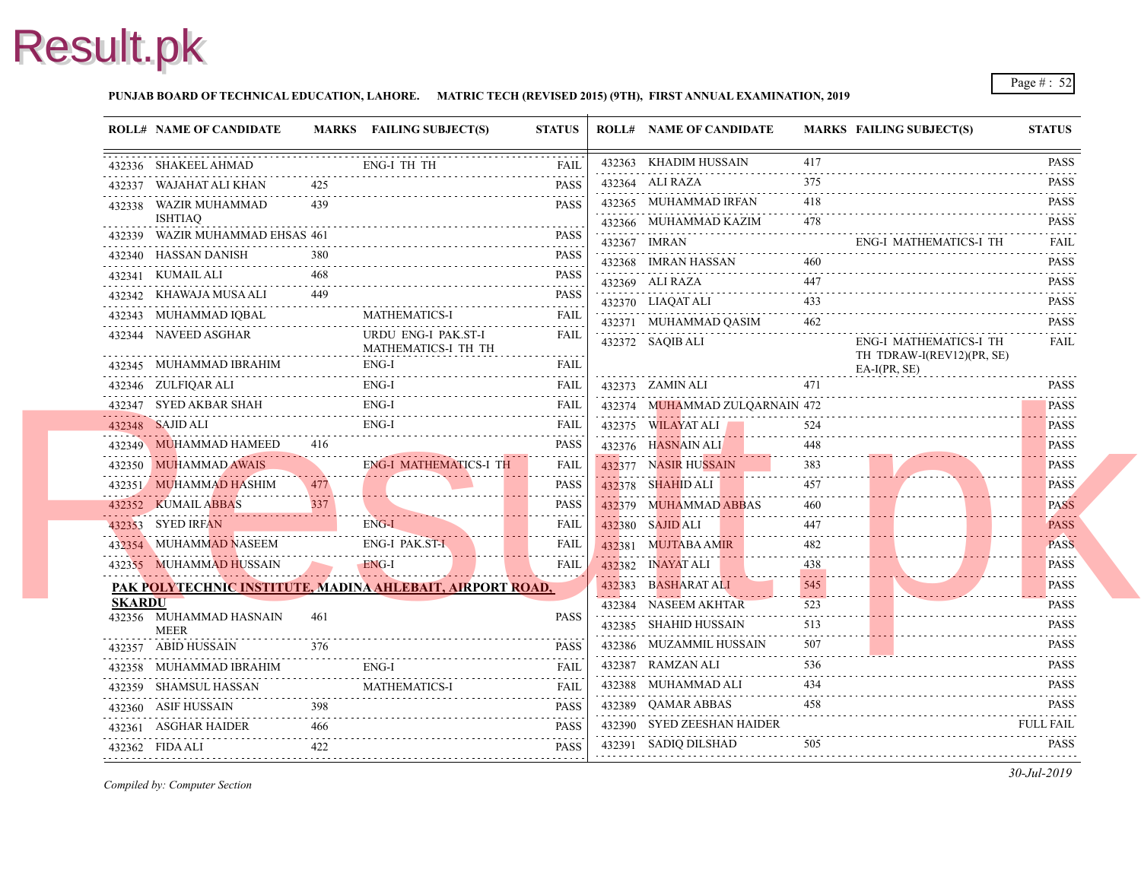### **PUNJAB BOARD OF TECHNICAL EDUCATION, LAHORE. MATRIC TECH (REVISED 2015) (9TH), FIRST ANNUAL EXAMINATION, 2019**

|               | <b>ROLL# NAME OF CANDIDATE</b>                            |     | MARKS FAILING SUBJECT(S)      | <b>STATUS</b>                                                       | <b>ROLL# NAME OF CANDIDATE</b>                         | <b>MARKS FAIL</b> |                 |
|---------------|-----------------------------------------------------------|-----|-------------------------------|---------------------------------------------------------------------|--------------------------------------------------------|-------------------|-----------------|
|               | 432336 SHAKEEL AHMAD                                      |     | <b>ENG-I TH TH</b>            | <b>FAIL</b>                                                         | 432363 KHADIM HUSSAIN                                  | 417               |                 |
|               | 432337 WAJAHAT ALI KHAN                                   | 425 |                               | <b>PASS</b>                                                         | 432364 ALI RAZA                                        | 375               |                 |
|               | 432338 WAZIR MUHAMMAD                                     | 439 |                               | <b>PASS</b>                                                         | 432365 MUHAMMAD IRFAN                                  | 418<br>.          |                 |
|               | <b>ISHTIAQ</b><br>432339 WAZIR MUHAMMAD EHSAS 461         |     |                               | <b>PASS</b>                                                         | 432366 MUHAMMAD KAZIM                                  | 478               |                 |
|               | 432340 HASSAN DANISH                                      | 380 |                               | <b>PASS</b>                                                         | 432367 IMRAN                                           |                   | ENG-            |
|               | 432341 KUMAIL ALI                                         | 468 |                               | 1.1.1.1.1<br><b>PASS</b>                                            | 432368 IMRAN HASSAN                                    | 460               |                 |
|               | 432342 KHAWAJA MUSA ALI                                   | 449 |                               | 1.1.1.1.1<br><b>PASS</b>                                            | 432369 ALI RAZA                                        | 447               |                 |
|               | 432343 MUHAMMAD IQBAL                                     |     | <b>MATHEMATICS-I</b>          | <b>FAIL</b>                                                         | 432370 LIAQAT ALI                                      | 433               |                 |
|               | 432344 NAVEED ASGHAR                                      |     | URDU ENG-I PAK.ST-I           | <b>FAIL</b>                                                         | 432371 MUHAMMAD QASIM                                  | 462               | ENG-            |
|               |                                                           |     | MATHEMATICS-I TH TH           |                                                                     | 432372 SAQIB ALI                                       |                   | TH <sub>1</sub> |
|               | 432345 MUHAMMAD IBRAHIM                                   |     | ENG-I                         | <b>FAIL</b>                                                         |                                                        |                   | EA-I            |
|               | 432346 ZULFIQAR ALI                                       |     | ENG-I                         | <b>FAIL</b>                                                         | 432373 ZAMIN ALI                                       | 471               |                 |
| . <b>.</b>    | 432347 SYED AKBAR SHAH                                    |     | ENG-I                         | FAIL                                                                | 432374 MUHAMMAD ZULQARNAIN 472                         |                   |                 |
|               | 432348 SAJID ALI                                          |     | ENG-I                         | FAIL                                                                | 432375 WILAYAT ALI                                     | 524               |                 |
|               | 432349 MUHAMMAD HAMEED                                    | 416 |                               | <b>PASS</b><br>$\alpha$ , $\alpha$ , $\alpha$ , $\alpha$ , $\alpha$ | 432376 HASNAIN ALI                                     | 448               |                 |
|               | 432350 MUHAMMAD AWAIS                                     |     | <b>ENG-I MATHEMATICS-I TH</b> | <b>FAIL</b>                                                         | 432377 NASIR HUSSAIN                                   | 383               |                 |
|               | 432351 MUHAMMAD HASHIM                                    | 477 |                               | <b>PASS</b>                                                         | 432378 SHAHID ALI                                      | 457               |                 |
|               | 432352 KUMAIL ABBAS                                       | 337 |                               | <b>PASS</b>                                                         | 432379 MUHAMMAD ABBAS                                  | 460               |                 |
|               | 432353 SYED IRFAN<br>. <u>.</u>                           |     | ENG-I                         | FAIL                                                                | 432380 SAJID ALI<br>والمتحدث والمتمام والمتحدث وأحمدته | 447               |                 |
|               | 432354 MUHAMMAD NASEEM                                    |     | ENG-I PAK.ST-I                | <b>FAIL</b><br><u>.</u>                                             | 432381 MUJTABA AMIR                                    | 482               |                 |
|               | 432355 MUHAMMAD HUSSAIN                                   |     | ENG-I                         | <b>FAIL</b><br>.                                                    | 432382 INAYAT ALI                                      | 438               |                 |
|               | PAK POLYTECHNIC INSTITUTE, MADINA AHLEBAIT, AIRPORT ROAD, |     |                               |                                                                     | 432383 BASHARAT ALI                                    | 545               |                 |
| <b>SKARDU</b> | 432356 MUHAMMAD HASNAIN                                   | 461 |                               | <b>PASS</b>                                                         | 432384 NASEEM AKHTAR                                   | 523               |                 |
|               | <b>MEER</b>                                               |     |                               |                                                                     | 432385 SHAHID HUSSAIN                                  | 513               |                 |
|               | 432357 ABID HUSSAIN                                       | 376 |                               | <b>PASS</b><br>.                                                    | 432386 MUZAMMIL HUSSAIN<br>.                           | 507               |                 |
|               | 432358 MUHAMMAD IBRAHIM                                   |     | ENG-I                         | <b>FAIL</b>                                                         | 432387 RAMZAN ALI                                      | 536               |                 |
|               | 432359 SHAMSUL HASSAN                                     |     | <b>MATHEMATICS-I</b>          | <b>FAIL</b>                                                         | 432388 MUHAMMAD ALI                                    | 434               |                 |
|               | 432360 ASIF HUSSAIN                                       | 398 |                               | <b>PASS</b><br>.                                                    | 432389 OAMAR ABBAS                                     | 458               |                 |
|               | 432361 ASGHAR HAIDER                                      | 466 |                               | <b>PASS</b>                                                         | 432390 SYED ZEESHAN HAIDER                             |                   |                 |
|               | 432362 FIDA ALI                                           | 422 |                               | <b>PASS</b><br>.                                                    | 432391 SADIQ DILSHAD                                   | 505               |                 |
|               |                                                           |     |                               |                                                                     |                                                        |                   |                 |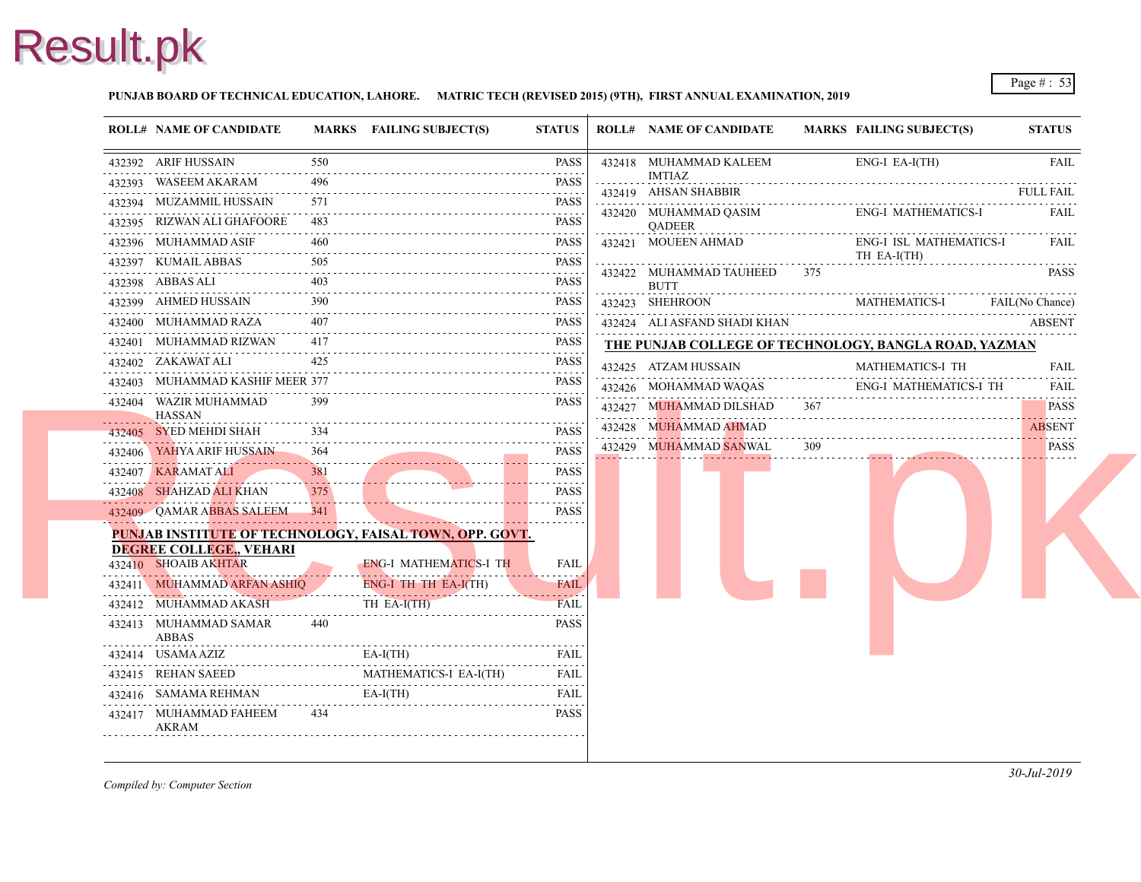### **PUNJAB BOARD OF TECHNICAL EDUCATION, LAHORE. MATRIC TECH (REVISED 2015) (9TH), FIRST ANNUAL EXAMINATION, 2019**

| <b>ROLL# NAME OF CANDIDATE</b>         |                                                             | MARKS FAILING SUBJECT(S)                                | <b>STATUS</b>                                            | <b>ROLL# NAME OF CANDIDATE</b>         | <b>MARKS FAIL</b> |            |
|----------------------------------------|-------------------------------------------------------------|---------------------------------------------------------|----------------------------------------------------------|----------------------------------------|-------------------|------------|
| 432392 ARIF HUSSAIN                    | 550                                                         |                                                         | <b>PASS</b>                                              | 432418 MUHAMMAD KALEEM                 |                   | ENG-       |
| 432393 WASEEM AKARAM                   | 496                                                         |                                                         | .<br><b>PASS</b>                                         | IMTIAZ                                 |                   |            |
| 432394 MUZAMMIL HUSSAIN                | 571                                                         |                                                         | .<br><b>PASS</b>                                         | 432419 AHSAN SHABBIR                   |                   |            |
| 432395 RIZWAN ALI GHAFOORE             | 483                                                         |                                                         | .<br><b>PASS</b><br>.                                    | 432420 MUHAMMAD QASIM<br><b>OADEER</b> |                   | ENG-       |
| 432396 MUHAMMAD ASIF                   | 460                                                         |                                                         | <b>PASS</b>                                              | 432421 MOUEEN AHMAD                    |                   | ENG-       |
| 432397 KUMAIL ABBAS                    | 505                                                         |                                                         | <b>PASS</b><br>$-1 - 1 - 1 - 1$                          | 432422 MUHAMMAD TAUHEED                | 375               | TH E       |
| 432398 ABBAS ALI                       | 403                                                         |                                                         | <b>PASS</b>                                              | <b>BUTT</b>                            |                   |            |
| 432399 AHMED HUSSAIN                   | 390                                                         |                                                         | <b>PASS</b>                                              | 432423 SHEHROON                        |                   | <b>MAT</b> |
| 432400 MUHAMMAD RAZA                   | 407                                                         |                                                         | <b>PASS</b><br>.                                         | 432424 ALI ASFAND SHADI KHAN           |                   |            |
| 432401 MUHAMMAD RIZWAN                 | 417                                                         |                                                         | <b>PASS</b>                                              | THE PUNJAB COLLEGE OF TECHNOLOGY, F    |                   |            |
| 432402 ZAKAWAT ALI                     | 425                                                         |                                                         | <b>PASS</b>                                              | 432425 ATZAM HUSSAIN                   |                   | <b>MAT</b> |
| 432403 MUHAMMAD KASHIF MEER 377        |                                                             |                                                         | <b>PASS</b>                                              | 432426 MOHAMMAD WAQAS                  |                   | ENG-       |
| 432404 WAZIR MUHAMMAD<br><b>HASSAN</b> | 399                                                         |                                                         | <b>PASS</b>                                              | 432427 MUHAMMAD DILSHAD                | 367               |            |
| 432405 SYED MEHDI SHAH                 | 334                                                         |                                                         | <b>PASS</b>                                              | 432428 MUHAMMAD AHMAD                  |                   |            |
| 432406 YAHYA ARIF HUSSAIN              | $\alpha$ , $\alpha$ , $\alpha$ , $\alpha$ , $\alpha$<br>364 |                                                         | <b>PASS</b>                                              | 432429 MUHAMMAD SANWAL                 | 309               |            |
| 432407 KARAMAT ALI                     | 381                                                         |                                                         | <b>PASS</b>                                              |                                        |                   |            |
| 432408 SHAHZAD ALI KHAN                | 375                                                         |                                                         | <b>PASS</b>                                              |                                        |                   |            |
| 432409 OAMAR ABBAS SALEEM              | - 341                                                       |                                                         | $\alpha$ , $\alpha$ , $\alpha$ , $\alpha$<br><b>PASS</b> |                                        |                   |            |
| <b>DEGREE COLLEGE, VEHARI</b>          |                                                             | PUNJAB INSTITUTE OF TECHNOLOGY, FAISAL TOWN, OPP. GOVT. |                                                          |                                        |                   |            |
| 432410 SHOAIB AKHTAR                   |                                                             | <b>ENG-I MATHEMATICS-I TH</b>                           | FAIL                                                     |                                        |                   |            |
| 432411 MUHAMMAD ARFAN ASHIQ            |                                                             | ENG-I TH TH EA-I(TH)                                    | <b>FAIL</b>                                              |                                        |                   |            |
| 432412 MUHAMMAD AKASH                  |                                                             | TH EA-I(TH)                                             | <b>FAIL</b>                                              |                                        |                   |            |
| 432413 MUHAMMAD SAMAR<br><b>ABBAS</b>  | 440                                                         |                                                         | <b>PASS</b>                                              |                                        |                   |            |
| 432414 USAMA AZIZ                      |                                                             | $EA-I(TH)$                                              | FAIL<br>الداعات عامان                                    |                                        |                   |            |
| 432415 REHAN SAEED                     |                                                             | MATHEMATICS-I EA-I(TH)                                  | <b>FAIL</b>                                              |                                        |                   |            |
| 432416 SAMAMA REHMAN                   |                                                             | $EA-I(TH)$                                              | <b>FAIL</b>                                              |                                        |                   |            |
| 432417 MUHAMMAD FAHEEM<br>AKRAM        | 434                                                         |                                                         | <b>PASS</b>                                              |                                        |                   |            |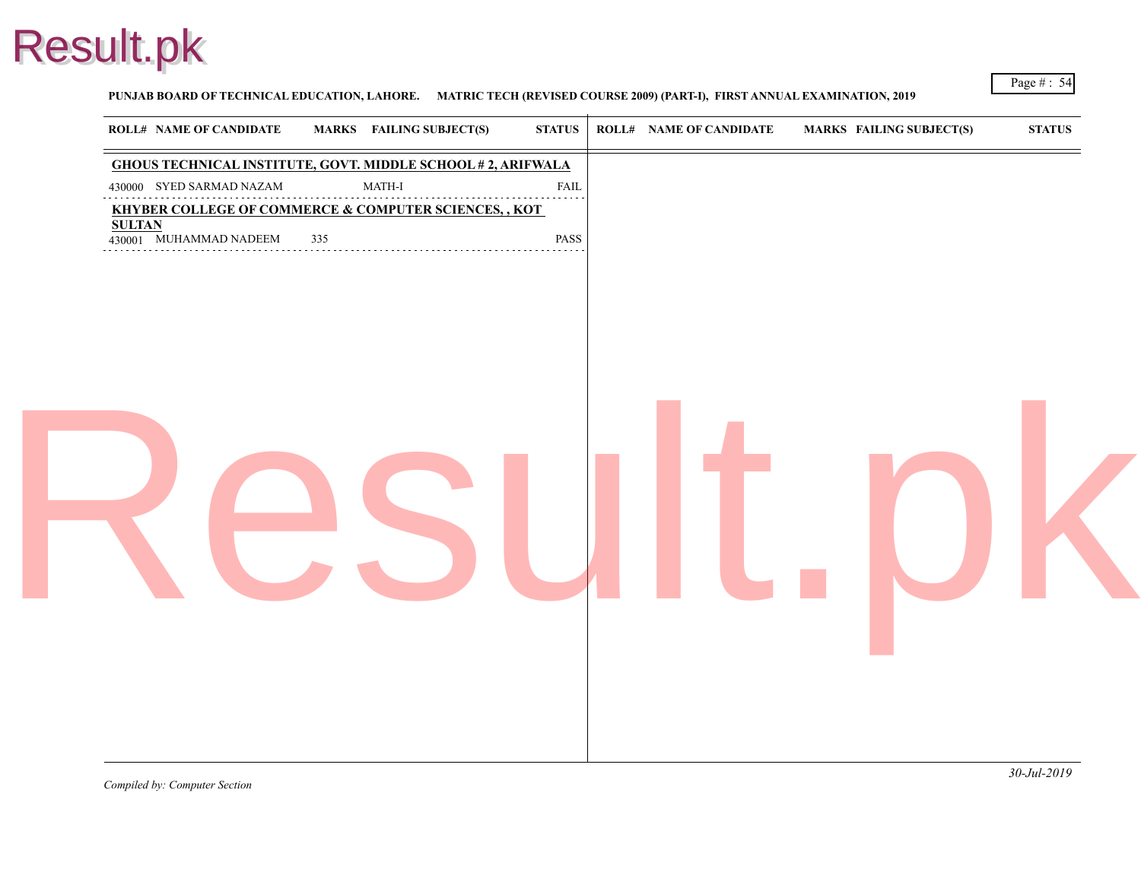

PUNJAB BOARD OF TECHNICAL EDUCATION, LAHORE. MATRIC TECH (REVISED COURSE 2009) (PART-I), FIRST ANNUAL EXAMINATION

| <b>ROLL# NAME OF CANDIDATE</b> | <b>MARKS</b> FAILING SUBJECT(S)                                    | <b>STATUS</b>    | <b>ROLL# NAME OF CANDIDATE</b> | <b>MARKS FAIL</b> |
|--------------------------------|--------------------------------------------------------------------|------------------|--------------------------------|-------------------|
|                                | <b>GHOUS TECHNICAL INSTITUTE, GOVT. MIDDLE SCHOOL #2, ARIFWALA</b> |                  |                                |                   |
| 430000 SYED SARMAD NAZAM       | $\operatorname{MATH-I}$<br>.                                       | <b>FAIL</b><br>. |                                |                   |
| <b>SULTAN</b>                  | KHYBER COLLEGE OF COMMERCE & COMPUTER SCIENCES, , KOT              |                  |                                |                   |
| 430001 MUHAMMAD NADEEM         | 335                                                                | PASS             |                                |                   |
|                                |                                                                    |                  |                                |                   |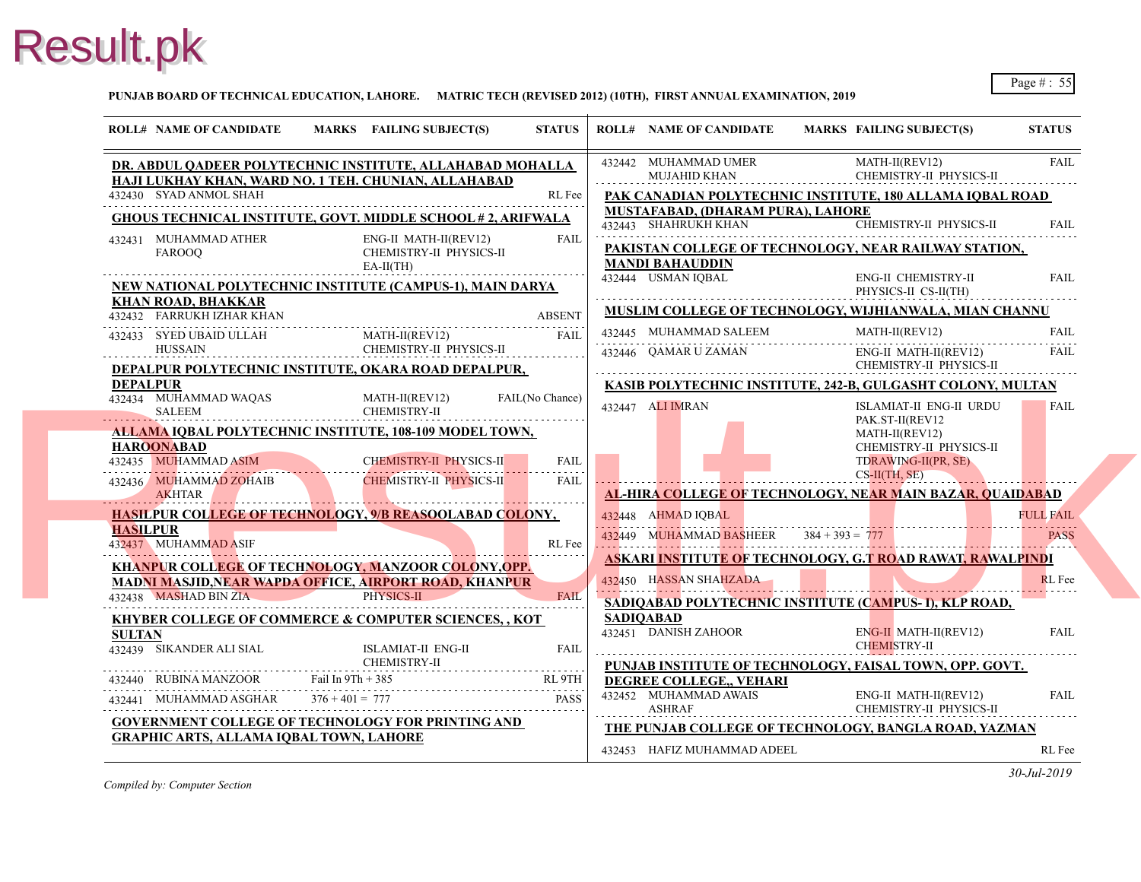**PUNJAB BOARD OF TECHNICAL EDUCATION, LAHORE. MATRIC TECH (REVISED 2012) (10TH), FIRST ANNUAL EXAMINATION, 2019**

| <b>ROLL# NAME OF CANDIDATE</b>                                                                                    | MARKS FAILING SUBJECT(S)                                        | <b>STATUS</b>   | <b>ROLL# NAME OF CANDIDATE</b>                                  | <b>MARKS FAIL</b>        |
|-------------------------------------------------------------------------------------------------------------------|-----------------------------------------------------------------|-----------------|-----------------------------------------------------------------|--------------------------|
| DR. ABDUL QADEER POLYTECHNIC INSTITUTE, ALLAHABAD MOHALLA<br>HAJI LUKHAY KHAN, WARD NO. 1 TEH. CHUNIAN, ALLAHABAD |                                                                 |                 | 432442 MUHAMMAD UMER<br><b>MUJAHID KHAN</b>                     | <b>MAT</b><br><b>CHE</b> |
| 432430 SYAD ANMOL SHAH                                                                                            |                                                                 | RL Fee          | PAK CANADIAN POLYTECHNIC INSTITUTE,                             |                          |
| GHOUS TECHNICAL INSTITUTE, GOVT. MIDDLE SCHOOL #2, ARIFWALA                                                       |                                                                 |                 | MUSTAFABAD, (DHARAM PURA), LAHORE<br>432443 SHAHRUKH KHAN       | <b>CHEI</b>              |
| 432431 MUHAMMAD ATHER<br><b>FAROOO</b>                                                                            | ENG-II MATH-II(REV12)<br>CHEMISTRY-II PHYSICS-II<br>$EA-II(TH)$ | <b>FAIL</b>     | PAKISTAN COLLEGE OF TECHNOLOGY, NE.<br><b>MANDI BAHAUDDIN</b>   |                          |
| NEW NATIONAL POLYTECHNIC INSTITUTE (CAMPUS-1), MAIN DARYA                                                         |                                                                 |                 | 432444 USMAN IOBAL                                              | ENG-<br>PHYS             |
| <b>KHAN ROAD, BHAKKAR</b><br>432432 FARRUKH IZHAR KHAN                                                            |                                                                 | <b>ABSENT</b>   | MUSLIM COLLEGE OF TECHNOLOGY, WIJH                              |                          |
| 432433 SYED UBAID ULLAH                                                                                           | MATH-II(REV12)                                                  | FAIL            | 432445 MUHAMMAD SALEEM                                          | <b>MAT</b>               |
| <b>HUSSAIN</b>                                                                                                    | CHEMISTRY-II PHYSICS-II                                         |                 | 432446 QAMAR U ZAMAN                                            | ENG-<br><b>CHE</b>       |
| DEPALPUR POLYTECHNIC INSTITUTE, OKARA ROAD DEPALPUR,<br><b>DEPALPUR</b>                                           |                                                                 |                 | <b>KASIB POLYTECHNIC INSTITUTE, 242-B, GU</b>                   |                          |
| 432434 MUHAMMAD WAQAS<br>SALEEM                                                                                   | MATH-II(REV12)<br>CHEMISTRY-II                                  | FAIL(No Chance) | 432447 ALI IMRAN                                                | <b>ISLA</b>              |
| <b>ALLAMA IQBAL POLYTECHNIC INSTITUTE, 108-109 MODEL TOWN,</b>                                                    |                                                                 |                 |                                                                 | PAK.<br><b>MAT</b>       |
| <b>HAROONABAD</b>                                                                                                 |                                                                 |                 |                                                                 | <b>CHE</b>               |
| 432435 MUHAMMAD ASIM<br>AMMAD ASIM                                                                                | CHEMISTRY-II PHYSICS-II                                         | <b>FAIL</b>     |                                                                 | <b>TDR</b><br>$CS-H$     |
| 432436 MUHAMMAD ZOHAIB<br><b>AKHTAR</b>                                                                           | <b>CHEMISTRY-II PHYSICS-II</b>                                  | FAIL            | <b>AL-HIRA COLLEGE OF TECHNOLOGY, NEAL</b>                      |                          |
| <b>HASILPUR COLLEGE OF TECHNOLOGY, 9/B REASOOLABAD COLONY,</b>                                                    |                                                                 |                 | 432448 AHMAD IOBAL                                              |                          |
| <b>HASILPUR</b><br>432437 MUHAMMAD ASIF                                                                           |                                                                 | RL Fee          | 432449 MUHAMMAD BASHEER $384 + 393 = 777$                       |                          |
| KHANPUR COLLEGE OF TECHNOLOGY, MANZOOR COLONY, OPP.                                                               |                                                                 |                 | <b>ASKARI INSTITUTE OF TECHNOLOGY, G.T F</b>                    |                          |
| <b>MADNI MASJID, NEAR WAPDA OFFICE, AIRPORT ROAD, KHANPUR</b>                                                     |                                                                 |                 | 432450 HASSAN SHAHZADA                                          |                          |
| 432438 MASHAD BIN ZIA                                                                                             | PHYSICS-II                                                      | <b>FAIL</b>     | SADIQABAD POLYTECHNIC INSTITUTE (CA                             |                          |
| <b>KHYBER COLLEGE OF COMMERCE &amp; COMPUTER SCIENCES,, KOT</b>                                                   |                                                                 |                 | <b>SADIOABAD</b><br>432451 DANISH ZAHOOR                        | ENG-                     |
| <b>SULTAN</b><br>432439 SIKANDER ALI SIAL                                                                         | <b>ISLAMIAT-II ENG-II</b><br>CHEMISTRY-II                       | <b>FAIL</b>     |                                                                 | <b>CHEI</b>              |
| 432440 RUBINA MANZOOR Fail In 9Th + 385                                                                           |                                                                 | RL 9TH          | PUNJAB INSTITUTE OF TECHNOLOGY, FAIS<br>DEGREE COLLEGE,, VEHARI |                          |
| 432441 MUHAMMAD ASGHAR                                                                                            | $376 + 401 = 777$                                               | <b>PASS</b>     | 432452 MUHAMMAD AWAIS<br><b>ASHRAF</b>                          | ENG-<br><b>CHE</b>       |
| <b>GOVERNMENT COLLEGE OF TECHNOLOGY FOR PRINTING AND</b>                                                          |                                                                 |                 | THE PUNJAB COLLEGE OF TECHNOLOGY, H                             |                          |
| <b>GRAPHIC ARTS, ALLAMA IQBAL TOWN, LAHORE</b>                                                                    |                                                                 |                 | 432453 HAFIZ MUHAMMAD ADEEL                                     |                          |
|                                                                                                                   |                                                                 |                 |                                                                 |                          |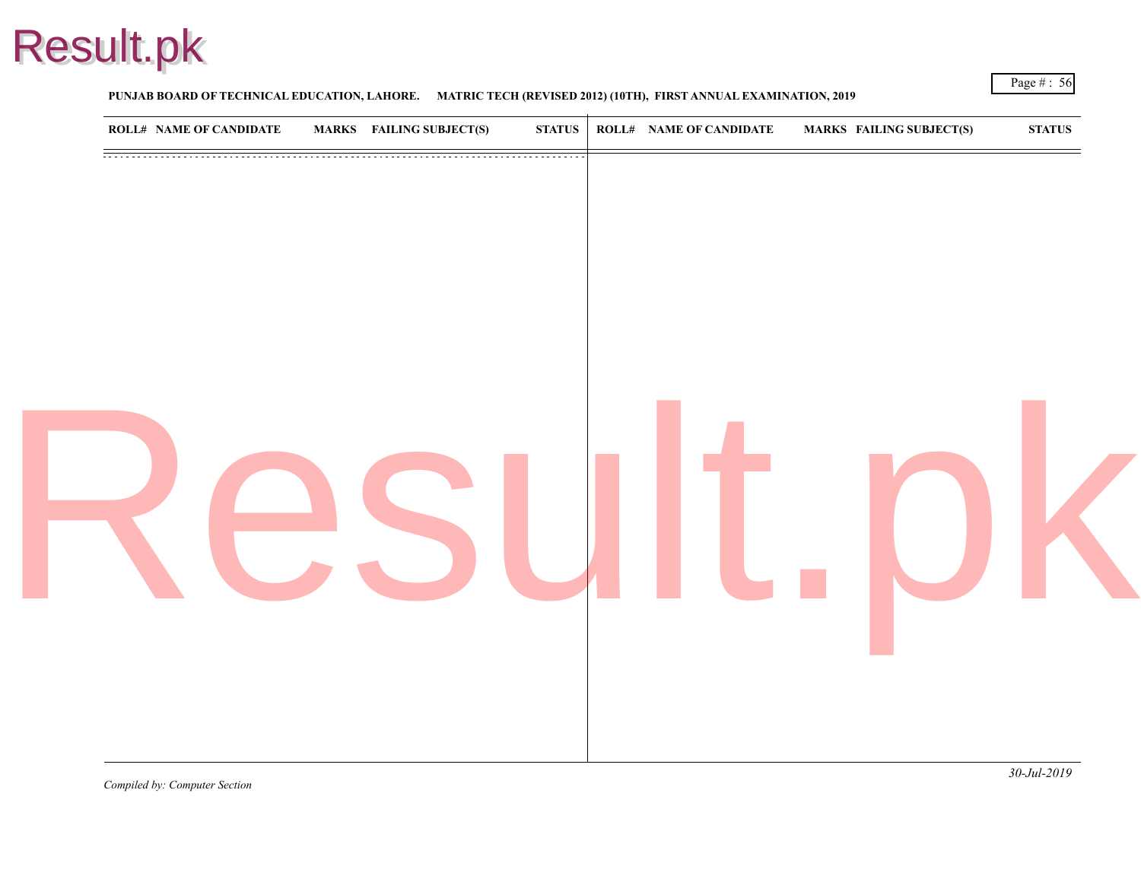

### **PUNJAB BOARD OF TECHNICAL EDUCATION, LAHORE. MATRIC TECH (REVISED 2012) (10TH), FIRST ANNUAL EXAMINATION, 2019**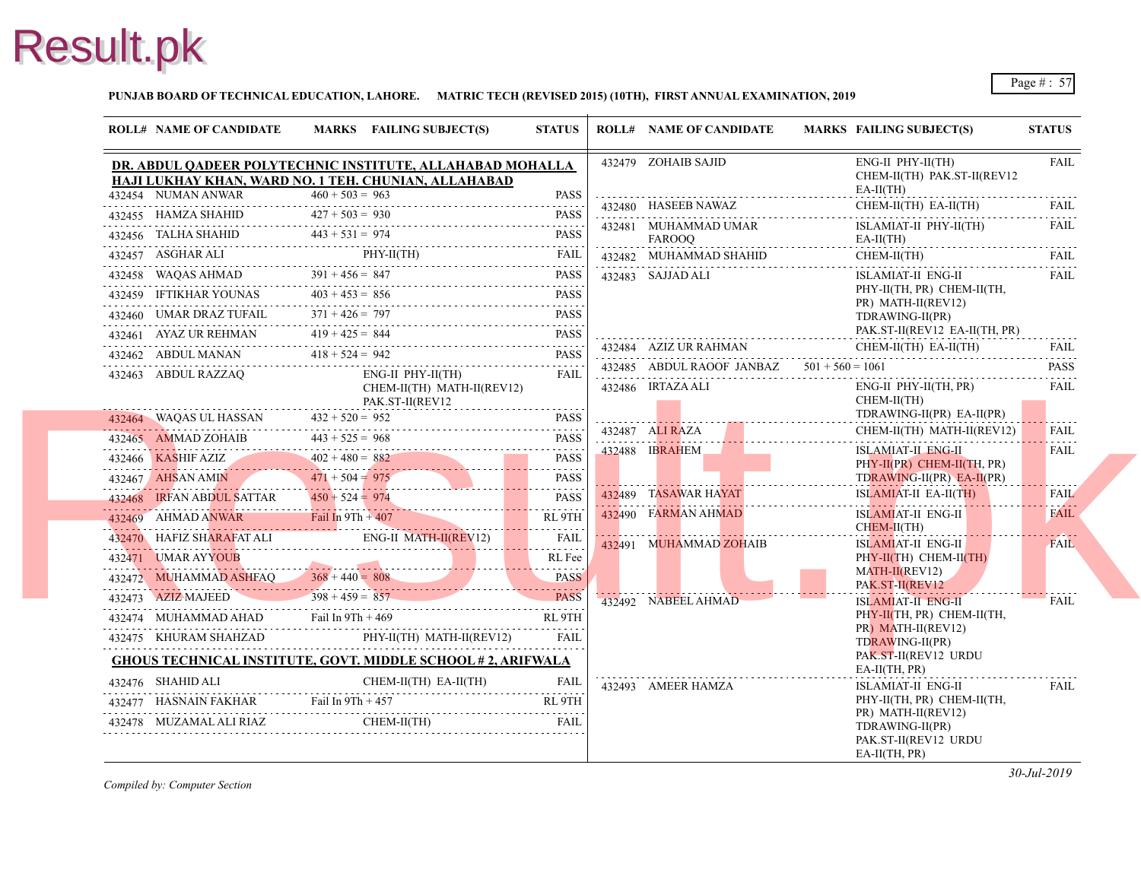

**PUNJAB BOARD OF TECHNICAL EDUCATION, LAHORE. MATRIC TECH (REVISED 2015) (10TH), FIRST ANNUAL EXAMINATION, 2019**

|                   | <b>ROLL# NAME OF CANDIDATE</b>           |                   | MARKS FAILING SUBJECT(S)                                                                  | <b>STATUS</b> |  | <b>ROLL# NAME OF CANDIDATE</b>              | <b>MARKS FAIL</b>      |
|-------------------|------------------------------------------|-------------------|-------------------------------------------------------------------------------------------|---------------|--|---------------------------------------------|------------------------|
|                   |                                          |                   | DR. ABDUL QADEER POLYTECHNIC INSTITUTE, ALLAHABAD MOHALLA                                 |               |  | 432479 ZOHAIB SAJID                         | ENG-                   |
|                   |                                          |                   | HAJI LUKHAY KHAN, WARD NO. 1 TEH. CHUNIAN, ALLAHABAD                                      |               |  |                                             | <b>CHE</b>             |
|                   | 432454 NUMAN ANWAR                       | $460 + 503 = 963$ |                                                                                           | <b>PASS</b>   |  | 432480 HASEEB NAWAZ                         | EA-II<br><b>CHE</b>    |
|                   |                                          |                   | 432455 HAMZA SHAHID $427 + 503 = 930$ PASS                                                |               |  |                                             |                        |
|                   |                                          |                   | 432456 TALHA SHAHID $443 + 531 = 974$ PASS                                                |               |  | 432481 MUHAMMAD UMAR<br>FAROOQ              | <b>ISLA</b><br>$EA-II$ |
|                   |                                          |                   | 432457 ASGHAR ALI PHY-II(TH) FAIL PHY-II(TH)                                              | FAIL          |  | 432482 MUHAMMAD SHAHID                      | <b>CHE</b>             |
|                   |                                          |                   | $432458$ WAQAS AHMAD $391 + 456 = 847$ PASS                                               | PASS          |  | 432483 SAJJAD ALI                           | <b>ISLA</b>            |
|                   |                                          |                   | 432459 IFTIKHAR YOUNAS $403 + 453 = 856$ PASS                                             |               |  |                                             | PHY-                   |
|                   | 432460 UMAR DRAZ TUFAIL                  |                   | 432460 UMAR DRAZ TUFAIL $371 + 426 = 797$ PASS                                            |               |  |                                             | PR)<br><b>TDR</b>      |
|                   | 432461 AYAZ UR REHMAN $419 + 425 = 844$  |                   | 432461 AYAZ UR REHMAN $419 + 425 = 844$ PASS                                              | <b>PASS</b>   |  |                                             | PAK.                   |
|                   |                                          |                   | 432462 ABDUL MANAN $418 + 524 = 942$ PASS                                                 |               |  | 432484 AZIZ UR RAHMAN                       | <b>CHE</b>             |
|                   | 432463 ABDUL RAZZAQ                      |                   | $ENG-II$ $PHY-II(TH)$                                                                     | FAIL          |  | 432485 ABDUL RAOOF JANBAZ $501 + 560 = 106$ |                        |
|                   |                                          |                   | CHEM-II(TH) MATH-II(REV12)<br>PAK.ST-II(REV12                                             |               |  | 432486 IRTAZA ALI                           | -ENG4<br><b>CHE</b>    |
|                   | 432464 WAQAS UL HASSAN $432 + 520 = 952$ |                   |                                                                                           |               |  |                                             | <b>TDR</b>             |
|                   |                                          |                   | 432464 WAQAS UL HASSAN $432 + 520 = 952$ PASS                                             |               |  | 432487 ALI RAZA                             | <b>CHE</b>             |
|                   |                                          |                   | 432465 AMMAD ZOHAIB $443 + 525 = 968$ PASS                                                |               |  | 432488 IBRAHEM                              | <b>ISLA</b>            |
|                   | 432467 AHSAN AMIN                        |                   | 432466 KASHIF AZIZ $402 + 480 = 882$ PASS                                                 |               |  |                                             | PHY-<br><b>TDR</b>     |
|                   |                                          |                   | 432467 AHSAN AMIN $471 + 504 = 975$ PASS                                                  |               |  | 432489 TASAWAR HAYAT                        | <b>ISLA</b>            |
|                   |                                          |                   | $\frac{432468}{182468}$ IRFAN ABDUL SATTAR $\frac{450 + 524}{182468} = 974$ PASS          |               |  | 432490 FARMAN AHMAD                         | <b>ISLA</b>            |
|                   |                                          |                   | 432469 AHMAD ANWAR Fail In 9Th + 407 RL 9TH                                               |               |  |                                             | <b>CHE</b>             |
|                   |                                          |                   | 432470 HAFIZ SHARAFAT ALI ENG-II MATH-II(REVI2) FAIL                                      |               |  | 432491 MUHAMMAD ZOHAIB                      | <b>ISLA</b>            |
|                   |                                          |                   | 432471 UMAR AYYOUB RL Fee                                                                 | RL Fee        |  |                                             | PHY-<br><b>MAT</b>     |
|                   |                                          |                   | $432472$ MUHAMMAD ASHFAQ $368 + 440 = 808$ PASS                                           |               |  |                                             | PAK.                   |
|                   |                                          |                   | $398 + 459 = 857$ PASS                                                                    | <b>PASS</b>   |  | 432492 NABEEL AHMAD                         | <b>ISLA</b>            |
|                   |                                          |                   | 432474 MUHAMMAD AHAD Fail In 9Th + 469 RL 9TH                                             | .             |  |                                             | PHY-<br>PR)            |
|                   |                                          |                   | 432475 KHURAM SHAHZAD PHY-II(TH) MATH-II(REV12) FAIL                                      |               |  |                                             | <b>TDR</b>             |
|                   |                                          |                   | <b>GHOUS TECHNICAL INSTITUTE, GOVT. MIDDLE SCHOOL #2, ARIFWALA</b>                        |               |  |                                             | PAK.<br>$EA-II$        |
| 432476 SHAHID ALI |                                          |                   | $CHEM-II(TH)$ $EA-II(TH)$                                                                 | FAIL          |  | 432493 AMEER HAMZA                          | <b>ISLA</b>            |
|                   |                                          |                   | 432477 HASNAIN FAKHAR Fail In 9Th + 457 RL 9TH                                            |               |  |                                             | PHY-                   |
|                   |                                          |                   | $\begin{tabular}{ll} \bf 432478 & MUZAMAL ALI RIAZ & CHEM-II(TH) \\ \hline \end{tabular}$ | FAII          |  |                                             | PR)<br><b>TDR</b>      |
|                   |                                          |                   |                                                                                           |               |  |                                             | PAK.                   |
|                   |                                          |                   |                                                                                           |               |  |                                             | EA-II                  |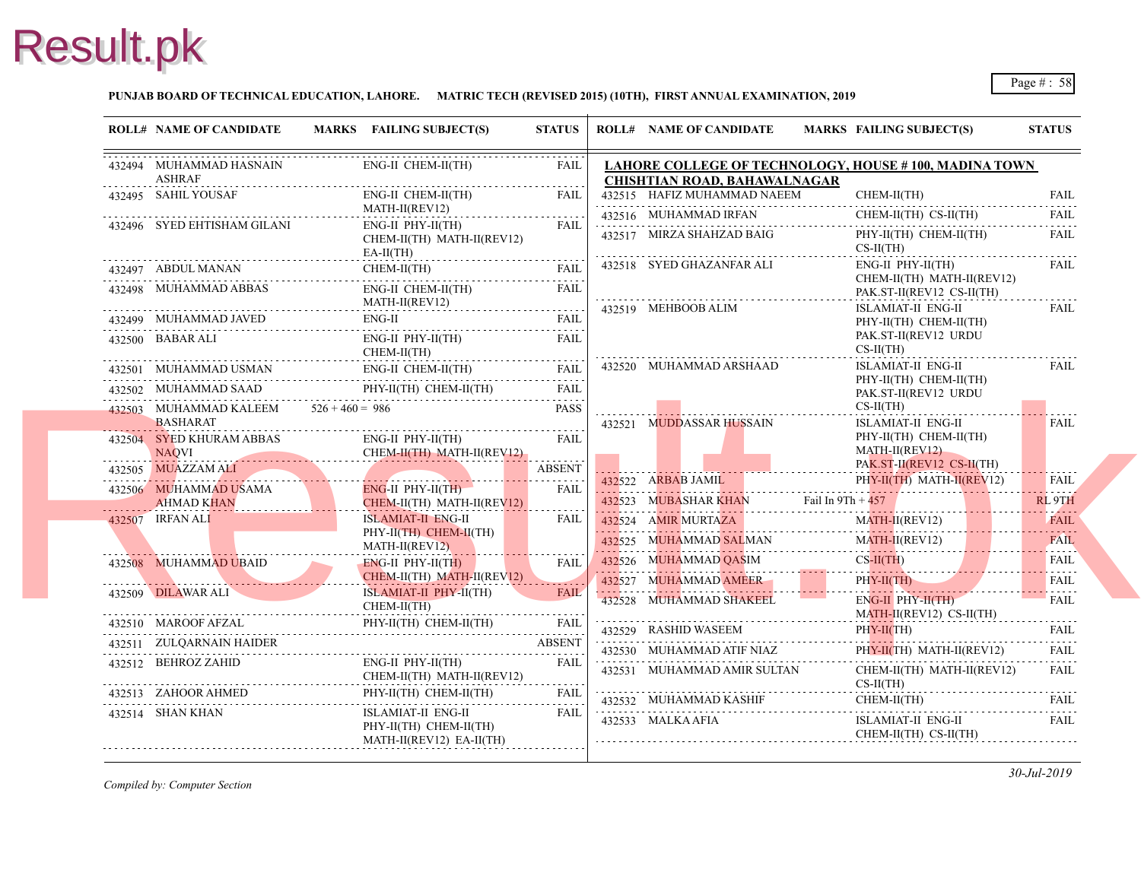### **PUNJAB BOARD OF TECHNICAL EDUCATION, LAHORE. MATRIC TECH (REVISED 2015) (10TH), FIRST ANNUAL EXAMINATION, 2019**

| <b>ROLL# NAME OF CANDIDATE</b>                              | MARKS FAILING SUBJECT(S)                                                 | <b>STATUS</b>                                                | <b>ROLL# NAME OF CANDIDATE</b>                                                  | <b>MARKS FAIL</b> |                               |
|-------------------------------------------------------------|--------------------------------------------------------------------------|--------------------------------------------------------------|---------------------------------------------------------------------------------|-------------------|-------------------------------|
| 432494 MUHAMMAD HASNAIN<br>ASHRAF                           | ENG-II CHEM-II(TH)                                                       | FAIL                                                         | <b>LAHORE COLLEGE OF TECHNOLOGY, HOU</b><br><b>CHISHTIAN ROAD, BAHAWALNAGAR</b> |                   |                               |
| 432495 SAHIL YOUSAF                                         | ENG-II CHEM-II(TH)<br>MATH-II(REV12)                                     | FAIL<br>.                                                    | 432515 HAFIZ MUHAMMAD NAEEM                                                     |                   | <b>CHE</b>                    |
| 432496 SYED EHTISHAM GILANI                                 | $ENG-II$ $PHY-II(TH)$<br>CHEM-II(TH) MATH-II(REV12)<br>$EA-II(TH)$       | FAIL                                                         | 432516 MUHAMMAD IRFAN<br>432517 MIRZA SHAHZAD BAIG                              |                   | <b>CHE</b><br>PHY-<br>$CS-II$ |
| 432497 ABDUL MANAN                                          | CHEM-II(TH)                                                              | FAIL                                                         | 432518 SYED GHAZANFAR ALI                                                       |                   | ENG-                          |
| 432498 MUHAMMAD ABBAS                                       | ENG-II CHEM-II(TH)<br>EVI2)<br>MATH-II(REV12)                            | FAIL                                                         |                                                                                 |                   | <b>CHE</b><br>PAK.            |
|                                                             | ENG-II<br>432499 MUHAMMAD JAVED ENG-II FAIL FAIL                         |                                                              | 432519 MEHBOOB ALIM                                                             |                   | <b>ISLA</b><br>PHY-           |
| 432500 BABAR ALI                                            | ENG-II PHY-II(TH)<br>CHEM-II(TH)                                         | FAIL                                                         |                                                                                 |                   | PAK.<br>$CS-II$               |
| 432501 MUHAMMAD USMAN ENG-II CHEM-II(TH)                    | ENG-II CHEM-II(TH) FAIL                                                  |                                                              | 432520 MUHAMMAD ARSHAAD                                                         |                   | <b>ISLA</b>                   |
| 432502 MUHAMMAD SAAD                                        | PHY-II(TH) CHEM-II(TH)                                                   | FAIL                                                         |                                                                                 |                   | PHY-<br>PAK.                  |
| 432503 MUHAMMAD KALEEM $526 + 460 = 986$<br><b>BASHARAT</b> |                                                                          | <b>PASS</b>                                                  | 432521 MUDDASSAR HUSSAIN                                                        |                   | $CS-II$<br><b>ISLA</b>        |
| 432504 SYED KHURAM ABBAS<br><b>NAQVI</b><br><u>IAQVI</u> (  | ENG-II PHY-II(TH)<br>CHEM-II(TH) MATH-II(REV12)                          | FAIL                                                         |                                                                                 |                   | PHY-<br><b>MAT</b>            |
| 432505 MUAZZAM ALI                                          |                                                                          | <b>ABSENT</b>                                                |                                                                                 |                   | PAK.                          |
| 432506 MUHAMMAD USAMA<br>AHMAD KHAN<br>AHMAD KHAN           | $ENG-II$ PHY-II $(TH)$<br>CHEM-II(TH) MATH-II(REV12)                     | $\alpha$ , $\alpha$ , $\alpha$ , $\alpha$ , $\alpha$<br>FAIL | 432522 ARBAB JAMIL<br>432523 MUBASHAR KHAN Fail In 9Th + $45'$                  |                   | PHY-                          |
| 432507 IRFAN ALI                                            | <b>ISLAMIAT-II ENG-II</b>                                                | FAIL                                                         | 432524 AMIR MURTAZA                                                             |                   | <b>MAT</b>                    |
|                                                             | PHY-II(TH) CHEM-II(TH)<br>MATH-II(REV12)                                 |                                                              | 432525 MUHAMMAD SALMAN                                                          |                   | <b>MAT</b>                    |
| 432508 MUHAMMAD UBAID                                       | ENG-II PHY-II(TH)                                                        | <b>FAIL</b>                                                  | 432526 MUHAMMAD QASIM                                                           |                   | $CS-H$                        |
|                                                             | CHEM-II(TH) MATH-II(REV12)                                               | $- - - - -$                                                  | 432527 MUHAMMAD AMEER                                                           |                   | PHY-                          |
| 432509 DILAWAR ALI                                          | ISLAMIAT-II PHY-II(TH)<br>$CHEM-II(TH)$                                  | <b>FAIL</b>                                                  | 432528 MUHAMMAD SHAKEEL                                                         |                   | ENG-<br><b>MAT</b>            |
| 432510 MAROOF AFZAL<br><u>l</u><br>                         | PHY-II(TH) CHEM-II(TH) FAIL                                              | FAIL                                                         | 432529 RASHID WASEEM                                                            |                   | PHY-                          |
| 432511 ZULQARNAIN HAIDER                                    |                                                                          | <b>ABSENT</b>                                                | 432530 MUHAMMAD ATIF NIAZ                                                       |                   | PHY-                          |
| 432512 BEHROZ ZAHID                                         | $ENG-II$ $PHY-II(TH)$<br>CHEM-II(TH) MATH-II(REV12)                      | <b>FAIL</b><br>.                                             | 432531 MUHAMMAD AMIR SULTAN                                                     |                   | <b>CHEI</b><br>$CS-II$        |
| 432513 ZAHOOR AHMED                                         | PHY-II(TH) CHEM-II(TH)                                                   | FAIL                                                         | 432532 MUHAMMAD KASHIF                                                          |                   | <b>CHE</b>                    |
| 432514 SHAN KHAN                                            | ISLAMIAT-II ENG-II<br>PHY-II(TH) CHEM-II(TH)<br>MATH-II(REV12) EA-II(TH) | FAIL                                                         | 432533 MALKA AFIA                                                               |                   | <b>ISLA</b><br><b>CHE</b>     |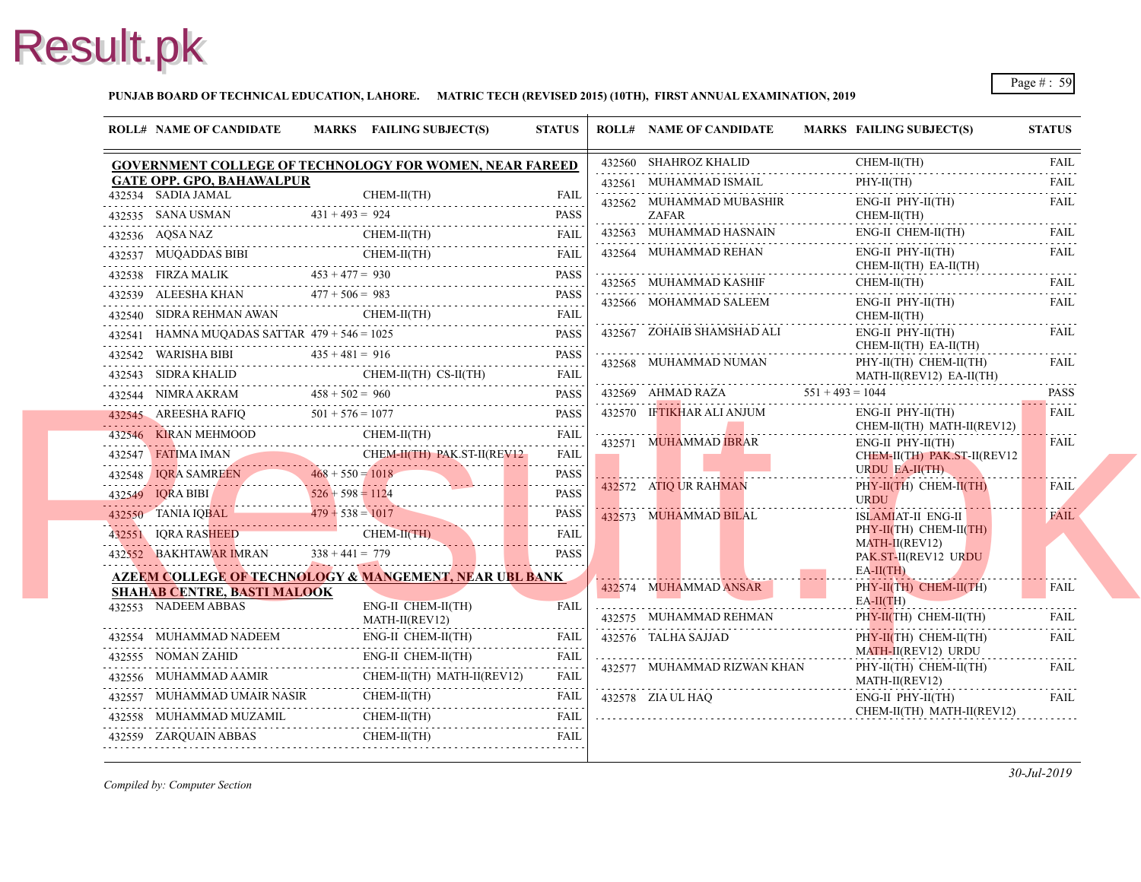**PUNJAB BOARD OF TECHNICAL EDUCATION, LAHORE. MATRIC TECH (REVISED 2015) (10TH), FIRST ANNUAL EXAMINATION, 2019**

| <b>ROLL# NAME OF CANDIDATE</b>     | MARKS FAILING SUBJECT(S)                                                                                                                                                                                                                           | <b>STATUS</b> | <b>ROLL# NAME OF CANDIDATE</b>      | <b>MARKS FAIL</b>   |
|------------------------------------|----------------------------------------------------------------------------------------------------------------------------------------------------------------------------------------------------------------------------------------------------|---------------|-------------------------------------|---------------------|
|                                    | <b>GOVERNMENT COLLEGE OF TECHNOLOGY FOR WOMEN, NEAR FAREED</b>                                                                                                                                                                                     |               | 432560 SHAHROZ KHALID               | <b>CHE</b>          |
| <b>GATE OPP. GPO, BAHAWALPUR</b>   |                                                                                                                                                                                                                                                    |               | 432561 MUHAMMAD ISMAIL              | PHY-                |
| 432534 SADIA JAMAL                 | CHEM-II(TH)                                                                                                                                                                                                                                        | <b>FAIL</b>   | 432562 MUHAMMAD MUBASHIR            | ENG-                |
|                                    | $431 + 493 = 924$<br>PASS<br>2355 SANA USMAN $431 + 493 = 924$<br>PASS                                                                                                                                                                             |               | ZAFAR                               | <b>CHE</b>          |
| 432536 AQSA NAZ                    | CHEM-II(TH)<br>.Z CHEM-II(TH) FAIL                                                                                                                                                                                                                 | <b>FAIL</b>   | 432563 MUHAMMAD HASNAIN             | ENG-                |
|                                    | 432537 MUQADDAS BIBI CHEM-II(TH) FAIL                                                                                                                                                                                                              |               | 432564 MUHAMMAD REHAN               | ENG-<br><b>CHE</b>  |
|                                    | 432538 FIRZA MALIK $453 + 477 = 930$ PASS                                                                                                                                                                                                          | <b>PASS</b>   | 432565 MUHAMMAD KASHIF              | <b>CHE</b>          |
|                                    | $477 + 506 = 983$<br>PASS<br>PASS<br>PASS                                                                                                                                                                                                          |               | 432566 MOHAMMAD SALEEM              | ENG-                |
|                                    | 432540 SIDRA REHMAN AWAN CHEM-II(TH) FAIL                                                                                                                                                                                                          |               |                                     | <b>CHE</b>          |
|                                    |                                                                                                                                                                                                                                                    |               | 432567 ZOHAIB SHAMSHAD ALI          | ENG-                |
|                                    | 432541 HAMNA MUQADAS SATTAR $479 + 546 = 1025$ PASS<br>432542 WARISHA BIBI 435 + 481 = 916 PASS                                                                                                                                                    |               | 432568 MUHAMMAD NUMAN               | <b>CHE</b><br>PHY-  |
|                                    | 432543 SIDRA KHALID CHEM-II(TH) CS-II(TH) FAIL                                                                                                                                                                                                     |               |                                     | <b>MAT</b>          |
|                                    | 432544 NIMRA AKRAM $458 + 502 = 960$ PASS<br>432545 AREESHA RAFIQ 501 + 576 = 1077 PASS                                                                                                                                                            |               | 432569 AHMAD RAZA $551 + 493 = 104$ |                     |
|                                    |                                                                                                                                                                                                                                                    |               | 432570 IFTIKHAR ALI ANJUM           | ENG-                |
|                                    | 432546 KIRAN MEHMOOD CHEM-II(TH) FAIL                                                                                                                                                                                                              |               | 432571 MUHAMMAD IBRAR               | <b>CHE</b>          |
|                                    |                                                                                                                                                                                                                                                    |               |                                     | ENG-<br><b>CHEI</b> |
|                                    | $\begin{tabular}{lllllllll} \multicolumn{2}{c l}{{\bf{432547}}}\quad {\bf{FATIMA}\ IMA\ IMA\ N}\\ & {\bf{CHEM-II(TH)\ PAKST-II(REV12)}\qquad FAIL\\ & {\bf{432548}} & {\bf{IQRA SAMREEN}} & {\bf{468 + 550 = 1018}} & {\bf{PASS}}\\ \end{tabular}$ |               |                                     | <b>URD</b>          |
|                                    | 432549 IQRA BIBI $526 + 598 = 1124$ PASS                                                                                                                                                                                                           |               | 432572 ATIQ UR RAHMAN               | PHY-<br><b>URD</b>  |
|                                    | $432550$ TANIA IQBAL $479 + 538 = 1017$ PASS                                                                                                                                                                                                       | PASS          | 432573 MUHAMMAD BILAL               | <b>ISLA</b>         |
|                                    | 432551 IQRA RASHEED CHEM-II(TH) FAIL                                                                                                                                                                                                               |               |                                     | PHY-                |
|                                    | 432552 BAKHTAWAR IMRAN $338 + 441 = 779$<br><b>Contract Contract</b>                                                                                                                                                                               | <b>PASS</b>   |                                     | <b>MAT</b><br>PAK.  |
|                                    | <u>AZEEM COLLEGE OF TECHNOLOGY &amp; MANGEMENT, NEAR UBL BANK</u>                                                                                                                                                                                  |               |                                     | $EA-II$             |
| <b>SHAHAB CENTRE, BASTI MALOOK</b> |                                                                                                                                                                                                                                                    |               | 432574 MUHAMMAD ANSAR               | PHY-                |
| 432553 NADEEM ABBAS                | ENG-II CHEM-II(TH)                                                                                                                                                                                                                                 | <b>FAIL</b>   |                                     | $EA-II$             |
|                                    | MATH-II(REV12)                                                                                                                                                                                                                                     |               | 432575 MUHAMMAD REHMAN              | PHY-                |
|                                    | 432554 MUHAMMAD NADEEM ENG-II CHEM-II(TH) FAIL                                                                                                                                                                                                     |               | 432576 TALHA SAJJAD                 | PHY-<br><b>MAT</b>  |
| 432555 NOMAN ZAHID                 | ENG-II CHEM-II(TH)                                                                                                                                                                                                                                 |               | 432577 MUHAMMAD RIZWAN KHAN         | PHY-                |
| 432556 MUHAMMAD AAMIR              | CHEM-II(TH) MATH-II(REV12)                                                                                                                                                                                                                         | <b>FAIL</b>   |                                     | <b>MAT</b>          |
| 432557 MUHAMMAD UMAIR NASIR        | CHEM-II(TH) FAIL                                                                                                                                                                                                                                   | FAIL          | 432578 ZIA UL HAO                   | ENG-<br><b>CHE</b>  |
|                                    | CHEM-II(TH)<br>$\begin{tabular}{ll} \bf 432558 & MUHAMMAD MUZAMIL & CHEM-II(TH) & FAIL \\ \hline \end{tabular} \begin{tabular}{ll} \bf 1432558 & MUHAMMAD MUZAMIL & \end{tabular}$                                                                 | FAIL          |                                     |                     |
| 432559 ZARQUAIN ABBAS              | CHEM-II(TH)                                                                                                                                                                                                                                        | <b>FAIL</b>   |                                     |                     |
|                                    |                                                                                                                                                                                                                                                    |               |                                     |                     |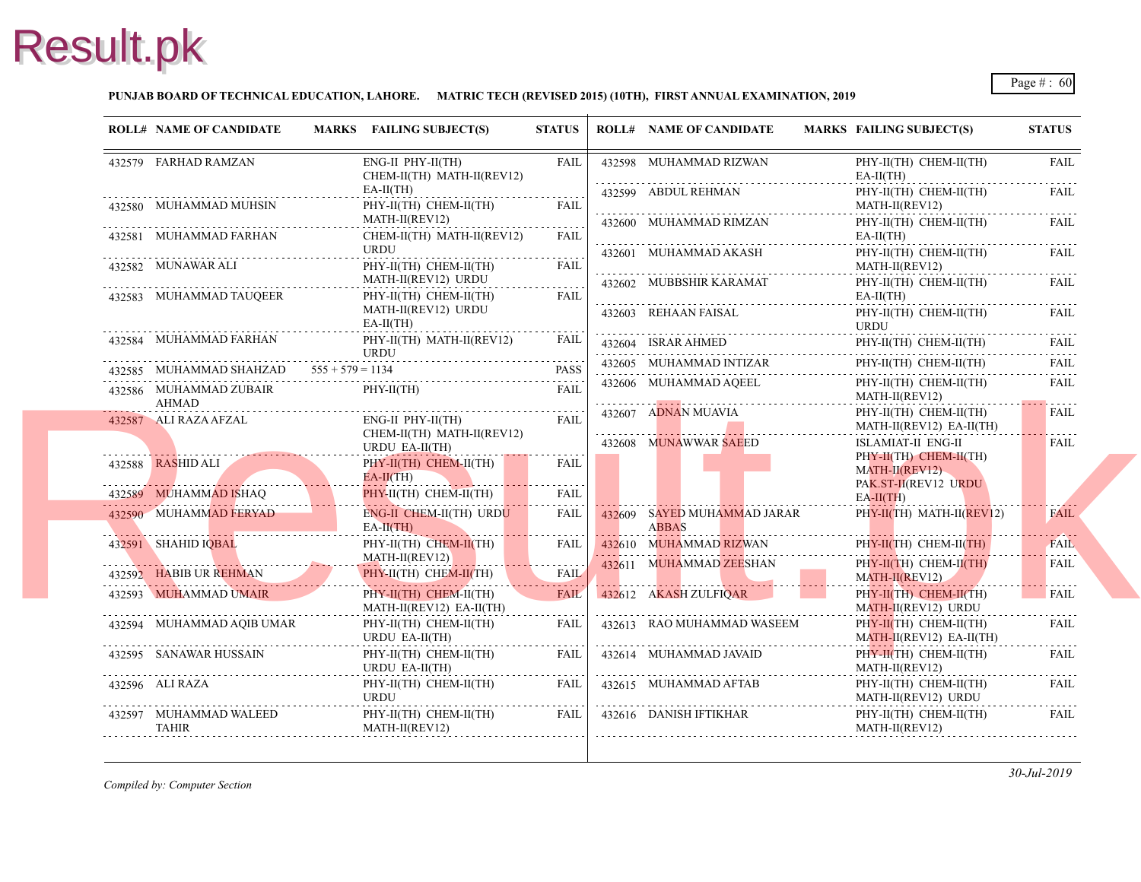### **PUNJAB BOARD OF TECHNICAL EDUCATION, LAHORE. MATRIC TECH (REVISED 2015) (10TH), FIRST ANNUAL EXAMINATION, 2019**

|                         | <b>ROLL# NAME OF CANDIDATE</b>                                                                                                                   | MARKS FAILING SUBJECT(S)                            | <b>STATUS</b>    | <b>ROLL# NAME OF CANDIDATE</b>                                                     | <b>MARKS FAIL</b>   |
|-------------------------|--------------------------------------------------------------------------------------------------------------------------------------------------|-----------------------------------------------------|------------------|------------------------------------------------------------------------------------|---------------------|
|                         | 432579 FARHAD RAMZAN                                                                                                                             | $ENG-II$ $PHY-II(TH)$<br>CHEM-II(TH) MATH-II(REV12) | FAIL             | 432598 MUHAMMAD RIZWAN                                                             | PHY-<br>EA-II       |
|                         |                                                                                                                                                  | $EA-II(TH)$                                         |                  | 432599 ABDUL REHMAN                                                                | PHY-                |
|                         | 432580 MUHAMMAD MUHSIN                                                                                                                           | PHY-II(TH) CHEM-II(TH)<br>MATH-II(REV12)            | <b>FAIL</b>      |                                                                                    | <b>MAT</b>          |
|                         | 432581 MUHAMMAD FARHAN                                                                                                                           | CHEM-II(TH) MATH-II(REV12)                          | <b>FAIL</b>      | 432600 MUHAMMAD RIMZAN                                                             | PHY-<br>EA-II       |
|                         |                                                                                                                                                  | URDU                                                |                  | 432601 MUHAMMAD AKASH                                                              | PHY-                |
|                         | 432582 MUNAWAR ALI                                                                                                                               | PHY-II(TH) CHEM-II(TH)                              | <b>FAIL</b>      |                                                                                    | <b>MAT</b>          |
|                         |                                                                                                                                                  | MATH-II(REV12) URDU                                 | .                | 432602 MUBBSHIR KARAMAT                                                            | PHY-                |
|                         | 432583 MUHAMMAD TAUQEER                                                                                                                          | PHY-II(TH) CHEM-II(TH)                              | <b>FAIL</b>      |                                                                                    | $EA-II$             |
|                         |                                                                                                                                                  | MATH-II(REV12) URDU                                 |                  | 432603 REHAAN FAISAL                                                               | PHY-                |
|                         |                                                                                                                                                  | $EA-II(TH)$                                         |                  |                                                                                    | <b>URD</b>          |
|                         | 432584 MUHAMMAD FARHAN                                                                                                                           | PHY-II(TH) MATH-II(REV12)<br><b>URDU</b>            | FAIL             | $\begin{tabular}{ccccc} 432604 & ISRAR AHMED & \text{PHY} \\ \hline \end{tabular}$ | PHY-                |
|                         | 432585 MUHAMMAD SHAHZAD $555 + 579 = 1134$                                                                                                       |                                                     | <b>PASS</b>      | 432605 MUHAMMAD INTIZAR                                                            | PHY-                |
|                         | 432586 MUHAMMAD ZUBAIR                                                                                                                           | PHY-II(TH)                                          | <b>FAIL</b>      | 432606 MUHAMMAD AQEEL                                                              | PHY-                |
|                         | AHMAD                                                                                                                                            |                                                     |                  |                                                                                    | <b>MATI</b>         |
| . <b>.</b> <del>.</del> | 432587 ALI RAZA AFZAL                                                                                                                            | $ENG-II$ $PHY-II(TH)$                               | <b>FAIL</b>      | 432607 ADNAN MUAVIA                                                                | PHY-                |
|                         |                                                                                                                                                  | CHEM-II(TH) MATH-II(REV12)                          |                  |                                                                                    | <b>MAT</b>          |
|                         |                                                                                                                                                  | URDU EA-II(TH)                                      |                  | 432608 MUNAWWAR SAEED                                                              | <b>ISLA</b><br>PHY- |
|                         | 432588 RASHID ALI                                                                                                                                | PHY-II(TH) CHEM-II(TH)                              | FAIL             |                                                                                    | <b>MAT</b>          |
|                         |                                                                                                                                                  | $EA-II(TH)$                                         |                  |                                                                                    | PAK.                |
|                         | 432589 MUHAMMAD ISHAQ                                                                                                                            | PHY-II(TH) CHEM-II(TH)                              | <b>FAIL</b>      |                                                                                    | $EA-II$             |
|                         | 432590 MUHAMMAD FERYAD                                                                                                                           | ENG-II CHEM-II(TH) URDU                             | FAIL             | 432609 SAYED MUHAMMAD JARAR                                                        | PHY-                |
|                         |                                                                                                                                                  | $EA-H(TH)$                                          |                  | <b>ABBAS</b>                                                                       |                     |
|                         | 432591 SHAHID IQBAL                                                                                                                              | PHY-II(TH) CHEM-II(TH)<br>MATH-II(REV12)            | FAIL             | 432610 MUHAMMAD RIZWAN                                                             | PHY-                |
|                         | <u> Andrea Andrews Andrews Andrews Andrews Andrews Andrews Andrews Andrews Andrews Andrews Andrews Andrews Andrews</u><br>432592 HABIB UR REHMAN | PHY-II(TH) CHEM-II(TH)                              | <u>.</u><br>FAIL | 432611 MUHAMMAD ZEESHAN                                                            | PHY-                |
|                         |                                                                                                                                                  |                                                     |                  |                                                                                    | <b>MAT</b>          |
|                         | 432593 MUHAMMAD UMAIR                                                                                                                            | PHY-II(TH) CHEM-II(TH)<br>MATH-II(REV12) EA-II(TH)  | <b>FAIL</b>      |                                                                                    | PHY-<br><b>MAT</b>  |
|                         | 432594 MUHAMMAD AQIB UMAR                                                                                                                        | PHY-II(TH) CHEM-II(TH)                              | FAIL             | 432613 RAO MUHAMMAD WASEEM                                                         | PHY-                |
|                         |                                                                                                                                                  | URDU EA-II(TH)                                      |                  |                                                                                    | <b>MAT</b>          |
|                         | 432595 SANAWAR HUSSAIN                                                                                                                           | PHY-II(TH) CHEM-II(TH)                              | <b>FAIL</b>      | 432614 MUHAMMAD JAVAID                                                             | PHY-                |
|                         |                                                                                                                                                  | URDU EA-II(TH)                                      | .                |                                                                                    | <b>MAT</b>          |
|                         | 432596 ALI RAZA                                                                                                                                  | PHY-II(TH) CHEM-II(TH)                              | FAIL             | 432615 MUHAMMAD AFTAB                                                              | PHY-                |
|                         |                                                                                                                                                  | URDU                                                |                  |                                                                                    | <b>MAT</b>          |
|                         | 432597 MUHAMMAD WALEED<br><b>TAHIR</b>                                                                                                           | $PHY-II(TH)$ CHEM-II(TH) FAIL<br>MATH-II(REV12)     |                  | 432616 DANISH IFTIKHAR                                                             | PHY-<br><b>MAT</b>  |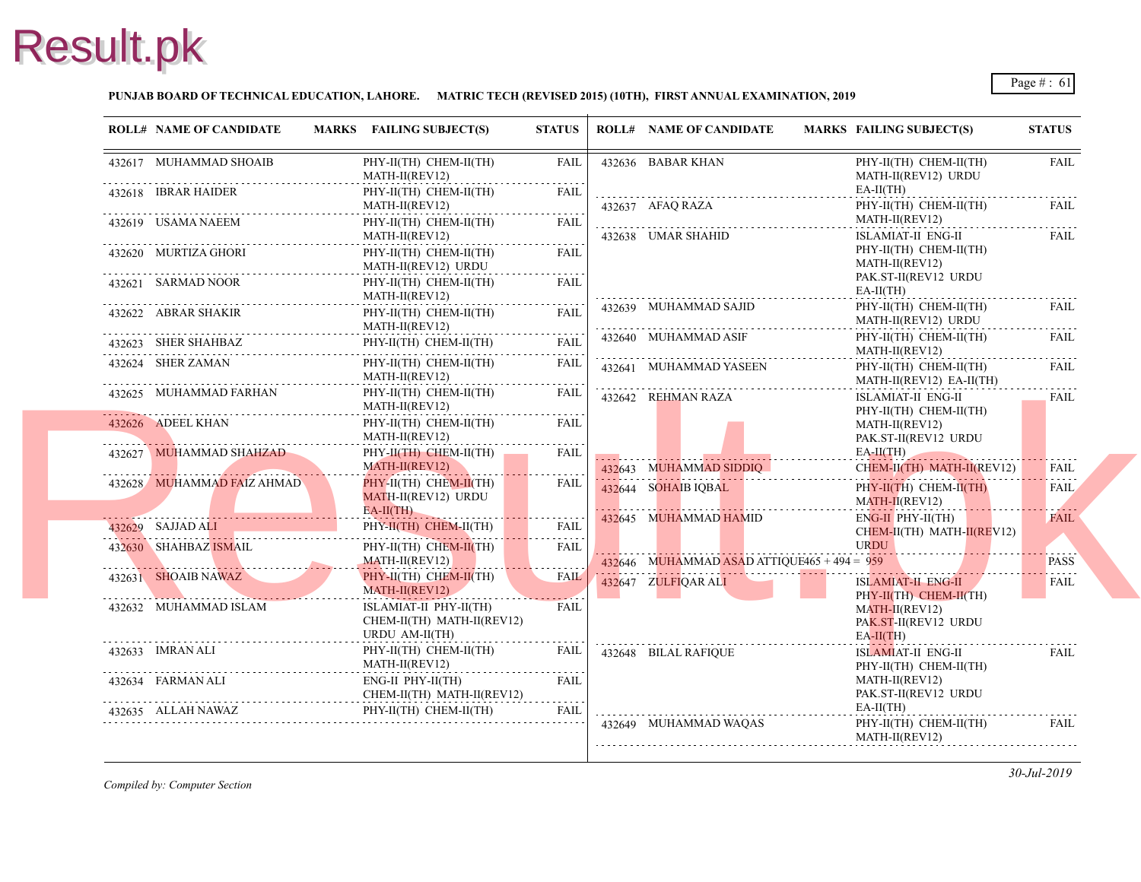### **PUNJAB BOARD OF TECHNICAL EDUCATION, LAHORE. MATRIC TECH (REVISED 2015) (10TH), FIRST ANNUAL EXAMINATION, 2019**

| <b>ROLL# NAME OF CANDIDATE</b>                                                                                                                | MARKS FAILING SUBJECT(S)                                               | <b>STATUS</b>                            | <b>ROLL# NAME OF CANDIDATE</b>                | <b>MARKS FAIL</b>             |
|-----------------------------------------------------------------------------------------------------------------------------------------------|------------------------------------------------------------------------|------------------------------------------|-----------------------------------------------|-------------------------------|
| 432617 MUHAMMAD SHOAIB                                                                                                                        | PHY-II(TH) CHEM-II(TH)<br>MATH-II(REV12)                               | FAIL                                     | 432636 BABAR KHAN                             | PHY-<br><b>MAT</b>            |
| 432618 IBRAR HAIDER                                                                                                                           | PHY-II(TH) CHEM-II(TH)<br>MATH-II(REV12)                               | FAIL                                     | 432637 AFAQ RAZA                              | EA-II<br>PHY-                 |
| 432619 USAMA NAEEM                                                                                                                            | PHY-II(TH) CHEM-II(TH)<br>MATH-II(REV12)                               | <b>FAIL</b>                              | 432638 UMAR SHAHID                            | <b>MAT</b><br><b>ISLA</b>     |
| 432620 MURTIZA GHORI                                                                                                                          | PHY-II(TH) CHEM-II(TH)<br>MATH-II(REV12) URDU                          | FAIL                                     |                                               | PHY-<br><b>MAT</b>            |
| 432621 SARMAD NOOR                                                                                                                            | PHY-II(TH) CHEM-II(TH)<br>MATH-II(REV12)                               | <b>FAIL</b>                              |                                               | PAK.<br>EA-II                 |
|                                                                                                                                               | .<br>PHY-II(TH) CHEM-II(TH)<br>MATH-II(REV12)                          | <b>FAIL</b>                              | 432639 MUHAMMAD SAJID                         | PHY-<br><b>MAT</b>            |
| 432623 SHER SHAHBAZ I                                                                                                                         | PHY-II(TH) CHEM-II(TH)                                                 | .<br><b>FAIL</b>                         | 432640 MUHAMMAD ASIF                          | PHY-<br><b>MAT</b>            |
| 432624 SHER ZAMAN                                                                                                                             | PHY-II(TH) CHEM-II(TH)<br>MATH-II(REV12)                               | FAIL                                     | 432641 MUHAMMAD YASEEN                        | PHY-<br><b>MAT</b>            |
| 432625 MUHAMMAD FARHAN                                                                                                                        | PHY-II(TH) CHEM-II(TH)<br>$MATH-II(REV12)$                             | <b>FAIL</b>                              | 432642 REHMAN RAZA                            | <b>ISLA</b><br>PHY-           |
| 432626 ADEEL KHAN                                                                                                                             | PHY-II(TH) CHEM-II(TH)<br>MATH-II(REV12)                               | FAIL<br>.                                |                                               | <b>MAT</b><br>PAK.            |
| 432627 MUHAMMAD SHAHZAD                                                                                                                       | PHY-II(TH) CHEM-II(TH)<br>MATH-II(REV12)                               | <b>FAIL</b>                              | 432643 MUHAMMAD SIDDIQ                        | $EA-II$<br><b>CHE</b>         |
| 432628 MUHAMMAD FAIZ AHMAD                                                                                                                    | PHY-II(TH) CHEM-II(TH)<br>MATH-II(REV12) URDU                          | FAIL                                     | 432644 SOHAIB IQBAL                           | PHY-<br><b>MAT</b>            |
| 432629 SAJJAD ALI                                                                                                                             | $EA-II(TH)$<br>PHY-II(TH) CHEM-II(TH)                                  | <b>FAIL</b>                              | 432645 MUHAMMAD HAMID                         | ENG-<br><b>CHE</b>            |
| 432630 SHAHBAZ ISMAIL<br><u> 1988 - Andrew Mars Barbara, Amerikaansk ferstjer oantal fan de Amerikaansk ferstjer oantal fan de Amerikaans</u> | PHY-II(TH) CHEM-II(TH)<br>$MATH-II(REV12)$                             | .<br><b>FAIL</b>                         | 432646 MUHAMMAD ASAD ATTIQUE465 + 494 = $959$ | <b>URD</b>                    |
| 432631 SHOAIB NAWAZ                                                                                                                           | PHY-II(TH) CHEM-II(TH)<br>$MATH-II(REV12)$                             | <u>a dalam dan dan da</u><br><b>FAIL</b> | 432647 ZULFIQAR ALI                           | <b>ISLA</b><br>PHY-           |
| 432632 MUHAMMAD ISLAM                                                                                                                         | ISLAMIAT-II PHY-II(TH)<br>CHEM-II(TH) MATH-II(REV12)<br>URDU AM-II(TH) | <b>FAIL</b>                              |                                               | <b>MAT</b><br>PAK.<br>$EA-II$ |
| 432633 IMRAN ALI                                                                                                                              | PHY-II(TH) CHEM-II(TH)<br>MATH-II(REV12)                               | FAIL<br>.                                | 432648 BILAL RAFIQUE                          | <b>ISLA</b><br>PHY-           |
| 432634 FARMAN ALI                                                                                                                             | ENG-II PHY-II(TH)<br>CHEM-II(TH) MATH-II(REV12)                        | <b>FAIL</b>                              |                                               | <b>MAT</b><br>PAK.            |
| 432635 ALLAH NAWAZ                                                                                                                            | PHY-II(TH) CHEM-II(TH)                                                 | FAIL                                     | 432649 MUHAMMAD WAQAS                         | EA-II<br>PHY-                 |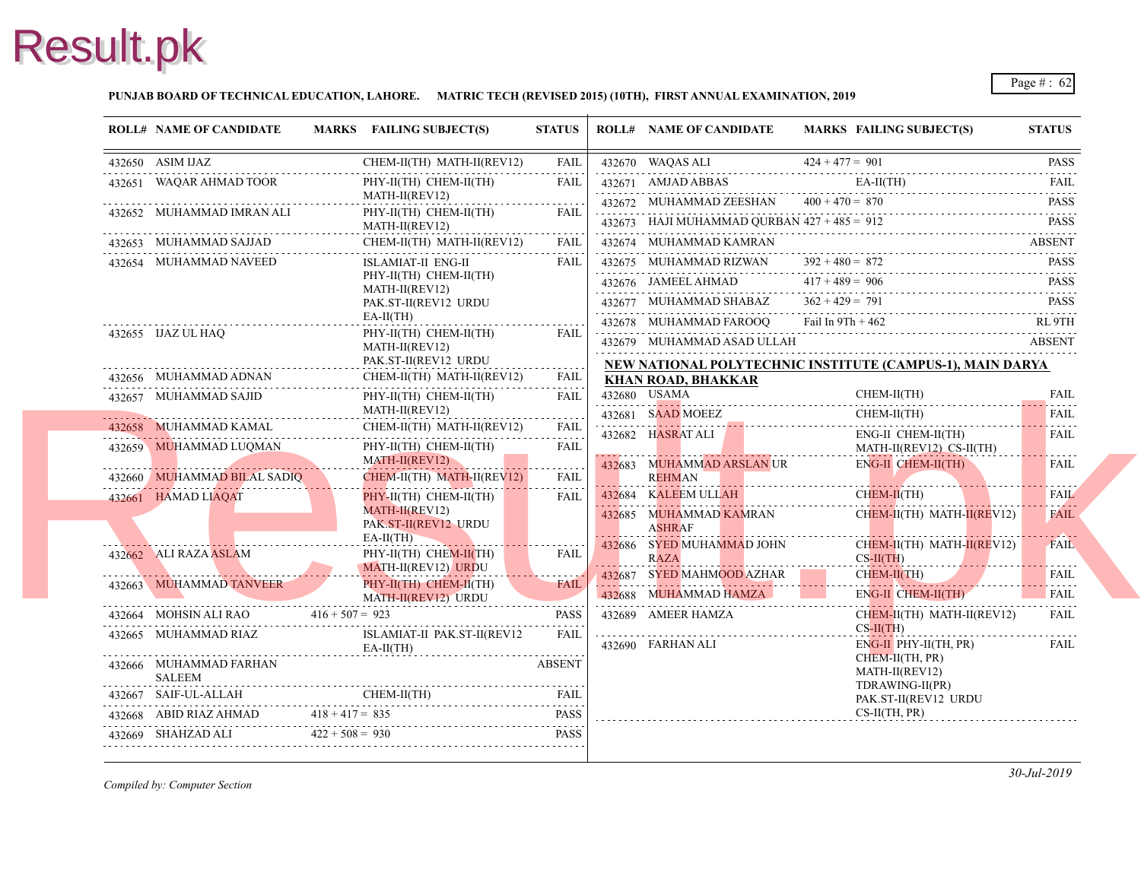### **PUNJAB BOARD OF TECHNICAL EDUCATION, LAHORE. MATRIC TECH (REVISED 2015) (10TH), FIRST ANNUAL EXAMINATION, 2019**

| <b>ROLL# NAME OF CANDIDATE</b>          |                   | MARKS FAILING SUBJECT(S)                        | <b>STATUS</b>                                                                                                                                                       | <b>ROLL# NAME OF CANDIDATE</b>                                           | <b>MARKS FAIL</b>          |
|-----------------------------------------|-------------------|-------------------------------------------------|---------------------------------------------------------------------------------------------------------------------------------------------------------------------|--------------------------------------------------------------------------|----------------------------|
| $432650$ ASIM IJAZ                      |                   | CHEM-II(TH) MATH-II(REV12)                      | <b>FAIL</b><br>.                                                                                                                                                    | 432670 WAQAS ALI                                                         | $424 + 477 = 901$          |
| 432651 WAQAR AHMAD TOOR                 |                   | PHY-II(TH) CHEM-II(TH)<br>MATH-II(REV12)        | FAIL                                                                                                                                                                | 432671 AMJAD ABBAS                                                       | EA-II<br>$400 + 470 = 870$ |
| 432652 MUHAMMAD IMRAN ALI               |                   | PHY-II(TH) CHEM-II(TH)<br>MATH-II(REV12)        | $\frac{1}{2} \left( \frac{1}{2} \right) \left( \frac{1}{2} \right) \left( \frac{1}{2} \right) \left( \frac{1}{2} \right)$<br><b>FAIL</b>                            | 432672 MUHAMMAD ZEESHAN<br>432673 HAJI MUHAMMAD QURBAN $427 + 485 = 912$ |                            |
| 432653 MUHAMMAD SAJJAD                  |                   | CHEM-II(TH) MATH-II(REV12)                      | <b>FAIL</b>                                                                                                                                                         | 432674 MUHAMMAD KAMRAN                                                   |                            |
| 432654 MUHAMMAD NAVEED                  |                   | <b>ISLAMIAT-II ENG-II</b>                       | <b>FAIL</b>                                                                                                                                                         | 432675 MUHAMMAD RIZWAN                                                   | $392 + 480 = 872$          |
|                                         |                   | PHY-II(TH) CHEM-II(TH)<br>MATH-II(REV12)        |                                                                                                                                                                     | 432676 JAMEEL AHMAD                                                      | $417 + 489 = 906$          |
|                                         |                   | PAK.ST-II(REV12 URDU                            |                                                                                                                                                                     | 432677 MUHAMMAD SHABAZ                                                   | $362 + 429 = 791$          |
|                                         |                   | $EA-II(TH)$                                     |                                                                                                                                                                     | 432678 MUHAMMAD FAROOQ                                                   | Fail In $9Th + 46$         |
| 432655 IJAZ UL HAQ                      |                   | PHY-II(TH) CHEM-II(TH)<br>MATH-II(REV12)        | <b>FAIL</b>                                                                                                                                                         | 432679 MUHAMMAD ASAD ULLAH                                               |                            |
|                                         |                   | PAK.ST-II(REV12 URDU                            | .                                                                                                                                                                   | NEW NATIONAL POLYTECHNIC INSTITUTE                                       |                            |
| 432656 MUHAMMAD ADNAN                   |                   | CHEM-II(TH) MATH-II(REV12)                      | <b>FAIL</b>                                                                                                                                                         | <b>KHAN ROAD, BHAKKAR</b>                                                |                            |
| 432657 MUHAMMAD SAJID                   |                   | PHY-II(TH) CHEM-II(TH)<br>MATH-II(REV12)        | FAIL                                                                                                                                                                | 432680 USAMA                                                             | <b>CHE</b>                 |
| 432658 MUHAMMAD KAMAL                   |                   | CHEM-II(TH) MATH-II(REV12)                      | .<br><b>FAIL</b>                                                                                                                                                    | 432681 SAAD MOEEZ                                                        | <b>CHE</b>                 |
| 432659 MUHAMMAD LUQMAN                  |                   | PHY-II(TH) CHEM-II(TH)                          | .<br><b>FAIL</b>                                                                                                                                                    | 432682 HASRAT ALI                                                        | ENG-<br><b>MAT</b>         |
|                                         |                   | MATH-II(REV12)                                  | .                                                                                                                                                                   | 432683 MUHAMMAD ARSLAN UR                                                | ENG-                       |
| 432660 MUHAMMAD BILAL SADIQ             |                   | CHEM-II(TH) MATH-II(REV12)                      | <b>FAIL</b>                                                                                                                                                         | <b>REHMAN</b>                                                            |                            |
| 432661 HAMAD LIAQAT                     |                   | PHY-II(TH) CHEM-II(TH)                          | FAIL                                                                                                                                                                | 432684 KALEEM ULLAH                                                      | <b>CHEI</b>                |
|                                         |                   | MATH-II(REV12)<br>PAK ST-II(REV12 URDU          |                                                                                                                                                                     | 432685 MUHAMMAD KAMRAN<br><b>ASHRAF</b>                                  | <b>CHE</b>                 |
| 432662 ALI RAZA ASLAM                   |                   | $EA-II(TH)$<br>PHY-II(TH) CHEM-II(TH)           | <b>FAIL</b>                                                                                                                                                         | 432686 SYED MUHAMMAD JOHN<br><b>RAZA</b>                                 | <b>CHEI</b><br>$CS-H$      |
| 432663 MUHAMMAD TANVEER                 |                   | MATH-II(REV12) URDU                             | FAIL                                                                                                                                                                | 432687 SYED MAHMOOD AZHAR                                                | <b>CHE</b>                 |
|                                         |                   | $PHY-II(TH)$ CHEM-II(TH)<br>MATH-II(REV12) URDU |                                                                                                                                                                     | 432688 MUHAMMAD HAMZA                                                    | ENG-                       |
| 432664 MOHSIN ALI RAO $416 + 507 = 923$ |                   |                                                 | <b>PASS</b><br>$\frac{1}{2} \left( \frac{1}{2} \right) \left( \frac{1}{2} \right) \left( \frac{1}{2} \right) \left( \frac{1}{2} \right) \left( \frac{1}{2} \right)$ | 432689 AMEER HAMZA                                                       | <b>CHE</b>                 |
| 432665 MUHAMMAD RIAZ                    |                   | ISLAMIAT-II PAK.ST-II(REV12<br>$EA-II(TH)$      | <b>FAIL</b>                                                                                                                                                         | 432690 FARHAN ALI                                                        | $CS-H$<br>ENG-             |
| 432666 MUHAMMAD FARHAN<br><b>SALEEM</b> |                   |                                                 | <b>ABSENT</b>                                                                                                                                                       |                                                                          | <b>CHE</b><br><b>MAT</b>   |
| 432667 SAIF-UL-ALLAH                    |                   | CHEM-II(TH)<br>$\frac{1}{1000}$                 | FAIL                                                                                                                                                                |                                                                          | <b>TDR</b><br>PAK.         |
| 432668 ABID RIAZ AHMAD                  | $418 + 417 = 835$ |                                                 | <b>PASS</b>                                                                                                                                                         |                                                                          | $CS-II$                    |
|                                         |                   | 432669 SHAHZAD ALI $422 + 508 = 930$ PASS       | <b>PASS</b>                                                                                                                                                         |                                                                          |                            |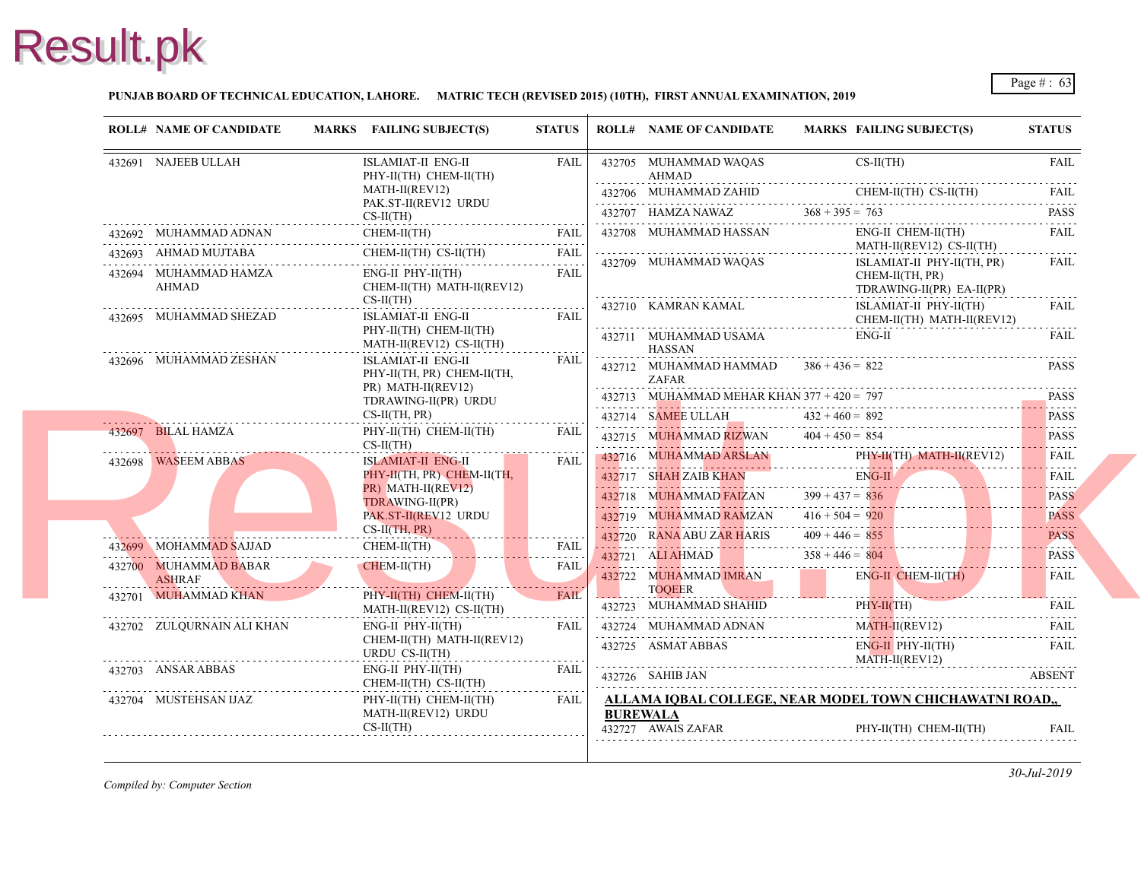### **PUNJAB BOARD OF TECHNICAL EDUCATION, LAHORE. MATRIC TECH (REVISED 2015) (10TH), FIRST ANNUAL EXAMINATION, 2019**

| <b>ROLL# NAME OF CANDIDATE</b>         | MARKS FAILING SUBJECT(S)                                                        | <b>STATUS</b> |                 | <b>ROLL# NAME OF CANDIDATE</b>                                                | <b>MARKS FAIL</b>                                           |
|----------------------------------------|---------------------------------------------------------------------------------|---------------|-----------------|-------------------------------------------------------------------------------|-------------------------------------------------------------|
| 432691 NAJEEB ULLAH                    | <b>ISLAMIAT-II ENG-II</b><br>PHY-II(TH) CHEM-II(TH)                             | <b>FAIL</b>   |                 | 432705 MUHAMMAD WAQAS<br>AHMAD                                                | $CS-II$                                                     |
|                                        | MATH-II(REV12)                                                                  |               |                 | 432706 MUHAMMAD ZAHID                                                         | <b>CHE</b>                                                  |
|                                        | PAK.ST-II(REV12 URDU<br>$CS-II(TH)$                                             |               |                 | 432707 HAMZA NAWAZ                                                            | $368 + 395 = 763$                                           |
| 432692 MUHAMMAD ADNAN                  | CHEM-II(TH)                                                                     | <b>FAIL</b>   |                 | 432708 MUHAMMAD HASSAN                                                        | ENG-                                                        |
| 432693 AHMAD MUJTABA                   | CHEM-II(TH) CS-II(TH)<br>111)<br>                                               | <b>FAIL</b>   |                 |                                                                               | <b>MAT</b>                                                  |
| 432694 MUHAMMAD HAMZA<br>AHMAD         | $ENG-II$ $PHY-II(TH)$<br>CHEM-II(TH) MATH-II(REV12)<br>$CS-II(TH)$              | <b>FAIL</b>   |                 | 432709 MUHAMMAD WAQAS                                                         | <b>ISLA</b><br><b>CHE</b><br><b>TDR</b>                     |
| 432695 MUHAMMAD SHEZAD                 | <b>ISLAMIAT-II ENG-II</b><br>PHY-II(TH) CHEM-II(TH)<br>MATH-II(REV12) CS-II(TH) | <b>FAIL</b>   |                 | 432710 KAMRAN KAMAL<br>432711 MUHAMMAD USAMA                                  | <b>ISLA</b><br><b>CHE</b><br>ENG-                           |
| 432696 MUHAMMAD ZESHAN                 | ISLAMIAT-II ENG-II<br>PHY-II(TH, PR) CHEM-II(TH,                                | FAIL          |                 | <b>HASSAN</b><br>432712 MUHAMMAD HAMMAD<br><b>ZAFAR</b>                       | $386 + 436 = 822$                                           |
|                                        | PR) MATH-II(REV12)<br>TDRAWING-II(PR) URDU<br>CS-II(TH, PR)                     |               |                 | 432713 MUHAMMAD MEHAR KHAN $377 + 420 = 797$<br>432714 SAMEE ULLAH            | $432 + 460 = 892$                                           |
| 432697 BILAL HAMZA                     | PHY-II(TH) CHEM-II(TH)<br>$CS-II(TH)$                                           | <b>FAIL</b>   |                 | 432715 MUHAMMAD RIZWAN                                                        | $404 + 450 = 854$                                           |
| 432698 WASEEM ABBAS                    | <b>ISLAMIAT-II ENG-II</b><br>PHY-II(TH, PR) CHEM-II(TH,<br>PR) MATH-II(REV12)   | <b>FAIL</b>   |                 | 432716 MUHAMMAD ARSLAN<br>432717 SHAH ZAIB KHAN                               | PHY-<br>ENG-                                                |
|                                        | TDRAWING-II(PR)<br>PAK.ST-II(REV12 URDU<br>$CS-II(TH, PR)$                      |               |                 | 432718 MUHAMMAD FAIZAN<br>432719 MUHAMMAD RAMZAN<br>432720 RANA ABU ZAR HARIS | $399 + 437 = 836$<br>$416 + 504 = 920$<br>$409 + 446 = 855$ |
| 432699 MOHAMMAD SAJJAD                 | $CHEM-II(TH)$                                                                   | <b>FAIL</b>   |                 | 432721 ALI AHMAD                                                              | $358 + 446 = 804$                                           |
| 432700 MUHAMMAD BABAR<br><b>ASHRAF</b> | CHEM-II(TH)                                                                     | <b>FAIL</b>   |                 | 432722 MUHAMMAD IMRAN<br><b>TOQEER</b>                                        | ENG-                                                        |
| 432701 MUHAMMAD KHAN                   | $PHY-II(TH)$ CHEM-II(TH)<br>MATH-II(REV12) CS-II(TH)                            | <b>FAIL</b>   |                 | 432723 MUHAMMAD SHAHID                                                        | PHY-                                                        |
| 432702 ZULQURNAIN ALI KHAN             | $ENG-II$ $PHY-II(TH)$<br>CHEM-II(TH) MATH-II(REV12)<br>URDU CS-II(TH)           | <b>FAIL</b>   |                 | 432724 MUHAMMAD ADNAN<br>432725 ASMAT ABBAS                                   | <b>MAT</b><br>ENG-<br><b>MAT</b>                            |
| 432703 ANSAR ABBAS                     | ENG-II PHY-II(TH)<br>CHEM-II(TH) CS-II(TH)                                      | <b>FAIL</b>   |                 | 432726 SAHIB JAN                                                              |                                                             |
| 432704 MUSTEHSAN IJAZ                  | PHY-II(TH) CHEM-II(TH)<br>MATH-II(REV12) URDU<br>$CS-II(TH)$                    | <b>FAIL</b>   | <b>BUREWALA</b> | ALLAMA IOBAL COLLEGE, NEAR MODEL T<br>432727 AWAIS ZAFAR                      | PHY-                                                        |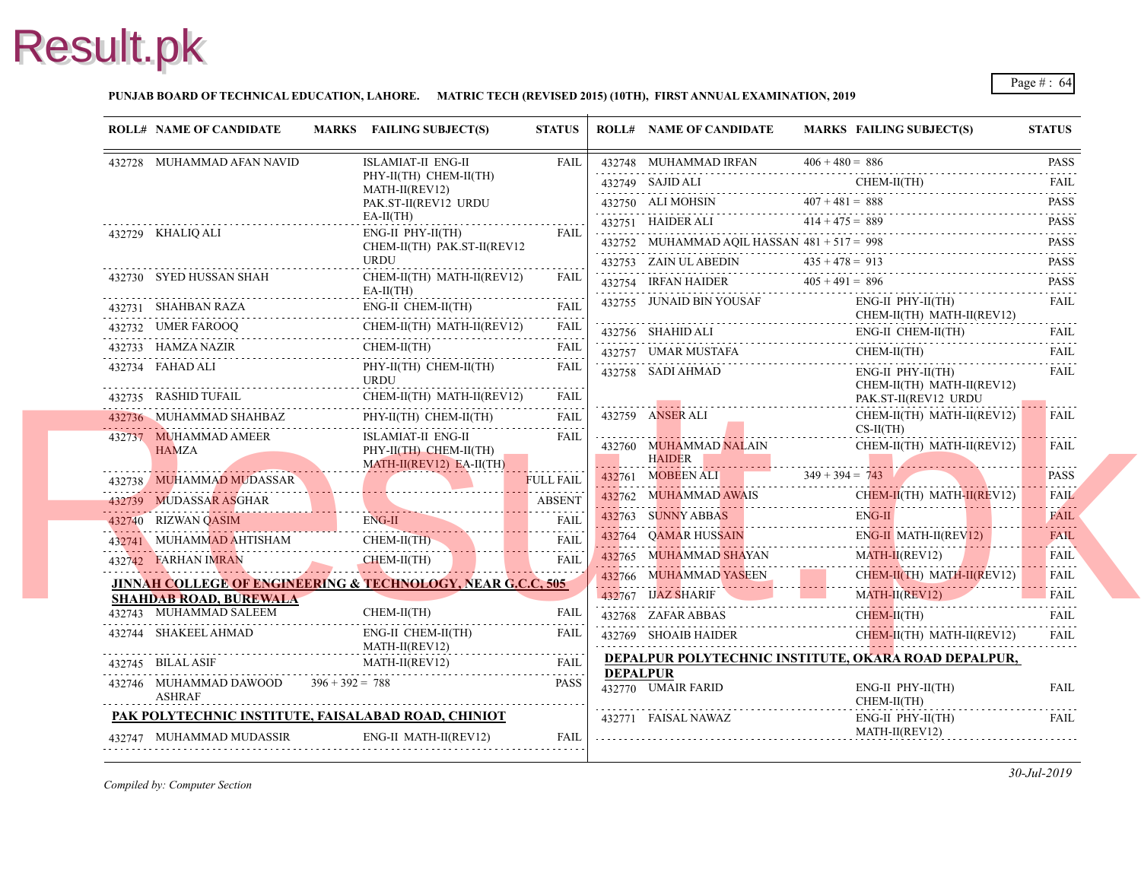### **PUNJAB BOARD OF TECHNICAL EDUCATION, LAHORE. MATRIC TECH (REVISED 2015) (10TH), FIRST ANNUAL EXAMINATION, 2019**

| <b>ROLL# NAME OF CANDIDATE</b>                        |                                            | MARKS FAILING SUBJECT(S)                                                                                                                                                                       | <b>STATUS</b>    |                 | <b>ROLL# NAME OF CANDIDATE</b>                                                                                                          | <b>MARKS FAIL</b>    |
|-------------------------------------------------------|--------------------------------------------|------------------------------------------------------------------------------------------------------------------------------------------------------------------------------------------------|------------------|-----------------|-----------------------------------------------------------------------------------------------------------------------------------------|----------------------|
| 432728 MUHAMMAD AFAN NAVID                            |                                            | ISLAMIAT-II ENG-II                                                                                                                                                                             | FAIL             |                 | $432748$ MUHAMMAD IRFAN $406 + 480 = 886$                                                                                               | $406 + 480 = 886$    |
|                                                       |                                            | PHY-II(TH) CHEM-II(TH)<br>MATH-II(REV12)                                                                                                                                                       |                  |                 | 432749 SAJID ALI                                                                                                                        | <b>CHEI</b>          |
|                                                       |                                            | PAK.ST-II(REV12 URDU                                                                                                                                                                           |                  |                 | 432750 ALI MOHSIN $407 + 481 = 888$                                                                                                     |                      |
|                                                       |                                            | $EA-II(TH)$                                                                                                                                                                                    |                  |                 | 432751 HAIDER ALI $414 + 475 = 88$                                                                                                      | $414 + 475 = 889$    |
| 432729 KHALIQ ALI                                     |                                            | $ENG-II$ $PHY-II(TH)$<br>CHEM-II(TH) PAK.ST-II(REV12                                                                                                                                           | <b>FAIL</b>      |                 | 432752 MUHAMMAD AQIL HASSAN $481 + 517 = 998$                                                                                           |                      |
|                                                       |                                            | <b>URDU</b>                                                                                                                                                                                    |                  |                 | 432753 ZAIN ULABEDIN $435 + 478 = 913$                                                                                                  |                      |
| 432730 SYED HUSSAN SHAH                               |                                            | CHEM-II(TH) MATH-II(REV12)<br>$EA-II(TH)$                                                                                                                                                      | <b>FAIL</b>      |                 | 432754 IRFAN HAIDER $405 + 491 = 896$                                                                                                   |                      |
| 432731 SHAHBAN RAZA E                                 |                                            | ENG-II CHEM-II(TH)                                                                                                                                                                             | <b>FAIL</b>      |                 | 432755 JUNAID BIN YOUSAF                                                                                                                | ENG-<br><b>CHE</b>   |
|                                                       |                                            | 432732 UMER FAROOQ CHEM-II(TH) MATH-II(REV12) FAIL                                                                                                                                             |                  |                 | 432756 SHAHID ALI ENG-                                                                                                                  | ENG-                 |
|                                                       |                                            | $\begin{tabular}{cc} 432733 & HAMZA NAZIR & CHEM-II(TH) & FAIL \\ \hline \end{tabular}$                                                                                                        |                  |                 | 432757 UMAR MUSTAFA CHE                                                                                                                 | <b>CHE</b>           |
| 432734 FAHAD ALI                                      |                                            | PHY-II(TH) CHEM-II(TH)<br><b>URDU</b>                                                                                                                                                          | <b>FAIL</b>      |                 | 432758 SADI AHMAD                                                                                                                       | ENG-                 |
|                                                       |                                            |                                                                                                                                                                                                |                  |                 |                                                                                                                                         | <b>CHE</b><br>PAK.   |
|                                                       |                                            | 432736 MUHAMMAD SHAHBAZ PHY-II(TH) CHEM-II(TH) FAIL                                                                                                                                            | FAIL             |                 | 432759 ANSER ALI                                                                                                                        | <b>CHE</b>           |
| 432737 MUHAMMAD AMEER<br>HAMZA PHY-II(TH) CHEM-II(TH) |                                            | ISLAMIAT-II ENG-II                                                                                                                                                                             | FAIL             |                 | 432760 MUHAMMAD NALAIN<br>HAIDER 2001 - 2002 - 2003 - 2014 - 2015 - 2016 - 2017 - 2018 - 2019 - 2019 - 2019 - 2019 - 2019 - 2019 - 2019 | $CS-H$<br><b>CHE</b> |
|                                                       |                                            |                                                                                                                                                                                                | <b>FULL FAIL</b> | . 1             | 432761 MOBEEN ALI 349 + 394 = $743$                                                                                                     |                      |
| 432738 MUHAMMAD MUDASSAR                              |                                            |                                                                                                                                                                                                |                  |                 | 432762 MUHAMMAD AWAIS CHE                                                                                                               | <b>CHE</b>           |
|                                                       |                                            | 432739 MUDASSAR ASGHAR ABSENT                                                                                                                                                                  |                  |                 | 432763 SUNNY ABBAS EN                                                                                                                   | ENG-                 |
|                                                       |                                            | 432740 RIZWAN QASIM ENG-II FAIL FAIL 192741 MUHAMMAD AHTISHAM CHEM-II(TH) FAIL                                                                                                                 |                  |                 | 432764 QAMAR HUSSAIN                                                                                                                    | ENG-                 |
| 432742 FARHAN IMRAN                                   |                                            |                                                                                                                                                                                                | FAII.            |                 | 432765 MUHAMMAD SHAYAN                                                                                                                  | <b>MAT</b>           |
|                                                       |                                            | 432742 FARHAN IMRAN CHEM-II(TH)                                                                                                                                                                |                  |                 | 432766 MUHAMMAD YASEEN<br>432766 MUHAMMAD YASEEN CHI                                                                                    | <b>CHE</b>           |
| <b>SHAHDAB ROAD, BUREWALA</b>                         |                                            | <b>JINNAH COLLEGE OF ENGINEERING &amp; TECHNOLOGY, NEAR G.C.C, 505</b>                                                                                                                         |                  |                 | 432767 IJAZ SHARIF                                                                                                                      | <b>MAT</b>           |
| 432743 MUHAMMAD SALEEM                                | EEM<br>- - - - - - - - - - - - - - - - - - | CHEM-II(TH)                                                                                                                                                                                    | <b>FAIL</b>      |                 | 432768 ZAFAR ABBAS CHE                                                                                                                  | <b>CHE</b>           |
|                                                       |                                            | ENG-II CHEM-II(TH)                                                                                                                                                                             | FAIL             |                 | 432769 SHOAIB HAIDER                                                                                                                    | <b>CHEI</b>          |
|                                                       |                                            |                                                                                                                                                                                                |                  |                 | <b>DEPALPUR POLYTECHNIC INSTITUTE, OKA</b>                                                                                              |                      |
| <b>ASHRAF</b>                                         |                                            | $\begin{tabular}{ll} \bf 432745 & BILAL ASIF & MATH-II(REV12) & FAIL \\ \bf 432746 & MUHAMMAD DAWOOD & 396 + 392 = 788 & \textbf{PASS} \end{tabular}$                                          |                  | <b>DEPALPUR</b> | 432770 UMAIR FARID                                                                                                                      | ENG-<br><b>CHE</b>   |
| PAK POLYTECHNIC INSTITUTE, FAISALABAD ROAD, CHINIOT   |                                            |                                                                                                                                                                                                |                  |                 | 432771 FAISAL NAWAZ                                                                                                                     | ENG-                 |
|                                                       |                                            |                                                                                                                                                                                                | FAIL             |                 |                                                                                                                                         | <b>MAT</b>           |
|                                                       |                                            | $\begin{tabular}{ll} $432747 $ & {\small \textsf{MUHAMMAD MUDASSIR}} & & {\small \textsf{ENG-II MATH-II(REV12)}} & {\small \textsf{FAIL}}\\ \rule{0pt}{2.2pt} \textsf{FAIL} & & \end{tabular}$ |                  |                 |                                                                                                                                         |                      |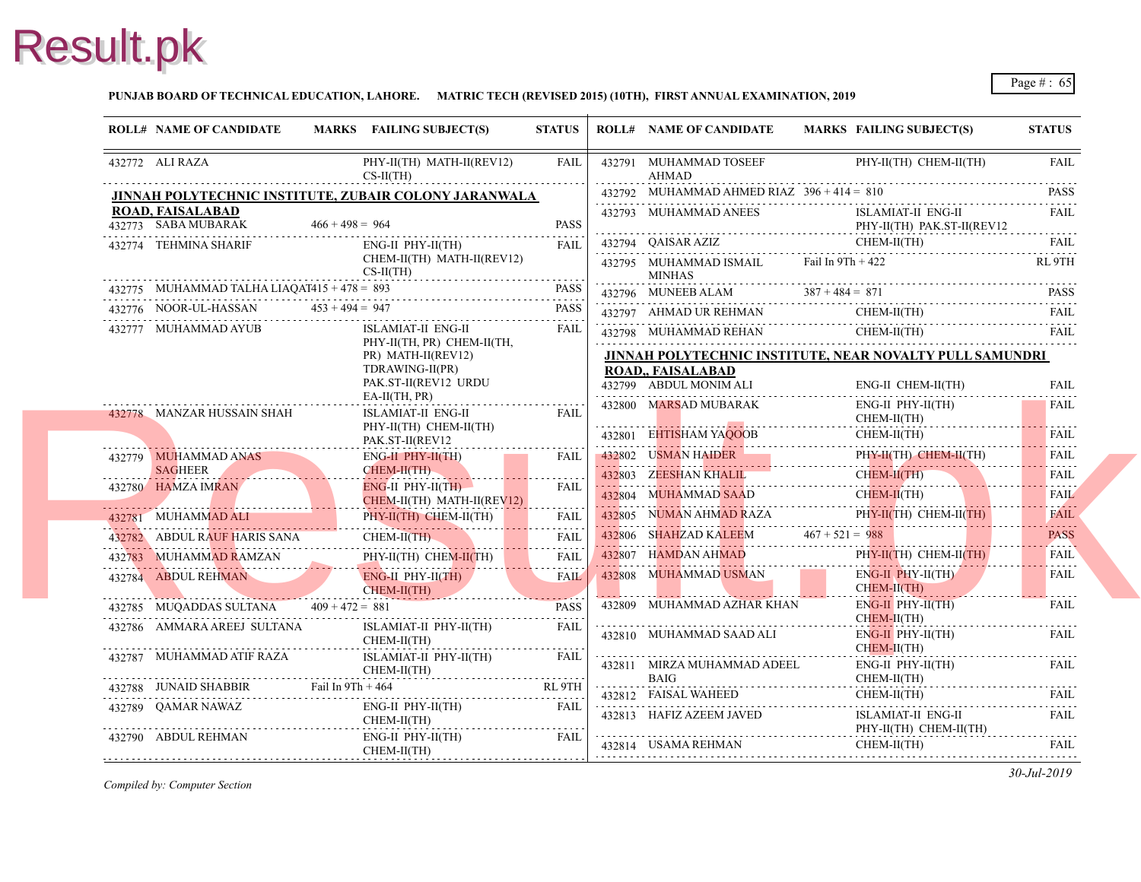### **PUNJAB BOARD OF TECHNICAL EDUCATION, LAHORE. MATRIC TECH (REVISED 2015) (10TH), FIRST ANNUAL EXAMINATION, 2019**

| <b>ROLL# NAME OF CANDIDATE</b>                              |                   | MARKS FAILING SUBJECT(S)                                   | <b>STATUS</b>    | <b>ROLL# NAME OF CANDIDATE</b>                                 | <b>MARKS FAIL</b> |                          |
|-------------------------------------------------------------|-------------------|------------------------------------------------------------|------------------|----------------------------------------------------------------|-------------------|--------------------------|
| 432772 ALI RAZA                                             |                   | PHY-II(TH) MATH-II(REV12)<br>$CS-II(TH)$                   | FAIL             | 432791 MUHAMMAD TOSEEF<br>AHMAD                                |                   | PHY-                     |
|                                                             |                   | JINNAH POLYTECHNIC INSTITUTE, ZUBAIR COLONY JARANWALA      |                  | 432792 MUHAMMAD AHMED RIAZ $396 + 414 = 810$                   |                   |                          |
| ROAD, FAISALABAD<br>432773 SABA MUBARAK                     | $466 + 498 = 964$ |                                                            | <b>PASS</b>      | 432793 MUHAMMAD ANEES                                          |                   | <b>ISLA</b><br>PHY-      |
| 432774 TEHMINA SHARIF                                       |                   | ENG-II PHY-II(TH)                                          | FAIL             | 432794 QAISAR AZIZ                                             |                   | <b>CHE</b>               |
|                                                             |                   | CHEM-II(TH) MATH-II(REV12)<br>$CS-H(TH)$                   |                  | 432795 MUHAMMAD ISMAIL<br><b>MINHAS</b><br>w                   | Fail In 9Th + 421 |                          |
| 432775 MUHAMMAD TALHA LIAQAT415 + 478 = 893                 |                   |                                                            | <b>PASS</b>      | 432796 MUNEEB ALAM $387 + 484 = 871$                           |                   |                          |
| 432776 NOOR-UL-HASSAN                                       | $453 + 494 = 947$ |                                                            | <b>PASS</b>      | 432797 AHMAD UR REHMAN                                         |                   | <b>CHE</b>               |
| 432777 MUHAMMAD AYUB                                        |                   | <b>ISLAMIAT-II ENG-II</b><br>PHY-II(TH, PR) CHEM-II(TH,    | FAIL             | 432798 MUHAMMAD REHAN<br>432798 MUHAMMAD REHAN C               |                   | <b>CHE</b>               |
|                                                             |                   | PR) MATH-II(REV12)                                         |                  | <b>JINNAH POLYTECHNIC INSTITUTE, NEAR N</b>                    |                   |                          |
|                                                             |                   | TDRAWING-II(PR)<br>PAK.ST-II(REV12 URDU<br>$EA-II(TH, PR)$ |                  | <b>ROAD., FAISALABAD</b><br>432799 ABDUL MONIM ALI             |                   | ENG-                     |
| 432778 MANZAR HUSSAIN SHAH                                  |                   | ISLAMIAT-II ENG-II<br>PHY-II(TH) CHEM-II(TH)               | FAIL             | 432800 MARSAD MUBARAK                                          |                   | ENG-<br><b>CHE</b>       |
|                                                             |                   | PAK.ST-II(REV12                                            |                  | 432801 EHTISHAM YAQOOB                                         |                   | <b>CHE</b>               |
| 432779 MUHAMMAD ANAS                                        |                   | $ENG-H$ $PHY-H(TH)$                                        | <b>FAIL</b>      | 432802 USMAN HAIDER                                            |                   | PHY-                     |
| <b>SAGHEER</b><br>. <i>.</i> <b>.</b><br>432780 HAMZA IMRAN |                   | CHEM-II(TH)<br>$ENG-II$ PHY-II(TH)                         | .<br><b>FAIL</b> | 432803 ZEESHAN KHALIL                                          |                   | <b>CHE</b>               |
|                                                             |                   | CHEM-II(TH) MATH-II(REV12)                                 |                  | 432804 MUHAMMAD SAAD                                           |                   | <b>CHEI</b>              |
| 432781 MUHAMMAD ALI                                         |                   | PHY-II(TH) CHEM-II(TH)                                     | <b>FAIL</b><br>. | 432805 NUMAN AHMAD RAZA                                        |                   | PHY-                     |
| 432782 ABDUL RAUF HARIS SANA                                |                   | CHEM-II(TH)                                                | FAIL             | 432806 SHAHZAD KALEEM 467 + 521 = 988<br>432806 SHAHZAD KALEEM |                   |                          |
|                                                             |                   | 432783 MUHAMMAD RAMZAN PHY-II(TH) CHEM-II(TH) FAIL         |                  | 432807 HAMDAN AHMAD                                            |                   | PHY-                     |
| 432784 ABDUL REHMAN                                         |                   | ENG-II PHY-II(TH)<br>CHEM-II(TH)                           | <b>FAIL</b>      | 432808 MUHAMMAD USMAN                                          |                   | ENG-<br><b>CHE</b>       |
| 432785 MUQADDAS SULTANA $409 + 472 = 881$                   |                   |                                                            | <b>PASS</b>      | 432809 MUHAMMAD AZHAR KHAN                                     |                   | ENG-<br><b>CHE</b>       |
| 432786 AMMARA AREEJ SULTANA                                 |                   | ISLAMIAT-II PHY-II(TH)<br>$CHEM-II(TH)$<br>.               | FAIL             | 432810 MUHAMMAD SAAD ALI                                       |                   | ENG-<br><b>CHE</b>       |
| 432787 MUHAMMAD ATIF RAZA                                   |                   | ISLAMIAT-II PHY-II(TH)<br>$CHEM-II(TH)$                    | FAIL             | 432811 MIRZA MUHAMMAD ADEEL                                    |                   | ENG-                     |
|                                                             |                   | 432788 JUNAID SHABBIR Fail In 9Th + 464                    | RL 9TH           | BAIG<br>432812 FAISAL WAHEED                                   |                   | <b>CHE</b><br><b>CHE</b> |
| 432789 OAMAR NAWAZ                                          |                   | $ENG-II$ $PHY-II(TH)$<br>CHEM-II(TH)                       | <b>FAIL</b>      | 432813 HAFIZ AZEEM JAVED                                       |                   | <b>ISLA</b>              |
| 432790 ABDUL REHMAN                                         |                   | $ENG-II$ $PHY-II(TH)$<br>CHEM-II(TH)                       | FAIL             | 432814 USAMA REHMAN                                            |                   | PHY-<br><b>CHE</b>       |
|                                                             |                   |                                                            |                  |                                                                |                   |                          |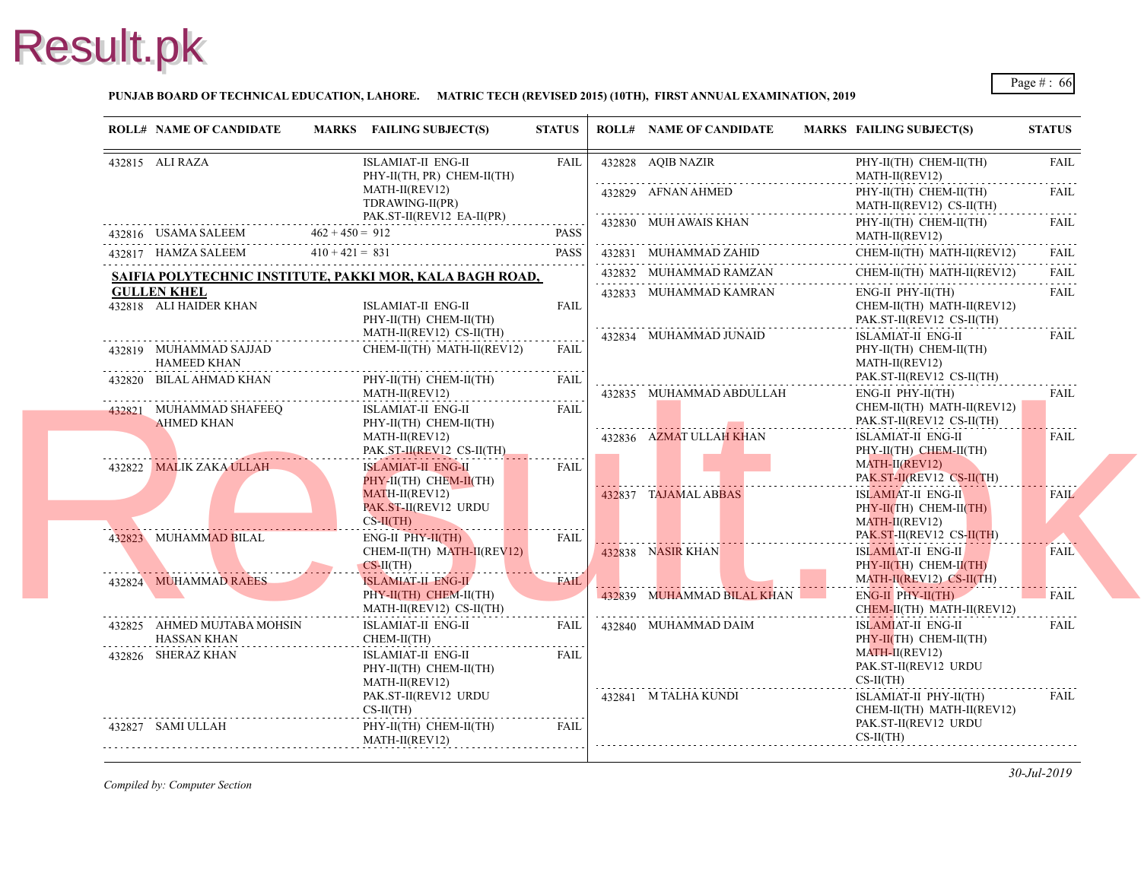

### **PUNJAB BOARD OF TECHNICAL EDUCATION, LAHORE. MATRIC TECH (REVISED 2015) (10TH), FIRST ANNUAL EXAMINATION, 2019**

| <b>ROLL# NAME OF CANDIDATE</b>               |                   | MARKS FAILING SUBJECT(S)                                 | <b>STATUS</b>    | <b>ROLL# NAME OF CANDIDATE</b> | <b>MARKS FAIL</b>   |
|----------------------------------------------|-------------------|----------------------------------------------------------|------------------|--------------------------------|---------------------|
| 432815 ALI RAZA                              |                   | <b>ISLAMIAT-II ENG-II</b><br>PHY-II(TH, PR) CHEM-II(TH)  | <b>FAIL</b>      | 432828 AQIB NAZIR              | PHY-<br><b>MAT</b>  |
|                                              |                   | MATH-II(REV12)<br>TDRAWING-II(PR)                        |                  | 432829 AFNAN AHMED             | PHY-<br><b>MAT</b>  |
| 432816 USAMA SALEEM                          | $462 + 450 = 912$ | PAK.ST-II(REV12 EA-II(PR)                                | <b>PASS</b>      | 432830 MUH AWAIS KHAN          | PHY-<br><b>MAT</b>  |
| 432817 HAMZA SALEEM                          | $410 + 421 = 831$ | $62 + 450 = 912$ PASS                                    | <b>PASS</b>      | 432831 MUHAMMAD ZAHID          | <b>CHE</b>          |
|                                              |                   | SAIFIA POLYTECHNIC INSTITUTE, PAKKI MOR, KALA BAGH ROAD, |                  | 432832 MUHAMMAD RAMZAN         | <b>CHE</b>          |
| <b>GULLEN KHEL</b>                           |                   |                                                          |                  | 432833 MUHAMMAD KAMRAN         | ENG-                |
| 432818 ALI HAIDER KHAN                       |                   | ISLAMIAT-II ENG-II<br>PHY-II(TH) CHEM-II(TH)             | <b>FAIL</b>      |                                | <b>CHE</b><br>PAK.  |
|                                              |                   | MATH-II(REV12) CS-II(TH)                                 |                  | 432834 MUHAMMAD JUNAID         | <b>ISLA</b>         |
| 432819 MUHAMMAD SAJJAD<br><b>HAMEED KHAN</b> |                   | CHEM-II(TH) MATH-II(REV12)                               | <b>FAIL</b>      |                                | PHY-<br><b>MAT</b>  |
| 432820 BILAL AHMAD KHAN                      |                   | PHY-II(TH) CHEM-II(TH)<br>MATH-II(REV12)                 | <b>FAIL</b>      | 432835 MUHAMMAD ABDULLAH       | PAK.<br>ENG-        |
| 432821 MUHAMMAD SHAFEEQ                      |                   | ISLAMIAT-II ENG-II                                       | .<br><b>FAIL</b> |                                | <b>CHE</b>          |
| <b>AHMED KHAN</b>                            |                   | PHY-II(TH) CHEM-II(TH)                                   |                  |                                | PAK.                |
|                                              |                   | MATH-II(REV12)<br>PAK.ST-II(REV12 CS-II(TH)              |                  | 432836 AZMAT ULLAH KHAN        | <b>ISLA</b><br>PHY- |
| 432822 MALIK ZAKA ULLAH                      |                   | <b>ISLAMIAT-II ENG-II</b>                                | .<br>FAIL        |                                | <b>MAT</b>          |
|                                              |                   | PHY-II(TH) CHEM-II(TH)<br>$MATH-II(REV12)$               |                  |                                | PAK.                |
|                                              |                   | PAK.ST-II(REV12 URDU                                     |                  | 432837 TAJAMAL ABBAS           | <b>ISLA</b><br>PHY- |
|                                              |                   | $CS-II(TH)$                                              |                  |                                | <b>MAT</b>          |
| 432823 MUHAMMAD BILAL                        |                   | $ENG-II$ $PHY-II(TH)$<br>CHEM-II(TH) MATH-II(REV12)      | FAIL             | 432838 NASIR KHAN              | PAK.<br><b>ISLA</b> |
|                                              |                   | $CS-II(TH)$                                              | . <b>.</b>       |                                | PHY-                |
| 432824 MUHAMMAD RAEES                        |                   | <b>ISLAMIAT-II ENG-II</b>                                | <b>FAIL</b>      |                                | <b>MAT</b>          |
|                                              |                   | PHY-II(TH) CHEM-II(TH)<br>MATH-II(REV12) CS-II(TH)       |                  | 432839 MUHAMMAD BILAL KHAN     | ENG-<br><b>CHE</b>  |
| 432825 AHMED MUJTABA MOHSIN                  |                   | ISLAMIAT-II ENG-II                                       | FAIL             | 432840 MUHAMMAD DAIM           | <b>ISLA</b>         |
| <b>HASSAN KHAN</b>                           | .                 | CHEM-II(TH)                                              |                  |                                | PHY-                |
| 432826 SHERAZ KHAN                           |                   | <b>ISLAMIAT-II ENG-II</b>                                | FAIL             |                                | <b>MAT</b><br>PAK.  |
|                                              |                   | PHY-II(TH) CHEM-II(TH)<br>MATH-II(REV12)                 |                  |                                | $CS-H$              |
|                                              |                   | PAK.ST-II(REV12 URDU                                     |                  | 432841 M TALHA KUNDI           | <b>ISLA</b>         |
| 432827 SAMI ULLAH                            |                   | $CS-II(TH)$<br>PHY-II(TH) CHEM-II(TH)                    | <b>FAIL</b>      |                                | <b>CHE</b><br>PAK.  |
|                                              |                   | MATH-II(REV12)                                           |                  |                                | $CS-II$             |
|                                              |                   |                                                          |                  |                                |                     |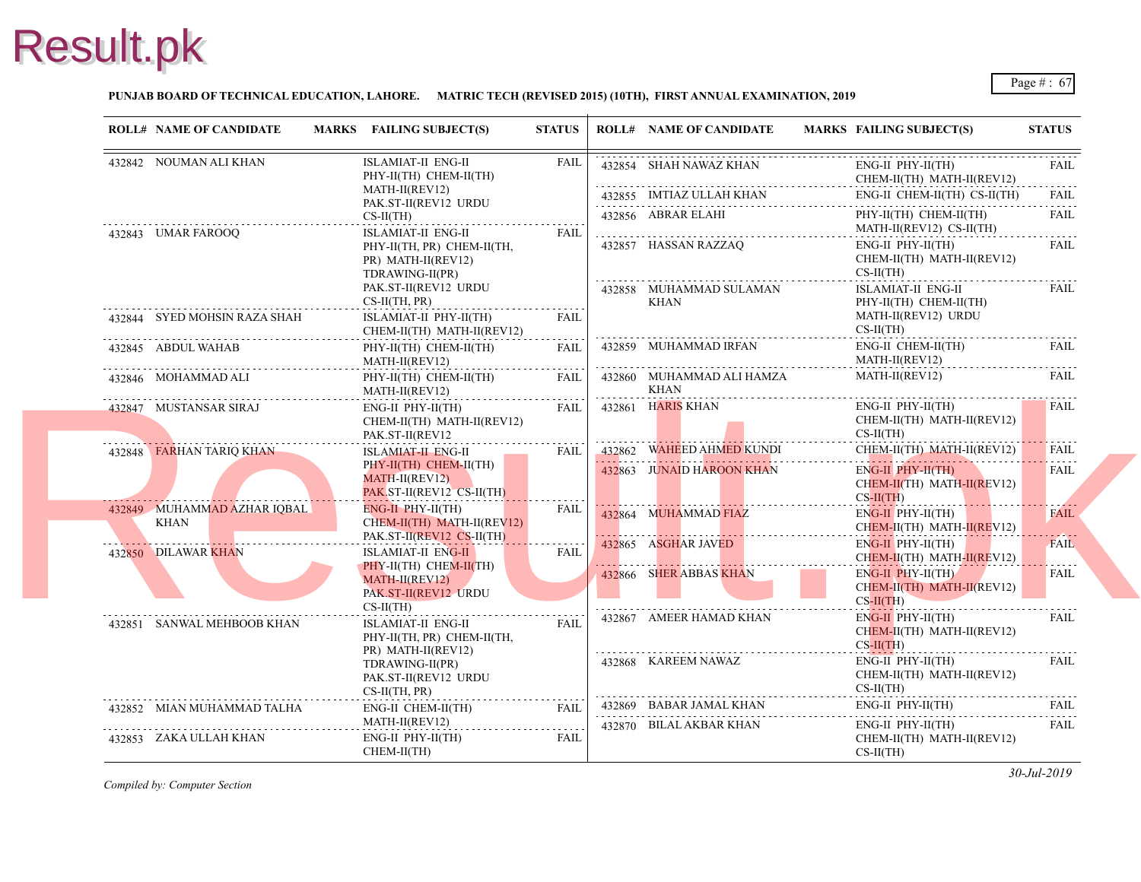### **PUNJAB BOARD OF TECHNICAL EDUCATION, LAHORE. MATRIC TECH (REVISED 2015) (10TH), FIRST ANNUAL EXAMINATION, 2019**

|  | <b>ROLL# NAME OF CANDIDATE</b> |                                              | MARKS FAILING SUBJECT(S)                            | <b>STATUS</b>           | <b>ROLL# NAME OF CANDIDATE</b>           | <b>MARKS FAIL</b>     |
|--|--------------------------------|----------------------------------------------|-----------------------------------------------------|-------------------------|------------------------------------------|-----------------------|
|  | 432842 NOUMAN ALI KHAN         |                                              | ISLAMIAT-II ENG-II<br>PHY-II(TH) CHEM-II(TH)        | <b>FAIL</b>             | 432854 SHAH NAWAZ KHAN                   | ENG-<br><b>CHE</b>    |
|  |                                |                                              | MATH-II(REV12)<br>PAK.ST-II(REV12 URDU              |                         | 432855 IMTIAZ ULLAH KHAN                 | ENG-                  |
|  |                                |                                              | $CS-II(TH)$                                         |                         | <del></del><br>432856 ABRAR ELAHI        | PHY-                  |
|  | 432843 UMAR FAROOQ             |                                              | <b>ISLAMIAT-II ENG-II</b>                           | <b>FAIL</b>             |                                          | <b>MAT</b>            |
|  |                                |                                              | PHY-II(TH, PR) CHEM-II(TH,                          |                         | 432857 HASSAN RAZZAO                     | ENG-                  |
|  |                                |                                              | PR) MATH-II(REV12)                                  |                         |                                          | <b>CHE</b><br>$CS-II$ |
|  |                                | TDRAWING-II(PR)<br>PAK.ST-II(REV12 URDU      |                                                     | 432858 MUHAMMAD SULAMAN | <b>ISLA</b>                              |                       |
|  |                                |                                              | $CS-II(TH, PR)$                                     |                         | <b>KHAN</b>                              | PHY-                  |
|  | 432844 SYED MOHSIN RAZA SHAH   |                                              | ISLAMIAT-II PHY-II(TH)                              | <b>FAIL</b>             |                                          | <b>MAT</b>            |
|  |                                |                                              | CHEM-II(TH) MATH-II(REV12)                          |                         |                                          | $CS-II$               |
|  | 432845 ABDUL WAHAB             |                                              | PHY-II(TH) CHEM-II(TH)<br>MATH-II(REV12)            | FAIL                    | 432859 MUHAMMAD IRFAN                    | ENG-<br><b>MAT</b>    |
|  | 432846 MOHAMMAD ALI            |                                              | PHY-II(TH) CHEM-II(TH)<br>MATH-II(REV12)            | FAIL                    | 432860 MUHAMMAD ALI HAMZA<br><b>KHAN</b> | <b>MATI</b>           |
|  | 432847 MUSTANSAR SIRAJ         |                                              | ENG-II PHY-II(TH)                                   | FAIL                    | 432861 HARIS KHAN                        | ENG-                  |
|  |                                |                                              | CHEM-II(TH) MATH-II(REV12)                          |                         |                                          | <b>CHE</b><br>$CS-II$ |
|  |                                |                                              | PAK.ST-II(REV12                                     |                         | 432862 WAHEED AHMED KUNDI                | <b>CHE</b>            |
|  | 432848 FARHAN TARIQ KHAN       | ISLAMIAT-II ENG-II<br>PHY-II(TH) CHEM-II(TH) | FAIL                                                |                         |                                          |                       |
|  |                                |                                              | MATH-II(REV12)                                      |                         | 432863 JUNAID HAROON KHAN                | ENG-<br><b>CHE</b>    |
|  |                                |                                              | PAK ST-II(REV12 CS-II(TH)                           |                         |                                          | $CS-H$                |
|  | 432849 MUHAMMAD AZHAR IQBAL    |                                              | ENG-II PHY-II(TH)                                   | <b>FAIL</b>             | 432864 MUHAMMAD FIAZ                     | ENG-                  |
|  | KHAN                           |                                              | CHEM-II(TH) MATH-II(REV12)                          |                         |                                          | <b>CHE</b>            |
|  |                                |                                              | PAK.ST-II(REV12 CS-II(TH)                           | <b>FAIL</b>             | 432865 ASGHAR JAVED                      | ENG-                  |
|  | 432850 DILAWAR KHAN            |                                              | <b>ISLAMIAT-II ENG-II</b><br>PHY-II(TH) CHEM-II(TH) |                         |                                          | <b>CHE</b>            |
|  |                                |                                              | MATH-II(REV12)                                      |                         | 432866 SHER ABBAS KHAN                   | ENG-                  |
|  |                                |                                              | PAK.ST-II(REV12 URDU                                |                         |                                          | <b>CHE</b><br>$CS-H$  |
|  |                                |                                              | $CS-II(TH)$                                         |                         |                                          | ENG-                  |
|  | 432851 SANWAL MEHBOOB KHAN     |                                              | ISLAMIAT-II ENG-II                                  | FAIL                    | 432867 AMEER HAMAD KHAN                  | <b>CHE</b>            |
|  |                                |                                              | PHY-II(TH, PR) CHEM-II(TH,<br>PR) MATH-II(REV12)    |                         |                                          | $CS-H$                |
|  |                                |                                              | TDRAWING-II(PR)                                     |                         | 432868 KAREEM NAWAZ                      | ENG-                  |
|  |                                |                                              | PAK.ST-II(REV12 URDU                                |                         |                                          | <b>CHE</b>            |
|  |                                |                                              | $CS-II(TH, PR)$                                     | .                       |                                          | $CS-II$               |
|  | 432852 MIAN MUHAMMAD TALHA     |                                              | ENG-II CHEM-II(TH)                                  | FAIL                    | 432869 BABAR JAMAL KHAN                  | ENG-                  |
|  |                                |                                              | MATH-II(REV12)                                      | .                       | 432870 BILAL AKBAR KHAN                  | ENG-                  |
|  | 432853 ZAKA ULLAH KHAN         |                                              | $ENG-II$ $PHY-II(TH)$                               | FAIL                    |                                          | <b>CHE</b>            |
|  |                                |                                              | CHEM-II(TH)                                         |                         |                                          | $CS-H$                |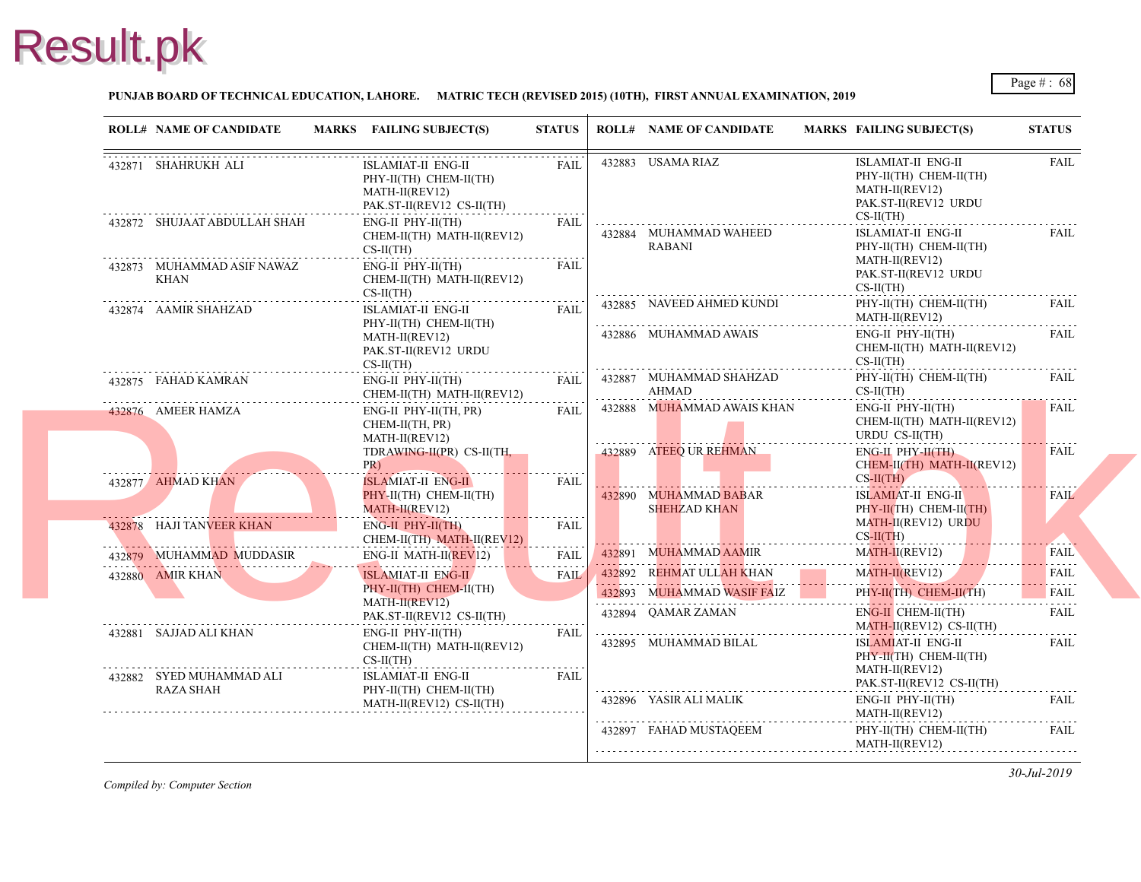### **PUNJAB BOARD OF TECHNICAL EDUCATION, LAHORE. MATRIC TECH (REVISED 2015) (10TH), FIRST ANNUAL EXAMINATION, 2019**

|                        | <b>ROLL# NAME OF CANDIDATE</b> | MARKS FAILING SUBJECT(S)                                                                    | <b>STATUS</b>    |                                                                                                                                                               | <b>ROLL# NAME OF CANDIDATE</b>                       | <b>MARKS FAIL</b>                         |
|------------------------|--------------------------------|---------------------------------------------------------------------------------------------|------------------|---------------------------------------------------------------------------------------------------------------------------------------------------------------|------------------------------------------------------|-------------------------------------------|
| 432871 SHAHRUKH ALI    |                                | ISLAMIAT-II ENG-II<br>PHY-II(TH) CHEM-II(TH)<br>MATH-II(REV12)<br>PAK.ST-II(REV12 CS-II(TH) | FAII.            |                                                                                                                                                               | 432883 USAMA RIAZ                                    | <b>ISLA</b><br>PHY-<br><b>MAT</b><br>PAK. |
|                        | 432872 SHUJAAT ABDULLAH SHAH   | $ENG-II$ $PHY-II(TH)$<br>CHEM-II(TH) MATH-II(REV12)<br>$CS-II(TH)$                          | FAIL             |                                                                                                                                                               | 432884 MUHAMMAD WAHEED<br><b>RABANI</b>              | $CS-II$<br><b>ISLA</b><br>PHY-            |
| KHAN                   | 432873 MUHAMMAD ASIF NAWAZ     | ENG-II PHY-II(TH)<br>CHEM-II(TH) MATH-II(REV12)<br>$CS-II(TH)$                              | <b>FAIL</b>      |                                                                                                                                                               |                                                      | <b>MAT</b><br>PAK.<br>$CS-II$             |
| 432874 AAMIR SHAHZAD   |                                | ISLAMIAT-II ENG-II<br>PHY-II(TH) CHEM-II(TH)                                                | FAIL             |                                                                                                                                                               | 432885 NAVEED AHMED KUNDI                            | PHY-<br><b>MAT</b>                        |
|                        |                                | MATH-II(REV12)<br>PAK.ST-II(REV12 URDU<br>$CS-II(TH)$                                       |                  |                                                                                                                                                               | 432886 MUHAMMAD AWAIS                                | ENG-<br><b>CHE</b><br>$CS-II$             |
| 432875 FAHAD KAMRAN    |                                | $ENG-II$ $PHY-II(TH)$<br>CHEM-II(TH) MATH-II(REV12)                                         | FAIL             | $\mathcal{L}^{\mathcal{A}}(\mathcal{A})=\mathcal{L}^{\mathcal{A}}(\mathcal{A})=\mathcal{L}^{\mathcal{A}}(\mathcal{A})=\mathcal{L}^{\mathcal{A}}(\mathcal{A})$ | 432887 MUHAMMAD SHAHZAD<br>AHMAD                     | PHY-<br>$CS-II$                           |
| 432876 AMEER HAMZA     |                                | ENG-II PHY-II(TH, PR)<br>CHEM-II(TH, PR)<br>MATH-II(REV12)<br>TDRAWING-II(PR) CS-II(TH,     | .<br>FAIL        |                                                                                                                                                               | 432888 MUHAMMAD AWAIS KHAN<br>432889 ATEEQ UR REHMAN | ENG-<br><b>CHE</b><br><b>URD</b><br>ENG-  |
|                        |                                | $PR$ )<br><u> 1977 - John Hammer Harrison, francuski filozof (</u>                          |                  |                                                                                                                                                               |                                                      | <b>CHE</b><br>$CS-II$                     |
| 432877 AHMAD KHAN      |                                | ISLAMIAT-II ENG-II<br>$PHY-H(TH)$ CHEM-II(TH)<br>MATH-II(REV12)                             | FAIL<br><u>.</u> |                                                                                                                                                               | 432890 MUHAMMAD BABAR<br><b>SHEHZAD KHAN</b>         | <b>ISLA</b><br>PHY-                       |
|                        | 432878 HAJI TANVEER KHAN       | ENG-II PHY-II(TH)<br>CHEM-II(TH) MATH-II(REV12)                                             | <b>FAIL</b>      |                                                                                                                                                               |                                                      | <b>MAT</b><br>$CS-H$                      |
|                        | 432879 MUHAMMAD MUDDASIR       | $ENG-II$ MATH-II(REV12)                                                                     | .<br><b>FAIL</b> |                                                                                                                                                               | 432891 MUHAMMAD AAMIR                                | <b>MAT</b>                                |
| 432880 AMIR KHAN       |                                | <b>ISLAMIAT-II ENG-II</b>                                                                   | <b>FAIL</b>      |                                                                                                                                                               | 432892 REHMAT ULLAH KHAN                             | <b>MAT</b>                                |
|                        |                                | PHY-II(TH) CHEM-II(TH)<br>MATH-II(REV12)                                                    |                  |                                                                                                                                                               | 432893 MUHAMMAD WASIF FAIZ                           | PHY-                                      |
|                        |                                | PAK.ST-II(REV12 CS-II(TH)                                                                   |                  |                                                                                                                                                               | 432894 QAMAR ZAMAN                                   | ENG-<br><b>MAT</b>                        |
| 432881 SAJJAD ALI KHAN |                                | $ENG-II$ $PHY-II(TH)$<br>CHEM-II(TH) MATH-II(REV12)<br>$CS-II(TH)$                          | FAIL             |                                                                                                                                                               | 432895 MUHAMMAD BILAL                                | <b>ISLA</b><br>PHY-                       |
| <b>RAZA SHAH</b>       | 432882 SYED MUHAMMAD ALI       | <b>ISLAMIAT-II ENG-II</b><br>PHY-II(TH) CHEM-II(TH)                                         | <b>FAIL</b>      |                                                                                                                                                               |                                                      | <b>MAT</b><br>PAK.                        |
|                        |                                | MATH-II(REV12) CS-II(TH)                                                                    |                  |                                                                                                                                                               | 432896 YASIR ALI MALIK                               | ENG-<br><b>MAT</b>                        |
|                        |                                |                                                                                             |                  |                                                                                                                                                               | 432897 FAHAD MUSTAQEEM                               | PHY-<br><b>MAT</b>                        |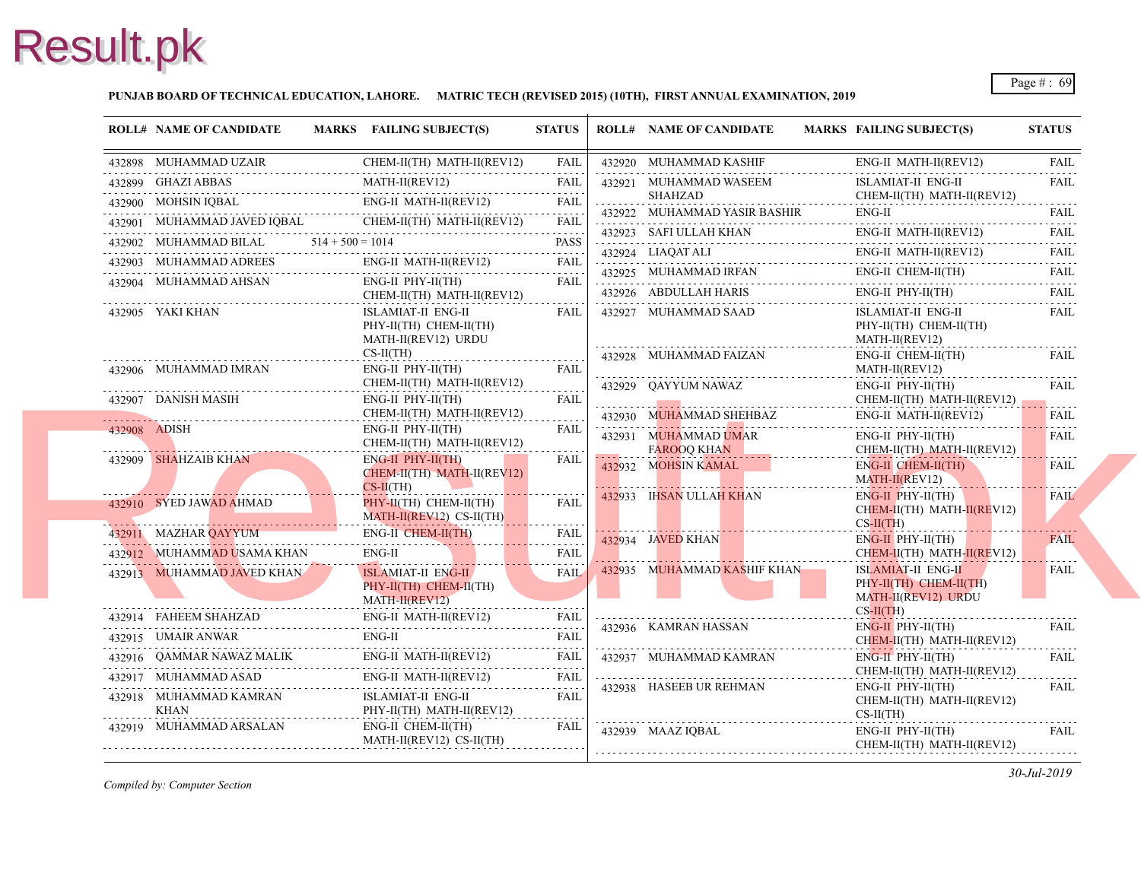### **PUNJAB BOARD OF TECHNICAL EDUCATION, LAHORE. MATRIC TECH (REVISED 2015) (10TH), FIRST ANNUAL EXAMINATION, 2019**

| <b>ROLL# NAME OF CANDIDATE</b>                                                                                                                                                                                                                                     | MARKS FAILING SUBJECT(S)                                                                                                                                                                                                                                                                                                                                                                                                                                                      | <b>STATUS</b>    |          | <b>ROLL# NAME OF CANDIDATE</b>                                          | <b>MARKS FAIL</b>                 |
|--------------------------------------------------------------------------------------------------------------------------------------------------------------------------------------------------------------------------------------------------------------------|-------------------------------------------------------------------------------------------------------------------------------------------------------------------------------------------------------------------------------------------------------------------------------------------------------------------------------------------------------------------------------------------------------------------------------------------------------------------------------|------------------|----------|-------------------------------------------------------------------------|-----------------------------------|
|                                                                                                                                                                                                                                                                    | $\begin{tabular}{lllllllllll} \hline 432898 & MUHAMMAD UZAIR & CHEM-II(TH) MATH-II(REV12) & FAIL \\ \hline 432899 & GHAZI ABBAS & MATH-II(REV12) & FAIL \\ \hline & 432900 & MOHSIN IQBAL & ENG-II MATH-II(REV12) & FAIL \\ \hline & 432901 & MUHAMMAD JAVED IQBAL & CHEM-II(TH) MATH-II(REV12) & FAIL \\ \hline & 432901 & MUHAMMAD JAVED IQBAL & CHEM-II(TH) MATH-II(REV12) & FAIL \\ \hline & 432901 & MUHAMMAD JAVED IQBAL &$                                             |                  |          | 432920 MUHAMMAD KASHIF                                                  | ENG-                              |
|                                                                                                                                                                                                                                                                    |                                                                                                                                                                                                                                                                                                                                                                                                                                                                               |                  |          | 432921 MUHAMMAD WASEEM                                                  | <b>ISLA</b>                       |
|                                                                                                                                                                                                                                                                    |                                                                                                                                                                                                                                                                                                                                                                                                                                                                               |                  | <u>.</u> | <b>SHAHZAD</b>                                                          | <b>CHE</b>                        |
|                                                                                                                                                                                                                                                                    |                                                                                                                                                                                                                                                                                                                                                                                                                                                                               |                  |          | 432922 MUHAMMAD YASIR BASHIR                                            | ENG-                              |
|                                                                                                                                                                                                                                                                    | 432902 MUHAMMAD BILAL $514 + 500 = 1014$ PASS                                                                                                                                                                                                                                                                                                                                                                                                                                 |                  |          | 432923 SAFI ULLAH KHAN ENG                                              | ENG-                              |
| 432903 MUHAMMAD ADREES ENG-II                                                                                                                                                                                                                                      | ENG-II MATH-II(REV12)                                                                                                                                                                                                                                                                                                                                                                                                                                                         | <b>FAIL</b>      |          | 432924 LIAQAT ALI<br>432924 LIAQAT ALI ENC                              | ENG-                              |
| 432904 MUHAMMAD AHSAN                                                                                                                                                                                                                                              | ENG-II PHY-II(TH)                                                                                                                                                                                                                                                                                                                                                                                                                                                             | FAIL             |          | 432925 MUHAMMAD IRFAN ENG                                               | ENG-                              |
|                                                                                                                                                                                                                                                                    | CHEM-II(TH) MATH-II(REV12)                                                                                                                                                                                                                                                                                                                                                                                                                                                    |                  |          | 432926 ABDULLAH HARIS<br>432926 ABDULLAH HARIS                          | ENG-                              |
| 432905 YAKI KHAN                                                                                                                                                                                                                                                   | ISLAMIAT-II ENG-II<br>PHY-II(TH) CHEM-II(TH)<br>MATH-II(REV12) URDU                                                                                                                                                                                                                                                                                                                                                                                                           | FAIL             |          | 432927 MUHAMMAD SAAD                                                    | <b>ISLA</b><br>PHY-<br><b>MAT</b> |
| 432906 MUHAMMAD IMRAN                                                                                                                                                                                                                                              | $CS-II(TH)$<br>ENG-II PHY-II(TH)                                                                                                                                                                                                                                                                                                                                                                                                                                              | FAIL             |          | 432928 MUHAMMAD FAIZAN                                                  | ENG-<br><b>MAT</b>                |
| 432907 DANISH MASIH                                                                                                                                                                                                                                                | CHEM-II(TH) MATH-II(REV12)<br>ENG-II PHY-II(TH)<br>CHEM-II(TH) MATH-II(REV12)                                                                                                                                                                                                                                                                                                                                                                                                 | .<br>FAIL        |          | 432929 QAYYUM NAWAZ<br>432930 MUHAMMAD SHEHBAZ                          | ENG-<br><b>CHE</b><br>ENG-        |
| 432908 ADISH                                                                                                                                                                                                                                                       | ENG-II PHY-II(TH)<br>CHEM-II(TH) MATH-II(REV12)                                                                                                                                                                                                                                                                                                                                                                                                                               | FAIL             |          | 432931 MUHAMMAD UMAR                                                    | ENG-<br><b>CHE</b>                |
| 432909 SHAHZAIB KHAN                                                                                                                                                                                                                                               | $ENG-II$ PHY-II(TH)<br>CHEM-II(TH) MATH-II(REV12)<br>$CS-II(TH)$                                                                                                                                                                                                                                                                                                                                                                                                              | <b>FAIL</b>      | .        | FAROOQ KHAN<br>432932 MOHSIN KAMAL<br>and the state of the state of the | ENG-<br><b>MAT</b>                |
| 432910 SYED JAWAD AHMAD                                                                                                                                                                                                                                            | PHY-II(TH) CHEM-II(TH)<br>$MATH-II(REV12) CS-II(TH)$                                                                                                                                                                                                                                                                                                                                                                                                                          | <b>FAIL</b><br>. |          | 432933 IHSAN ULLAH KHAN                                                 | ENG-<br><b>CHE</b><br>$CS-H$      |
| 432911 MAZHAR QAYYUM                                                                                                                                                                                                                                               | ENG-II CHEM-II(TH)<br>432911 MAZHAR QAYYUM ENG-II CHEM-II(TH) FAIL                                                                                                                                                                                                                                                                                                                                                                                                            | FAIL             |          | 432934 JAVED KHAN                                                       | ENG-                              |
| 432912 MUHAMMAD USAMA KHAN                                                                                                                                                                                                                                         | <b>ENG-II</b><br>ENG-II FAIL                                                                                                                                                                                                                                                                                                                                                                                                                                                  | <b>FAIL</b>      |          |                                                                         | <b>CHE</b>                        |
| 432913 MUHAMMAD JAVED KHAN<br><u> Estados de la contrador de la contrador de la contrador de la contrador de la contrador de la contrador de la contrador de la contrador de la contrador de la contrador de la contrador de la contrador de la contrador de l</u> | <b>ISLAMIAT-II ENG-II</b><br>PHY-II(TH) CHEM-II(TH)<br>MATH-II(REV12)                                                                                                                                                                                                                                                                                                                                                                                                         | <b>FAIL</b>      |          | 432935 MUHAMMAD KASHIF KHAN                                             | <b>ISLA</b><br>PHY-<br><b>MAT</b> |
|                                                                                                                                                                                                                                                                    | $\begin{tabular}{lllllll} \hline 432914 & FAHEEM SHAHZAD & & & & & & & ENG-II MATH-II (REV12) & & FAIL \\ \hline 432915 & UMAIR ANWAR & & & & & & & & ENG-II & & \\ \hline \end{tabular}$                                                                                                                                                                                                                                                                                     |                  |          |                                                                         | $CS-H$                            |
|                                                                                                                                                                                                                                                                    |                                                                                                                                                                                                                                                                                                                                                                                                                                                                               |                  |          | 432936 KAMRAN HASSAN                                                    | ENG-<br><b>CHE</b>                |
|                                                                                                                                                                                                                                                                    | $\begin{tabular}{lllllllllll} \hline 432915 & UMAIR ANWAR & \multicolumn{3}{l} \multicolumn{3}{l} \multicolumn{3}{l} \multicolumn{3}{l} \multicolumn{3}{l} \multicolumn{3}{l} \multicolumn{3}{l} \multicolumn{3}{l} \multicolumn{3}{l} \multicolumn{3}{l} \multicolumn{3}{l} \multicolumn{3}{l} \multicolumn{3}{l} \multicolumn{3}{l} \multicolumn{3}{l} \multicolumn{3}{l} \multicolumn{3}{l} \multicolumn{3}{l} \multicolumn{3}{l} \multicolumn{3}{l} \multicolumn{3}{l} \$ |                  |          | 432937 MUHAMMAD KAMRAN                                                  | ENG-                              |
| 432917 MUHAMMAD ASAD                                                                                                                                                                                                                                               | MMAD ASAD ENG-II MATH-II(REV12) FAIL                                                                                                                                                                                                                                                                                                                                                                                                                                          |                  |          |                                                                         | <b>CHE</b>                        |
|                                                                                                                                                                                                                                                                    | ISLAMIAT-II ENG-II<br>PHY-II(TH) MATH-II(REV12)                                                                                                                                                                                                                                                                                                                                                                                                                               | <b>FAIL</b>      |          | 432938 HASEEB UR REHMAN                                                 | ENG-<br><b>CHE</b><br>$CS-II$     |
| 432919 MUHAMMAD ARSALAN ENG-II CHEM-II(TH)                                                                                                                                                                                                                         | MATH-II(REV12) CS-II(TH)                                                                                                                                                                                                                                                                                                                                                                                                                                                      | FAIL             |          | 432939 MAAZ IOBAL                                                       | ENG-<br><b>CHE</b>                |
|                                                                                                                                                                                                                                                                    |                                                                                                                                                                                                                                                                                                                                                                                                                                                                               |                  |          |                                                                         |                                   |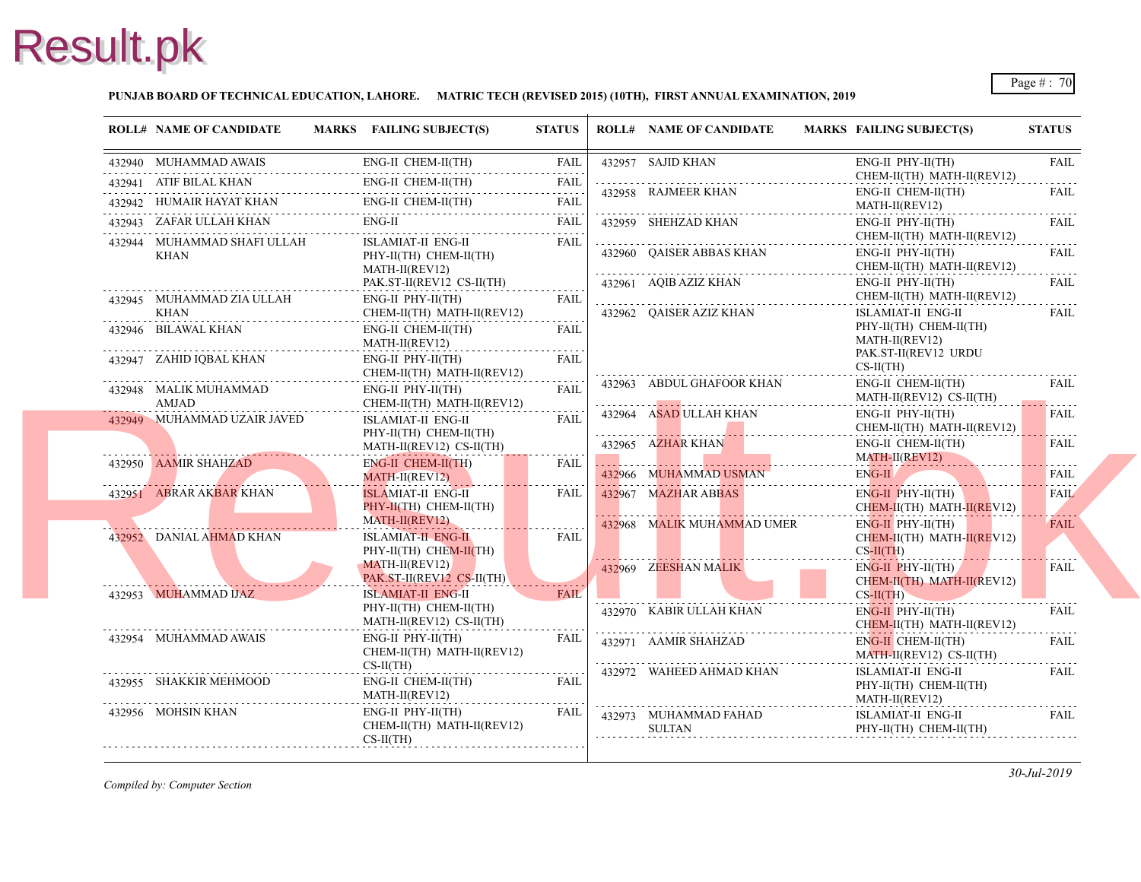### **PUNJAB BOARD OF TECHNICAL EDUCATION, LAHORE. MATRIC TECH (REVISED 2015) (10TH), FIRST ANNUAL EXAMINATION, 2019**

|                           | <b>ROLL# NAME OF CANDIDATE</b>                                                                                                                                                                                                       |                           | MARKS FAILING SUBJECT(S)                                                                                                           | <b>STATUS</b>       | <b>ROLL# NAME OF CANDIDATE</b> | <b>MARKS FAIL</b>  |
|---------------------------|--------------------------------------------------------------------------------------------------------------------------------------------------------------------------------------------------------------------------------------|---------------------------|------------------------------------------------------------------------------------------------------------------------------------|---------------------|--------------------------------|--------------------|
|                           | 432940 MUHAMMAD AWAIS                                                                                                                                                                                                                |                           | 132940 MUHAMMAD AWAIS ENG-II CHEM-II(TH) FAIL                                                                                      |                     | 432957 SAJID KHAN              | ENG-               |
|                           |                                                                                                                                                                                                                                      |                           | 432941 ATIF BILAL KHAN ENG-II CHEM-II(TH) FAIL                                                                                     |                     |                                | <b>CHE</b>         |
|                           |                                                                                                                                                                                                                                      |                           | $\begin{tabular}{ll} \bf 432942 & HUMAIR HAYAT KHAN & \color{red}{ENG-II CHEM-II(TH)} & \color{red}{FAIL} \\ \hline \end{tabular}$ |                     | 432958 RAJMEER KHAN            | ENG-<br><b>MAT</b> |
|                           |                                                                                                                                                                                                                                      |                           | 432943 ZAFAR ULLAH KHAN ENG-II FAIL FAIL FAIL                                                                                      |                     | 432959 SHEHZAD KHAN            | ENG-               |
|                           | 432944 MUHAMMAD SHAFI ULLAH                                                                                                                                                                                                          |                           | <b>ISLAMIAT-II ENG-II</b>                                                                                                          | FAIL                |                                | <b>CHE</b>         |
|                           | KHAN                                                                                                                                                                                                                                 |                           | PHY-II(TH) CHEM-II(TH)                                                                                                             |                     | 432960 QAISER ABBAS KHAN       | ENG-<br><b>CHE</b> |
|                           |                                                                                                                                                                                                                                      |                           | MATH-II(REV12)<br>PAK.ST-II(REV12 CS-II(TH)                                                                                        |                     | 432961 AQIB AZIZ KHAN          | ENG-               |
|                           | 432945 MUHAMMAD ZIA ULLAH                                                                                                                                                                                                            |                           | ENG-II PHY-II(TH)                                                                                                                  | <b>FAIL</b>         |                                | <b>CHE</b>         |
|                           | KHAN                                                                                                                                                                                                                                 |                           | CHEM-II(TH) MATH-II(REV12)                                                                                                         |                     | 432962 QAISER AZIZ KHAN        | <b>ISLA</b>        |
|                           | 432946 BILAWAL KHAN                                                                                                                                                                                                                  |                           | ENG-II CHEM-II(TH)                                                                                                                 | <b>FAIL</b>         |                                | PHY-               |
|                           |                                                                                                                                                                                                                                      |                           | MATH-II(REV12)<br>.                                                                                                                |                     |                                | <b>MAT</b><br>PAK. |
|                           |                                                                                                                                                                                                                                      |                           | ENG-II PHY-II(TH)<br>CHEM-II(TH) MATH-II(REV12)                                                                                    | <b>FAIL</b>         |                                | CS-II              |
|                           |                                                                                                                                                                                                                                      |                           | ENG-II PHY-II(TH)                                                                                                                  | FAIL                | 432963 ABDUL GHAFOOR KHAN      | ENG-               |
| . <b>. .</b> <del>.</del> | 432948 MALIK MUHAMMAD<br>AMJAD AMJAD AMJAD                                                                                                                                                                                           |                           | CHEM-II(TH) MATH-II(REV12)                                                                                                         | .                   |                                | <b>MAT</b>         |
|                           | 432949 MUHAMMAD UZAIR JAVED                                                                                                                                                                                                          |                           | ISLAMIAT-II ENG-II                                                                                                                 | <b>FAIL</b>         | 432964 ASAD ULLAH KHAN         | ENG-<br><b>CHE</b> |
|                           |                                                                                                                                                                                                                                      |                           | PHY-II(TH) CHEM-II(TH)                                                                                                             |                     | 432965 AZHAR KHAN              | ENG-               |
|                           | 432950 AAMIR SHAHZAD                                                                                                                                                                                                                 |                           | MATH-II(REV12) CS-II(TH)<br>ENG-II CHEM-II(TH)                                                                                     | FAIL                |                                | <b>MAT</b>         |
|                           | <u> Estados de la contrada de la contrada de la contrada de la contrada de la contrada de la contrada de la contrada de la contrada de la contrada de la contrada de la contrada de la contrada de la contrada de la contrada de</u> |                           | MATH-II(REV12)                                                                                                                     |                     | 432966 MUHAMMAD USMAN          | ENG-               |
|                           | 432951 ABRAR AKBAR KHAN                                                                                                                                                                                                              | <b>ISLAMIAT-II ENG-II</b> | <b>FAIL</b>                                                                                                                        | 432967 MAZHAR ABBAS | ENG-                           |                    |
|                           |                                                                                                                                                                                                                                      |                           | PHY-II(TH) CHEM-II(TH)                                                                                                             |                     |                                | <b>CHE</b>         |
|                           | 432952 DANIAL AHMAD KHAN                                                                                                                                                                                                             |                           | MATH-II(REV12)<br><b>ISLAMIAT-H ENG-II</b>                                                                                         | <b>FAIL</b>         | 432968 MALIK MUHAMMAD UMER     | ENG-<br><b>CHE</b> |
|                           |                                                                                                                                                                                                                                      |                           | PHY-II(TH) CHEM-II(TH)                                                                                                             |                     |                                | $CS-H$             |
|                           |                                                                                                                                                                                                                                      |                           | MATH-II(REV12)                                                                                                                     |                     | 432969 ZEESHAN MALIK           | ENG-               |
|                           |                                                                                                                                                                                                                                      |                           | PAK.ST-II(REV12 CS-II(TH)                                                                                                          |                     |                                | <b>CHE</b>         |
|                           | 432953 MUHAMMAD IJAZ                                                                                                                                                                                                                 |                           | <b>ISLAMIAT-II ENG-II</b><br>PHY-II(TH) CHEM-II(TH)                                                                                | <b>FAIL</b>         |                                | $CS-H$             |
|                           |                                                                                                                                                                                                                                      |                           | MATH-II(REV12) CS-II(TH)                                                                                                           |                     | 432970 KABIR ULLAH KHAN        | ENG-<br><b>CHE</b> |
|                           | 432954 MUHAMMAD AWAIS                                                                                                                                                                                                                |                           | ENG-II PHY-II(TH)                                                                                                                  | <b>FAIL</b>         | 432971 AAMIR SHAHZAD           | ENG-               |
|                           |                                                                                                                                                                                                                                      |                           | CHEM-II(TH) MATH-II(REV12)                                                                                                         |                     |                                | <b>MAT</b>         |
|                           | 432955 SHAKKIR MEHMOOD                                                                                                                                                                                                               |                           | $CS-II(TH)$<br>ENG-II CHEM-II(TH)                                                                                                  | FAIL                | 432972 WAHEED AHMAD KHAN       | ISLA               |
|                           |                                                                                                                                                                                                                                      |                           | MATH-II(REV12)                                                                                                                     |                     |                                | PHY-<br><b>MAT</b> |
|                           | 432956 MOHSIN KHAN                                                                                                                                                                                                                   |                           | ENG-II PHY-II(TH)                                                                                                                  | FAIL                | 432973 MUHAMMAD FAHAD          | <b>ISLA</b>        |
|                           |                                                                                                                                                                                                                                      |                           | CHEM-II(TH) MATH-II(REV12)                                                                                                         |                     | <b>SULTAN</b>                  | PHY-               |
|                           |                                                                                                                                                                                                                                      |                           | $CS-II(TH)$                                                                                                                        |                     |                                |                    |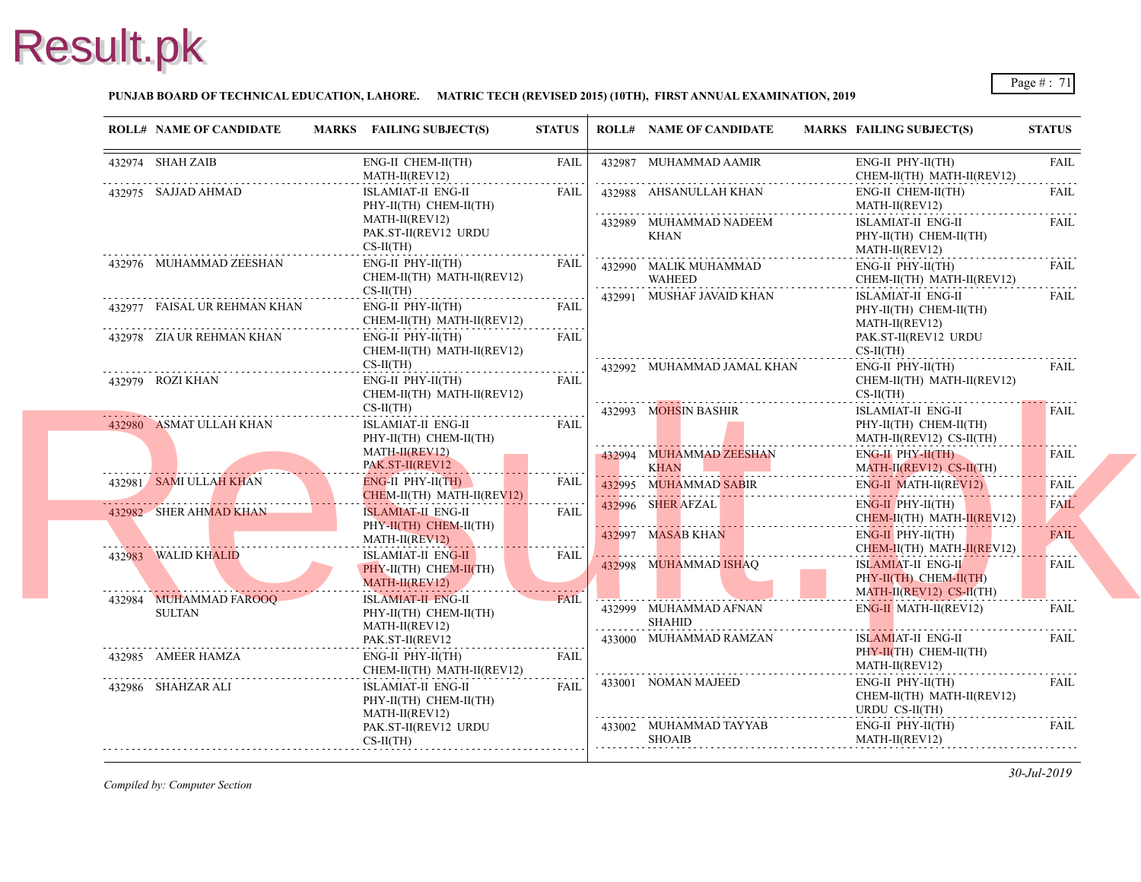### **PUNJAB BOARD OF TECHNICAL EDUCATION, LAHORE. MATRIC TECH (REVISED 2015) (10TH), FIRST ANNUAL EXAMINATION, 2019**

| <b>ROLL# NAME OF CANDIDATE</b>                                                                      | MARKS FAILING SUBJECT(S)                                                          | <b>STATUS</b> |   | <b>ROLL# NAME OF CANDIDATE</b>                                                                                                                                                                                                                      | <b>MARKS FAIL</b>                 |
|-----------------------------------------------------------------------------------------------------|-----------------------------------------------------------------------------------|---------------|---|-----------------------------------------------------------------------------------------------------------------------------------------------------------------------------------------------------------------------------------------------------|-----------------------------------|
| 432974 SHAH ZAIB                                                                                    | ENG-II CHEM-II(TH)<br>MATH-II(REV12)                                              | FAIL          |   | 432987 MUHAMMAD AAMIR                                                                                                                                                                                                                               | ENG-<br><b>CHE</b>                |
| 432975 SAJJAD AHMAD                                                                                 | ISLAMIAT-II ENG-II<br>PHY-II(TH) CHEM-II(TH)<br>MATH-II(REV12)                    | FAIL          |   | 432988 AHSANULLAH KHAN                                                                                                                                                                                                                              | ENG-<br><b>MAT</b>                |
|                                                                                                     | PAK.ST-II(REV12 URDU<br>$CS-II(TH)$                                               |               |   | 432989 MUHAMMAD NADEEM<br>KHAN                                                                                                                                                                                                                      | <b>ISLA</b><br>PHY-<br><b>MAT</b> |
| 432976 MUHAMMAD ZEESHAN                                                                             | $ENG-II$ $PHY-II(TH)$<br>CHEM-II(TH) MATH-II(REV12)<br>$CS-II(TH)$                | FAIL          | . | 432990 MALIK MUHAMMAD<br>D<br><br>WAHEED                                                                                                                                                                                                            | ENG-<br><b>CHE</b>                |
| 432977 FAISAL UR REHMAN KHAN                                                                        | ENG-II PHY-II(TH) FAIL<br>CHEM-II(TH) MATH-II(REV12)                              |               |   | 432991 MUSHAF JAVAID KHAN                                                                                                                                                                                                                           | <b>ISLA</b><br>PHY-<br><b>MAT</b> |
| 432978 ZIA UR REHMAN KHAN                                                                           | $ENG-II$ $PHY-II(TH)$<br>CHEM-II(TH) MATH-II(REV12)<br>$CS-II(TH)$                | FAIL          |   | 432992 MUHAMMAD JAMAL KHAN                                                                                                                                                                                                                          | PAK.<br>$CS-II$<br>ENG-           |
| 432979 ROZI KHAN                                                                                    | $ENG-II$ $PHY-II(TH)$<br>CHEM-II(TH) MATH-II(REV12)                               | FAIL          |   |                                                                                                                                                                                                                                                     | <b>CHE</b><br>$CS-H$              |
| 432980 ASMAT ULLAH KHAN                                                                             | $CS-II(TH)$<br><b>ISLAMIAT-II ENG-II</b><br>PHY-II(TH) CHEM-II(TH)                | FAIL          |   | 432993 MOHSIN BASHIR                                                                                                                                                                                                                                | <b>ISLA</b><br>PHY-<br><b>MAT</b> |
|                                                                                                     | $MATH-H(REV12)$<br>PAK.ST-II(REV12                                                |               |   | 432994 MUHAMMAD ZEESHAN<br><b>KHAN</b>                                                                                                                                                                                                              | ENG-                              |
| 432981 SAMI ULLAH KHAN<br>the contract of the contract of the contract of<br>432982 SHER AHMAD KHAN | $ENG-II$ PHY- $I$ $I$ $(TH)$<br>CHEM-II(TH) MATH-II(REV12)<br>ISLAMIAT-II ENG-II  | FAIL<br>FAIL  |   | MATE MATE AND MATERIAL MATERIAL MATERIAL MATERIAL MATERIAL MATERIAL MATERIAL MATERIAL MATERIAL MATERIAL MATERIAL MATERIAL MATERIAL MATERIAL MATERIAL MATERIAL MATERIAL MATERIAL MATERIAL MATERIAL MATERIAL MATERIAL MATERIAL M<br>432996 SHER AFZAL | ENG-                              |
|                                                                                                     | PHY-II(TH) CHEM-II(TH)<br>MATH-II(REV12)                                          | .             |   | 432997 MASAB KHAN                                                                                                                                                                                                                                   | <b>CHE</b><br>ENG-<br><b>CHE</b>  |
| 432983 WALID KHALID                                                                                 | <b>ISLAMIAT-II ENG-II</b><br>PHY-II(TH) CHEM-II(TH)<br>MATH-II(REV12)             | FAIL          |   | 432998 MUHAMMAD ISHAQ                                                                                                                                                                                                                               | <b>ISLA</b><br>PHY-               |
| 432984 MUHAMMAD FAROOQ<br>SULTAN                                                                    | <b>ISLAMIAT-II_ENG-II</b><br>PHY-II(TH) CHEM-II(TH)<br>MATH-II(REV12)             | <b>FAIL</b>   | . | 432999 MUHAMMAD AFNAN<br>SHAHID                                                                                                                                                                                                                     | MAT <sub>1</sub><br>ENG-          |
| 432985 AMEER HAMZA                                                                                  | PAK.ST-II(REV12<br>$ENG-II$ $PHY-II(TH)$                                          | <b>FAIL</b>   |   | 433000 MUHAMMAD RAMZAN                                                                                                                                                                                                                              | <b>ISLA</b><br>PHY-<br><b>MAT</b> |
| 432986 SHAHZAR ALI                                                                                  | CHEM-II(TH) MATH-II(REV12)<br><b>ISLAMIAT-II ENG-II</b><br>PHY-II(TH) CHEM-II(TH) | <b>FAIL</b>   |   | 433001 NOMAN MAJEED                                                                                                                                                                                                                                 | ENG-<br><b>CHE</b>                |
|                                                                                                     | MATH-II(REV12)<br>PAK.ST-II(REV12 URDU                                            |               |   | 433002 MUHAMMAD TAYYAB                                                                                                                                                                                                                              | <b>URD</b><br>ENG-                |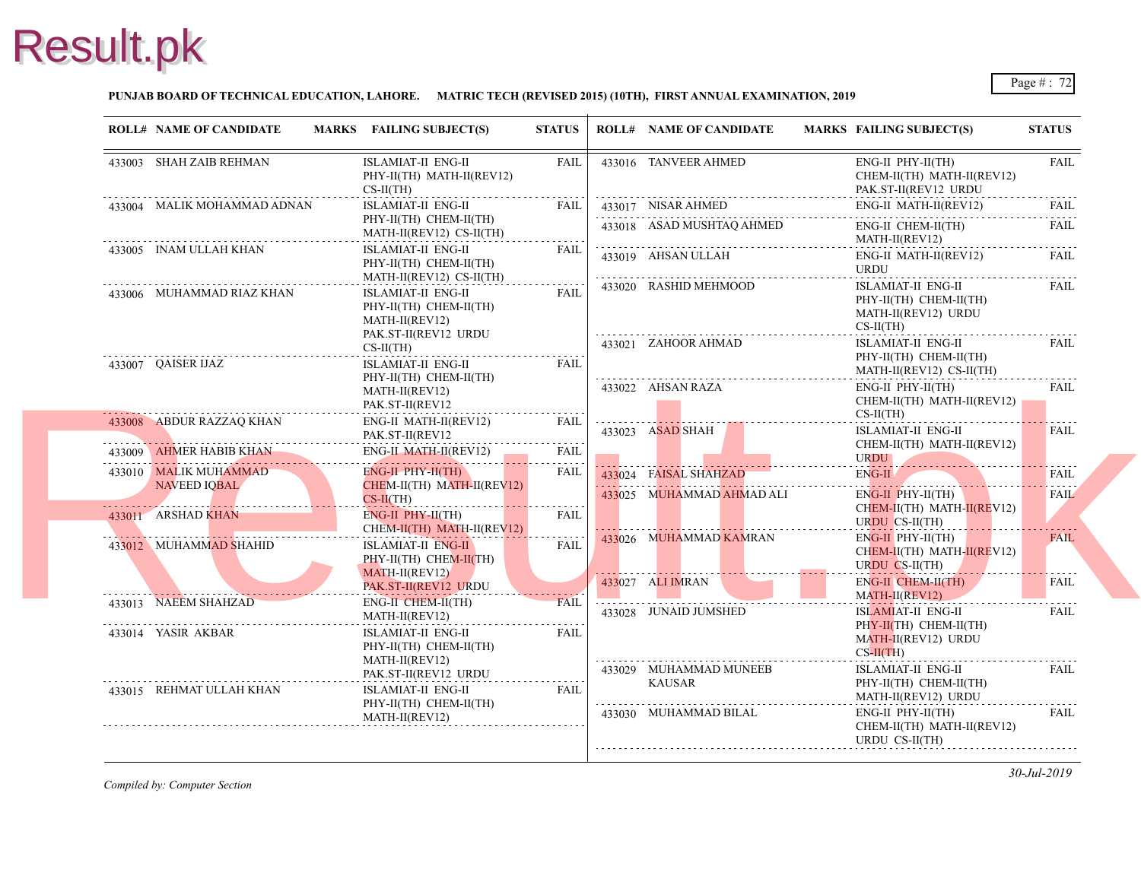### **PUNJAB BOARD OF TECHNICAL EDUCATION, LAHORE. MATRIC TECH (REVISED 2015) (10TH), FIRST ANNUAL EXAMINATION, 2019**

|  | <b>ROLL# NAME OF CANDIDATE</b>                                                                                                                                                                                                       | MARKS FAILING SUBJECT(S)                                       | <b>STATUS</b>       | <b>ROLL# NAME OF CANDIDATE</b>          | <b>MARKS FAIL</b>          |
|--|--------------------------------------------------------------------------------------------------------------------------------------------------------------------------------------------------------------------------------------|----------------------------------------------------------------|---------------------|-----------------------------------------|----------------------------|
|  | 433003 SHAH ZAIB REHMAN                                                                                                                                                                                                              | ISLAMIAT-II ENG-II<br>PHY-II(TH) MATH-II(REV12)<br>$CS-II(TH)$ | FAIL                | 433016 TANVEER AHMED                    | ENG-<br><b>CHE</b><br>PAK. |
|  | 433004 MALIK MOHAMMAD ADNAN                                                                                                                                                                                                          | ISLAMIAT-II ENG-II                                             | FAIL                | 433017 NISAR AHMED                      | ENG-                       |
|  |                                                                                                                                                                                                                                      | PHY-II(TH) CHEM-II(TH)                                         |                     | 433018 ASAD MUSHTAQ AHMED               | ENG-                       |
|  | 433005 INAM ULLAH KHAN                                                                                                                                                                                                               | MATH-II(REV12) CS-II(TH)<br><b>ISLAMIAT-II ENG-II</b>          | FAII.               | 433019 AHSAN ULLAH                      | <b>MAT</b>                 |
|  |                                                                                                                                                                                                                                      | PHY-II(TH) CHEM-II(TH)                                         |                     |                                         | ENG-                       |
|  |                                                                                                                                                                                                                                      | MATH-II(REV12) CS-II(TH)                                       |                     |                                         | <b>URD</b>                 |
|  | 433006 MUHAMMAD RIAZ KHAN                                                                                                                                                                                                            | ISLAMIAT-II ENG-II                                             | <b>FAIL</b>         | 433020 RASHID MEHMOOD                   | <b>ISLA</b><br>PHY-        |
|  |                                                                                                                                                                                                                                      | PHY-II(TH) CHEM-II(TH)                                         |                     |                                         | <b>MATI</b>                |
|  |                                                                                                                                                                                                                                      | MATH-II(REV12)<br>PAK.ST-II(REV12 URDU                         |                     |                                         | $CS-H$                     |
|  | $CS-II(TH)$                                                                                                                                                                                                                          |                                                                | 433021 ZAHOOR AHMAD | <b>ISLA</b>                             |                            |
|  | 433007 QAISER IJAZ                                                                                                                                                                                                                   | <b>ISLAMIAT-II ENG-II</b>                                      | FAIL                |                                         | PHY-                       |
|  |                                                                                                                                                                                                                                      | PHY-II(TH) CHEM-II(TH)                                         |                     |                                         | <b>MAT</b>                 |
|  |                                                                                                                                                                                                                                      | MATH-II(REV12)                                                 |                     | 433022 AHSAN RAZA                       | ENG-<br><b>CHE</b>         |
|  |                                                                                                                                                                                                                                      | PAK.ST-II(REV12                                                |                     |                                         | $CS-II$                    |
|  | 433008 ABDUR RAZZAQ KHAN                                                                                                                                                                                                             | ENG-II MATH-II(REV12)<br>PAK.ST-II(REV12                       | FAIL                | 433023 ASAD SHAH                        | <b>ISLA</b>                |
|  | 433009 AHMER HABIB KHAN                                                                                                                                                                                                              | ENG-II_MATH-II(REV12)                                          | <b>FAIL</b>         |                                         | <b>CHE</b>                 |
|  |                                                                                                                                                                                                                                      |                                                                |                     |                                         | <b>URD</b>                 |
|  | 433010 MALIK MUHAMMAD<br>NAVEED IOBAL                                                                                                                                                                                                | $ENG-II$ $PHY-II(TH)$<br>CHEM-II(TH) MATH-II(REV12)            | <b>FAIL</b>         | 433024 FAISAL SHAHZAD                   | ENG-                       |
|  | <u> 1988 - Johann Johann Johann Johann Johann Johann Johann Johann Johann Johann Johann Johann Johann Johann Johann Johann Johann Johann Johann Johann Johann Johann Johann Johann Johann Johann Johann Johann Johann Johann Joh</u> | $CS-II(TH)$                                                    |                     | 433025 MUHAMMAD AHMAD ALI               | ENG-                       |
|  | 433011 ARSHAD KHAN                                                                                                                                                                                                                   | $ENG-II$ $PHY-II(TH)$                                          | <b>FAIL</b>         |                                         | <b>CHE</b>                 |
|  |                                                                                                                                                                                                                                      | CHEM-II(TH) MATH-II(REV12)                                     |                     |                                         | <b>URD</b>                 |
|  | 433012 MUHAMMAD SHAHID                                                                                                                                                                                                               | ISLAMIAT-II ENG-II                                             | FAIL                | 433026 MUHAMMAD KAMRAN                  | ENG-<br><b>CHE</b>         |
|  |                                                                                                                                                                                                                                      | $PHY-II(TH)$ CHEM-II(TH)                                       |                     |                                         | <b>URD</b>                 |
|  |                                                                                                                                                                                                                                      | MATH-II(REV12)                                                 |                     | 433027 ALI IMRAN                        | ENG-                       |
|  |                                                                                                                                                                                                                                      | PAK.ST-II(REV12 URDU                                           |                     |                                         | <b>MAT</b>                 |
|  | 433013 NAEEM SHAHZAD                                                                                                                                                                                                                 | ENG-II CHEM-II(TH)<br>MATH-II(REV12)                           | <b>FAIL</b>         | 433028 JUNAID JUMSHED                   | <b>ISLA</b>                |
|  | 433014 YASIR AKBAR                                                                                                                                                                                                                   | ISLAMIAT-II ENG-II                                             | <b>FAIL</b>         |                                         | PHY-                       |
|  |                                                                                                                                                                                                                                      | PHY-II(TH) CHEM-II(TH)                                         |                     |                                         | <b>MATI</b>                |
|  |                                                                                                                                                                                                                                      | MATH-II(REV12)                                                 |                     |                                         | $CS-II$                    |
|  |                                                                                                                                                                                                                                      | PAK.ST-II(REV12 URDU                                           |                     | 433029 MUHAMMAD MUNEEB<br><b>KAUSAR</b> | <b>ISLA</b><br>PHY-        |
|  | 433015 REHMAT ULLAH KHAN                                                                                                                                                                                                             | ISLAMIAT-II ENG-II                                             | FAIL                |                                         | <b>MAT</b>                 |
|  |                                                                                                                                                                                                                                      | PHY-II(TH) CHEM-II(TH)                                         |                     | 433030 MUHAMMAD BILAL                   | ENG-                       |
|  |                                                                                                                                                                                                                                      | MATH-II(REV12)                                                 |                     |                                         | <b>CHE</b>                 |
|  |                                                                                                                                                                                                                                      |                                                                |                     |                                         | <b>URD</b>                 |
|  |                                                                                                                                                                                                                                      |                                                                |                     |                                         |                            |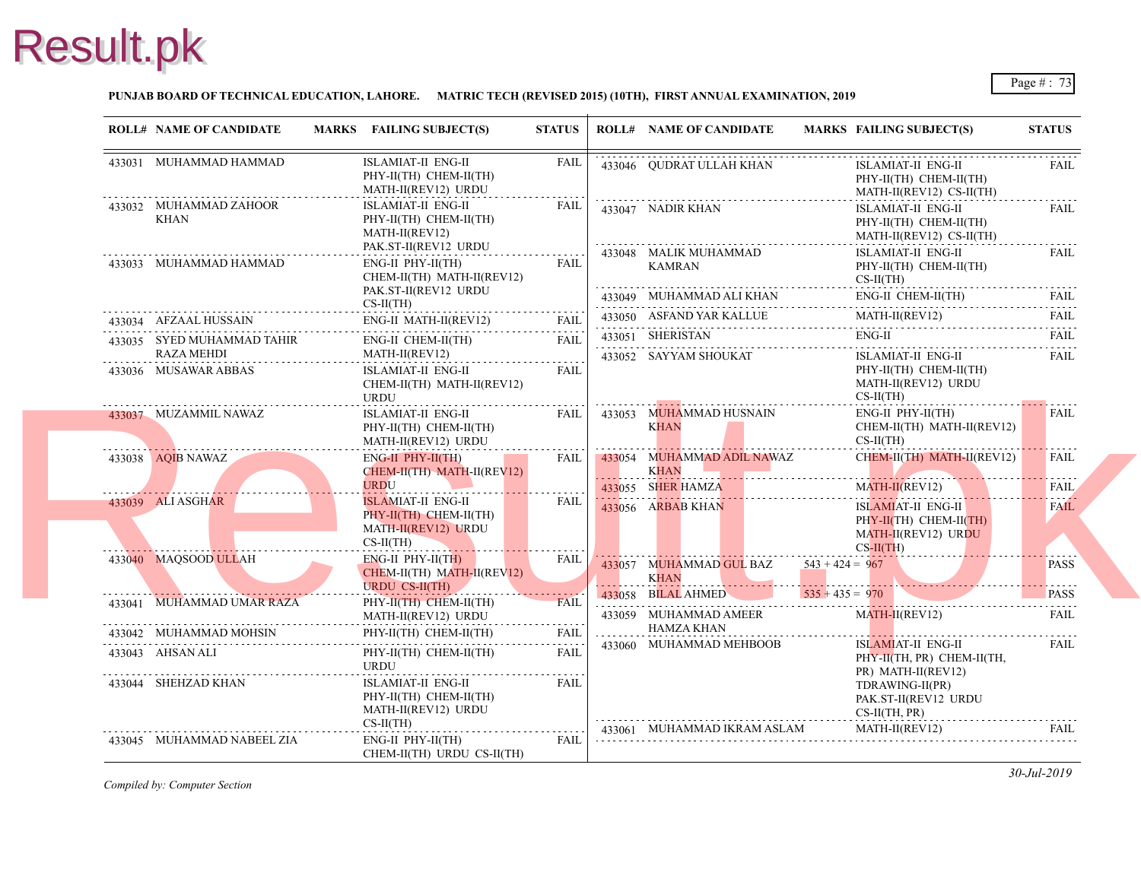#### **PUNJAB BOARD OF TECHNICAL EDUCATION, LAHORE. MATRIC TECH (REVISED 2015) (10TH), FIRST ANNUAL EXAMINATION, 2019**

| <b>ROLL# NAME OF CANDIDATE</b>     | MARKS FAILING SUBJECT(S)                                                                                                                 | <b>STATUS</b> |   | <b>ROLL# NAME OF CANDIDATE</b>                                 | <b>MARKS FAIL</b>                            |
|------------------------------------|------------------------------------------------------------------------------------------------------------------------------------------|---------------|---|----------------------------------------------------------------|----------------------------------------------|
| 433031 MUHAMMAD HAMMAD             | ISLAMIAT-II ENG-II<br>PHY-II(TH) CHEM-II(TH)<br>MATH-II(REV12) URDU                                                                      | <b>FAIL</b>   |   | 433046 QUDRAT ULLAH KHAN                                       | <b>ISLA</b><br>PHY-<br><b>MATI</b>           |
| 433032 MUHAMMAD ZAHOOR<br>KHAN     | ISLAMIAT-II ENG-II<br>PHY-II(TH) CHEM-II(TH)<br>MATH-II(REV12)<br>PAK.ST-II(REV12 URDU                                                   | FAIL          |   | 433047 NADIR KHAN                                              | <b>ISLA</b><br>PHY-<br><b>MAT</b>            |
| 433033 MUHAMMAD HAMMAD             | $ENG-II$ $PHY-II(TH)$<br>CHEM-II(TH) MATH-II(REV12)<br>PAK.ST-II(REV12 URDU                                                              | FAIL          |   | 433048 MALIK MUHAMMAD<br>KAMRAN                                | <b>ISLA</b><br>PHY-<br>$CS-II$               |
|                                    | $CS-II(TH)$                                                                                                                              |               |   | 433049 MUHAMMAD ALI KHAN                                       | ENG-                                         |
| 433034 AFZAAL HUSSAIN              | $\textbf{433034}\quad \textbf{AFZAAL HUSSAIN}\qquad \qquad \textbf{ENG-II}\ \textbf{MATH-II}(\textbf{REV12})\qquad \qquad \textbf{FAIL}$ | <b>FAIL</b>   |   | 433050 ASFAND YAR KALLUE<br>433050 ASFAND YAR KALLUE MATI      | <b>MAT</b>                                   |
| 433035 SYED MUHAMMAD TAHIR         | ENG-II CHEM-II(TH)                                                                                                                       | <b>FAIL</b>   |   | 433051 SHERISTAN                                               | ENG-                                         |
| RAZA MEHDI<br>433036 MUSAWAR ABBAS | MATH-II(REV12)<br>ISLAMIAT-II ENG-II<br>CHEM-II(TH) MATH-II(REV12)<br><b>URDU</b>                                                        | <b>FAIL</b>   |   | 433052 SAYYAM SHOUKAT                                          | <b>ISLA</b><br>PHY-<br><b>MAT</b><br>$CS-II$ |
| 433037 MUZAMMIL NAWAZ              | ISLAMIAT-II ENG-II<br>PHY-II(TH) CHEM-II(TH)<br>MATH-II(REV12) URDU                                                                      | FAIL<br>.     |   | 433053 MUHAMMAD HUSNAIN<br><b>KHAN</b>                         | ENG-<br><b>CHE</b><br>$CS-II$                |
| 433038 AQIB NAWAZ                  | ENG-II PHY-II(TH)<br>CHEM-II(TH) MATH-II(REV12)<br><b>URDU</b>                                                                           | FAIL          | . | 433054 MUHAMMAD ADIL NAWAZ<br><b>KHAN</b><br>433055 SHER HAMZA | <b>CHEI</b><br><b>MAT</b>                    |
| 433039 ALI ASGHAR                  | ISLAMIAT-II ENG-II<br>PHY-II(TH) CHEM-II(TH)<br>MATH-II(REV12) URDU<br>$CS-II(TH)$                                                       | <b>FAIL</b>   |   | 433056 ARBAB KHAN                                              | <b>ISLA</b><br>PHY-<br><b>MAT</b><br>$CS-H$  |
| 433040 MAQSOOD ULLAH               | $ENG-II$ PHY-II(TH)<br>CHEM-II(TH) MATH-II(REV12)<br><b>URDU CS-II(TH)</b>                                                               | <b>FAIL</b>   |   | 433057 MUHAMMAD GUL BAZ<br><b>KHAN</b>                         | $543 + 424 = 967$                            |
| 433041 MUHAMMAD UMAR RAZA          | PHY-II(TH) CHEM-II(TH)                                                                                                                   | <b>FAIL</b>   |   | 433058 BILAL AHMED<br>a a sh                                   | $535 + 435 = 970$                            |
|                                    | MATH-II(REV12) URDU                                                                                                                      |               |   | 433059 MUHAMMAD AMEER<br><b>HAMZA KHAN</b>                     | <b>MAT</b>                                   |
| 433042 MUHAMMAD MOHSIN             | PHY-II(TH) CHEM-II(TH)                                                                                                                   | <b>FAIL</b>   |   | 433060 MUHAMMAD MEHBOOB                                        | <b>ISLA</b>                                  |
| 433043 AHSAN ALI                   | PHY-II(TH) CHEM-II(TH)<br><b>URDU</b>                                                                                                    | <b>FAIL</b>   |   |                                                                | PHY-<br>PR)                                  |
| 433044 SHEHZAD KHAN                | ISLAMIAT-II ENG-II<br>PHY-II(TH) CHEM-II(TH)<br>MATH-II(REV12) URDU<br>$CS-II(TH)$                                                       | FAIL          |   | 433061 MUHAMMAD IKRAM ASLAM                                    | <b>TDR</b><br>PAK.<br>$CS-II$<br><b>MAT</b>  |
| 433045 MUHAMMAD NABEEL ZIA         | $ENG-II$ $PHY-II(TH)$<br>CHEM-II(TH) URDU CS-II(TH)                                                                                      | FAIL          |   |                                                                |                                              |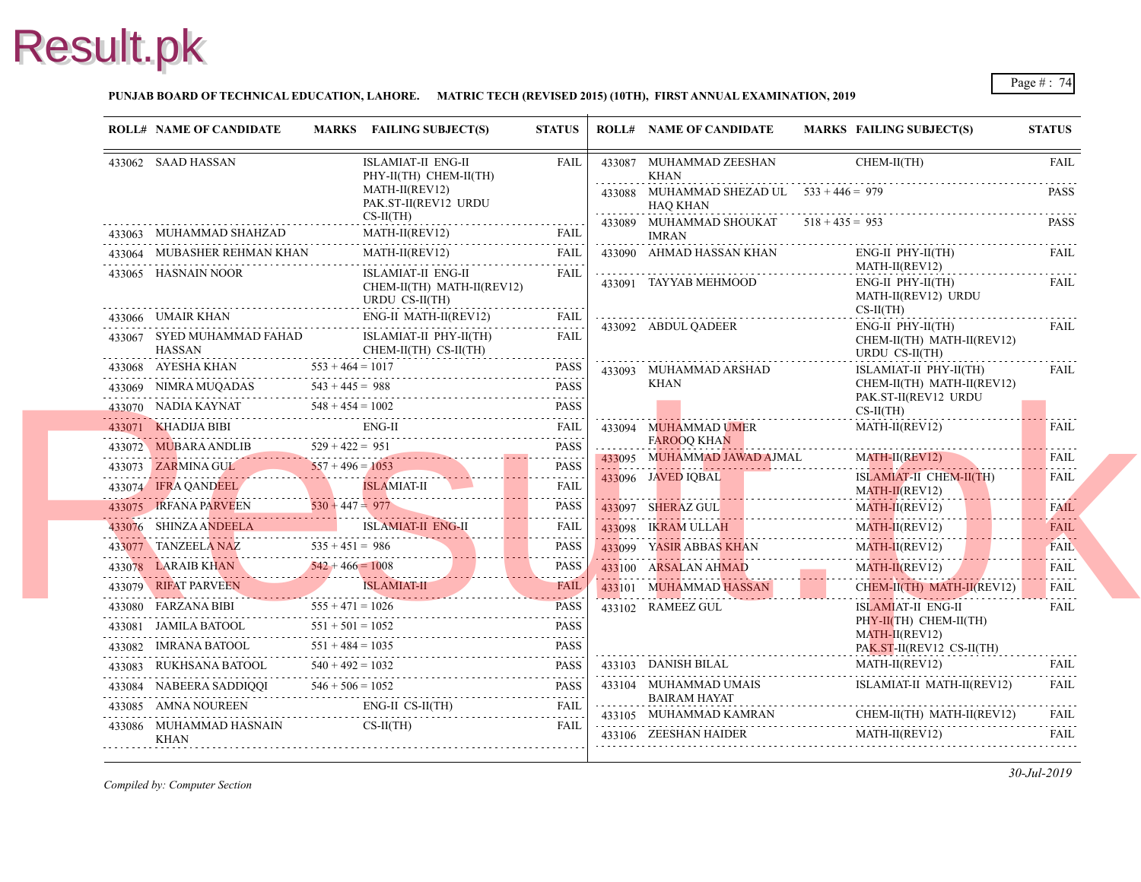#### **PUNJAB BOARD OF TECHNICAL EDUCATION, LAHORE. MATRIC TECH (REVISED 2015) (10TH), FIRST ANNUAL EXAMINATION, 2019**

|   | <b>ROLL# NAME OF CANDIDATE</b>                              | MARKS FAILING SUBJECT(S)                                                                                                                                                                                                                                                                                                                 | <b>STATUS</b> |   | <b>ROLL# NAME OF CANDIDATE</b>                          | <b>MARKS FAIL</b>         |
|---|-------------------------------------------------------------|------------------------------------------------------------------------------------------------------------------------------------------------------------------------------------------------------------------------------------------------------------------------------------------------------------------------------------------|---------------|---|---------------------------------------------------------|---------------------------|
|   | 433062 SAAD HASSAN                                          | ISLAMIAT-II ENG-II<br>PHY-II(TH) CHEM-II(TH)                                                                                                                                                                                                                                                                                             | FAIL          |   | 433087 MUHAMMAD ZEESHAN<br>KHAN                         | <b>CHE</b>                |
|   |                                                             | MATH-II(REV12)<br>PAK.ST-II(REV12 URDU<br>$CS-II(TH)$                                                                                                                                                                                                                                                                                    |               | . | 433088 MUHAMMAD SHEZAD UL $533 + 446 = 979$<br>HAO KHAN |                           |
|   | 433063 MUHAMMAD SHAHZAD                                     | MATH-II(REV12)                                                                                                                                                                                                                                                                                                                           |               |   | 433089 MUHAMMAD SHOUKAT<br><b>IMRAN</b>                 | $518 + 435 = 953$         |
|   | 433064 MUBASHER REHMAN KHAN                                 | [ATH-II(REV12) FAIL<br>MATH-II(REV12)                                                                                                                                                                                                                                                                                                    | FAIL          |   | 433090 AHMAD HASSAN KHAN                                | ENG-                      |
|   | 433065 HASNAIN NOOR                                         | ISLAMIAT-II ENG-II                                                                                                                                                                                                                                                                                                                       | <b>FAIL</b>   |   |                                                         | <b>MAT</b>                |
|   |                                                             | CHEM-II(TH) MATH-II(REV12)<br>URDU CS-II(TH)                                                                                                                                                                                                                                                                                             |               |   | 433091 TAYYAB MEHMOOD                                   | ENG-<br><b>MAT</b>        |
|   |                                                             | ENG-II MATH-II(REV12)<br>433066 UMAIR KHAN ENG-II MATH-II(REV12) FAIL                                                                                                                                                                                                                                                                    |               |   | 433092 ABDUL QADEER                                     | $CS-II$<br>ENG-           |
|   | 433067 SYED MUHAMMAD FAHAD ISLAMIAT-II PHY-II(TH)<br>HASSAN | CHEM-II(TH) CS-II(TH)                                                                                                                                                                                                                                                                                                                    | FAIL<br>.     |   |                                                         | <b>CHE</b><br><b>URD</b>  |
| . |                                                             | $433068$ AYESHA KHAN $553 + 464 = 1017$ PASS                                                                                                                                                                                                                                                                                             |               |   | 433093 MUHAMMAD ARSHAD                                  | <b>ISLA</b>               |
|   |                                                             |                                                                                                                                                                                                                                                                                                                                          |               |   | KHAN                                                    | <b>CHE</b>                |
|   |                                                             |                                                                                                                                                                                                                                                                                                                                          |               |   |                                                         | PAK.<br>$CS-II$           |
|   |                                                             | 433071 KHADIJA BIBI ENG-II FAIL FAIL                                                                                                                                                                                                                                                                                                     |               |   | 433094 MUHAMMAD UMER                                    | <b>MAT</b>                |
|   |                                                             |                                                                                                                                                                                                                                                                                                                                          |               |   | <b>FAROOO KHAN</b>                                      |                           |
|   |                                                             |                                                                                                                                                                                                                                                                                                                                          |               |   | 433095 MUHAMMAD JAWAD AJMAL                             | <b>MAT</b>                |
|   |                                                             | $\begin{tabular}{c c c c c} \hline \textbf{433072} & \textbf{MUBARA ANDLIB} & \textbf{529 + 422 = 951} & \textbf{PASS} \\ \hline \textbf{433073} & \textbf{ZARMINA GU} & \textbf{557 + 496 = 1053} & \textbf{PASS} \\ \hline \textbf{433074} & \textbf{IFRA QANDEEL} & & & \textbf{SILAMIAT-II} & \textbf{FAIL} \\ \hline \end{tabular}$ |               |   | 433096 JAVED IQBAL                                      | <b>ISLA</b><br><b>MAT</b> |
|   | 433075 IRFANA PARVEEN 530 + 447 = 977                       |                                                                                                                                                                                                                                                                                                                                          | PASS          |   | 433097 SHERAZ GUL                                       | <b>MAT</b>                |
|   |                                                             | 433076 SHINZA ANDEELA ISLAMIAT-II ENG-II FAIL FAIL                                                                                                                                                                                                                                                                                       |               |   | 433098 IKRAM ULLAH                                      | <b>MAT</b>                |
|   |                                                             |                                                                                                                                                                                                                                                                                                                                          |               |   | 433099 YASIR ABBAS KHAN                                 | <b>MAT</b>                |
|   |                                                             |                                                                                                                                                                                                                                                                                                                                          |               |   | 433100 ARSALAN AHMAD<br>433100 ARSALAN AHMAD MAT        | <b>MAT</b>                |
|   |                                                             | 433079 RIFAT PARVEEN ISLAMIAT-II FAIL                                                                                                                                                                                                                                                                                                    |               |   | 433101 MUHAMMAD HASSAN                                  | <b>CHE</b>                |
|   |                                                             | 433080 FARZANA BIBI $555 + 471 = 1026$ PASS                                                                                                                                                                                                                                                                                              | <b>PASS</b>   |   | 433102 RAMEEZ GUL                                       | <b>ISLA</b>               |
|   |                                                             | $\begin{tabular}{c} 433081 \end{tabular} \begin{tabular}{l} JAMILA BATOOL \end{tabular} \begin{tabular}{l} 551 + 501 = 1052 \end{tabular} \begin{tabular}{l} \hline \textbf{251} & \textbf{PASS} \\ 433082 & IMRANA BATOOL \end{tabular} \end{tabular}$                                                                                  |               |   |                                                         | PHY-<br><b>MAT</b>        |
|   |                                                             |                                                                                                                                                                                                                                                                                                                                          |               |   |                                                         | PAK.                      |
|   |                                                             | $51 + 484 = 1035$<br>$433083$ RUKHSANA BATOOL $540 + 492 = 1032$<br>$540 + 492 = 1032$                                                                                                                                                                                                                                                   |               |   | 433103 DANISH BILAL                                     | <b>MAT</b>                |
|   |                                                             | 433084 NABEERA SADDIQQI $546 + 506 = 1052$ PASS                                                                                                                                                                                                                                                                                          |               |   | 433104 MUHAMMAD UMAIS                                   | <b>ISLA</b>               |
|   |                                                             | 433085 AMNA NOUREEN ENG-II CS-II(TH) FAIL                                                                                                                                                                                                                                                                                                |               |   | <b>BAIRAM HAYAT</b><br>433105 MUHAMMAD KAMRAN           | <b>CHE</b>                |
|   | 433086 MUHAMMAD HASNAIN<br>KHAN                             | $CS-II(TH)$                                                                                                                                                                                                                                                                                                                              | <b>FAIL</b>   |   | 433106 ZEESHAN HAIDER                                   | <b>MAT</b>                |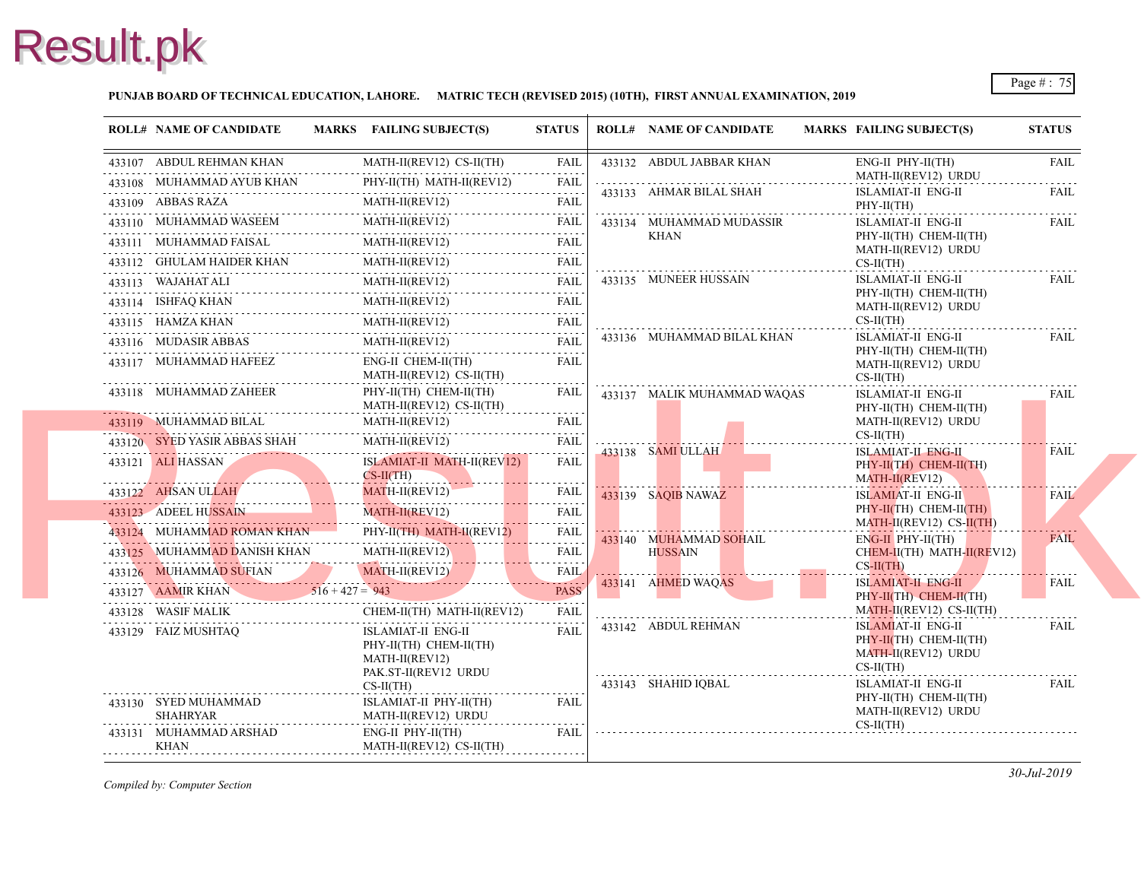#### **PUNJAB BOARD OF TECHNICAL EDUCATION, LAHORE. MATRIC TECH (REVISED 2015) (10TH), FIRST ANNUAL EXAMINATION, 2019**

|   | <b>ROLL# NAME OF CANDIDATE</b>                                                                                                                                                                                                                            | MARKS FAILING SUBJECT(S)                                                                                                                                                                                                                                                                                                                                                                            | <b>STATUS</b>                         |                  | <b>ROLL# NAME OF CANDIDATE</b> | <b>MARKS FAIL</b>                           |
|---|-----------------------------------------------------------------------------------------------------------------------------------------------------------------------------------------------------------------------------------------------------------|-----------------------------------------------------------------------------------------------------------------------------------------------------------------------------------------------------------------------------------------------------------------------------------------------------------------------------------------------------------------------------------------------------|---------------------------------------|------------------|--------------------------------|---------------------------------------------|
|   | 433107 ABDUL REHMAN KHAN                                                                                                                                                                                                                                  | MATH-II(REV12) CS-II(TH)                                                                                                                                                                                                                                                                                                                                                                            | <b>FAIL</b>                           |                  | 433132 ABDUL JABBAR KHAN       | ENG-                                        |
|   | 433108 MUHAMMAD AYUB KHAN                                                                                                                                                                                                                                 | PHY-II(TH) MATH-II(REV12)                                                                                                                                                                                                                                                                                                                                                                           | FAIL                                  |                  | 433133 AHMAR BILAL SHAH        | <b>MAT</b>                                  |
|   | 433109 ABBAS RAZA                                                                                                                                                                                                                                         | $MATH-II(REV12)$                                                                                                                                                                                                                                                                                                                                                                                    | FAIL                                  |                  |                                | <b>ISLA</b><br>PHY-                         |
|   | 433110 MUHAMMAD WASEEM                                                                                                                                                                                                                                    | MATH-II(REV12)                                                                                                                                                                                                                                                                                                                                                                                      |                                       |                  | 433134 MUHAMMAD MUDASSIR       | <b>ISLA</b>                                 |
|   | 433111 MUHAMMAD FAISAL<br>HAMMAD FAISAL<br>                                                                                                                                                                                                               | MATH-II(REV12)                                                                                                                                                                                                                                                                                                                                                                                      | FAIL                                  |                  | KHAN                           | PHY-<br><b>MAT</b>                          |
|   |                                                                                                                                                                                                                                                           | MATH-II(REV12)<br>433112 GHULAM HAIDER KHAN MATH-II(REV12) FAIL                                                                                                                                                                                                                                                                                                                                     |                                       |                  |                                | $CS-II$                                     |
|   |                                                                                                                                                                                                                                                           |                                                                                                                                                                                                                                                                                                                                                                                                     |                                       |                  | 433135 MUNEER HUSSAIN          | <b>ISLA</b>                                 |
|   |                                                                                                                                                                                                                                                           | $\begin{tabular}{lllllllll} \bf 433113 & WAJAHAT ALI & MATH-II (REV12) & FAIL \\ \bf 433114 & ISHFAQ KHAN & MATH-II (REV12) & FAIL \\ \bf 433114 & ISHFAG KHAN & MATH-II (REV12) & FAIL \\ \bf 433114 & TSHLA (WHA) & MATH-II (REV12) & TAIL \\ \bf 433114 & TSHLA (WHA) & TIL \\ \bf 433114 & TSHLA (WHA) & TIL \\ \bf 433114 & TSHLA (WHA) & TIL \\ \bf 433114 & TSHLA (WHA) & TIL \\ \bf 433114$ |                                       |                  |                                | PHY-<br><b>MAT</b>                          |
|   |                                                                                                                                                                                                                                                           | 433115 HAMZA KHAN MATH-II(REV12) FAIL                                                                                                                                                                                                                                                                                                                                                               |                                       |                  |                                | $CS-II$                                     |
|   | 433116 MUDASIR ABBAS                                                                                                                                                                                                                                      | MATH-II(REV12)                                                                                                                                                                                                                                                                                                                                                                                      | <b>FAIL</b>                           |                  | 433136 MUHAMMAD BILAL KHAN     | <b>ISLA</b>                                 |
|   | 433117 MUHAMMAD HAFEEZ                                                                                                                                                                                                                                    | ENG-II CHEM-II(TH)<br>MATH-II(REV12) CS-II(TH)                                                                                                                                                                                                                                                                                                                                                      | FAIL                                  |                  |                                | PHY-<br><b>MAT</b><br>$CS-II$               |
|   | 433118 MUHAMMAD ZAHEER                                                                                                                                                                                                                                    | PHY-II(TH) CHEM-II(TH)<br>MATH-II(REV12) CS-II(TH)                                                                                                                                                                                                                                                                                                                                                  | FAIL                                  |                  | 433137 MALIK MUHAMMAD WAQAS    | <b>ISLA</b><br>PHY-                         |
|   | 433119 MUHAMMAD BILAL                                                                                                                                                                                                                                     | MATH-II(REV12)                                                                                                                                                                                                                                                                                                                                                                                      | <b>FAIL</b>                           |                  |                                | <b>MAT</b>                                  |
|   | 433120 SYED YASIR ABBAS SHAH                                                                                                                                                                                                                              | MATH-II(REV12)                                                                                                                                                                                                                                                                                                                                                                                      | FAIL<br>$\omega$ is a set of $\omega$ |                  | 433138 SAMI ULLAH              | $CS-II$<br><b>ISLA</b>                      |
|   | 433121 ALI HASSAN<br><u> Estados de la contrador de la contrador de la contrador de la contrador de la contrador de la contrador de la contrador de la contrador de la contrador de la contrador de la contrador de la contrador de la contrador de l</u> | ISLAMIAT-II MATH-II(REV12)<br>CS-II(TH)                                                                                                                                                                                                                                                                                                                                                             | FAIL                                  |                  |                                | PHY-<br><b>MAT</b>                          |
|   | 433122 AHSAN ULLAH                                                                                                                                                                                                                                        | $MATH-II(REV12)$<br><b>The Contract of the Contract of the Contract of the Contract of the Contract of the Contract of the Contract o</b>                                                                                                                                                                                                                                                           | FAIL                                  |                  | 433139 SAQIB NAWAZ             | <b>ISLA</b>                                 |
|   | 433123 ADEEL HUSSAIN                                                                                                                                                                                                                                      | MATH-II(REV12)                                                                                                                                                                                                                                                                                                                                                                                      | FAIL<br>.                             |                  |                                | PHY-<br><b>MAT</b>                          |
|   | 433124 MUHAMMAD ROMAN KHAN                                                                                                                                                                                                                                | PHY-II(TH) MATH-II(REV12)                                                                                                                                                                                                                                                                                                                                                                           | <b>FAIL</b>                           |                  | 433140 MUHAMMAD SOHAIL         | ENG-                                        |
|   |                                                                                                                                                                                                                                                           | 433125 MUHAMMAD DANISH KHAN MATH-II(REVI2)                                                                                                                                                                                                                                                                                                                                                          | <b>FAIL</b>                           |                  | <b>HUSSAIN</b>                 | <b>CHE</b>                                  |
|   |                                                                                                                                                                                                                                                           |                                                                                                                                                                                                                                                                                                                                                                                                     | <b>FAIL</b>                           | . <mark>.</mark> | 433141 AHMED WAQAS             | $CS-H$<br><b>ISLA</b>                       |
|   |                                                                                                                                                                                                                                                           | 433126 MUHAMMAD SUFIAN MATH-II(REVI2)<br>433127 AAMIR KHAN 516 + 427 = 943                                                                                                                                                                                                                                                                                                                          | <b>PASS</b>                           |                  |                                | PHY-                                        |
|   | 433128 WASIF MALIK                                                                                                                                                                                                                                        | CHEM-II(TH) MATH-II(REV12)                                                                                                                                                                                                                                                                                                                                                                          | FAIL                                  |                  |                                | <b>MAT</b>                                  |
|   | 433129 FAIZ MUSHTAQ                                                                                                                                                                                                                                       | ISLAMIAT-II ENG-II<br>PHY-II(TH) CHEM-II(TH)<br>MATH-II(REV12)<br>PAK.ST-II(REV12 URDU                                                                                                                                                                                                                                                                                                              | <b>FAIL</b>                           |                  | 433142 ABDUL REHMAN            | <b>ISLA</b><br>PHY-<br><b>MAT</b><br>$CS-H$ |
|   | 433130 SYED MUHAMMAD                                                                                                                                                                                                                                      | $CS-II(TH)$<br>ISLAMIAT-II PHY-II(TH)                                                                                                                                                                                                                                                                                                                                                               | <b>FAIL</b>                           |                  | 433143 SHAHID IQBAL            | <b>ISLA</b><br>PHY-                         |
|   | <b>SHAHRYAR</b>                                                                                                                                                                                                                                           | MATH-II(REV12) URDU                                                                                                                                                                                                                                                                                                                                                                                 |                                       |                  |                                | <b>MAT</b>                                  |
| . | 433131 MUHAMMAD ARSHAD<br><b>KHAN</b>                                                                                                                                                                                                                     | ENG-II PHY-II(TH)<br>MATH-II(REV12) CS-II(TH)                                                                                                                                                                                                                                                                                                                                                       | <b>FAIL</b>                           |                  |                                | $CS-II$                                     |
|   |                                                                                                                                                                                                                                                           |                                                                                                                                                                                                                                                                                                                                                                                                     |                                       |                  |                                |                                             |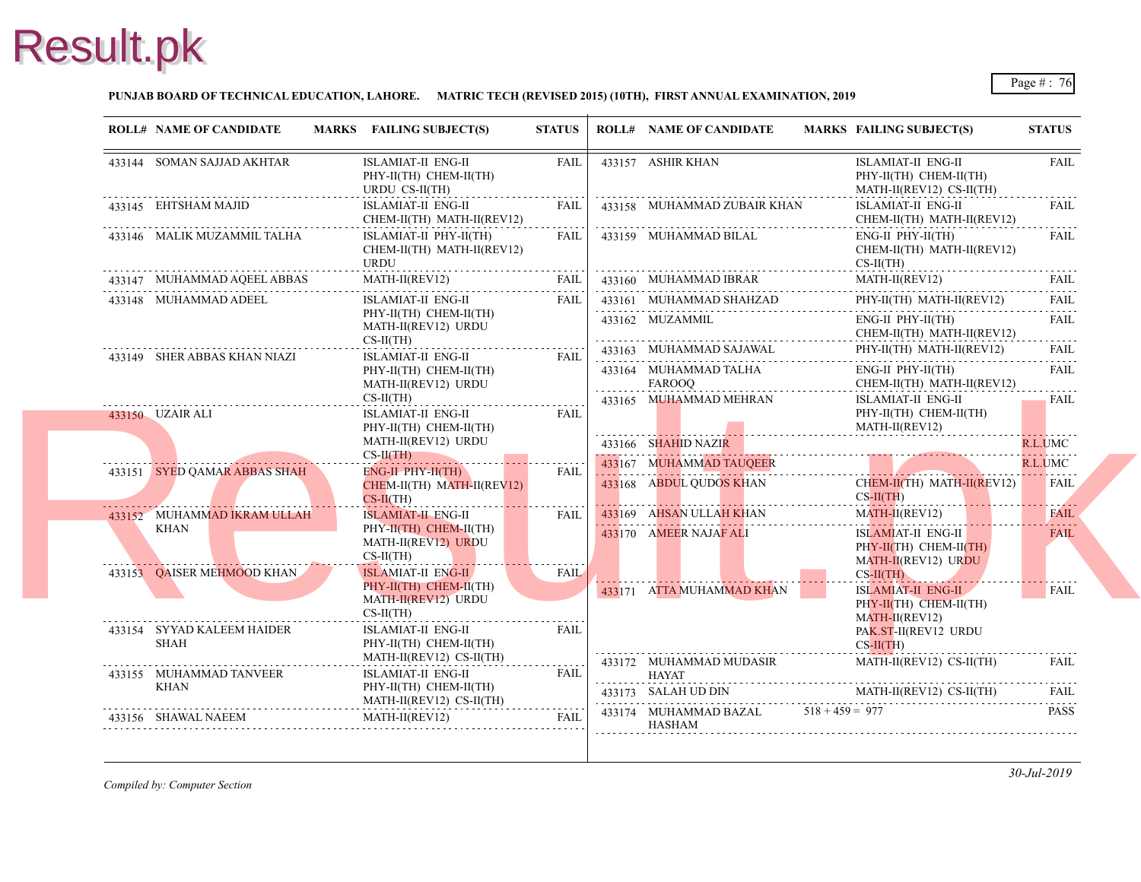#### **PUNJAB BOARD OF TECHNICAL EDUCATION, LAHORE. MATRIC TECH (REVISED 2015) (10TH), FIRST ANNUAL EXAMINATION, 2019**

|                              | <b>ROLL# NAME OF CANDIDATE</b>                | MARKS FAILING SUBJECT(S)                                                                           | <b>STATUS</b>                         |                                 | <b>ROLL# NAME OF CANDIDATE</b>         | <b>MARKS FAIL</b>                 |
|------------------------------|-----------------------------------------------|----------------------------------------------------------------------------------------------------|---------------------------------------|---------------------------------|----------------------------------------|-----------------------------------|
|                              | 433144 SOMAN SAJJAD AKHTAR                    | ISLAMIAT-II ENG-II<br>PHY-II(TH) CHEM-II(TH)<br>URDU CS-II(TH)                                     | FAIL                                  |                                 | 433157 ASHIR KHAN                      | <b>ISLA</b><br>PHY-<br><b>MAT</b> |
|                              | 433145 EHTSHAM MAJID                          | ISLAMIAT-II ENG-II<br>CHEM-II(TH) MATH-II(REV12)                                                   | FAIL                                  |                                 | 433158 MUHAMMAD ZUBAIR KHAN            | <b>ISLA</b><br><b>CHE</b>         |
|                              | 433146 MALIK MUZAMMIL TALHA                   | ISLAMIAT-II PHY-II(TH)<br>CHEM-II(TH) MATH-II(REV12)<br><b>URDU</b>                                | FAIL                                  |                                 | 433159 MUHAMMAD BILAL                  | ENG-<br><b>CHE</b><br>$CS-II$     |
|                              | 433147 MUHAMMAD AQEEL ABBAS                   | $\text{MATH-II}(\text{REV12}) \qquad \qquad \text{FAIL}$                                           | FAIL                                  |                                 | 433160 MUHAMMAD IBRAR                  | <b>MAT</b>                        |
| 433148 MUHAMMAD ADEEL        | ISLAMIAT-II ENG-II                            | FAIL                                                                                               |                                       | 433161 MUHAMMAD SHAHZAD         | PHY-                                   |                                   |
|                              |                                               | PHY-II(TH) CHEM-II(TH)<br>MATH-II(REV12) URDU                                                      |                                       |                                 | 433162 MUZAMMIL                        | ENG-<br><b>CHE</b>                |
| 433149 SHER ABBAS KHAN NIAZI | $CS-II(TH)$<br><b>ISLAMIAT-II ENG-II</b>      | <b>FAIL</b>                                                                                        |                                       | 433163 MUHAMMAD SAJAWAL         | PHY-                                   |                                   |
|                              | PHY-II(TH) CHEM-II(TH)<br>MATH-II(REV12) URDU |                                                                                                    | .                                     | 433164 MUHAMMAD TALHA<br>FAROOQ | ENG-<br><b>CHE</b>                     |                                   |
|                              |                                               | $CS-II(TH)$                                                                                        |                                       |                                 | 433165 MUHAMMAD MEHRAN                 | <b>ISLA</b>                       |
|                              | 433150 UZAIR ALI                              | ISLAMIAT-II ENG-II<br>PHY-II(TH) CHEM-II(TH)                                                       | <b>FAIL</b>                           |                                 |                                        | PHY-<br><b>MAT</b>                |
|                              |                                               | MATH-II(REV12) URDU                                                                                |                                       | . <mark>.</mark> .              | 433166 SHAHID NAZIR                    |                                   |
|                              |                                               | $CS-I(TH)$                                                                                         |                                       |                                 | 433167 MUHAMMAD TAUQEER                |                                   |
|                              | 433151 SYED QAMAR ABBAS SHAH                  | ENG-II PHY-II(TH)                                                                                  | <b>FAIL</b>                           |                                 | 433168 ABDUL QUDOS KHAN                | <b>CHE</b>                        |
|                              |                                               | CHEM-II(TH) MATH-II(REV12)<br>$CS-II(TH)$                                                          |                                       |                                 |                                        | $CS-H$                            |
|                              | .<br>433152 MUHAMMAD IKRAM ULLAH              | <b>ISLAMIAT-II ENG-II</b>                                                                          | <b>AU</b> . <u>.</u> .<br><b>FAIL</b> |                                 | 433169 AHSAN ULLAH KHAN                | <b>MAT</b>                        |
|                              | KHAN                                          | PHY-II(TH) CHEM-II(TH)<br>MATH-II(REV12) URDU<br>$CS-II(TH)$                                       |                                       |                                 | 433170 AMEER NAJAF ALI                 | <b>ISLA</b><br>PHY-               |
|                              | 433153 QAISER MEHMOOD KHAN                    | <b>ISLAMIAT-II ENG-II</b>                                                                          | <b>FAIL</b>                           |                                 |                                        | <b>MAT</b><br>$CS-H$              |
|                              |                                               | PHY-II(TH) CHEM-II(TH)                                                                             |                                       |                                 | 433171 ATTA MUHAMMAD KHAN              | <b>ISLA</b>                       |
|                              |                                               | MATH-II(REV12) URDU                                                                                |                                       |                                 |                                        | PHY-                              |
|                              | 433154 SYYAD KALEEM HAIDER                    | $CS-II(TH)$<br><b>ISLAMIAT-II ENG-II</b>                                                           | <b>FAIL</b>                           |                                 |                                        | <b>MAT</b><br>PAK.                |
|                              | SHAH                                          | PHY-II(TH) CHEM-II(TH)                                                                             |                                       |                                 |                                        | $CS-H$                            |
|                              |                                               | MATH-II(REV12) CS-II(TH)                                                                           | .                                     |                                 | 433172 MUHAMMAD MUDASIR                | <b>MAT</b>                        |
|                              | 433155 MUHAMMAD TANVEER                       | ISLAMIAT-II ENG-II                                                                                 | FAIL                                  | .                               | HAYAT                                  |                                   |
|                              | KHAN                                          | PHY-II(TH) CHEM-II(TH)<br>MATH-II(REV12) CS-II(TH)                                                 |                                       |                                 | 433173 SALAH UD DIN                    | <b>MAT</b>                        |
|                              | 433156 SHAWAL NAEEM                           | MATH-II(REV12)<br>,我们也不会有什么。""我们的人,我们也不会有什么?""我们的人,我们也不会有什么?""我们的人,我们也不会有什么?""我们的人,我们也不会有什么?""我们的人 | <b>FAIL</b>                           |                                 | 433174 MUHAMMAD BAZAL<br><b>HASHAM</b> | $518 + 459 = 977$                 |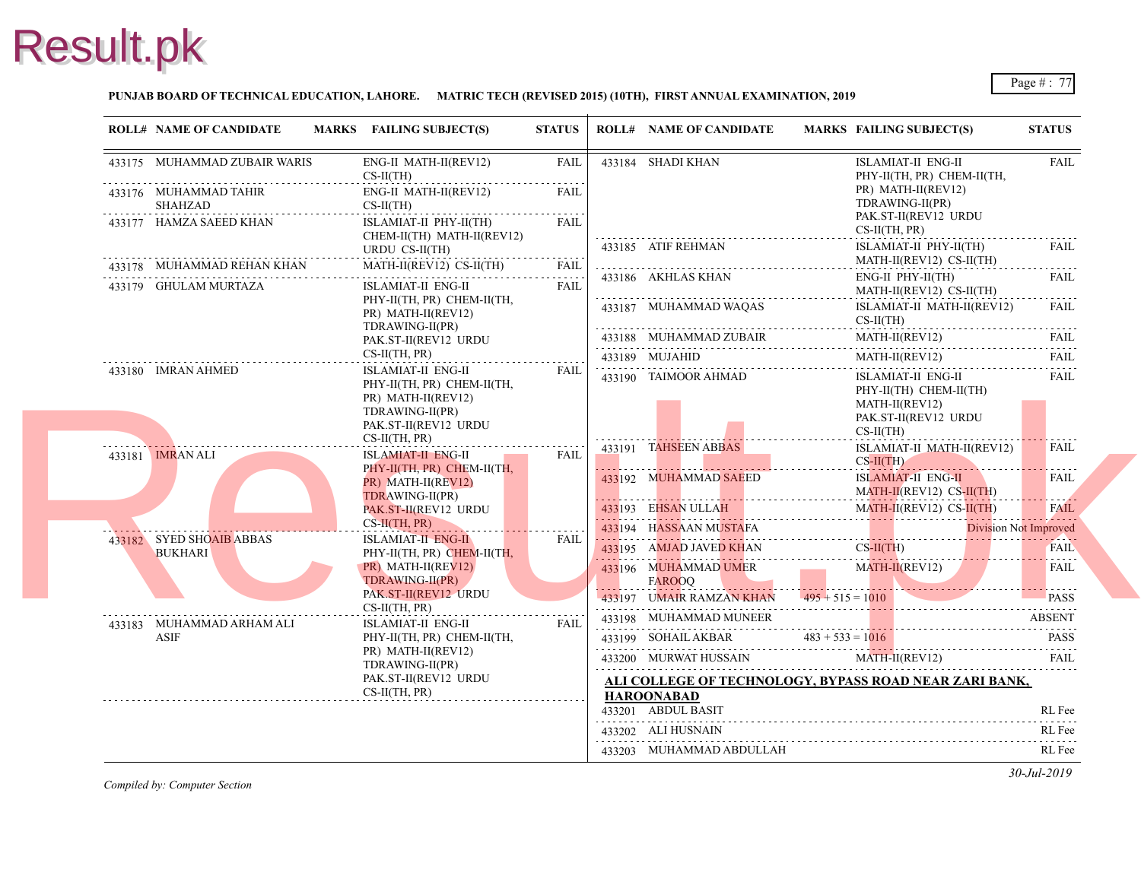

### **PUNJAB BOARD OF TECHNICAL EDUCATION, LAHORE. MATRIC TECH (REVISED 2015) (10TH), FIRST ANNUAL EXAMINATION, 2019**

|                         | <b>ROLL# NAME OF CANDIDATE</b>             |                                                                                  | MARKS FAILING SUBJECT(S)                                               | <b>STATUS</b>              | <b>ROLL# NAME OF CANDIDATE</b>        | <b>MARKS FAIL</b>      |
|-------------------------|--------------------------------------------|----------------------------------------------------------------------------------|------------------------------------------------------------------------|----------------------------|---------------------------------------|------------------------|
|                         | 433175 MUHAMMAD ZUBAIR WARIS               |                                                                                  | ENG-II MATH-II(REV12)<br>$CS-II(TH)$                                   | FAIL<br>.                  | 433184 SHADI KHAN                     | <b>ISLA</b><br>PHY-    |
|                         | 433176 MUHAMMAD TAHIR<br>SHAHZAD           |                                                                                  | ENG-II MATH-II(REV12)<br>$CS-II(TH)$                                   | <b>FAIL</b><br>$- - - - -$ |                                       | PR)<br><b>TDR</b>      |
|                         | 433177 HAMZA SAEED KHAN                    | ISLAMIAT-II PHY-II(TH)<br>CHEM-II(TH) MATH-II(REV12)                             | <b>FAIL</b>                                                            | 433185 ATIF REHMAN         | PAK.<br>$CS-II$<br><b>ISLA</b>        |                        |
|                         | 433178 MUHAMMAD REHAN KHAN                 |                                                                                  | URDU CS-II(TH)<br>MATH-II(REV12) CS-II(TH)                             | <b>FAIL</b>                |                                       | <b>MAT</b>             |
|                         | 433179 GHULAM MURTAZA                      |                                                                                  | ISLAMIAT-II ENG-II                                                     | <b>FAIL</b>                | 433186 AKHLAS KHAN                    | ENG-<br><b>MATI</b>    |
|                         |                                            |                                                                                  | PHY-II(TH, PR) CHEM-II(TH,<br>PR) MATH-II(REV12)<br>TDRAWING-II(PR)    |                            | 433187 MUHAMMAD WAQAS                 | <b>ISLA</b><br>$CS-II$ |
|                         |                                            |                                                                                  | PAK.ST-II(REV12 URDU                                                   |                            | 433188 MUHAMMAD ZUBAIR                | <b>MAT</b>             |
|                         |                                            | $CS-II(TH, PR)$                                                                  |                                                                        | 433189 MUJAHID             | <b>MAT</b>                            |                        |
|                         | 433180 IMRAN AHMED                         |                                                                                  | ISLAMIAT-II ENG-II<br>PHY-II(TH, PR) CHEM-II(TH,<br>PR) MATH-II(REV12) | <b>FAIL</b>                | 433190 TAIMOOR AHMAD                  | <b>ISLA</b><br>PHY-    |
|                         |                                            | TDRAWING-II(PR)<br>PAK.ST-II(REV12 URDU                                          |                                                                        |                            | <b>MAT</b><br>PAK.<br>$CS-II$         |                        |
|                         | $CS-II(TH, PR)$                            |                                                                                  | 433191 TAHSEEN ABBAS                                                   | <b>ISLA</b>                |                                       |                        |
| 433181 <b>IMRAN ALI</b> |                                            |                                                                                  | <b>ISLAMIAT-II ENG-II</b><br>PHY-II(TH, PR) CHEM-II(TH,                | <b>FAIL</b>                |                                       | $CS-H$                 |
|                         |                                            | PR) MATH-II(REV12)<br>TDRAWING-II(PR)<br>PAK.ST-II(REV12 URDU<br>$CS-II(TH, PR)$ |                                                                        | 433192 MUHAMMAD SAEED      | <b>ISLA</b><br><b>MAT</b>             |                        |
|                         |                                            |                                                                                  |                                                                        | 433193 EHSAN ULLAH         | <b>MAT</b>                            |                        |
|                         |                                            |                                                                                  |                                                                        | 433194 HASSAAN MUSTAFA     |                                       |                        |
|                         | 433182 SYED SHOAIB ABBAS<br><b>BUKHARI</b> |                                                                                  | <b>ISLAMIAT-II ENG-II</b><br>PHY-II(TH, PR) CHEM-II(TH,                | FAIL                       | 433195 AMJAD JAVED KHAN               | $CS-H$                 |
|                         |                                            |                                                                                  | PR) MATH-II(REV12)<br>TDRAWING-II(PR)                                  |                            | 433196 MUHAMMAD UMER<br><b>FAROOQ</b> | <b>MAT</b>             |
|                         |                                            |                                                                                  | PAK.ST-II(REV12 URDU                                                   |                            | 433197 UMAIR RAMZAN KHAN              | $495 + 515 = 101$      |
|                         | 433183 MUHAMMAD ARHAM ALI                  |                                                                                  | $CS-II(TH, PR)$<br><b>ISLAMIAT-II ENG-II</b>                           | FAIL                       | 433198 MUHAMMAD MUNEER                |                        |
| ASIF                    |                                            |                                                                                  | PHY-II(TH, PR) CHEM-II(TH,                                             |                            | 433199 SOHAIL AKBAR                   | $483 + 533 = 101$      |
|                         |                                            |                                                                                  | PR) MATH-II(REV12)<br>TDRAWING-II(PR)                                  |                            | 433200 MURWAT HUSSAIN                 | <b>MAT</b>             |
|                         |                                            |                                                                                  | PAK.ST-II(REV12 URDU                                                   |                            | ALI COLLEGE OF TECHNOLOGY, BYPASS R   |                        |
|                         |                                            |                                                                                  | $CS-II(TH, PR)$                                                        |                            | <b>HAROONABAD</b>                     |                        |
|                         |                                            |                                                                                  |                                                                        |                            | 433201 ABDUL BASIT                    |                        |
|                         |                                            |                                                                                  |                                                                        |                            | 433202 ALI HUSNAIN                    |                        |
|                         |                                            |                                                                                  |                                                                        |                            | 433203 MUHAMMAD ABDULLAH              |                        |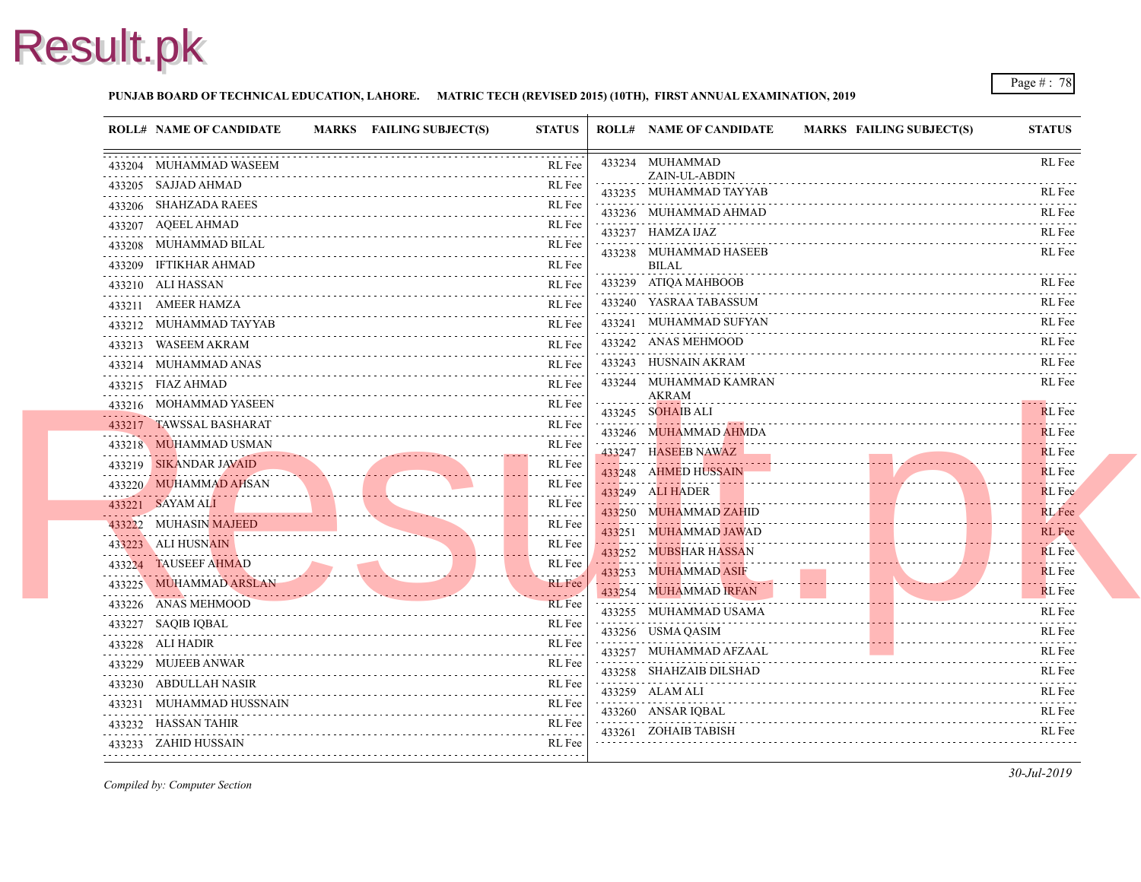#### **PUNJAB BOARD OF TECHNICAL EDUCATION, LAHORE. MATRIC TECH (REVISED 2015) (10TH), FIRST ANNUAL EXAMINATION, 2019**

| <b>ROLL# NAME OF CANDIDATE</b>                      | MARKS FAILING SUBJECT(S) | <b>STATUS</b>                                                  | <b>ROLL# NAME OF CANDIDATE</b>                | <b>MARKS FAIL</b> |
|-----------------------------------------------------|--------------------------|----------------------------------------------------------------|-----------------------------------------------|-------------------|
| 433204 MUHAMMAD WASEEM                              |                          | RL Fee                                                         | 433234 MUHAMMAD<br>ZAIN-UL-ABDIN              |                   |
| 433205 SAJJAD AHMAD                                 |                          | RL Fee<br>.                                                    | 433235 MUHAMMAD TAYYAB                        |                   |
| 433206 SHAHZADA RAEES                               |                          | RL Fee                                                         | 433236 MUHAMMAD AHMAD                         |                   |
| 433207 AQEEL AHMAD<br>.                             |                          | RL Fee                                                         | 433237 HAMZA IJAZ                             |                   |
| 433208 MUHAMMAD BILAL                               |                          | RL Fee                                                         | 433238 MUHAMMAD HASEEB                        |                   |
| 433209 IFTIKHAR AHMAD                               |                          | RL Fee                                                         | <b>BILAL</b>                                  |                   |
| 433210 ALI HASSAN<br>.                              |                          | <b>RL</b> Fee                                                  | 433239 ATIQA MAHBOOB                          |                   |
| 433211 AMEER HAMZA                                  |                          | RL Fee                                                         | 433240 YASRAA TABASSUM                        |                   |
| 433212 MUHAMMAD TAYYAB                              |                          | RL Fee                                                         | 433241 MUHAMMAD SUFYAN                        |                   |
| 433213 WASEEM AKRAM                                 |                          | RL Fee                                                         | 433242 ANAS MEHMOOD                           |                   |
| 433214 MUHAMMAD ANAS                                |                          | RL Fee                                                         | 433243 HUSNAIN AKRAM                          |                   |
| 433215 FIAZ AHMAD                                   |                          | RL Fee                                                         | 433244 MUHAMMAD KAMRAN                        |                   |
| 433216 MOHAMMAD YASEEN                              |                          | .<br>RL Fee                                                    | <b>AKRAM</b><br>433245 SOHAIB ALI             |                   |
| 433217 TAWSSAL BASHARAT                             |                          | RL Fee                                                         | 433246 MUHAMMAD AHMDA                         |                   |
| 433218 MUHAMMAD USMAN                               |                          | RL Fee                                                         | 433247 HASEEB NAWAZ                           |                   |
| 433219 SIKANDAR JAVAID                              |                          | .<br>RL Fee                                                    | 433248 AHMED HUSSAIN                          |                   |
| 433220 MUHAMMAD AHSAN<br>TUJZZU WILINIVIIVITY AHSAN |                          | $\sim$ $\sim$ $\sim$ $\sim$ $\sim$ $\sim$ $\sim$<br>RL Fee     | . <b>. . <del>.</del></b><br>433249 ALI HADER |                   |
| 433221 SAYAM ALI                                    |                          | RL Fee                                                         | 433250 MUHAMMAD ZAHID                         |                   |
| . . <b>.</b><br>433222 MUHASIN MAJEED               |                          | RL Fee                                                         | 433251 MUHAMMAD JAWAD                         |                   |
| 433223 ALI HUSNAIN                                  |                          | .<br>RL Fee                                                    |                                               |                   |
| 433224 TAUSEEF AHMAD                                |                          | $\alpha$ , $\alpha$ , $\alpha$ , $\alpha$ , $\alpha$<br>RL Fee | 433252 MUBSHAR HASSAN<br>433253 MUHAMMAD ASIF |                   |
| 433225 MUHAMMAD ARSLAN                              |                          | RL Fee                                                         | 433254 MUHAMMAD IRFAN                         |                   |
| 433226 ANAS MEHMOOD                                 |                          | <b>RL</b> Fee                                                  |                                               |                   |
| 433227 SAQIB IQBAL                                  |                          | .<br>RL Fee                                                    | 433255 MUHAMMAD USAMA                         |                   |
| 433228 ALI HADIR                                    |                          | RL Fee                                                         | 433256 USMA QASIM                             |                   |
| 433229 MUJEEB ANWAR                                 |                          | RL Fee                                                         | 433257 MUHAMMAD AFZAAL                        |                   |
| 433230 ABDULLAH NASIR                               |                          | RL Fee                                                         | 433258 SHAHZAIB DILSHAD                       |                   |
| 433231 MUHAMMAD HUSSNAIN                            |                          | RL Fee                                                         | 433259 ALAM ALI                               |                   |
| 433232 HASSAN TAHIR                                 |                          | RL Fee                                                         | 433260 ANSAR IQBAL                            |                   |
| 433233 ZAHID HUSSAIN                                |                          | RL Fee                                                         | 433261 ZOHAIB TABISH                          |                   |
|                                                     |                          | -------                                                        |                                               |                   |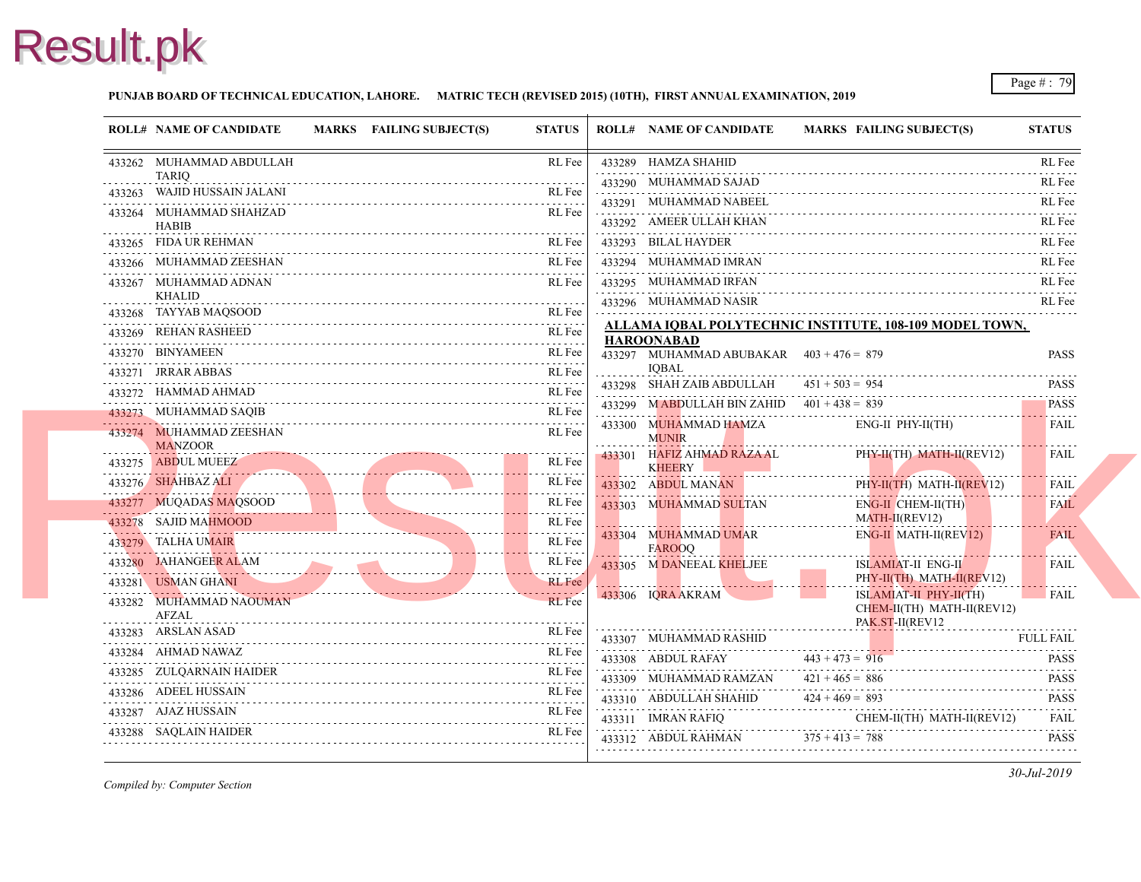#### **PUNJAB BOARD OF TECHNICAL EDUCATION, LAHORE. MATRIC TECH (REVISED 2015) (10TH), FIRST ANNUAL EXAMINATION, 2019**

| <b>ROLL# NAME OF CANDIDATE</b>                        | MARKS FAILING SUBJECT(S)                                                                                                                                                                                                                                                                                         | <b>STATUS</b> | <b>ROLL# NAME OF CANDIDATE</b>                             | <b>MARKS FAIL</b>         |
|-------------------------------------------------------|------------------------------------------------------------------------------------------------------------------------------------------------------------------------------------------------------------------------------------------------------------------------------------------------------------------|---------------|------------------------------------------------------------|---------------------------|
| 433262 MUHAMMAD ABDULLAH                              |                                                                                                                                                                                                                                                                                                                  | RL Fee        | 433289 HAMZA SHAHID                                        |                           |
| <b>TARIQ</b><br>433263 WAJID HUSSAIN JALANI           |                                                                                                                                                                                                                                                                                                                  | RL Fee        | 433290 MUHAMMAD SAJAD                                      |                           |
| 433264 MUHAMMAD SHAHZAD                               |                                                                                                                                                                                                                                                                                                                  | RL Fee        | 433291 MUHAMMAD NABEEL                                     |                           |
| <b>HABIB</b>                                          |                                                                                                                                                                                                                                                                                                                  |               | 433292 AMEER ULLAH KHAN                                    |                           |
| 433265 FIDA UR REHMAN<br>433265 FIDA UR REHMAN RL Fee |                                                                                                                                                                                                                                                                                                                  | RL Fee        | 433293 BILAL HAYDER                                        |                           |
| 433266 MUHAMMAD ZEESHAN                               |                                                                                                                                                                                                                                                                                                                  | RL Fee        | 433294 MUHAMMAD IMRAN                                      |                           |
| 433267 MUHAMMAD ADNAN                                 |                                                                                                                                                                                                                                                                                                                  | RL Fee        | 433295 MUHAMMAD IRFAN                                      |                           |
| <b>KHALID</b><br>433268 TAYYAB MAQSOOD                |                                                                                                                                                                                                                                                                                                                  |               | 433296 MUHAMMAD NASIR                                      |                           |
| 433269 REHAN RASHEED                                  | IAQSOOD RL Fee                                                                                                                                                                                                                                                                                                   | RL Fee        | ALLAMA IQBAL POLYTECHNIC INSTITUTE,                        |                           |
| 433269 REHAN RASHEED RL Fee<br>433270 BINYAMEEN       |                                                                                                                                                                                                                                                                                                                  | RL Fee        | <b>HAROONABAD</b>                                          |                           |
| 433271 JRRAR ABBAS                                    |                                                                                                                                                                                                                                                                                                                  | RL Fee        | 433297 MUHAMMAD ABUBAKAR $403 + 476 = 879$<br><b>IOBAL</b> |                           |
| 433272 HAMMAD AHMAD                                   |                                                                                                                                                                                                                                                                                                                  | RL Fee        | 433298 SHAH ZAIB ABDULLAH                                  | $451 + 503 = 954$         |
| 433273 MUHAMMAD SAQIB                                 |                                                                                                                                                                                                                                                                                                                  | RL Fee        | 433299 MABDULLAH BIN ZAHID $401 + 438 = 839$               |                           |
| 433274 MUHAMMAD ZEESHAN                               |                                                                                                                                                                                                                                                                                                                  | RL Fee        | 433300 MUHAMMAD HAMZA                                      | ENG-                      |
| <b>MANZOOR</b>                                        |                                                                                                                                                                                                                                                                                                                  |               | <b>MUNIR</b>                                               |                           |
| 433275 ABDUL MUEEZ                                    |                                                                                                                                                                                                                                                                                                                  | RL Fee        | 433301 HAFIZ AHMAD RAZA AL<br>KHEERY                       | PHY-                      |
| 433276 SHAHBAZ ALI<br>433276 SHAHBAZ ALI RL Fee       |                                                                                                                                                                                                                                                                                                                  | RL Fee        | 433302 ABDUL MANAN                                         | PHY-                      |
| 433277 MUQADAS MAQSOOD                                | QADAS MAQSOOD RL Fee                                                                                                                                                                                                                                                                                             | RL Fee        | 433303 MUHAMMAD SULTAN                                     | ENG-                      |
| 433278 SAJID MAHMOOD                                  | $J_D$ $\kappa$ $\kappa$ r $\kappa$ r $\kappa$ r $\kappa$ r $\kappa$ r $\kappa$ r $\kappa$ r $\kappa$ r $\kappa$ r $\kappa$ r $\kappa$ r $\kappa$ r $\kappa$ r $\kappa$ r $\kappa$ r $\kappa$ r $\kappa$ r $\kappa$ r $\kappa$ r $\kappa$ r $\kappa$ r $\kappa$ r $\kappa$ r $\kappa$ r $\kappa$ r $\kappa$ r $\$ | RL Fee        |                                                            | <b>MAT</b>                |
| 433279 TALHA UMAIR                                    |                                                                                                                                                                                                                                                                                                                  | RL Fee        | 433304 MUHAMMAD UMAR<br><b>FAROOO</b>                      | ENG-                      |
| 433280 JAHANGEER ALAM<br>433280 JAHANGEER ALAM RL Fee |                                                                                                                                                                                                                                                                                                                  | RL Fee        | 433305 M DANEEAL KHELJEE                                   | <b>ISLA</b>               |
| 433281 USMAN GHANI<br>433281 USMAN GHANI KL Fee       |                                                                                                                                                                                                                                                                                                                  | <b>RL</b> Fee |                                                            | PHY-                      |
| 433282 MUHAMMAD NAOUMAN                               |                                                                                                                                                                                                                                                                                                                  | RL Fee        | 433306 IQRA AKRAM                                          | <b>ISLA</b><br><b>CHE</b> |
| AFZAL<br>433283 ARSLAN ASAD                           |                                                                                                                                                                                                                                                                                                                  | RL Fee        |                                                            | PAK.                      |
| 433284 AHMAD NAWAZ                                    |                                                                                                                                                                                                                                                                                                                  | RL Fee        | 433307 MUHAMMAD RASHID                                     |                           |
| 433285 ZULQARNAIN HAIDER                              |                                                                                                                                                                                                                                                                                                                  | RL Fee        | 433308 ABDUL RAFAY                                         | $443 + 473 = 916$         |
| 433286 ADEEL HUSSAIN                                  |                                                                                                                                                                                                                                                                                                                  | RL Fee        | 433309 MUHAMMAD RAMZAN                                     | $421 + 465 = 886$         |
| 433287 AJAZ HUSSAIN                                   |                                                                                                                                                                                                                                                                                                                  | RL Fee        | 433310 ABDULLAH SHAHID                                     | $424 + 469 = 893$         |
|                                                       |                                                                                                                                                                                                                                                                                                                  | RL Fee        | 433311 IMRAN RAFIO                                         | <b>CHE</b>                |
|                                                       |                                                                                                                                                                                                                                                                                                                  |               | 433312 ABDUL RAHMAN $375 + 413 = 788$                      |                           |
|                                                       |                                                                                                                                                                                                                                                                                                                  |               |                                                            |                           |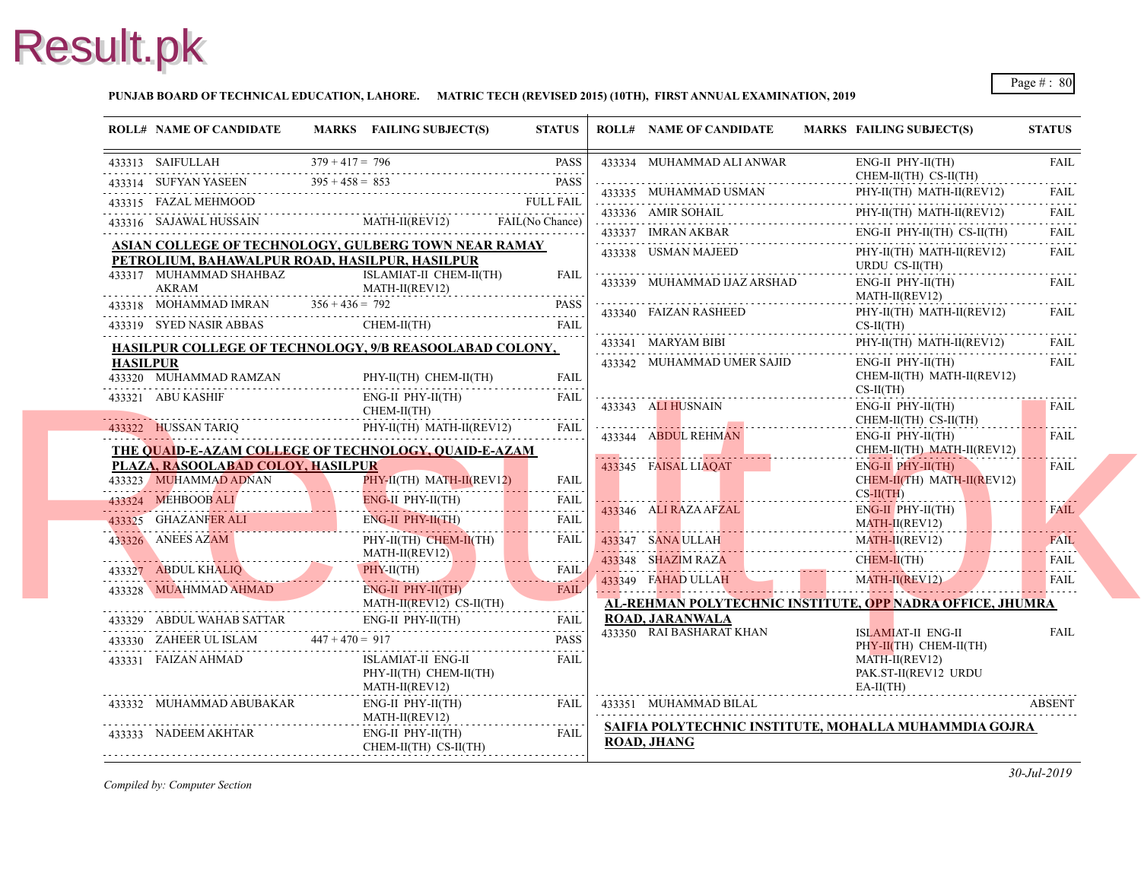#### **PUNJAB BOARD OF TECHNICAL EDUCATION, LAHORE. MATRIC TECH (REVISED 2015) (10TH), FIRST ANNUAL EXAMINATION, 2019**

|                 | <b>ROLL# NAME OF CANDIDATE</b>                                                                                                                                                                                                                                                                                                                                                                                                              | MARKS FAILING SUBJECT(S) | <b>STATUS</b> | <b>ROLL# NAME OF CANDIDATE</b>       | <b>MARKS FAIL</b>   |
|-----------------|---------------------------------------------------------------------------------------------------------------------------------------------------------------------------------------------------------------------------------------------------------------------------------------------------------------------------------------------------------------------------------------------------------------------------------------------|--------------------------|---------------|--------------------------------------|---------------------|
|                 | 433313 SAIFULLAH $379 + 417 = 796$ PASS                                                                                                                                                                                                                                                                                                                                                                                                     |                          | PASS          | 433334 MUHAMMAD ALI ANWAR            | ENG-                |
|                 | 433314 SUFYAN YASEEN $395 + 458 = 853$ PASS                                                                                                                                                                                                                                                                                                                                                                                                 |                          |               |                                      | <b>CHE</b>          |
|                 |                                                                                                                                                                                                                                                                                                                                                                                                                                             |                          |               | 433335 MUHAMMAD USMAN                | PHY-                |
|                 |                                                                                                                                                                                                                                                                                                                                                                                                                                             |                          |               | $433336$ AMIR SOHAIL                 | PHY-                |
|                 |                                                                                                                                                                                                                                                                                                                                                                                                                                             |                          |               | $433337$ IMRAN AKBAR ENG             | ENG-                |
|                 | ASIAN COLLEGE OF TECHNOLOGY, GULBERG TOWN NEAR RAMAY                                                                                                                                                                                                                                                                                                                                                                                        |                          |               | 433338 USMAN MAJEED                  | PHY-                |
|                 | PETROLIUM, BAHAWALPUR ROAD, HASILPUR, HASILPUR<br>433317 MUHAMMAD SHAHBAZ                                                                                                                                                                                                                                                                                                                                                                   | ISLAMIAT-II CHEM-II(TH)  | <b>FAIL</b>   |                                      | <b>URD</b>          |
|                 |                                                                                                                                                                                                                                                                                                                                                                                                                                             | MATH-II(REV12)           |               | 433339 MUHAMMAD IJAZ ARSHAD          | ENG-                |
|                 | $\begin{tabular}{c c c c} \multicolumn{1}{c }{\textbf{433317}} & {\textbf{MUHAMMAD SHAHBAZ}} & & & \textbf{\overline{ISLAM}}\\ \multicolumn{1}{c }{\textbf{AKRAM}} & {\textbf{MATH}}\\ \multicolumn{1}{c }{\textbf{433318}} & {\textbf{MOHAMMAD IMRAN}} & {\textbf{356 + 436 = 792}} \end{tabular}$<br>433318 MOHAMMAD IMRAN $356 + 436 = 792$ PASS                                                                                         |                          | <b>PASS</b>   | 433340 FAIZAN RASHEED                | <b>MAT</b><br>PHY-  |
|                 | $433319$ SYED NASIR ABBAS                                                                                                                                                                                                                                                                                                                                                                                                                   | CHEM-II(TH) FAIL         | FAIL          |                                      | $CS-II$             |
|                 | HASILPUR COLLEGE OF TECHNOLOGY, 9/B REASOOLABAD COLONY,                                                                                                                                                                                                                                                                                                                                                                                     |                          |               | 433341 MARYAM BIBI                   | PHY-                |
| <b>HASILPUR</b> |                                                                                                                                                                                                                                                                                                                                                                                                                                             |                          |               | 433342 MUHAMMAD UMER SAJID           | ENG-                |
|                 | 433320 MUHAMMAD RAMZAN<br>MMAD RAMZAN<br>------------------------------                                                                                                                                                                                                                                                                                                                                                                     | PHY-II(TH) CHEM-II(TH)   | <b>FAIL</b>   |                                      | <b>CHE</b>          |
|                 | 433321 ABU KASHIF                                                                                                                                                                                                                                                                                                                                                                                                                           | ENG-II PHY-II(TH)        | FAIL          |                                      | $CS-H$              |
|                 |                                                                                                                                                                                                                                                                                                                                                                                                                                             | CHEM-II(TH)              |               | 433343 ALI HUSNAIN                   | ENG-                |
|                 | 433322 HUSSAN TARIQ PHY-II(TH) MATH-II(REV12)                                                                                                                                                                                                                                                                                                                                                                                               |                          | <b>FAIL</b>   | 433344 ABDUL REHMAN                  | <b>CHE</b><br>ENG-  |
|                 | THE QUAID-E-AZAM COLLEGE OF TECHNOLOGY, QUAID-E-AZAM                                                                                                                                                                                                                                                                                                                                                                                        |                          |               |                                      | <b>CHE</b>          |
|                 | PLAZA, RASOOLABAD COLOY, HASILPUR                                                                                                                                                                                                                                                                                                                                                                                                           |                          |               | 433345 FAISAL LIAQAT                 | ENG-                |
|                 | 433323 MUHAMMAD ADNAN<br>433323 MUHAMMAD ADNAN PHY-II(TH) MATH-II(REV12) FAIL                                                                                                                                                                                                                                                                                                                                                               |                          |               |                                      | <b>CHE</b>          |
|                 | 433324 MEHBOOB ALI ENG-II PHY-II(TH)                                                                                                                                                                                                                                                                                                                                                                                                        |                          | <b>FAIL</b>   | .                                    | $CS-H$              |
|                 | 433325 GHAZANFER ALI ENG-II                                                                                                                                                                                                                                                                                                                                                                                                                 | ENG-II PHY-II(TH)        | .<br>FAIL     | 433346 ALI RAZA AFZAL                | ENG-<br><b>MAT</b>  |
|                 | 433326 ANEES AZAM                                                                                                                                                                                                                                                                                                                                                                                                                           | PHY-II(TH) CHEM-II(TH)   | <b>FAIL</b>   |                                      | <b>MAT</b>          |
|                 |                                                                                                                                                                                                                                                                                                                                                                                                                                             | $MATH-II(REV12)$         | .             | 433347 SANA ULLAH MAT                | <b>CHE</b>          |
|                 | 433327 ABDUL KHALIQ PHY-II(TH) FAIL                                                                                                                                                                                                                                                                                                                                                                                                         | PHY-II(TH)               |               | 433348 SHAZIM RAZA CHE               |                     |
|                 |                                                                                                                                                                                                                                                                                                                                                                                                                                             | ENG-II PHY-II(TH)        | <b>FAIL</b>   | 433349 FAHAD ULLAH                   | <b>MAT</b>          |
|                 | 433328 MUAHMMAD AHMAD                                                                                                                                                                                                                                                                                                                                                                                                                       | MATH-II(REV12) CS-II(TH) |               | AL-REHMAN POLYTECHNIC INSTITUTE, OP  |                     |
|                 |                                                                                                                                                                                                                                                                                                                                                                                                                                             |                          |               | <b>ROAD, JARANWALA</b>               |                     |
|                 | $\begin{tabular}{ll} \hline 433329 & ABDUL WAHAB SATIAR & ENG-II PHY-II(TH) & FAIL \\ \hline \end{tabular} \begin{tabular}{ll} \hline \textbf{FAIL} & \textbf{ENG-II PHYS-II(TH)} \\ \hline \end{tabular} \begin{tabular}{ll} \hline \textbf{FAIS} & \textbf{FAIS} \\ \hline \end{tabular} \end{tabular} \begin{tabular}{ll} \hline \textbf{FAIS} \\ \hline \end{tabular} \begin{tabular}{ll} \hline \textbf{FAIS} \\ \hline \end{tabular}$ |                          |               | 433350 RAI BASHARAT KHAN             | <b>ISLA</b><br>PHY- |
|                 | 433331 FAIZAN AHMAD                                                                                                                                                                                                                                                                                                                                                                                                                         | ISLAMIAT-II ENG-II       | FAIL          |                                      | <b>MAT</b>          |
|                 |                                                                                                                                                                                                                                                                                                                                                                                                                                             | PHY-II(TH) CHEM-II(TH)   |               |                                      | PAK.                |
|                 | 433332 MUHAMMAD ABUBAKAR                                                                                                                                                                                                                                                                                                                                                                                                                    | MATH-II(REV12)           |               | 433351 MUHAMMAD BILAL                | EA-II               |
|                 | $MATH-II (REV12)$                                                                                                                                                                                                                                                                                                                                                                                                                           | ENG-II PHY-II(TH)        | <b>FAIL</b>   |                                      |                     |
|                 | 433333 NADEEM AKHTAR                                                                                                                                                                                                                                                                                                                                                                                                                        | ENG-II PHY-II(TH)        | FAIL          | SAIFIA POLYTECHNIC INSTITUTE, MOHALI |                     |
|                 |                                                                                                                                                                                                                                                                                                                                                                                                                                             | CHEM-II(TH) CS-II(TH)    |               | <b>ROAD, JHANG</b>                   |                     |
|                 |                                                                                                                                                                                                                                                                                                                                                                                                                                             |                          |               |                                      |                     |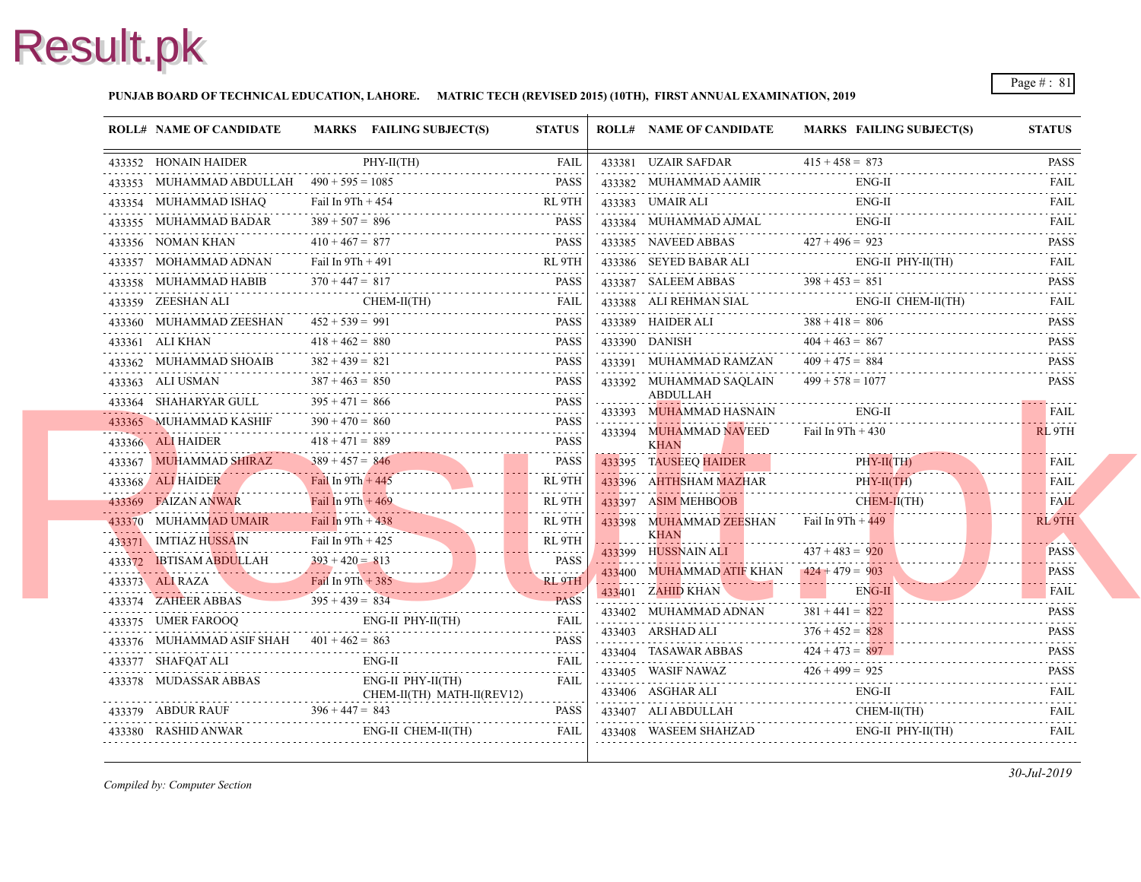#### **PUNJAB BOARD OF TECHNICAL EDUCATION, LAHORE. MATRIC TECH (REVISED 2015) (10TH), FIRST ANNUAL EXAMINATION, 2019**

| <b>ROLL# NAME OF CANDIDATE</b>              |                     | MARKS FAILING SUBJECT(S)                                                                                                                               | <b>STATUS</b> |   | <b>ROLL# NAME OF CANDIDATE</b>                                                       | <b>MARKS FAIL</b>  |
|---------------------------------------------|---------------------|--------------------------------------------------------------------------------------------------------------------------------------------------------|---------------|---|--------------------------------------------------------------------------------------|--------------------|
| 433352 HONAIN HAIDER                        |                     | $PHY-II(TH)$<br>433352 HONAIN HAIDER PHY-II(TH) FAIL                                                                                                   | FAIL          |   | 433381 UZAIR SAFDAR                                                                  | $415 + 458 = 873$  |
| 433353 MUHAMMAD ABDULLAH $490 + 595 = 1085$ |                     | 433353 MUHAMMAD ABDULLAH $490 + 595 = 1085$ PASS                                                                                                       | <b>PASS</b>   |   | 433382 MUHAMMAD AAMIR<br>433382 MUHAMMAD AAMIR EN                                    | ENG-               |
| 433354 MUHAMMAD ISHAO                       | Fail In $9Th + 454$ |                                                                                                                                                        | RL 9TH        |   | 433383 UMAIR ALI                                                                     | ENG-               |
| 433355 MUHAMMAD BADAR                       | $389 + 507 = 896$   | 433355 MUHAMMAD BADAR $389 + 507 = 896$ PASS                                                                                                           | <b>PASS</b>   |   | 433384 MUHAMMAD AJMAL                                                                | ENG-               |
| 433356 NOMAN KHAN                           | $410 + 467 = 877$   | 433356 NOMAN KHAN $410 + 467 = 877$ PASS                                                                                                               | <b>PASS</b>   |   | 433385 NAVEED ABBAS<br>433385 NAVEED ABBAS $427 + 496 = 923$                         |                    |
|                                             | Fail In $9Th + 491$ | $433357$ MOHAMMAD ADNAN Fail In $9Th + 491$ RL $9TH + 491$                                                                                             |               |   | 433386 SEYED BABAR ALI ENG                                                           | ENG-               |
| 433358 MUHAMMAD HABIB                       | $370 + 447 = 817$   | 433358 MUHAMMAD HABIB $370 + 447 = 817$ PASS                                                                                                           |               |   | $398 + 453 = 851$<br>$398 + 453 = 851$                                               |                    |
|                                             |                     | ${\bf 433359} \hspace{0.2cm} {\bf ZEESHAN ALI} \hspace{0.3cm} {\bf CHEM-II(TH)} \hspace{0.3cm} {\bf FAIL}$                                             |               |   | 433388 ALI REHMAN SIAL                                                               | ENG-               |
| 433360 MUHAMMAD ZEESHAN $452 + 539 = 991$   |                     | 433360 MUHAMMAD ZEESHAN $452 + 539 = 991$ PASS                                                                                                         |               |   | 433389 HAIDER ALI $388 + 418 = 806$                                                  |                    |
| 433361 ALI KHAN                             | $418 + 462 = 880$   | 433361 ALI KHAN $418 + 462 = 880$ PASS                                                                                                                 | <b>PASS</b>   |   | 433390 DANISH $404 + 463 = 867$                                                      |                    |
| 433362 MUHAMMAD SHOAIB                      | $382 + 439 = 821$   | 433362 MUHAMMAD SHOAIB $382 + 439 = 821$ PASS                                                                                                          |               |   | 433391 MUHAMMAD RAMZAN                                                               | $409 + 475 = 884$  |
| 433363 ALI USMAN                            | $387 + 463 = 850$   | 433363 ALI USMAN $387 + 463 = 850$ PASS                                                                                                                | <b>PASS</b>   |   | 433392 MUHAMMAD SAQLAIN                                                              | $499 + 578 = 107'$ |
| 433364 SHAHARYAR GULL                       | $395 + 471 = 866$   | $-433364$ SHAHARYAR GULL $395 + 471 = 866$ PASS                                                                                                        |               |   | <b>ABDULLAH</b><br>433393 MUHAMMAD HASNAIN                                           | ENG-               |
| 433365 MUHAMMAD KASHIF                      | $390 + 470 = 860$   | 433365 MUHAMMAD KASHIF $390 + 470 = 860$ PASS                                                                                                          |               |   |                                                                                      | Fail In 9Th + 430  |
| 433366 ALI HAIDER                           | $418 + 471 = 889$   |                                                                                                                                                        | <b>PASS</b>   |   | 433394 MUHAMMAD NAVEED<br><b>KHAN</b>                                                |                    |
| 433367 MUHAMMAD SHIRAZ                      | $389 + 457 = 846$   | $433367$ MUHAMMAD SHIRAZ $389 + 457 = 846$ PASS                                                                                                        | <b>PASS</b>   |   | 433395 TAUSEEO HAIDER                                                                | PHY-               |
| 433368 ALI HAIDER<br>433368 ALI HAIDER      |                     | Fail In 9Th + 445                                                                                                                                      | RL 9TH        |   | 433396 AHTHSHAM MAZHAR<br>433396 AHTHSHAM MAZHAR PHY                                 | PHY-               |
|                                             |                     | Fail In 9Th + 469<br>433370 MUHAMMAD UMAIR Fail In 9Th + 438<br>Fail In 9Th + 438                                                                      |               |   | 433397 ASIM MEHBOOB                                                                  | <b>CHE</b>         |
|                                             |                     |                                                                                                                                                        |               |   | $433398$ MUHAMMAD ZEESHAN Fail In 9Th + 449                                          |                    |
| 433371 IMTIAZ HUSSAIN                       |                     | Fail In $9Th + 425$<br>RL $9TH$                                                                                                                        |               | . | <b>KHAN</b><br>433399 HUSSNAIN ALI                                                   | $437 + 483 = 920$  |
| 433372 IBTISAM ABDULLAH                     | $393 + 420 = 813$   | $433372$ IBTISAM ABDULLAH $393 + 420 = 813$ PASS                                                                                                       |               |   | 433400 MUHAMMAD ATIF KHAN $424 + 479 = 903$                                          |                    |
| 433373 ALI RAZA                             | Fail In $9Th + 385$ | 433373 ALIRAZA Fail In 9Th + 385 RL 9TH                                                                                                                |               |   | 433401 ZAHID KHAN                                                                    | ENG-               |
| 433374 ZAHEER ABBAS                         |                     | $395 + 439 = 834$<br>$395 + 439 = 834$ PASS                                                                                                            |               |   | 433402 MUHAMMAD ADNAN                                                                | $381 + 441 = 822$  |
|                                             |                     | $\begin{tabular}{ll} \bf 433375 & \tt UMER FAROOQ & \tt ENG-II PHY-II(TH) & \tt FAIL \\ \bf \end{tabular}$                                             |               |   |                                                                                      |                    |
| 433376 MUHAMMAD ASIF SHAH $401 + 462 = 863$ |                     | 433376 MUHAMMAD ASIF SHAH $401 + 462 = 863$ PASS                                                                                                       |               |   | 433403 ARSHAD ALI $376 + 452 = 828$                                                  |                    |
|                                             |                     | ENG-II                                                                                                                                                 | FAIL          |   | 433404 TASAWAR ABBAS $424 + 473 = 897$                                               |                    |
| 433378 MUDASSAR ABBAS                       |                     | ENG-II PHY-II(TH)<br>CHEM-II(TH) MATH-II(REV12)                                                                                                        | <b>FAIL</b>   |   | 433405 WASIF NAWAZ $426 + 499 = 925$<br>433406 ASGHAR ALI<br>$433406$ ASGHAR ALI ENG | ENG-               |
|                                             |                     | 433379 ABDUR RAUF $396 + 447 = 843$ PASS                                                                                                               | <b>PASS</b>   |   | 433407 ALI ABDULLAH                                                                  | <b>CHE</b>         |
|                                             |                     | $\begin{tabular}{lllllllll} \bf 433380 & RASHID ANWAR & \bf \multicolumn{3}{l}{{\bf ENG-II~CHEM-II(TH)}} & \bf \multicolumn{3}{l}{FAIL} \end{tabular}$ | FAIL          |   | 433408 WASEEM SHAHZAD                                                                | ENG-               |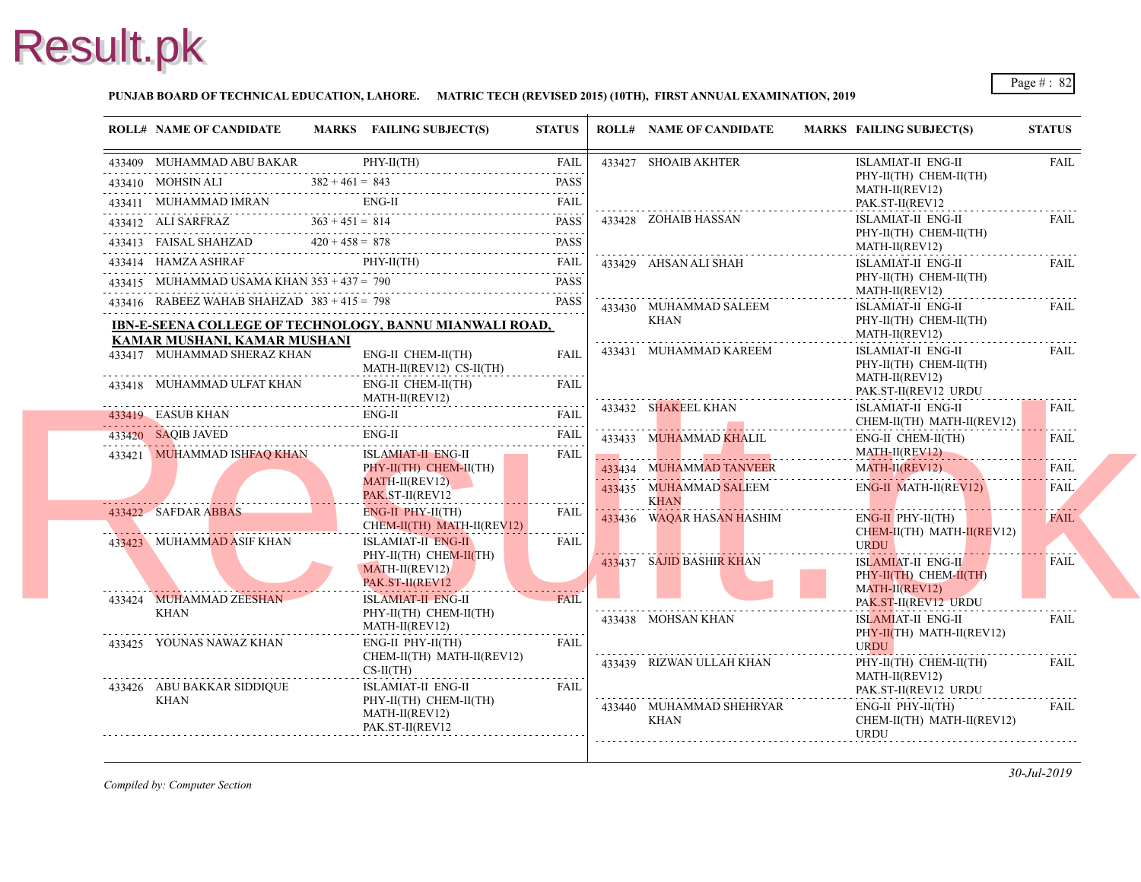

#### **PUNJAB BOARD OF TECHNICAL EDUCATION, LAHORE. MATRIC TECH (REVISED 2015) (10TH), FIRST ANNUAL EXAMINATION, 2019**

| <b>ROLL# NAME OF CANDIDATE</b>                                                                                                                                                                                                                                                                                                                                                                            |                                                     | MARKS FAILING SUBJECT(S)                                           | <b>STATUS</b>           | <b>ROLL# NAME OF CANDIDATE</b>           | <b>MARKS FAIL</b>                |
|-----------------------------------------------------------------------------------------------------------------------------------------------------------------------------------------------------------------------------------------------------------------------------------------------------------------------------------------------------------------------------------------------------------|-----------------------------------------------------|--------------------------------------------------------------------|-------------------------|------------------------------------------|----------------------------------|
| 433409 MUHAMMAD ABU BAKAR PHY-II(TH) FAIL                                                                                                                                                                                                                                                                                                                                                                 |                                                     |                                                                    | FAIL                    | 433427 SHOAIB AKHTER                     | <b>ISLA</b>                      |
| 433410 MOHSINALI $382 + 461 = 843$ PASS                                                                                                                                                                                                                                                                                                                                                                   |                                                     |                                                                    |                         |                                          | PHY-<br><b>MAT</b>               |
| 433411 MUHAMMAD IMRAN ENG-II<br>433411 MUHAMMAD IMRAN ENG-II FAIL FAIL                                                                                                                                                                                                                                                                                                                                    |                                                     |                                                                    |                         |                                          | PAK.                             |
|                                                                                                                                                                                                                                                                                                                                                                                                           |                                                     |                                                                    |                         | 433428 ZOHAIB HASSAN                     | <b>ISLA</b>                      |
|                                                                                                                                                                                                                                                                                                                                                                                                           |                                                     |                                                                    |                         |                                          | PHY-<br><b>MAT</b>               |
| $\begin{tabular}{c c c c c} \hline \textbf{433412} & \textbf{ALI SARFRAZ} & \textbf{363 + 451 = 814} & \textbf{PASS} \\ \hline \textbf{433413} & \textbf{FAISAL SHAHZAD} & \textbf{420 + 458 = 878} & \textbf{PASS} \\ \hline \textbf{433414} & \textbf{HAMZA ASHAKAF} & \textbf{PHY-II(TH)} & \textbf{FAIL} \\ \hline \textbf{133414} & \textbf{HAMZA ASHRAF} & \textbf{PHY-II(TH)} & \textbf{FAL} \\ \$ |                                                     |                                                                    |                         | 433429 AHSAN ALI SHAH                    | <b>ISLA</b>                      |
| 433415 MUHAMMAD USAMA KHAN $353 + 437 = 790$                                                                                                                                                                                                                                                                                                                                                              |                                                     | HAMMAD USAMA KHAN 353 + 437 = 790 PASS                             | PASS                    |                                          | PHY-<br><b>MAT</b>               |
| 433416 RABEEZ WAHAB SHAHZAD 383 + 415 = 798 PASS                                                                                                                                                                                                                                                                                                                                                          |                                                     |                                                                    |                         | 433430 MUHAMMAD SALEEM                   | <b>ISLA</b>                      |
| <b>IBN-E-SEENA COLLEGE OF TECHNOLOGY, BANNU MIANWALI ROAD,</b>                                                                                                                                                                                                                                                                                                                                            |                                                     |                                                                    |                         | <b>KHAN</b>                              | PHY-                             |
| KAMAR MUSHANI, KAMAR MUSHANI                                                                                                                                                                                                                                                                                                                                                                              |                                                     |                                                                    |                         |                                          | <b>MAT</b>                       |
|                                                                                                                                                                                                                                                                                                                                                                                                           | 433417 MUHAMMAD SHERAZ KHAN<br>ENG-II CHEM-II(TH)   |                                                                    | <b>FAIL</b>             | 433431 MUHAMMAD KAREEM                   | <b>ISLA</b><br>PHY-              |
| 433418 MUHAMMAD ULFAT KHAN                                                                                                                                                                                                                                                                                                                                                                                |                                                     | MATH-II(REV12) CS-II(TH)<br>ENG-II CHEM-II(TH)<br>$MATH-II(REV12)$ | <b>FAIL</b>             |                                          | <b>MAT</b><br>PAK.               |
| 433419 EASUB KHAN<br><u>133419</u> EASUB KHAN ENG-II EAIL FAIL FAIL                                                                                                                                                                                                                                                                                                                                       |                                                     | $ENG-II$                                                           |                         | 433432 SHAKEEL KHAN                      | <b>ISLA</b><br><b>CHE</b>        |
|                                                                                                                                                                                                                                                                                                                                                                                                           |                                                     | $ENG-II$                                                           |                         | 433433 MUHAMMAD KHALIL                   | ENG-                             |
| 433420 SAQIB JAVED ENG-II FAIL<br>433421 MUHAMMAD ISHFAQ KHAN                                                                                                                                                                                                                                                                                                                                             | <b>ISLAMIAT-II ENG-II</b><br>PHY-II(TH) CHEM-II(TH) | FAIL                                                               |                         | <b>MAT</b>                               |                                  |
|                                                                                                                                                                                                                                                                                                                                                                                                           |                                                     |                                                                    | 433434 MUHAMMAD TANVEER | <b>MAT</b>                               |                                  |
|                                                                                                                                                                                                                                                                                                                                                                                                           |                                                     | MATH-II(REV12)<br>PAK ST-II(REV12                                  |                         | 433435 MUHAMMAD SALEEM                   | ENG-                             |
| 433422 SAFDAR ABBAS                                                                                                                                                                                                                                                                                                                                                                                       |                                                     | $ENG-II$ $PHY-II(TH)$<br>CHEM-II(TH) MATH-II(REV12)                | <b>FAIL</b>             | <b>KHAN</b><br>433436 WAQAR HASAN HASHIM | ENG-<br><b>CHE</b>               |
| 433423 MUHAMMAD ASIF KHAN                                                                                                                                                                                                                                                                                                                                                                                 |                                                     | <b>ISLAMIAT-II ENG-II</b>                                          | <b>FAIL</b>             |                                          | <b>URD</b>                       |
|                                                                                                                                                                                                                                                                                                                                                                                                           |                                                     | $PHY-II(TH)$ CHEM-II(TH)<br>MATH-II(REV12)<br>PAK.ST-II(REV12      |                         | 433437 SAJID BASHIR KHAN                 | <b>ISLA</b><br>PHY-              |
| 433424 MUHAMMAD ZEESHAN                                                                                                                                                                                                                                                                                                                                                                                   |                                                     | ISLAMIAT-II ENG-II                                                 | <b>FAIL</b>             |                                          | <b>MAT</b><br>PAK.               |
| KHAN                                                                                                                                                                                                                                                                                                                                                                                                      |                                                     | PHY-II(TH) CHEM-II(TH)<br>MATH-II(REV12)                           |                         | 433438 MOHSAN KHAN                       | <b>ISLA</b>                      |
| 433425 YOUNAS NAWAZ KHAN                                                                                                                                                                                                                                                                                                                                                                                  |                                                     | $ENG-II$ $PHY-II(TH)$                                              | FAIL                    |                                          | PHY-                             |
|                                                                                                                                                                                                                                                                                                                                                                                                           |                                                     | CHEM-II(TH) MATH-II(REV12)                                         |                         | 433439 RIZWAN ULLAH KHAN                 | <b>URD</b><br>PHY-               |
|                                                                                                                                                                                                                                                                                                                                                                                                           |                                                     | $CS-II(TH)$                                                        |                         |                                          | <b>MAT</b>                       |
| 433426 ABU BAKKAR SIDDIQUE<br><b>KHAN</b>                                                                                                                                                                                                                                                                                                                                                                 |                                                     | <b>ISLAMIAT-II ENG-II</b><br>PHY-II(TH) CHEM-II(TH)                | <b>FAIL</b>             |                                          | PAK.                             |
|                                                                                                                                                                                                                                                                                                                                                                                                           |                                                     | MATH-II(REV12)<br>PAK.ST-II(REV12                                  |                         | 433440 MUHAMMAD SHEHRYAR<br><b>KHAN</b>  | ENG-<br><b>CHE</b><br><b>URD</b> |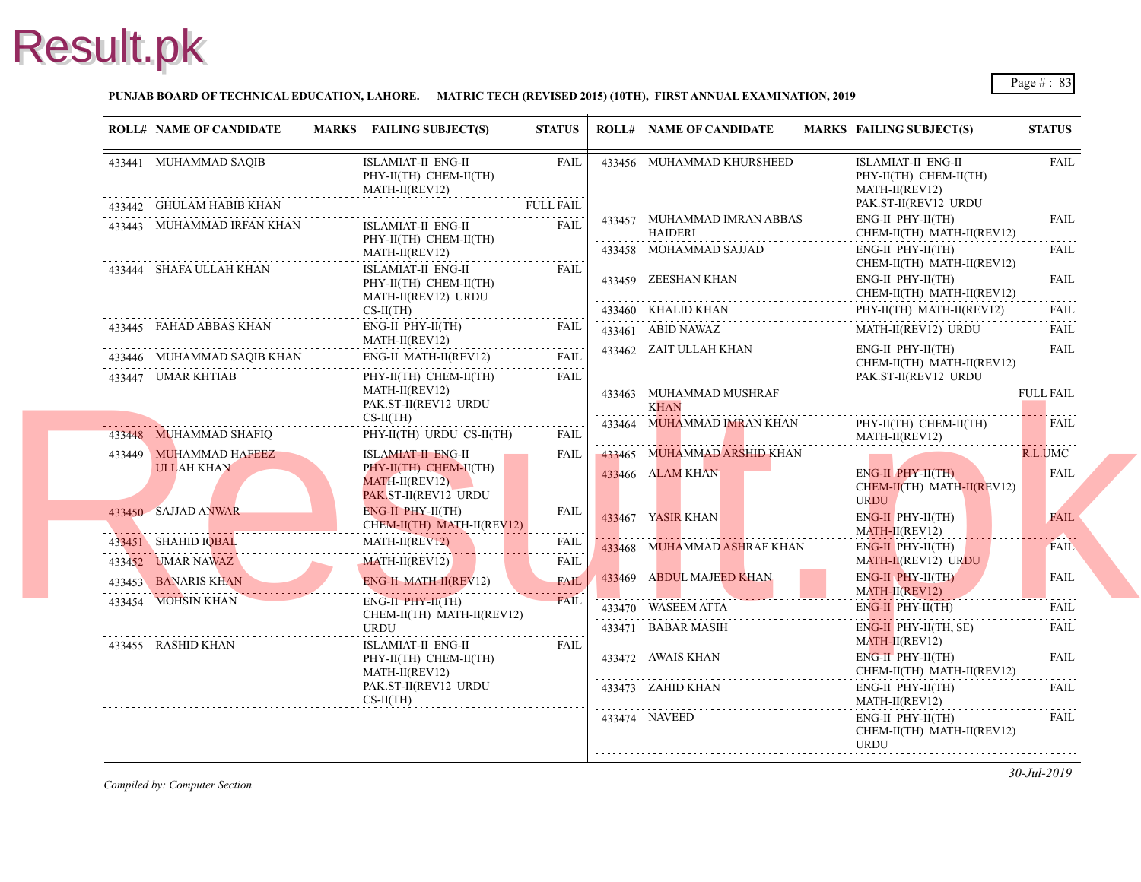#### **PUNJAB BOARD OF TECHNICAL EDUCATION, LAHORE. MATRIC TECH (REVISED 2015) (10TH), FIRST ANNUAL EXAMINATION, 2019**

| <b>ROLL# NAME OF CANDIDATE</b>              | MARKS FAILING SUBJECT(S)                                                               | <b>STATUS</b>          |   | <b>ROLL# NAME OF CANDIDATE</b>                                       | <b>MARKS FAIL</b> |                                   |
|---------------------------------------------|----------------------------------------------------------------------------------------|------------------------|---|----------------------------------------------------------------------|-------------------|-----------------------------------|
| 433441 MUHAMMAD SAQIB                       | ISLAMIAT-II ENG-II<br>PHY-II(TH) CHEM-II(TH)<br>MATH-II(REV12)                         | <b>FAIL</b><br>.       |   | 433456 MUHAMMAD KHURSHEED                                            |                   | <b>ISLA</b><br>PHY-<br><b>MAT</b> |
| 433442 GHULAM HABIB KHAN                    |                                                                                        | <b>FULL FAIL</b><br>.  |   |                                                                      |                   | PAK.                              |
| 433443 MUHAMMAD IRFAN KHAN                  | ISLAMIAT-II ENG-II<br>PHY-II(TH) CHEM-II(TH)<br>MATH-II(REV12)                         | <b>FAIL</b>            | . | 433457 MUHAMMAD IMRAN ABBAS<br>HAIDERI<br>433458 MOHAMMAD SAJJAD     |                   | ENG-<br><b>CHE</b><br>ENG-        |
| 433444 SHAFA ULLAH KHAN                     | ISLAMIAT-II ENG-II<br>PHY-II(TH) CHEM-II(TH)<br>MATH-II(REV12) URDU                    | FAIL                   |   | 433459 ZEESHAN KHAN                                                  |                   | <b>CHE</b><br>ENG-<br><b>CHE</b>  |
|                                             | $CS-H(TH)$                                                                             |                        |   | 433460 KHALID KHAN                                                   |                   | PHY-                              |
| 433445 FAHAD ABBAS KHAN                     | ENG-II PHY-II(TH)<br>MATH-II(REV12)                                                    | FAIL                   |   | 433461 ABID NAWAZ                                                    |                   | <b>MAT</b>                        |
| 433446 MUHAMMAD SAQIB KHAN                  | ENG-II MATH-II(REV12)                                                                  | <b>FAIL</b>            |   | 433462 ZAIT ULLAH KHAN                                               |                   | ENG-<br><b>CHE</b>                |
| 433447 UMAR KHTIAB                          | PHY-II(TH) CHEM-II(TH)<br>MATH-II(REV12)<br>PAK.ST-II(REV12 URDU<br>$CS-II(TH)$        | FAIL                   | . | 433463 MUHAMMAD MUSHRAF<br><b>KHAN</b><br>433464 MUHAMMAD IMRAN KHAN |                   | PAK.<br>PHY-                      |
| 433448 MUHAMMAD SHAFIQ                      | PHY-II(TH) URDU CS-II(TH)                                                              | <b>FAIL</b>            |   |                                                                      |                   | <b>MAT</b>                        |
| 433449 MUHAMMAD HAFEEZ<br><b>ULLAH KHAN</b> | ISLAMIAT-II ENG-II<br>PHY-II(TH) CHEM-II(TH)<br>MATH-II(REV12)<br>PAK ST-II(REV12 URDU | <b>FAIL</b>            |   | 433465 MUHAMMAD ARSHID KHAN<br>433466 ALAM KHAN                      |                   | ENG-<br><b>CHE</b><br><b>URD</b>  |
| 433450 SAJJAD ANWAR                         | ENG-II PHY-II(TH)<br>CHEM-II(TH) MATH-II(REV12)                                        | <b>FAIL</b>            |   | 433467 YASIR KHAN                                                    |                   | ENG-<br><b>MAT</b>                |
| 433451 SHAHID IQBAL                         | MATH-II(REV12)                                                                         | <b>FAIL</b>            |   | 433468 MUHAMMAD ASHRAF KHAN                                          |                   | ENG-                              |
| 433452 UMAR NAWAZ                           | . . <u>. .</u><br>MATH-II(REV12)                                                       | الدامات الداري<br>FAIL |   |                                                                      |                   | <b>MAT</b>                        |
| 433453 BANARIS KHAN                         | . <i>. .</i><br>ENG-II MATH-II(REV12)                                                  | .<br><b>FAIL</b>       |   | 433469 ABDUL MAJEED KHAN                                             |                   | ENG-<br><b>MAT</b>                |
| 433454 MOHSIN KHAN                          | ENG-II PHY-II(TH)<br>CHEM-II(TH) MATH-II(REV12)                                        | <b>FAIL</b>            |   | 433470 WASEEM ATTA                                                   |                   | ENG-                              |
|                                             | URDU                                                                                   |                        |   | 433471 BABAR MASIH                                                   |                   | ENG-                              |
| 433455 RASHID KHAN                          | ISLAMIAT-II ENG-II<br>PHY-II(TH) CHEM-II(TH)<br>MATH-II(REV12)                         | FAIL                   |   | 433472 AWAIS KHAN                                                    |                   | <b>MAT</b><br>ENG-<br><b>CHE</b>  |
|                                             | PAK.ST-II(REV12 URDU<br>$CS-II(TH)$                                                    |                        |   | 433473 ZAHID KHAN                                                    |                   | ENG-<br><b>MAT</b>                |
|                                             |                                                                                        |                        |   | 433474 NAVEED                                                        |                   | ENG-<br><b>CHE</b><br><b>URD</b>  |
|                                             |                                                                                        |                        |   |                                                                      |                   |                                   |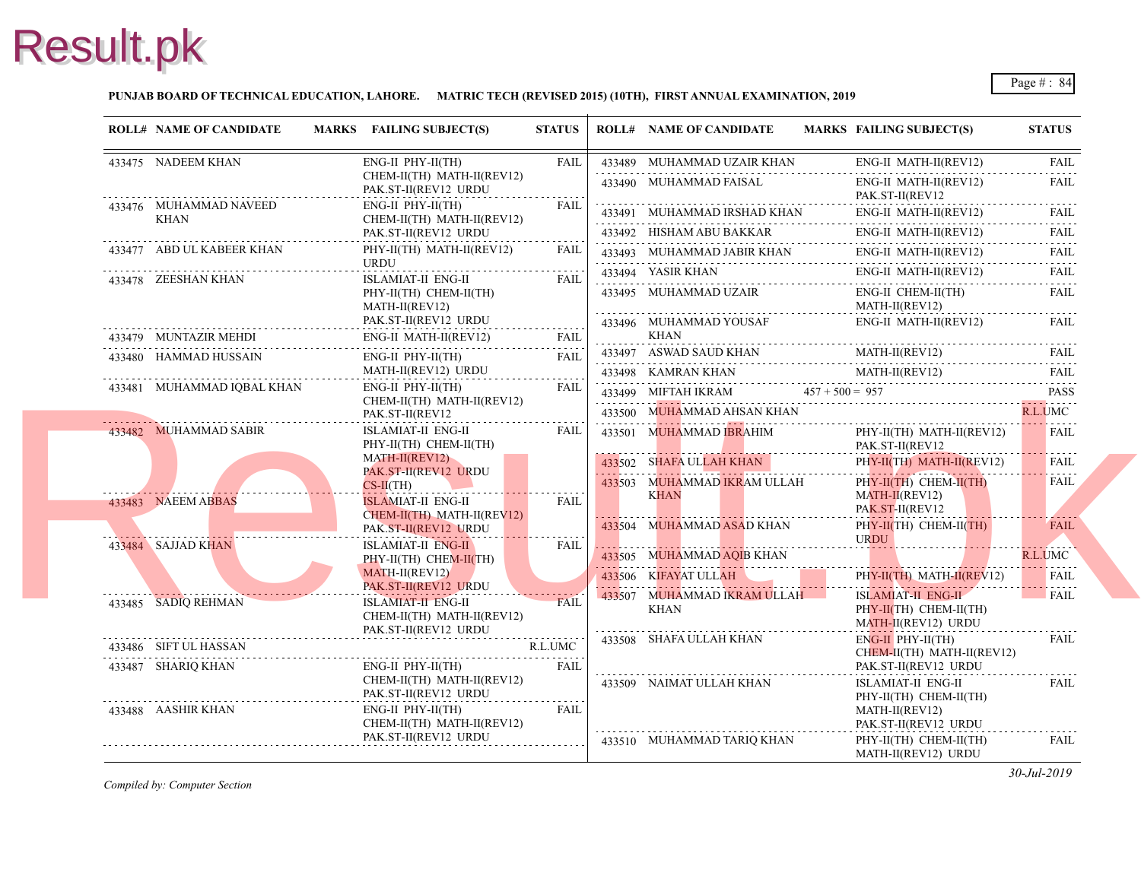#### **PUNJAB BOARD OF TECHNICAL EDUCATION, LAHORE. MATRIC TECH (REVISED 2015) (10TH), FIRST ANNUAL EXAMINATION, 2019**

| <b>ROLL# NAME OF CANDIDATE</b> | MARKS FAILING SUBJECT(S)                                                                             | <b>STATUS</b> |   | <b>ROLL# NAME OF CANDIDATE</b>                                                    | <b>MARKS FAIL</b> |                                   |
|--------------------------------|------------------------------------------------------------------------------------------------------|---------------|---|-----------------------------------------------------------------------------------|-------------------|-----------------------------------|
| 433475 NADEEM KHAN             | ENG-II PHY-II(TH)<br>CHEM-II(TH) MATH-II(REV12)<br>PAK.ST-II(REV12 URDU                              | <b>FAIL</b>   |   | 433489 MUHAMMAD UZAIR KHAN<br>433490 MUHAMMAD FAISAL                              |                   | ENG-<br>ENG-                      |
| 433476 MUHAMMAD NAVEED<br>KHAN | ENG-II PHY-II(TH)<br>CHEM-II(TH) MATH-II(REV12)<br>PAK.ST-II(REV12 URDU                              | <b>FAIL</b>   |   | 433491 MUHAMMAD IRSHAD KHAN<br>433492 HISHAM ABU BAKKAR                           |                   | PAK.<br>ENG-<br>ENG-              |
| 433477 ABD UL KABEER KHAN      | PHY-II(TH) MATH-II(REV12)<br><b>URDU</b>                                                             | FAIL          |   | 433493 MUHAMMAD JABIR KHAN                                                        |                   | ENG-                              |
| 433478 ZEESHAN KHAN            | ISLAMIAT-II ENG-II<br>PHY-II(TH) CHEM-II(TH)<br>MATH-II(REV12)                                       | <b>FAIL</b>   |   | 433494 YASIR KHAN<br>433495 MUHAMMAD UZAIR                                        |                   | ENG-<br>ENG-<br><b>MAT</b>        |
| 433479 MUNTAZIR MEHDI          | PAK.ST-II(REV12 URDU<br>ENG-II MATH-II(REV12)                                                        | .<br>FAIL     | . | 433496 MUHAMMAD YOUSAF<br>KHAN                                                    |                   | ENG-                              |
| 433480 HAMMAD HUSSAIN          | ENG-II PHY-II(TH)<br>MATH-II(REV12) URDU                                                             | <b>FAIL</b>   |   | 433497 ASWAD SAUD KHAN MAI<br>433498 KAMRAN KHAN                                  |                   | <b>MAT</b><br><b>MAT</b>          |
| 433481 MUHAMMAD IQBAL KHAN     | ENG-II PHY-II(TH)<br>CHEM-II(TH) MATH-II(REV12)<br>PAK.ST-II(REV12                                   | <b>FAIL</b>   |   | 433499 MIFTAH IKRAM $457 + 500 = 957$<br>433500 MUHAMMAD AHSAN KHAN               |                   |                                   |
| 433482 MUHAMMAD SABIR          | ISLAMIAT-II ENG-II<br>PHY-II(TH) CHEM-II(TH)<br>MATH-II(REV12)<br>PAK.ST-H(REV12 URDU<br>$CS-II(TH)$ | FAIL          |   | 433501 MUHAMMAD IBRAHIM<br>433502 SHAFA ULLAH KHAN<br>433503 MUHAMMAD IKRAM ULLAH |                   | PHY-<br>PAK.<br>PHY-<br>PHY-      |
| 433483 NAEEM ABBAS             | <b>ISLAMIAT-II ENG-II</b><br>CHEM-II(TH) MATH-II(REV12)<br>PAK.ST-II(REV12 URDU                      | <b>FAIL</b>   |   | KHAN<br>433504 MUHAMMAD ASAD KHAN                                                 |                   | <b>MAT</b><br>PAK.<br>PHY-        |
| 433484 SAJJAD KHAN             | <b>ISLAMIAT-II ENG-II</b><br>PHY-II(TH) CHEM-II(TH)<br>MATH-II(REV12)                                | <b>FAIL</b>   |   | 433505 MUHAMMAD AQIB KHAN<br>433506 KIFAYAT ULLAH                                 |                   | <b>URD</b><br>PHY-                |
| 433485 SADIO REHMAN            | PAK.ST-II(REV12 URDU<br><b>ISLAMIAT-II ENG-II</b><br>CHEM-II(TH) MATH-II(REV12)                      | <b>FAIL</b>   |   | 433507 MUHAMMAD IKRAM ULLAH<br><b>KHAN</b>                                        |                   | <b>ISLA</b><br>PHY-<br><b>MAT</b> |
| 433486 SIFT UL HASSAN          | PAK.ST-II(REV12 URDU                                                                                 | .<br>R.L.UMC  |   | 433508 SHAFA ULLAH KHAN                                                           |                   | ENG-<br><b>CHE</b>                |
| 433487 SHARIQ KHAN             | $ENG-II$ $PHY-II(TH)$<br>CHEM-II(TH) MATH-II(REV12)<br>PAK.ST-II(REV12 URDU                          | <b>FAIL</b>   |   | 433509 NAIMAT ULLAH KHAN                                                          |                   | PAK.<br><b>ISLA</b><br>PHY-       |
| 433488 AASHIR KHAN             | ENG-II PHY-II(TH)<br>CHEM-II(TH) MATH-II(REV12)                                                      | <b>FAIL</b>   |   |                                                                                   |                   | <b>MAT</b><br>PAK.                |
|                                | PAK.ST-II(REV12 URDU                                                                                 | .             |   | 433510 MUHAMMAD TARIQ KHAN                                                        |                   | PHY-<br><b>MAT</b>                |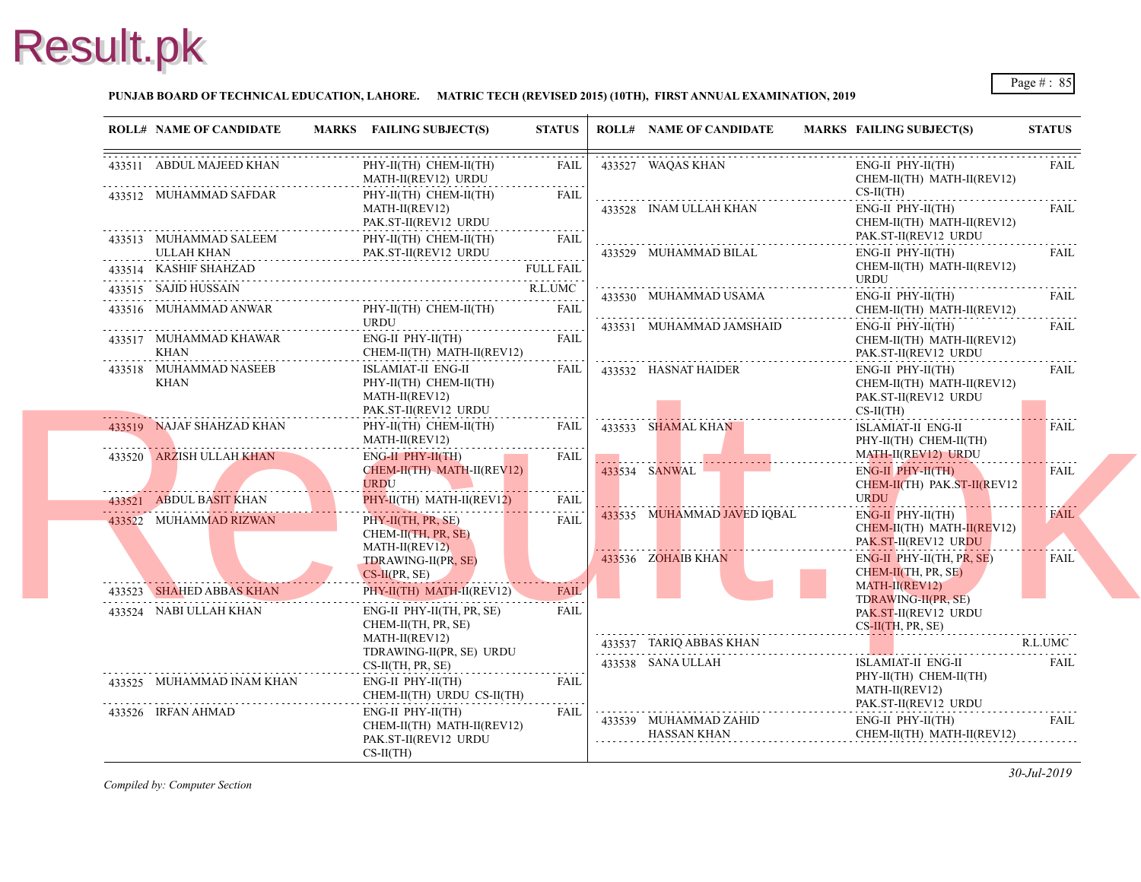#### **PUNJAB BOARD OF TECHNICAL EDUCATION, LAHORE. MATRIC TECH (REVISED 2015) (10TH), FIRST ANNUAL EXAMINATION, 2019**

| <b>ROLL# NAME OF CANDIDATE</b> | MARKS FAILING SUBJECT(S)                                                                                                                                                                                                                                                                                                                                                               | <b>STATUS</b>    | <b>ROLL# NAME OF CANDIDATE</b>               | <b>MARKS FAIL</b>                    |
|--------------------------------|----------------------------------------------------------------------------------------------------------------------------------------------------------------------------------------------------------------------------------------------------------------------------------------------------------------------------------------------------------------------------------------|------------------|----------------------------------------------|--------------------------------------|
| 433511 ABDUL MAJEED KHAN       | PHY-II(TH) CHEM-II(TH)<br>MATH-II(REV12) URDU                                                                                                                                                                                                                                                                                                                                          | FAIL<br>.        | 433527 WAQAS KHAN                            | ENG-<br><b>CHE</b>                   |
| 433512 MUHAMMAD SAFDAR         | PHY-II(TH) CHEM-II(TH)<br>MATH-II(REV12)<br>PAK.ST-II(REV12 URDU                                                                                                                                                                                                                                                                                                                       | FAIL             | 433528 INAM ULLAH KHAN                       | $CS-II$<br>ENG-<br><b>CHE</b>        |
|                                | ${\small \begin{tabular}{ll} \bf 433513 & MUHAMMAD SALEEM & \tt PHY-II(TH) CHEM-II(TH)\\ \bf 0.1177 & LULAH KHAN & \tt PAK.ST-II(REV12 URDU)\\ \bf 1.1777 & LPLM.1177 & \tt PLM.1177 & \tt PLM.1177 \\ \bf 0.1177 & LPLM.1177 & \tt PLM.1177 & \tt PLM.1177 \\ \bf 1.1177 & LPLM.1177 & \tt PLM.1177 & \tt PLM.1177 \\ \bf 0.1177 & LPLM.1177 & \tt PLM.117$<br>PHY-II(TH) CHEM-II(TH) | FAIL             | 433529 MUHAMMAD BILAL                        | PAK.<br>ENG-                         |
| 433514 KASHIF SHAHZAD          |                                                                                                                                                                                                                                                                                                                                                                                        | <b>FULL FAIL</b> |                                              | <b>CHE</b><br><b>URD</b>             |
| 433515 SAJID HUSSAIN           | 433515 SAJID HUSSAIN R.L.UMC                                                                                                                                                                                                                                                                                                                                                           | R.L.UMC          | 433530 MUHAMMAD USAMA                        | ENG-                                 |
|                                | 433516 MUHAMMAD ANWAR PHY-II(TH) CHEM-II(TH) FAIL<br>URDU                                                                                                                                                                                                                                                                                                                              |                  |                                              | <b>CHE</b>                           |
|                                | ${\bf 433517} \begin{array}{l} {\bf MUHAMMAD KHAWAR} \end{array} \begin{array}{l} {\bf ENG-II PHY-II(TH)} \end{array} \begin{array}{l} {\bf HH2-II(TH) H11(REV12)} \end{array} \begin{array}{l} {\bf FAIL} \end{array}$                                                                                                                                                                |                  | 433531 MUHAMMAD JAMSHAID                     | ENG-<br><b>CHE</b><br>PAK.           |
| 433518 MUHAMMAD NASEEB<br>KHAN | ISLAMIAT-II ENG-II<br>PHY-II(TH) CHEM-II(TH)<br>MATH-II(REV12)<br>PAK.ST-II(REV12 URDU                                                                                                                                                                                                                                                                                                 | FAIL             | 433532 HASNAT HAIDER                         | ENG-<br><b>CHE</b><br>PAK.<br>$CS-H$ |
| 433519 NAJAF SHAHZAD KHAN      | PHY-II(TH) CHEM-II(TH)<br>MATH-II(REV12)                                                                                                                                                                                                                                                                                                                                               | .<br>FAIL        | 433533 SHAMAL KHAN                           | <b>ISLA</b><br>PHY-                  |
| 433520 ARZISH ULLAH KHAN       | ENG-II PHY-II(TH)<br>CHEM-II(TH) MATH-II(REV12)<br><b>URDU</b>                                                                                                                                                                                                                                                                                                                         | FAIL<br>.        | 433534 SANWAL                                | <b>MAT</b><br>ENG-<br><b>CHE</b>     |
| 433521 ABDUL BASIT KHAN        | PHY-II(TH) MATH-II(REV12)                                                                                                                                                                                                                                                                                                                                                              | FAIL             |                                              | <b>URD</b>                           |
| 433522 MUHAMMAD RIZWAN         | $PHY-II(TH, PR, SE)$<br>CHEM-II(TH, PR, SE)<br>MATH-II(REV12)                                                                                                                                                                                                                                                                                                                          | FAIL             | 433535 MUHAMMAD JAVED IQBAL                  | ENG-<br><b>CHE</b><br>PAK.           |
|                                | TDRAWING-II(PR, SE)<br>$CS-II(PR, SE)$                                                                                                                                                                                                                                                                                                                                                 |                  | 433536 ZOHAIB KHAN                           | ENG-<br><b>CHE</b>                   |
| 433523 SHAHED ABBAS KHAN       | PHY-II(TH) MATH-II(REV12)                                                                                                                                                                                                                                                                                                                                                              | <b>FAIL</b>      |                                              | <b>MAT</b><br><b>TDR</b>             |
| 433524 NABI ULLAH KHAN         | ENG-II PHY-II(TH, PR, SE)<br>CHEM-II(TH, PR, SE)                                                                                                                                                                                                                                                                                                                                       | <b>FAIL</b>      |                                              | PAK.<br>$CS-H$                       |
|                                | MATH-II(REV12)<br>TDRAWING-II(PR, SE) URDU<br>$CS-II(TH, PR, SE)$                                                                                                                                                                                                                                                                                                                      |                  | 433537 TARIQ ABBAS KHAN<br>433538 SANA ULLAH | <b>ISLA</b>                          |
| 433525 MUHAMMAD INAM KHAN      | ENG-II PHY-II(TH)<br>CHEM-II(TH) URDU CS-II(TH)                                                                                                                                                                                                                                                                                                                                        | FAIL             |                                              | PHY-<br><b>MAT</b><br>PAK.           |
| 433526 IRFAN AHMAD             | ENG-II PHY-II(TH)<br>CHEM-II(TH) MATH-II(REV12)<br>PAK.ST-II(REV12 URDU<br>$CS-II(TH)$                                                                                                                                                                                                                                                                                                 | <b>FAIL</b>      | 433539 MUHAMMAD ZAHID<br>HASSAN KHAN         | ENG-<br><b>CHE</b>                   |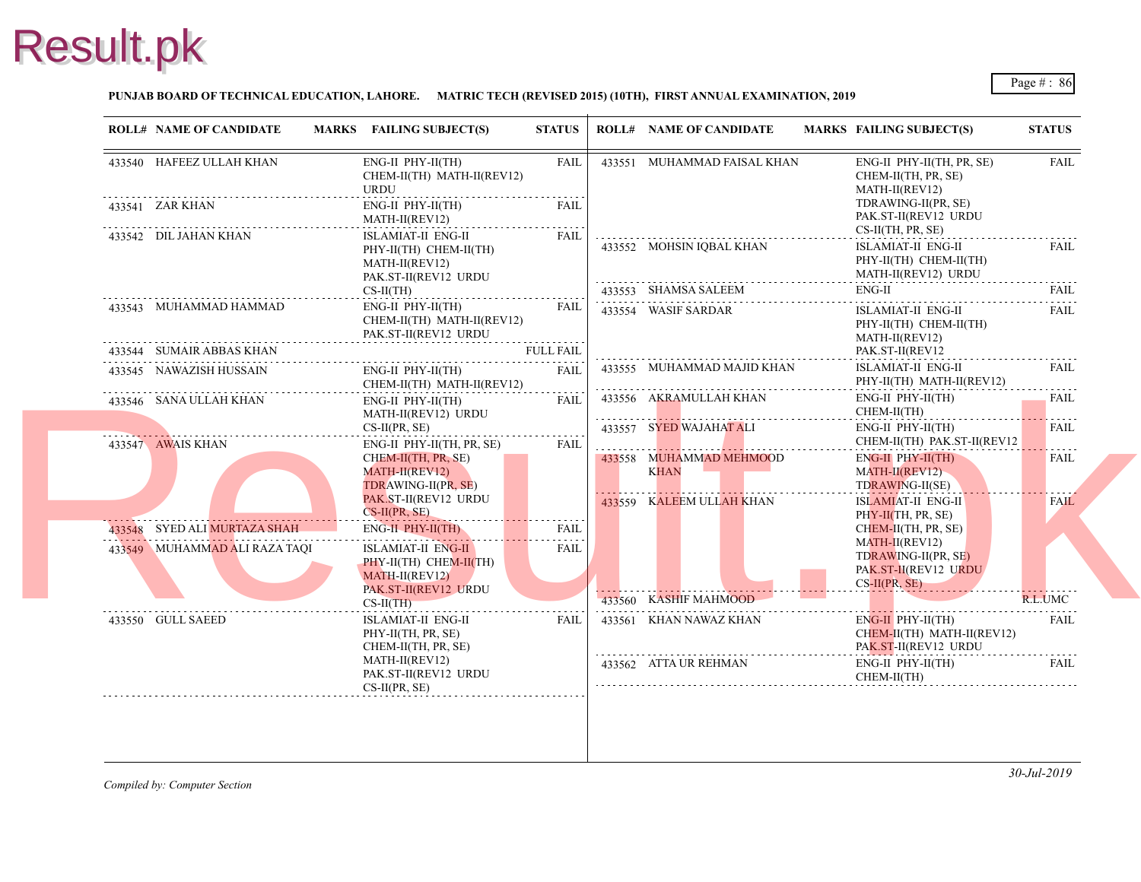#### **PUNJAB BOARD OF TECHNICAL EDUCATION, LAHORE. MATRIC TECH (REVISED 2015) (10TH), FIRST ANNUAL EXAMINATION, 2019**

| <b>ROLL# NAME OF CANDIDATE</b> | MARKS FAILING SUBJECT(S)                                                                              | <b>STATUS</b>    | <b>ROLL# NAME OF CANDIDATE</b>                         | <b>MARKS FAIL</b>                              |
|--------------------------------|-------------------------------------------------------------------------------------------------------|------------------|--------------------------------------------------------|------------------------------------------------|
| 433540 HAFEEZ ULLAH KHAN       | ENG-II PHY-II(TH)<br>CHEM-II(TH) MATH-II(REV12)<br>URDU                                               | FAIL             | 433551 MUHAMMAD FAISAL KHAN                            | ENG-<br><b>CHE</b><br><b>MAT</b>               |
| 433541 ZAR KHAN                | ENG-II PHY-II(TH)<br>MATH-II(REV12)                                                                   | <b>FAIL</b>      |                                                        | <b>TDR</b><br>PAK.                             |
| 433542 DIL JAHAN KHAN          | <b>ISLAMIAT-II ENG-II</b><br>PHY-II(TH) CHEM-II(TH)<br>MATH-II(REV12)<br>PAK.ST-II(REV12 URDU         | <b>FAIL</b>      | 433552 MOHSIN IOBAL KHAN                               | $CS-II$<br><b>ISLA</b><br>PHY-<br><b>MAT</b>   |
|                                | $CS-II(TH)$                                                                                           |                  | 433553 SHAMSA SALEEM                                   | ENG-                                           |
| 433543 MUHAMMAD HAMMAD         | $ENG-II$ $PHY-II(TH)$<br>CHEM-II(TH) MATH-II(REV12)<br>PAK.ST-II(REV12 URDU                           | <b>FAIL</b><br>. | 433554 WASIF SARDAR                                    | <b>ISLA</b><br>PHY-<br><b>MAT</b>              |
| 433544 SUMAIR ABBAS KHAN       |                                                                                                       | <b>FULL FAIL</b> |                                                        | PAK.                                           |
| 433545 NAWAZISH HUSSAIN        | ENG-II PHY-II(TH)<br>CHEM-II(TH) MATH-II(REV12)                                                       | <b>FAIL</b>      | 433555 MUHAMMAD MAJID KHAN                             | <b>ISLA</b><br>PHY-                            |
| 433546 SANA ULLAH KHAN         | ENG-II PHY-II(TH)<br>MATH-II(REV12) URDU<br>$CS-II(PR, SE)$                                           | FAIL             | 433556 AKRAMULLAH KHAN<br>.<br>433557 SYED WAJAHAT ALI | ENG-<br><b>CHE</b><br>ENG-                     |
| 433547 AWAIS KHAN              | ENG-II PHY-II(TH, PR, SE)<br>CHEM-II(TH, PR, SE)<br>MATH-II(REV12)<br>TDRAWING-II(PR, SE)             | FAIL             | 433558 MUHAMMAD MEHMOOD<br><b>KHAN</b>                 | <b>CHE</b><br>ENG-<br><b>MAT</b><br><b>TDR</b> |
|                                | PAK.ST-II(REV12 URDU<br>$CS-II(PR, SE)$                                                               |                  | 433559 KALEEM ULLAH KHAN                               | <b>ISLA</b><br>PHY-                            |
| 433548 SYED ALI MURTAZA SHAH   | ENG-II PHY-II(TH)                                                                                     | FAIL             |                                                        | <b>CHE</b>                                     |
| 433549 MUHAMMAD ALI RAZA TAQI  | ISLAMIAT-II ENG-II<br>PHY-II(TH) CHEM-II(TH)<br>MATH-II(REV12)<br>PAK.ST-II(REV12 URDU<br>$CS-II(TH)$ | <b>FAIL</b>      | 433560 KASHIF MAHMOOD                                  | <b>MAT</b><br><b>TDR</b><br>PAK.<br>$CS-H$     |
| 433550 GULL SAEED              | ISLAMIAT-II ENG-II<br>PHY-II(TH, PR, SE)<br>CHEM-II(TH, PR, SE)                                       | <b>FAIL</b>      | 433561 KHAN NAWAZ KHAN                                 | ENG-<br><b>CHE</b><br>PAK.                     |
|                                | MATH-II(REV12)<br>PAK.ST-II(REV12 URDU<br>$CS-II(PR, SE)$                                             |                  | 433562 ATTA UR REHMAN                                  | ENG-<br><b>CHE</b>                             |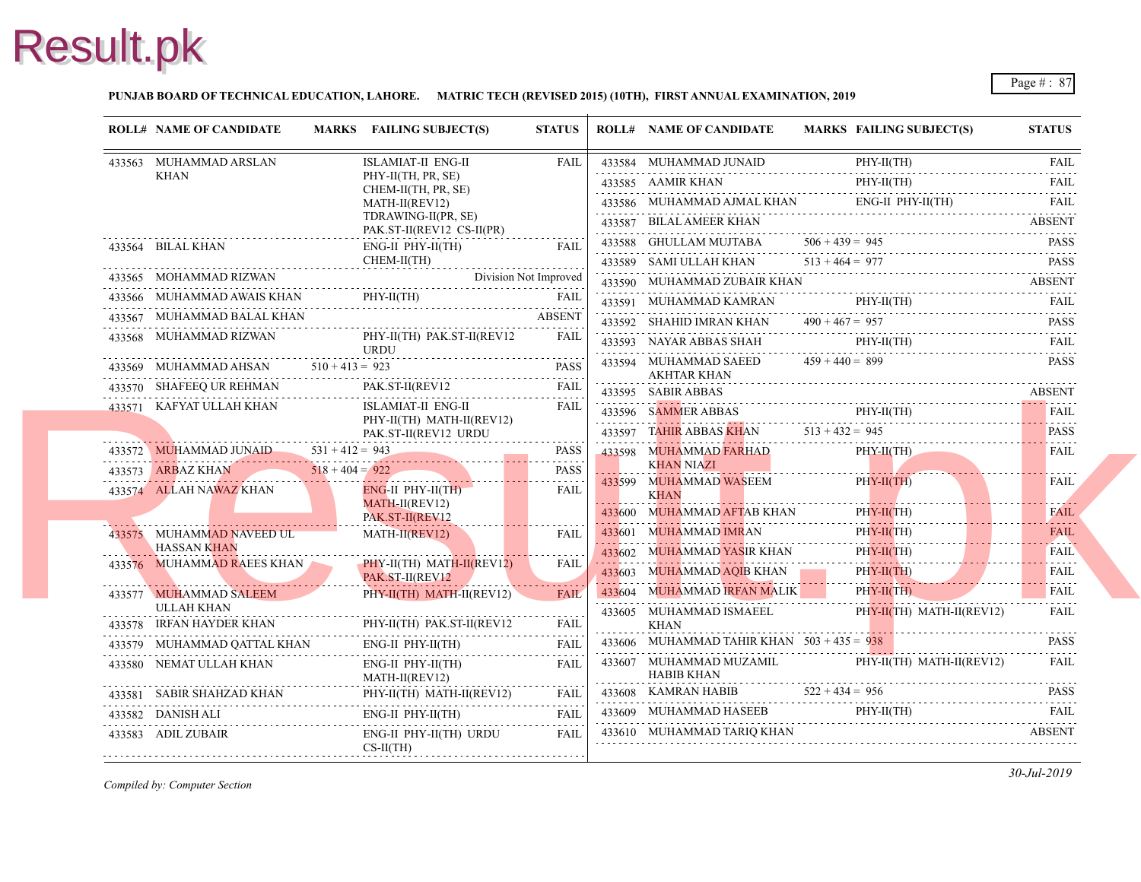#### **PUNJAB BOARD OF TECHNICAL EDUCATION, LAHORE. MATRIC TECH (REVISED 2015) (10TH), FIRST ANNUAL EXAMINATION, 2019**

| <b>ROLL# NAME OF CANDIDATE</b>                                             |                   | MARKS FAILING SUBJECT(S)                                 | <b>STATUS</b> |   | <b>ROLL# NAME OF CANDIDATE</b>               | <b>MARKS FAIL</b> |
|----------------------------------------------------------------------------|-------------------|----------------------------------------------------------|---------------|---|----------------------------------------------|-------------------|
| 433563 MUHAMMAD ARSLAN                                                     |                   | <b>ISLAMIAT-II ENG-II</b>                                | <b>FAIL</b>   |   | 433584 MUHAMMAD JUNAID                       | PHY-              |
| <b>KHAN</b>                                                                |                   | PHY-II(TH, PR, SE)                                       |               |   | 433585 AAMIR KHAN                            | PHY-              |
|                                                                            |                   | CHEM-II(TH, PR, SE)<br>MATH-II(REV12)                    |               |   | 433586 MUHAMMAD AJMAL KHAN                   | ENG-              |
|                                                                            |                   | TDRAWING-II(PR, SE)                                      |               |   | 433587 BILAL AMEER KHAN                      |                   |
| 433564 BILAL KHAN                                                          |                   | PAK.ST-II(REV12 CS-II(PR)<br>ENG-II PHY-II(TH)           | <b>FAIL</b>   |   | 433588 GHULLAM MUJTABA                       | $506 + 439 = 945$ |
|                                                                            |                   | CHEM-II(TH)                                              |               |   | 433589 SAMI ULLAH KHAN                       | $513 + 464 = 977$ |
|                                                                            |                   | 433565 MOHAMMAD RIZWAN Division Not Improved             |               |   | 433590 MUHAMMAD ZUBAIR KHAN                  |                   |
|                                                                            |                   | 433566 MUHAMMAD AWAIS KHAN PHY-II(TH) FAIL FAIL          |               |   | 433591 MUHAMMAD KAMRAN                       | PHY-              |
| 433567 MUHAMMAD BALAL KHAN<br>AD BALAL KHAN<br>--------------------------- |                   |                                                          | <b>ABSENT</b> |   | 433592 SHAHID IMRAN KHAN $490 + 467 = 957$   |                   |
| 433568 MUHAMMAD RIZWAN                                                     |                   | PHY-II(TH) PAK.ST-II(REV12<br><b>URDU</b>                | <b>FAIL</b>   |   | 433593 NAYAR ABBAS SHAH                      | PHY-              |
|                                                                            |                   | $433569$ MUHAMMAD AHSAN $510 + 413 = 923$ PASS           | <b>PASS</b>   |   | 433594 MUHAMMAD SAEED                        | $459 + 440 = 899$ |
| 433570 SHAFEEQ UR REHMAN                                                   |                   | PAK.ST-II(REV12                                          | <b>FAIL</b>   |   | AKHTAR KHAN<br>433595 SABIR ABBAS            |                   |
| 433571 KAFYAT ULLAH KHAN                                                   |                   | ISLAMIAT-II ENG-II                                       | FAIL          |   | 433596 SAMMER ABBAS                          | PHY-              |
|                                                                            |                   | PHY-II(TH) MATH-II(REV12)<br>PAK.ST-II(REV12 URDU        |               |   | 433597 TAHIR ABBAS KHAN $513 + 432 = 945$    |                   |
| 433572 MUHAMMAD JUNAID                                                     | $531 + 412 = 943$ |                                                          | PASS          |   | 433598 MUHAMMAD FARHAD                       | PHY-              |
| 433573 ARBAZ KHAN 518 + 404 = 922                                          |                   |                                                          | <b>PASS</b>   |   | <b>KHAN NIAZI</b>                            |                   |
| 433574 ALLAH NAWAZ KHAN                                                    |                   | ENG-II PHY-II(TH)                                        | <b>FAIL</b>   |   | 433599 MUHAMMAD WASEEM<br><b>KHAN</b>        | PHY-              |
|                                                                            |                   | MATH-II(REV12)<br>PAK.ST-II(REV12                        |               |   | 433600 MUHAMMAD AFTAB KHAN                   | PHY-              |
| 433575 MUHAMMAD NAVEED UL                                                  |                   | $MATH-II(REV12)$                                         | FAIL          |   | 433601 MUHAMMAD IMRAN                        | PHY-              |
| <b>HASSAN KHAN</b>                                                         |                   |                                                          |               |   | 433602 MUHAMMAD YASIR KHAN                   | PHY-              |
| 433576 MUHAMMAD RAEES KHAN                                                 |                   | PHY-II(TH) MATH-II(REV12)<br>PAK.ST-II(REV12             | <b>FAIL</b>   |   | 433603 MUHAMMAD AQIB KHAN                    | PHY-              |
| 433577 MUHAMMAD SALEEM                                                     |                   | PHY-II(TH) MATH-II(REV12)                                | FAIL          |   | 433604 MUHAMMAD IRFAN MALIK                  | PHY-              |
| ULLAH KHAN<br>433578 IRFAN HAYDER KHAN                                     |                   |                                                          | FAIL          |   | 433605 MUHAMMAD ISMAEEL<br><b>KHAN</b>       | PHY-              |
|                                                                            |                   | NN PHY-II(TH) PAK.ST-II(REV12                            |               |   | 433606 MUHAMMAD TAHIR KHAN $503 + 435 = 938$ |                   |
| 433579 MUHAMMAD QATTAL KHAN ENG-II PHY-II(TH)<br>433580 NEMAT ULLAH KHAN   |                   | ENG-II PHY-II(TH)                                        | FAIL          |   | 433607 MUHAMMAD MUZAMIL                      | PHY-              |
|                                                                            |                   | MATH-II(REV12)                                           |               | . | HABIB KHAN                                   |                   |
|                                                                            |                   | 433581 SABIR SHAHZAD KHAN PHY-II(TH) MATH-II(REV12) FAIL |               |   | 433608 KAMRAN HABIB $522 + 434 = 956$        |                   |
| 433582 DANISH ALI                                                          |                   | $ENG-II$ $PHY-II(TH)$                                    | FAIL          |   | 433609 MUHAMMAD HASEEB                       | PHY-              |
| 433583 ADIL ZUBAIR                                                         |                   | ENG-II PHY-II(TH) URDU<br>$CS-II(TH)$                    | <b>FAIL</b>   |   | 433610 MUHAMMAD TARIQ KHAN                   |                   |
|                                                                            |                   |                                                          |               |   |                                              |                   |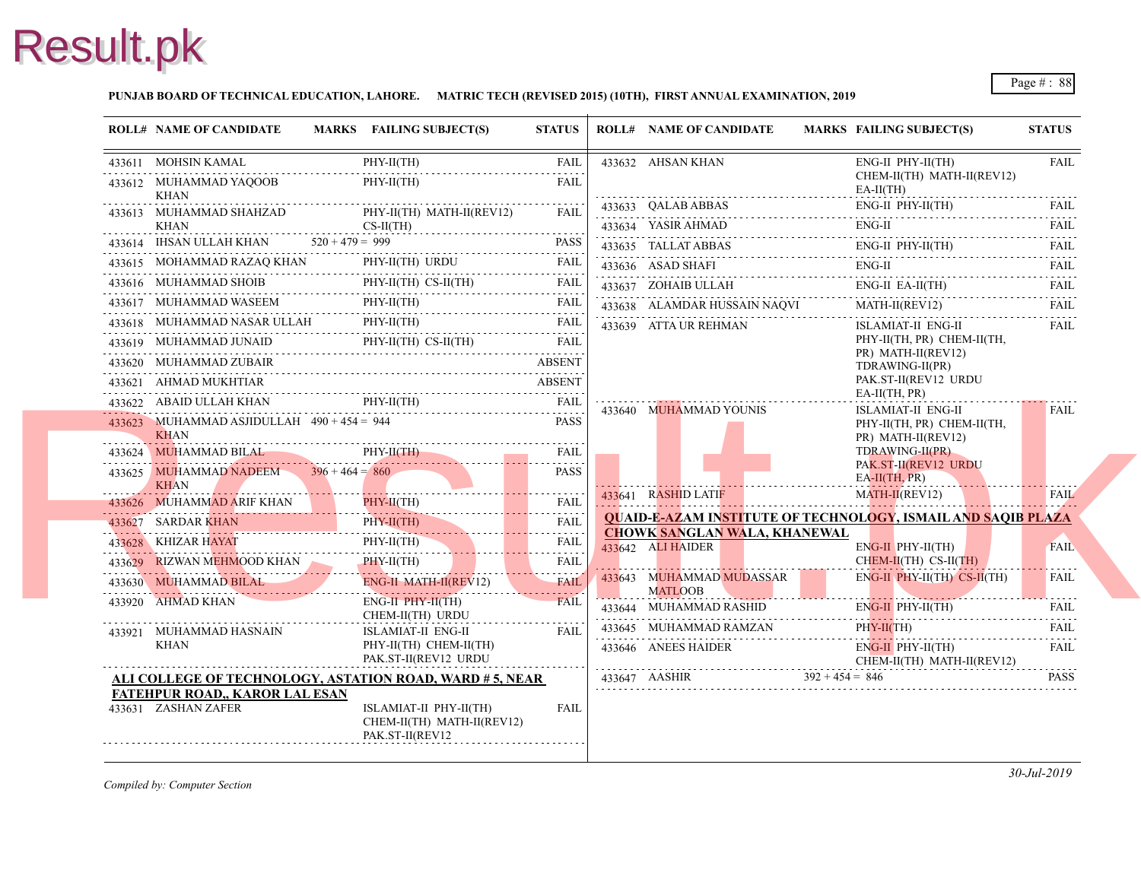#### **PUNJAB BOARD OF TECHNICAL EDUCATION, LAHORE. MATRIC TECH (REVISED 2015) (10TH), FIRST ANNUAL EXAMINATION, 2019**

| <b>ROLL# NAME OF CANDIDATE</b>                                                                        | MARKS FAILING SUBJECT(S)                                                | <b>STATUS</b>             | <b>ROLL# NAME OF CANDIDATE</b>                           | <b>MARKS FAIL</b>    |
|-------------------------------------------------------------------------------------------------------|-------------------------------------------------------------------------|---------------------------|----------------------------------------------------------|----------------------|
| 433611 MOHSIN KAMAL<br>.                                                                              | $PHY-II(TH)$                                                            | <b>FAIL</b>               | 433632 AHSAN KHAN                                        | ENG-                 |
| 433612 MUHAMMAD YAQOOB<br>KHAN                                                                        | $PHY-II(TH)$                                                            | <b>FAIL</b>               |                                                          | <b>CHE</b><br>EA-II  |
| 433613 MUHAMMAD SHAHZAD                                                                               | PHY-II(TH) MATH-II(REV12)                                               | <b>FAIL</b>               | 433633 QALAB ABBAS                                       | ENG-                 |
| <b>KHAN</b>                                                                                           | $CS-II(TH)$                                                             |                           | 433634 YASIR AHMAD                                       | ENG-                 |
| 433614 IHSAN ULLAH KHAN $520 + 479 = 999$                                                             |                                                                         | <b>PASS</b>               | 433635 TALLAT ABBAS                                      | ENG-                 |
| 433615 MOHAMMAD RAZAQ KHAN PHY-II(TH) URDU FAIL                                                       |                                                                         |                           | 433636 ASAD SHAFI<br>433636 ASAD SHAFI ENG               | ENG-                 |
| 433616 MUHAMMAD SHOIB PHY-II(TH) CS-II(TH) FAIL                                                       |                                                                         |                           | 433637 ZOHAIB ULLAH                                      | ENG-                 |
| $\begin{tabular}{cc} 433617 & \text{MUHAMMAD WASEEM} & \text{PHY-II(TH)} & \text{FAIL} \end{tabular}$ |                                                                         |                           | 433638 ALAMDAR HUSSAIN NAQVI                             | <b>MAT</b>           |
| 433618 MUHAMMAD NASAR ULLAH PHY-II(TH) FAIL PHY-II(TH)                                                |                                                                         |                           | 433639 ATTA UR REHMAN                                    | <b>ISLA</b>          |
| 433619 MUHAMMAD JUNAID PHY-II(TH) CS-II(TH) FAIL                                                      |                                                                         |                           |                                                          | PHY-<br>PR)          |
| 433620 MUHAMMAD ZUBAIR                                                                                |                                                                         | <b>ABSENT</b>             |                                                          | <b>TDR</b>           |
| 433621 AHMAD MUKHTIAR                                                                                 |                                                                         | ABSENT                    |                                                          | PAK.                 |
| 433622 ABAID ULLAH KHAN PHY-II(TH)                                                                    |                                                                         | <b>FAIL</b>               | 433640 MUHAMMAD YOUNIS                                   | EA-II<br><b>ISLA</b> |
| 433623 MUHAMMAD ASJIDULLAH $490 + 454 = 944$<br><b>KHAN</b>                                           |                                                                         | <b>PASS</b>               |                                                          | PHY-<br>PR)          |
| 433624 MUHAMMAD BILAL<br>433624 MUHAMMAD BILAL PHY-II(TH) FAIL PHY-II(TH)                             | $PHY-II(TH)$                                                            | <b>FAIL</b>               |                                                          | <b>TDR</b>           |
| 433625 MUHAMMAD NADEEM $396 + 464 = 860$<br><b>KHAN</b>                                               |                                                                         | <b>PASS</b>               |                                                          | PAK.<br>$EA-II$      |
| 433626 MUHAMMAD ARIF KHAN PHY-II(TH) FAIL                                                             |                                                                         |                           | 433641 RASHID LATIF                                      | <b>MAT</b>           |
| 433627 SARDAR KHAN<br>433627 SARDAR KHAN PHY-II(TH)                                                   | $PHY-H(TH)$                                                             | <b>FAIL</b>               | <b>QUAID-E-AZAM INSTITUTE OF TECHNOLOG</b>               |                      |
| 433628 KHIZAR HAYAT                                                                                   | PHY-II(TH)<br>PHY-II(TH)                                                | . <u>.</u><br><b>FAIL</b> | <b>CHOWK SANGLAN WALA, KHANEWAL</b><br>433642 ALI HAIDER | ENG-                 |
| 433629 RIZWAN MEHMOOD KHAN PHY-II(TH)                                                                 |                                                                         | <b>FAIL</b>               |                                                          | <b>CHEI</b>          |
| 433630 MUHAMMAD BILAL ENG-II MATH-II(REV12) FAIL                                                      | ENG-II MATH-II(REV12)                                                   | .                         | 433643 MUHAMMAD MUDASSAR<br><b>MATLOOB</b>               | ENG-                 |
| 433920 AHMAD KHAN                                                                                     | $ENG-II$ $PHY-H(TH)$<br>CHEM-II(TH) URDU                                | <b>FAIL</b>               | 433644 MUHAMMAD RASHID                                   | ENG-                 |
| 433921 MUHAMMAD HASNAIN                                                                               | ISLAMIAT-II ENG-II                                                      | <b>FAIL</b>               | 433645 MUHAMMAD RAMZAN                                   | PHY-                 |
| KHAN                                                                                                  | PHY-II(TH) CHEM-II(TH)<br>PAK.ST-II(REV12 URDU                          |                           | 433646 ANEES HAIDER                                      | ENG-<br><b>CHE</b>   |
| ALI COLLEGE OF TECHNOLOGY, ASTATION ROAD, WARD # 5, NEAR                                              |                                                                         |                           | $433647$ AASHIR $392 + 454 = 846$                        |                      |
| FATEHPUR ROAD,, KAROR LAL ESAN<br>433631 ZASHAN ZAFER                                                 | ISLAMIAT-II PHY-II(TH)<br>CHEM-II(TH) MATH-II(REV12)<br>PAK.ST-II(REV12 | FAIL                      |                                                          |                      |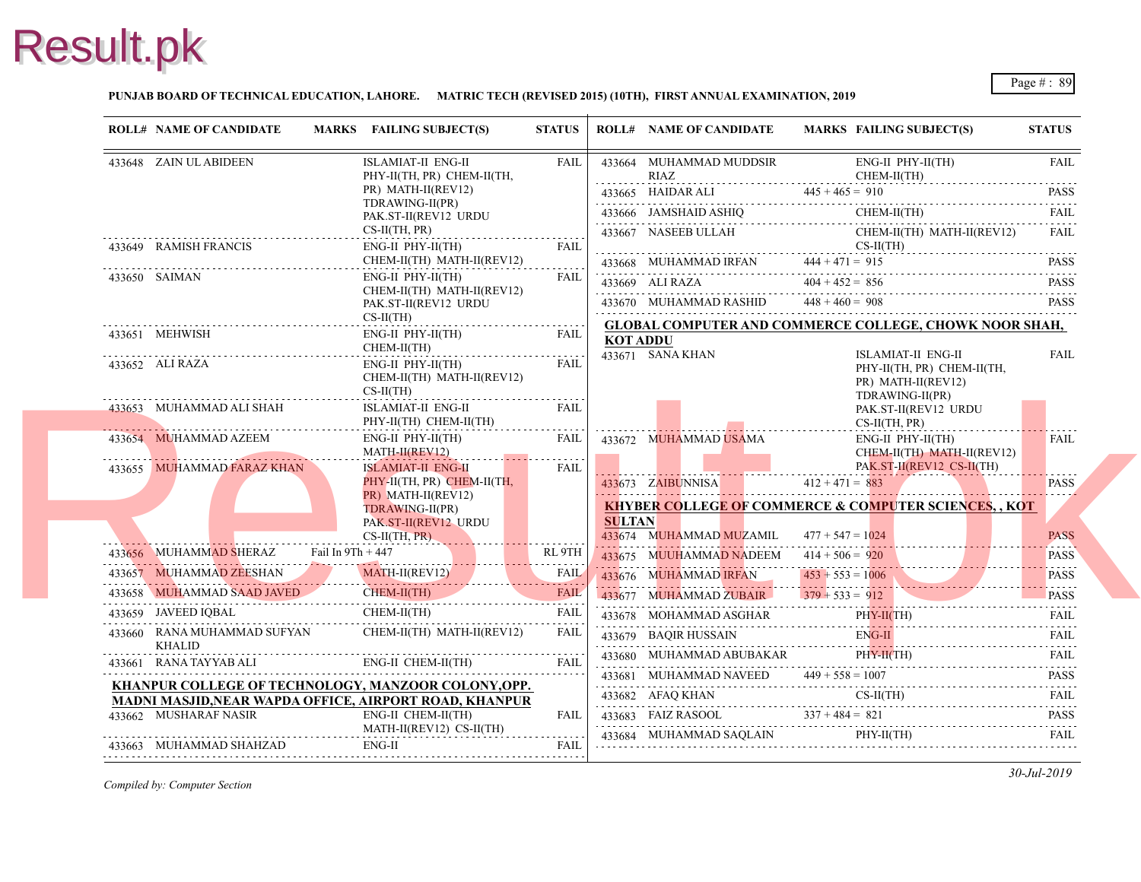#### **PUNJAB BOARD OF TECHNICAL EDUCATION, LAHORE. MATRIC TECH (REVISED 2015) (10TH), FIRST ANNUAL EXAMINATION, 2019**

| 433648 ZAIN UL ABIDEEN<br><b>ISLAMIAT-II ENG-II</b><br><b>FAIL</b><br>433664 MUHAMMAD MUDDSIR<br>RIAZ<br>PHY-II(TH, PR) CHEM-II(TH,<br>PR) MATH-II(REV12)<br>433665 HAIDAR ALI<br>433665 HAIDAR ALI 445 + 465 = 91<br>TDRAWING-II(PR)<br>433666 JAMSHAID ASHIQ<br>PAK.ST-II(REV12 URDU<br>$CS-II(TH, PR)$<br>433667 NASEEB ULLAH<br>433649 RAMISH FRANCIS<br><b>FAIL</b><br>$ENG-II$ $PHY-II(TH)$<br>CHEM-II(TH) MATH-II(REV12)<br>433668 MUHAMMAD IRFAN<br>$444 + 471 = 915$<br>433650 SAIMAN<br>$ENG-II$ $PHY-II(TH)$<br><b>FAIL</b><br>433669 ALI RAZA<br>$404 + 452 = 856$<br>CHEM-II(TH) MATH-II(REV12)<br>433670 MUHAMMAD RASHID $448 + 460 = 908$<br>PAK.ST-II(REV12 URDU<br>$CS-II(TH)$<br><b>GLOBAL COMPUTER AND COMMERCE COL</b><br>433651 MEHWISH<br>$ENG-II$ $PHY-II(TH)$<br><b>FAIL</b><br><b>KOT ADDU</b><br>CHEM-II(TH)<br>433671 SANA KHAN<br>433652 ALI RAZA<br>$ENG-II$ $PHY-II(TH)$<br><b>FAIL</b><br>CHEM-II(TH) MATH-II(REV12)<br>$CS-II(TH)$<br>433653 MUHAMMAD ALI SHAH<br><b>FAIL</b><br>ISLAMIAT-II ENG-II<br>PHY-II(TH) CHEM-II(TH)<br>.<br>433654 MUHAMMAD AZEEM<br>ENG-II PHY-II(TH)<br>FAIL<br>433672 MUHAMMAD USAMA<br>MATH-II(REV12)<br><b>ISLAMIAT-II ENG-II</b><br><b>FAIL</b><br>433655 MUHAMMAD FARAZ KHAN<br>PHY-II(TH, PR) CHEM-II(TH,<br>433673 ZAIBUNNISA<br>PR) MATH-II(REV12)<br><b>KHYBER COLLEGE OF COMMERCE &amp; COM</b><br>TDRAWING-II(PR)<br><b>SULTAN</b><br>PAK.ST-II(REV12 URDU<br>$CS-II(TH, PR)$<br>433674 MUHAMMAD MUZAMIL<br>433656 MUHAMMAD SHERAZ Fail In 9Th + 447<br>RL 9TH<br>433675 MUUHAMMAD NADEEM<br>433657 MUHAMMAD ZEESHAN MATH-II(REV12) FAIL 433658 MUHAMMAD SAAD JAVED CHEM-II(TH) FAIL<br>433676 MUHAMMAD IRFAN<br>433658 MUHAMMAD SAAD JAVED CHEM-II(TH) FAIL<br>433677 MUHAMMAD ZUBAIR $379 + 533 = 912$<br>CHEM-II(TH)<br>433659 JAVEED IQBAL<br><b>FAIL</b><br>433678 MOHAMMAD ASGHAR<br>433660 RANA MUHAMMAD SUFYAN<br>CHEM-II(TH) MATH-II(REV12)<br>FAIL<br>433679 BAOIR HUSSAIN<br><b>KHALID</b><br>433680 MUHAMMAD ABUBAKAR<br>ENG-II CHEM-II(TH)<br>433661 RANA TAYYAB ALI<br><b>FAIL</b><br>433681 MUHAMMAD NAVEED $449 + 558 = 100$<br>KHANPUR COLLEGE OF TECHNOLOGY, MANZOOR COLONY, OPP.<br>433682 AFAQ KHAN<br>433682 AFAQ KHAN CS-<br>MADNI MASJID, NEAR WAPDA OFFICE, AIRPORT ROAD, KHANPUR<br>433662 MUSHARAF NASIR<br>ENG-II CHEM-II(TH)<br>433683 FAIZ RASOOL $337 + 484 = 821$<br><b>FAIL</b><br>MATH-II(REV12) CS-II(TH)<br>433684 MUHAMMAD SAQLAIN<br>ENG-II<br>433663 MUHAMMAD SHAHZAD<br>FAIL | <b>ROLL# NAME OF CANDIDATE</b> | MARKS FAILING SUBJECT(S) | <b>STATUS</b> | <b>ROLL# NAME OF CANDIDATE</b> | <b>MARKS FAIL</b>  |
|--------------------------------------------------------------------------------------------------------------------------------------------------------------------------------------------------------------------------------------------------------------------------------------------------------------------------------------------------------------------------------------------------------------------------------------------------------------------------------------------------------------------------------------------------------------------------------------------------------------------------------------------------------------------------------------------------------------------------------------------------------------------------------------------------------------------------------------------------------------------------------------------------------------------------------------------------------------------------------------------------------------------------------------------------------------------------------------------------------------------------------------------------------------------------------------------------------------------------------------------------------------------------------------------------------------------------------------------------------------------------------------------------------------------------------------------------------------------------------------------------------------------------------------------------------------------------------------------------------------------------------------------------------------------------------------------------------------------------------------------------------------------------------------------------------------------------------------------------------------------------------------------------------------------------------------------------------------------------------------------------------------------------------------------------------------------------------------------------------------------------------------------------------------------------------------------------------------------------------------------------------------------------------------------------------------------------------------------------------------------------------------------------------------------------------------------------------------------------------------------|--------------------------------|--------------------------|---------------|--------------------------------|--------------------|
|                                                                                                                                                                                                                                                                                                                                                                                                                                                                                                                                                                                                                                                                                                                                                                                                                                                                                                                                                                                                                                                                                                                                                                                                                                                                                                                                                                                                                                                                                                                                                                                                                                                                                                                                                                                                                                                                                                                                                                                                                                                                                                                                                                                                                                                                                                                                                                                                                                                                                            |                                |                          |               |                                | ENG-<br><b>CHE</b> |
|                                                                                                                                                                                                                                                                                                                                                                                                                                                                                                                                                                                                                                                                                                                                                                                                                                                                                                                                                                                                                                                                                                                                                                                                                                                                                                                                                                                                                                                                                                                                                                                                                                                                                                                                                                                                                                                                                                                                                                                                                                                                                                                                                                                                                                                                                                                                                                                                                                                                                            |                                |                          |               |                                | $445 + 465 = 910$  |
|                                                                                                                                                                                                                                                                                                                                                                                                                                                                                                                                                                                                                                                                                                                                                                                                                                                                                                                                                                                                                                                                                                                                                                                                                                                                                                                                                                                                                                                                                                                                                                                                                                                                                                                                                                                                                                                                                                                                                                                                                                                                                                                                                                                                                                                                                                                                                                                                                                                                                            |                                |                          |               |                                | <b>CHE</b>         |
|                                                                                                                                                                                                                                                                                                                                                                                                                                                                                                                                                                                                                                                                                                                                                                                                                                                                                                                                                                                                                                                                                                                                                                                                                                                                                                                                                                                                                                                                                                                                                                                                                                                                                                                                                                                                                                                                                                                                                                                                                                                                                                                                                                                                                                                                                                                                                                                                                                                                                            |                                |                          |               |                                | <b>CHE</b>         |
|                                                                                                                                                                                                                                                                                                                                                                                                                                                                                                                                                                                                                                                                                                                                                                                                                                                                                                                                                                                                                                                                                                                                                                                                                                                                                                                                                                                                                                                                                                                                                                                                                                                                                                                                                                                                                                                                                                                                                                                                                                                                                                                                                                                                                                                                                                                                                                                                                                                                                            |                                |                          |               |                                | $CS-II$            |
|                                                                                                                                                                                                                                                                                                                                                                                                                                                                                                                                                                                                                                                                                                                                                                                                                                                                                                                                                                                                                                                                                                                                                                                                                                                                                                                                                                                                                                                                                                                                                                                                                                                                                                                                                                                                                                                                                                                                                                                                                                                                                                                                                                                                                                                                                                                                                                                                                                                                                            |                                |                          |               |                                |                    |
|                                                                                                                                                                                                                                                                                                                                                                                                                                                                                                                                                                                                                                                                                                                                                                                                                                                                                                                                                                                                                                                                                                                                                                                                                                                                                                                                                                                                                                                                                                                                                                                                                                                                                                                                                                                                                                                                                                                                                                                                                                                                                                                                                                                                                                                                                                                                                                                                                                                                                            |                                |                          |               |                                |                    |
|                                                                                                                                                                                                                                                                                                                                                                                                                                                                                                                                                                                                                                                                                                                                                                                                                                                                                                                                                                                                                                                                                                                                                                                                                                                                                                                                                                                                                                                                                                                                                                                                                                                                                                                                                                                                                                                                                                                                                                                                                                                                                                                                                                                                                                                                                                                                                                                                                                                                                            |                                |                          |               |                                |                    |
|                                                                                                                                                                                                                                                                                                                                                                                                                                                                                                                                                                                                                                                                                                                                                                                                                                                                                                                                                                                                                                                                                                                                                                                                                                                                                                                                                                                                                                                                                                                                                                                                                                                                                                                                                                                                                                                                                                                                                                                                                                                                                                                                                                                                                                                                                                                                                                                                                                                                                            |                                |                          |               |                                |                    |
|                                                                                                                                                                                                                                                                                                                                                                                                                                                                                                                                                                                                                                                                                                                                                                                                                                                                                                                                                                                                                                                                                                                                                                                                                                                                                                                                                                                                                                                                                                                                                                                                                                                                                                                                                                                                                                                                                                                                                                                                                                                                                                                                                                                                                                                                                                                                                                                                                                                                                            |                                |                          |               |                                | <b>ISLA</b>        |
|                                                                                                                                                                                                                                                                                                                                                                                                                                                                                                                                                                                                                                                                                                                                                                                                                                                                                                                                                                                                                                                                                                                                                                                                                                                                                                                                                                                                                                                                                                                                                                                                                                                                                                                                                                                                                                                                                                                                                                                                                                                                                                                                                                                                                                                                                                                                                                                                                                                                                            |                                |                          |               |                                | PHY-               |
|                                                                                                                                                                                                                                                                                                                                                                                                                                                                                                                                                                                                                                                                                                                                                                                                                                                                                                                                                                                                                                                                                                                                                                                                                                                                                                                                                                                                                                                                                                                                                                                                                                                                                                                                                                                                                                                                                                                                                                                                                                                                                                                                                                                                                                                                                                                                                                                                                                                                                            |                                |                          |               |                                | PR)                |
|                                                                                                                                                                                                                                                                                                                                                                                                                                                                                                                                                                                                                                                                                                                                                                                                                                                                                                                                                                                                                                                                                                                                                                                                                                                                                                                                                                                                                                                                                                                                                                                                                                                                                                                                                                                                                                                                                                                                                                                                                                                                                                                                                                                                                                                                                                                                                                                                                                                                                            |                                |                          |               |                                | <b>TDR</b><br>PAK. |
|                                                                                                                                                                                                                                                                                                                                                                                                                                                                                                                                                                                                                                                                                                                                                                                                                                                                                                                                                                                                                                                                                                                                                                                                                                                                                                                                                                                                                                                                                                                                                                                                                                                                                                                                                                                                                                                                                                                                                                                                                                                                                                                                                                                                                                                                                                                                                                                                                                                                                            |                                |                          |               |                                | $CS-II$            |
|                                                                                                                                                                                                                                                                                                                                                                                                                                                                                                                                                                                                                                                                                                                                                                                                                                                                                                                                                                                                                                                                                                                                                                                                                                                                                                                                                                                                                                                                                                                                                                                                                                                                                                                                                                                                                                                                                                                                                                                                                                                                                                                                                                                                                                                                                                                                                                                                                                                                                            |                                |                          |               |                                | ENG-               |
|                                                                                                                                                                                                                                                                                                                                                                                                                                                                                                                                                                                                                                                                                                                                                                                                                                                                                                                                                                                                                                                                                                                                                                                                                                                                                                                                                                                                                                                                                                                                                                                                                                                                                                                                                                                                                                                                                                                                                                                                                                                                                                                                                                                                                                                                                                                                                                                                                                                                                            |                                |                          |               |                                | <b>CHE</b><br>PAK. |
|                                                                                                                                                                                                                                                                                                                                                                                                                                                                                                                                                                                                                                                                                                                                                                                                                                                                                                                                                                                                                                                                                                                                                                                                                                                                                                                                                                                                                                                                                                                                                                                                                                                                                                                                                                                                                                                                                                                                                                                                                                                                                                                                                                                                                                                                                                                                                                                                                                                                                            |                                |                          |               |                                | $412 + 471 = 883$  |
|                                                                                                                                                                                                                                                                                                                                                                                                                                                                                                                                                                                                                                                                                                                                                                                                                                                                                                                                                                                                                                                                                                                                                                                                                                                                                                                                                                                                                                                                                                                                                                                                                                                                                                                                                                                                                                                                                                                                                                                                                                                                                                                                                                                                                                                                                                                                                                                                                                                                                            |                                |                          |               |                                |                    |
|                                                                                                                                                                                                                                                                                                                                                                                                                                                                                                                                                                                                                                                                                                                                                                                                                                                                                                                                                                                                                                                                                                                                                                                                                                                                                                                                                                                                                                                                                                                                                                                                                                                                                                                                                                                                                                                                                                                                                                                                                                                                                                                                                                                                                                                                                                                                                                                                                                                                                            |                                |                          |               |                                |                    |
|                                                                                                                                                                                                                                                                                                                                                                                                                                                                                                                                                                                                                                                                                                                                                                                                                                                                                                                                                                                                                                                                                                                                                                                                                                                                                                                                                                                                                                                                                                                                                                                                                                                                                                                                                                                                                                                                                                                                                                                                                                                                                                                                                                                                                                                                                                                                                                                                                                                                                            |                                |                          |               |                                | $477 + 547 = 102$  |
|                                                                                                                                                                                                                                                                                                                                                                                                                                                                                                                                                                                                                                                                                                                                                                                                                                                                                                                                                                                                                                                                                                                                                                                                                                                                                                                                                                                                                                                                                                                                                                                                                                                                                                                                                                                                                                                                                                                                                                                                                                                                                                                                                                                                                                                                                                                                                                                                                                                                                            |                                |                          |               |                                | $414 + 506 = 920$  |
|                                                                                                                                                                                                                                                                                                                                                                                                                                                                                                                                                                                                                                                                                                                                                                                                                                                                                                                                                                                                                                                                                                                                                                                                                                                                                                                                                                                                                                                                                                                                                                                                                                                                                                                                                                                                                                                                                                                                                                                                                                                                                                                                                                                                                                                                                                                                                                                                                                                                                            |                                |                          |               |                                | $453 + 553 = 100$  |
|                                                                                                                                                                                                                                                                                                                                                                                                                                                                                                                                                                                                                                                                                                                                                                                                                                                                                                                                                                                                                                                                                                                                                                                                                                                                                                                                                                                                                                                                                                                                                                                                                                                                                                                                                                                                                                                                                                                                                                                                                                                                                                                                                                                                                                                                                                                                                                                                                                                                                            |                                |                          |               |                                |                    |
|                                                                                                                                                                                                                                                                                                                                                                                                                                                                                                                                                                                                                                                                                                                                                                                                                                                                                                                                                                                                                                                                                                                                                                                                                                                                                                                                                                                                                                                                                                                                                                                                                                                                                                                                                                                                                                                                                                                                                                                                                                                                                                                                                                                                                                                                                                                                                                                                                                                                                            |                                |                          |               |                                | PHY-               |
|                                                                                                                                                                                                                                                                                                                                                                                                                                                                                                                                                                                                                                                                                                                                                                                                                                                                                                                                                                                                                                                                                                                                                                                                                                                                                                                                                                                                                                                                                                                                                                                                                                                                                                                                                                                                                                                                                                                                                                                                                                                                                                                                                                                                                                                                                                                                                                                                                                                                                            |                                |                          |               |                                | ENG-               |
|                                                                                                                                                                                                                                                                                                                                                                                                                                                                                                                                                                                                                                                                                                                                                                                                                                                                                                                                                                                                                                                                                                                                                                                                                                                                                                                                                                                                                                                                                                                                                                                                                                                                                                                                                                                                                                                                                                                                                                                                                                                                                                                                                                                                                                                                                                                                                                                                                                                                                            |                                |                          |               |                                | PHY-               |
|                                                                                                                                                                                                                                                                                                                                                                                                                                                                                                                                                                                                                                                                                                                                                                                                                                                                                                                                                                                                                                                                                                                                                                                                                                                                                                                                                                                                                                                                                                                                                                                                                                                                                                                                                                                                                                                                                                                                                                                                                                                                                                                                                                                                                                                                                                                                                                                                                                                                                            |                                |                          |               |                                |                    |
|                                                                                                                                                                                                                                                                                                                                                                                                                                                                                                                                                                                                                                                                                                                                                                                                                                                                                                                                                                                                                                                                                                                                                                                                                                                                                                                                                                                                                                                                                                                                                                                                                                                                                                                                                                                                                                                                                                                                                                                                                                                                                                                                                                                                                                                                                                                                                                                                                                                                                            |                                |                          |               |                                | CS-II              |
|                                                                                                                                                                                                                                                                                                                                                                                                                                                                                                                                                                                                                                                                                                                                                                                                                                                                                                                                                                                                                                                                                                                                                                                                                                                                                                                                                                                                                                                                                                                                                                                                                                                                                                                                                                                                                                                                                                                                                                                                                                                                                                                                                                                                                                                                                                                                                                                                                                                                                            |                                |                          |               |                                |                    |
|                                                                                                                                                                                                                                                                                                                                                                                                                                                                                                                                                                                                                                                                                                                                                                                                                                                                                                                                                                                                                                                                                                                                                                                                                                                                                                                                                                                                                                                                                                                                                                                                                                                                                                                                                                                                                                                                                                                                                                                                                                                                                                                                                                                                                                                                                                                                                                                                                                                                                            |                                |                          |               |                                | PHY-               |
|                                                                                                                                                                                                                                                                                                                                                                                                                                                                                                                                                                                                                                                                                                                                                                                                                                                                                                                                                                                                                                                                                                                                                                                                                                                                                                                                                                                                                                                                                                                                                                                                                                                                                                                                                                                                                                                                                                                                                                                                                                                                                                                                                                                                                                                                                                                                                                                                                                                                                            |                                |                          |               |                                |                    |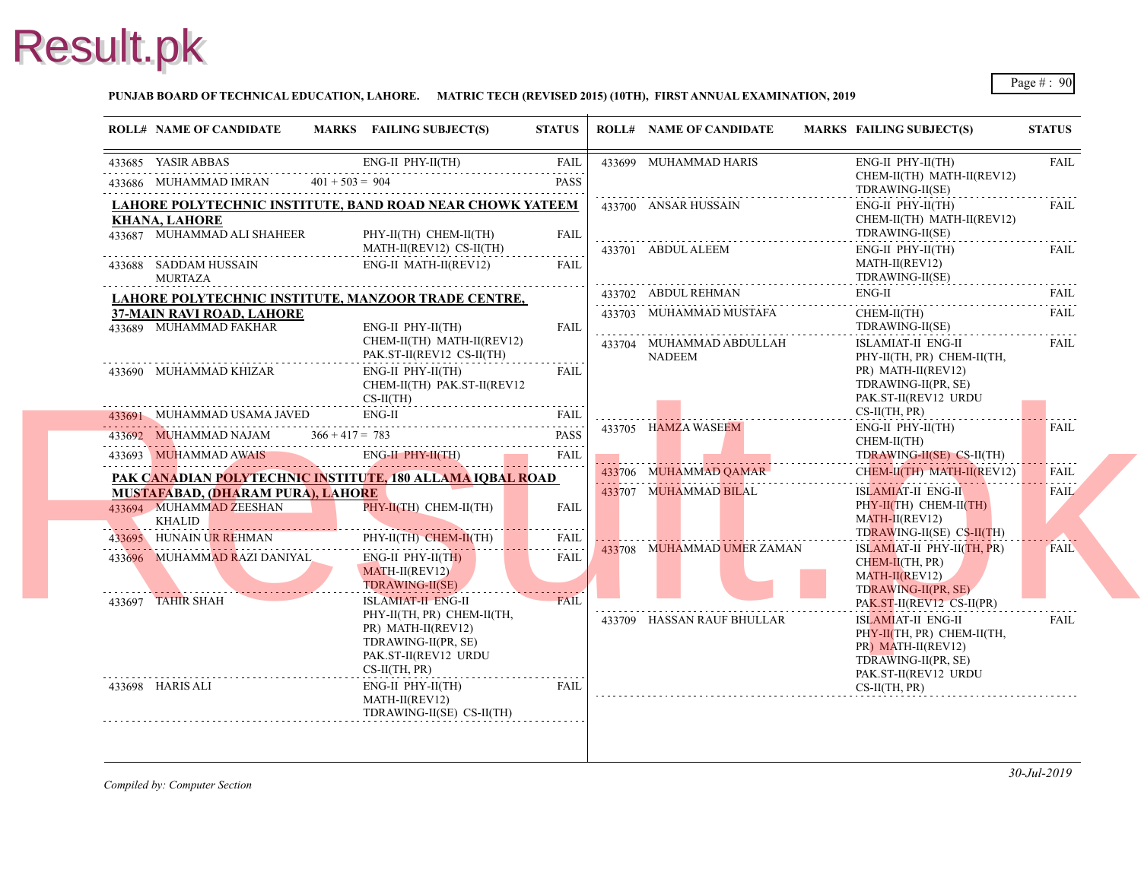#### **PUNJAB BOARD OF TECHNICAL EDUCATION, LAHORE. MATRIC TECH (REVISED 2015) (10TH), FIRST ANNUAL EXAMINATION, 2019**

| <b>ROLL# NAME OF CANDIDATE</b>                      | MARKS FAILING SUBJECT(S)                                                                                           | <b>STATUS</b>           | <b>ROLL# NAME OF CANDIDATE</b>                 | <b>MARKS FAIL</b>                                   |
|-----------------------------------------------------|--------------------------------------------------------------------------------------------------------------------|-------------------------|------------------------------------------------|-----------------------------------------------------|
| 433685 YASIR ABBAS                                  | $ENG-II$ $PHY-II(TH)$                                                                                              | FAIL                    | 433699 MUHAMMAD HARIS                          | ENG-                                                |
| 433686 MUHAMMAD IMRAN $401 + 503 = 904$             |                                                                                                                    | <b>PASS</b>             |                                                | <b>CHE</b><br><b>TDR</b>                            |
|                                                     | LAHORE POLYTECHNIC INSTITUTE, BAND ROAD NEAR CHOWK YATEEM                                                          |                         | 433700 ANSAR HUSSAIN                           | ENG-                                                |
| <b>KHANA, LAHORE</b><br>433687 MUHAMMAD ALI SHAHEER | PHY-II(TH) CHEM-II(TH)                                                                                             | <b>FAIL</b>             |                                                | <b>CHE</b><br><b>TDR</b>                            |
|                                                     | MATH-II(REV12) CS-II(TH)                                                                                           |                         | 433701 ABDUL ALEEM                             | ENG-                                                |
| 433688 SADDAM HUSSAIN<br><b>MURTAZA</b>             | ENG-II MATH-II(REV12)                                                                                              | <b>FAIL</b>             |                                                | <b>MAT</b><br><b>TDR</b>                            |
|                                                     | LAHORE POLYTECHNIC INSTITUTE, MANZOOR TRADE CENTRE,                                                                |                         | 433702 ABDUL REHMAN                            | ENG-                                                |
| 37-MAIN RAVI ROAD, LAHORE<br>433689 MUHAMMAD FAKHAR | ENG-II PHY-II(TH)                                                                                                  |                         | 433703 MUHAMMAD MUSTAFA                        | <b>CHE</b><br><b>TDR</b>                            |
|                                                     | CHEM-II(TH) MATH-II(REV12)<br>PAK.ST-II(REV12 CS-II(TH)                                                            | <b>FAIL</b>             | 433704 MUHAMMAD ABDULLAH                       | <b>ISLA</b>                                         |
| 433690 MUHAMMAD KHIZAR                              | ENG-II PHY-II(TH)<br>CHEM-II(TH) PAK.ST-II(REV12                                                                   | FAIL                    | NADEEM                                         | PHY-<br>PR)<br><b>TDR</b>                           |
|                                                     | $CS-II(TH)$                                                                                                        |                         |                                                | PAK.                                                |
| 433691 MUHAMMAD USAMA JAVED                         | ENG-II                                                                                                             | <b>FAIL</b>             | 433705 HAMZA WASEEM                            | $CS-II$<br>ENG-                                     |
| 433692 MUHAMMAD NAJAM $366 + 417 = 783$             |                                                                                                                    | <b>PASS</b>             |                                                | <b>CHE</b>                                          |
| 433693 MUHAMMAD AWAIS                               | ENG-II PHY-II(TH)<br>433693 MUHAMMAD AWAIS ENG-II PHY-II(TH) FAIL                                                  |                         |                                                | <b>TDR</b><br><b>CHE</b>                            |
| <b>MUSTAFABAD, (DHARAM PURA), LAHORE</b>            | PAK CANADIAN POLYTECHNIC INSTITUTE, 180 ALLAMA IQBAL ROAD                                                          |                         | 433706 MUHAMMAD QAMAR<br>433707 MUHAMMAD BILAL | <b>ISLA</b>                                         |
| 433694 MUHAMMAD ZEESHAN<br><b>KHALID</b>            | PHY-II(TH) CHEM-II(TH)                                                                                             | <b>FAIL</b>             |                                                | PHY-<br><b>MAT</b>                                  |
| 433695 HUNAIN UR REHMAN                             | PHY-II(TH) CHEM-II(TH)                                                                                             | <u>.</u><br><b>FAIL</b> |                                                | <b>TDR</b>                                          |
| 433696 MUHAMMAD RAZI DANIYAL                        | $ENG-II$ PHY-II(TH)<br>MATH-II(REV12)<br><b>TDRAWING-II(SE)</b>                                                    | FAIL                    | 433708 MUHAMMAD UMER ZAMAN                     | <b>ISLA</b><br><b>CHE</b><br><b>MAT</b>             |
| 433697 TAHIR SHAH                                   | <b>ISLAMIAT-II ENG-II</b>                                                                                          | FAII                    |                                                | <b>TDR</b><br>PAK.                                  |
|                                                     | PHY-II(TH, PR) CHEM-II(TH,<br>PR) MATH-II(REV12)<br>TDRAWING-II(PR, SE)<br>PAK.ST-II(REV12 URDU<br>$CS-II(TH, PR)$ |                         | 433709 HASSAN RAUF BHULLAR                     | <b>ISLA</b><br>PHY-<br>$PR$ )<br><b>TDR</b><br>PAK. |
| 433698 HARIS ALI                                    | $ENG-II$ $PHY-II(TH)$<br>MATH-II(REV12)                                                                            | <b>EAIL</b>             |                                                | $CS-II$                                             |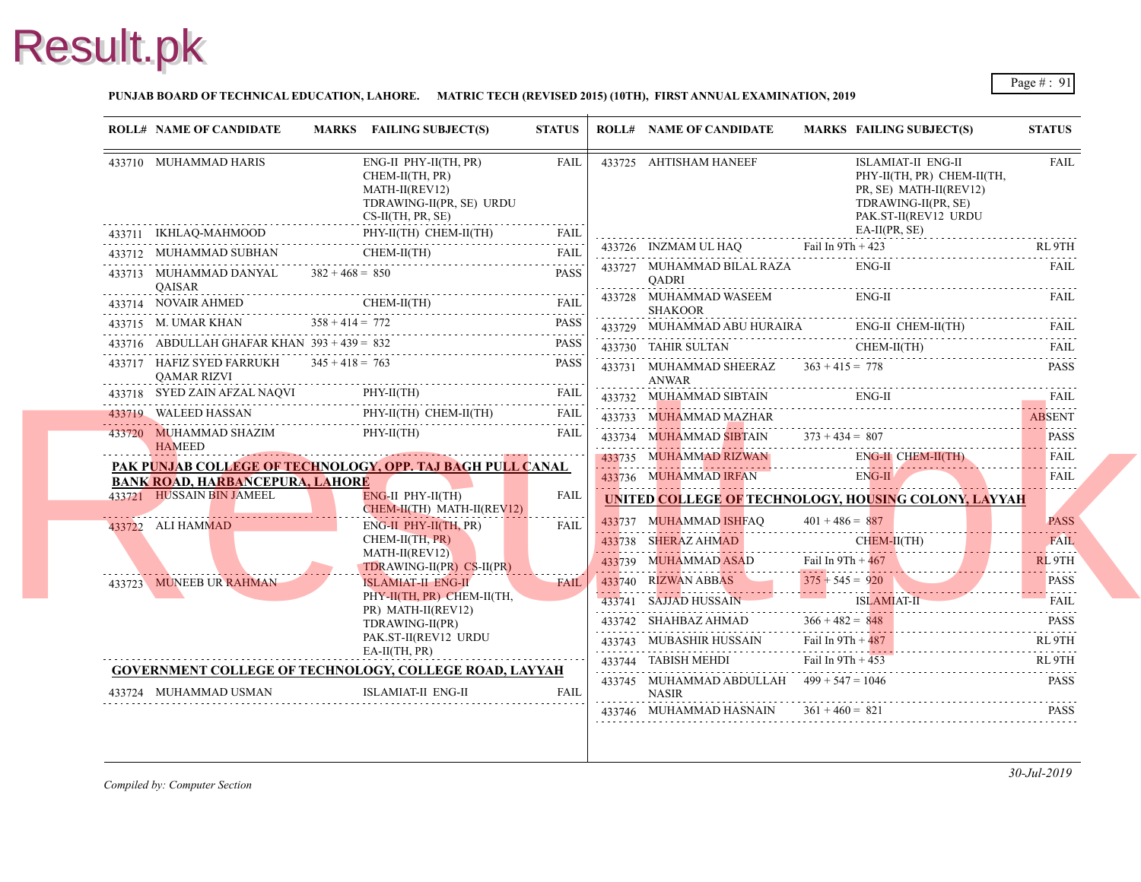

#### **PUNJAB BOARD OF TECHNICAL EDUCATION, LAHORE. MATRIC TECH (REVISED 2015) (10TH), FIRST ANNUAL EXAMINATION, 2019**

|   | <b>ROLL# NAME OF CANDIDATE</b>                                      |                   | MARKS FAILING SUBJECT(S)                                                                                      | <b>STATUS</b> | <b>ROLL# NAME OF CANDIDATE</b>                                     | <b>MARKS FAIL</b>   |                                                    |
|---|---------------------------------------------------------------------|-------------------|---------------------------------------------------------------------------------------------------------------|---------------|--------------------------------------------------------------------|---------------------|----------------------------------------------------|
|   | 433710 MUHAMMAD HARIS                                               |                   | ENG-II PHY-II(TH, PR)<br>CHEM-II(TH, PR)<br>MATH-II(REV12)<br>TDRAWING-II(PR, SE) URDU<br>$CS-II(TH, PR, SE)$ | FAIL          | 433725 AHTISHAM HANEEF                                             |                     | <b>ISLA</b><br>PHY-<br>PR, S<br><b>TDR</b><br>PAK. |
|   |                                                                     |                   | 433711 IKHLAQ-MAHMOOD PHY-II(TH) CHEM-II(1FI)<br>CHEM-II(TH) FAIL FAIL PHY-II(TH) CHEM-II(TH) FAIL            |               |                                                                    |                     | EA-II                                              |
|   |                                                                     |                   |                                                                                                               |               | $433726$ INZMAM UL HAQ Fail In $9Th + 42$                          |                     |                                                    |
| . | 433713 MUHAMMAD DANYAL<br><b>OAISAR</b>                             | $382 + 468 = 850$ |                                                                                                               | <b>PASS</b>   | 433727 MUHAMMAD BILAL RAZA<br>QADRI                                |                     | ENG-                                               |
|   | 433714 NOVAIR AHMED                                                 |                   | CHEM-II(TH)<br>$433714$ NOVAIR AHMED CHEM-II(TH) FAIL                                                         |               | 433728 MUHAMMAD WASEEM<br><b>SHAKOOR</b>                           |                     | ENG-                                               |
|   | 433715 M. UMAR KHAN                                                 | $358 + 414 = 772$ |                                                                                                               | PASS          | 433729 MUHAMMAD ABU HURAIRA                                        |                     | ENG-                                               |
|   | 433716 ABDULLAH GHAFAR KHAN $393 + 439 = 832$                       |                   |                                                                                                               | <b>PASS</b>   | 433730 TAHIR SULTAN                                                |                     | <b>CHE</b>                                         |
|   | 433717 HAFIZ SYED FARRUKH<br><b>OAMAR RIZVI</b>                     | $345 + 418 = 763$ |                                                                                                               | <b>PASS</b>   | 433731 MUHAMMAD SHEERAZ $363 + 415 = 778$<br>ANWAR                 |                     |                                                    |
|   | 433718 SYED ZAIN AFZAL NAQVI                                        |                   | PHY-II(TH)                                                                                                    | FAIL          | 433732 MUHAMMAD SIBTAIN                                            |                     | ENG-                                               |
|   | 433719 WALEED HASSAN                                                |                   | PHY-II(TH) CHEM-II(TH)                                                                                        | FAIL          | 433733 MUHAMMAD MAZHAR                                             |                     |                                                    |
|   | 433720 MUHAMMAD SHAZIM<br><b>HAMEED</b>                             |                   | $PHY-II(TH)$                                                                                                  | FAIL          | 433734 MUHAMMAD SIBTAIN $373 + 434 = 807$                          |                     |                                                    |
|   |                                                                     |                   | PAK PUNJAB COLLEGE OF TECHNOLOGY, OPP. TAJ BAGH PULL CANAL                                                    |               | 433735 MUHAMMAD RIZWAN                                             |                     | <b>ENG</b>                                         |
|   | <b>BANK ROAD, HARBANCEPURA, LAHORE</b><br>433721 HUSSAIN BIN JAMEEL |                   | ENG-II PHY-II(TH)<br>CHEM-II(TH) MATH-II(REV12)                                                               | <b>FAIL</b>   | 433736 MUHAMMAD IRFAN<br><b>UNITED COLLEGE OF TECHNOLOGY, HOUS</b> |                     | ENG-                                               |
|   | 433722 ALI HAMMAD                                                   |                   | ENG-II PHY-II(TH, PR)                                                                                         | <b>FAIL</b>   | 433737 MUHAMMAD ISHFAQ                                             | $401 + 486 = 887$   |                                                    |
|   |                                                                     |                   | $CHEM-II(TH, PR)$                                                                                             |               | 433738 SHERAZ AHMAD                                                |                     | <b>CHEI</b>                                        |
|   |                                                                     |                   | MATH-II(REV12)<br>TDRAWING-II(PR) CS-II(PR)                                                                   |               | 433739 MUHAMMAD ASAD                                               | Fail In $9Th + 46'$ |                                                    |
|   | 433723 MUNEEB UR RAHMAN                                             |                   | <b>ISLAMIAT-II ENG-II</b>                                                                                     | <b>FAIL</b>   | 433740 RIZWAN ABBAS                                                | $375 + 545 = 920$   |                                                    |
|   |                                                                     |                   | PHY-II(TH, PR) CHEM-II(TH,<br>PR) MATH-II(REV12)                                                              |               | 433741 SAJJAD HUSSAIN                                              |                     | <b>ISLA</b>                                        |
|   |                                                                     |                   | TDRAWING-II(PR)                                                                                               |               | 433742 SHAHBAZ AHMAD                                               | $366 + 482 = 848$   |                                                    |
|   |                                                                     |                   | PAK.ST-II(REV12 URDU                                                                                          |               | 433743 MUBASHIR HUSSAIN                                            | Fail In $9Th + 48'$ |                                                    |
|   |                                                                     |                   | $EA-II(TH, PR)$<br><b>GOVERNMENT COLLEGE OF TECHNOLOGY, COLLEGE ROAD, LAYYAH</b>                              |               | 433744 TABISH MEHDI                                                | Fail In $9Th + 451$ |                                                    |
|   | 433724 MUHAMMAD USMAN                                               |                   | ISLAMIAT-II ENG-II                                                                                            | <b>FAIL</b>   | 433745 MUHAMMAD ABDULLAH $499 + 547 = 104$<br><b>NASIR</b>         |                     |                                                    |
|   |                                                                     |                   |                                                                                                               |               | 433746 MUHAMMAD HASNAIN                                            | $361 + 460 = 821$   |                                                    |
|   |                                                                     |                   |                                                                                                               |               |                                                                    |                     |                                                    |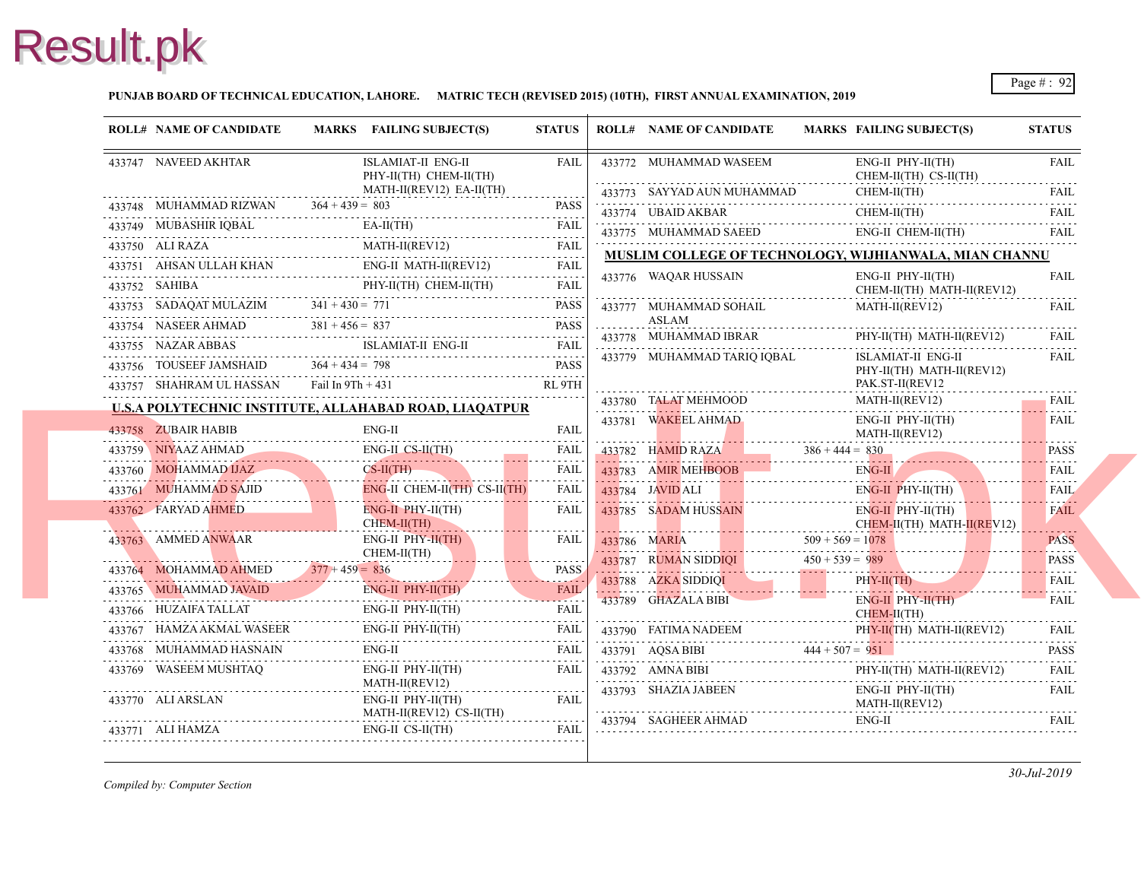#### **PUNJAB BOARD OF TECHNICAL EDUCATION, LAHORE. MATRIC TECH (REVISED 2015) (10TH), FIRST ANNUAL EXAMINATION, 2019**

| <b>ROLL# NAME OF CANDIDATE</b>                                     |                     | MARKS FAILING SUBJECT(S)                                                                                                                                                                      | <b>STATUS</b>                             | <b>ROLL# NAME OF CANDIDATE</b>               | <b>MARKS FAIL</b> |                            |
|--------------------------------------------------------------------|---------------------|-----------------------------------------------------------------------------------------------------------------------------------------------------------------------------------------------|-------------------------------------------|----------------------------------------------|-------------------|----------------------------|
| 433747 NAVEED AKHTAR                                               |                     | ISLAMIAT-II ENG-II<br>PHY-II(TH) CHEM-II(TH)                                                                                                                                                  | <b>FAIL</b>                               | 433772 MUHAMMAD WASEEM                       |                   | ENG-<br><b>CHE</b>         |
|                                                                    |                     | MATH-II(REV12) EA-II(TH)                                                                                                                                                                      | $\alpha$ , $\alpha$ , $\alpha$ , $\alpha$ | 433773 SAYYAD AUN MUHAMMAD                   |                   | <b>CHE</b>                 |
| 433748 MUHAMMAD RIZWAN $364 + 439 = 803$                           |                     |                                                                                                                                                                                               | <b>PASS</b><br>.                          | 433774 UBAID AKBAR                           |                   | <b>CHE</b>                 |
| 433749 MUBASHIR IQBAL                                              |                     | $EA-II(TH)$<br>$\begin{tabular}{ll} \bf 433749 & \textbf{MUBASHIR IQBAL} & \textbf{EA-II(TH)}\\ \hline \end{tabular} \begin{tabular}{ll} \bf 1433749 & \textbf{MUBASHIR IQBAL} \end{tabular}$ |                                           | 433775 MUHAMMAD SAEED                        |                   | ENG-                       |
|                                                                    |                     | MATH-II(REV12)<br>433750 ALI RAZA MATH-II(REV12)<br>AHRAN III J.AH KHAN ENG-II MATH-II(REV12) FAIL                                                                                            |                                           | <b>MUSLIM COLLEGE OF TECHNOLOGY, WIJH</b>    |                   |                            |
|                                                                    |                     | $-433751$ AHSAN ULLAH KHAN ENG-II MATH-II(REV12) FAIL                                                                                                                                         |                                           | 433776 WAQAR HUSSAIN                         |                   | ENG-                       |
|                                                                    |                     | PHY-II(TH) CHEM-II(TH)                                                                                                                                                                        | FAIL                                      |                                              |                   | <b>CHE</b>                 |
| 433753 SADAQAT MULAZIM $341 + 430 = 771$                           |                     |                                                                                                                                                                                               | <b>PASS</b>                               | 433777 MUHAMMAD SOHAIL<br>ASLAM              |                   | <b>MAT</b>                 |
| 433754 NASEER AHMAD $381 + 456 = 837$                              |                     |                                                                                                                                                                                               | <b>PASS</b>                               | 433778 MUHAMMAD IBRAR                        |                   | PHY-                       |
| 433755 NAZAR ABBAS                                                 |                     | ISLAMIAT-II ENG-II<br>433755 NAZAR ABBAS ISLAMIAT-II ENG-II FAIL                                                                                                                              |                                           | 433779 MUHAMMAD TARIQ IQBAL                  |                   | <b>ISLA</b>                |
| 433756 TOUSEEF JAMSHAID $364 + 434 = 798$                          |                     | 433756 TOUSEEF JAMSHAID $364 + 434 = 798$ PASS                                                                                                                                                | <b>PASS</b>                               |                                              |                   | PHY-                       |
| 433757 SHAHRAM UL HASSAN                                           | Fail In $9Th + 431$ |                                                                                                                                                                                               | RL 9TH                                    |                                              |                   | PAK.                       |
|                                                                    |                     | <b>U.S.A POLYTECHNIC INSTITUTE, ALLAHABAD ROAD, LIAQATPUR</b>                                                                                                                                 |                                           | 433780 TALAT MEHMOOD                         |                   | <b>MAT</b>                 |
| 433758 ZUBAIR HABIB                                                |                     | $ENG-II$                                                                                                                                                                                      | <b>FAIL</b>                               | 433781 WAKEEL AHMAD                          |                   | ENG-<br><b>MAT</b>         |
|                                                                    |                     | ENG-II CS-II(TH)<br>433759 NIYAAZ AHMAD ENG-II CS-II(TH) FAIL                                                                                                                                 |                                           | $433782$ HAMID RAZA $386 + 444 = 830$        |                   |                            |
| 433760 MOHAMMAD IJAZ<br>433760 MOHAMMAD UAZ CS-II(TH)              |                     | $CS-II(TH)$                                                                                                                                                                                   | FAIL                                      | 433783 AMIR MEHBOOB                          |                   | ENG-                       |
| 433761 MUHAMMAD SAJID                                              |                     | ENG-II CHEM-II(TH) CS-II(TH)                                                                                                                                                                  | .<br>FAIL                                 | 433784 JAVID ALI                             |                   | ENG-                       |
| 433762 FARYAD AHMED                                                |                     | $ENG-II$ $PHY-II(TH)$<br>CHEM-II(TH)                                                                                                                                                          | FAIL                                      | 433785 SADAM HUSSAIN                         |                   | ENG-<br><b>CHEM</b>        |
| 433763 AMMED ANWAAR                                                |                     | $ENG-II$ $PHY-II(TH)$                                                                                                                                                                         | FAIL                                      | 433786 MARIA $509 + 569 = 107$               |                   |                            |
| CHEM<br>433764 MOHAMMAD AHMED 377 + 459 = 836                      |                     | $CHEM-II(TH)$                                                                                                                                                                                 | PASS.                                     | 433787 RUMAN SIDDIQI                         | $450 + 539 = 989$ |                            |
|                                                                    |                     | ENG-II PHY-II(TH)                                                                                                                                                                             | <b>FAIL</b>                               | $433788$ AZKA SIDDIQI                        |                   | PHY-                       |
| 433765 MUHAMMAD JAVAID                                             |                     |                                                                                                                                                                                               |                                           | 433789 GHAZALA BIBI                          |                   | ENG-                       |
| 433766 HUZAIFA TALLAT<br>433767 HAMZA AKMAL WASEER                 |                     | ENG-II PHY-II(TH)<br>ENG-II PHY-II(TH)                                                                                                                                                        | <b>FAIL</b>                               |                                              |                   | <b>CHEI</b>                |
|                                                                    |                     | 433767 HAMZA AKMAL WASEER ENG-II PHY-II(TH) FAIL<br>ENG-II                                                                                                                                    | FAIL                                      | 433790 FATIMA NADEEM                         |                   | PHY-                       |
| 433768 MUHAMMAD HASNAIN<br>AD HASNAIN<br>------------------------- |                     |                                                                                                                                                                                               | FAIL                                      | 433791 AQSA BIBI 444 + 507 = $951$           |                   |                            |
| 433769 WASEEM MUSHTAQ                                              |                     | ENG-II PHY-II(TH)<br>MATH-II(REV12)                                                                                                                                                           | FAIL                                      | 433792 AMNA BIBI<br>433792 AMNA BIBI PHY     |                   | PHY-                       |
| 433770 ALI ARSLAN                                                  |                     | ENG-II PHY-II(TH)<br>MATH-II(REV12) CS-II(TH)                                                                                                                                                 | FAIL                                      | 433793 SHAZIA JABEEN<br>433794 SAGHEER AHMAD |                   | ENG-<br><b>MAT</b><br>ENG- |
| 433771 ALI HAMZA                                                   |                     | $ENG-II CS-II(TH)$                                                                                                                                                                            | FAIL                                      |                                              |                   |                            |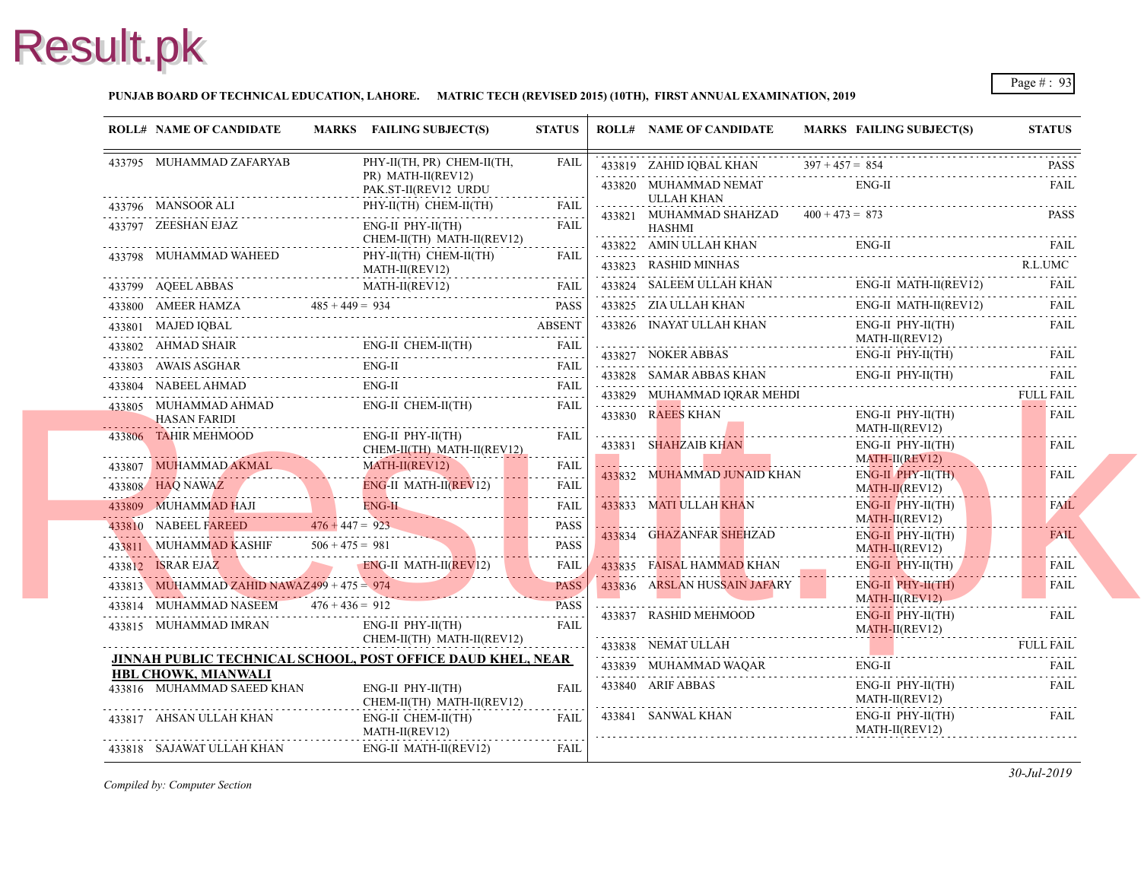#### **PUNJAB BOARD OF TECHNICAL EDUCATION, LAHORE. MATRIC TECH (REVISED 2015) (10TH), FIRST ANNUAL EXAMINATION, 2019**

| <b>ROLL# NAME OF CANDIDATE</b>               | MARKS FAILING SUBJECT(S)                                                                                                                                                                                                                                                                                                                                                                                                | <b>STATUS</b> | <b>ROLL# NAME OF CANDIDATE</b>                             | <b>MARKS FAIL</b>  |
|----------------------------------------------|-------------------------------------------------------------------------------------------------------------------------------------------------------------------------------------------------------------------------------------------------------------------------------------------------------------------------------------------------------------------------------------------------------------------------|---------------|------------------------------------------------------------|--------------------|
| 433795 MUHAMMAD ZAFARYAB                     | PHY-II(TH, PR) CHEM-II(TH,                                                                                                                                                                                                                                                                                                                                                                                              | <b>FAIL</b>   | 433819 ZAHID IQBAL KHAN                                    | $397 + 457 = 854$  |
|                                              | PR) MATH-II(REV12)<br>PAK.ST-II(REV12 URDU                                                                                                                                                                                                                                                                                                                                                                              |               | 433820 MUHAMMAD NEMAT                                      | ENG-               |
| 433796 MANSOOR ALI                           | PHY-II(TH) CHEM-II(TH)                                                                                                                                                                                                                                                                                                                                                                                                  | <b>FAIL</b>   | ULLAH KHAN                                                 |                    |
| 433797 ZEESHAN EJAZ                          | ENG-II PHY-II(TH)                                                                                                                                                                                                                                                                                                                                                                                                       | FAIL          | 433821 MUHAMMAD SHAHZAD $400 + 473 = 873$<br><b>HASHMI</b> |                    |
|                                              | CHEM-II(TH) MATH-II(REV12)                                                                                                                                                                                                                                                                                                                                                                                              |               | 433822 AMIN ULLAH KHAN                                     | ENG-               |
| 433798 MUHAMMAD WAHEED PI                    | PHY-II(TH) CHEM-II(TH)<br>MATH-II(REV12)                                                                                                                                                                                                                                                                                                                                                                                | <b>FAIL</b>   | 433823 RASHID MINHAS                                       |                    |
|                                              |                                                                                                                                                                                                                                                                                                                                                                                                                         |               | 433824 SALEEM ULLAH KHAN                                   | ENG-               |
|                                              | $\begin{tabular}{c c c c} \hline \textbf{AA3799} & \textbf{AQEEL ABBAS} & \textbf{MATH-IMALV12)} & \textbf{FAIL} \\ \hline \textbf{433800} & \textbf{AMEER HAMZA} & \textbf{485 + 449 = 934} & \textbf{PASS} \\ \hline \textbf{433801} & \textbf{MAJED IQBAL} & \textbf{ABSENT} \\ \hline \textbf{433802} & \textbf{AHMAD SHAIR} & \textbf{ENG-II CHEM-II(TH)} & \textbf{FAIL} \\ \hline \textbf{433803} & \textbf{AWA$ |               | 433825 ZIA ULLAH KHAN                                      | ENG-               |
|                                              |                                                                                                                                                                                                                                                                                                                                                                                                                         |               | 433826 INAYAT ULLAH KHAN                                   | ENG-               |
|                                              |                                                                                                                                                                                                                                                                                                                                                                                                                         |               | 433827 NOKER ABBAS                                         | <b>MAT</b><br>ENG- |
|                                              |                                                                                                                                                                                                                                                                                                                                                                                                                         |               | 433828 SAMAR ABBAS KHAN                                    | ENG-               |
|                                              |                                                                                                                                                                                                                                                                                                                                                                                                                         |               | 433829 MUHAMMAD IQRAR MEHDI                                |                    |
| 433805 MUHAMMAD AHMAD<br><b>HASAN FARIDI</b> | ENG-II CHEM-II(TH)                                                                                                                                                                                                                                                                                                                                                                                                      | FAIL          | 433830 RAEES KHAN                                          | ENG-               |
| 433806 TAHIR MEHMOOD                         | $ENG-II$ $PHY-II(TH)$                                                                                                                                                                                                                                                                                                                                                                                                   | <b>FAIL</b>   |                                                            | <b>MAT</b>         |
|                                              | CHEM-II(TH) MATH-II(REV12)                                                                                                                                                                                                                                                                                                                                                                                              |               | 433831 SHAHZAIB KHAN                                       | ENG-<br><b>MAT</b> |
|                                              | 433807 MUHAMMAD AKMAL MATH-II(REVI2)<br>433808 HAQ NAWAZ ENG-II MATH-II(REVI2)                                                                                                                                                                                                                                                                                                                                          | <b>FAIL</b>   | 433832 MUHAMMAD JUNAID KHAN                                | ENG-               |
|                                              |                                                                                                                                                                                                                                                                                                                                                                                                                         | FAIL<br>.     |                                                            | <b>MAT</b>         |
|                                              | $\begin{tabular}{c c c c c} \hline \textbf{433809} & \textbf{MUHAMMAD HAI} & \textbf{ENG-II} & \textbf{FAIL} \\ \hline \textbf{433810} & \textbf{NABEEL FAREED} & \textbf{476} + \textbf{447} = \textbf{923} & \textbf{PASS} \\ \hline \end{tabular}$                                                                                                                                                                   |               | 433833 MATI ULLAH KHAN                                     | ENG-<br><b>MAT</b> |
|                                              |                                                                                                                                                                                                                                                                                                                                                                                                                         |               | 433834 GHAZANFAR SHEHZAD                                   | ENG-               |
|                                              | 433811 MUHAMMAD KASHIF 506+475 = 981 PASS<br>433812 ISRAR EJAZ EMG-II MATH-II(REV)12) FAIL                                                                                                                                                                                                                                                                                                                              |               |                                                            | <b>MAT</b>         |
|                                              |                                                                                                                                                                                                                                                                                                                                                                                                                         |               | 433835 FAISAL HAMMAD KHAN                                  | ENG-               |
| 433813 MUHAMMAD ZAHID NAWAZ499 + 475 = 974   | MUHAMMAD ZAHID NAWAZ499 + 475 = 974                                                                                                                                                                                                                                                                                                                                                                                     |               | 433836 ARSLAN HUSSAIN JAFARY                               | ENG-<br><b>MAT</b> |
| 433814 MUHAMMAD NASEEM $476 + 436 = 912$     |                                                                                                                                                                                                                                                                                                                                                                                                                         | <b>PASS</b>   | 433837 RASHID MEHMOOD                                      | ENG-               |
| 433815 MUHAMMAD IMRAN                        | $ENG-II$ $PHY-II(TH)$<br>CHEM-II(TH) MATH-II(REV12)                                                                                                                                                                                                                                                                                                                                                                     | <b>FAIL</b>   | 433838 NEMAT ULLAH                                         | <b>MAT</b>         |
|                                              | <b>JINNAH PUBLIC TECHNICAL SCHOOL, POST OFFICE DAUD KHEL, NEAR</b>                                                                                                                                                                                                                                                                                                                                                      |               | 433839 MUHAMMAD WAQAR                                      | ENG-               |
| HBL CHOWK, MIANWALI                          |                                                                                                                                                                                                                                                                                                                                                                                                                         |               | 433840 ARIF ABBAS                                          | ENG-               |
| 433816 MUHAMMAD SAEED KHAN                   | ENG-II PHY-II(TH)<br>CHEM-II(TH) MATH-II(REV12)                                                                                                                                                                                                                                                                                                                                                                         | <b>FAIL</b>   |                                                            | <b>MAT</b>         |
| 433817 AHSAN ULLAH KHAN                      | ENG-II CHEM-II(TH)<br>MATH-II(REV12)                                                                                                                                                                                                                                                                                                                                                                                    | FAII          | 433841 SANWAL KHAN                                         | ENG-<br><b>MAT</b> |
| 433818 SAJAWAT ULLAH KHAN                    | ENG-II MATH-II(REV12)                                                                                                                                                                                                                                                                                                                                                                                                   | FAIL          |                                                            |                    |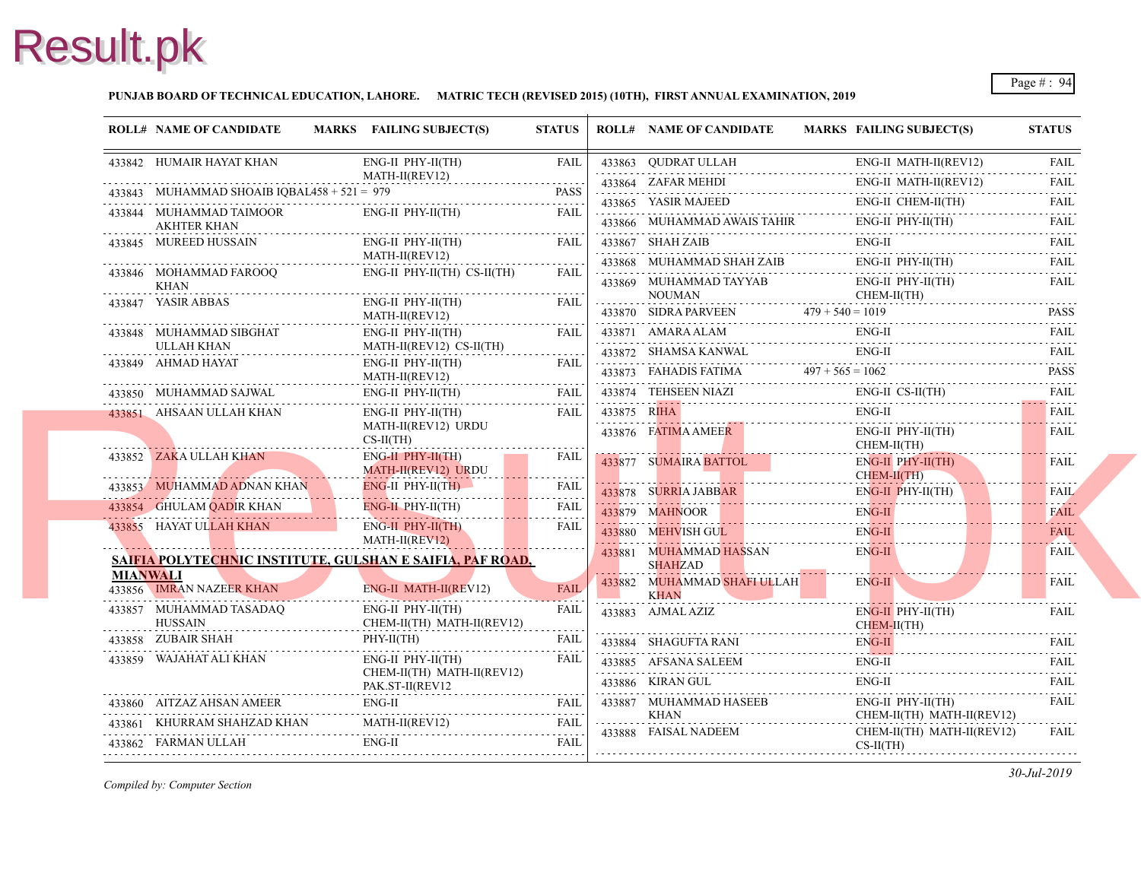#### **PUNJAB BOARD OF TECHNICAL EDUCATION, LAHORE. MATRIC TECH (REVISED 2015) (10TH), FIRST ANNUAL EXAMINATION, 2019**

| <b>ROLL# NAME OF CANDIDATE</b>                                                                                                                                                                                                                                                                                                                                                                                       | MARKS FAILING SUBJECT(S)                                                                                                                                                                                                                                                                     | <b>STATUS</b>                     |             | <b>ROLL# NAME OF CANDIDATE</b>                                                                                                       | <b>MARKS FAIL</b>                |
|----------------------------------------------------------------------------------------------------------------------------------------------------------------------------------------------------------------------------------------------------------------------------------------------------------------------------------------------------------------------------------------------------------------------|----------------------------------------------------------------------------------------------------------------------------------------------------------------------------------------------------------------------------------------------------------------------------------------------|-----------------------------------|-------------|--------------------------------------------------------------------------------------------------------------------------------------|----------------------------------|
| 433842 HUMAIR HAYAT KHAN                                                                                                                                                                                                                                                                                                                                                                                             | $ENG-II$ $PHY-II(TH)$                                                                                                                                                                                                                                                                        | FAIL                              |             | 433863 QUDRAT ULLAH                                                                                                                  | ENG-                             |
| 433843 MUHAMMAD SHOAIB IQBAL458 + 521 = 979                                                                                                                                                                                                                                                                                                                                                                          | MATH-II(REV12)                                                                                                                                                                                                                                                                               | <b>PASS</b>                       |             | 433864 ZAFAR MEHDI                                                                                                                   | ENG-                             |
| 433844 MUHAMMAD TAIMOOR<br><b>AKHTER KHAN</b>                                                                                                                                                                                                                                                                                                                                                                        | QBAL458 + 521 = 979 PASS<br>ENG-II PHY-II(TH)                                                                                                                                                                                                                                                | FAII.                             |             | 433865 YASIR MAJEED<br>433866 MUHAMMAD AWAIS TAHIR                                                                                   | ENG-<br>ENG-                     |
| 433845 MUREED HUSSAIN                                                                                                                                                                                                                                                                                                                                                                                                | ENG-II PHY-II(TH)                                                                                                                                                                                                                                                                            | FAIL                              |             | 433867 SHAH ZAIB                                                                                                                     | ENG-                             |
| 433846 MOHAMMAD FAROOQ<br>KHAN                                                                                                                                                                                                                                                                                                                                                                                       | MATH-II(REV12)<br>ENG-II PHY-II(TH) CS-II(TH)                                                                                                                                                                                                                                                | FAIL                              |             | 433868 MUHAMMAD SHAH ZAIB ENG<br>433869 MUHAMMAD TAYYAB                                                                              | ENG-<br>ENG-                     |
|                                                                                                                                                                                                                                                                                                                                                                                                                      | ENG-II PHY-II(TH)<br>MATH-II(REV12)                                                                                                                                                                                                                                                          | FAIL                              |             | $\begin{minipage}{0.9\linewidth} \textbf{NOUNAN} \end{minipage}$<br>433870 SIDRA PARVEEN $479 + 540 = 101$                           | <b>CHE</b>                       |
| 433848 MUHAMMAD SIBGHAT<br>ULLAH KHAN MULAH KHAN                                                                                                                                                                                                                                                                                                                                                                     | ENG-II PHY-II(TH)<br>MATH-II(REV12) $\text{CS-II(TH)}$                                                                                                                                                                                                                                       | <b>FAIL</b>                       |             | 433871 AMARA ALAM ENG<br>433872 SHAMSA KANWAL ENG-                                                                                   | ENG-<br>ENG-                     |
| ${\begin{tabular}{ll} \bf 433849 & AHMAD HAYAT & ENG-II PHY-II(TH) \\ \hline \multicolumn{2}{l}{\bf 1197} & MATH-II(REV12) \\ \hline \multicolumn{2}{l}{\bf 221} & \multicolumn{2}{l}{\bf 3384} & \multicolumn{2}{l}{\bf 4338} \\ \hline \multicolumn{2}{l}{\bf 3384} & \multicolumn{2}{l}{\bf 3384} & \multicolumn{2}{l}{\bf 4338} \\ \hline \multicolumn{2}{l}{\bf 4338} & \multicolumn{2}{l}{\bf 4338} & \multic$ |                                                                                                                                                                                                                                                                                              | FAIL                              |             |                                                                                                                                      |                                  |
|                                                                                                                                                                                                                                                                                                                                                                                                                      | $\begin{tabular}{ll} \bf 433850 & MUHAMMAD SAJWAL & \color{red}{EMG-II PHY-II(TH)} & \color{red}{FAIL} \\ \hline \end{tabular} \begin{tabular}{ll} \bf 233850 & MUHAMMAD SAJWAL & \color{red}{EMG-II PHY-II(TH)} \\ \bf 233850 & \color{red}{HUHAMMAD} & \color{red}{HUAL} \\ \end{tabular}$ |                                   |             | $\begin{tabular}{ll} \bf 433873 & FAHADIS FATIMA & \tt 497 + 565 = 1061 \\ \hline \tt 433874 & TEHSEEN NIAZI & ENG-\\ \end{tabular}$ |                                  |
| 433851 AHSAAN ULLAH KHAN                                                                                                                                                                                                                                                                                                                                                                                             | $ENG-II$ $PHY-II(TH)$<br>MATH-II(REV12) URDU<br>$CS-II(TH)$                                                                                                                                                                                                                                  | FAIL                              | 433875 RIHA | 433875 RIHA ENG<br>433876 FATIMA AMEER                                                                                               | ENG-<br>ENG-                     |
| 433852 ZAKA ULLAH KHAN                                                                                                                                                                                                                                                                                                                                                                                               | $ENG-H$ $PHY-H(TH)$<br>MATH-II(REV12) URDU                                                                                                                                                                                                                                                   | <b>FAIL</b>                       |             | 433877 SUMAIRA BATTOL                                                                                                                | <b>CHE</b><br>ENG-<br><b>CHE</b> |
|                                                                                                                                                                                                                                                                                                                                                                                                                      | 433853 MUHAMMAD ADNAN KHAN ENG-II PHY-II(TH)                                                                                                                                                                                                                                                 | FAIL                              |             | 433878 SURRIA JABBAR EN                                                                                                              | ENG-                             |
| 433854 GHULAM QADIR KHAN ENG-II PHY-II(TH)                                                                                                                                                                                                                                                                                                                                                                           |                                                                                                                                                                                                                                                                                              | FAIL<br>.                         |             |                                                                                                                                      | ENG-                             |
| 433855 HAYAT ULLAH KHAN ENG-II PHY-II(TH)                                                                                                                                                                                                                                                                                                                                                                            | MATH-II(REV12)                                                                                                                                                                                                                                                                               | FAIL                              |             | 433880 MEHVISH GUL                                                                                                                   | ENG-                             |
| MIANWALI                                                                                                                                                                                                                                                                                                                                                                                                             | SAIFIA POLYTECHNIC INSTITUTE, GULSHAN E SAIFIA, PAF ROAD,                                                                                                                                                                                                                                    |                                   | . <b>.</b>  | 433881 MUHAMMAD HASSAN<br><b>SHAHZAD</b>                                                                                             | ENG-                             |
| 433856 IMRAN NAZEER KHAN                                                                                                                                                                                                                                                                                                                                                                                             | ENG-II MATH-II(REV12)                                                                                                                                                                                                                                                                        | <b>FAIL</b>                       |             | 433882 MUHAMMAD SHAFI ULLAH<br><b>KHAN</b>                                                                                           | ENG-                             |
| 433857 MUHAMMAD TASADAQ<br><b>HUSSAIN</b>                                                                                                                                                                                                                                                                                                                                                                            | ENG-II PHY-II(TH)<br>CHEM-II(TH) MATH-II(REV12)                                                                                                                                                                                                                                              | FAIL<br>$\omega$ is a probability |             | 433883 AJMAL AZIZ                                                                                                                    | ENG-<br><b>CHE</b>               |
| 433858 ZUBAIR SHAH<br>AIR SHAH<br>                                                                                                                                                                                                                                                                                                                                                                                   | PHY-II(TH)                                                                                                                                                                                                                                                                                   | <b>FAIL</b>                       |             | 433884 SHAGUFTA RANI ENG-                                                                                                            | ENG-                             |
| 433859 WAJAHAT ALI KHAN                                                                                                                                                                                                                                                                                                                                                                                              | $ENG-II$ $PHY-II(TH)$<br>CHEM-II(TH) MATH-II(REV12)<br>PAK.ST-II(REV12                                                                                                                                                                                                                       | FAIL                              |             | 433886 KIRAN GUL                                                                                                                     | ENG-<br>ENG-                     |
|                                                                                                                                                                                                                                                                                                                                                                                                                      | 433860 AITZAZ AHSAN AMEER ENG-II FAIL FAIL                                                                                                                                                                                                                                                   |                                   |             | 433887 MUHAMMAD HASEEB                                                                                                               | ENG-                             |
|                                                                                                                                                                                                                                                                                                                                                                                                                      |                                                                                                                                                                                                                                                                                              |                                   | .           | <b>KHAN</b><br>433888 FAISAL NADEEM                                                                                                  | <b>CHE</b>                       |
|                                                                                                                                                                                                                                                                                                                                                                                                                      | $\begin{tabular}{ll} \hline 433861 & KHURRAM SHAHZAD KHAN & MATH-II (REV12) & FAIL \\ \hline 433862 & FARMAN ULLAH & ENG-II & FAIL \\ \hline \end{tabular}$                                                                                                                                  |                                   |             |                                                                                                                                      | <b>CHE</b><br>$CS-II$            |
|                                                                                                                                                                                                                                                                                                                                                                                                                      |                                                                                                                                                                                                                                                                                              |                                   |             |                                                                                                                                      |                                  |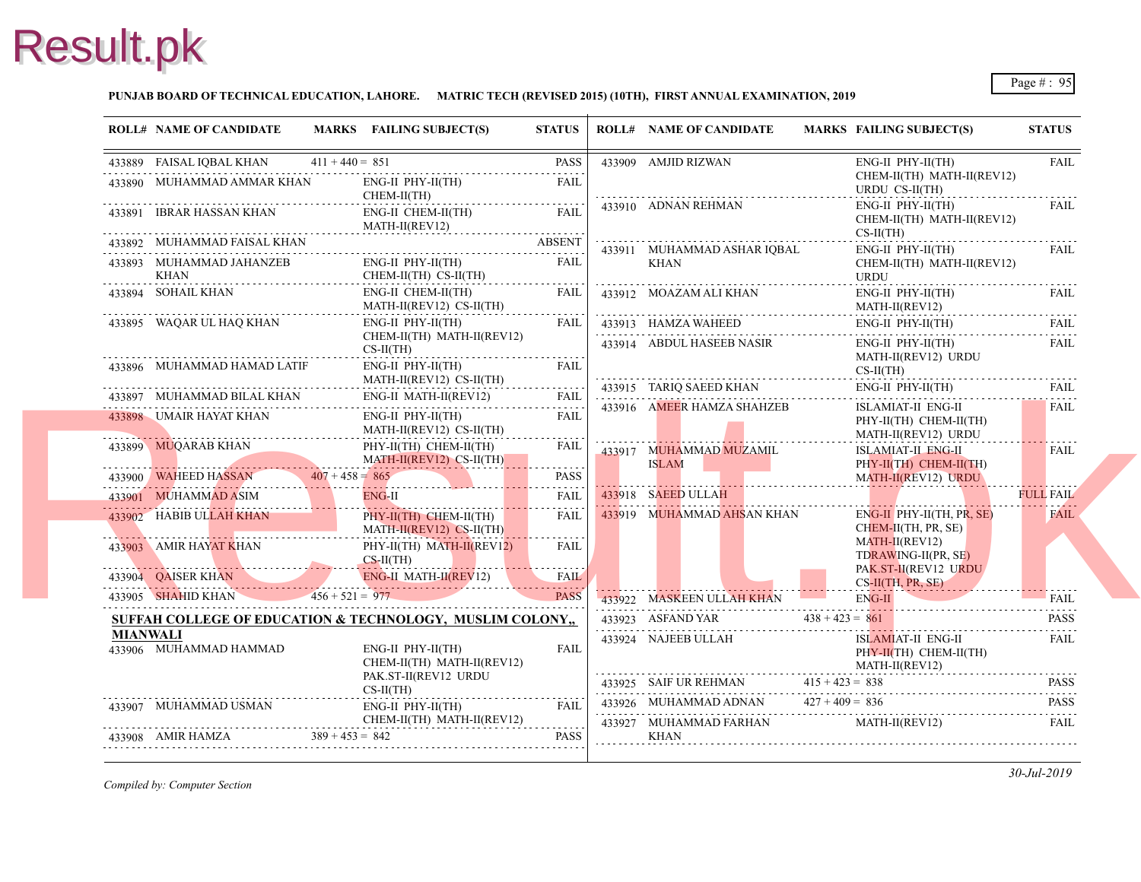#### **PUNJAB BOARD OF TECHNICAL EDUCATION, LAHORE. MATRIC TECH (REVISED 2015) (10TH), FIRST ANNUAL EXAMINATION, 2019**

| $433889 \quad \text{FAISAL IQBAL KHAN} \qquad 411 + 440 = 851 \qquad \text{PASS}$<br><b>PASS</b><br>433909 AMJID RIZWAN<br><b>CHE</b><br>433890 MUHAMMAD AMMAR KHAN<br>ENG-II PHY-II(TH)<br><b>FAIL</b><br>CHEM-II(TH)<br>433910 ADNAN REHMAN<br>ENG-<br>433891 IBRAR HASSAN KHAN<br>ENG-II CHEM-II(TH)<br><b>FAIL</b><br>$MATH-II(REV12)$<br>$CS-II$<br>433892 MUHAMMAD FAISAL KHAN ABSENT<br>433911 MUHAMMAD ASHAR IQBAL<br>ENG-<br>433893 MUHAMMAD JAHANZEB<br>$ENG-II$ $PHY-II(TH)$<br><b>FAIL</b><br><b>KHAN</b><br>CHEM-II(TH) CS-II(TH)<br>KHAN<br>.<br>.<br>433894 SOHAIL KHAN<br>FAIL  <br>433912 MOAZAM ALI KHAN<br>ENG-II CHEM-II(TH)<br>MATH-II(REV12) CS-II(TH)<br>.<br>433895 WAQAR UL HAQ KHAN<br>ENG-II PHY-II(TH)<br>FAIL<br>433913 HAMZA WAHEED<br>CHEM-II(TH) MATH-II(REV12)<br>433914 ABDUL HASEEB NASIR<br>$CS-II(TH)$<br><b>MAT</b><br>ENG-II PHY-II(TH)<br><b>FAIL</b><br>433896 MUHAMMAD HAMAD LATIF<br>MATH-II(REV12) CS-II(TH)<br>ENG-<br>433915 TARIQ SAEED KHAN<br>433897 MUHAMMAD BILAL KHAN ENG-II MA<br>ENG-II MATH-II(REV12)<br>FAIL<br>433916 AMEER HAMZA SHAHZEB<br><b>ISLA</b><br>433898 UMAIR HAYAT KHAN<br>ENG-II PHY-II(TH)<br><b>FAIL</b><br>MATH-II(REV12) CS-II(TH)<br>MATH-II(REV12) CS-II(TH<br>433899 MUQARAB KHAN PHY-II(TH) CHEM-II(TH)<br><b>MAT</b><br>FAIL<br>433917 MUHAMMAD MUZAMIL<br>MATH-II(REV12) CS-II(TH)<br><b>ISLAM</b><br>. <mark>.</mark> .<br>$407 + 458 = 865$<br>433900 WAHEED HASSAN $407 + 458 = 865$ PASS<br>PASS<br>433918 SAEED ULLAH<br>433901 MUHAMMAD ASIM<br>$ENG-II$<br><b>FAIL</b><br>433919 MUHAMMAD AHSAN KHAN<br>433902 HABIB ULLAH KHAN<br><b>FAIL</b><br>$PHY-II(TH)$ CHEM-II(TH)<br>MATH-II(REV12) CS-II(TH)<br><b>MAT</b><br>433903 AMIR HAYAT KHAN<br>PHY-II(TH) MATH-II(REV12)<br><b>FAIL</b><br>$CS-II(TH)$<br>PAK.<br>433904 QAISER KHAN ENG-II MATH-II(REVI2) FAIL 433905 SHAHID KHAN 456 + 521 = 977<br>433922 MASKEEN ULLAH KHAN<br>433923 ASFAND YAR $438 + 423 = 861$<br>SUFFAH COLLEGE OF EDUCATION & TECHNOLOGY, MUSLIM COLONY,<br><b>MIANWALI</b><br>433924 NAJEEB ULLAH<br>433906 MUHAMMAD HAMMAD<br>ENG-II PHY-II(TH)<br><b>FAIL</b><br>CHEM-II(TH) MATH-II(REV12)<br>PAK.ST-II(REV12 URDU<br>433925 SAIF UR REHMAN $415 + 423 = 838$<br>$CS-II(TH)$<br>433926 MUHAMMAD ADNAN $427 + 409 = 836$<br>433907 MUHAMMAD USMAN<br>ENG-II PHY-II(TH)<br><b>FAIL</b><br>CHEM-II(TH) MATH-II(REV12)<br>433908 AMIR HAMZA 389+453 = 842 PASS<br>433927 MUHAMMAD FARHAN<br><b>MAT</b><br><b>PASS</b><br>KHAN | <b>ROLL# NAME OF CANDIDATE</b> | MARKS FAILING SUBJECT(S) | <b>STATUS</b> | <b>ROLL# NAME OF CANDIDATE</b> | <b>MARKS FAIL</b>                 |
|---------------------------------------------------------------------------------------------------------------------------------------------------------------------------------------------------------------------------------------------------------------------------------------------------------------------------------------------------------------------------------------------------------------------------------------------------------------------------------------------------------------------------------------------------------------------------------------------------------------------------------------------------------------------------------------------------------------------------------------------------------------------------------------------------------------------------------------------------------------------------------------------------------------------------------------------------------------------------------------------------------------------------------------------------------------------------------------------------------------------------------------------------------------------------------------------------------------------------------------------------------------------------------------------------------------------------------------------------------------------------------------------------------------------------------------------------------------------------------------------------------------------------------------------------------------------------------------------------------------------------------------------------------------------------------------------------------------------------------------------------------------------------------------------------------------------------------------------------------------------------------------------------------------------------------------------------------------------------------------------------------------------------------------------------------------------------------------------------------------------------------------------------------------------------------------------------------------------------------------------------------------------------------------------------------------------------------------------------------------------------------------------------------------------------------------------------------------------------------------------------|--------------------------------|--------------------------|---------------|--------------------------------|-----------------------------------|
|                                                                                                                                                                                                                                                                                                                                                                                                                                                                                                                                                                                                                                                                                                                                                                                                                                                                                                                                                                                                                                                                                                                                                                                                                                                                                                                                                                                                                                                                                                                                                                                                                                                                                                                                                                                                                                                                                                                                                                                                                                                                                                                                                                                                                                                                                                                                                                                                                                                                                                   |                                |                          |               |                                | ENG-                              |
|                                                                                                                                                                                                                                                                                                                                                                                                                                                                                                                                                                                                                                                                                                                                                                                                                                                                                                                                                                                                                                                                                                                                                                                                                                                                                                                                                                                                                                                                                                                                                                                                                                                                                                                                                                                                                                                                                                                                                                                                                                                                                                                                                                                                                                                                                                                                                                                                                                                                                                   |                                |                          |               |                                | <b>URD</b>                        |
|                                                                                                                                                                                                                                                                                                                                                                                                                                                                                                                                                                                                                                                                                                                                                                                                                                                                                                                                                                                                                                                                                                                                                                                                                                                                                                                                                                                                                                                                                                                                                                                                                                                                                                                                                                                                                                                                                                                                                                                                                                                                                                                                                                                                                                                                                                                                                                                                                                                                                                   |                                |                          |               |                                | <b>CHE</b>                        |
|                                                                                                                                                                                                                                                                                                                                                                                                                                                                                                                                                                                                                                                                                                                                                                                                                                                                                                                                                                                                                                                                                                                                                                                                                                                                                                                                                                                                                                                                                                                                                                                                                                                                                                                                                                                                                                                                                                                                                                                                                                                                                                                                                                                                                                                                                                                                                                                                                                                                                                   |                                |                          |               |                                |                                   |
|                                                                                                                                                                                                                                                                                                                                                                                                                                                                                                                                                                                                                                                                                                                                                                                                                                                                                                                                                                                                                                                                                                                                                                                                                                                                                                                                                                                                                                                                                                                                                                                                                                                                                                                                                                                                                                                                                                                                                                                                                                                                                                                                                                                                                                                                                                                                                                                                                                                                                                   |                                |                          |               |                                | <b>CHE</b><br><b>URD</b>          |
|                                                                                                                                                                                                                                                                                                                                                                                                                                                                                                                                                                                                                                                                                                                                                                                                                                                                                                                                                                                                                                                                                                                                                                                                                                                                                                                                                                                                                                                                                                                                                                                                                                                                                                                                                                                                                                                                                                                                                                                                                                                                                                                                                                                                                                                                                                                                                                                                                                                                                                   |                                |                          |               |                                | ENG-<br><b>MAT</b>                |
|                                                                                                                                                                                                                                                                                                                                                                                                                                                                                                                                                                                                                                                                                                                                                                                                                                                                                                                                                                                                                                                                                                                                                                                                                                                                                                                                                                                                                                                                                                                                                                                                                                                                                                                                                                                                                                                                                                                                                                                                                                                                                                                                                                                                                                                                                                                                                                                                                                                                                                   |                                |                          |               |                                | ENG-                              |
|                                                                                                                                                                                                                                                                                                                                                                                                                                                                                                                                                                                                                                                                                                                                                                                                                                                                                                                                                                                                                                                                                                                                                                                                                                                                                                                                                                                                                                                                                                                                                                                                                                                                                                                                                                                                                                                                                                                                                                                                                                                                                                                                                                                                                                                                                                                                                                                                                                                                                                   |                                |                          |               |                                | ENG-                              |
|                                                                                                                                                                                                                                                                                                                                                                                                                                                                                                                                                                                                                                                                                                                                                                                                                                                                                                                                                                                                                                                                                                                                                                                                                                                                                                                                                                                                                                                                                                                                                                                                                                                                                                                                                                                                                                                                                                                                                                                                                                                                                                                                                                                                                                                                                                                                                                                                                                                                                                   |                                |                          |               |                                | $CS-II$                           |
|                                                                                                                                                                                                                                                                                                                                                                                                                                                                                                                                                                                                                                                                                                                                                                                                                                                                                                                                                                                                                                                                                                                                                                                                                                                                                                                                                                                                                                                                                                                                                                                                                                                                                                                                                                                                                                                                                                                                                                                                                                                                                                                                                                                                                                                                                                                                                                                                                                                                                                   |                                |                          |               |                                |                                   |
|                                                                                                                                                                                                                                                                                                                                                                                                                                                                                                                                                                                                                                                                                                                                                                                                                                                                                                                                                                                                                                                                                                                                                                                                                                                                                                                                                                                                                                                                                                                                                                                                                                                                                                                                                                                                                                                                                                                                                                                                                                                                                                                                                                                                                                                                                                                                                                                                                                                                                                   |                                |                          |               |                                | PHY-                              |
|                                                                                                                                                                                                                                                                                                                                                                                                                                                                                                                                                                                                                                                                                                                                                                                                                                                                                                                                                                                                                                                                                                                                                                                                                                                                                                                                                                                                                                                                                                                                                                                                                                                                                                                                                                                                                                                                                                                                                                                                                                                                                                                                                                                                                                                                                                                                                                                                                                                                                                   |                                |                          |               |                                | <b>ISLA</b><br>PHY-               |
|                                                                                                                                                                                                                                                                                                                                                                                                                                                                                                                                                                                                                                                                                                                                                                                                                                                                                                                                                                                                                                                                                                                                                                                                                                                                                                                                                                                                                                                                                                                                                                                                                                                                                                                                                                                                                                                                                                                                                                                                                                                                                                                                                                                                                                                                                                                                                                                                                                                                                                   |                                |                          |               |                                | <b>MAT</b>                        |
|                                                                                                                                                                                                                                                                                                                                                                                                                                                                                                                                                                                                                                                                                                                                                                                                                                                                                                                                                                                                                                                                                                                                                                                                                                                                                                                                                                                                                                                                                                                                                                                                                                                                                                                                                                                                                                                                                                                                                                                                                                                                                                                                                                                                                                                                                                                                                                                                                                                                                                   |                                |                          |               |                                |                                   |
|                                                                                                                                                                                                                                                                                                                                                                                                                                                                                                                                                                                                                                                                                                                                                                                                                                                                                                                                                                                                                                                                                                                                                                                                                                                                                                                                                                                                                                                                                                                                                                                                                                                                                                                                                                                                                                                                                                                                                                                                                                                                                                                                                                                                                                                                                                                                                                                                                                                                                                   |                                |                          |               |                                | ENG-<br><b>CHE</b>                |
|                                                                                                                                                                                                                                                                                                                                                                                                                                                                                                                                                                                                                                                                                                                                                                                                                                                                                                                                                                                                                                                                                                                                                                                                                                                                                                                                                                                                                                                                                                                                                                                                                                                                                                                                                                                                                                                                                                                                                                                                                                                                                                                                                                                                                                                                                                                                                                                                                                                                                                   |                                |                          |               |                                | <b>TDR</b>                        |
|                                                                                                                                                                                                                                                                                                                                                                                                                                                                                                                                                                                                                                                                                                                                                                                                                                                                                                                                                                                                                                                                                                                                                                                                                                                                                                                                                                                                                                                                                                                                                                                                                                                                                                                                                                                                                                                                                                                                                                                                                                                                                                                                                                                                                                                                                                                                                                                                                                                                                                   |                                |                          |               |                                | $CS-II$                           |
|                                                                                                                                                                                                                                                                                                                                                                                                                                                                                                                                                                                                                                                                                                                                                                                                                                                                                                                                                                                                                                                                                                                                                                                                                                                                                                                                                                                                                                                                                                                                                                                                                                                                                                                                                                                                                                                                                                                                                                                                                                                                                                                                                                                                                                                                                                                                                                                                                                                                                                   |                                |                          |               |                                | ENG-                              |
|                                                                                                                                                                                                                                                                                                                                                                                                                                                                                                                                                                                                                                                                                                                                                                                                                                                                                                                                                                                                                                                                                                                                                                                                                                                                                                                                                                                                                                                                                                                                                                                                                                                                                                                                                                                                                                                                                                                                                                                                                                                                                                                                                                                                                                                                                                                                                                                                                                                                                                   |                                |                          |               |                                |                                   |
|                                                                                                                                                                                                                                                                                                                                                                                                                                                                                                                                                                                                                                                                                                                                                                                                                                                                                                                                                                                                                                                                                                                                                                                                                                                                                                                                                                                                                                                                                                                                                                                                                                                                                                                                                                                                                                                                                                                                                                                                                                                                                                                                                                                                                                                                                                                                                                                                                                                                                                   |                                |                          |               |                                | <b>ISLA</b><br>PHY-<br><b>MAT</b> |
|                                                                                                                                                                                                                                                                                                                                                                                                                                                                                                                                                                                                                                                                                                                                                                                                                                                                                                                                                                                                                                                                                                                                                                                                                                                                                                                                                                                                                                                                                                                                                                                                                                                                                                                                                                                                                                                                                                                                                                                                                                                                                                                                                                                                                                                                                                                                                                                                                                                                                                   |                                |                          |               |                                |                                   |
|                                                                                                                                                                                                                                                                                                                                                                                                                                                                                                                                                                                                                                                                                                                                                                                                                                                                                                                                                                                                                                                                                                                                                                                                                                                                                                                                                                                                                                                                                                                                                                                                                                                                                                                                                                                                                                                                                                                                                                                                                                                                                                                                                                                                                                                                                                                                                                                                                                                                                                   |                                |                          |               |                                |                                   |
|                                                                                                                                                                                                                                                                                                                                                                                                                                                                                                                                                                                                                                                                                                                                                                                                                                                                                                                                                                                                                                                                                                                                                                                                                                                                                                                                                                                                                                                                                                                                                                                                                                                                                                                                                                                                                                                                                                                                                                                                                                                                                                                                                                                                                                                                                                                                                                                                                                                                                                   |                                |                          |               |                                |                                   |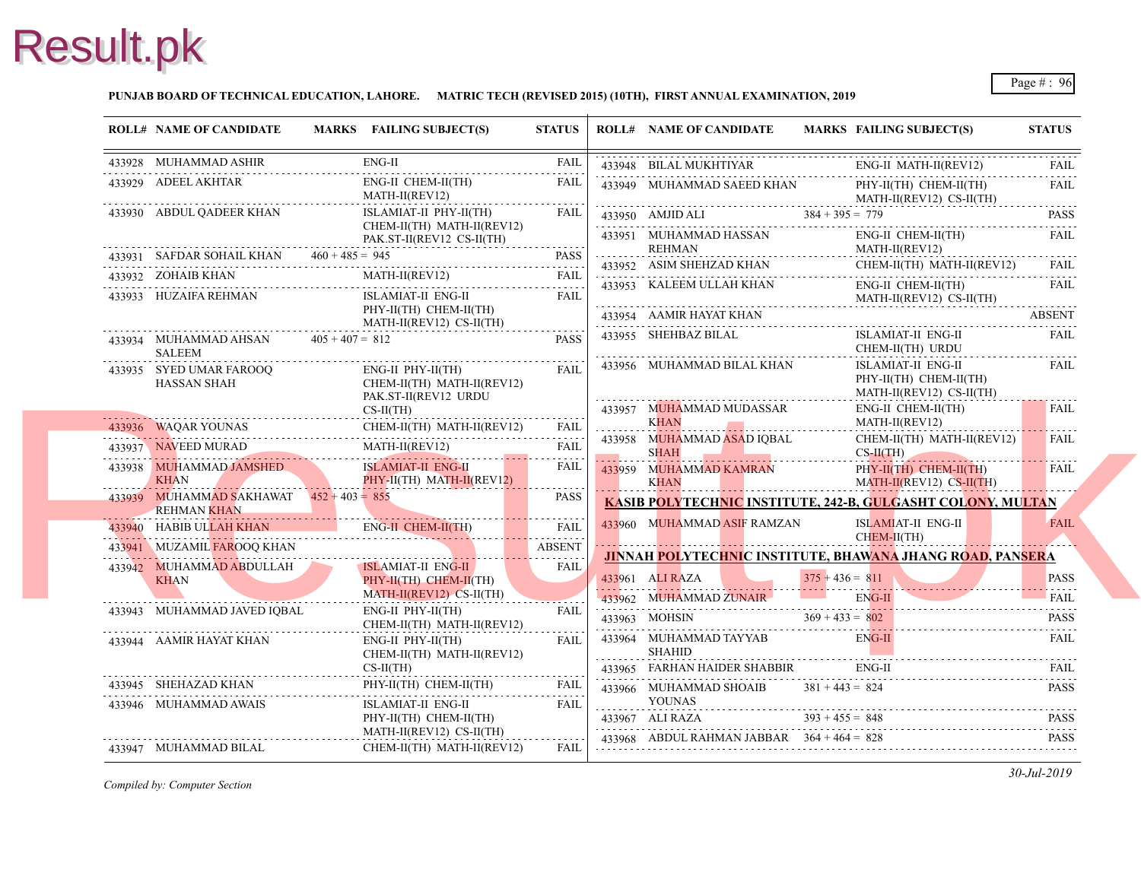#### **PUNJAB BOARD OF TECHNICAL EDUCATION, LAHORE. MATRIC TECH (REVISED 2015) (10TH), FIRST ANNUAL EXAMINATION, 2019**

|            | <b>ROLL# NAME OF CANDIDATE</b>                                                      | MARKS FAILING SUBJECT(S)                                                          | <b>STATUS</b>               |                          | <b>ROLL# NAME OF CANDIDATE</b>                            | <b>MARKS FAIL</b> |                                   |
|------------|-------------------------------------------------------------------------------------|-----------------------------------------------------------------------------------|-----------------------------|--------------------------|-----------------------------------------------------------|-------------------|-----------------------------------|
|            | 433928 MUHAMMAD ASHIR                                                               | ENG-II                                                                            | FAIL                        |                          | 433948 BILAL MUKHTIYAR                                    |                   | ENG-                              |
|            | 433929 ADEEL AKHTAR                                                                 | ENG-II CHEM-II(TH)<br>MATH-II(REV12)                                              | FAIL                        |                          | 433949 MUHAMMAD SAEED KHAN                                |                   | PHY-<br>MATI                      |
|            | 433930 ABDUL QADEER KHAN                                                            | ISLAMIAT-II PHY-II(TH)<br>CHEM-II(TH) MATH-II(REV12)<br>PAK.ST-II(REV12 CS-II(TH) | FAIL                        |                          | 433951 MUHAMMAD HASSAN                                    |                   | ENG-                              |
|            | PAK.S<br>433931 SAFDAR SOHAIL KHAN 460 + 485 = 945                                  |                                                                                   | <b>PASS</b>                 | $\overline{\phantom{a}}$ | REHMAN                                                    |                   | <b>MAT</b>                        |
|            |                                                                                     | 433931 SAFDAR SOHAIL KHAN $460 + 485 = 945$ PASS<br>MATH-II(REV12) FAIL           |                             |                          | 433952 ASIM SHEHZAD KHAN                                  |                   | <b>CHE</b>                        |
|            | 433933 HUZAIFA REHMAN                                                               | ISLAMIAT-II ENG-II                                                                | FAIL                        |                          | 433953 KALEEM ULLAH KHAN                                  |                   | ENG-<br><b>MAT</b>                |
|            |                                                                                     | PHY-II(TH) CHEM-II(TH)<br>MATH-II(REV12) CS-II(TH)                                |                             |                          | 433954 AAMIR HAYAT KHAN                                   |                   |                                   |
|            | 433934 MUHAMMAD AHSAN $405 + 407 = 812$<br>SALEEM                                   |                                                                                   | <b>PASS</b>                 |                          | 433955 SHEHBAZ BILAL                                      |                   | <b>ISLA</b><br><b>CHE</b>         |
|            | 433935 SYED UMAR FAROOQ<br>HASSAN SHAH                                              | $ENG-II$ $PHY-II(TH)$<br>CHEM-II(TH) MATH-II(REV12)<br>PAK.ST-II(REV12 URDU       | <b>FAIL</b>                 |                          | 433956 MUHAMMAD BILAL KHAN                                |                   | <b>ISLA</b><br>PHY-<br><b>MAT</b> |
|            |                                                                                     | $CS-II(TH)$                                                                       |                             |                          | 433957 MUHAMMAD MUDASSAR                                  |                   | ENG-                              |
|            |                                                                                     | 433936 WAQAR YOUNAS CHEM-II(TH) MATH-II(REV12) FAIL                               |                             | .                        | KHAN AND THE TOP AT                                       |                   | <b>MAT</b>                        |
|            |                                                                                     | 433937 NAVEED MURAD MATH-II(REV12) FAIL                                           |                             |                          | 433958 MUHAMMAD ASAD IOBAL<br>SHAH                        |                   | <b>CHE</b><br>$CS-H$              |
|            | 433938 MUHAMMAD JAMSHED ISLAMIAT-II ENG-II KHAN KHAN KHAN PHY-II(TH) MATH-II(REV12) | ISLAMIAT-II ENG-II                                                                | FAIL                        | .                        | 433959 MUHAMMAD KAMRAN<br><b>KHAN</b>                     |                   | PHY-<br><b>MATI</b>               |
| . <b>.</b> | 433939 MUHAMMAD SAKHAWAT $452 + 403 = 855$<br><b>REHMAN KHAN</b>                    |                                                                                   | <b>PASS</b>                 |                          | <b>KASIB POLYTECHNIC INSTITUTE, 242-B, GU</b>             |                   |                                   |
|            |                                                                                     | 433940 HABIB ULLAH KHAN ENG-II CHEM-II(TH) FAIL                                   |                             |                          | 433960 MUHAMMAD ASIF RAMZAN                               |                   | <b>ISLA</b><br><b>CHEM</b>        |
|            |                                                                                     |                                                                                   |                             |                          | <b>JINNAH POLYTECHNIC INSTITUTE, BHAWA</b>                |                   |                                   |
|            | 433942 MUHAMMAD ABDULLAH<br><b>KHAN</b>                                             | ISLAMIAT-II ENG-II<br>PHY-II(TH) CHEM-II(TH)                                      | FAIL                        |                          | 433961 ALI RAZA $375 + 436 = 81$                          | $375 + 436 = 811$ |                                   |
|            | 433943 MUHAMMAD JAVED IQBAL                                                         | MATH-II(REV12) CS-II(TH)<br>ENG-II PHY-II(TH)<br>CHEM-II(TH) MATH-II(REV12)       | . <i>.</i> .<br><b>FAIL</b> |                          | 433962 MUHAMMAD ZUNAIR<br>433963 MOHSIN $369 + 433 = 802$ |                   | ENG-                              |
|            | 433944 AAMIR HAYAT KHAN                                                             | ENG-II PHY-II(TH)<br>CHEM-II(TH) MATH-II(REV12)                                   | <b>FAIL</b>                 | .<br>.                   | 433964 MUHAMMAD TAYYAB<br>SHAHID                          |                   | ENG-                              |
|            |                                                                                     | $CS-II(TH)$                                                                       |                             |                          | 433965 FARHAN HAIDER SHABBIR                              |                   | ENG-                              |
|            | 433945 SHEHAZAD KHAN                                                                | PHY-II(TH) CHEM-II(TH)                                                            | FAIL                        |                          | 433966 MUHAMMAD SHOAIB $381 + 443 = 824$<br>YOUNAS        |                   |                                   |
|            | 433946 MUHAMMAD AWAIS                                                               | ISLAMIAT-II ENG-II<br>PHY-II(TH) CHEM-II(TH)                                      | FAIL                        |                          | 433967 ALI RAZA $393 + 455 = 848$                         |                   |                                   |
|            | 433947 MUHAMMAD BILAL                                                               | MATH-II(REV12) CS-II(TH)<br>CHEM-II(TH) MATH-II(REV12)                            | FAIL                        |                          | 433968 ABDUL RAHMAN JABBAR $364 + 464 = 828$              |                   |                                   |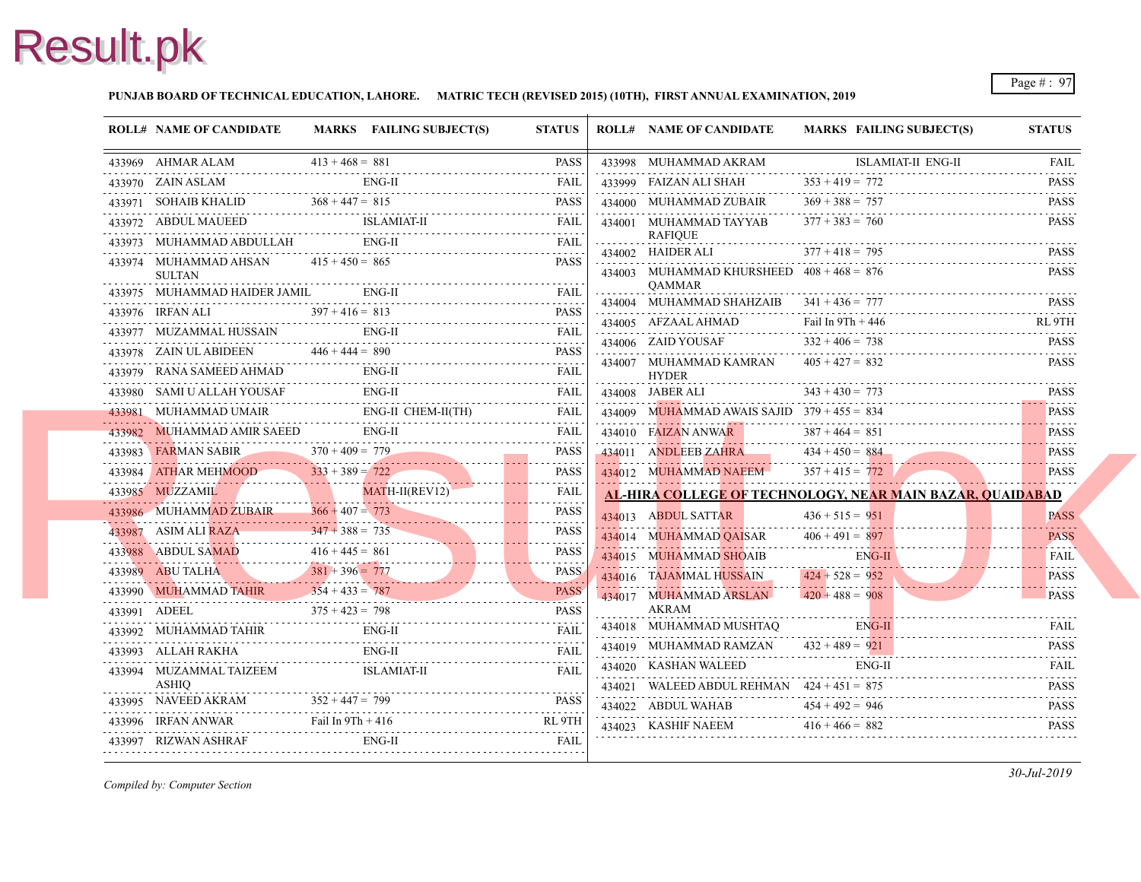#### **PUNJAB BOARD OF TECHNICAL EDUCATION, LAHORE. MATRIC TECH (REVISED 2015) (10TH), FIRST ANNUAL EXAMINATION, 2019**

|   | <b>ROLL# NAME OF CANDIDATE</b>                    | MARKS FAILING SUBJECT(S)                                                                                                                                                                                                                                      | <b>STATUS</b> |   | <b>ROLL# NAME OF CANDIDATE</b>                                       | <b>MARKS FAIL</b> |
|---|---------------------------------------------------|---------------------------------------------------------------------------------------------------------------------------------------------------------------------------------------------------------------------------------------------------------------|---------------|---|----------------------------------------------------------------------|-------------------|
|   |                                                   | 433969 AHMAR ALAM $413 + 468 = 881$ PASS                                                                                                                                                                                                                      |               |   | 433998 MUHAMMAD AKRAM                                                | <b>ISLA</b>       |
|   | 433970 ZAIN ASLAM                                 | $ENG-II$                                                                                                                                                                                                                                                      | FAIL          |   | 433999 FAIZAN ALI SHAH                                               | $353 + 419 = 772$ |
|   |                                                   | 433971 SOHAIB KHALID $368 + 447 = 815$ PASS                                                                                                                                                                                                                   |               |   | 434000 MUHAMMAD ZUBAIR                                               | $369 + 388 = 757$ |
|   |                                                   | 433972 ABDUL MAUEED ISLAMIAT-II FAIL FAIL                                                                                                                                                                                                                     |               |   | 434001 MUHAMMAD TAYYAB                                               | $377 + 383 = 760$ |
|   |                                                   | 433973 MUHAMMAD ABDULLAH ENG-II FAIL FAIL                                                                                                                                                                                                                     | FAII.         |   | <b>RAFIOUE</b><br>434002 HAIDER ALI                                  | $377 + 418 = 795$ |
|   | 433974 MUHAMMAD AHSAN $415 + 450 = 865$<br>SULTAN |                                                                                                                                                                                                                                                               | PASS          |   | 434003 MUHAMMAD KHURSHEED $408 + 468 = 876$                          |                   |
|   | 433975 MUHAMMAD HAIDER JAMIL ENG-II               |                                                                                                                                                                                                                                                               |               |   | <b>OAMMAR</b>                                                        |                   |
|   |                                                   | 433976 IRFAN ALI $397 + 416 = 813$ PASS                                                                                                                                                                                                                       |               |   | 434004 MUHAMMAD SHAHZAIB $341 + 436 = 777$                           |                   |
|   |                                                   | $\begin{tabular}{ll} \bf 433977 & MUZAMMAL HUSSAIN & \color{red}{\bf ENG-II} & \color{red}{\bf FAIL} \\ \hline \end{tabular}$                                                                                                                                 |               |   | 434005 AFZAAL AHMAD                                                  | Fail In 9Th + 440 |
|   |                                                   | $\begin{tabular}{lllllll} \bf 433978 & ZAIN UL ABIDEEN & \tt 446 + 444 = 890 & \tt PASS \\ \hline \end{tabular}$                                                                                                                                              |               |   | 434006 ZAID YOUSAF $332 + 406 = 738$                                 |                   |
|   |                                                   | $\begin{tabular}{ll} \bf 433979 & RANA SAMEED AHMAD & \color{red}{EMG-II} & \color{red}{FAIL} \\ \hline \end{tabular}$                                                                                                                                        |               |   | 434007 MUHAMMAD KAMRAN $405 + 427 = 832$<br><b>HYDER</b>             |                   |
|   |                                                   | 433980 SAMI U ALLAH YOUSAF ENG-II FAIL FAIL                                                                                                                                                                                                                   |               | . | 434008 JABER ALI $343 + 430 = 773$                                   |                   |
|   |                                                   | 433981 MUHAMMAD UMAIR ENG-II CHEM-II(TH) FAIL                                                                                                                                                                                                                 |               |   | 434009 MUHAMMAD AWAIS SAJID $379 + 455 = 834$                        |                   |
|   |                                                   | $ENG-II$<br>433982 MUHAMMAD AMIR SAEED ENG-II FAIL FAIL                                                                                                                                                                                                       | FAIL          |   | 434010 FAIZAN ANWAR                                                  | $387 + 464 = 851$ |
|   |                                                   | 433983 FARMAN SABIR $370 + 409 = 779$ PASS                                                                                                                                                                                                                    |               |   | 434011 ANDLEEB ZAHRA $434 + 450 = 884$                               |                   |
|   |                                                   |                                                                                                                                                                                                                                                               |               |   | 434012 MUHAMMAD NAEEM 357 + 415 = $772$                              |                   |
|   |                                                   | $\begin{tabular}{c} \textbf{433984} \quad \textbf{ATHAR MEHMOOD} \quad \textbf{333 + 389 = 722} \quad \textbf{PASS} \\ \textbf{433985} \quad \textbf{MUZZAMI} \quad \textbf{MATH-II(REV12)} \quad \textbf{FAIL} \\ \end{tabular}$                             |               |   | <b>AL-HIRA COLLEGE OF TECHNOLOGY, NEAL</b>                           |                   |
|   |                                                   |                                                                                                                                                                                                                                                               |               |   | 434013 ABDUL SATTAR                                                  | $436 + 515 = 951$ |
|   |                                                   | 433986 MUHAMMAD ZUBAIR 366 + 407 = 773 PASS<br>433987 ASIM ALI RAZA 347 + 388 = 735 PASS<br>433987 ASIM ALI RAZA PASS                                                                                                                                         |               |   | 434014 MUHAMMAD QAISAR $406 + 491 = 897$                             |                   |
|   |                                                   | $416 + 445 = 861$<br>PASS ABDUL SAMAD $416 + 445 = 861$ PASS                                                                                                                                                                                                  |               |   | 434015 MUHAMMAD SHOAIB                                               | ENG-              |
|   |                                                   |                                                                                                                                                                                                                                                               |               |   | 434016 TAJAMMAL HUSSAIN                                              | $424 + 528 = 952$ |
|   |                                                   | $\begin{tabular}{c c c c c} \hline \textbf{433989} & \textbf{ABU TALHA} & \textbf{381 + 396} = \textbf{777} & \textbf{PASS} \\ \hline \textbf{433990} & \textbf{MUHAAMMAD TAHIR} & \textbf{354 + 433} = \textbf{787} & \textbf{PASS} \\ \hline \end{tabular}$ |               |   | $434017$ MUHAMMAD ARSLAN $420 + 488 = 908$                           |                   |
|   |                                                   | $375 + 423 = 798$<br>433991 ADEEL $375 + 423 = 798$ PASS                                                                                                                                                                                                      |               |   | AKRAM                                                                |                   |
|   |                                                   |                                                                                                                                                                                                                                                               |               |   | 434018 MUHAMMAD MUSHTAQ                                              | ENG-              |
|   |                                                   | ENG-II<br>433993 ALLAH RAKHA ENG-II FAIL FAIL                                                                                                                                                                                                                 | <b>FAIL</b>   |   | 434019 MUHAMMAD RAMZAN $432 + 489 = 921$                             |                   |
|   | 433994 MUZAMMAL TAIZEEM ISLAMIAT-II               |                                                                                                                                                                                                                                                               | FAIL          |   | 434020 KASHAN WALEED<br>434021 WALEED ABDUL REHMAN $424 + 451 = 875$ | ENG-              |
| . |                                                   | 433995 NAVEED AKRAM $352 + 447 = 799$ PASS                                                                                                                                                                                                                    |               |   |                                                                      |                   |
|   |                                                   | $433996$ IRFAN ANWAR Fail In $9Th + 416$ RL $9TH$                                                                                                                                                                                                             |               |   | 434022 ABDUL WAHAB $454 + 492 = 946$                                 |                   |
|   |                                                   | 433997 RIZWAN ASHRAF ENG-II FAIL FAIL                                                                                                                                                                                                                         |               |   | 434023 KASHIF NAEEM $416 + 466 = 882$                                |                   |
|   |                                                   |                                                                                                                                                                                                                                                               |               |   |                                                                      |                   |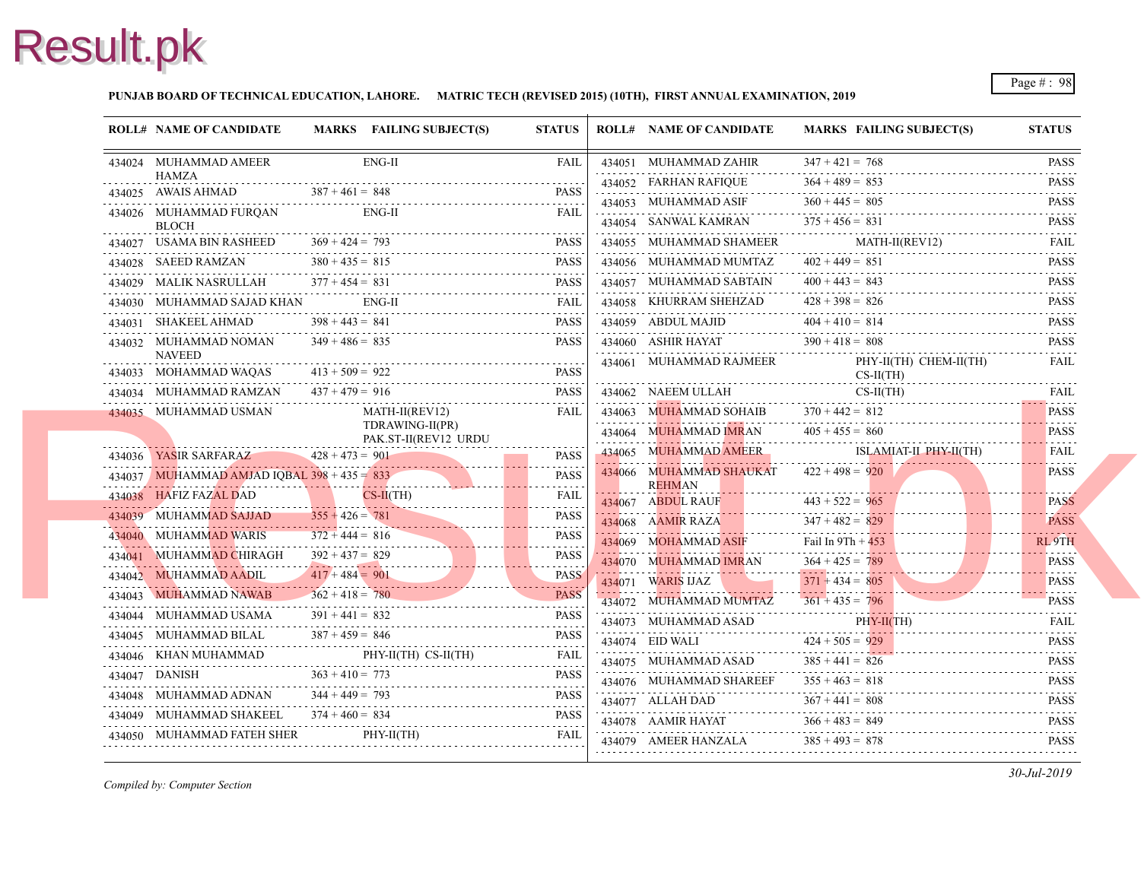#### **PUNJAB BOARD OF TECHNICAL EDUCATION, LAHORE. MATRIC TECH (REVISED 2015) (10TH), FIRST ANNUAL EXAMINATION, 2019**

| <b>ROLL# NAME OF CANDIDATE</b>                                                                                             |                   | MARKS FAILING SUBJECT(S)         | <b>STATUS</b>     | <b>ROLL# NAME OF CANDIDATE</b>                                                           | <b>MARKS FAIL</b>      |         |
|----------------------------------------------------------------------------------------------------------------------------|-------------------|----------------------------------|-------------------|------------------------------------------------------------------------------------------|------------------------|---------|
| 434024 MUHAMMAD AMEER                                                                                                      |                   | $ENG-II$                         | <b>FAIL</b>       | 434051 MUHAMMAD ZAHIR                                                                    | $347 + 421 = 768$<br>. |         |
| <b>HAMZA</b><br>434025 AWAIS AHMAD                                                                                         | $387 + 461 = 848$ |                                  |                   | 434052 FARHAN RAFIQUE                                                                    | $364 + 489 = 853$      |         |
| 434026 MUHAMMAD FURQAN                                                                                                     |                   | $387 + 461 = 848$ PASS<br>ENG-II | FAIL              | 434053 MUHAMMAD ASIF                                                                     | $360 + 445 = 805$      |         |
| BLOCH                                                                                                                      |                   |                                  |                   | 434054 SANWAL KAMRAN                                                                     | $375 + 456 = 831$      |         |
| 434027 USAMA BIN RASHEED<br>434027 USAMA BIN RASHEED $369 + 424 = 793$ PASS                                                | $369 + 424 = 793$ |                                  | <b>PASS</b>       | 434055 MUHAMMAD SHAMEER                                                                  | MAT                    |         |
| 434028 SAEED RAMZAN $380 + 435 = 815$ PASS                                                                                 |                   |                                  |                   | 434056 MUHAMMAD MUMTAZ                                                                   | $402 + 449 = 851$      |         |
| 434029 MALIK NASRULLAH $377 + 454 = 831$ PASS                                                                              |                   |                                  |                   | 434057 MUHAMMAD SABTAIN                                                                  | $400 + 443 = 843$      |         |
| 434030 MUHAMMAD SAJAD KHAN ENG-II FAIL FAIL                                                                                |                   |                                  | FAIL              | 434058 KHURRAM SHEHZAD                                                                   | $428 + 398 = 826$      |         |
| 434031 SHAKEEL AHMAD                                                                                                       | $398 + 443 = 841$ |                                  | <b>PASS</b>       | 434059 ABDUL MAJID<br>34059 ABDUL MAJID 404 + 410 = 814                                  |                        |         |
| 434032 MUHAMMAD NOMAN                                                                                                      | $349 + 486 = 835$ |                                  | PASS              | 434060 ASHIR HAYAT $390 + 418 = 808$                                                     |                        |         |
| <b>NAVEED</b><br>434033 MOHAMMAD WAQAS                                                                                     | $413 + 509 = 922$ | $AQAS$ $413 + 509 = 922$ PASS    |                   | 434061 MUHAMMAD RAJMEER                                                                  | PHY-                   | $CS-II$ |
| 434034 MUHAMMAD RAMZAN                                                                                                     |                   | AD RAMZAN $437 + 479 = 916$ PASS | PASS              | 434062 NAEEM ULLAH                                                                       |                        | $CS-II$ |
| 434035 MUHAMMAD USMAN                                                                                                      |                   | MATH-II(REV12)                   | FAIL              | 434063 MUHAMMAD SOHAIB $370 + 442 = 812$                                                 |                        |         |
| TDRAWING-II(PR)<br>PAK.ST-II(REV12 URDU                                                                                    |                   | 434064 MUHAMMAD IMRAN            | $405 + 455 = 860$ |                                                                                          |                        |         |
| 434036 YASIR SARFARAZ $428 + 473 = 901$                                                                                    |                   |                                  | <b>PASS</b>       | 434065 MUHAMMAD AMEER                                                                    |                        |         |
| $434036$ YASIR SARFARAZ $428 + 473 = 901$ PASS<br>$434037$ MUHAMMAD AMJAD IOBAL $398 + 435 = 833$                          |                   |                                  | <b>PASS</b>       | 434066 MUHAMMAD SHAUKAT $422 + 498 = 920$                                                |                        |         |
| 434038 HAFIZ FAZAL DAD CS-II(TH) FAIL                                                                                      |                   |                                  |                   | <b>REHMAN</b>                                                                            |                        |         |
| 434039 MUHAMMAD SAJJAD $355 + 426 = 781$<br>434039 MUHAMMAD SAJJAD $355 + 426 = 781$ PASS                                  |                   |                                  | <b>PASS</b>       | 434067 ABDUL RAUF 443 + 522 = 965                                                        | $347 + 482 = 829$      |         |
| $372 + 444 = 816$ PASS PASS PASS PASS PASS PASS                                                                            | $372 + 444 = 816$ |                                  |                   | 434068 AAMIR RAZA 347 + 482 = 82<br>$434069$ MOHAMMAD ASIF Fail In 9Th + $45\frac{1}{3}$ |                        |         |
| 434041 MUHAMMAD CHIRAGH                                                                                                    | $392 + 437 = 829$ | $392 + 437 = 829$ PASS           | <b>PASS</b>       | 434070 MUHAMMAD IMRAN                                                                    | $364 + 425 = 789$      |         |
| $434042$ MUHAMMAD AADIL $417 + 484 = 901$ PASS                                                                             | $417 + 484 = 901$ |                                  | <b>PASS</b>       | 434071 WARIS IJAZ                                                                        | $371 + 434 = 805$      |         |
| 434043 MUHAMMAD NAWAB                                                                                                      | $362 + 418 = 780$ | $362 + 418 = 780$ PASS           |                   | 434072 MUHAMMAD MUMTAZ                                                                   | $361 + 435 = 796$      |         |
| 434044 MUHAMMAD USAMA<br>434044 MUHAMMAD USAMA $391 + 441 = 832$ PASS                                                      | $391 + 441 = 832$ |                                  | <b>PASS</b>       | 434073 MUHAMMAD ASAD                                                                     | PHY-                   |         |
| 434045 MUHAMMAD BILAL<br>434045 MUHAMMAD BILAL $387 + 459 = 846$ PASS                                                      | $387 + 459 = 846$ |                                  |                   |                                                                                          |                        |         |
|                                                                                                                            |                   |                                  |                   | 434074 EID WALI $424 + 505 = 929$<br>434075 MUHAMMAD ASAD $385 + 441 = 826$              |                        |         |
|                                                                                                                            |                   |                                  |                   | 434076 MUHAMMAD SHAREEF                                                                  | $355 + 463 = 818$      |         |
| $503 + 410 = 773$<br>PASS<br>434048 MUHAMMAD ADNAN 344 + 449 = 793<br>PASS<br>434048 MUHAMMAD ADNAN $344 + 449 = 793$ PASS |                   |                                  |                   |                                                                                          |                        |         |
| 434049 MUHAMMAD SHAKEEL $374 + 460 = 834$ PASS                                                                             |                   |                                  |                   | 434077 ALLAH DAD $367 + 441 = 808$<br>434078 AAMIR HAYAT $366 + 483 = 849$               |                        |         |
| 434050 MUHAMMAD FATEH SHER PHY-II(TH) FAIL FAIL                                                                            |                   |                                  | <b>FAIL</b>       | 434079 AMEER HANZALA $385 + 493 = 878$                                                   |                        |         |
|                                                                                                                            |                   |                                  |                   |                                                                                          |                        |         |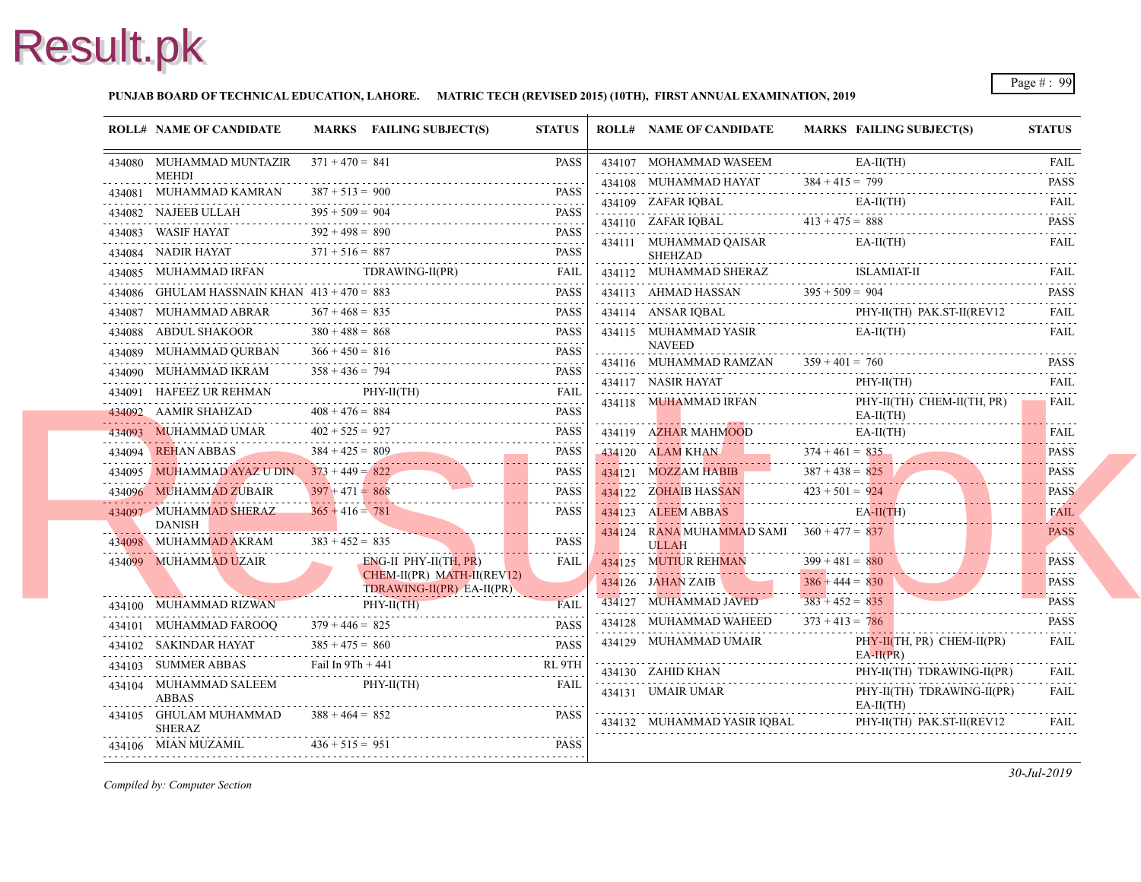#### **PUNJAB BOARD OF TECHNICAL EDUCATION, LAHORE. MATRIC TECH (REVISED 2015) (10TH), FIRST ANNUAL EXAMINATION, 2019**

|                                                                                                                                                                                                                                                                                                                                                                                                                                                                                        | <b>ROLL# NAME OF CANDIDATE</b>                |                   | MARKS FAILING SUBJECT(S)                                                                                                                                                                                                                                                                                                                                                                  | <b>STATUS</b> | <b>ROLL# NAME OF CANDIDATE</b>                                | <b>MARKS FAIL</b> |
|----------------------------------------------------------------------------------------------------------------------------------------------------------------------------------------------------------------------------------------------------------------------------------------------------------------------------------------------------------------------------------------------------------------------------------------------------------------------------------------|-----------------------------------------------|-------------------|-------------------------------------------------------------------------------------------------------------------------------------------------------------------------------------------------------------------------------------------------------------------------------------------------------------------------------------------------------------------------------------------|---------------|---------------------------------------------------------------|-------------------|
|                                                                                                                                                                                                                                                                                                                                                                                                                                                                                        | 434080 MUHAMMAD MUNTAZIR $371 + 470 = 841$    |                   |                                                                                                                                                                                                                                                                                                                                                                                           | <b>PASS</b>   | 434107 MOHAMMAD WASEEM                                        | EA-II             |
|                                                                                                                                                                                                                                                                                                                                                                                                                                                                                        | <b>MEHDI</b><br>434081 MUHAMMAD KAMRAN        | $387 + 513 = 900$ |                                                                                                                                                                                                                                                                                                                                                                                           |               | 434108 MUHAMMAD HAYAT $384 + 415 = 799$                       |                   |
|                                                                                                                                                                                                                                                                                                                                                                                                                                                                                        |                                               | $395 + 509 = 904$ | 434081 MUHAMMAD KAMRAN $387 + 513 = 900$ PASS                                                                                                                                                                                                                                                                                                                                             |               | 434109 ZAFAR IOBAL                                            | EA-II             |
|                                                                                                                                                                                                                                                                                                                                                                                                                                                                                        |                                               |                   |                                                                                                                                                                                                                                                                                                                                                                                           |               | 434110 ZAFAR IQBAL $413 + 475 = 888$                          |                   |
|                                                                                                                                                                                                                                                                                                                                                                                                                                                                                        |                                               |                   |                                                                                                                                                                                                                                                                                                                                                                                           |               | 434111 MUHAMMAD QAISAR                                        | EA-II             |
|                                                                                                                                                                                                                                                                                                                                                                                                                                                                                        |                                               |                   | $434084$ NADIR HAYAT $371 + 516 = 887$ PASS                                                                                                                                                                                                                                                                                                                                               |               | <b>SHEHZAD</b><br>434112 MUHAMMAD SHERAZ                      | <b>ISLA</b>       |
|                                                                                                                                                                                                                                                                                                                                                                                                                                                                                        | 434086 GHULAM HASSNAIN KHAN $413 + 470 = 883$ |                   | 434085 MUHAMMAD IRFAN TDRAWING-II(PR) FAIL                                                                                                                                                                                                                                                                                                                                                | <b>PASS</b>   |                                                               |                   |
|                                                                                                                                                                                                                                                                                                                                                                                                                                                                                        | 434087 MUHAMMAD ABRAR                         | $367 + 468 = 835$ | HASSNAIN KHAN 413 + 470 = 883 PASS                                                                                                                                                                                                                                                                                                                                                        | PASS          | 434113 AHMAD HASSAN $395 + 509 = 904$                         | PHY-              |
|                                                                                                                                                                                                                                                                                                                                                                                                                                                                                        |                                               |                   | 434087 MUHAMMAD ABRAR $367 + 468 = 835$ PASS                                                                                                                                                                                                                                                                                                                                              |               | 434114 ANSAR IQBAL PHY                                        |                   |
|                                                                                                                                                                                                                                                                                                                                                                                                                                                                                        |                                               |                   |                                                                                                                                                                                                                                                                                                                                                                                           |               | 434115 MUHAMMAD YASIR<br>NAVEED                               | EA-II             |
|                                                                                                                                                                                                                                                                                                                                                                                                                                                                                        |                                               |                   |                                                                                                                                                                                                                                                                                                                                                                                           |               | 434116 MUHAMMAD RAMZAN $359 + 401 = 760$                      |                   |
|                                                                                                                                                                                                                                                                                                                                                                                                                                                                                        |                                               |                   |                                                                                                                                                                                                                                                                                                                                                                                           |               | 434117 NASIR HAYAT                                            | PHY-              |
|                                                                                                                                                                                                                                                                                                                                                                                                                                                                                        |                                               |                   | 434091 HAFEEZ UR REHMAN PHY-II(TH) FAIL                                                                                                                                                                                                                                                                                                                                                   |               | 434118 MUHAMMAD IRFAN                                         | PHY-              |
|                                                                                                                                                                                                                                                                                                                                                                                                                                                                                        | 434092 AAMIR SHAHZAD $408 + 476 = 884$        |                   | 34092 AAMIR SHAHZAD 408 + 476 = 884 PASS                                                                                                                                                                                                                                                                                                                                                  | <b>PASS</b>   |                                                               | EA-II             |
|                                                                                                                                                                                                                                                                                                                                                                                                                                                                                        | 434093 MUHAMMAD UMAR $402 + 525 = 927$        |                   | 434093 MUHAMMAD UMAR $402 + 525 = 927$ PASS                                                                                                                                                                                                                                                                                                                                               | PASS          | 434119 AZHAR MAHMOOD                                          | EA-II             |
|                                                                                                                                                                                                                                                                                                                                                                                                                                                                                        | 434094 REHAN ABBAS 384 + 425 = 809            |                   | 434094 REHAN ABBAS 384 + 425 = 809 PASS                                                                                                                                                                                                                                                                                                                                                   | <b>PASS</b>   | 434120 ALAM KHAN 374 + 461 = 835                              |                   |
|                                                                                                                                                                                                                                                                                                                                                                                                                                                                                        |                                               |                   | 434095 MUHAMMAD AYAZ U DIN $373 + 449 = 822$ PASS                                                                                                                                                                                                                                                                                                                                         |               | $134121$ MOZZAM HABIB $387 + 438 = 825$                       |                   |
|                                                                                                                                                                                                                                                                                                                                                                                                                                                                                        |                                               | $397 + 471 = 868$ | 434096 MUHAMMAD ZUBAIR 397 + 471 = $868$ PASS                                                                                                                                                                                                                                                                                                                                             | PASS          | 434122 ZOHAIB HASSAN 423 + 501 = 924                          |                   |
|                                                                                                                                                                                                                                                                                                                                                                                                                                                                                        | 434097 MUHAMMAD SHERAZ<br><b>DANISH</b>       | $365 + 416 = 781$ |                                                                                                                                                                                                                                                                                                                                                                                           | <b>PASS</b>   | 434123 ALEEM ABBAS                                            | $E$ A-II          |
| N. <del>.</del>                                                                                                                                                                                                                                                                                                                                                                                                                                                                        | $434098$ MUHAMMAD AKRAM $383 + 452 = 835$     |                   |                                                                                                                                                                                                                                                                                                                                                                                           | <b>PASS</b>   | $434 24$ RANA MUHAMMAD SAMI $360 + 477 = 837$<br><b>ULLAH</b> |                   |
|                                                                                                                                                                                                                                                                                                                                                                                                                                                                                        | 434099 MUHAMMAD UZAIR                         |                   | $ENG-II$ PHY-II(TH, PR)                                                                                                                                                                                                                                                                                                                                                                   | <b>FAIL</b>   | 434125 MUTIUR REHMAN                                          | $399 + 481 = 880$ |
|                                                                                                                                                                                                                                                                                                                                                                                                                                                                                        |                                               |                   | CHEM-II(PR) MATH-II(REV12)                                                                                                                                                                                                                                                                                                                                                                |               | $ 434 26$ JAHAN ZAIB                                          | $386 + 444 = 830$ |
|                                                                                                                                                                                                                                                                                                                                                                                                                                                                                        |                                               |                   | TDRAWING-II(PR) EA-II(PR)                                                                                                                                                                                                                                                                                                                                                                 |               | 434127 MUHAMMAD JAVED                                         | $383 + 452 = 835$ |
|                                                                                                                                                                                                                                                                                                                                                                                                                                                                                        |                                               |                   | $rHY-II(H)$ FAIL<br>434101 MUHAMMAD FAROOQ 379 + 446 = 825                                                                                                                                                                                                                                                                                                                                |               | 434128 MUHAMMAD WAHEED                                        | $373 + 413 = 786$ |
|                                                                                                                                                                                                                                                                                                                                                                                                                                                                                        |                                               |                   | $\begin{tabular}{llllll} \textbf{434101} & \textbf{MUHAMMAD FAROOQ} & \textbf{379 + 446 = } 825 & \textbf{PASS} \\ \textbf{434102} & \textbf{SAKINDAR HAYAT} & \textbf{385 + 475 = } 860 & \textbf{PASS} \\ \textbf{434102} & \textbf{SAKINDAR HAYAT} & \textbf{385 + 475 = } 860 & \textbf{PASS} \\ \textbf{588 + 175 = } 860 & \textbf{SFR} \\ \textbf{68 + 175 = } 860 & \textbf{SFR}$ |               | 434129 MUHAMMAD UMAIR                                         | PHY-              |
|                                                                                                                                                                                                                                                                                                                                                                                                                                                                                        | 434103 SUMMER ABBAS Fail In 9Th + 441         |                   |                                                                                                                                                                                                                                                                                                                                                                                           | RL 9TH        |                                                               | $EA-H$            |
|                                                                                                                                                                                                                                                                                                                                                                                                                                                                                        | 434104 MUHAMMAD SALEEM PHY-II(TH)             |                   |                                                                                                                                                                                                                                                                                                                                                                                           | <b>FAIL</b>   | 434130 ZAHID KHAN<br>434130 ZAHID KHAN PHY                    | PHY-              |
|                                                                                                                                                                                                                                                                                                                                                                                                                                                                                        | <b>ABBAS</b>                                  |                   |                                                                                                                                                                                                                                                                                                                                                                                           |               | 434131 UMAIR UMAR                                             | PHY-              |
|                                                                                                                                                                                                                                                                                                                                                                                                                                                                                        | 434105 GHULAM MUHAMMAD<br><b>SHERAZ</b>       | $388 + 464 = 852$ |                                                                                                                                                                                                                                                                                                                                                                                           | <b>PASS</b>   | 434132 MUHAMMAD YASIR IQBAL                                   | EA-II<br>PHY-     |
| $\begin{array}{cccccccccccccc} \multicolumn{2}{c}{} & \multicolumn{2}{c}{} & \multicolumn{2}{c}{} & \multicolumn{2}{c}{} & \multicolumn{2}{c}{} & \multicolumn{2}{c}{} & \multicolumn{2}{c}{} & \multicolumn{2}{c}{} & \multicolumn{2}{c}{} & \multicolumn{2}{c}{} & \multicolumn{2}{c}{} & \multicolumn{2}{c}{} & \multicolumn{2}{c}{} & \multicolumn{2}{c}{} & \multicolumn{2}{c}{} & \multicolumn{2}{c}{} & \multicolumn{2}{c}{} & \multicolumn{2}{c}{} & \multicolumn{2}{c}{} & \$ | 434106 MIAN MUZAMIL $436 + 515 = 951$         |                   | $515 = 951$ PASS                                                                                                                                                                                                                                                                                                                                                                          |               |                                                               |                   |
|                                                                                                                                                                                                                                                                                                                                                                                                                                                                                        |                                               |                   |                                                                                                                                                                                                                                                                                                                                                                                           |               |                                                               |                   |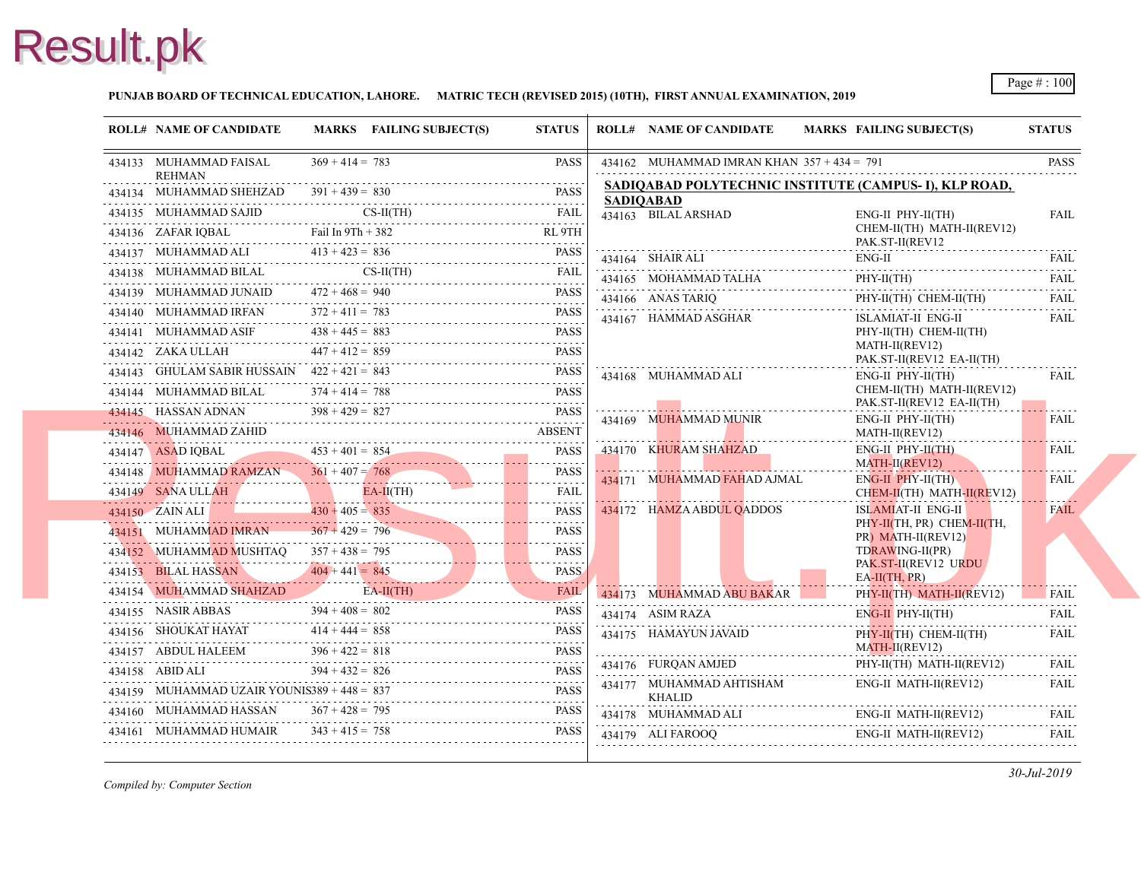#### **PUNJAB BOARD OF TECHNICAL EDUCATION, LAHORE. MATRIC TECH (REVISED 2015) (10TH), FIRST ANNUAL EXAMINATION, 2019**

| <b>ROLL# NAME OF CANDIDATE</b>                                                                      |                   | MARKS FAILING SUBJECT(S) | <b>STATUS</b>    | <b>ROLL# NAME OF CANDIDATE</b>                           | <b>MARKS FAIL</b>  |
|-----------------------------------------------------------------------------------------------------|-------------------|--------------------------|------------------|----------------------------------------------------------|--------------------|
| 434133 MUHAMMAD FAISAL<br><b>REHMAN</b>                                                             | $369 + 414 = 783$ |                          | <b>PASS</b>      | 434162 MUHAMMAD IMRAN KHAN $357 + 434 = 791$             |                    |
| 434134 MUHAMMAD SHEHZAD<br>434134 MUHAMMAD SHEHZAD $391 + 439 = 830$ PASS                           | $391 + 439 = 830$ |                          | <b>PASS</b>      | SADIQABAD POLYTECHNIC INSTITUTE (CA)<br><b>SADIOABAD</b> |                    |
| 434135 MUHAMMAD SAJID CS-II(TH) FAIL                                                                |                   |                          |                  | 434163 BILAL ARSHAD                                      | ENG-               |
|                                                                                                     |                   |                          |                  |                                                          | <b>CHE</b><br>PAK. |
| 434137 MUHAMMAD ALI $413 + 423 = 836$ PASS                                                          |                   |                          |                  | 434164 SHAIR ALI                                         | ENG-               |
| 434138 MUHAMMAD BILAL<br>434138 MUHAMMAD BILAL CS-II(TH) FAIL FAIL                                  |                   | $CS-II(TH)$              | <b>FAIL</b>      | 434165 MOHAMMAD TALHA                                    | PHY-               |
| 434139 MUHAMMAD JUNAID<br>434139 MUHAMMAD JUNAID $472 + 468 = 940$ PASS                             | $472 + 468 = 940$ |                          |                  | 434166 ANAS TARIQ                                        | PHY-               |
| 434140 MUHAMMAD IRFAN<br>434140 MUHAMMAD IRFAN $372 + 411 = 783$ PASS                               | $372 + 411 = 783$ |                          |                  | 434167 HAMMAD ASGHAR                                     | <b>ISLA</b>        |
| 434141 MUHAMMAD ASIF $438 + 445 = 883$<br>434141 MUHAMMAD ASIF $438 + 445 = 883$ PASS               |                   |                          |                  |                                                          | PHY-               |
| 434142 ZAKA ULLAH $447 + 412 = 859$<br>$434142$ ZAKA ULLAH $447 + 412 = 859$ PASS                   |                   |                          |                  |                                                          | <b>MAT</b><br>PAK. |
| 434143 GHULAM SABIR HUSSAIN $422 + 421 = 843$<br>434143 GHULAM SABIR HUSSAIN $422 + 421 = 843$ PASS |                   |                          |                  | 434168 MUHAMMAD ALI                                      | ENG-               |
| 434144 MUHAMMAD BILAL                                                                               | $374 + 414 = 788$ |                          | <b>PASS</b>      |                                                          | <b>CHE</b>         |
| 434145 HASSAN ADNAN<br>$\frac{134145}{1331145}$ HASSAN ADNAN $398 + 429 = 827$ PASS                 | $398 + 429 = 827$ |                          |                  | 434169 MUHAMMAD MUNIR                                    | PAK.<br>ENG-       |
| 434146 MUHAMMAD ZAHID                                                                               |                   |                          | <b>ABSENT</b>    |                                                          | <b>MAT</b>         |
| $453 + 401 = 854$<br>PASS<br>434148 MUHAMMAD RAMZAN 361 + 407 = 768                                 |                   |                          |                  | 434170 KHURAM SHAHZAD                                    | ENG-               |
| 434148 MUHAMMAD RAMZAN 361 + 407 = 768 PASS                                                         |                   |                          |                  | 434171 MUHAMMAD FAHAD AJMAL                              | <b>MAT</b><br>ENG- |
| 434149 SANA ULLAH                                                                                   |                   | $E A - I(IH)$            | <b>FAIL</b><br>. |                                                          | <b>CHEI</b>        |
| 434150 ZAIN ALI<br>430 + 405 = 835 PASS                                                             | $430 + 405 = 835$ |                          | <b>PASS</b>      | 434172 HAMZA ABDUL QADDOS                                | <b>ISLA</b>        |
| 434151 MUHAMMAD IMRAN $367 + 429 = 796$<br>$34151$ MUHAMMAD IMRAN $367 + 429 = 796$ PASS            |                   |                          | PASS             |                                                          | PHY-<br>PR)        |
| 434152 MUHAMMAD MUSHTAQ $357 + 438 = 795$<br>$434152$ MUHAMMAD MUSHTAQ $357 + 438 = 795$ PASS       |                   |                          | PASS             |                                                          | <b>TDR</b>         |
| 434153 BILAL HASSAN 404 + 441 = 845<br>434153 BILAL HASSAN $404 + 441 = 845$ PASS                   |                   |                          | <b>PASS</b>      |                                                          | PAK.<br>$EA-II$    |
| 434154 MUHAMMAD SHAHZAD EA-II(TH) FAIL                                                              |                   |                          |                  | 434173 MUHAMMAD ABU BAKAR                                | PHY-               |
| 434155 NASIR ABBAS<br>434155 NASIR ABBAS $394 + 408 = 802$ PASS                                     | $394 + 408 = 802$ |                          | <b>PASS</b>      | 434174 ASIM RAZA                                         | ENG-               |
| 434156 SHOUKAT HAYAT 414 + 444 = 858                                                                |                   |                          | <b>PASS</b>      | 434175 HAMAYUN JAVAID                                    | PHY-               |
| 434157 ABDUL HALEEM $396 + 422 = 818$ PASS                                                          | $396 + 422 = 818$ |                          | <b>PASS</b>      |                                                          | <b>MAT</b>         |
| 434158 ABID ALI<br>434158 ABID ALI $394 + 432 = 826$ PASS                                           | $394 + 432 = 826$ |                          |                  | 434176 FUROAN AMJED                                      | PHY-               |
| 434159 MUHAMMAD UZAIR YOUNIS389 + 448 = $837$<br>$434159$ MUHAMMAD UZAIR YOUNIS389 + 448 = 837 PASS |                   |                          |                  | 434177 MUHAMMAD AHTISHAM<br>KHALID                       | ENG-               |
| 434160 MUHAMMAD HASSAN $367 + 428 = 795$ PASS                                                       |                   |                          | PASS             | 434178 MUHAMMAD ALI                                      | .<br>ENG-          |
| 434161 MUHAMMAD HUMAIR $343 + 415 = 758$                                                            |                   |                          | <b>PASS</b>      | 434179 ALI FAROOQ ENG                                    | ENG-               |
|                                                                                                     |                   |                          |                  |                                                          |                    |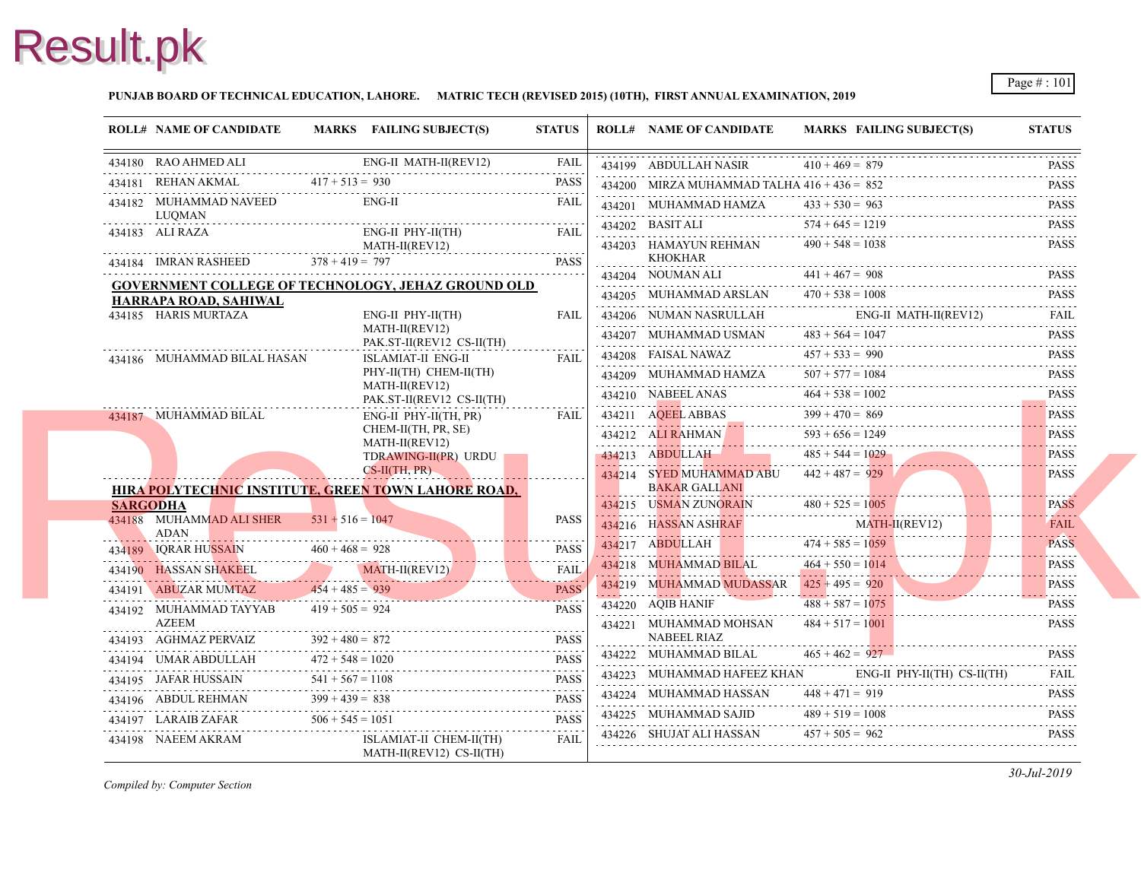#### **PUNJAB BOARD OF TECHNICAL EDUCATION, LAHORE. MATRIC TECH (REVISED 2015) (10TH), FIRST ANNUAL EXAMINATION, 2019**

|                 | <b>ROLL# NAME OF CANDIDATE</b>                    |                    | MARKS FAILING SUBJECT(S)                                                                                                                                                                                                                                                                                           | <b>STATUS</b>                    | <b>ROLL# NAME OF CANDIDATE</b>                | <b>MARKS FAIL</b>  |
|-----------------|---------------------------------------------------|--------------------|--------------------------------------------------------------------------------------------------------------------------------------------------------------------------------------------------------------------------------------------------------------------------------------------------------------------|----------------------------------|-----------------------------------------------|--------------------|
|                 | 434180 RAO AHMED ALI                              |                    | ENG-II MATH-II(REV12)                                                                                                                                                                                                                                                                                              | FAIL                             | 434199 ABDULLAH NASIR                         | $410 + 469 = 879$  |
|                 | 434181 REHAN AKMAL                                | $417 + 513 = 930$  |                                                                                                                                                                                                                                                                                                                    | <b>PASS</b>                      | 434200 MIRZA MUHAMMAD TALHA $416 + 436 = 852$ |                    |
|                 | 434182 MUHAMMAD NAVEED<br>LUQMAN                  |                    | $ENG-II$                                                                                                                                                                                                                                                                                                           | <b>FAIL</b>                      | 434201 MUHAMMAD HAMZA                         | $433 + 530 = 963$  |
|                 | 434183 ALI RAZA                                   |                    | $ENG-II$ $PHY-II(TH)$                                                                                                                                                                                                                                                                                              | <b>FAIL</b>                      | $434202$ BASIT ALI                            | $574 + 645 = 121$  |
|                 |                                                   |                    | MATH-II(REV12)                                                                                                                                                                                                                                                                                                     |                                  | 434203 HAMAYUN REHMAN                         | $490 + 548 = 1035$ |
|                 | 434184 IMRAN RASHEED $378 + 419 = 797$            |                    |                                                                                                                                                                                                                                                                                                                    | <b>PASS</b>                      | KHOKHAR                                       |                    |
|                 |                                                   |                    | <b>GOVERNMENT COLLEGE OF TECHNOLOGY, JEHAZ GROUND OLD</b>                                                                                                                                                                                                                                                          |                                  | 434204 NOUMAN ALI                             | $441 + 467 = 908$  |
|                 | HARRAPA ROAD, SAHIWAL                             |                    |                                                                                                                                                                                                                                                                                                                    |                                  | 434205 MUHAMMAD ARSLAN                        | $470 + 538 = 1008$ |
|                 | 434185 HARIS MURTAZA                              |                    | ENG-II PHY-II(TH)                                                                                                                                                                                                                                                                                                  | FAIL                             | 434206 NUMAN NASRULLAH                        | ENG-               |
|                 |                                                   |                    | MATH-II(REV12)<br>PAK.ST-II(REV12 CS-II(TH)                                                                                                                                                                                                                                                                        |                                  | 434207 MUHAMMAD USMAN                         | $483 + 564 = 104'$ |
|                 | 434186 MUHAMMAD BILAL HASAN                       |                    | ISLAMIAT-II ENG-II                                                                                                                                                                                                                                                                                                 | <b>FAIL</b>                      | 434208 FAISAL NAWAZ                           | $457 + 533 = 990$  |
|                 |                                                   |                    | PHY-II(TH) CHEM-II(TH)                                                                                                                                                                                                                                                                                             |                                  | 434209 MUHAMMAD HAMZA                         | $507 + 577 = 108$  |
|                 |                                                   |                    | MATH-II(REV12)<br>PAK.ST-II(REV12 CS-II(TH)                                                                                                                                                                                                                                                                        |                                  | 434210 NABEELANAS $464 + 538 = 100$           | $464 + 538 = 100$  |
|                 | 434187 MUHAMMAD BILAL                             |                    | ENG-II PHY-II(TH, PR)                                                                                                                                                                                                                                                                                              | <b>FAIL</b>                      | $434211 \text{ AQEEL ABBAS}$ $399 + 470 = 8$  | $399 + 470 = 869$  |
|                 |                                                   |                    | CHEM-II(TH, PR, SE)                                                                                                                                                                                                                                                                                                |                                  | 434212 ALI RAHMAN                             | $593 + 656 = 1249$ |
|                 |                                                   |                    | MATH-II(REV12)<br>TDRAWING-II(PR) URDU                                                                                                                                                                                                                                                                             |                                  | 434213 ABDULLAH                               | $485 + 544 = 102$  |
|                 |                                                   |                    | $CS-H(TH, PR)$                                                                                                                                                                                                                                                                                                     |                                  | 434214 SYED MUHAMMAD ABU                      | $442 + 487 = 929$  |
|                 |                                                   |                    | <b>HIRA POLYTECHNIC INSTITUTE, GREEN TOWN LAHORE ROAD,</b>                                                                                                                                                                                                                                                         |                                  | <b>BAKAR GALLANI</b>                          |                    |
| <b>SARGODHA</b> |                                                   |                    |                                                                                                                                                                                                                                                                                                                    |                                  | 434215 USMAN ZUNORAIN                         | $480 + 525 = 100$  |
|                 | 434188 MUHAMMAD ALI SHER 531 + 516 = 1047<br>ADAN |                    |                                                                                                                                                                                                                                                                                                                    | <b>PASS</b>                      | 434216 HASSAN ASHRAF                          | <b>MAT</b>         |
|                 | 434189 IQRAR HUSSAIN 460 + 468 = 928              |                    |                                                                                                                                                                                                                                                                                                                    | <b>PASS</b>                      | 434217 ABDULLAH<br><b>Contract</b>            | $474 + 585 = 105$  |
|                 |                                                   |                    | 434190 HASSAN SHAKEEL MATH-II(REV12) FAIL                                                                                                                                                                                                                                                                          |                                  | 434218 MUHAMMAD BILAL                         | $464 + 550 = 101$  |
|                 | 434191 ABUZAR MUMTAZ $454 + 485 = 939$            |                    |                                                                                                                                                                                                                                                                                                                    | <b>PASS</b>                      | 434219 MUHAMMAD MUDASSAR                      | $425 + 495 = 920$  |
|                 | 434192 MUHAMMAD TAYYAB                            |                    | $434 + 485 = 939$<br>AD TAYYAB $419 + 505 = 924$                                                                                                                                                                                                                                                                   | <b>Contractor</b><br><b>PASS</b> | 434220 AQIB HANIF                             | $488 + 587 = 1075$ |
|                 | AZEEM                                             |                    |                                                                                                                                                                                                                                                                                                                    |                                  | 434221 MUHAMMAD MOHSAN                        | $484 + 517 = 100$  |
|                 | 434193 AGHMAZ PERVAIZ                             | $392 + 480 = 872$  | 434193 AGHMAZ PERVAIZ $392 + 480 = 872$ PASS                                                                                                                                                                                                                                                                       | <b>PASS</b>                      | <b>NABEEL RIAZ</b>                            |                    |
|                 |                                                   | $472 + 548 = 1020$ | 434194 UMAR ABDULLAH $472 + 548 = 1020$ PASS                                                                                                                                                                                                                                                                       |                                  | 434222 MUHAMMAD BILAL                         | $465 + 462 = 927$  |
|                 |                                                   |                    |                                                                                                                                                                                                                                                                                                                    |                                  | 434223 MUHAMMAD HAFEEZ KHAN                   | ENG-               |
|                 |                                                   |                    | $\begin{tabular}{c} 434195 \,  \, JAFAR HUSSAIN \,  \, 541 + 567 = 1108 \,  \, 2434196 \,  \, ABDUL REHMAN \,  \, 399 + 439 = 838 \,  \, 2434196 \,  \, ABDUL REHMAN \,  \, 399 + 439 = 838 \,  \, 2434196 \,  \, ABDUL REHMAN \,  \, 399 + 439 = 838 \,  \, 2434196 \,  \, ABDUL REHMAN \,  \, 399 + 439 = 838 \$ |                                  | 434224 MUHAMMAD HASSAN                        | $448 + 471 = 919$  |
|                 | 434197 LARAIB ZAFAR $506 + 545 = 1051$            |                    |                                                                                                                                                                                                                                                                                                                    | <b>PASS</b>                      | 434225 MUHAMMAD SAJID                         | $489 + 519 = 1008$ |
|                 | 434198 NAEEM AKRAM                                |                    | ISLAMIAT-II CHEM-II(TH)<br>MATH-II(REV12) CS-II(TH)                                                                                                                                                                                                                                                                | <b>FAIL</b>                      | 434226 SHUJAT ALI HASSAN                      | $457 + 505 = 962$  |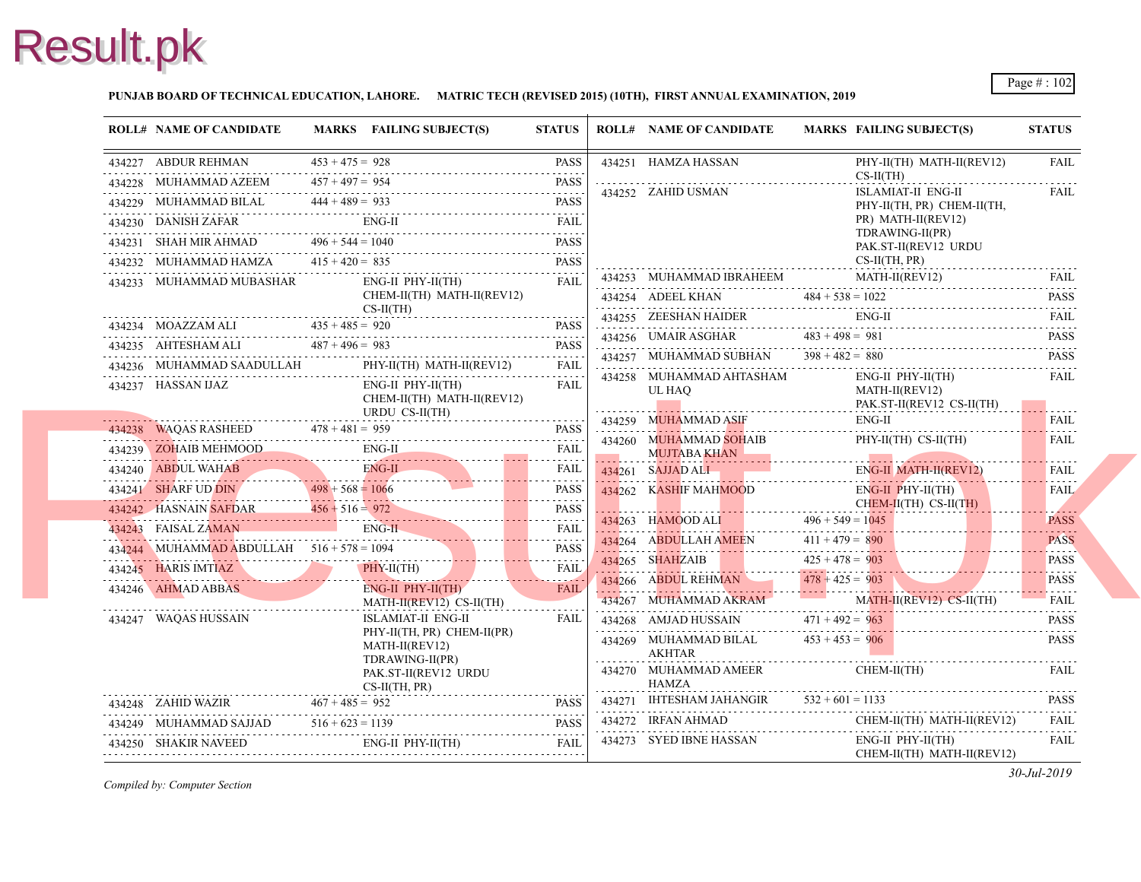#### **PUNJAB BOARD OF TECHNICAL EDUCATION, LAHORE. MATRIC TECH (REVISED 2015) (10TH), FIRST ANNUAL EXAMINATION, 2019**

| 434251 HAMZA HASSAN<br>$434228$ MUHAMMAD AZEEM $457 + 497 = 928$ PASS<br>A34228 MUHAMMAD AZEEM $457 + 497 = 954$<br>434228 MUHAMMAD AZEEM 457 + 497 = 954 PASS<br>434252 ZAHID USMAN<br><b>ISLA</b><br>434229 MUHAMMAD BILAL $444 + 489 = 933$ PASS<br>$\begin{tabular}{ll} \bf 434230 & DANISH ZAFAR & \color{red}{EMG-II} & \color{red}{FAIL} \\ \hline \end{tabular} \begin{tabular}{ll} \bf 1434230 & DANISH ZAFAR \\ \end{tabular}$<br><b>TDR</b><br>434231 SHAH MIR AHMAD $496 + 544 = 1040$ PASS<br>434232 MUHAMMAD HAMZA $415 + 420 = 835$ PASS PASS<br>434253 MUHAMMAD IBRAHEEM<br>434233 MUHAMMAD MUBASHAR ENG-II PHY-II(TH)<br>FAII.<br>CHEM-II(TH) MATH-II(REV12)<br>$434254$ ADEEL KHAN $484 + 538 = 1025$<br>$\frac{CS-H(TH)}{P(1)}$<br>434255 ZEESHAN HAIDER ENG<br>$\begin{tabular}{lllllllll} \multicolumn{2}{c l}{{\bf 434234}} & {\bf MOAZZAM ALI} & {\bf 435 + 485 = 920} & {\bf PASS} \\ \multicolumn{2}{c l}{{\bf 434235}} & {\bf AHTESHAM ALI} & {\bf 487 + 496 = 983} & {\bf PASS} \\ \multicolumn{2}{c l}{{\bf 434235}} & {\bf AHTESHAM ALI} & {\bf 487 + 496 = 983} & {\bf PASS} \\ \multicolumn{2}{c l}{{\bf 43425}} & {\bf 487 + 496 = 98$<br>434256 UMAIR ASGHAR $483 + 498 = 981$<br>434257 MUHAMMAD SUBHAN $398 + 482 = 880$<br>$\begin{tabular}{ll} \bf 434236 & \textbf{MULTM} & \textbf{PHY-II} \\ \bf 134236 & \textbf{MULTM} & \textbf{ENT-II} \\ \end{tabular} \begin{tabular}{ll} \bf 134236 & \textbf{MULTM} \\ \bf 134236 & \textbf{134236} & \textbf{23436} \\ \end{tabular} \end{tabular} \begin{tabular}{ll} \bf 134236 & \textbf{13436} \\ \bf 134236 & \textbf{13436} \\ \end{tabular} \begin{tabular}{ll} \bf 134236 & \textbf{134$<br>434258 MUHAMMAD AHTASHAM<br>ENG-II PHY-II(TH)<br><b>FAIL</b><br>UL HAO<br>CHEM-II(TH) MATH-II(REV12)<br>URDU CS-II(TH)<br>434259 MUHAMMAD ASIF<br>434238 WAQAS RASHEED $478 + 481 = 959$ PASS<br>434260 MUHAMMAD SOHAIB<br>$\begin{tabular}{c c c c c c} \hline \textbf{434239} & \textbf{ZOHAIB MEHMOOD} & \textbf{ENG-II} & \textbf{FAIL} \\ \hline \textbf{434240} & \textbf{ABDUL WAHAB} & \textbf{ENG-II} & \textbf{FAIL} \\ \hline \textbf{434241} & \textbf{SHARF UD DIN} & \textbf{498 + 568 = 1066} & \textbf{PASS} \\ \hline \textbf{434242} & \textbf{HASNAIN} & \textbf{SAFDAR} & \textbf{456 + 516 = 972} & \textbf{PASS} \\$<br><b>MUJTABA KHAN</b><br>434261 SAJJAD ALI EN<br>ENG-<br>434262 KASHIF MAHMOOD<br>ENG-<br>$434263$ HAMOOD ALI $496 + 549 = 104$<br>434243 FAISAL ZAMAN ENG-H FAIL FAIL<br>$111 + 479 = 890$<br>$11 + 479 = 890$<br>$434244$ MUHAMMAD ABDULLAH $516 + 578 = 1094$ PASS<br>434265 SHAHZAIB 425 + 478 = 903<br>434266 ABDUL REHMAN 478 + 425 = 903<br>434245 HARIS IMTIAZ PHY-II(TH) FAIL<br>434246 AHMAD ABBAS ENG-II PHY-II(TH)<br>FAIL<br>434267 MUHAMMAD AKRAM<br>MATH-II(REV12) CS-II(TH)<br>ISLAMIAT-II ENG-II<br><b>FAIL</b><br>434268 AMJAD HUSSAIN $471 + 492 = 963$<br>434247 WAQAS HUSSAIN<br>PHY-II(TH, PR) CHEM-II(PR)<br>434269 MUHAMMAD BILAL $453 + 453 = 906$<br>MATH-II(REV12)<br>AKHTAR<br>TDRAWING-II(PR)<br>434270 MUHAMMAD AMEER<br>PAK.ST-II(REV12 URDU<br>HAMZA<br>$CS-II(TH, PR)$<br>.<br>434271 IHTESHAM JAHANGIR $532 + 601 = 113$<br>434248 ZAHID WAZIR $467 + 485 = 952$ PASS<br>434272 IRFAN AHMAD CH<br>$\begin{tabular}{lllllll} \multicolumn{2}{c}{\textbf{434249}} & \multicolumn{2}{c}{\textbf{MUHAMMAD SAJJAD}} & \multicolumn{2}{c}{\textbf{516 + 623 = 1139}} & \multicolumn{2}{c}{\textbf{PASS}} \\ \multicolumn{2}{c}{\textbf{434250}} & \multicolumn{2}{c}{\textbf{SHAKIR NAVEED}} & \multicolumn{2}{c}{\textbf{ENG-II PHY-II(TH)}} & \multicolumn{2}{c}{\textbf{FAIS}} \\ \multicolumn{2}{c}{\textbf{516 + 623 = 1139}} & \multicolumn{2}{$<br>434273 SYED IBNE HASSAN | <b>ROLL# NAME OF CANDIDATE</b> | MARKS FAILING SUBJECT(S) | <b>STATUS</b> | <b>ROLL# NAME OF CANDIDATE</b> | <b>MARKS FAIL</b>          |
|------------------------------------------------------------------------------------------------------------------------------------------------------------------------------------------------------------------------------------------------------------------------------------------------------------------------------------------------------------------------------------------------------------------------------------------------------------------------------------------------------------------------------------------------------------------------------------------------------------------------------------------------------------------------------------------------------------------------------------------------------------------------------------------------------------------------------------------------------------------------------------------------------------------------------------------------------------------------------------------------------------------------------------------------------------------------------------------------------------------------------------------------------------------------------------------------------------------------------------------------------------------------------------------------------------------------------------------------------------------------------------------------------------------------------------------------------------------------------------------------------------------------------------------------------------------------------------------------------------------------------------------------------------------------------------------------------------------------------------------------------------------------------------------------------------------------------------------------------------------------------------------------------------------------------------------------------------------------------------------------------------------------------------------------------------------------------------------------------------------------------------------------------------------------------------------------------------------------------------------------------------------------------------------------------------------------------------------------------------------------------------------------------------------------------------------------------------------------------------------------------------------------------------------------------------------------------------------------------------------------------------------------------------------------------------------------------------------------------------------------------------------------------------------------------------------------------------------------------------------------------------------------------------------------------------------------------------------------------------------------------------------------------------------------------------------------------------------------------------------------------------------------------------------------------------------------------------------------------------------------------------------------------------------------------------------------------------------------------------------------------------------------------------------------------------------------------------------------------------------------------------------------------------------------------------------------------------------------------------------------------------------------------------------------------------------------------------------------------------------------|--------------------------------|--------------------------|---------------|--------------------------------|----------------------------|
|                                                                                                                                                                                                                                                                                                                                                                                                                                                                                                                                                                                                                                                                                                                                                                                                                                                                                                                                                                                                                                                                                                                                                                                                                                                                                                                                                                                                                                                                                                                                                                                                                                                                                                                                                                                                                                                                                                                                                                                                                                                                                                                                                                                                                                                                                                                                                                                                                                                                                                                                                                                                                                                                                                                                                                                                                                                                                                                                                                                                                                                                                                                                                                                                                                                                                                                                                                                                                                                                                                                                                                                                                                                                                                                                                |                                |                          |               |                                | PHY-                       |
|                                                                                                                                                                                                                                                                                                                                                                                                                                                                                                                                                                                                                                                                                                                                                                                                                                                                                                                                                                                                                                                                                                                                                                                                                                                                                                                                                                                                                                                                                                                                                                                                                                                                                                                                                                                                                                                                                                                                                                                                                                                                                                                                                                                                                                                                                                                                                                                                                                                                                                                                                                                                                                                                                                                                                                                                                                                                                                                                                                                                                                                                                                                                                                                                                                                                                                                                                                                                                                                                                                                                                                                                                                                                                                                                                |                                |                          |               |                                | $CS-II$                    |
|                                                                                                                                                                                                                                                                                                                                                                                                                                                                                                                                                                                                                                                                                                                                                                                                                                                                                                                                                                                                                                                                                                                                                                                                                                                                                                                                                                                                                                                                                                                                                                                                                                                                                                                                                                                                                                                                                                                                                                                                                                                                                                                                                                                                                                                                                                                                                                                                                                                                                                                                                                                                                                                                                                                                                                                                                                                                                                                                                                                                                                                                                                                                                                                                                                                                                                                                                                                                                                                                                                                                                                                                                                                                                                                                                |                                |                          |               |                                | PHY-                       |
|                                                                                                                                                                                                                                                                                                                                                                                                                                                                                                                                                                                                                                                                                                                                                                                                                                                                                                                                                                                                                                                                                                                                                                                                                                                                                                                                                                                                                                                                                                                                                                                                                                                                                                                                                                                                                                                                                                                                                                                                                                                                                                                                                                                                                                                                                                                                                                                                                                                                                                                                                                                                                                                                                                                                                                                                                                                                                                                                                                                                                                                                                                                                                                                                                                                                                                                                                                                                                                                                                                                                                                                                                                                                                                                                                |                                |                          |               |                                | PR)                        |
|                                                                                                                                                                                                                                                                                                                                                                                                                                                                                                                                                                                                                                                                                                                                                                                                                                                                                                                                                                                                                                                                                                                                                                                                                                                                                                                                                                                                                                                                                                                                                                                                                                                                                                                                                                                                                                                                                                                                                                                                                                                                                                                                                                                                                                                                                                                                                                                                                                                                                                                                                                                                                                                                                                                                                                                                                                                                                                                                                                                                                                                                                                                                                                                                                                                                                                                                                                                                                                                                                                                                                                                                                                                                                                                                                |                                |                          |               |                                | PAK.                       |
|                                                                                                                                                                                                                                                                                                                                                                                                                                                                                                                                                                                                                                                                                                                                                                                                                                                                                                                                                                                                                                                                                                                                                                                                                                                                                                                                                                                                                                                                                                                                                                                                                                                                                                                                                                                                                                                                                                                                                                                                                                                                                                                                                                                                                                                                                                                                                                                                                                                                                                                                                                                                                                                                                                                                                                                                                                                                                                                                                                                                                                                                                                                                                                                                                                                                                                                                                                                                                                                                                                                                                                                                                                                                                                                                                |                                |                          |               |                                | $CS-II$                    |
|                                                                                                                                                                                                                                                                                                                                                                                                                                                                                                                                                                                                                                                                                                                                                                                                                                                                                                                                                                                                                                                                                                                                                                                                                                                                                                                                                                                                                                                                                                                                                                                                                                                                                                                                                                                                                                                                                                                                                                                                                                                                                                                                                                                                                                                                                                                                                                                                                                                                                                                                                                                                                                                                                                                                                                                                                                                                                                                                                                                                                                                                                                                                                                                                                                                                                                                                                                                                                                                                                                                                                                                                                                                                                                                                                |                                |                          |               |                                | <b>MAT</b>                 |
|                                                                                                                                                                                                                                                                                                                                                                                                                                                                                                                                                                                                                                                                                                                                                                                                                                                                                                                                                                                                                                                                                                                                                                                                                                                                                                                                                                                                                                                                                                                                                                                                                                                                                                                                                                                                                                                                                                                                                                                                                                                                                                                                                                                                                                                                                                                                                                                                                                                                                                                                                                                                                                                                                                                                                                                                                                                                                                                                                                                                                                                                                                                                                                                                                                                                                                                                                                                                                                                                                                                                                                                                                                                                                                                                                |                                |                          |               |                                | ENG-                       |
|                                                                                                                                                                                                                                                                                                                                                                                                                                                                                                                                                                                                                                                                                                                                                                                                                                                                                                                                                                                                                                                                                                                                                                                                                                                                                                                                                                                                                                                                                                                                                                                                                                                                                                                                                                                                                                                                                                                                                                                                                                                                                                                                                                                                                                                                                                                                                                                                                                                                                                                                                                                                                                                                                                                                                                                                                                                                                                                                                                                                                                                                                                                                                                                                                                                                                                                                                                                                                                                                                                                                                                                                                                                                                                                                                |                                |                          |               |                                |                            |
|                                                                                                                                                                                                                                                                                                                                                                                                                                                                                                                                                                                                                                                                                                                                                                                                                                                                                                                                                                                                                                                                                                                                                                                                                                                                                                                                                                                                                                                                                                                                                                                                                                                                                                                                                                                                                                                                                                                                                                                                                                                                                                                                                                                                                                                                                                                                                                                                                                                                                                                                                                                                                                                                                                                                                                                                                                                                                                                                                                                                                                                                                                                                                                                                                                                                                                                                                                                                                                                                                                                                                                                                                                                                                                                                                |                                |                          |               |                                |                            |
|                                                                                                                                                                                                                                                                                                                                                                                                                                                                                                                                                                                                                                                                                                                                                                                                                                                                                                                                                                                                                                                                                                                                                                                                                                                                                                                                                                                                                                                                                                                                                                                                                                                                                                                                                                                                                                                                                                                                                                                                                                                                                                                                                                                                                                                                                                                                                                                                                                                                                                                                                                                                                                                                                                                                                                                                                                                                                                                                                                                                                                                                                                                                                                                                                                                                                                                                                                                                                                                                                                                                                                                                                                                                                                                                                |                                |                          |               |                                | ENG-<br><b>MAT</b><br>PAK. |
|                                                                                                                                                                                                                                                                                                                                                                                                                                                                                                                                                                                                                                                                                                                                                                                                                                                                                                                                                                                                                                                                                                                                                                                                                                                                                                                                                                                                                                                                                                                                                                                                                                                                                                                                                                                                                                                                                                                                                                                                                                                                                                                                                                                                                                                                                                                                                                                                                                                                                                                                                                                                                                                                                                                                                                                                                                                                                                                                                                                                                                                                                                                                                                                                                                                                                                                                                                                                                                                                                                                                                                                                                                                                                                                                                |                                |                          |               |                                | ENG-                       |
|                                                                                                                                                                                                                                                                                                                                                                                                                                                                                                                                                                                                                                                                                                                                                                                                                                                                                                                                                                                                                                                                                                                                                                                                                                                                                                                                                                                                                                                                                                                                                                                                                                                                                                                                                                                                                                                                                                                                                                                                                                                                                                                                                                                                                                                                                                                                                                                                                                                                                                                                                                                                                                                                                                                                                                                                                                                                                                                                                                                                                                                                                                                                                                                                                                                                                                                                                                                                                                                                                                                                                                                                                                                                                                                                                |                                |                          |               |                                | PHY-                       |
|                                                                                                                                                                                                                                                                                                                                                                                                                                                                                                                                                                                                                                                                                                                                                                                                                                                                                                                                                                                                                                                                                                                                                                                                                                                                                                                                                                                                                                                                                                                                                                                                                                                                                                                                                                                                                                                                                                                                                                                                                                                                                                                                                                                                                                                                                                                                                                                                                                                                                                                                                                                                                                                                                                                                                                                                                                                                                                                                                                                                                                                                                                                                                                                                                                                                                                                                                                                                                                                                                                                                                                                                                                                                                                                                                |                                |                          |               |                                |                            |
|                                                                                                                                                                                                                                                                                                                                                                                                                                                                                                                                                                                                                                                                                                                                                                                                                                                                                                                                                                                                                                                                                                                                                                                                                                                                                                                                                                                                                                                                                                                                                                                                                                                                                                                                                                                                                                                                                                                                                                                                                                                                                                                                                                                                                                                                                                                                                                                                                                                                                                                                                                                                                                                                                                                                                                                                                                                                                                                                                                                                                                                                                                                                                                                                                                                                                                                                                                                                                                                                                                                                                                                                                                                                                                                                                |                                |                          |               |                                |                            |
|                                                                                                                                                                                                                                                                                                                                                                                                                                                                                                                                                                                                                                                                                                                                                                                                                                                                                                                                                                                                                                                                                                                                                                                                                                                                                                                                                                                                                                                                                                                                                                                                                                                                                                                                                                                                                                                                                                                                                                                                                                                                                                                                                                                                                                                                                                                                                                                                                                                                                                                                                                                                                                                                                                                                                                                                                                                                                                                                                                                                                                                                                                                                                                                                                                                                                                                                                                                                                                                                                                                                                                                                                                                                                                                                                |                                |                          |               |                                | <b>CHE</b>                 |
|                                                                                                                                                                                                                                                                                                                                                                                                                                                                                                                                                                                                                                                                                                                                                                                                                                                                                                                                                                                                                                                                                                                                                                                                                                                                                                                                                                                                                                                                                                                                                                                                                                                                                                                                                                                                                                                                                                                                                                                                                                                                                                                                                                                                                                                                                                                                                                                                                                                                                                                                                                                                                                                                                                                                                                                                                                                                                                                                                                                                                                                                                                                                                                                                                                                                                                                                                                                                                                                                                                                                                                                                                                                                                                                                                |                                |                          |               |                                |                            |
|                                                                                                                                                                                                                                                                                                                                                                                                                                                                                                                                                                                                                                                                                                                                                                                                                                                                                                                                                                                                                                                                                                                                                                                                                                                                                                                                                                                                                                                                                                                                                                                                                                                                                                                                                                                                                                                                                                                                                                                                                                                                                                                                                                                                                                                                                                                                                                                                                                                                                                                                                                                                                                                                                                                                                                                                                                                                                                                                                                                                                                                                                                                                                                                                                                                                                                                                                                                                                                                                                                                                                                                                                                                                                                                                                |                                |                          |               |                                |                            |
|                                                                                                                                                                                                                                                                                                                                                                                                                                                                                                                                                                                                                                                                                                                                                                                                                                                                                                                                                                                                                                                                                                                                                                                                                                                                                                                                                                                                                                                                                                                                                                                                                                                                                                                                                                                                                                                                                                                                                                                                                                                                                                                                                                                                                                                                                                                                                                                                                                                                                                                                                                                                                                                                                                                                                                                                                                                                                                                                                                                                                                                                                                                                                                                                                                                                                                                                                                                                                                                                                                                                                                                                                                                                                                                                                |                                |                          |               |                                |                            |
|                                                                                                                                                                                                                                                                                                                                                                                                                                                                                                                                                                                                                                                                                                                                                                                                                                                                                                                                                                                                                                                                                                                                                                                                                                                                                                                                                                                                                                                                                                                                                                                                                                                                                                                                                                                                                                                                                                                                                                                                                                                                                                                                                                                                                                                                                                                                                                                                                                                                                                                                                                                                                                                                                                                                                                                                                                                                                                                                                                                                                                                                                                                                                                                                                                                                                                                                                                                                                                                                                                                                                                                                                                                                                                                                                |                                |                          |               |                                |                            |
|                                                                                                                                                                                                                                                                                                                                                                                                                                                                                                                                                                                                                                                                                                                                                                                                                                                                                                                                                                                                                                                                                                                                                                                                                                                                                                                                                                                                                                                                                                                                                                                                                                                                                                                                                                                                                                                                                                                                                                                                                                                                                                                                                                                                                                                                                                                                                                                                                                                                                                                                                                                                                                                                                                                                                                                                                                                                                                                                                                                                                                                                                                                                                                                                                                                                                                                                                                                                                                                                                                                                                                                                                                                                                                                                                |                                |                          |               |                                | <b>MAT</b>                 |
|                                                                                                                                                                                                                                                                                                                                                                                                                                                                                                                                                                                                                                                                                                                                                                                                                                                                                                                                                                                                                                                                                                                                                                                                                                                                                                                                                                                                                                                                                                                                                                                                                                                                                                                                                                                                                                                                                                                                                                                                                                                                                                                                                                                                                                                                                                                                                                                                                                                                                                                                                                                                                                                                                                                                                                                                                                                                                                                                                                                                                                                                                                                                                                                                                                                                                                                                                                                                                                                                                                                                                                                                                                                                                                                                                |                                |                          |               |                                |                            |
|                                                                                                                                                                                                                                                                                                                                                                                                                                                                                                                                                                                                                                                                                                                                                                                                                                                                                                                                                                                                                                                                                                                                                                                                                                                                                                                                                                                                                                                                                                                                                                                                                                                                                                                                                                                                                                                                                                                                                                                                                                                                                                                                                                                                                                                                                                                                                                                                                                                                                                                                                                                                                                                                                                                                                                                                                                                                                                                                                                                                                                                                                                                                                                                                                                                                                                                                                                                                                                                                                                                                                                                                                                                                                                                                                |                                |                          |               |                                |                            |
|                                                                                                                                                                                                                                                                                                                                                                                                                                                                                                                                                                                                                                                                                                                                                                                                                                                                                                                                                                                                                                                                                                                                                                                                                                                                                                                                                                                                                                                                                                                                                                                                                                                                                                                                                                                                                                                                                                                                                                                                                                                                                                                                                                                                                                                                                                                                                                                                                                                                                                                                                                                                                                                                                                                                                                                                                                                                                                                                                                                                                                                                                                                                                                                                                                                                                                                                                                                                                                                                                                                                                                                                                                                                                                                                                |                                |                          |               |                                | CHEI                       |
|                                                                                                                                                                                                                                                                                                                                                                                                                                                                                                                                                                                                                                                                                                                                                                                                                                                                                                                                                                                                                                                                                                                                                                                                                                                                                                                                                                                                                                                                                                                                                                                                                                                                                                                                                                                                                                                                                                                                                                                                                                                                                                                                                                                                                                                                                                                                                                                                                                                                                                                                                                                                                                                                                                                                                                                                                                                                                                                                                                                                                                                                                                                                                                                                                                                                                                                                                                                                                                                                                                                                                                                                                                                                                                                                                |                                |                          |               |                                |                            |
|                                                                                                                                                                                                                                                                                                                                                                                                                                                                                                                                                                                                                                                                                                                                                                                                                                                                                                                                                                                                                                                                                                                                                                                                                                                                                                                                                                                                                                                                                                                                                                                                                                                                                                                                                                                                                                                                                                                                                                                                                                                                                                                                                                                                                                                                                                                                                                                                                                                                                                                                                                                                                                                                                                                                                                                                                                                                                                                                                                                                                                                                                                                                                                                                                                                                                                                                                                                                                                                                                                                                                                                                                                                                                                                                                |                                |                          |               |                                | <b>CHE</b>                 |
|                                                                                                                                                                                                                                                                                                                                                                                                                                                                                                                                                                                                                                                                                                                                                                                                                                                                                                                                                                                                                                                                                                                                                                                                                                                                                                                                                                                                                                                                                                                                                                                                                                                                                                                                                                                                                                                                                                                                                                                                                                                                                                                                                                                                                                                                                                                                                                                                                                                                                                                                                                                                                                                                                                                                                                                                                                                                                                                                                                                                                                                                                                                                                                                                                                                                                                                                                                                                                                                                                                                                                                                                                                                                                                                                                |                                |                          |               |                                | ENG-<br><b>CHE</b>         |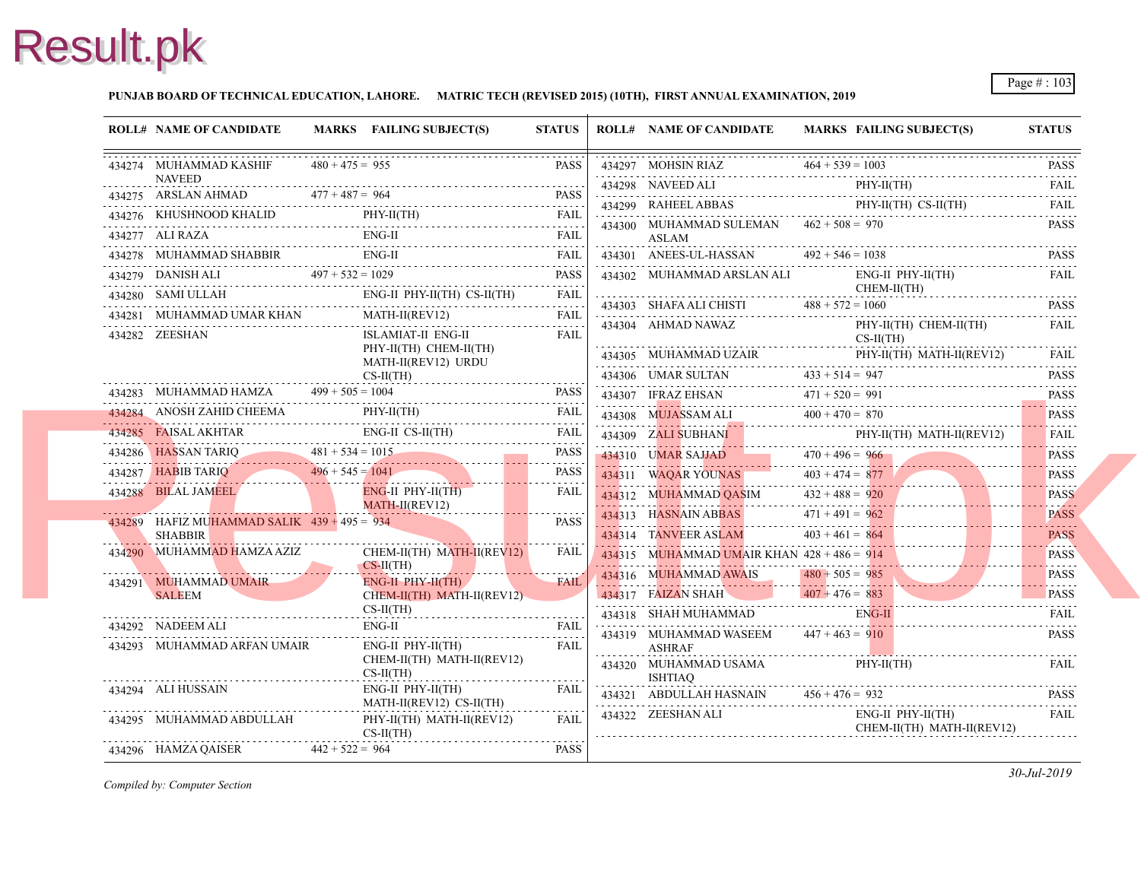#### **PUNJAB BOARD OF TECHNICAL EDUCATION, LAHORE. MATRIC TECH (REVISED 2015) (10TH), FIRST ANNUAL EXAMINATION, 2019**

| <b>ROLL# NAME OF CANDIDATE</b>                                                                                                                                                                                                                   |                   | MARKS FAILING SUBJECT(S)                         | <b>STATUS</b> |   | <b>ROLL# NAME OF CANDIDATE</b>                     | <b>MARKS FAIL</b>  |
|--------------------------------------------------------------------------------------------------------------------------------------------------------------------------------------------------------------------------------------------------|-------------------|--------------------------------------------------|---------------|---|----------------------------------------------------|--------------------|
| 434274 MUHAMMAD KASHIF                                                                                                                                                                                                                           | $480 + 475 = 955$ |                                                  | <b>PASS</b>   |   | 434297 MOHSIN RIAZ $464 + 539 = 1001$              |                    |
| <b>NAVEED</b><br>$344275$ ARSLAN AHMAD $477 + 487 = 964$ PASS                                                                                                                                                                                    |                   |                                                  |               |   | 434298 NAVEED ALI PHY                              | PHY-               |
|                                                                                                                                                                                                                                                  |                   |                                                  |               |   | 434299 RAHEEL ABBAS                                | PHY-               |
|                                                                                                                                                                                                                                                  |                   |                                                  |               |   | 434300 MUHAMMAD SULEMAN $462 + 508 = 970$          |                    |
|                                                                                                                                                                                                                                                  |                   |                                                  |               |   | ASLAM<br>434301 ANEES-UL-HASSAN $492 + 546 = 1035$ |                    |
| $\begin{tabular}{llllllll} \hline 434278 & MUHAMMAD SHABBIR & \multicolumn{3}{ c }{EMG-II} & \multicolumn{3}{ c }{FAIL} \\ \hline 434278 & MUHAMMAD SHABBIR & \multicolumn{3}{ c }{EMG-II} & \multicolumn{3}{ c }{PAES} \\ \hline \end{tabular}$ |                   |                                                  |               |   | 434302 MUHAMMAD ARSLAN ALI                         | ENG-               |
|                                                                                                                                                                                                                                                  |                   |                                                  |               |   |                                                    | <b>CHE</b>         |
| 434280 SAMI ULLAH ENG-II PHY-II(TH) CS-II(TH) FAIL                                                                                                                                                                                               |                   |                                                  |               |   | 434303 SHAFA ALI CHISTI $488 + 572 = 106$          |                    |
| 434281 MUHAMMAD UMAR KHAN MATH-II(REV12) FAIL                                                                                                                                                                                                    |                   |                                                  |               |   | 434304 AHMAD NAWAZ                                 | PHY-               |
| 434282 ZEESHAN                                                                                                                                                                                                                                   |                   | ISLAMIAT-II ENG-II<br>PHY-II(TH) CHEM-II(TH)     | <b>FAIL</b>   |   |                                                    | $CS-H$             |
|                                                                                                                                                                                                                                                  |                   | MATH-II(REV12) URDU                              |               |   | 434305 MUHAMMAD UZAIR PHY-                         |                    |
|                                                                                                                                                                                                                                                  |                   | $CS-II(TH)$                                      |               |   | 434306 UMAR SULTAN $433 + 514 = 947$               |                    |
| 434283 MUHAMMAD HAMZA $499 + 505 = 1004$ PASS                                                                                                                                                                                                    |                   |                                                  |               |   | 434307 IFRAZ EHSAN $471 + 520 = 991$               |                    |
| 434284 ANOSH ZAHID CHEEMA PHY-II(TH) FAIL FAIL                                                                                                                                                                                                   |                   |                                                  |               |   | 434308 MUJASSAM ALI $400 + 470 = 870$              |                    |
| 434285 FAISAL AKHTAR ENG-II CS-II(TH) FAIL                                                                                                                                                                                                       |                   |                                                  |               |   | 434309 ZALI SUBHANI PHY                            | PHY-               |
| 434286 HASSAN TARIQ<br>481 + 534 = 1015<br>434287 HABIB TARIQ<br>496 + 545 = 1041 PASS                                                                                                                                                           |                   |                                                  |               |   | 434310 UMAR SAJJAD 470 + 496 = 966                 |                    |
|                                                                                                                                                                                                                                                  |                   |                                                  |               |   | 434311 WAQAR YOUNAS 403 + 474 = $877$              |                    |
| <b>Contract Contract Contract Contract Contract Contract Contract Contract Contract Contract Contract Contract Co</b><br>434288 BILAL JAMEEL                                                                                                     |                   | $ENG-HI$ PHY-II(TH)<br>MATH-II(REV12)            | FAIL          |   | 434312 MUHAMMAD QASIM $432 + 488 = 920$            |                    |
| 434289 HAFIZ MUHAMMAD SALIK $439 + 495 = 934$                                                                                                                                                                                                    |                   |                                                  | PASS          |   | 434313 HASNAIN ABBAS 471+491 = 962                 |                    |
| <b>SHABBIR</b>                                                                                                                                                                                                                                   |                   |                                                  |               |   | 434314 TANVEER ASLAM $403 + 461 = 864$             |                    |
| $\begin{tabular}{c c c} \hline 434290 & {\small MUHAMMAD HAMZA AZIZ} & {\small CHEM-II(TH) MATH-II(REV12)} \\ \hline \multicolumn{3}{c}{CS-II(TH)} & $\multicolumn{3}{c}{CS-II(TH)}\\ \hline \end{tabular}$                                      |                   |                                                  | FAIL          |   | 434315 MUHAMMAD UMAIR KHAN $428 + 486 = 914$       |                    |
|                                                                                                                                                                                                                                                  |                   | $ENG-II$ $PHY-H(TH)$<br><b>Contract Contract</b> | <b>FAIL</b>   |   | 434316 MUHAMMAD AWAIS 480 + 505 = 985              |                    |
| 434291 MUHAMMAD UMAIR<br>SALEEM                                                                                                                                                                                                                  |                   | CHEM-II(TH) MATH-II(REV12)                       |               |   | 434317 FAIZAN SHAH 407 + 476 = 883                 |                    |
| 434292 NADEEM ALI                                                                                                                                                                                                                                |                   | $CS-II(TH)$                                      |               |   | 434318 SHAH MUHAMMAD                               | ENG-               |
| 434293 MUHAMMAD ARFAN UMAIR                                                                                                                                                                                                                      |                   | ENG-II FAIL FAIL<br>ENG-II PHY-II(TH)            | FAIL          |   | 434319 MUHAMMAD WASEEM $447 + 463 = 910$           |                    |
|                                                                                                                                                                                                                                                  |                   | CHEM-II(TH) MATH-II(REV12)                       |               | . | <b>ASHRAF</b><br>434320 MUHAMMAD USAMA PHY-        |                    |
|                                                                                                                                                                                                                                                  |                   | $CS-II(TH)$                                      |               | . | ISHTIAQ                                            |                    |
| 434294 ALI HUSSAIN                                                                                                                                                                                                                               |                   | ENG-II PHY-II(TH)<br>MATH-II(REV12) CS-II(TH)    | <b>FAIL</b>   |   | $434321$ ABDULLAH HASNAIN $456 + 476 = 932$        |                    |
| 434295 MUHAMMAD ABDULLAH                                                                                                                                                                                                                         |                   | PHY-II(TH) MATH-II(REV12)<br>$CS-II(TH)$         | FAII.         |   | 434322 ZEESHAN ALI                                 | ENG-<br><b>CHE</b> |
| 434296 HAMZA QAISER $442 + 522 = 964$                                                                                                                                                                                                            |                   |                                                  | PASS          |   |                                                    |                    |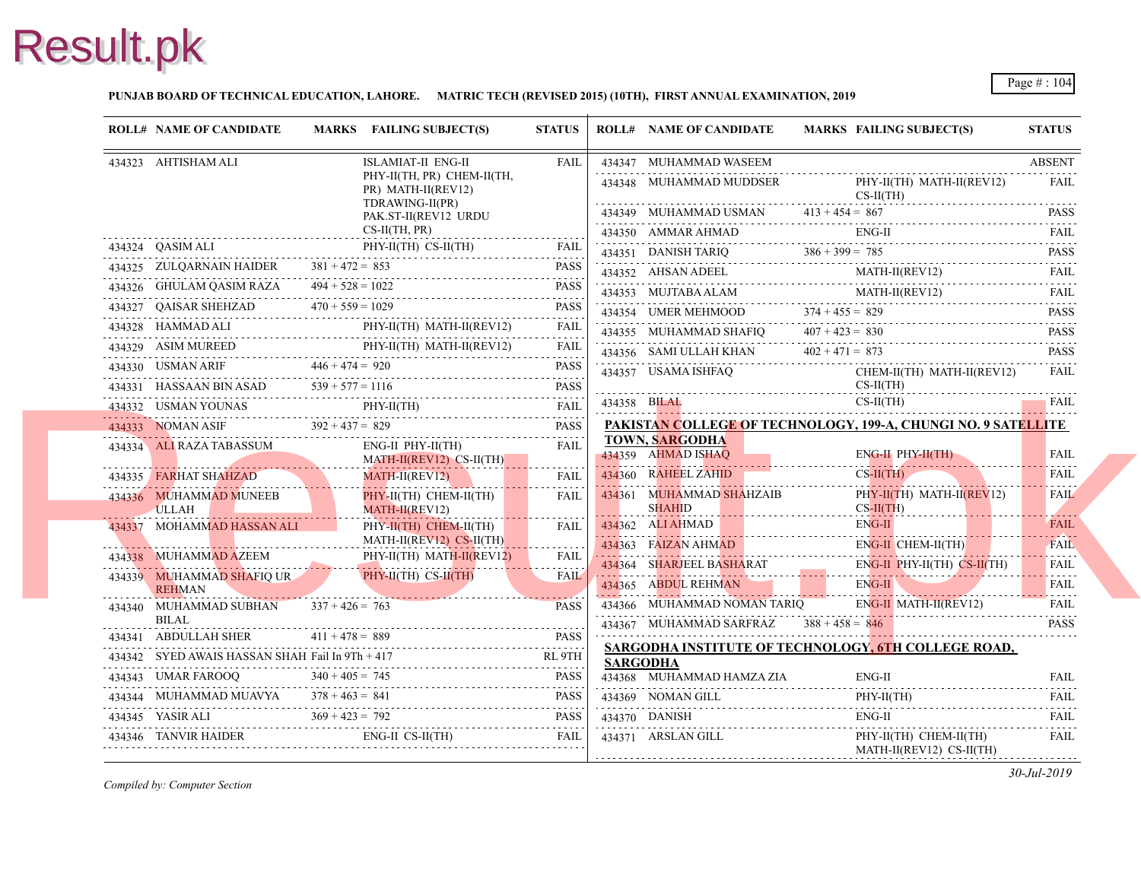#### **PUNJAB BOARD OF TECHNICAL EDUCATION, LAHORE. MATRIC TECH (REVISED 2015) (10TH), FIRST ANNUAL EXAMINATION, 2019**

| <b>ROLL# NAME OF CANDIDATE</b>                  |                                                                                                                      | MARKS FAILING SUBJECT(S)                                                                                                                                                                                                                                                                                                                                                                                                                                     | <b>STATUS</b> |                 | <b>ROLL# NAME OF CANDIDATE</b>                                                    | <b>MARKS FAIL</b>  |
|-------------------------------------------------|----------------------------------------------------------------------------------------------------------------------|--------------------------------------------------------------------------------------------------------------------------------------------------------------------------------------------------------------------------------------------------------------------------------------------------------------------------------------------------------------------------------------------------------------------------------------------------------------|---------------|-----------------|-----------------------------------------------------------------------------------|--------------------|
| 434323 AHTISHAM ALI                             |                                                                                                                      | ISLAMIAT-II ENG-II                                                                                                                                                                                                                                                                                                                                                                                                                                           | <b>FAIL</b>   |                 | 434347 MUHAMMAD WASEEM                                                            |                    |
|                                                 |                                                                                                                      | PHY-II(TH, PR) CHEM-II(TH,<br>PR) MATH-II(REV12)                                                                                                                                                                                                                                                                                                                                                                                                             |               |                 | 434348 MUHAMMAD MUDDSER                                                           | PHY-<br>$CS-II$    |
|                                                 |                                                                                                                      | TDRAWING-II(PR)                                                                                                                                                                                                                                                                                                                                                                                                                                              |               |                 | 434349 MUHAMMAD USMAN $413 + 454 = 867$                                           |                    |
| $\overrightarrow{CS-II(TH, PR)}$                |                                                                                                                      | PAK.ST-II(REV12 URDU                                                                                                                                                                                                                                                                                                                                                                                                                                         |               |                 |                                                                                   | ENG-               |
|                                                 |                                                                                                                      | 434324    QASIM ALI    PHY-II(TH)    CS-II(TH)    FAIL                                                                                                                                                                                                                                                                                                                                                                                                       |               |                 | 434350 AMMAR AHMAD ENG                                                            |                    |
|                                                 |                                                                                                                      |                                                                                                                                                                                                                                                                                                                                                                                                                                                              |               |                 | 434351 DANISH TARIQ $386 + 399 = 785$                                             | MAT.               |
|                                                 |                                                                                                                      | $\begin{tabular}{lllllllll} \multicolumn{2}{c}{\textbf{434325}} & \textbf{ZULQARNAIN HAIDER} & \textbf{381 + 472 = 853} & \textbf{PASS} \\ \multicolumn{2}{c}{\textbf{434326}} & \textbf{GHULAM QASIM RAZA} & \textbf{494 + 528 = 1022} & \textbf{PASS} \\ \multicolumn{2}{c}{\textbf{434327}} & \textbf{QAISAR SHEHEZAD} & \textbf{470 + 559 = 1029} & \textbf{PASS} \\ \multicolumn{2}{c}{\textbf{538}} &$                                                 |               |                 | 434352 AHSAN ADEEL MAT                                                            | <b>MAT</b>         |
|                                                 |                                                                                                                      |                                                                                                                                                                                                                                                                                                                                                                                                                                                              |               |                 | 434353 MUJTABA ALAM MAT                                                           |                    |
|                                                 |                                                                                                                      | $\begin{tabular}{ll} 434328 & HAMMAD ALI & \multicolumn{3}{c}{\texttt{PHY-II(TH) MATH-II(REV12)}} & \multicolumn{3}{c}{\texttt{FAIL}}\\ \multicolumn{3}{c}{\texttt{HAMMAD ALI}} & \multicolumn{3}{c}{\texttt{PHY-II(TH) MATH-II(REV12)}} & \multicolumn{3}{c}{\texttt{FAIL}}\\ \multicolumn{3}{c}{\texttt{HAMMAD ALI}} & \multicolumn{3}{c}{\texttt{PHY-II(TH) MATH-II(REV12)}} & \multicolumn{3}{c}{\texttt{FALL}}\\ \multicolumn{3}{c}{\texttt{HAMMAD ALI$ |               |                 | 434354 UMER MEHMOOD $374 + 455 = 829$<br>434355 MUHAMMAD SHAFIQ $407 + 423 = 830$ |                    |
|                                                 |                                                                                                                      |                                                                                                                                                                                                                                                                                                                                                                                                                                                              |               |                 |                                                                                   |                    |
|                                                 |                                                                                                                      | $\begin{tabular}{lllllllll} \hline 434329 & ASIM MUREED & \text{PHY-II(TH) MATH-II(REV12)} & \text{FAIL} \\ \hline 434330 & USMAN ARIF & 446 + 474 = 920 & \text{PASS} \\ \hline \end{tabular}$                                                                                                                                                                                                                                                              |               |                 | 434356 SAMI ULLAH KHAN $402 + 471 = 873$<br>434357 USAMA ISHFAQ                   | <b>CHE</b>         |
|                                                 |                                                                                                                      |                                                                                                                                                                                                                                                                                                                                                                                                                                                              |               |                 |                                                                                   | $CS-II$            |
|                                                 |                                                                                                                      |                                                                                                                                                                                                                                                                                                                                                                                                                                                              |               |                 | $434358 \text{ BHAL}$                                                             | $CS-II$            |
|                                                 |                                                                                                                      | $\begin{tabular}{c} {\bf 434332} & USMAN YOUNAS \\ \hline \end{tabular} \begin{tabular}{l} {\bf 434333} & \text{NOMAN ASIF} \\ \hline \end{tabular} \begin{tabular}{l} \bf 434334 \\ \bf 434333 \\ \bf 434335 \\ \bf 434336 \\ \bf 434337 \\ \bf 43437 \\ \bf 43438 \\ \bf 43437 \\ \bf 43438 \\ \bf 43438 \\ \bf 43438 \\ \bf 43438 \\ \bf 43438 \\ \bf 43438 \\ \bf 43438$                                                                                 |               |                 | PAKISTAN COLLEGE OF TECHNOLOGY, 199                                               |                    |
| 434334 ALI RAZA TABASSUM                        |                                                                                                                      | ENG-II PHY-II(TH)                                                                                                                                                                                                                                                                                                                                                                                                                                            | <b>FAIL</b>   |                 | <b>TOWN, SARGODHA</b><br>434359 AHMAD ISHAQ                                       | ENG-               |
| 434335 FARHAT SHAHZAD                           | <b>The Company of the Company of the Company of the Company of the Company of the Company of the Company of the </b> | MATH-II(REV12) CS-II(TH)<br>$MATH-II(REV12)$                                                                                                                                                                                                                                                                                                                                                                                                                 | FAIL          |                 | 434360 RAHEEL ZAHID                                                               | $CS-H$             |
| 434336 MUHAMMAD MUNEEB                          |                                                                                                                      | PHY-II(TH) CHEM-II(TH)                                                                                                                                                                                                                                                                                                                                                                                                                                       | <b>FAIL</b>   |                 | 434361 MUHAMMAD SHAHZAIB                                                          | PHY-               |
| ULLAH                                           |                                                                                                                      | MATH-II(REV12)                                                                                                                                                                                                                                                                                                                                                                                                                                               |               |                 | <b>SHAHID</b>                                                                     | $CS-H$             |
| 434337 MOHAMMAD HASSAN ALI                      |                                                                                                                      | PHY-II(TH) CHEM-II(TH)                                                                                                                                                                                                                                                                                                                                                                                                                                       | <b>FAIL</b>   |                 | 434362 ALIAHMAD                                                                   | ENG-               |
|                                                 |                                                                                                                      | $MATH-II(REV12) CS-II(TH)$                                                                                                                                                                                                                                                                                                                                                                                                                                   | .             |                 | 434363 FAIZAN AHMAD                                                               | ENG-               |
|                                                 |                                                                                                                      | $\begin{tabular}{lllllll} \hline 434338 & {\small MUHAMMAD AZEEM} & \small PHY-II(TH) MATH-II(REV12) & \small FAIL \\ \hline 434339 & {\small MUHAMMAD SHAFIQ UR} & \small PHY-H(TH) CS-II(TH) & \small FAIL \\ \hline \end{tabular}$                                                                                                                                                                                                                        |               |                 | 434364 SHARJEEL BASHARAT                                                          | ENG-               |
| <b>REHMAN</b>                                   |                                                                                                                      | <u> 1988 - Johann Stein, Amerikaansk politiker (</u>                                                                                                                                                                                                                                                                                                                                                                                                         |               |                 | 434365 ABDUL REHMAN ENG.                                                          |                    |
| 434340 MUHAMMAD SUBHAN $337 + 426 = 763$        |                                                                                                                      |                                                                                                                                                                                                                                                                                                                                                                                                                                                              | <b>PASS</b>   |                 | 434366 MUHAMMAD NOMAN TARIO                                                       | ENG-               |
| BILAL                                           |                                                                                                                      |                                                                                                                                                                                                                                                                                                                                                                                                                                                              |               |                 | 434367 MUHAMMAD SARFRAZ $388 + 458 = 846$                                         |                    |
| 434341 ABDULLAH SHER $411 + 478 = 889$          |                                                                                                                      | 434341 ABDULLAH SHER $411 + 478 = 889$ PASS                                                                                                                                                                                                                                                                                                                                                                                                                  |               |                 | <b>SARGODHA INSTITUTE OF TECHNOLOGY, 6</b>                                        |                    |
| 434342 SYED AWAIS HASSAN SHAH Fail In 9Th + 417 |                                                                                                                      | 434342 SYED AWAIS HASSAN SHAH Fail In 9Th + 417 RL 9TH                                                                                                                                                                                                                                                                                                                                                                                                       |               | <b>SARGODHA</b> |                                                                                   |                    |
|                                                 |                                                                                                                      | 434343 UMAR FAROOQ $340 + 405 = 745$ PASS PASS                                                                                                                                                                                                                                                                                                                                                                                                               |               |                 | 434368 MUHAMMAD HAMZA ZIA                                                         | ENG-               |
|                                                 |                                                                                                                      |                                                                                                                                                                                                                                                                                                                                                                                                                                                              |               |                 | 434369 NOMAN GILL<br>434369 NOMAN GILL PHY                                        | PHY-               |
|                                                 |                                                                                                                      | 434344 MUHAMMAD MUAVYA $378 + 463 = 841$ PASS<br>434345 YASIR ALI $369 + 423 = 792$ PASS<br>434345 YASIR ALI $369 + 423 = 792$ PASS                                                                                                                                                                                                                                                                                                                          |               |                 | 434370 DANISH                                                                     | ENG-               |
|                                                 |                                                                                                                      | $\textbf{434346} \quad \textbf{TANVIR HAIDER} \qquad \qquad \textbf{ENG-II CS-II(TH)} \qquad \qquad \textbf{FAIL}$                                                                                                                                                                                                                                                                                                                                           |               |                 | 434371 ARSLAN GILL                                                                | PHY-<br><b>MAT</b> |
|                                                 |                                                                                                                      |                                                                                                                                                                                                                                                                                                                                                                                                                                                              |               |                 |                                                                                   |                    |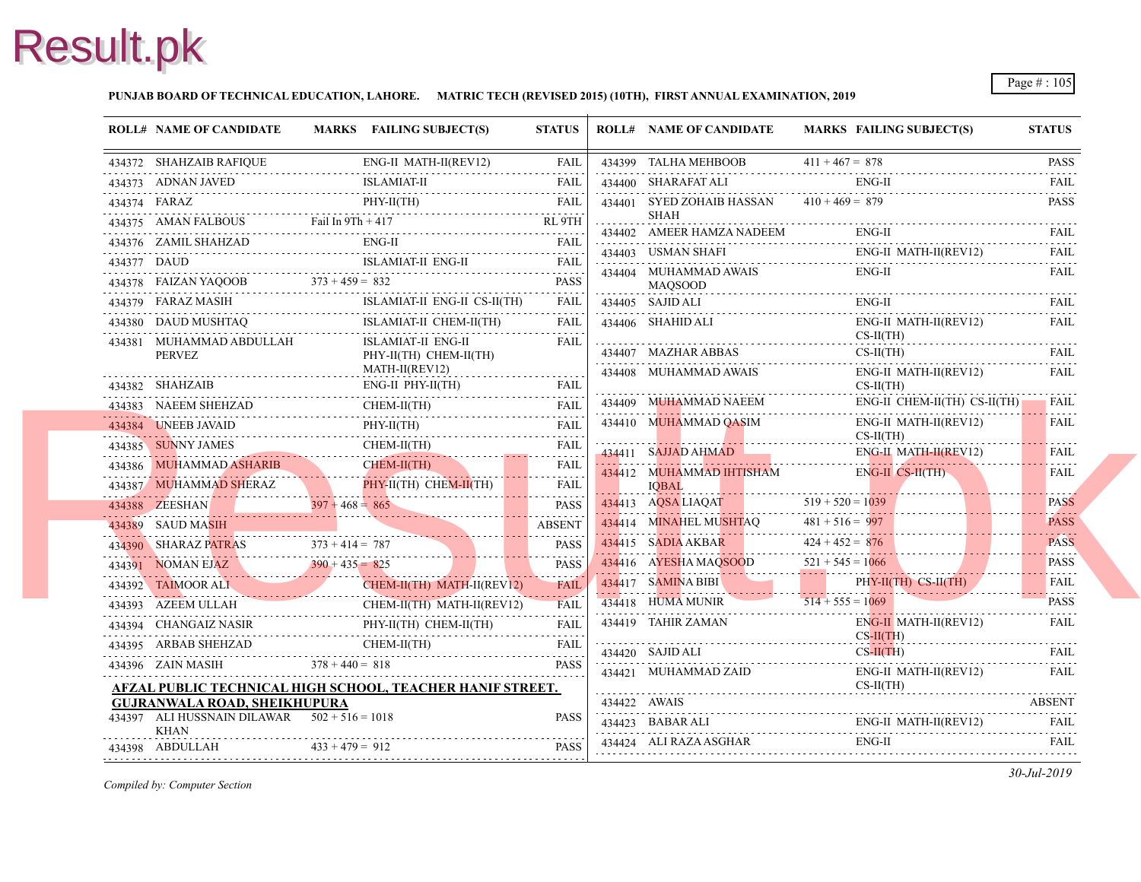#### **PUNJAB BOARD OF TECHNICAL EDUCATION, LAHORE. MATRIC TECH (REVISED 2015) (10TH), FIRST ANNUAL EXAMINATION, 2019**

| <b>ROLL# NAME OF CANDIDATE</b>                                |                   | MARKS FAILING SUBJECT(S)                                                                                                                                                                                                                                                                                                                                                                                                          | <b>STATUS</b>                      | <b>ROLL# NAME OF CANDIDATE</b>                                | <b>MARKS FAIL</b>  |
|---------------------------------------------------------------|-------------------|-----------------------------------------------------------------------------------------------------------------------------------------------------------------------------------------------------------------------------------------------------------------------------------------------------------------------------------------------------------------------------------------------------------------------------------|------------------------------------|---------------------------------------------------------------|--------------------|
| 434372 SHAHZAIB RAFIQUE                                       |                   | ENG-II MATH-II(REV12)                                                                                                                                                                                                                                                                                                                                                                                                             |                                    | 434399 TALHA MEHBOOB<br>434399 TALHA MEHBOOB $411 + 467 = 87$ | $411 + 467 = 878$  |
| 434373 ADNAN JAVED                                            |                   | <b>ISLAMIAT-II</b><br>434373 ADNAN JAVED ISLAMIAT-II FAIL FAIL                                                                                                                                                                                                                                                                                                                                                                    |                                    | 434400 SHARAFAT ALI                                           | ENG-               |
| PHY-II(TH)                                                    |                   |                                                                                                                                                                                                                                                                                                                                                                                                                                   |                                    | 434401 SYED ZOHAIB HASSAN                                     | $410 + 469 = 879$  |
|                                                               |                   |                                                                                                                                                                                                                                                                                                                                                                                                                                   |                                    | SHAH                                                          |                    |
|                                                               |                   | 434376 ZAMIL SHAHZAD ENG-II FAIL FAIL                                                                                                                                                                                                                                                                                                                                                                                             |                                    | 434402 AMEER HAMZA NADEEM                                     | ENG-               |
|                                                               |                   | 434377 DAUD ISLAMIAT-II ENG-II FAIL                                                                                                                                                                                                                                                                                                                                                                                               |                                    | 434403 USMAN SHAFI                                            | ENG-               |
|                                                               |                   |                                                                                                                                                                                                                                                                                                                                                                                                                                   |                                    | 434404 MUHAMMAD AWAIS<br><b>MAOSOOD</b>                       | ENG-               |
|                                                               |                   | $\begin{tabular}{lllllllll} \multicolumn{2}{c}{\textbf{373 + 459 = 832}} & \multicolumn{2}{c}{\textbf{PASS}} \\ \multicolumn{2}{c}{\textbf{434378} \quad FALZAN YAQOOB} & \multicolumn{2}{c}{\textbf{373 + 459 = 832}} & \multicolumn{2}{c}{\textbf{PASS}} \\ \multicolumn{2}{c}{\textbf{434379} \quad FARAZ MASIH} & \multicolumn{2}{c}{\textbf{511}} & \multicolumn{2}{c}{\textbf{521}} & \multicolumn{2}{c}{\textbf{532}} & \$ |                                    | 434405 SAJID ALI                                              | ENG-               |
|                                                               |                   | ISLAMIAT-II CHEM-II(TH)<br>$\begin{tabular}{ll} \bf 434380 & DAUD MUSHTAQ & \bf ISLAMIAT-II CHEM-II(TH) & FAIL \\ \bf \end{tabular}$                                                                                                                                                                                                                                                                                              | FAIL                               | 434406 SHAHID ALI                                             | ENG-               |
| 434381 MUHAMMAD ABDULLAH<br>PERVEZ                            |                   | ISLAMIAT-II ENG-II<br>$PHY-II(TH)$ CHEM-II(TH)                                                                                                                                                                                                                                                                                                                                                                                    | FAIL                               | 434407 MAZHAR ABBAS                                           | $CS-II$<br>$CS-II$ |
|                                                               |                   | MATH-II(REV12)                                                                                                                                                                                                                                                                                                                                                                                                                    | .                                  | 434408 MUHAMMAD AWAIS                                         | ENG-               |
|                                                               |                   | $ENG-II$ $PHY-II(TH)$                                                                                                                                                                                                                                                                                                                                                                                                             |                                    |                                                               | $CS-II$            |
|                                                               |                   | CHEM-II(TH)<br>434383 NAEEM SHEHZAD CHEM-II(TH) FAIL                                                                                                                                                                                                                                                                                                                                                                              |                                    | 434409 MUHAMMAD NAEEM                                         | ENG-               |
|                                                               |                   | 434384 UNEEB JAVAID PHY-II(TH) FAIL PHY-II(TH)                                                                                                                                                                                                                                                                                                                                                                                    | <b>FAIL</b>                        | 434410 MUHAMMAD QASIM                                         | ENG-<br>$CS-II$    |
|                                                               |                   |                                                                                                                                                                                                                                                                                                                                                                                                                                   |                                    | 434411 SAJJAD AHMAD                                           | ENG-               |
|                                                               |                   | 434385 SUNNY JAMES CHEM-II(TH) FAIL FAIL FAIL CHEM-II(TH) FAIL CHEM-II(TH) FAIL PLAN ASHARIB CHEM-II(TH) FAIL                                                                                                                                                                                                                                                                                                                     |                                    | 434412 MUHAMMAD IHTISHAM                                      | ENG-               |
|                                                               |                   | 434387 MUHAMMAD SHERAZ PHY-II(TH) CHEM-II(TH) FAIL                                                                                                                                                                                                                                                                                                                                                                                |                                    | <b>IOBAL</b>                                                  |                    |
|                                                               |                   | 434388 ZEESHAN $397 + 468 = 865$                                                                                                                                                                                                                                                                                                                                                                                                  | <b>PASS</b>                        | 434413 AQSA LIAQAT                                            | $519 + 520 = 1039$ |
|                                                               |                   | 434389 SAUD MASIH                                                                                                                                                                                                                                                                                                                                                                                                                 | <b>ABSENT</b><br>الداعات عاجات عاد | 434414 MINAHEL MUSHTAQ                                        | $481 + 516 = 997$  |
|                                                               |                   | 434390 SHARAZ PATRAS 373 + 414 = 787 PASS                                                                                                                                                                                                                                                                                                                                                                                         | <b>PASS</b>                        | 434415 SADIA AKBAR 424+452=                                   | $424 + 452 = 876$  |
|                                                               |                   | $434391$ NOMAN EJAZ $390 + 435 = 825$                                                                                                                                                                                                                                                                                                                                                                                             | <b>PASS</b>                        | 434416 AYESHA MAQSOOD 521 + 545 = 1                           | $521 + 545 = 106$  |
|                                                               |                   | CHEM-II(TH) MATH-II(REV12)<br>434392 TAIMOOR ALI CHEM-II(TH) MATH-II(REV12) FAIL                                                                                                                                                                                                                                                                                                                                                  |                                    | 434417 SAMINA BIBI                                            | PHY-               |
| 434393 AZEEM ULLAH                                            |                   | CHEM-II(TH) MATH-II(REV12)<br>434393 AZEEM ULLAH CHEM-II(TH) MATH-II(REV12) FAIL                                                                                                                                                                                                                                                                                                                                                  |                                    | 434418 HUMA MUNIR                                             | $514 + 555 = 106$  |
|                                                               |                   | 434394 CHANGAIZ NASIR PHY-II(TH) CHEM-II(TH) FAIL                                                                                                                                                                                                                                                                                                                                                                                 |                                    | 434419 TAHIR ZAMAN                                            | ENG-               |
|                                                               |                   | 434395 ARBAB SHEHZAD CHEM-II(TH) FAIL                                                                                                                                                                                                                                                                                                                                                                                             |                                    | 434420 SAJID ALI                                              | $CS-II$<br>$CS-H$  |
| $378 + 440 = 818$<br>434396 ZAIN MASIH                        |                   |                                                                                                                                                                                                                                                                                                                                                                                                                                   | <b>PASS</b>                        | 434421 MUHAMMAD ZAID                                          | ENG-               |
|                                                               |                   | AFZAL PUBLIC TECHNICAL HIGH SCHOOL, TEACHER HANIF STREET.                                                                                                                                                                                                                                                                                                                                                                         |                                    |                                                               | $CS-II$            |
| <b>GUJRANWALA ROAD, SHEIKHUPURA</b>                           |                   |                                                                                                                                                                                                                                                                                                                                                                                                                                   |                                    | 434422 AWAIS                                                  |                    |
| 434397 ALI HUSSNAIN DILAWAR $502 + 516 = 1018$<br><b>KHAN</b> |                   |                                                                                                                                                                                                                                                                                                                                                                                                                                   | <b>PASS</b>                        | 434423 BABAR ALI                                              | ENG-               |
| 434398 ABDULLAH                                               | $433 + 479 = 912$ |                                                                                                                                                                                                                                                                                                                                                                                                                                   | <b>PASS</b>                        | 434424 ALI RAZA ASGHAR<br>434424 ALI RAZA ASGHAR ENG          | ENG-               |
|                                                               |                   |                                                                                                                                                                                                                                                                                                                                                                                                                                   |                                    |                                                               |                    |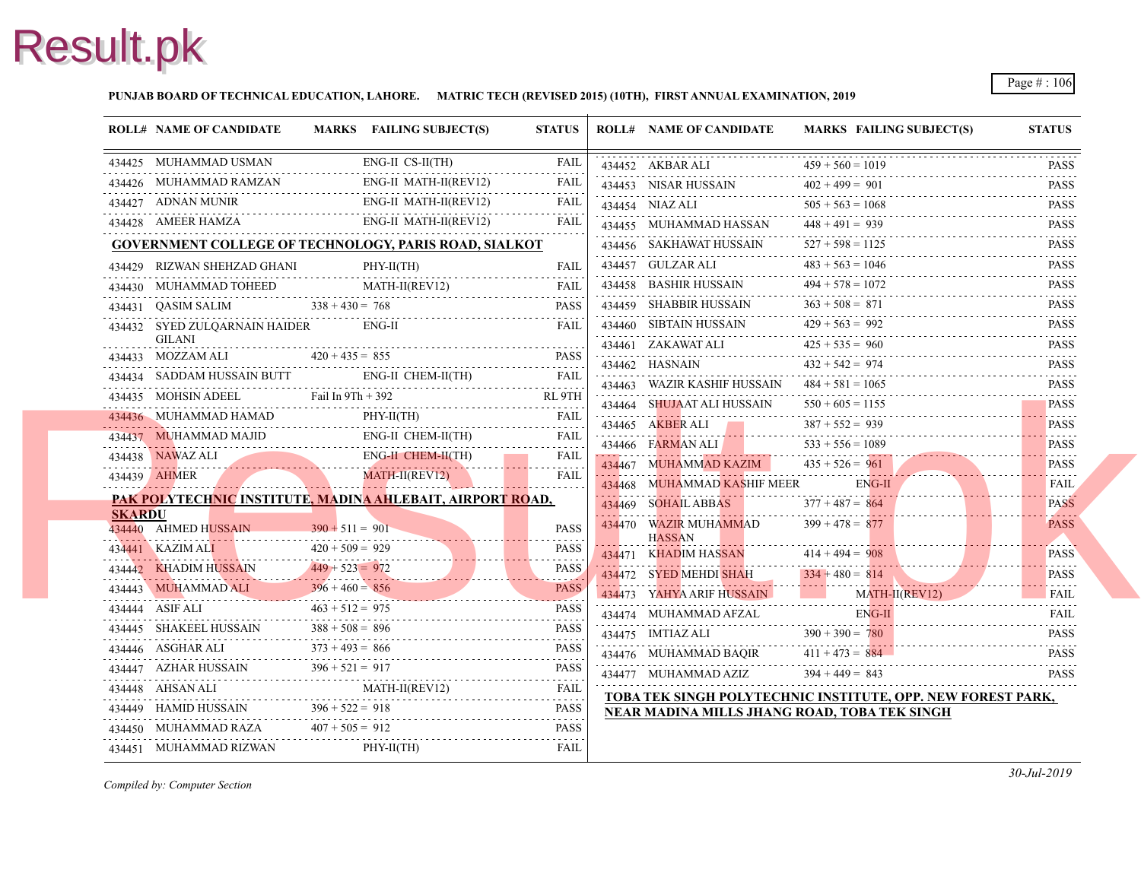#### **PUNJAB BOARD OF TECHNICAL EDUCATION, LAHORE. MATRIC TECH (REVISED 2015) (10TH), FIRST ANNUAL EXAMINATION, 2019**

|               | <b>ROLL# NAME OF CANDIDATE</b>                                                                                                                                                                                 |                   | MARKS FAILING SUBJECT(S)                     | <b>STATUS</b>    | <b>ROLL# NAME OF CANDIDATE</b>                       | <b>MARKS FAIL</b>  |      |
|---------------|----------------------------------------------------------------------------------------------------------------------------------------------------------------------------------------------------------------|-------------------|----------------------------------------------|------------------|------------------------------------------------------|--------------------|------|
|               | 434425 MUHAMMAD USMAN<br><br>                                                                                                                                                                                  |                   | $ENG-II CS-II(TH)$                           | <b>FAIL</b>      | 434452 AKBAR ALI $459 + 560 = 10$                    | $459 + 560 = 1019$ |      |
|               | 434426 MUHAMMAD RAMZAN ENG-II MATH-II(REV12)                                                                                                                                                                   |                   | ENG-II MATH-II(REV12)                        | <b>FAIL</b>      | 434453 NISAR HUSSAIN $402 + 499 =$                   | $402 + 499 = 901$  |      |
|               | $\begin{tabular}{ll} \bf 434427 & \bf ADNAN MUNIR & \bf ENG-II MATH-II (REV12) \\ \hline \end{tabular}$                                                                                                        |                   |                                              | FAIL             | 434454 NIAZ ALI                                      | $505 + 563 = 1068$ |      |
|               | 434428 AMEER HAMZA                                                                                                                                                                                             |                   | ENG-II MATH-II(REV12)                        | FAIL             | 434455 MUHAMMAD HASSAN                               | $448 + 491 = 939$  |      |
|               | GOVERNMENT COLLEGE OF TECHNOLOGY, PARIS ROAD, SIALKOT                                                                                                                                                          |                   |                                              |                  | 434456 SAKHAWAT HUSSAIN                              | $527 + 598 = 112$  |      |
|               | 434429 RIZWAN SHEHZAD GHANI                                                                                                                                                                                    |                   | PHY-II(TH)                                   | <b>FAIL</b>      | 434457 GULZAR ALI                                    | $483 + 563 = 104$  |      |
|               |                                                                                                                                                                                                                |                   |                                              |                  | 434458 BASHIR HUSSAIN                                | $494 + 578 = 1072$ |      |
|               | $\begin{tabular}{ll} \textbf{434430} & \textbf{MUHAMMAD TOHEED} & \textbf{MATH-II} \textbf{(REV12)} & \textbf{FAIL} \\ \textbf{434431} & \textbf{QASIM SALIM} & 338 + 430 = 768 & \textbf{PASS} \end{tabular}$ |                   |                                              |                  | 434459 SHABBIR HUSSAIN                               | $363 + 508 = 871$  |      |
|               | 434432 SYED ZULQARNAIN HAIDER ENG-II                                                                                                                                                                           |                   |                                              | FAIL             | 434460 SIBTAIN HUSSAIN $429 + 563 =$                 | $429 + 563 = 992$  |      |
|               | <b>GILANI</b>                                                                                                                                                                                                  |                   |                                              |                  | 434461 ZAKAWAT ALI $425 + 535 = 96$                  | $425 + 535 = 960$  |      |
|               | $434433$ MOZZAM ALI $420 + 435 = 855$ PASS                                                                                                                                                                     |                   |                                              |                  | 434462 HASNAIN                                       | $432 + 542 = 974$  |      |
|               | 434434 SADDAM HUSSAIN BUTT ENG-II CHEM-II(TH) FAIL 434435 MOHSIN ADEEL Fail In 9Th + 392 RL 9TH                                                                                                                |                   |                                              |                  | 434463 WAZIR KASHIF HUSSAIN                          | $484 + 581 = 1065$ |      |
|               |                                                                                                                                                                                                                |                   |                                              |                  | 434464 SHUJAAT ALI HUSSAIN                           | $550 + 605 = 115$  |      |
|               |                                                                                                                                                                                                                |                   |                                              |                  | 434465 AKBER ALI<br>434465 AKBER ALI $387 + 552 = 9$ | $387 + 552 = 939$  |      |
|               | 434437 MUHAMMAD MAJID ENG-II CHEM-II(TH) FAIL                                                                                                                                                                  |                   |                                              |                  | 434466 FARMAN ALI                                    | $533 + 556 = 108$  |      |
|               | 434438 NAWAZ ALI ENG-II CHEM-II(TH) FAIL 434439 AHMER MATH-II(REVI2) FAIL FAIL                                                                                                                                 |                   |                                              |                  | 434467 MUHAMMAD KAZIM                                | $435 + 526 = 961$  |      |
|               |                                                                                                                                                                                                                |                   |                                              |                  | 434468 MUHAMMAD KASHIF MEER                          |                    | ENG- |
| <b>SKARDU</b> | PAK POLYTECHNIC INSTITUTE, MADINA AHLEBAIT, AIRPORT ROAD,                                                                                                                                                      |                   |                                              |                  | 434469 SOHAIL ABBAS                                  | $377 + 487 = 864$  |      |
|               | 434440 AHMED HUSSAIN                                                                                                                                                                                           | $390 + 511 = 901$ |                                              | <b>PASS</b>      | 434470 WAZIR MUHAMMAD                                | $399 + 478 = 877$  |      |
|               |                                                                                                                                                                                                                |                   |                                              | <b>PASS</b>      | <b>HASSAN</b><br>434471 KHADIM HASSAN                | $414 + 494 = 908$  |      |
|               | 434441 KAZIM ALI 420 + 509 = 929<br>434442 KHADIM HUSSAIN 449 + 523 = 972<br>434442 MUNAMAADAN 43 - 966 + 466 + 467                                                                                            |                   |                                              | .<br><b>PASS</b> | 434472 SYED MEHDI SHAH                               | $334 + 480 = 814$  |      |
|               |                                                                                                                                                                                                                |                   |                                              |                  | 434473 YAHYA ARIF HUSSAIN                            |                    | MAT. |
|               | 434444 ASIF ALI<br>434444 ASIF ALI $463 + 512 = 975$ PASS                                                                                                                                                      | $463 + 512 = 975$ |                                              | <b>PASS</b>      | 434474 MUHAMMAD AFZAL                                |                    | ENG- |
|               | 434445 SHAKEEL HUSSAIN                                                                                                                                                                                         |                   | $373 + 493 = 866$<br>PASS<br>373 + 493 = 866 |                  | 434475 IMTIAZ ALI $390 + 390 = 780$                  |                    |      |
|               | 434446 ASGHAR ALI<br>434446 ASGHAR ALI $373 + 493 = 866$ PASS                                                                                                                                                  |                   |                                              |                  | 434476 MUHAMMAD BAQIR $411 + 473 = 884$              |                    |      |
|               | 434447 AZHAR HUSSAIN $396 + 521 = 917$ PASS                                                                                                                                                                    |                   |                                              |                  | 434477 MUHAMMAD AZIZ $394 + 449 = 843$               |                    |      |
|               | 434448 AHSAN ALI MATH-II(REV12) FAIL FAIL                                                                                                                                                                      |                   |                                              |                  | <b>TOBA TEK SINGH POLYTECHNIC INSTITUTI</b>          |                    |      |
|               | 434449 HAMID HUSSAIN $396 + 522 = 918$<br>434449 HAMID HUSSAIN $396 + 522 = 918$ PASS                                                                                                                          |                   |                                              | PASS             | <b>NEAR MADINA MILLS JHANG ROAD, TOBA</b>            |                    |      |
|               | 434450 MUHAMMAD RAZA $407 + 505 = 912$                                                                                                                                                                         |                   | HAMMAD RAZA $407 + 505 = 912$ PASS           | <b>PASS</b>      |                                                      |                    |      |
|               | 434451 MUHAMMAD RIZWAN                                                                                                                                                                                         |                   | $PHY-II(TH)$                                 | FAIL             |                                                      |                    |      |
|               |                                                                                                                                                                                                                |                   |                                              |                  |                                                      |                    |      |